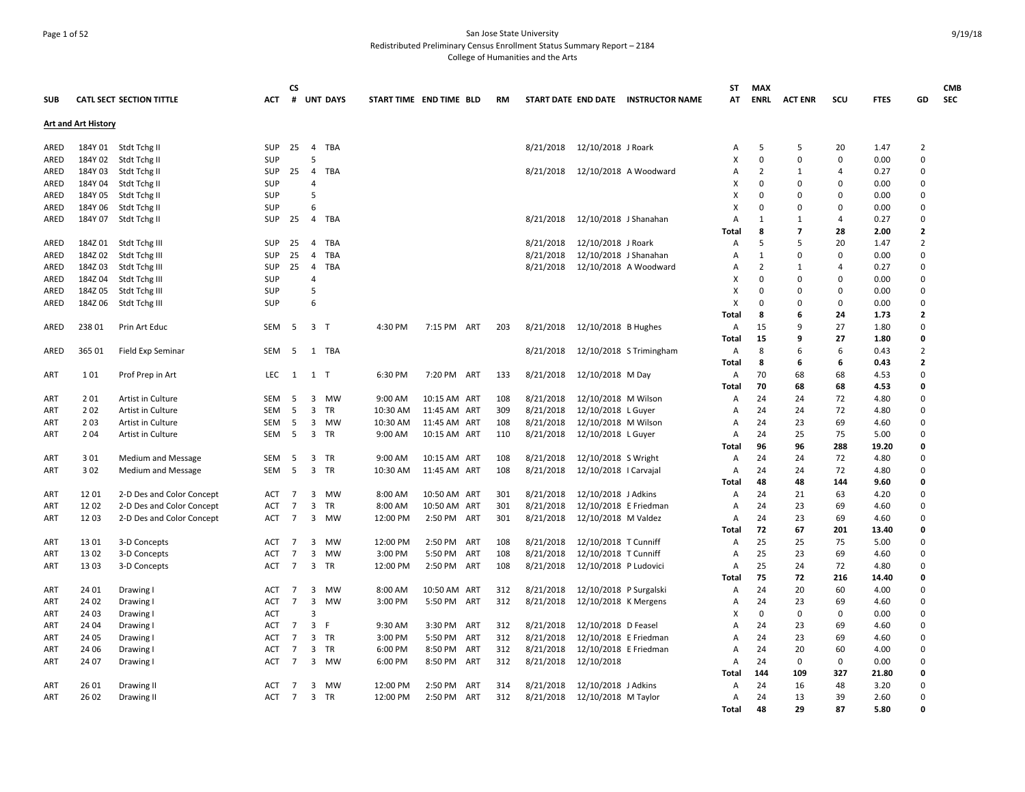## Page 1 of 52 San Jose State University Redistributed Preliminary Census Enrollment Status Summary Report – 2184 College of Humanities and the Arts

|            |                            |                                        |                   | СS              |                         |                   |                         |                              |     |            |                        |                                           |                                     | ST           | <b>MAX</b>     |                |          |              |                | <b>CMB</b> |
|------------|----------------------------|----------------------------------------|-------------------|-----------------|-------------------------|-------------------|-------------------------|------------------------------|-----|------------|------------------------|-------------------------------------------|-------------------------------------|--------------|----------------|----------------|----------|--------------|----------------|------------|
| <b>SUB</b> |                            | <b>CATL SECT SECTION TITTLE</b>        | АСТ               |                 |                         | # UNT DAYS        | START TIME END TIME BLD |                              |     | <b>RM</b>  |                        |                                           | START DATE END DATE INSTRUCTOR NAME | AT           | ENRL           | <b>ACT ENR</b> | scu      | <b>FTES</b>  | GD             | <b>SEC</b> |
|            | <b>Art and Art History</b> |                                        |                   |                 |                         |                   |                         |                              |     |            |                        |                                           |                                     |              |                |                |          |              |                |            |
| ARED       |                            | 184Y 01 Stdt Tchg II                   | <b>SUP</b>        | 25              | $\overline{4}$          | <b>TBA</b>        |                         |                              |     |            | 8/21/2018              | 12/10/2018 J Roark                        |                                     | Α            | .5             | 5              | 20       | 1.47         | $\overline{2}$ |            |
| ARED       |                            | 184Y 02 Stdt Tchg II                   | SUP               |                 | 5                       |                   |                         |                              |     |            |                        |                                           |                                     | x            | $\Omega$       | $\Omega$       | 0        | 0.00         | $\Omega$       |            |
| ARED       | 184Y 03                    | Stdt Tchg II                           | SUP               | 25              | $\overline{4}$          | TBA               |                         |                              |     |            | 8/21/2018              |                                           | 12/10/2018 A Woodward               | А            | $\overline{2}$ | 1              | 4        | 0.27         | $\Omega$       |            |
| ARED       | 184Y 04                    | Stdt Tchg II                           | SUP               |                 | 4                       |                   |                         |                              |     |            |                        |                                           |                                     | х            | $\Omega$       | 0              | 0        | 0.00         | 0              |            |
| ARED       | 184Y 05                    | Stdt Tchg II                           | <b>SUP</b>        |                 | 5                       |                   |                         |                              |     |            |                        |                                           |                                     | x            | $\Omega$       | 0              | $\Omega$ | 0.00         | 0              |            |
| ARED       | 184Y 06                    | Stdt Tchg II                           | <b>SUP</b>        |                 | 6                       |                   |                         |                              |     |            |                        |                                           |                                     | X            | $\Omega$       | 0              | 0        | 0.00         | 0              |            |
| ARED       |                            | 184Y 07 Stdt Tchg II                   | <b>SUP</b>        | 25              | 4                       | TBA               |                         |                              |     |            | 8/21/2018              | 12/10/2018 J Shanahan                     |                                     | A            | -1             | 1              | 4        | 0.27         | 0              |            |
|            |                            |                                        |                   |                 |                         |                   |                         |                              |     |            |                        |                                           |                                     | <b>Total</b> | 8              | 7              | 28       | 2.00         | $\overline{2}$ |            |
| ARED       |                            | 184Z 01 Stdt Tchg III                  | SUP               | 25              | 4                       | TBA               |                         |                              |     |            | 8/21/2018              | 12/10/2018 J Roark                        |                                     | Α            | .5             | 5              | 20       | 1.47         | $\overline{2}$ |            |
| ARED       | 184Z02                     | Stdt Tchg III                          | SUP               | 25              | $\overline{4}$          | <b>TBA</b>        |                         |                              |     |            | 8/21/2018              | 12/10/2018 J Shanahan                     |                                     | A            | $\mathbf{1}$   | $\Omega$       | $\Omega$ | 0.00         | $\Omega$       |            |
| ARED       | 184Z03                     | Stdt Tchg III                          | <b>SUP</b>        | 25              | $\overline{4}$          | <b>TBA</b>        |                         |                              |     |            | 8/21/2018              |                                           | 12/10/2018 A Woodward               | A            | $\overline{2}$ | $\mathbf{1}$   | 4        | 0.27         | $\Omega$       |            |
| ARED       | 184Z04                     | Stdt Tchg III                          | SUP               |                 | $\overline{4}$          |                   |                         |                              |     |            |                        |                                           |                                     | х            | $\Omega$       | $\Omega$       | 0        | 0.00         | $\Omega$       |            |
| ARED       | 184Z 05                    | Stdt Tchg III                          | <b>SUP</b>        |                 | 5                       |                   |                         |                              |     |            |                        |                                           |                                     | х            | $\Omega$       | 0              | $\Omega$ | 0.00         | 0              |            |
| ARED       | 184Z 06                    | Stdt Tchg III                          | <b>SUP</b>        |                 | 6                       |                   |                         |                              |     |            |                        |                                           |                                     | X            | $\Omega$       | 0              | 0        | 0.00         | $\mathbf 0$    |            |
|            |                            |                                        |                   |                 |                         |                   |                         |                              |     |            |                        |                                           |                                     | <b>Total</b> | 8              | 6              | 24       | 1.73         | $\mathbf{2}$   |            |
| ARED       | 238 01                     | Prin Art Educ                          | SEM               | - 5             | 3 T                     |                   | 4:30 PM                 | 7:15 PM ART                  |     | 203        | 8/21/2018              | 12/10/2018 B Hughes                       |                                     | Α            | 15             | 9              | 27       | 1.80         | 0              |            |
|            |                            |                                        |                   |                 |                         |                   |                         |                              |     |            |                        |                                           |                                     | Total        | 15             | 9              | 27       | 1.80         | $\Omega$       |            |
| ARED       | 365 01                     | Field Exp Seminar                      | <b>SEM</b>        | - 5             |                         | 1 TBA             |                         |                              |     |            | 8/21/2018              |                                           | 12/10/2018 S Trimingham             | A            | 8              | 6              | 6        | 0.43         | $\overline{2}$ |            |
|            |                            |                                        |                   |                 |                         |                   |                         |                              |     |            |                        |                                           |                                     | <b>Total</b> | 8              | 6              | 6        | 0.43         | $\overline{2}$ |            |
| ART        | 101                        | Prof Prep in Art                       | LEC               | 1               | 1 T                     |                   | 6:30 PM                 | 7:20 PM ART                  |     | 133        | 8/21/2018              | 12/10/2018 M Day                          |                                     | Α            | 70             | 68             | 68       | 4.53         | 0              |            |
|            |                            |                                        |                   |                 |                         |                   |                         |                              |     |            |                        |                                           |                                     | Total        | 70             | 68             | 68       | 4.53         | 0<br>$\Omega$  |            |
| ART        | 201                        | Artist in Culture                      | SEM<br><b>SEM</b> | - 5<br>-5       | 3                       | 3 MW<br><b>TR</b> | 9:00 AM<br>10:30 AM     | 10:15 AM ART                 |     | 108        | 8/21/2018              | 12/10/2018 M Wilson                       |                                     | Α            | 24<br>24       | 24<br>24       | 72<br>72 | 4.80         | $\Omega$       |            |
| ART        | 202<br>203                 | Artist in Culture                      | SEM               |                 | 3                       | MW                |                         | 11:45 AM ART                 |     | 309        | 8/21/2018              | 12/10/2018 L Guyer                        |                                     | Α            | 24             | 23             | 69       | 4.80         | 0              |            |
| ART<br>ART | 2 0 4                      | Artist in Culture<br>Artist in Culture | SEM               | - 5<br>5        | $\overline{3}$          | <b>TR</b>         | 10:30 AM<br>9:00 AM     | 11:45 AM ART<br>10:15 AM ART |     | 108<br>110 | 8/21/2018<br>8/21/2018 | 12/10/2018 M Wilson<br>12/10/2018 L Guyer |                                     | A<br>Α       | 24             | 25             | 75       | 4.60<br>5.00 | $\Omega$       |            |
|            |                            |                                        |                   |                 |                         |                   |                         |                              |     |            |                        |                                           |                                     | <b>Total</b> | 96             | 96             | 288      | 19.20        | 0              |            |
| <b>ART</b> | 301                        | <b>Medium and Message</b>              | <b>SEM</b>        | - 5             | 3                       | TR                | 9:00 AM                 | 10:15 AM ART                 |     | 108        | 8/21/2018              | 12/10/2018 S Wright                       |                                     | A            | 24             | 24             | 72       | 4.80         | $\Omega$       |            |
| ART        | 302                        | Medium and Message                     | SEM               | 5               | $\overline{\mathbf{3}}$ | TR                | 10:30 AM                | 11:45 AM ART                 |     | 108        | 8/21/2018              | 12/10/2018   Carvajal                     |                                     | Α            | 24             | 24             | 72       | 4.80         | $\Omega$       |            |
|            |                            |                                        |                   |                 |                         |                   |                         |                              |     |            |                        |                                           |                                     | Total        | 48             | 48             | 144      | 9.60         | 0              |            |
| ART        | 1201                       | 2-D Des and Color Concept              | ACT               | $\overline{7}$  | 3                       | MW                | 8:00 AM                 | 10:50 AM ART                 |     | 301        | 8/21/2018              | 12/10/2018 J Adkins                       |                                     | Α            | 24             | 21             | 63       | 4.20         | 0              |            |
| ART        | 1202                       | 2-D Des and Color Concept              | ACT               | $\overline{7}$  | 3                       | TR                | 8:00 AM                 | 10:50 AM ART                 |     | 301        | 8/21/2018              | 12/10/2018 E Friedman                     |                                     | Α            | 24             | 23             | 69       | 4.60         | 0              |            |
| ART        | 1203                       | 2-D Des and Color Concept              | <b>ACT</b>        | $\overline{7}$  | $\mathbf{3}$            | MW                | 12:00 PM                | 2:50 PM ART                  |     | 301        | 8/21/2018              | 12/10/2018 M Valdez                       |                                     | A            | 24             | 23             | 69       | 4.60         | 0              |            |
|            |                            |                                        |                   |                 |                         |                   |                         |                              |     |            |                        |                                           |                                     | Total        | 72             | 67             | 201      | 13.40        | 0              |            |
| <b>ART</b> | 13 01                      | 3-D Concepts                           | ACT               | 7               | 3                       | <b>MW</b>         | 12:00 PM                | 2:50 PM ART                  |     | 108        | 8/21/2018              | 12/10/2018 T Cunniff                      |                                     | Α            | 25             | 25             | 75       | 5.00         | 0              |            |
| ART        | 13 02                      | 3-D Concepts                           | <b>ACT</b>        | $\overline{7}$  | 3                       | MW                | 3:00 PM                 | 5:50 PM ART                  |     | 108        | 8/21/2018              | 12/10/2018 T Cunniff                      |                                     | A            | 25             | 23             | 69       | 4.60         | 0              |            |
| ART        | 13 03                      | 3-D Concepts                           | ACT               | $7\overline{ }$ |                         | 3 TR              | 12:00 PM                | 2:50 PM ART                  |     | 108        | 8/21/2018              | 12/10/2018 P Ludovici                     |                                     | Α            | 25             | 24             | 72       | 4.80         | $\Omega$       |            |
|            |                            |                                        |                   |                 |                         |                   |                         |                              |     |            |                        |                                           |                                     | Total        | 75             | 72             | 216      | 14.40        | O              |            |
| ART        | 24 01                      | Drawing                                | ACT               | 7               | 3                       | MW                | 8:00 AM                 | 10:50 AM ART                 |     | 312        | 8/21/2018              | 12/10/2018 P Surgalski                    |                                     | Α            | 24             | 20             | 60       | 4.00         | 0              |            |
| ART        | 24 02                      | Drawing I                              | ACT               | $\overline{7}$  | 3                       | <b>MW</b>         | 3:00 PM                 | 5:50 PM ART                  |     | 312        | 8/21/2018              | 12/10/2018 K Mergens                      |                                     | Α            | 24             | 23             | 69       | 4.60         | $\Omega$       |            |
| ART        | 24 03                      | Drawing I                              | <b>ACT</b>        |                 | 3                       |                   |                         |                              |     |            |                        |                                           |                                     | X            | $\Omega$       | $\Omega$       | 0        | 0.00         | 0              |            |
| ART        | 24 04                      | Drawing I                              | ACT               | $\overline{7}$  | $\overline{3}$          | -F                | 9:30 AM                 | 3:30 PM                      | ART | 312        | 8/21/2018              | 12/10/2018 D Feasel                       |                                     | A            | 24             | 23             | 69       | 4.60         | $\Omega$       |            |
| ART        | 24 05                      | Drawing I                              | ACT               | 7               | 3                       | TR                | 3:00 PM                 | 5:50 PM                      | ART | 312        | 8/21/2018              | 12/10/2018 E Friedman                     |                                     | Α            | 24             | 23             | 69       | 4.60         | 0              |            |
| ART        | 24 06                      | Drawing I                              | <b>ACT</b>        | $\overline{7}$  | 3                       | TR                | 6:00 PM                 | 8:50 PM ART                  |     | 312        | 8/21/2018              | 12/10/2018 E Friedman                     |                                     | A            | 24             | 20             | 60       | 4.00         | 0              |            |
| ART        | 24 07                      | Drawing I                              | ACT               | $\overline{7}$  |                         | 3 MW              | 6:00 PM                 | 8:50 PM ART                  |     | 312        | 8/21/2018              | 12/10/2018                                |                                     | А            | 24             | 0              | 0        | 0.00         | $\Omega$       |            |
|            |                            |                                        |                   |                 |                         |                   |                         |                              |     |            |                        |                                           |                                     | Total        | 144            | 109            | 327      | 21.80        | O              |            |
| ART        | 26 01                      | Drawing II                             | ACT               | -7              | 3                       | MW                | 12:00 PM                | 2:50 PM                      | ART | 314        | 8/21/2018              | 12/10/2018 J Adkins                       |                                     | Α            | 24             | 16             | 48       | 3.20         | 0              |            |
| <b>ART</b> | 26 02                      | Drawing II                             | <b>ACT</b>        | 7               |                         | 3 TR              | 12:00 PM                | 2:50 PM                      | ART | 312        | 8/21/2018              | 12/10/2018 M Taylor                       |                                     | Α            | 24             | 13             | 39       | 2.60         | 0              |            |
|            |                            |                                        |                   |                 |                         |                   |                         |                              |     |            |                        |                                           |                                     | Total        | 48             | 29             | 87       | 5.80         | O              |            |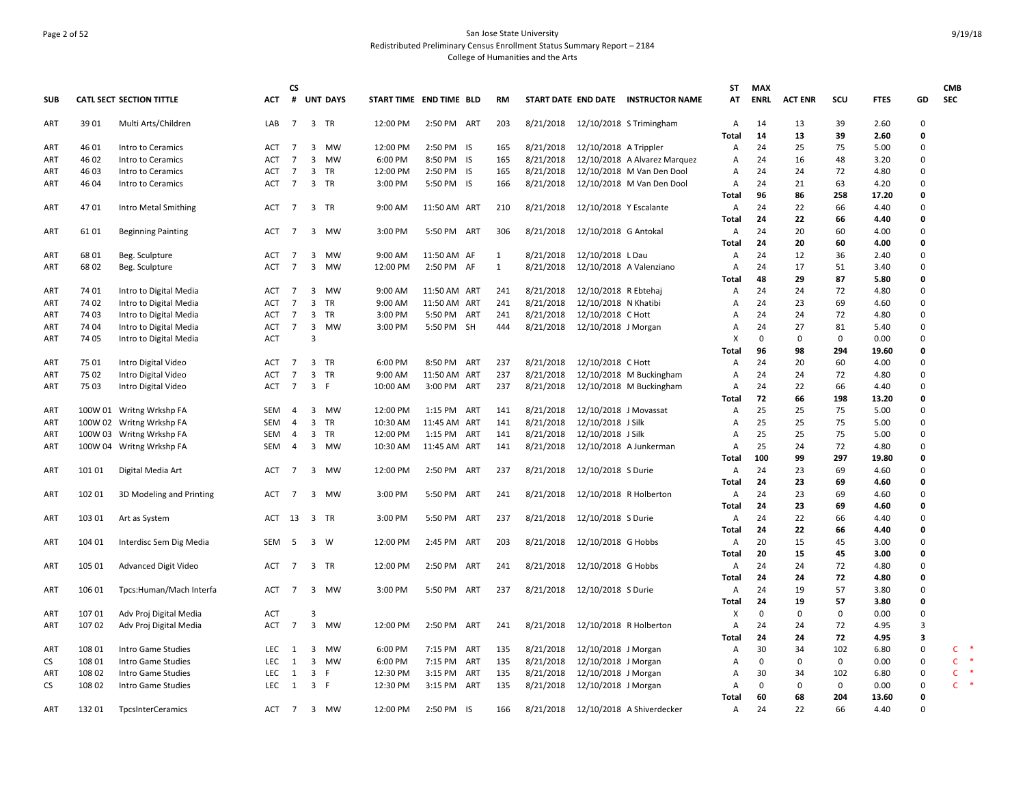## Page 2 of 52 San Jose State University Redistributed Preliminary Census Enrollment Status Summary Report – 2184 College of Humanities and the Arts

|            |        |                                 |            | CS.            |                         |                 |                         |              |     |              |           |                        |                                     | SΤ             | <b>MAX</b>  |                |             |             |                         | <b>CMB</b>   |   |
|------------|--------|---------------------------------|------------|----------------|-------------------------|-----------------|-------------------------|--------------|-----|--------------|-----------|------------------------|-------------------------------------|----------------|-------------|----------------|-------------|-------------|-------------------------|--------------|---|
| <b>SUB</b> |        | <b>CATL SECT SECTION TITTLE</b> | <b>ACT</b> | #              |                         | <b>UNT DAYS</b> | START TIME END TIME BLD |              |     | <b>RM</b>    |           |                        | START DATE END DATE INSTRUCTOR NAME | AT             | <b>ENRL</b> | <b>ACT ENR</b> | SCU         | <b>FTES</b> | GD                      | <b>SEC</b>   |   |
| ART        | 39 01  | Multi Arts/Children             | LAB        | $\overline{7}$ |                         | 3 TR            | 12:00 PM                | 2:50 PM ART  |     | 203          |           |                        | 8/21/2018 12/10/2018 S Trimingham   | Α              | 14          | 13             | 39          | 2.60        | 0                       |              |   |
|            |        |                                 |            |                |                         |                 |                         |              |     |              |           |                        |                                     | Total          | 14          | 13             | 39          | 2.60        | 0                       |              |   |
| ART        | 46 01  | Intro to Ceramics               | ACT        | $\overline{7}$ | 3                       | MW              | 12:00 PM                | 2:50 PM IS   |     | 165          | 8/21/2018 | 12/10/2018 A Trippler  |                                     | Α              | 24          | 25             | 75          | 5.00        | 0                       |              |   |
| ART        | 46 02  | Intro to Ceramics               | ACT        | $\overline{7}$ | $\overline{3}$          | MW              | 6:00 PM                 | 8:50 PM IS   |     | 165          | 8/21/2018 |                        | 12/10/2018 A Alvarez Marquez        | A              | 24          | 16             | 48          | 3.20        | $\Omega$                |              |   |
| ART        | 46 03  | Intro to Ceramics               | ACT        | 7              | 3                       | TR              | 12:00 PM                | 2:50 PM IS   |     | 165          | 8/21/2018 |                        | 12/10/2018 M Van Den Dool           | Α              | 24          | 24             | 72          | 4.80        | $\Omega$                |              |   |
| ART        | 46 04  | Intro to Ceramics               | ACT        | $\overline{7}$ |                         | 3 TR            | 3:00 PM                 | 5:50 PM IS   |     | 166          | 8/21/2018 |                        | 12/10/2018 M Van Den Dool           | Α              | 24          | 21             | 63          | 4.20        | $\Omega$                |              |   |
|            |        |                                 |            |                |                         |                 |                         |              |     |              |           |                        |                                     | Total          | 96          | 86             | 258         | 17.20       | 0                       |              |   |
| ART        | 4701   | Intro Metal Smithing            | ACT        | 7              | $\overline{\mathbf{3}}$ | <b>TR</b>       | 9:00 AM                 | 11:50 AM ART |     | 210          | 8/21/2018 | 12/10/2018 Y Escalante |                                     | Α              | 24          | 22             | 66          | 4.40        | 0                       |              |   |
|            |        |                                 |            |                |                         |                 |                         |              |     |              |           |                        |                                     | Total          | 24          | 22             | 66          | 4.40        | 0                       |              |   |
| <b>ART</b> | 61 01  | <b>Beginning Painting</b>       | ACT        | $\overline{7}$ | 3                       | MW              | 3:00 PM                 | 5:50 PM ART  |     | 306          | 8/21/2018 | 12/10/2018 G Antokal   |                                     | Α              | 24          | 20             | 60          | 4.00        | $\mathbf 0$             |              |   |
|            |        |                                 |            |                |                         |                 |                         |              |     |              |           |                        |                                     | Total          | 24          | 20             | 60          | 4.00        | 0                       |              |   |
| ART        | 68 01  | Beg. Sculpture                  | ACT        | 7              | 3                       | MW              | 9:00 AM                 | 11:50 AM AF  |     | 1            | 8/21/2018 | 12/10/2018 L Dau       |                                     | Α              | 24          | 12             | 36          | 2.40        | $\Omega$                |              |   |
| ART        | 68 02  | Beg. Sculpture                  | ACT        | $\overline{7}$ | 3                       | <b>MW</b>       | 12:00 PM                | 2:50 PM AF   |     | $\mathbf{1}$ | 8/21/2018 |                        | 12/10/2018 A Valenziano             | Α              | 24          | 17             | 51          | 3.40        | $\Omega$                |              |   |
|            |        |                                 |            |                |                         |                 |                         |              |     |              |           |                        |                                     | Total          | 48          | 29             | 87          | 5.80        | 0                       |              |   |
| ART        | 74 01  | Intro to Digital Media          | ACT        | 7              | 3                       | MW              | 9:00 AM                 | 11:50 AM ART |     | 241          | 8/21/2018 | 12/10/2018 R Ebtehaj   |                                     | Α              | 24          | 24             | 72          | 4.80        | $\mathbf 0$             |              |   |
| ART        | 74 02  | Intro to Digital Media          | ACT        | $\overline{7}$ | $\overline{3}$          | TR              | 9:00 AM                 | 11:50 AM ART |     | 241          | 8/21/2018 | 12/10/2018 N Khatibi   |                                     | Α              | 24          | 23             | 69          | 4.60        | $\Omega$                |              |   |
| ART        | 74 03  | Intro to Digital Media          | <b>ACT</b> | 7              | $\overline{3}$          | TR              | 3:00 PM                 | 5:50 PM ART  |     | 241          | 8/21/2018 | 12/10/2018 C Hott      |                                     | Α              | 24          | 24             | 72          | 4.80        | $\mathbf 0$             |              |   |
| ART        | 74 04  | Intro to Digital Media          | ACT        | 7              | $\overline{3}$          | MW              | 3:00 PM                 | 5:50 PM SH   |     | 444          | 8/21/2018 | 12/10/2018 J Morgan    |                                     | Α              | 24          | 27             | 81          | 5.40        | $\mathbf 0$             |              |   |
| ART        | 74 05  | Intro to Digital Media          | <b>ACT</b> |                | 3                       |                 |                         |              |     |              |           |                        |                                     | X              | 0           | 0              | 0           | 0.00        | $\Omega$                |              |   |
|            |        |                                 |            |                |                         |                 |                         |              |     |              |           |                        |                                     | Total          | 96          | 98             | 294         | 19.60       | $\mathbf 0$             |              |   |
| ART        | 75 01  | Intro Digital Video             | ACT        | $\overline{7}$ |                         | 3 TR            | 6:00 PM                 | 8:50 PM ART  |     | 237          | 8/21/2018 | 12/10/2018 C Hott      |                                     | Α              | 24          | 20             | 60          | 4.00        | $\mathbf 0$             |              |   |
| ART        | 75 02  | Intro Digital Video             | ACT        | 7              | $\overline{3}$          | <b>TR</b>       | 9:00 AM                 | 11:50 AM ART |     | 237          | 8/21/2018 |                        | 12/10/2018 M Buckingham             | Α              | 24          | 24             | 72          | 4.80        | $\Omega$                |              |   |
| ART        | 75 03  | Intro Digital Video             | ACT        | $\overline{7}$ | $\mathbf{3}$            | F               | 10:00 AM                | 3:00 PM ART  |     | 237          | 8/21/2018 |                        | 12/10/2018 M Buckingham             | Α              | 24          | 22             | 66          | 4.40        | $\Omega$                |              |   |
|            |        |                                 |            |                |                         |                 |                         |              |     |              |           |                        |                                     | Total          | 72          | 66             | 198         | 13.20       | 0                       |              |   |
| ART        |        | 100W 01 Writng Wrkshp FA        | SEM        | -4             | 3                       | MW              | 12:00 PM                | 1:15 PM ART  |     | 141          | 8/21/2018 | 12/10/2018 J Movassat  |                                     | Α              | 25          | 25             | 75          | 5.00        | $\mathbf 0$             |              |   |
| ART        |        | 100W 02 Writng Wrkshp FA        | <b>SEM</b> | $\overline{4}$ | $\overline{3}$          | <b>TR</b>       | 10:30 AM                | 11:45 AM ART |     | 141          | 8/21/2018 | 12/10/2018 J Silk      |                                     | Α              | 25          | 25             | 75          | 5.00        | $\Omega$                |              |   |
| ART        |        | 100W 03 Writng Wrkshp FA        | <b>SEM</b> | $\overline{4}$ | 3                       | <b>TR</b>       | 12:00 PM                | 1:15 PM      | ART | 141          | 8/21/2018 | 12/10/2018 J Silk      |                                     | $\overline{A}$ | 25          | 25             | 75          | 5.00        | $\Omega$                |              |   |
| ART        |        | 100W 04 Writng Wrkshp FA        | SEM        | $\overline{4}$ | 3                       | MW              | 10:30 AM                | 11:45 AM ART |     | 141          | 8/21/2018 |                        | 12/10/2018 A Junkerman              | Α              | 25          | 24             | 72          | 4.80        | $\mathbf 0$             |              |   |
|            |        |                                 |            |                |                         |                 |                         |              |     |              |           |                        |                                     | Total          | 100         | 99             | 297         | 19.80       | 0                       |              |   |
| ART        | 101 01 | Digital Media Art               | ACT        | $\overline{7}$ | $\overline{3}$          | <b>MW</b>       | 12:00 PM                | 2:50 PM ART  |     | 237          | 8/21/2018 | 12/10/2018 S Durie     |                                     | Α              | 24          | 23             | 69          | 4.60        | $\Omega$                |              |   |
|            |        |                                 |            |                |                         |                 |                         |              |     |              |           |                        |                                     | Total          | 24          | 23             | 69          | 4.60        | 0                       |              |   |
| ART        | 102 01 | 3D Modeling and Printing        | ACT        | 7              |                         | 3 MW            | 3:00 PM                 | 5:50 PM ART  |     | 241          | 8/21/2018 |                        | 12/10/2018 R Holberton              | Α              | 24          | 23             | 69          | 4.60        | $\Omega$                |              |   |
|            |        |                                 |            |                |                         |                 |                         |              |     |              |           |                        |                                     | Total          | 24          | 23             | 69          | 4.60        | 0                       |              |   |
| ART        | 103 01 | Art as System                   | ACT 13     |                | 3 TR                    |                 | 3:00 PM                 | 5:50 PM ART  |     | 237          | 8/21/2018 | 12/10/2018 S Durie     |                                     | Α              | 24          | 22             | 66          | 4.40        | $\Omega$                |              |   |
|            |        |                                 |            |                |                         |                 |                         |              |     |              |           |                        |                                     | Total          | 24          | 22             | 66          | 4.40        | 0                       |              |   |
| ART        | 104 01 | Interdisc Sem Dig Media         | <b>SEM</b> | -5             | $\overline{\mathbf{3}}$ | W               | 12:00 PM                | 2:45 PM ART  |     | 203          | 8/21/2018 | 12/10/2018 G Hobbs     |                                     | Α              | 20          | 15             | 45          | 3.00        | $\Omega$                |              |   |
|            |        |                                 |            |                |                         |                 |                         |              |     |              |           |                        |                                     | Total          | 20          | 15             | 45          | 3.00        | $\mathbf 0$             |              |   |
| ART        | 105 01 | Advanced Digit Video            | ACT        | 7              | $\overline{\mathbf{3}}$ | TR              | 12:00 PM                | 2:50 PM ART  |     | 241          | 8/21/2018 | 12/10/2018 G Hobbs     |                                     | Α              | 24          | 24             | 72          | 4.80        | $\mathbf 0$             |              |   |
|            |        |                                 |            |                |                         |                 |                         |              |     |              |           |                        |                                     | Total          | 24          | 24             | 72          | 4.80        | 0                       |              |   |
| ART        | 106 01 | Tpcs:Human/Mach Interfa         | ACT        | $\overline{7}$ | $\overline{3}$          | <b>MW</b>       | 3:00 PM                 | 5:50 PM      | ART | 237          | 8/21/2018 | 12/10/2018 S Durie     |                                     | Α              | 24          | 19             | 57          | 3.80        | $\Omega$                |              |   |
|            |        |                                 |            |                |                         |                 |                         |              |     |              |           |                        |                                     | Total          | 24          | 19             | 57          | 3.80        | 0                       |              |   |
| ART        | 107 01 | Adv Proj Digital Media          | <b>ACT</b> |                | 3                       |                 |                         |              |     |              |           |                        |                                     | Χ              | $\Omega$    | 0              | $\mathsf 0$ | 0.00        | 0                       |              |   |
| ART        | 107 02 | Adv Proj Digital Media          | ACT        | 7              | $\overline{3}$          | <b>MW</b>       | 12:00 PM                | 2:50 PM      | ART | 241          | 8/21/2018 | 12/10/2018 R Holberton |                                     | Α              | 24          | 24             | 72          | 4.95        | 3                       |              |   |
|            |        |                                 |            |                |                         |                 |                         |              |     |              |           |                        |                                     | Total          | 24          | 24             | 72          | 4.95        | $\overline{\mathbf{3}}$ |              |   |
| ART        | 108 01 | Intro Game Studies              | LEC        | 1              | 3                       | MW              | 6:00 PM                 | 7:15 PM ART  |     | 135          | 8/21/2018 | 12/10/2018 J Morgan    |                                     | Α              | 30          | 34             | 102         | 6.80        | $\mathbf 0$             | C.           | ۶ |
| <b>CS</b>  | 108 01 | Intro Game Studies              | <b>LEC</b> | 1              | $\overline{3}$          | MW              | 6:00 PM                 | 7:15 PM ART  |     | 135          | 8/21/2018 | 12/10/2018 J Morgan    |                                     | $\mathsf{A}$   | 0           | 0              | 0           | 0.00        | 0                       | $\mathsf{C}$ |   |
| ART        | 108 02 | Intro Game Studies              | LEC        | 1              | $\overline{3}$          | F.              | 12:30 PM                | 3:15 PM ART  |     | 135          | 8/21/2018 | 12/10/2018 J Morgan    |                                     | Α              | 30          | 34             | 102         | 6.80        | $\mathbf 0$             | $\mathsf{C}$ |   |
| CS         | 108 02 | Intro Game Studies              | LEC        | <sup>1</sup>   | $\overline{3}$          | - F             | 12:30 PM                | 3:15 PM ART  |     | 135          | 8/21/2018 | 12/10/2018 J Morgan    |                                     | Α              | $\mathbf 0$ | 0              | $\mathbf 0$ | 0.00        | 0                       | $\mathsf{C}$ |   |
|            |        |                                 |            |                |                         |                 |                         |              |     |              |           |                        |                                     | Total          | 60          | 68             | 204         | 13.60       | 0                       |              |   |
| <b>ART</b> | 132 01 | TpcsInterCeramics               | ACT        | $\overline{7}$ |                         | 3 MW            | 12:00 PM                | 2:50 PM IS   |     | 166          | 8/21/2018 |                        | 12/10/2018 A Shiverdecker           | Α              | 24          | 22             | 66          | 4.40        | $\Omega$                |              |   |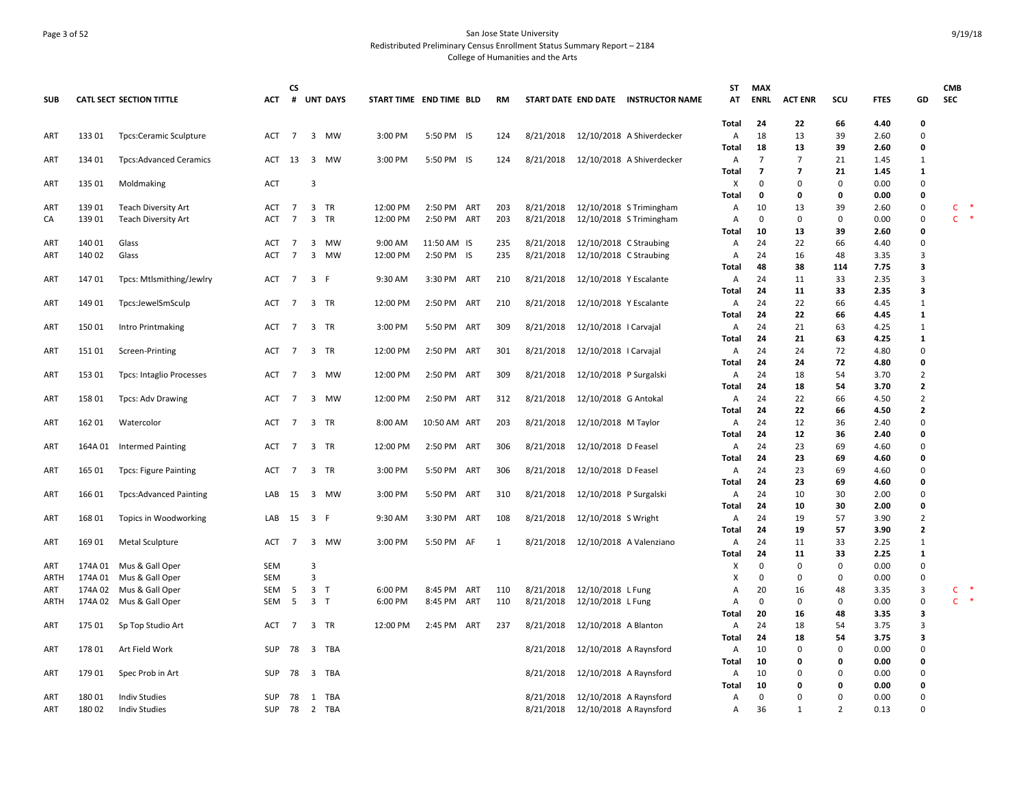## Page 3 of 52 San Jose State University Redistributed Preliminary Census Enrollment Status Summary Report – 2184 College of Humanities and the Arts

| <b>SUB</b>  |                  | <b>CATL SECT SECTION TITTLE</b>              | <b>ACT</b> | <b>CS</b><br># |                | <b>UNT DAYS</b> | START TIME END TIME BLD |              |     | <b>RM</b> |                        |                        | START DATE END DATE INSTRUCTOR NAME              | ST<br>AT          | <b>MAX</b><br><b>ENRL</b> | <b>ACT ENR</b>                             | scu                 | <b>FTES</b>  | GD                               | <b>CMB</b><br><b>SEC</b> |                      |
|-------------|------------------|----------------------------------------------|------------|----------------|----------------|-----------------|-------------------------|--------------|-----|-----------|------------------------|------------------------|--------------------------------------------------|-------------------|---------------------------|--------------------------------------------|---------------------|--------------|----------------------------------|--------------------------|----------------------|
|             |                  |                                              |            |                |                |                 |                         |              |     |           |                        |                        |                                                  | Total             | 24                        | 22                                         | 66                  | 4.40         | 0                                |                          |                      |
| ART         | 133 01           | <b>Tpcs:Ceramic Sculpture</b>                | <b>ACT</b> | 7              |                | 3 MW            | 3:00 PM                 | 5:50 PM IS   |     | 124       | 8/21/2018              |                        | 12/10/2018 A Shiverdecker                        | A                 | 18                        | 13                                         | 39                  | 2.60         | $\overline{0}$                   |                          |                      |
|             |                  |                                              |            |                |                |                 |                         |              |     |           |                        |                        |                                                  | Total             | 18                        | 13                                         | 39                  | 2.60         | 0                                |                          |                      |
| ART         | 134 01           | <b>Tpcs:Advanced Ceramics</b>                | ACT 13 3   |                |                | MW              | 3:00 PM                 | 5:50 PM IS   |     | 124       | 8/21/2018              |                        | 12/10/2018 A Shiverdecker                        | A<br>Total        | $\overline{7}$<br>7       | $\overline{7}$<br>$\overline{\phantom{a}}$ | 21<br>21            | 1.45<br>1.45 | $\mathbf{1}$<br>1                |                          |                      |
| ART         | 135 01           | Moldmaking                                   | <b>ACT</b> |                | 3              |                 |                         |              |     |           |                        |                        |                                                  | X                 | $\mathbf 0$               | 0                                          | 0                   | 0.00         | 0                                |                          |                      |
|             |                  |                                              |            |                |                |                 |                         |              |     |           |                        |                        |                                                  | Total             | 0                         | 0                                          | 0                   | 0.00         | 0                                |                          |                      |
| ART         | 139 01           | <b>Teach Diversity Art</b>                   | ACT        | 7              | $\mathbf{3}$   | TR              | 12:00 PM                | 2:50 PM ART  |     | 203       | 8/21/2018              |                        | 12/10/2018 S Trimingham                          | Α                 | 10                        | 13                                         | 39                  | 2.60         | $\pmb{0}$                        | $\mathsf{C}$             | $\ddot{\phantom{1}}$ |
| CA          | 139 01           | <b>Teach Diversity Art</b>                   | <b>ACT</b> | $\overline{7}$ | $\mathbf{3}$   | TR              | 12:00 PM                | 2:50 PM ART  |     | 203       | 8/21/2018              |                        | 12/10/2018 S Trimingham                          | A                 | 0                         | 0                                          | 0                   | 0.00         | 0                                |                          | $C$ *                |
|             |                  |                                              |            |                |                |                 |                         |              |     |           |                        |                        |                                                  | <b>Total</b>      | 10                        | 13                                         | 39                  | 2.60         | 0                                |                          |                      |
| ART         | 140 01           | Glass                                        | ACT        | $\overline{7}$ | $\mathbf{3}$   | MW              | 9:00 AM                 | 11:50 AM IS  |     | 235       | 8/21/2018              | 12/10/2018 C Straubing |                                                  | A                 | 24                        | 22                                         | 66                  | 4.40         | $\mathbf 0$                      |                          |                      |
| ART         | 140 02           | Glass                                        | <b>ACT</b> | $\overline{7}$ | 3              | MW              | 12:00 PM                | 2:50 PM IS   |     | 235       | 8/21/2018              | 12/10/2018 C Straubing |                                                  | A                 | 24                        | 16                                         | 48                  | 3.35         | 3                                |                          |                      |
|             |                  |                                              |            |                |                |                 |                         |              |     |           |                        |                        |                                                  | Total             | 48                        | 38                                         | 114                 | 7.75         | 3                                |                          |                      |
| ART         | 14701            | Tpcs: Mtlsmithing/Jewlry                     | ACT 7      |                | 3 F            |                 | 9:30 AM                 | 3:30 PM ART  |     | 210       | 8/21/2018              | 12/10/2018 Y Escalante |                                                  | A                 | 24                        | 11                                         | 33                  | 2.35         | $\overline{3}$                   |                          |                      |
|             |                  |                                              |            |                |                |                 |                         |              |     |           |                        |                        |                                                  | Total             | 24                        | 11                                         | 33                  | 2.35         | 3                                |                          |                      |
| ART         | 149 01           | Tpcs:JewelSmSculp                            | ACT        | $\overline{7}$ |                | 3 TR            | 12:00 PM                | 2:50 PM ART  |     | 210       | 8/21/2018              | 12/10/2018 Y Escalante |                                                  | A                 | 24                        | 22                                         | 66                  | 4.45         | $\mathbf{1}$                     |                          |                      |
|             |                  |                                              |            |                |                |                 |                         |              |     |           |                        |                        |                                                  | Total             | 24                        | 22                                         | 66                  | 4.45         | 1                                |                          |                      |
| ART         | 150 01           | Intro Printmaking                            | ACT        | 7              |                | 3 TR            | 3:00 PM                 | 5:50 PM ART  |     | 309       | 8/21/2018              | 12/10/2018   Carvajal  |                                                  | A                 | 24                        | 21                                         | 63                  | 4.25         | $\mathbf{1}$                     |                          |                      |
|             |                  |                                              |            |                |                |                 |                         |              |     |           | 8/21/2018              |                        |                                                  | Total             | 24<br>24                  | 21<br>24                                   | 63<br>72            | 4.25         | $\mathbf{1}$<br>$\overline{0}$   |                          |                      |
| ART         | 151 01           | Screen-Printing                              | ACT        | 7              | 3              | TR              | 12:00 PM                | 2:50 PM ART  |     | 301       |                        | 12/10/2018   Carvajal  |                                                  | Α<br>Total        | -24                       | 24                                         | 72                  | 4.80<br>4.80 | 0                                |                          |                      |
| ART         | 153 01           | <b>Tpcs: Intaglio Processes</b>              | <b>ACT</b> | 7              |                | 3 MW            | 12:00 PM                | 2:50 PM ART  |     | 309       | 8/21/2018              | 12/10/2018 P Surgalski |                                                  | A                 | 24                        | 18                                         | 54                  | 3.70         | $\overline{2}$                   |                          |                      |
|             |                  |                                              |            |                |                |                 |                         |              |     |           |                        |                        |                                                  | Total             | 24                        | 18                                         | 54                  | 3.70         | $\overline{\mathbf{2}}$          |                          |                      |
| ART         | 158 01           | <b>Tpcs: Adv Drawing</b>                     | ACT        | $\overline{7}$ |                | 3 MW            | 12:00 PM                | 2:50 PM ART  |     | 312       | 8/21/2018              | 12/10/2018 G Antokal   |                                                  | Α                 | 24                        | 22                                         | 66                  | 4.50         | $\overline{2}$                   |                          |                      |
|             |                  |                                              |            |                |                |                 |                         |              |     |           |                        |                        |                                                  | Total             | 24                        | 22                                         | 66                  | 4.50         | $\overline{2}$                   |                          |                      |
| ART         | 162 01           | Watercolor                                   | ACT        | $\overline{7}$ |                | 3 TR            | 8:00 AM                 | 10:50 AM ART |     | 203       | 8/21/2018              | 12/10/2018 M Taylor    |                                                  | Α                 | 24                        | 12                                         | 36                  | 2.40         | $\overline{0}$                   |                          |                      |
|             |                  |                                              |            |                |                |                 |                         |              |     |           |                        |                        |                                                  | Total             | 24                        | 12                                         | 36                  | 2.40         | 0                                |                          |                      |
| ART         | 164A 01          | Intermed Painting                            | ACT        | 7              |                | 3 TR            | 12:00 PM                | 2:50 PM ART  |     | 306       | 8/21/2018              | 12/10/2018 D Feasel    |                                                  | A                 | 24                        | 23                                         | 69                  | 4.60         | $\overline{0}$                   |                          |                      |
|             |                  |                                              |            |                |                |                 |                         |              |     |           |                        |                        |                                                  | Total             | 24                        | 23                                         | 69                  | 4.60         | 0                                |                          |                      |
| ART         | 165 01           | <b>Tpcs: Figure Painting</b>                 | ACT        | $\overline{7}$ | 3              | <b>TR</b>       | 3:00 PM                 | 5:50 PM ART  |     | 306       | 8/21/2018              | 12/10/2018 D Feasel    |                                                  | Α                 | 24                        | 23                                         | 69                  | 4.60         | $\overline{0}$                   |                          |                      |
|             |                  |                                              |            |                |                |                 |                         |              |     |           |                        |                        |                                                  | <b>Total</b>      | 24                        | 23                                         | 69                  | 4.60         | 0                                |                          |                      |
| ART         | 166 01           | <b>Tpcs:Advanced Painting</b>                | LAB        | 15             |                | 3 MW            | 3:00 PM                 | 5:50 PM ART  |     | 310       | 8/21/2018              | 12/10/2018 P Surgalski |                                                  | A                 | 24                        | 10                                         | 30                  | 2.00         | 0                                |                          |                      |
|             |                  |                                              |            |                |                |                 |                         |              |     |           |                        |                        |                                                  | Total             | 24                        | 10                                         | 30                  | 2.00         | 0                                |                          |                      |
| ART         | 168 01           | Topics in Woodworking                        | LAB 15 3 F |                |                |                 | 9:30 AM                 | 3:30 PM ART  |     | 108       | 8/21/2018              | 12/10/2018 S Wright    |                                                  | A<br><b>Total</b> | 24<br>24                  | 19<br>19                                   | 57<br>57            | 3.90<br>3.90 | $\overline{2}$<br>$\overline{2}$ |                          |                      |
| ART         | 169 01           | Metal Sculpture                              | ACT        | $\overline{7}$ | 3              | MW              | 3:00 PM                 | 5:50 PM AF   |     | 1         | 8/21/2018              |                        | 12/10/2018 A Valenziano                          | Α                 | 24                        | 11                                         | 33                  | 2.25         | $\mathbf{1}$                     |                          |                      |
|             |                  |                                              |            |                |                |                 |                         |              |     |           |                        |                        |                                                  | Total             | 24                        | 11                                         | 33                  | 2.25         | 1                                |                          |                      |
| ART         | 174A 01          | Mus & Gall Oper                              | SEM        |                | 3              |                 |                         |              |     |           |                        |                        |                                                  | х                 | 0                         | 0                                          | 0                   | 0.00         | $\mathbf 0$                      |                          |                      |
| <b>ARTH</b> | 174A 01          | Mus & Gall Oper                              | SEM        |                | $\overline{3}$ |                 |                         |              |     |           |                        |                        |                                                  | х                 | 0                         | 0                                          | 0                   | 0.00         | 0                                |                          |                      |
| ART         | 174A 02          | Mus & Gall Oper                              | SEM        | 5              | $\overline{3}$ | $\top$          | 6:00 PM                 | 8:45 PM ART  |     | 110       | 8/21/2018              | 12/10/2018 L Fung      |                                                  | Α                 | 20                        | 16                                         | 48                  | 3.35         | 3                                | C                        | $\ast$               |
| ARTH        |                  | 174A 02 Mus & Gall Oper                      | SEM        | - 5            | 3 <sub>1</sub> |                 | 6:00 PM                 | 8:45 PM ART  |     | 110       | 8/21/2018              | 12/10/2018 L Fung      |                                                  | A                 | 0                         | 0                                          | 0                   | 0.00         | $\mathsf 0$                      | $\mathsf{C}$             | $\ddot{\phantom{1}}$ |
|             |                  |                                              |            |                |                |                 |                         |              |     |           |                        |                        |                                                  | Total             | 20                        | 16                                         | 48                  | 3.35         | 3                                |                          |                      |
| ART         | 175 01           | Sp Top Studio Art                            | <b>ACT</b> | 7              | $\mathbf{3}$   | TR              | 12:00 PM                | 2:45 PM      | ART | 237       | 8/21/2018              | 12/10/2018 A Blanton   |                                                  | A                 | 24                        | 18                                         | 54                  | 3.75         | 3                                |                          |                      |
|             |                  |                                              |            |                |                |                 |                         |              |     |           |                        |                        |                                                  | Total             | 24                        | 18                                         | 54                  | 3.75         | 3                                |                          |                      |
| ART         | 178 01           | Art Field Work                               | SUP        | 78             | 3              | TBA             |                         |              |     |           | 8/21/2018              |                        | 12/10/2018 A Raynsford                           | A                 | 10                        | 0                                          | 0                   | 0.00         | $\mathbf 0$                      |                          |                      |
|             |                  |                                              |            |                |                |                 |                         |              |     |           |                        |                        |                                                  | <b>Total</b>      | 10                        | 0                                          | 0                   | 0.00         | 0                                |                          |                      |
| ART         | 179 01           | Spec Prob in Art                             | SUP        | 78             | 3              | TBA             |                         |              |     |           | 8/21/2018              |                        | 12/10/2018 A Raynsford                           | A                 | 10                        | 0                                          | 0                   | 0.00         | $\mathbf 0$                      |                          |                      |
|             |                  |                                              |            |                |                |                 |                         |              |     |           |                        |                        |                                                  | Total             | 10                        | 0                                          | 0                   | 0.00         | 0                                |                          |                      |
| ART<br>ART  | 180 01<br>180 02 | <b>Indiv Studies</b><br><b>Indiv Studies</b> | SUP<br>SUP | 78<br>78       | 1              | TBA<br>2 TBA    |                         |              |     |           | 8/21/2018<br>8/21/2018 |                        | 12/10/2018 A Raynsford<br>12/10/2018 A Raynsford | A<br>Α            | 0<br>36                   | $\Omega$<br>$\mathbf{1}$                   | 0<br>$\overline{2}$ | 0.00<br>0.13 | $\mathbf 0$<br>$\Omega$          |                          |                      |
|             |                  |                                              |            |                |                |                 |                         |              |     |           |                        |                        |                                                  |                   |                           |                                            |                     |              |                                  |                          |                      |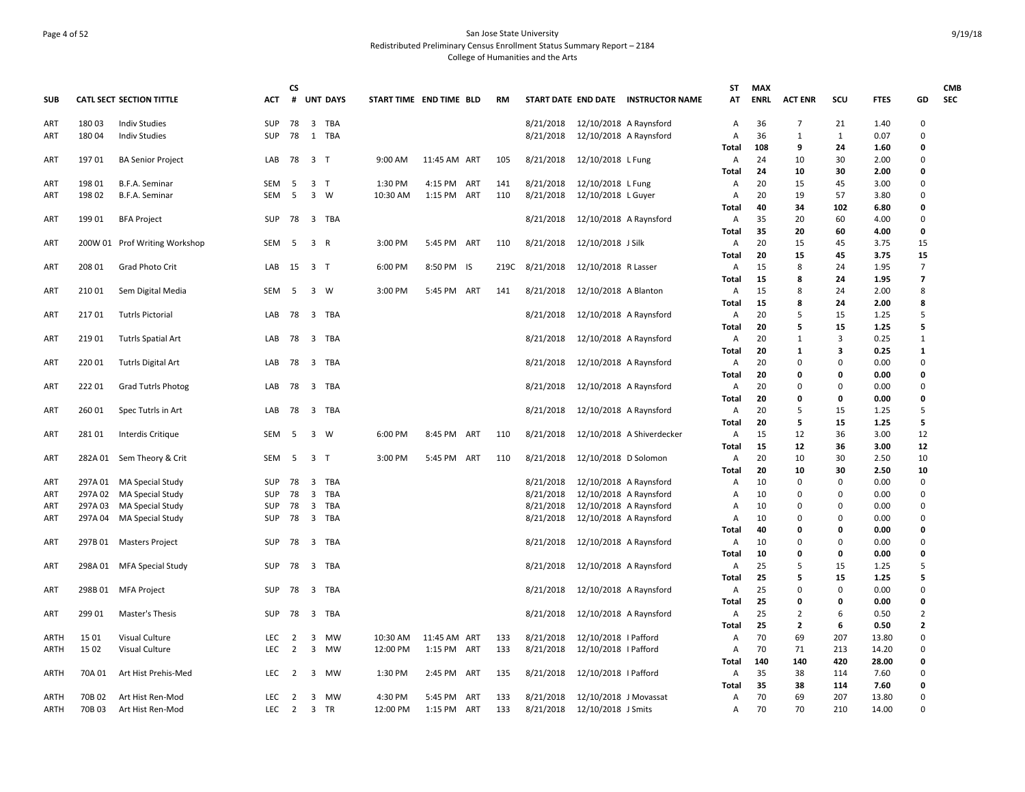## Page 4 of 52 San Jose State University Redistributed Preliminary Census Enrollment Status Summary Report – 2184 College of Humanities and the Arts

|             |         |                                 |                          | <b>CS</b>      |                         |                 |                         |              |      |           |                                  |                                     | ST         | <b>MAX</b>  |                |              |               |                      | <b>CMB</b> |
|-------------|---------|---------------------------------|--------------------------|----------------|-------------------------|-----------------|-------------------------|--------------|------|-----------|----------------------------------|-------------------------------------|------------|-------------|----------------|--------------|---------------|----------------------|------------|
| SUB         |         | <b>CATL SECT SECTION TITTLE</b> | ACT                      | #              |                         | <b>UNT DAYS</b> | START TIME END TIME BLD |              | RM   |           |                                  | START DATE END DATE INSTRUCTOR NAME | AT         | <b>ENRL</b> | <b>ACT ENR</b> | scu          | <b>FTES</b>   | GD                   | <b>SEC</b> |
| ART         | 18003   | <b>Indiv Studies</b>            | <b>SUP</b>               | 78             |                         | 3 TBA           |                         |              |      |           | 8/21/2018 12/10/2018 A Raynsford |                                     | A          | 36          | 7              | 21           | 1.40          | $\Omega$             |            |
| ART         | 180 04  | <b>Indiv Studies</b>            | <b>SUP</b>               | 78             |                         | 1 TBA           |                         |              |      | 8/21/2018 | 12/10/2018 A Raynsford           |                                     | Α          | 36          | 1              | $\mathbf{1}$ | 0.07          | $\Omega$             |            |
|             |         |                                 |                          |                |                         |                 |                         |              |      |           |                                  |                                     | Total      | 108         | 9              | 24           | 1.60          | O                    |            |
| ART         | 197 01  | <b>BA Senior Project</b>        | LAB 78 3 T               |                |                         |                 | 9:00 AM                 | 11:45 AM ART | 105  | 8/21/2018 | 12/10/2018 L Fung                |                                     | Α<br>Total | 24<br>24    | 10<br>10       | 30<br>30     | 2.00<br>2.00  | 0<br>0               |            |
| ART         | 19801   | B.F.A. Seminar                  | <b>SEM</b>               | - 5            | 3                       | $\top$          | 1:30 PM                 | 4:15 PM ART  | 141  | 8/21/2018 | 12/10/2018 L Fung                |                                     | Α          | 20          | 15             | 45           | 3.00          | $\Omega$             |            |
| ART         | 198 02  | B.F.A. Seminar                  | <b>SEM</b>               | 5              | 3 W                     |                 | 10:30 AM                | 1:15 PM ART  | 110  | 8/21/2018 | 12/10/2018 L Guyer               |                                     | A          | 20          | 19             | 57           | 3.80          | 0                    |            |
|             |         |                                 |                          |                |                         |                 |                         |              |      |           |                                  |                                     | Total      | 40          | 34             | 102          | 6.80          | 0                    |            |
| ART         | 199 01  | <b>BFA Project</b>              | SUP                      | 78             |                         | 3 TBA           |                         |              |      | 8/21/2018 | 12/10/2018 A Raynsford           |                                     | Α          | 35          | 20             | 60           | 4.00          | $\mathbf 0$          |            |
|             |         |                                 |                          |                |                         |                 |                         |              |      |           |                                  |                                     | Total      | 35          | 20             | 60           | 4.00          | 0                    |            |
| ART         |         | 200W 01 Prof Writing Workshop   | SEM                      | - 5            | 3 R                     |                 | 3:00 PM                 | 5:45 PM ART  | 110  | 8/21/2018 | 12/10/2018 J Silk                |                                     | Α          | 20          | 15             | 45           | 3.75          | 15                   |            |
|             |         |                                 |                          |                |                         |                 |                         |              |      |           |                                  |                                     | Total      | 20          | 15             | 45           | 3.75          | 15                   |            |
| ART         | 208 01  | Grad Photo Crit                 | LAB                      | 15             | 3 <sub>1</sub>          |                 | 6:00 PM                 | 8:50 PM IS   | 219C | 8/21/2018 | 12/10/2018 R Lasser              |                                     | Α          | 15          | 8              | 24           | 1.95          | $\overline{7}$       |            |
|             |         |                                 |                          |                |                         |                 |                         |              |      |           |                                  |                                     | Total      | 15          | 8              | 24           | 1.95          | $\overline{7}$       |            |
| ART         | 210 01  | Sem Digital Media               | SEM                      | - 5            |                         | 3 W             | 3:00 PM                 | 5:45 PM ART  | 141  | 8/21/2018 | 12/10/2018 A Blanton             |                                     | Α          | 15          | 8              | 24           | 2.00          | 8                    |            |
|             |         |                                 |                          |                |                         |                 |                         |              |      |           |                                  |                                     | Total      | 15          | 8              | 24           | 2.00          | 8                    |            |
| ART         | 21701   | <b>Tutrls Pictorial</b>         | LAB                      | 78             |                         | 3 TBA           |                         |              |      | 8/21/2018 | 12/10/2018 A Raynsford           |                                     | Α          | 20          | 5              | 15           | 1.25          | 5                    |            |
|             |         |                                 |                          |                |                         | 3 TBA           |                         |              |      |           |                                  |                                     | Total      | 20<br>20    | 5              | 15<br>3      | 1.25<br>0.25  | 5<br>$\mathbf{1}$    |            |
| <b>ART</b>  | 219 01  | <b>Tutrls Spatial Art</b>       | LAB 78                   |                |                         |                 |                         |              |      | 8/21/2018 | 12/10/2018 A Raynsford           |                                     | Α<br>Total | 20          | 1<br>1         | 3            | 0.25          | 1                    |            |
| ART         | 220 01  | Tutrls Digital Art              | LAB 78                   |                |                         | 3 TBA           |                         |              |      | 8/21/2018 | 12/10/2018 A Raynsford           |                                     | Α          | 20          | $\Omega$       | 0            | 0.00          | 0                    |            |
|             |         |                                 |                          |                |                         |                 |                         |              |      |           |                                  |                                     | Total      | 20          | 0              | 0            | 0.00          | 0                    |            |
| ART         | 22201   | <b>Grad Tutrls Photog</b>       | LAB                      | 78             |                         | 3 TBA           |                         |              |      | 8/21/2018 | 12/10/2018 A Raynsford           |                                     | Α          | 20          | $\Omega$       | 0            | 0.00          | $\Omega$             |            |
|             |         |                                 |                          |                |                         |                 |                         |              |      |           |                                  |                                     | Total      | 20          | 0              | 0            | 0.00          | 0                    |            |
| ART         | 260 01  | Spec Tutrls in Art              | LAB                      | - 78           |                         | 3 TBA           |                         |              |      | 8/21/2018 | 12/10/2018 A Raynsford           |                                     | Α          | 20          | 5              | 15           | 1.25          | 5                    |            |
|             |         |                                 |                          |                |                         |                 |                         |              |      |           |                                  |                                     | Total      | 20          | 5              | 15           | 1.25          | 5                    |            |
| ART         | 28101   | Interdis Critique               | <b>SEM</b>               | - 5            | 3 W                     |                 | 6:00 PM                 | 8:45 PM ART  | 110  | 8/21/2018 |                                  | 12/10/2018 A Shiverdecker           | Α          | 15          | 12             | 36           | 3.00          | 12                   |            |
|             |         |                                 |                          |                |                         |                 |                         |              |      |           |                                  |                                     | Total      | 15          | 12             | 36           | 3.00          | 12                   |            |
| ART         |         | 282A 01 Sem Theory & Crit       | SEM                      | 5              | 3 <sub>1</sub>          |                 | 3:00 PM                 | 5:45 PM ART  | 110  | 8/21/2018 | 12/10/2018 D Solomon             |                                     | Α          | 20          | 10             | 30           | 2.50          | 10                   |            |
|             |         |                                 |                          |                |                         |                 |                         |              |      |           |                                  |                                     | Total      | 20          | 10             | 30           | 2.50          | 10                   |            |
| ART         |         | 297A 01 MA Special Study        | <b>SUP</b>               | 78             |                         | 3 TBA           |                         |              |      | 8/21/2018 | 12/10/2018 A Raynsford           |                                     | Α          | 10          | 0              | 0            | 0.00          | $\mathbf 0$          |            |
| ART         | 297A 02 | MA Special Study                | <b>SUP</b>               | 78             | 3                       | TBA             |                         |              |      | 8/21/2018 | 12/10/2018 A Raynsford           |                                     | A          | 10          | 0<br>$\Omega$  | $\Omega$     | 0.00          | $\Omega$<br>$\Omega$ |            |
| <b>ART</b>  | 297A03  | MA Special Study                | <b>SUP</b><br><b>SUP</b> | 78             | $\overline{3}$          | TBA<br>3 TBA    |                         |              |      | 8/21/2018 | 12/10/2018 A Raynsford           |                                     | Α          | 10<br>10    | $\Omega$       | 0            | 0.00          | $\Omega$             |            |
| ART         |         | 297A 04 MA Special Study        |                          | 78             |                         |                 |                         |              |      | 8/21/2018 | 12/10/2018 A Raynsford           |                                     | Α<br>Total | 40          | 0              | 0<br>0       | 0.00<br>0.00  | 0                    |            |
| ART         |         | 297B 01 Masters Project         | <b>SUP</b>               | 78             |                         | 3 TBA           |                         |              |      | 8/21/2018 | 12/10/2018 A Raynsford           |                                     | Α          | 10          | 0              | 0            | 0.00          | 0                    |            |
|             |         |                                 |                          |                |                         |                 |                         |              |      |           |                                  |                                     | Total      | 10          | 0              | 0            | 0.00          | 0                    |            |
| <b>ART</b>  |         | 298A 01 MFA Special Study       | <b>SUP</b>               | 78             |                         | 3 TBA           |                         |              |      | 8/21/2018 | 12/10/2018 A Raynsford           |                                     | Α          | 25          | 5              | 15           | 1.25          | 5                    |            |
|             |         |                                 |                          |                |                         |                 |                         |              |      |           |                                  |                                     | Total      | 25          | 5              | 15           | 1.25          | 5                    |            |
| ART         | 298B 01 | MFA Project                     | SUP                      | 78             | $\overline{\mathbf{3}}$ | TBA             |                         |              |      | 8/21/2018 | 12/10/2018 A Raynsford           |                                     | Α          | 25          | $\Omega$       | 0            | 0.00          | $\overline{0}$       |            |
|             |         |                                 |                          |                |                         |                 |                         |              |      |           |                                  |                                     | Total      | 25          | 0              | 0            | 0.00          | 0                    |            |
| ART         | 299 01  | Master's Thesis                 | <b>SUP</b>               | 78             |                         | 3 TBA           |                         |              |      | 8/21/2018 | 12/10/2018 A Raynsford           |                                     | Α          | 25          | $\overline{2}$ | 6            | 0.50          | $\overline{2}$       |            |
|             |         |                                 |                          |                |                         |                 |                         |              |      |           |                                  |                                     | Total      | 25          | $\overline{2}$ | 6            | 0.50          | $\overline{2}$       |            |
| <b>ARTH</b> | 15 01   | Visual Culture                  | <b>LEC</b>               | $\overline{2}$ | 3                       | <b>MW</b>       | 10:30 AM                | 11:45 AM ART | 133  | 8/21/2018 | 12/10/2018   Pafford             |                                     | Α          | 70          | 69             | 207          | 13.80         | 0                    |            |
| <b>ARTH</b> | 15 02   | Visual Culture                  | LEC                      | $\overline{2}$ | 3                       | MW              | 12:00 PM                | 1:15 PM ART  | 133  | 8/21/2018 | 12/10/2018   Pafford             |                                     | Α          | 70          | 71             | 213          | 14.20         | 0                    |            |
|             |         |                                 |                          |                |                         |                 |                         |              |      |           |                                  |                                     | Total      | 140         | 140            | 420          | 28.00         | 0                    |            |
| ARTH        | 70A 01  | Art Hist Prehis-Med             | <b>LEC</b>               | 2              | 3                       | MW              | 1:30 PM                 | 2:45 PM ART  | 135  | 8/21/2018 | 12/10/2018   Pafford             |                                     | Α          | 35          | 38             | 114          | 7.60          | 0                    |            |
| <b>ARTH</b> | 70B 02  | Art Hist Ren-Mod                | <b>LEC</b>               | $\overline{2}$ | $\overline{3}$          | <b>MW</b>       | 4:30 PM                 | 5:45 PM ART  | 133  | 8/21/2018 | 12/10/2018 J Movassat            |                                     | Total<br>Α | 35<br>70    | 38<br>69       | 114<br>207   | 7.60<br>13.80 | 0<br>$\Omega$        |            |
| <b>ARTH</b> | 70B 03  | Art Hist Ren-Mod                | LEC                      | $\overline{2}$ |                         | 3 TR            | 12:00 PM                | 1:15 PM ART  | 133  | 8/21/2018 | 12/10/2018 J Smits               |                                     | Α          | 70          | 70             | 210          | 14.00         | 0                    |            |
|             |         |                                 |                          |                |                         |                 |                         |              |      |           |                                  |                                     |            |             |                |              |               |                      |            |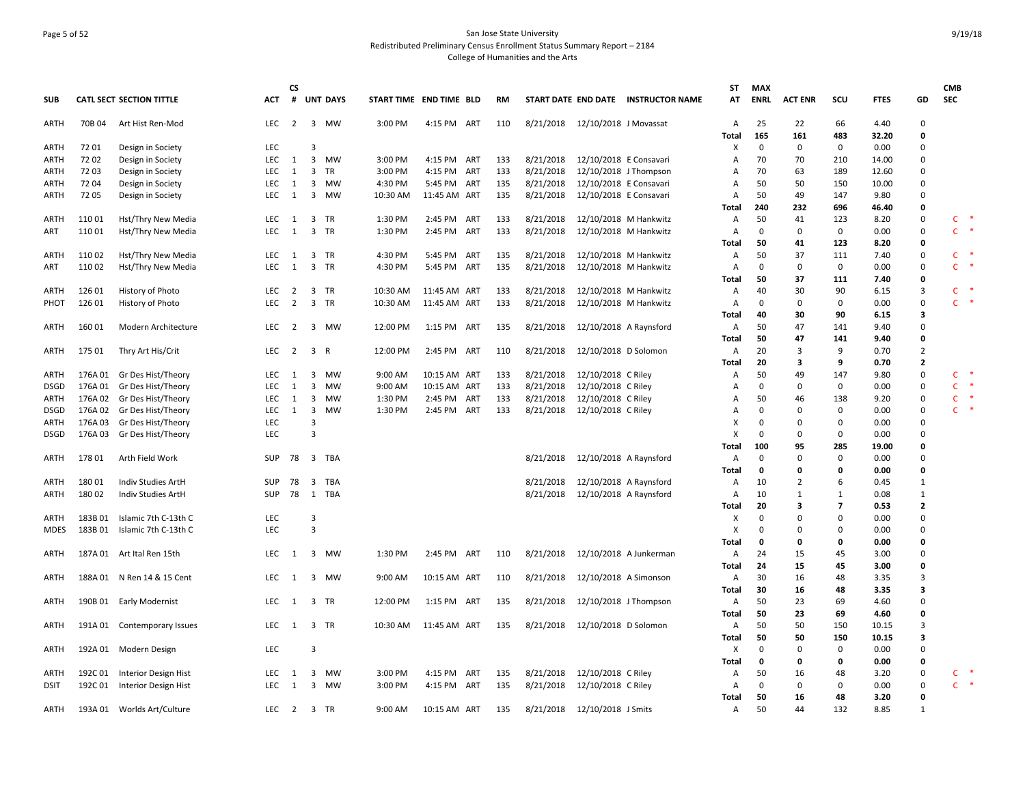## Page 5 of 52 San Jose State University Redistributed Preliminary Census Enrollment Status Summary Report – 2184 College of Humanities and the Arts

| # UNT DAYS<br><b>CATL SECT SECTION TITTLE</b><br><b>ACT</b><br>START TIME END TIME BLD<br>START DATE END DATE INSTRUCTOR NAME<br>AT<br><b>ENRL</b><br><b>ACT ENR</b><br>scu<br><b>FTES</b><br>GD<br><b>SEC</b><br><b>SUB</b><br><b>RM</b><br>22<br>ARTH<br>70B 04<br>Art Hist Ren-Mod<br>LEC<br>$\overline{2}$<br>3 MW<br>3:00 PM<br>4:15 PM ART<br>110<br>8/21/2018 12/10/2018 J Movassat<br>A<br>25<br>66<br>4.40<br>0<br>165<br>483<br>161<br>32.20<br>0<br>Total<br>72 01<br>LEC<br>$\mathbf 0$<br>$\mathbf 0$<br>$\mathbf 0$<br>0.00<br>Design in Society<br>3<br>х<br>0<br>ARTH<br>7202<br>Design in Society<br>LEC<br>1<br>$\overline{\mathbf{3}}$<br>MW<br>3:00 PM<br>4:15 PM ART<br>8/21/2018<br>12/10/2018 E Consavari<br>70<br>70<br>210<br>14.00<br>0<br>ARTH<br>133<br>Α<br>3:00 PM<br>8/21/2018<br>12/10/2018 J Thompson<br>72 03<br><b>LEC</b><br>3<br>TR<br>4:15 PM<br>ART<br>133<br>70<br>63<br>189<br>12.60<br>0<br>Design in Society<br>1<br>Α<br>ARTH<br>8/21/2018<br>50<br>50<br>72 04<br>Design in Society<br><b>LEC</b><br>1<br>3<br>MW<br>4:30 PM<br>5:45 PM ART<br>135<br>12/10/2018 E Consavari<br>A<br>150<br>10.00<br>0<br>ARTH<br>72 05<br>3<br>8/21/2018<br>12/10/2018 E Consavari<br>50<br>49<br>0<br>ARTH<br>Design in Society<br><b>LEC</b><br>1<br>MW<br>10:30 AM<br>11:45 AM ART<br>135<br>Α<br>147<br>9.80<br>240<br>232<br>696<br>46.40<br>0<br>Total<br>8/21/2018<br>$\mathbf 0$<br>C.<br>110 01<br>Hst/Thry New Media<br><b>LEC</b><br><sup>1</sup><br>$\overline{\mathbf{3}}$<br>TR<br>1:30 PM<br>2:45 PM ART<br>133<br>12/10/2018 M Hankwitz<br>50<br>41<br>123<br>8.20<br>ARTH<br>A<br>8/21/2018<br>Ą<br>110 01<br>LEC<br>$\overline{3}$<br>TR<br>1:30 PM<br>133<br>12/10/2018 M Hankwitz<br>0<br>$\mathbf 0$<br>$\mathbf 0$<br>0.00<br>0<br>C.<br>Hst/Thry New Media<br>1<br>2:45 PM<br>ART<br>Α<br>ART<br>50<br>41<br>123<br>8.20<br>Total<br>0<br>8/21/2018<br>50<br>37<br>$\mathbf 0$<br><b>LEC</b><br>3<br>TR<br>4:30 PM<br>5:45 PM<br>12/10/2018 M Hankwitz<br>111<br>7.40<br>c<br>ARTH<br>110 02<br>Hst/Thry New Media<br>1<br>ART<br>135<br>Α<br><b>LEC</b><br>$\overline{3}$<br><b>TR</b><br>4:30 PM<br>135<br>8/21/2018<br>$\mathbf 0$<br>$\mathbf 0$<br>$\mathsf{C}$<br>110 02<br>Hst/Thry New Media<br>1<br>5:45 PM ART<br>12/10/2018 M Hankwitz<br>Α<br>0<br>0.00<br>0<br>ART<br>37<br>111<br>Total<br>50<br>7.40<br>0<br>8/21/2018<br>40<br>30<br>$\mathsf{C}$<br>126 01<br>History of Photo<br><b>LEC</b><br>2<br>3<br>TR<br>10:30 AM<br>11:45 AM ART<br>133<br>12/10/2018 M Hankwitz<br>A<br>90<br>6.15<br>3<br>ARTH<br>$\mathsf{C}$<br>126 01<br>History of Photo<br><b>LEC</b><br>2<br>3 TR<br>10:30 AM<br>11:45 AM ART<br>133<br>8/21/2018<br>12/10/2018 M Hankwitz<br>A<br>0<br>0<br>0<br>0.00<br>0<br>PHOT<br>30<br>90<br>40<br>6.15<br>3<br>Total<br>160 01<br><b>LEC</b><br>$\overline{2}$<br>$\overline{\mathbf{3}}$<br>MW<br>12:00 PM<br>1:15 PM ART<br>135<br>8/21/2018<br>12/10/2018 A Raynsford<br>50<br>47<br>9.40<br>0<br>ARTH<br>Modern Architecture<br>Α<br>141<br>47<br>0<br>50<br>141<br>9.40<br>Total<br>2<br>$\overline{3}$<br>12:00 PM<br>2:45 PM ART<br>8/21/2018<br>12/10/2018 D Solomon<br>20<br>3<br>9<br>0.70<br>$\overline{2}$<br>175 01<br>Thry Art His/Crit<br><b>LEC</b><br>$\mathsf{R}$<br>110<br>Α<br>ARTH<br>20<br>3<br>9<br>0.70<br>$\mathbf{2}$<br>Total<br>8/21/2018<br>12/10/2018 C Riley<br>50<br>0<br><b>ARTH</b><br>176A 01 Gr Des Hist/Theory<br>LEC<br>3<br>MW<br>9:00 AM<br>10:15 AM ART<br>133<br>49<br>147<br>9.80<br>c<br>- 1<br>Α<br>8/21/2018<br>12/10/2018 C Riley<br>$\mathbf 0$<br>$\mathsf{C}$<br>米<br>176A 01<br>Gr Des Hist/Theory<br><b>LEC</b><br>1<br>3<br>MW<br>9:00 AM<br>10:15 AM ART<br>133<br>0<br>0<br>0.00<br>0<br><b>DSGD</b><br>Α<br>$\mathsf{C}$<br>176A02<br>$\overline{3}$<br>1:30 PM<br>8/21/2018<br>12/10/2018 C Riley<br>50<br>46<br>138<br>$\mathbf 0$<br>Gr Des Hist/Theory<br><b>LEC</b><br>1<br>MW<br>2:45 PM ART<br>133<br>A<br>9.20<br>ARTH<br>C.<br>$\ast$<br>176A 02<br>Gr Des Hist/Theory<br><b>LEC</b><br>1<br>3<br><b>MW</b><br>1:30 PM<br>2:45 PM ART<br>133<br>8/21/2018<br>12/10/2018 C Riley<br>0<br>0<br>0<br>0.00<br>0<br><b>DSGD</b><br>А<br>176A03<br>Gr Des Hist/Theory<br><b>LEC</b><br>3<br>x<br>$\Omega$<br>$\Omega$<br>$\Omega$<br>0.00<br>0<br>ARTH<br>176A03<br>LEC<br>3<br>$\Omega$<br>$\mathbf 0$<br>$\mathbf 0$<br>0.00<br>$\Omega$<br><b>DSGD</b><br>Gr Des Hist/Theory<br>X<br>95<br>285<br>19.00<br>Total<br>100<br>0<br>0<br>$\mathbf 0$<br>$\mathbf 0$<br>0<br>178 01<br>Arth Field Work<br><b>SUP</b><br>78<br>3 TBA<br>8/21/2018<br>12/10/2018 A Raynsford<br>0.00<br>ARTH<br>Α<br><b>Total</b><br>0<br>0<br>0<br>0.00<br>0<br>12/10/2018 A Raynsford<br>180 01<br>Indiv Studies ArtH<br><b>SUP</b><br>78<br>$\overline{\mathbf{3}}$<br>TBA<br>8/21/2018<br>Α<br>10<br>2<br>6<br>0.45<br>$\mathbf{1}$<br>ARTH<br>78<br>$\overline{1}$<br>TBA<br>8/21/2018<br>12/10/2018 A Raynsford<br>180 02<br><b>SUP</b><br>Α<br>10<br>1<br>1<br>0.08<br>$\mathbf{1}$<br>Indiv Studies ArtH<br>ARTH<br>$\overline{7}$<br>20<br>3<br>0.53<br>2<br>Total<br>LEC<br>3<br>$\mathbf 0$<br>$\mathbf 0$<br>0.00<br>$\mathbf 0$<br>183B01<br>Islamic 7th C-13th C<br>х<br>0<br>ARTH<br>183B01<br>Islamic 7th C-13th C<br>LEC<br>3<br>X<br>0<br>$\mathbf 0$<br>0.00<br>$\mathbf 0$<br><b>MDES</b><br>0<br>0<br>0<br>0<br>Total<br>0.00<br>0<br>LEC<br>3 MW<br>1:30 PM<br>8/21/2018<br>12/10/2018 A Junkerman<br>15<br>45<br>3.00<br>$\mathbf 0$<br><b>ARTH</b><br>187A 01 Art Ital Ren 15th<br>$\overline{1}$<br>2:45 PM ART<br>110<br>Α<br>24<br>15<br>45<br>Total<br>24<br>3.00<br>0<br>188A 01<br>N Ren 14 & 15 Cent<br><b>LEC</b><br>3 MW<br>8/21/2018<br>12/10/2018 A Simonson<br>Α<br>30<br>16<br>48<br>3.35<br>3<br>ARTH<br><sup>1</sup><br>9:00 AM<br>10:15 AM ART<br>110<br><b>Total</b><br>30<br>16<br>48<br>3.35<br>3<br><b>TR</b><br>8/21/2018<br>50<br>23<br>69<br>4.60<br>190B 01<br><b>Early Modernist</b><br><b>LEC</b><br>$\overline{3}$<br>12:00 PM<br>1:15 PM ART<br>135<br>12/10/2018 J Thompson<br>Α<br>0<br>ARTH<br>- 1<br>50<br>23<br>69<br>4.60<br>0<br>Total<br><b>LEC</b><br>3<br>TR<br>10:30 AM<br>11:45 AM ART<br>135<br>8/21/2018<br>12/10/2018 D Solomon<br>50<br>50<br>150<br>10.15<br>3<br>ARTH<br>191A 01<br>Contemporary Issues<br>1<br>A<br>50<br>150<br>10.15<br>3<br>50<br>Total<br>LEC<br>$\overline{3}$<br>X<br>0<br>$\mathbf 0$<br>$\mathbf 0$<br>0.00<br>0<br>ARTH<br>192A 01 Modern Design<br>0<br>0<br>0<br>Total<br>0<br>0.00<br>8/21/2018<br>12/10/2018 C Riley<br>192C 01<br>Interior Design Hist<br><b>LEC</b><br>1<br>3<br><b>MW</b><br>3:00 PM<br>4:15 PM ART<br>135<br>50<br>16<br>48<br>3.20<br>0<br>c<br>ARTH<br>A<br>C<br>-*<br>LEC<br>3:00 PM<br>8/21/2018<br>12/10/2018 C Riley<br>0<br>$\mathbf 0$<br>$\mathbf 0$<br><b>DSIT</b><br>192C 01<br>Interior Design Hist<br>1<br>3<br>MW<br>4:15 PM ART<br>135<br>A<br>0.00<br>0<br>50<br>16<br>48<br>3.20<br>0<br>Total<br>50<br>193A 01 Worlds Art/Culture<br>LEC<br>$\overline{2}$<br>3 TR<br>9:00 AM<br>10:15 AM ART<br>135<br>8/21/2018<br>12/10/2018 J Smits<br>A<br>44<br>132<br>8.85<br>ARTH<br>1 |  |  | <b>CS</b> |  |  |  |  | <b>ST</b> | <b>MAX</b> |  |  | <b>CMB</b> |  |
|--------------------------------------------------------------------------------------------------------------------------------------------------------------------------------------------------------------------------------------------------------------------------------------------------------------------------------------------------------------------------------------------------------------------------------------------------------------------------------------------------------------------------------------------------------------------------------------------------------------------------------------------------------------------------------------------------------------------------------------------------------------------------------------------------------------------------------------------------------------------------------------------------------------------------------------------------------------------------------------------------------------------------------------------------------------------------------------------------------------------------------------------------------------------------------------------------------------------------------------------------------------------------------------------------------------------------------------------------------------------------------------------------------------------------------------------------------------------------------------------------------------------------------------------------------------------------------------------------------------------------------------------------------------------------------------------------------------------------------------------------------------------------------------------------------------------------------------------------------------------------------------------------------------------------------------------------------------------------------------------------------------------------------------------------------------------------------------------------------------------------------------------------------------------------------------------------------------------------------------------------------------------------------------------------------------------------------------------------------------------------------------------------------------------------------------------------------------------------------------------------------------------------------------------------------------------------------------------------------------------------------------------------------------------------------------------------------------------------------------------------------------------------------------------------------------------------------------------------------------------------------------------------------------------------------------------------------------------------------------------------------------------------------------------------------------------------------------------------------------------------------------------------------------------------------------------------------------------------------------------------------------------------------------------------------------------------------------------------------------------------------------------------------------------------------------------------------------------------------------------------------------------------------------------------------------------------------------------------------------------------------------------------------------------------------------------------------------------------------------------------------------------------------------------------------------------------------------------------------------------------------------------------------------------------------------------------------------------------------------------------------------------------------------------------------------------------------------------------------------------------------------------------------------------------------------------------------------------------------------------------------------------------------------------------------------------------------------------------------------------------------------------------------------------------------------------------------------------------------------------------------------------------------------------------------------------------------------------------------------------------------------------------------------------------------------------------------------------------------------------------------------------------------------------------------------------------------------------------------------------------------------------------------------------------------------------------------------------------------------------------------------------------------------------------------------------------------------------------------------------------------------------------------------------------------------------------------------------------------------------------------------------------------------------------------------------------------------------------------------------------------------------------------------------------------------------------------------------------------------------------------------------------------------------------------------------------------------------------------------------------------------------------------------------------------------------------------------------------------------------------------------------------------------------------------------------------------------------------------------------------------------------------------------------------------------------------------------------------------------------------------------------------------------------------------------------------------------------------------------------------------------------------------------------------------------------------------------------------------------------------------------------------------------------------------------------------------------------------------------------------------------------------------------------------------------------------------------------------------------------------------------------------------------------------------------------------------------------------------------------------------------------------------------------------------------------------------------------------------------------------------------------------------------------------------------------------------------------------------------------------------------------------------------------------------------------------------------------------------------------------------------------------------------------------------------------------------------------------------------------------------------------------------------|--|--|-----------|--|--|--|--|-----------|------------|--|--|------------|--|
|                                                                                                                                                                                                                                                                                                                                                                                                                                                                                                                                                                                                                                                                                                                                                                                                                                                                                                                                                                                                                                                                                                                                                                                                                                                                                                                                                                                                                                                                                                                                                                                                                                                                                                                                                                                                                                                                                                                                                                                                                                                                                                                                                                                                                                                                                                                                                                                                                                                                                                                                                                                                                                                                                                                                                                                                                                                                                                                                                                                                                                                                                                                                                                                                                                                                                                                                                                                                                                                                                                                                                                                                                                                                                                                                                                                                                                                                                                                                                                                                                                                                                                                                                                                                                                                                                                                                                                                                                                                                                                                                                                                                                                                                                                                                                                                                                                                                                                                                                                                                                                                                                                                                                                                                                                                                                                                                                                                                                                                                                                                                                                                                                                                                                                                                                                                                                                                                                                                                                                                                                                                                                                                                                                                                                                                                                                                                                                                                                                                                                                                                                                                                                                                                                                                                                                                                                                                                                                                                                                                                                                                                                                                                                              |  |  |           |  |  |  |  |           |            |  |  |            |  |
|                                                                                                                                                                                                                                                                                                                                                                                                                                                                                                                                                                                                                                                                                                                                                                                                                                                                                                                                                                                                                                                                                                                                                                                                                                                                                                                                                                                                                                                                                                                                                                                                                                                                                                                                                                                                                                                                                                                                                                                                                                                                                                                                                                                                                                                                                                                                                                                                                                                                                                                                                                                                                                                                                                                                                                                                                                                                                                                                                                                                                                                                                                                                                                                                                                                                                                                                                                                                                                                                                                                                                                                                                                                                                                                                                                                                                                                                                                                                                                                                                                                                                                                                                                                                                                                                                                                                                                                                                                                                                                                                                                                                                                                                                                                                                                                                                                                                                                                                                                                                                                                                                                                                                                                                                                                                                                                                                                                                                                                                                                                                                                                                                                                                                                                                                                                                                                                                                                                                                                                                                                                                                                                                                                                                                                                                                                                                                                                                                                                                                                                                                                                                                                                                                                                                                                                                                                                                                                                                                                                                                                                                                                                                                              |  |  |           |  |  |  |  |           |            |  |  |            |  |
|                                                                                                                                                                                                                                                                                                                                                                                                                                                                                                                                                                                                                                                                                                                                                                                                                                                                                                                                                                                                                                                                                                                                                                                                                                                                                                                                                                                                                                                                                                                                                                                                                                                                                                                                                                                                                                                                                                                                                                                                                                                                                                                                                                                                                                                                                                                                                                                                                                                                                                                                                                                                                                                                                                                                                                                                                                                                                                                                                                                                                                                                                                                                                                                                                                                                                                                                                                                                                                                                                                                                                                                                                                                                                                                                                                                                                                                                                                                                                                                                                                                                                                                                                                                                                                                                                                                                                                                                                                                                                                                                                                                                                                                                                                                                                                                                                                                                                                                                                                                                                                                                                                                                                                                                                                                                                                                                                                                                                                                                                                                                                                                                                                                                                                                                                                                                                                                                                                                                                                                                                                                                                                                                                                                                                                                                                                                                                                                                                                                                                                                                                                                                                                                                                                                                                                                                                                                                                                                                                                                                                                                                                                                                                              |  |  |           |  |  |  |  |           |            |  |  |            |  |
|                                                                                                                                                                                                                                                                                                                                                                                                                                                                                                                                                                                                                                                                                                                                                                                                                                                                                                                                                                                                                                                                                                                                                                                                                                                                                                                                                                                                                                                                                                                                                                                                                                                                                                                                                                                                                                                                                                                                                                                                                                                                                                                                                                                                                                                                                                                                                                                                                                                                                                                                                                                                                                                                                                                                                                                                                                                                                                                                                                                                                                                                                                                                                                                                                                                                                                                                                                                                                                                                                                                                                                                                                                                                                                                                                                                                                                                                                                                                                                                                                                                                                                                                                                                                                                                                                                                                                                                                                                                                                                                                                                                                                                                                                                                                                                                                                                                                                                                                                                                                                                                                                                                                                                                                                                                                                                                                                                                                                                                                                                                                                                                                                                                                                                                                                                                                                                                                                                                                                                                                                                                                                                                                                                                                                                                                                                                                                                                                                                                                                                                                                                                                                                                                                                                                                                                                                                                                                                                                                                                                                                                                                                                                                              |  |  |           |  |  |  |  |           |            |  |  |            |  |
|                                                                                                                                                                                                                                                                                                                                                                                                                                                                                                                                                                                                                                                                                                                                                                                                                                                                                                                                                                                                                                                                                                                                                                                                                                                                                                                                                                                                                                                                                                                                                                                                                                                                                                                                                                                                                                                                                                                                                                                                                                                                                                                                                                                                                                                                                                                                                                                                                                                                                                                                                                                                                                                                                                                                                                                                                                                                                                                                                                                                                                                                                                                                                                                                                                                                                                                                                                                                                                                                                                                                                                                                                                                                                                                                                                                                                                                                                                                                                                                                                                                                                                                                                                                                                                                                                                                                                                                                                                                                                                                                                                                                                                                                                                                                                                                                                                                                                                                                                                                                                                                                                                                                                                                                                                                                                                                                                                                                                                                                                                                                                                                                                                                                                                                                                                                                                                                                                                                                                                                                                                                                                                                                                                                                                                                                                                                                                                                                                                                                                                                                                                                                                                                                                                                                                                                                                                                                                                                                                                                                                                                                                                                                                              |  |  |           |  |  |  |  |           |            |  |  |            |  |
|                                                                                                                                                                                                                                                                                                                                                                                                                                                                                                                                                                                                                                                                                                                                                                                                                                                                                                                                                                                                                                                                                                                                                                                                                                                                                                                                                                                                                                                                                                                                                                                                                                                                                                                                                                                                                                                                                                                                                                                                                                                                                                                                                                                                                                                                                                                                                                                                                                                                                                                                                                                                                                                                                                                                                                                                                                                                                                                                                                                                                                                                                                                                                                                                                                                                                                                                                                                                                                                                                                                                                                                                                                                                                                                                                                                                                                                                                                                                                                                                                                                                                                                                                                                                                                                                                                                                                                                                                                                                                                                                                                                                                                                                                                                                                                                                                                                                                                                                                                                                                                                                                                                                                                                                                                                                                                                                                                                                                                                                                                                                                                                                                                                                                                                                                                                                                                                                                                                                                                                                                                                                                                                                                                                                                                                                                                                                                                                                                                                                                                                                                                                                                                                                                                                                                                                                                                                                                                                                                                                                                                                                                                                                                              |  |  |           |  |  |  |  |           |            |  |  |            |  |
|                                                                                                                                                                                                                                                                                                                                                                                                                                                                                                                                                                                                                                                                                                                                                                                                                                                                                                                                                                                                                                                                                                                                                                                                                                                                                                                                                                                                                                                                                                                                                                                                                                                                                                                                                                                                                                                                                                                                                                                                                                                                                                                                                                                                                                                                                                                                                                                                                                                                                                                                                                                                                                                                                                                                                                                                                                                                                                                                                                                                                                                                                                                                                                                                                                                                                                                                                                                                                                                                                                                                                                                                                                                                                                                                                                                                                                                                                                                                                                                                                                                                                                                                                                                                                                                                                                                                                                                                                                                                                                                                                                                                                                                                                                                                                                                                                                                                                                                                                                                                                                                                                                                                                                                                                                                                                                                                                                                                                                                                                                                                                                                                                                                                                                                                                                                                                                                                                                                                                                                                                                                                                                                                                                                                                                                                                                                                                                                                                                                                                                                                                                                                                                                                                                                                                                                                                                                                                                                                                                                                                                                                                                                                                              |  |  |           |  |  |  |  |           |            |  |  |            |  |
|                                                                                                                                                                                                                                                                                                                                                                                                                                                                                                                                                                                                                                                                                                                                                                                                                                                                                                                                                                                                                                                                                                                                                                                                                                                                                                                                                                                                                                                                                                                                                                                                                                                                                                                                                                                                                                                                                                                                                                                                                                                                                                                                                                                                                                                                                                                                                                                                                                                                                                                                                                                                                                                                                                                                                                                                                                                                                                                                                                                                                                                                                                                                                                                                                                                                                                                                                                                                                                                                                                                                                                                                                                                                                                                                                                                                                                                                                                                                                                                                                                                                                                                                                                                                                                                                                                                                                                                                                                                                                                                                                                                                                                                                                                                                                                                                                                                                                                                                                                                                                                                                                                                                                                                                                                                                                                                                                                                                                                                                                                                                                                                                                                                                                                                                                                                                                                                                                                                                                                                                                                                                                                                                                                                                                                                                                                                                                                                                                                                                                                                                                                                                                                                                                                                                                                                                                                                                                                                                                                                                                                                                                                                                                              |  |  |           |  |  |  |  |           |            |  |  |            |  |
|                                                                                                                                                                                                                                                                                                                                                                                                                                                                                                                                                                                                                                                                                                                                                                                                                                                                                                                                                                                                                                                                                                                                                                                                                                                                                                                                                                                                                                                                                                                                                                                                                                                                                                                                                                                                                                                                                                                                                                                                                                                                                                                                                                                                                                                                                                                                                                                                                                                                                                                                                                                                                                                                                                                                                                                                                                                                                                                                                                                                                                                                                                                                                                                                                                                                                                                                                                                                                                                                                                                                                                                                                                                                                                                                                                                                                                                                                                                                                                                                                                                                                                                                                                                                                                                                                                                                                                                                                                                                                                                                                                                                                                                                                                                                                                                                                                                                                                                                                                                                                                                                                                                                                                                                                                                                                                                                                                                                                                                                                                                                                                                                                                                                                                                                                                                                                                                                                                                                                                                                                                                                                                                                                                                                                                                                                                                                                                                                                                                                                                                                                                                                                                                                                                                                                                                                                                                                                                                                                                                                                                                                                                                                                              |  |  |           |  |  |  |  |           |            |  |  |            |  |
|                                                                                                                                                                                                                                                                                                                                                                                                                                                                                                                                                                                                                                                                                                                                                                                                                                                                                                                                                                                                                                                                                                                                                                                                                                                                                                                                                                                                                                                                                                                                                                                                                                                                                                                                                                                                                                                                                                                                                                                                                                                                                                                                                                                                                                                                                                                                                                                                                                                                                                                                                                                                                                                                                                                                                                                                                                                                                                                                                                                                                                                                                                                                                                                                                                                                                                                                                                                                                                                                                                                                                                                                                                                                                                                                                                                                                                                                                                                                                                                                                                                                                                                                                                                                                                                                                                                                                                                                                                                                                                                                                                                                                                                                                                                                                                                                                                                                                                                                                                                                                                                                                                                                                                                                                                                                                                                                                                                                                                                                                                                                                                                                                                                                                                                                                                                                                                                                                                                                                                                                                                                                                                                                                                                                                                                                                                                                                                                                                                                                                                                                                                                                                                                                                                                                                                                                                                                                                                                                                                                                                                                                                                                                                              |  |  |           |  |  |  |  |           |            |  |  |            |  |
|                                                                                                                                                                                                                                                                                                                                                                                                                                                                                                                                                                                                                                                                                                                                                                                                                                                                                                                                                                                                                                                                                                                                                                                                                                                                                                                                                                                                                                                                                                                                                                                                                                                                                                                                                                                                                                                                                                                                                                                                                                                                                                                                                                                                                                                                                                                                                                                                                                                                                                                                                                                                                                                                                                                                                                                                                                                                                                                                                                                                                                                                                                                                                                                                                                                                                                                                                                                                                                                                                                                                                                                                                                                                                                                                                                                                                                                                                                                                                                                                                                                                                                                                                                                                                                                                                                                                                                                                                                                                                                                                                                                                                                                                                                                                                                                                                                                                                                                                                                                                                                                                                                                                                                                                                                                                                                                                                                                                                                                                                                                                                                                                                                                                                                                                                                                                                                                                                                                                                                                                                                                                                                                                                                                                                                                                                                                                                                                                                                                                                                                                                                                                                                                                                                                                                                                                                                                                                                                                                                                                                                                                                                                                                              |  |  |           |  |  |  |  |           |            |  |  |            |  |
|                                                                                                                                                                                                                                                                                                                                                                                                                                                                                                                                                                                                                                                                                                                                                                                                                                                                                                                                                                                                                                                                                                                                                                                                                                                                                                                                                                                                                                                                                                                                                                                                                                                                                                                                                                                                                                                                                                                                                                                                                                                                                                                                                                                                                                                                                                                                                                                                                                                                                                                                                                                                                                                                                                                                                                                                                                                                                                                                                                                                                                                                                                                                                                                                                                                                                                                                                                                                                                                                                                                                                                                                                                                                                                                                                                                                                                                                                                                                                                                                                                                                                                                                                                                                                                                                                                                                                                                                                                                                                                                                                                                                                                                                                                                                                                                                                                                                                                                                                                                                                                                                                                                                                                                                                                                                                                                                                                                                                                                                                                                                                                                                                                                                                                                                                                                                                                                                                                                                                                                                                                                                                                                                                                                                                                                                                                                                                                                                                                                                                                                                                                                                                                                                                                                                                                                                                                                                                                                                                                                                                                                                                                                                                              |  |  |           |  |  |  |  |           |            |  |  |            |  |
|                                                                                                                                                                                                                                                                                                                                                                                                                                                                                                                                                                                                                                                                                                                                                                                                                                                                                                                                                                                                                                                                                                                                                                                                                                                                                                                                                                                                                                                                                                                                                                                                                                                                                                                                                                                                                                                                                                                                                                                                                                                                                                                                                                                                                                                                                                                                                                                                                                                                                                                                                                                                                                                                                                                                                                                                                                                                                                                                                                                                                                                                                                                                                                                                                                                                                                                                                                                                                                                                                                                                                                                                                                                                                                                                                                                                                                                                                                                                                                                                                                                                                                                                                                                                                                                                                                                                                                                                                                                                                                                                                                                                                                                                                                                                                                                                                                                                                                                                                                                                                                                                                                                                                                                                                                                                                                                                                                                                                                                                                                                                                                                                                                                                                                                                                                                                                                                                                                                                                                                                                                                                                                                                                                                                                                                                                                                                                                                                                                                                                                                                                                                                                                                                                                                                                                                                                                                                                                                                                                                                                                                                                                                                                              |  |  |           |  |  |  |  |           |            |  |  |            |  |
|                                                                                                                                                                                                                                                                                                                                                                                                                                                                                                                                                                                                                                                                                                                                                                                                                                                                                                                                                                                                                                                                                                                                                                                                                                                                                                                                                                                                                                                                                                                                                                                                                                                                                                                                                                                                                                                                                                                                                                                                                                                                                                                                                                                                                                                                                                                                                                                                                                                                                                                                                                                                                                                                                                                                                                                                                                                                                                                                                                                                                                                                                                                                                                                                                                                                                                                                                                                                                                                                                                                                                                                                                                                                                                                                                                                                                                                                                                                                                                                                                                                                                                                                                                                                                                                                                                                                                                                                                                                                                                                                                                                                                                                                                                                                                                                                                                                                                                                                                                                                                                                                                                                                                                                                                                                                                                                                                                                                                                                                                                                                                                                                                                                                                                                                                                                                                                                                                                                                                                                                                                                                                                                                                                                                                                                                                                                                                                                                                                                                                                                                                                                                                                                                                                                                                                                                                                                                                                                                                                                                                                                                                                                                                              |  |  |           |  |  |  |  |           |            |  |  |            |  |
|                                                                                                                                                                                                                                                                                                                                                                                                                                                                                                                                                                                                                                                                                                                                                                                                                                                                                                                                                                                                                                                                                                                                                                                                                                                                                                                                                                                                                                                                                                                                                                                                                                                                                                                                                                                                                                                                                                                                                                                                                                                                                                                                                                                                                                                                                                                                                                                                                                                                                                                                                                                                                                                                                                                                                                                                                                                                                                                                                                                                                                                                                                                                                                                                                                                                                                                                                                                                                                                                                                                                                                                                                                                                                                                                                                                                                                                                                                                                                                                                                                                                                                                                                                                                                                                                                                                                                                                                                                                                                                                                                                                                                                                                                                                                                                                                                                                                                                                                                                                                                                                                                                                                                                                                                                                                                                                                                                                                                                                                                                                                                                                                                                                                                                                                                                                                                                                                                                                                                                                                                                                                                                                                                                                                                                                                                                                                                                                                                                                                                                                                                                                                                                                                                                                                                                                                                                                                                                                                                                                                                                                                                                                                                              |  |  |           |  |  |  |  |           |            |  |  |            |  |
|                                                                                                                                                                                                                                                                                                                                                                                                                                                                                                                                                                                                                                                                                                                                                                                                                                                                                                                                                                                                                                                                                                                                                                                                                                                                                                                                                                                                                                                                                                                                                                                                                                                                                                                                                                                                                                                                                                                                                                                                                                                                                                                                                                                                                                                                                                                                                                                                                                                                                                                                                                                                                                                                                                                                                                                                                                                                                                                                                                                                                                                                                                                                                                                                                                                                                                                                                                                                                                                                                                                                                                                                                                                                                                                                                                                                                                                                                                                                                                                                                                                                                                                                                                                                                                                                                                                                                                                                                                                                                                                                                                                                                                                                                                                                                                                                                                                                                                                                                                                                                                                                                                                                                                                                                                                                                                                                                                                                                                                                                                                                                                                                                                                                                                                                                                                                                                                                                                                                                                                                                                                                                                                                                                                                                                                                                                                                                                                                                                                                                                                                                                                                                                                                                                                                                                                                                                                                                                                                                                                                                                                                                                                                                              |  |  |           |  |  |  |  |           |            |  |  |            |  |
|                                                                                                                                                                                                                                                                                                                                                                                                                                                                                                                                                                                                                                                                                                                                                                                                                                                                                                                                                                                                                                                                                                                                                                                                                                                                                                                                                                                                                                                                                                                                                                                                                                                                                                                                                                                                                                                                                                                                                                                                                                                                                                                                                                                                                                                                                                                                                                                                                                                                                                                                                                                                                                                                                                                                                                                                                                                                                                                                                                                                                                                                                                                                                                                                                                                                                                                                                                                                                                                                                                                                                                                                                                                                                                                                                                                                                                                                                                                                                                                                                                                                                                                                                                                                                                                                                                                                                                                                                                                                                                                                                                                                                                                                                                                                                                                                                                                                                                                                                                                                                                                                                                                                                                                                                                                                                                                                                                                                                                                                                                                                                                                                                                                                                                                                                                                                                                                                                                                                                                                                                                                                                                                                                                                                                                                                                                                                                                                                                                                                                                                                                                                                                                                                                                                                                                                                                                                                                                                                                                                                                                                                                                                                                              |  |  |           |  |  |  |  |           |            |  |  |            |  |
|                                                                                                                                                                                                                                                                                                                                                                                                                                                                                                                                                                                                                                                                                                                                                                                                                                                                                                                                                                                                                                                                                                                                                                                                                                                                                                                                                                                                                                                                                                                                                                                                                                                                                                                                                                                                                                                                                                                                                                                                                                                                                                                                                                                                                                                                                                                                                                                                                                                                                                                                                                                                                                                                                                                                                                                                                                                                                                                                                                                                                                                                                                                                                                                                                                                                                                                                                                                                                                                                                                                                                                                                                                                                                                                                                                                                                                                                                                                                                                                                                                                                                                                                                                                                                                                                                                                                                                                                                                                                                                                                                                                                                                                                                                                                                                                                                                                                                                                                                                                                                                                                                                                                                                                                                                                                                                                                                                                                                                                                                                                                                                                                                                                                                                                                                                                                                                                                                                                                                                                                                                                                                                                                                                                                                                                                                                                                                                                                                                                                                                                                                                                                                                                                                                                                                                                                                                                                                                                                                                                                                                                                                                                                                              |  |  |           |  |  |  |  |           |            |  |  |            |  |
|                                                                                                                                                                                                                                                                                                                                                                                                                                                                                                                                                                                                                                                                                                                                                                                                                                                                                                                                                                                                                                                                                                                                                                                                                                                                                                                                                                                                                                                                                                                                                                                                                                                                                                                                                                                                                                                                                                                                                                                                                                                                                                                                                                                                                                                                                                                                                                                                                                                                                                                                                                                                                                                                                                                                                                                                                                                                                                                                                                                                                                                                                                                                                                                                                                                                                                                                                                                                                                                                                                                                                                                                                                                                                                                                                                                                                                                                                                                                                                                                                                                                                                                                                                                                                                                                                                                                                                                                                                                                                                                                                                                                                                                                                                                                                                                                                                                                                                                                                                                                                                                                                                                                                                                                                                                                                                                                                                                                                                                                                                                                                                                                                                                                                                                                                                                                                                                                                                                                                                                                                                                                                                                                                                                                                                                                                                                                                                                                                                                                                                                                                                                                                                                                                                                                                                                                                                                                                                                                                                                                                                                                                                                                                              |  |  |           |  |  |  |  |           |            |  |  |            |  |
|                                                                                                                                                                                                                                                                                                                                                                                                                                                                                                                                                                                                                                                                                                                                                                                                                                                                                                                                                                                                                                                                                                                                                                                                                                                                                                                                                                                                                                                                                                                                                                                                                                                                                                                                                                                                                                                                                                                                                                                                                                                                                                                                                                                                                                                                                                                                                                                                                                                                                                                                                                                                                                                                                                                                                                                                                                                                                                                                                                                                                                                                                                                                                                                                                                                                                                                                                                                                                                                                                                                                                                                                                                                                                                                                                                                                                                                                                                                                                                                                                                                                                                                                                                                                                                                                                                                                                                                                                                                                                                                                                                                                                                                                                                                                                                                                                                                                                                                                                                                                                                                                                                                                                                                                                                                                                                                                                                                                                                                                                                                                                                                                                                                                                                                                                                                                                                                                                                                                                                                                                                                                                                                                                                                                                                                                                                                                                                                                                                                                                                                                                                                                                                                                                                                                                                                                                                                                                                                                                                                                                                                                                                                                                              |  |  |           |  |  |  |  |           |            |  |  |            |  |
|                                                                                                                                                                                                                                                                                                                                                                                                                                                                                                                                                                                                                                                                                                                                                                                                                                                                                                                                                                                                                                                                                                                                                                                                                                                                                                                                                                                                                                                                                                                                                                                                                                                                                                                                                                                                                                                                                                                                                                                                                                                                                                                                                                                                                                                                                                                                                                                                                                                                                                                                                                                                                                                                                                                                                                                                                                                                                                                                                                                                                                                                                                                                                                                                                                                                                                                                                                                                                                                                                                                                                                                                                                                                                                                                                                                                                                                                                                                                                                                                                                                                                                                                                                                                                                                                                                                                                                                                                                                                                                                                                                                                                                                                                                                                                                                                                                                                                                                                                                                                                                                                                                                                                                                                                                                                                                                                                                                                                                                                                                                                                                                                                                                                                                                                                                                                                                                                                                                                                                                                                                                                                                                                                                                                                                                                                                                                                                                                                                                                                                                                                                                                                                                                                                                                                                                                                                                                                                                                                                                                                                                                                                                                                              |  |  |           |  |  |  |  |           |            |  |  |            |  |
|                                                                                                                                                                                                                                                                                                                                                                                                                                                                                                                                                                                                                                                                                                                                                                                                                                                                                                                                                                                                                                                                                                                                                                                                                                                                                                                                                                                                                                                                                                                                                                                                                                                                                                                                                                                                                                                                                                                                                                                                                                                                                                                                                                                                                                                                                                                                                                                                                                                                                                                                                                                                                                                                                                                                                                                                                                                                                                                                                                                                                                                                                                                                                                                                                                                                                                                                                                                                                                                                                                                                                                                                                                                                                                                                                                                                                                                                                                                                                                                                                                                                                                                                                                                                                                                                                                                                                                                                                                                                                                                                                                                                                                                                                                                                                                                                                                                                                                                                                                                                                                                                                                                                                                                                                                                                                                                                                                                                                                                                                                                                                                                                                                                                                                                                                                                                                                                                                                                                                                                                                                                                                                                                                                                                                                                                                                                                                                                                                                                                                                                                                                                                                                                                                                                                                                                                                                                                                                                                                                                                                                                                                                                                                              |  |  |           |  |  |  |  |           |            |  |  |            |  |
|                                                                                                                                                                                                                                                                                                                                                                                                                                                                                                                                                                                                                                                                                                                                                                                                                                                                                                                                                                                                                                                                                                                                                                                                                                                                                                                                                                                                                                                                                                                                                                                                                                                                                                                                                                                                                                                                                                                                                                                                                                                                                                                                                                                                                                                                                                                                                                                                                                                                                                                                                                                                                                                                                                                                                                                                                                                                                                                                                                                                                                                                                                                                                                                                                                                                                                                                                                                                                                                                                                                                                                                                                                                                                                                                                                                                                                                                                                                                                                                                                                                                                                                                                                                                                                                                                                                                                                                                                                                                                                                                                                                                                                                                                                                                                                                                                                                                                                                                                                                                                                                                                                                                                                                                                                                                                                                                                                                                                                                                                                                                                                                                                                                                                                                                                                                                                                                                                                                                                                                                                                                                                                                                                                                                                                                                                                                                                                                                                                                                                                                                                                                                                                                                                                                                                                                                                                                                                                                                                                                                                                                                                                                                                              |  |  |           |  |  |  |  |           |            |  |  |            |  |
|                                                                                                                                                                                                                                                                                                                                                                                                                                                                                                                                                                                                                                                                                                                                                                                                                                                                                                                                                                                                                                                                                                                                                                                                                                                                                                                                                                                                                                                                                                                                                                                                                                                                                                                                                                                                                                                                                                                                                                                                                                                                                                                                                                                                                                                                                                                                                                                                                                                                                                                                                                                                                                                                                                                                                                                                                                                                                                                                                                                                                                                                                                                                                                                                                                                                                                                                                                                                                                                                                                                                                                                                                                                                                                                                                                                                                                                                                                                                                                                                                                                                                                                                                                                                                                                                                                                                                                                                                                                                                                                                                                                                                                                                                                                                                                                                                                                                                                                                                                                                                                                                                                                                                                                                                                                                                                                                                                                                                                                                                                                                                                                                                                                                                                                                                                                                                                                                                                                                                                                                                                                                                                                                                                                                                                                                                                                                                                                                                                                                                                                                                                                                                                                                                                                                                                                                                                                                                                                                                                                                                                                                                                                                                              |  |  |           |  |  |  |  |           |            |  |  |            |  |
|                                                                                                                                                                                                                                                                                                                                                                                                                                                                                                                                                                                                                                                                                                                                                                                                                                                                                                                                                                                                                                                                                                                                                                                                                                                                                                                                                                                                                                                                                                                                                                                                                                                                                                                                                                                                                                                                                                                                                                                                                                                                                                                                                                                                                                                                                                                                                                                                                                                                                                                                                                                                                                                                                                                                                                                                                                                                                                                                                                                                                                                                                                                                                                                                                                                                                                                                                                                                                                                                                                                                                                                                                                                                                                                                                                                                                                                                                                                                                                                                                                                                                                                                                                                                                                                                                                                                                                                                                                                                                                                                                                                                                                                                                                                                                                                                                                                                                                                                                                                                                                                                                                                                                                                                                                                                                                                                                                                                                                                                                                                                                                                                                                                                                                                                                                                                                                                                                                                                                                                                                                                                                                                                                                                                                                                                                                                                                                                                                                                                                                                                                                                                                                                                                                                                                                                                                                                                                                                                                                                                                                                                                                                                                              |  |  |           |  |  |  |  |           |            |  |  |            |  |
|                                                                                                                                                                                                                                                                                                                                                                                                                                                                                                                                                                                                                                                                                                                                                                                                                                                                                                                                                                                                                                                                                                                                                                                                                                                                                                                                                                                                                                                                                                                                                                                                                                                                                                                                                                                                                                                                                                                                                                                                                                                                                                                                                                                                                                                                                                                                                                                                                                                                                                                                                                                                                                                                                                                                                                                                                                                                                                                                                                                                                                                                                                                                                                                                                                                                                                                                                                                                                                                                                                                                                                                                                                                                                                                                                                                                                                                                                                                                                                                                                                                                                                                                                                                                                                                                                                                                                                                                                                                                                                                                                                                                                                                                                                                                                                                                                                                                                                                                                                                                                                                                                                                                                                                                                                                                                                                                                                                                                                                                                                                                                                                                                                                                                                                                                                                                                                                                                                                                                                                                                                                                                                                                                                                                                                                                                                                                                                                                                                                                                                                                                                                                                                                                                                                                                                                                                                                                                                                                                                                                                                                                                                                                                              |  |  |           |  |  |  |  |           |            |  |  |            |  |
|                                                                                                                                                                                                                                                                                                                                                                                                                                                                                                                                                                                                                                                                                                                                                                                                                                                                                                                                                                                                                                                                                                                                                                                                                                                                                                                                                                                                                                                                                                                                                                                                                                                                                                                                                                                                                                                                                                                                                                                                                                                                                                                                                                                                                                                                                                                                                                                                                                                                                                                                                                                                                                                                                                                                                                                                                                                                                                                                                                                                                                                                                                                                                                                                                                                                                                                                                                                                                                                                                                                                                                                                                                                                                                                                                                                                                                                                                                                                                                                                                                                                                                                                                                                                                                                                                                                                                                                                                                                                                                                                                                                                                                                                                                                                                                                                                                                                                                                                                                                                                                                                                                                                                                                                                                                                                                                                                                                                                                                                                                                                                                                                                                                                                                                                                                                                                                                                                                                                                                                                                                                                                                                                                                                                                                                                                                                                                                                                                                                                                                                                                                                                                                                                                                                                                                                                                                                                                                                                                                                                                                                                                                                                                              |  |  |           |  |  |  |  |           |            |  |  |            |  |
|                                                                                                                                                                                                                                                                                                                                                                                                                                                                                                                                                                                                                                                                                                                                                                                                                                                                                                                                                                                                                                                                                                                                                                                                                                                                                                                                                                                                                                                                                                                                                                                                                                                                                                                                                                                                                                                                                                                                                                                                                                                                                                                                                                                                                                                                                                                                                                                                                                                                                                                                                                                                                                                                                                                                                                                                                                                                                                                                                                                                                                                                                                                                                                                                                                                                                                                                                                                                                                                                                                                                                                                                                                                                                                                                                                                                                                                                                                                                                                                                                                                                                                                                                                                                                                                                                                                                                                                                                                                                                                                                                                                                                                                                                                                                                                                                                                                                                                                                                                                                                                                                                                                                                                                                                                                                                                                                                                                                                                                                                                                                                                                                                                                                                                                                                                                                                                                                                                                                                                                                                                                                                                                                                                                                                                                                                                                                                                                                                                                                                                                                                                                                                                                                                                                                                                                                                                                                                                                                                                                                                                                                                                                                                              |  |  |           |  |  |  |  |           |            |  |  |            |  |
|                                                                                                                                                                                                                                                                                                                                                                                                                                                                                                                                                                                                                                                                                                                                                                                                                                                                                                                                                                                                                                                                                                                                                                                                                                                                                                                                                                                                                                                                                                                                                                                                                                                                                                                                                                                                                                                                                                                                                                                                                                                                                                                                                                                                                                                                                                                                                                                                                                                                                                                                                                                                                                                                                                                                                                                                                                                                                                                                                                                                                                                                                                                                                                                                                                                                                                                                                                                                                                                                                                                                                                                                                                                                                                                                                                                                                                                                                                                                                                                                                                                                                                                                                                                                                                                                                                                                                                                                                                                                                                                                                                                                                                                                                                                                                                                                                                                                                                                                                                                                                                                                                                                                                                                                                                                                                                                                                                                                                                                                                                                                                                                                                                                                                                                                                                                                                                                                                                                                                                                                                                                                                                                                                                                                                                                                                                                                                                                                                                                                                                                                                                                                                                                                                                                                                                                                                                                                                                                                                                                                                                                                                                                                                              |  |  |           |  |  |  |  |           |            |  |  |            |  |
|                                                                                                                                                                                                                                                                                                                                                                                                                                                                                                                                                                                                                                                                                                                                                                                                                                                                                                                                                                                                                                                                                                                                                                                                                                                                                                                                                                                                                                                                                                                                                                                                                                                                                                                                                                                                                                                                                                                                                                                                                                                                                                                                                                                                                                                                                                                                                                                                                                                                                                                                                                                                                                                                                                                                                                                                                                                                                                                                                                                                                                                                                                                                                                                                                                                                                                                                                                                                                                                                                                                                                                                                                                                                                                                                                                                                                                                                                                                                                                                                                                                                                                                                                                                                                                                                                                                                                                                                                                                                                                                                                                                                                                                                                                                                                                                                                                                                                                                                                                                                                                                                                                                                                                                                                                                                                                                                                                                                                                                                                                                                                                                                                                                                                                                                                                                                                                                                                                                                                                                                                                                                                                                                                                                                                                                                                                                                                                                                                                                                                                                                                                                                                                                                                                                                                                                                                                                                                                                                                                                                                                                                                                                                                              |  |  |           |  |  |  |  |           |            |  |  |            |  |
|                                                                                                                                                                                                                                                                                                                                                                                                                                                                                                                                                                                                                                                                                                                                                                                                                                                                                                                                                                                                                                                                                                                                                                                                                                                                                                                                                                                                                                                                                                                                                                                                                                                                                                                                                                                                                                                                                                                                                                                                                                                                                                                                                                                                                                                                                                                                                                                                                                                                                                                                                                                                                                                                                                                                                                                                                                                                                                                                                                                                                                                                                                                                                                                                                                                                                                                                                                                                                                                                                                                                                                                                                                                                                                                                                                                                                                                                                                                                                                                                                                                                                                                                                                                                                                                                                                                                                                                                                                                                                                                                                                                                                                                                                                                                                                                                                                                                                                                                                                                                                                                                                                                                                                                                                                                                                                                                                                                                                                                                                                                                                                                                                                                                                                                                                                                                                                                                                                                                                                                                                                                                                                                                                                                                                                                                                                                                                                                                                                                                                                                                                                                                                                                                                                                                                                                                                                                                                                                                                                                                                                                                                                                                                              |  |  |           |  |  |  |  |           |            |  |  |            |  |
|                                                                                                                                                                                                                                                                                                                                                                                                                                                                                                                                                                                                                                                                                                                                                                                                                                                                                                                                                                                                                                                                                                                                                                                                                                                                                                                                                                                                                                                                                                                                                                                                                                                                                                                                                                                                                                                                                                                                                                                                                                                                                                                                                                                                                                                                                                                                                                                                                                                                                                                                                                                                                                                                                                                                                                                                                                                                                                                                                                                                                                                                                                                                                                                                                                                                                                                                                                                                                                                                                                                                                                                                                                                                                                                                                                                                                                                                                                                                                                                                                                                                                                                                                                                                                                                                                                                                                                                                                                                                                                                                                                                                                                                                                                                                                                                                                                                                                                                                                                                                                                                                                                                                                                                                                                                                                                                                                                                                                                                                                                                                                                                                                                                                                                                                                                                                                                                                                                                                                                                                                                                                                                                                                                                                                                                                                                                                                                                                                                                                                                                                                                                                                                                                                                                                                                                                                                                                                                                                                                                                                                                                                                                                                              |  |  |           |  |  |  |  |           |            |  |  |            |  |
|                                                                                                                                                                                                                                                                                                                                                                                                                                                                                                                                                                                                                                                                                                                                                                                                                                                                                                                                                                                                                                                                                                                                                                                                                                                                                                                                                                                                                                                                                                                                                                                                                                                                                                                                                                                                                                                                                                                                                                                                                                                                                                                                                                                                                                                                                                                                                                                                                                                                                                                                                                                                                                                                                                                                                                                                                                                                                                                                                                                                                                                                                                                                                                                                                                                                                                                                                                                                                                                                                                                                                                                                                                                                                                                                                                                                                                                                                                                                                                                                                                                                                                                                                                                                                                                                                                                                                                                                                                                                                                                                                                                                                                                                                                                                                                                                                                                                                                                                                                                                                                                                                                                                                                                                                                                                                                                                                                                                                                                                                                                                                                                                                                                                                                                                                                                                                                                                                                                                                                                                                                                                                                                                                                                                                                                                                                                                                                                                                                                                                                                                                                                                                                                                                                                                                                                                                                                                                                                                                                                                                                                                                                                                                              |  |  |           |  |  |  |  |           |            |  |  |            |  |
|                                                                                                                                                                                                                                                                                                                                                                                                                                                                                                                                                                                                                                                                                                                                                                                                                                                                                                                                                                                                                                                                                                                                                                                                                                                                                                                                                                                                                                                                                                                                                                                                                                                                                                                                                                                                                                                                                                                                                                                                                                                                                                                                                                                                                                                                                                                                                                                                                                                                                                                                                                                                                                                                                                                                                                                                                                                                                                                                                                                                                                                                                                                                                                                                                                                                                                                                                                                                                                                                                                                                                                                                                                                                                                                                                                                                                                                                                                                                                                                                                                                                                                                                                                                                                                                                                                                                                                                                                                                                                                                                                                                                                                                                                                                                                                                                                                                                                                                                                                                                                                                                                                                                                                                                                                                                                                                                                                                                                                                                                                                                                                                                                                                                                                                                                                                                                                                                                                                                                                                                                                                                                                                                                                                                                                                                                                                                                                                                                                                                                                                                                                                                                                                                                                                                                                                                                                                                                                                                                                                                                                                                                                                                                              |  |  |           |  |  |  |  |           |            |  |  |            |  |
|                                                                                                                                                                                                                                                                                                                                                                                                                                                                                                                                                                                                                                                                                                                                                                                                                                                                                                                                                                                                                                                                                                                                                                                                                                                                                                                                                                                                                                                                                                                                                                                                                                                                                                                                                                                                                                                                                                                                                                                                                                                                                                                                                                                                                                                                                                                                                                                                                                                                                                                                                                                                                                                                                                                                                                                                                                                                                                                                                                                                                                                                                                                                                                                                                                                                                                                                                                                                                                                                                                                                                                                                                                                                                                                                                                                                                                                                                                                                                                                                                                                                                                                                                                                                                                                                                                                                                                                                                                                                                                                                                                                                                                                                                                                                                                                                                                                                                                                                                                                                                                                                                                                                                                                                                                                                                                                                                                                                                                                                                                                                                                                                                                                                                                                                                                                                                                                                                                                                                                                                                                                                                                                                                                                                                                                                                                                                                                                                                                                                                                                                                                                                                                                                                                                                                                                                                                                                                                                                                                                                                                                                                                                                                              |  |  |           |  |  |  |  |           |            |  |  |            |  |
|                                                                                                                                                                                                                                                                                                                                                                                                                                                                                                                                                                                                                                                                                                                                                                                                                                                                                                                                                                                                                                                                                                                                                                                                                                                                                                                                                                                                                                                                                                                                                                                                                                                                                                                                                                                                                                                                                                                                                                                                                                                                                                                                                                                                                                                                                                                                                                                                                                                                                                                                                                                                                                                                                                                                                                                                                                                                                                                                                                                                                                                                                                                                                                                                                                                                                                                                                                                                                                                                                                                                                                                                                                                                                                                                                                                                                                                                                                                                                                                                                                                                                                                                                                                                                                                                                                                                                                                                                                                                                                                                                                                                                                                                                                                                                                                                                                                                                                                                                                                                                                                                                                                                                                                                                                                                                                                                                                                                                                                                                                                                                                                                                                                                                                                                                                                                                                                                                                                                                                                                                                                                                                                                                                                                                                                                                                                                                                                                                                                                                                                                                                                                                                                                                                                                                                                                                                                                                                                                                                                                                                                                                                                                                              |  |  |           |  |  |  |  |           |            |  |  |            |  |
|                                                                                                                                                                                                                                                                                                                                                                                                                                                                                                                                                                                                                                                                                                                                                                                                                                                                                                                                                                                                                                                                                                                                                                                                                                                                                                                                                                                                                                                                                                                                                                                                                                                                                                                                                                                                                                                                                                                                                                                                                                                                                                                                                                                                                                                                                                                                                                                                                                                                                                                                                                                                                                                                                                                                                                                                                                                                                                                                                                                                                                                                                                                                                                                                                                                                                                                                                                                                                                                                                                                                                                                                                                                                                                                                                                                                                                                                                                                                                                                                                                                                                                                                                                                                                                                                                                                                                                                                                                                                                                                                                                                                                                                                                                                                                                                                                                                                                                                                                                                                                                                                                                                                                                                                                                                                                                                                                                                                                                                                                                                                                                                                                                                                                                                                                                                                                                                                                                                                                                                                                                                                                                                                                                                                                                                                                                                                                                                                                                                                                                                                                                                                                                                                                                                                                                                                                                                                                                                                                                                                                                                                                                                                                              |  |  |           |  |  |  |  |           |            |  |  |            |  |
|                                                                                                                                                                                                                                                                                                                                                                                                                                                                                                                                                                                                                                                                                                                                                                                                                                                                                                                                                                                                                                                                                                                                                                                                                                                                                                                                                                                                                                                                                                                                                                                                                                                                                                                                                                                                                                                                                                                                                                                                                                                                                                                                                                                                                                                                                                                                                                                                                                                                                                                                                                                                                                                                                                                                                                                                                                                                                                                                                                                                                                                                                                                                                                                                                                                                                                                                                                                                                                                                                                                                                                                                                                                                                                                                                                                                                                                                                                                                                                                                                                                                                                                                                                                                                                                                                                                                                                                                                                                                                                                                                                                                                                                                                                                                                                                                                                                                                                                                                                                                                                                                                                                                                                                                                                                                                                                                                                                                                                                                                                                                                                                                                                                                                                                                                                                                                                                                                                                                                                                                                                                                                                                                                                                                                                                                                                                                                                                                                                                                                                                                                                                                                                                                                                                                                                                                                                                                                                                                                                                                                                                                                                                                                              |  |  |           |  |  |  |  |           |            |  |  |            |  |
|                                                                                                                                                                                                                                                                                                                                                                                                                                                                                                                                                                                                                                                                                                                                                                                                                                                                                                                                                                                                                                                                                                                                                                                                                                                                                                                                                                                                                                                                                                                                                                                                                                                                                                                                                                                                                                                                                                                                                                                                                                                                                                                                                                                                                                                                                                                                                                                                                                                                                                                                                                                                                                                                                                                                                                                                                                                                                                                                                                                                                                                                                                                                                                                                                                                                                                                                                                                                                                                                                                                                                                                                                                                                                                                                                                                                                                                                                                                                                                                                                                                                                                                                                                                                                                                                                                                                                                                                                                                                                                                                                                                                                                                                                                                                                                                                                                                                                                                                                                                                                                                                                                                                                                                                                                                                                                                                                                                                                                                                                                                                                                                                                                                                                                                                                                                                                                                                                                                                                                                                                                                                                                                                                                                                                                                                                                                                                                                                                                                                                                                                                                                                                                                                                                                                                                                                                                                                                                                                                                                                                                                                                                                                                              |  |  |           |  |  |  |  |           |            |  |  |            |  |
|                                                                                                                                                                                                                                                                                                                                                                                                                                                                                                                                                                                                                                                                                                                                                                                                                                                                                                                                                                                                                                                                                                                                                                                                                                                                                                                                                                                                                                                                                                                                                                                                                                                                                                                                                                                                                                                                                                                                                                                                                                                                                                                                                                                                                                                                                                                                                                                                                                                                                                                                                                                                                                                                                                                                                                                                                                                                                                                                                                                                                                                                                                                                                                                                                                                                                                                                                                                                                                                                                                                                                                                                                                                                                                                                                                                                                                                                                                                                                                                                                                                                                                                                                                                                                                                                                                                                                                                                                                                                                                                                                                                                                                                                                                                                                                                                                                                                                                                                                                                                                                                                                                                                                                                                                                                                                                                                                                                                                                                                                                                                                                                                                                                                                                                                                                                                                                                                                                                                                                                                                                                                                                                                                                                                                                                                                                                                                                                                                                                                                                                                                                                                                                                                                                                                                                                                                                                                                                                                                                                                                                                                                                                                                              |  |  |           |  |  |  |  |           |            |  |  |            |  |
|                                                                                                                                                                                                                                                                                                                                                                                                                                                                                                                                                                                                                                                                                                                                                                                                                                                                                                                                                                                                                                                                                                                                                                                                                                                                                                                                                                                                                                                                                                                                                                                                                                                                                                                                                                                                                                                                                                                                                                                                                                                                                                                                                                                                                                                                                                                                                                                                                                                                                                                                                                                                                                                                                                                                                                                                                                                                                                                                                                                                                                                                                                                                                                                                                                                                                                                                                                                                                                                                                                                                                                                                                                                                                                                                                                                                                                                                                                                                                                                                                                                                                                                                                                                                                                                                                                                                                                                                                                                                                                                                                                                                                                                                                                                                                                                                                                                                                                                                                                                                                                                                                                                                                                                                                                                                                                                                                                                                                                                                                                                                                                                                                                                                                                                                                                                                                                                                                                                                                                                                                                                                                                                                                                                                                                                                                                                                                                                                                                                                                                                                                                                                                                                                                                                                                                                                                                                                                                                                                                                                                                                                                                                                                              |  |  |           |  |  |  |  |           |            |  |  |            |  |
|                                                                                                                                                                                                                                                                                                                                                                                                                                                                                                                                                                                                                                                                                                                                                                                                                                                                                                                                                                                                                                                                                                                                                                                                                                                                                                                                                                                                                                                                                                                                                                                                                                                                                                                                                                                                                                                                                                                                                                                                                                                                                                                                                                                                                                                                                                                                                                                                                                                                                                                                                                                                                                                                                                                                                                                                                                                                                                                                                                                                                                                                                                                                                                                                                                                                                                                                                                                                                                                                                                                                                                                                                                                                                                                                                                                                                                                                                                                                                                                                                                                                                                                                                                                                                                                                                                                                                                                                                                                                                                                                                                                                                                                                                                                                                                                                                                                                                                                                                                                                                                                                                                                                                                                                                                                                                                                                                                                                                                                                                                                                                                                                                                                                                                                                                                                                                                                                                                                                                                                                                                                                                                                                                                                                                                                                                                                                                                                                                                                                                                                                                                                                                                                                                                                                                                                                                                                                                                                                                                                                                                                                                                                                                              |  |  |           |  |  |  |  |           |            |  |  |            |  |
|                                                                                                                                                                                                                                                                                                                                                                                                                                                                                                                                                                                                                                                                                                                                                                                                                                                                                                                                                                                                                                                                                                                                                                                                                                                                                                                                                                                                                                                                                                                                                                                                                                                                                                                                                                                                                                                                                                                                                                                                                                                                                                                                                                                                                                                                                                                                                                                                                                                                                                                                                                                                                                                                                                                                                                                                                                                                                                                                                                                                                                                                                                                                                                                                                                                                                                                                                                                                                                                                                                                                                                                                                                                                                                                                                                                                                                                                                                                                                                                                                                                                                                                                                                                                                                                                                                                                                                                                                                                                                                                                                                                                                                                                                                                                                                                                                                                                                                                                                                                                                                                                                                                                                                                                                                                                                                                                                                                                                                                                                                                                                                                                                                                                                                                                                                                                                                                                                                                                                                                                                                                                                                                                                                                                                                                                                                                                                                                                                                                                                                                                                                                                                                                                                                                                                                                                                                                                                                                                                                                                                                                                                                                                                              |  |  |           |  |  |  |  |           |            |  |  |            |  |
|                                                                                                                                                                                                                                                                                                                                                                                                                                                                                                                                                                                                                                                                                                                                                                                                                                                                                                                                                                                                                                                                                                                                                                                                                                                                                                                                                                                                                                                                                                                                                                                                                                                                                                                                                                                                                                                                                                                                                                                                                                                                                                                                                                                                                                                                                                                                                                                                                                                                                                                                                                                                                                                                                                                                                                                                                                                                                                                                                                                                                                                                                                                                                                                                                                                                                                                                                                                                                                                                                                                                                                                                                                                                                                                                                                                                                                                                                                                                                                                                                                                                                                                                                                                                                                                                                                                                                                                                                                                                                                                                                                                                                                                                                                                                                                                                                                                                                                                                                                                                                                                                                                                                                                                                                                                                                                                                                                                                                                                                                                                                                                                                                                                                                                                                                                                                                                                                                                                                                                                                                                                                                                                                                                                                                                                                                                                                                                                                                                                                                                                                                                                                                                                                                                                                                                                                                                                                                                                                                                                                                                                                                                                                                              |  |  |           |  |  |  |  |           |            |  |  |            |  |
|                                                                                                                                                                                                                                                                                                                                                                                                                                                                                                                                                                                                                                                                                                                                                                                                                                                                                                                                                                                                                                                                                                                                                                                                                                                                                                                                                                                                                                                                                                                                                                                                                                                                                                                                                                                                                                                                                                                                                                                                                                                                                                                                                                                                                                                                                                                                                                                                                                                                                                                                                                                                                                                                                                                                                                                                                                                                                                                                                                                                                                                                                                                                                                                                                                                                                                                                                                                                                                                                                                                                                                                                                                                                                                                                                                                                                                                                                                                                                                                                                                                                                                                                                                                                                                                                                                                                                                                                                                                                                                                                                                                                                                                                                                                                                                                                                                                                                                                                                                                                                                                                                                                                                                                                                                                                                                                                                                                                                                                                                                                                                                                                                                                                                                                                                                                                                                                                                                                                                                                                                                                                                                                                                                                                                                                                                                                                                                                                                                                                                                                                                                                                                                                                                                                                                                                                                                                                                                                                                                                                                                                                                                                                                              |  |  |           |  |  |  |  |           |            |  |  |            |  |
|                                                                                                                                                                                                                                                                                                                                                                                                                                                                                                                                                                                                                                                                                                                                                                                                                                                                                                                                                                                                                                                                                                                                                                                                                                                                                                                                                                                                                                                                                                                                                                                                                                                                                                                                                                                                                                                                                                                                                                                                                                                                                                                                                                                                                                                                                                                                                                                                                                                                                                                                                                                                                                                                                                                                                                                                                                                                                                                                                                                                                                                                                                                                                                                                                                                                                                                                                                                                                                                                                                                                                                                                                                                                                                                                                                                                                                                                                                                                                                                                                                                                                                                                                                                                                                                                                                                                                                                                                                                                                                                                                                                                                                                                                                                                                                                                                                                                                                                                                                                                                                                                                                                                                                                                                                                                                                                                                                                                                                                                                                                                                                                                                                                                                                                                                                                                                                                                                                                                                                                                                                                                                                                                                                                                                                                                                                                                                                                                                                                                                                                                                                                                                                                                                                                                                                                                                                                                                                                                                                                                                                                                                                                                                              |  |  |           |  |  |  |  |           |            |  |  |            |  |
|                                                                                                                                                                                                                                                                                                                                                                                                                                                                                                                                                                                                                                                                                                                                                                                                                                                                                                                                                                                                                                                                                                                                                                                                                                                                                                                                                                                                                                                                                                                                                                                                                                                                                                                                                                                                                                                                                                                                                                                                                                                                                                                                                                                                                                                                                                                                                                                                                                                                                                                                                                                                                                                                                                                                                                                                                                                                                                                                                                                                                                                                                                                                                                                                                                                                                                                                                                                                                                                                                                                                                                                                                                                                                                                                                                                                                                                                                                                                                                                                                                                                                                                                                                                                                                                                                                                                                                                                                                                                                                                                                                                                                                                                                                                                                                                                                                                                                                                                                                                                                                                                                                                                                                                                                                                                                                                                                                                                                                                                                                                                                                                                                                                                                                                                                                                                                                                                                                                                                                                                                                                                                                                                                                                                                                                                                                                                                                                                                                                                                                                                                                                                                                                                                                                                                                                                                                                                                                                                                                                                                                                                                                                                                              |  |  |           |  |  |  |  |           |            |  |  |            |  |
|                                                                                                                                                                                                                                                                                                                                                                                                                                                                                                                                                                                                                                                                                                                                                                                                                                                                                                                                                                                                                                                                                                                                                                                                                                                                                                                                                                                                                                                                                                                                                                                                                                                                                                                                                                                                                                                                                                                                                                                                                                                                                                                                                                                                                                                                                                                                                                                                                                                                                                                                                                                                                                                                                                                                                                                                                                                                                                                                                                                                                                                                                                                                                                                                                                                                                                                                                                                                                                                                                                                                                                                                                                                                                                                                                                                                                                                                                                                                                                                                                                                                                                                                                                                                                                                                                                                                                                                                                                                                                                                                                                                                                                                                                                                                                                                                                                                                                                                                                                                                                                                                                                                                                                                                                                                                                                                                                                                                                                                                                                                                                                                                                                                                                                                                                                                                                                                                                                                                                                                                                                                                                                                                                                                                                                                                                                                                                                                                                                                                                                                                                                                                                                                                                                                                                                                                                                                                                                                                                                                                                                                                                                                                                              |  |  |           |  |  |  |  |           |            |  |  |            |  |
|                                                                                                                                                                                                                                                                                                                                                                                                                                                                                                                                                                                                                                                                                                                                                                                                                                                                                                                                                                                                                                                                                                                                                                                                                                                                                                                                                                                                                                                                                                                                                                                                                                                                                                                                                                                                                                                                                                                                                                                                                                                                                                                                                                                                                                                                                                                                                                                                                                                                                                                                                                                                                                                                                                                                                                                                                                                                                                                                                                                                                                                                                                                                                                                                                                                                                                                                                                                                                                                                                                                                                                                                                                                                                                                                                                                                                                                                                                                                                                                                                                                                                                                                                                                                                                                                                                                                                                                                                                                                                                                                                                                                                                                                                                                                                                                                                                                                                                                                                                                                                                                                                                                                                                                                                                                                                                                                                                                                                                                                                                                                                                                                                                                                                                                                                                                                                                                                                                                                                                                                                                                                                                                                                                                                                                                                                                                                                                                                                                                                                                                                                                                                                                                                                                                                                                                                                                                                                                                                                                                                                                                                                                                                                              |  |  |           |  |  |  |  |           |            |  |  |            |  |
|                                                                                                                                                                                                                                                                                                                                                                                                                                                                                                                                                                                                                                                                                                                                                                                                                                                                                                                                                                                                                                                                                                                                                                                                                                                                                                                                                                                                                                                                                                                                                                                                                                                                                                                                                                                                                                                                                                                                                                                                                                                                                                                                                                                                                                                                                                                                                                                                                                                                                                                                                                                                                                                                                                                                                                                                                                                                                                                                                                                                                                                                                                                                                                                                                                                                                                                                                                                                                                                                                                                                                                                                                                                                                                                                                                                                                                                                                                                                                                                                                                                                                                                                                                                                                                                                                                                                                                                                                                                                                                                                                                                                                                                                                                                                                                                                                                                                                                                                                                                                                                                                                                                                                                                                                                                                                                                                                                                                                                                                                                                                                                                                                                                                                                                                                                                                                                                                                                                                                                                                                                                                                                                                                                                                                                                                                                                                                                                                                                                                                                                                                                                                                                                                                                                                                                                                                                                                                                                                                                                                                                                                                                                                                              |  |  |           |  |  |  |  |           |            |  |  |            |  |
|                                                                                                                                                                                                                                                                                                                                                                                                                                                                                                                                                                                                                                                                                                                                                                                                                                                                                                                                                                                                                                                                                                                                                                                                                                                                                                                                                                                                                                                                                                                                                                                                                                                                                                                                                                                                                                                                                                                                                                                                                                                                                                                                                                                                                                                                                                                                                                                                                                                                                                                                                                                                                                                                                                                                                                                                                                                                                                                                                                                                                                                                                                                                                                                                                                                                                                                                                                                                                                                                                                                                                                                                                                                                                                                                                                                                                                                                                                                                                                                                                                                                                                                                                                                                                                                                                                                                                                                                                                                                                                                                                                                                                                                                                                                                                                                                                                                                                                                                                                                                                                                                                                                                                                                                                                                                                                                                                                                                                                                                                                                                                                                                                                                                                                                                                                                                                                                                                                                                                                                                                                                                                                                                                                                                                                                                                                                                                                                                                                                                                                                                                                                                                                                                                                                                                                                                                                                                                                                                                                                                                                                                                                                                                              |  |  |           |  |  |  |  |           |            |  |  |            |  |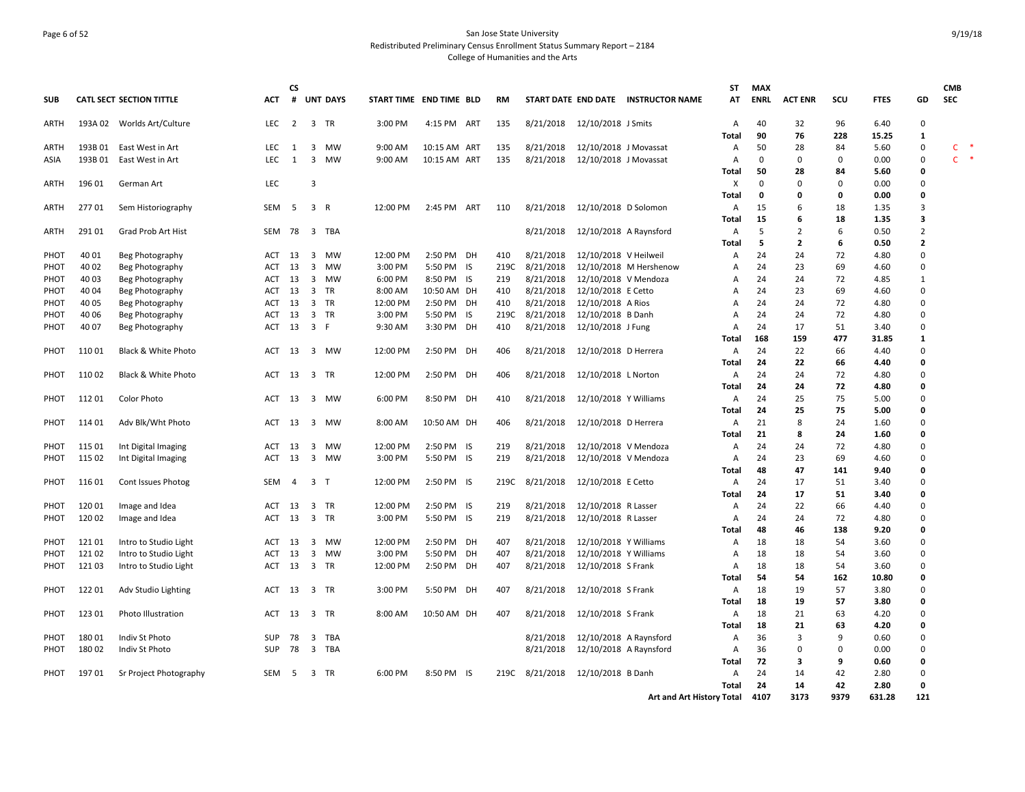## Page 6 of 52 San Jose State University Redistributed Preliminary Census Enrollment Status Summary Report – 2184 College of Humanities and the Arts

|            |         |                                 |            | <b>CS</b>      |                         |                 |                         |              |      |           |           |                              |                                     | <b>ST</b>         | <b>MAX</b>  |                |      |              |                | <b>CMB</b>                          |
|------------|---------|---------------------------------|------------|----------------|-------------------------|-----------------|-------------------------|--------------|------|-----------|-----------|------------------------------|-------------------------------------|-------------------|-------------|----------------|------|--------------|----------------|-------------------------------------|
| <b>SUB</b> |         | <b>CATL SECT SECTION TITTLE</b> | <b>ACT</b> | #              |                         | <b>UNT DAYS</b> | START TIME END TIME BLD |              |      | <b>RM</b> |           |                              | START DATE END DATE INSTRUCTOR NAME | AT                | <b>ENRL</b> | <b>ACT ENR</b> | scu  | <b>FTES</b>  | GD             | <b>SEC</b>                          |
| ARTH       |         | 193A 02 Worlds Art/Culture      | LEC.       | $\overline{2}$ |                         | 3 TR            | 3:00 PM                 | 4:15 PM ART  |      | 135       |           | 8/21/2018 12/10/2018 J Smits |                                     | $\mathsf{A}$      | 40          | 32             | 96   | 6.40         | $\mathbf 0$    |                                     |
|            |         |                                 |            |                |                         |                 |                         |              |      |           |           |                              |                                     | Total             | 90          | 76             | 228  | 15.25        | 1              |                                     |
| ARTH       | 193B 01 | East West in Art                | <b>LEC</b> | 1              | 3                       | MW              | 9:00 AM                 | 10:15 AM ART |      | 135       | 8/21/2018 | 12/10/2018 J Movassat        |                                     | Α                 | 50          | 28             | 84   | 5.60         | 0              | C                                   |
| ASIA       | 193B01  | East West in Art                | LEC.       | 1              | $\overline{3}$          | <b>MW</b>       | 9:00 AM                 | 10:15 AM ART |      | 135       | 8/21/2018 | 12/10/2018 J Movassat        |                                     | Α                 | $\Omega$    | $\Omega$       | 0    | 0.00         | 0              | $\mathsf{C}^{\mathsf{C}}$<br>$\ast$ |
|            |         |                                 |            |                |                         |                 |                         |              |      |           |           |                              |                                     | Total             | 50          | 28             | 84   | 5.60         | 0              |                                     |
| ARTH       | 196 01  | German Art                      | LEC        |                | $\overline{3}$          |                 |                         |              |      |           |           |                              |                                     | Χ                 | $\Omega$    | 0              | 0    | 0.00         | $\mathbf 0$    |                                     |
|            |         |                                 |            |                |                         |                 |                         |              |      |           |           |                              |                                     | Total             | 0           | $\Omega$       | 0    | 0.00         | 0              |                                     |
| ARTH       | 27701   | Sem Historiography              | <b>SEM</b> | -5             | 3 R                     |                 | 12:00 PM                | 2:45 PM ART  |      | 110       | 8/21/2018 | 12/10/2018 D Solomon         |                                     | Α                 | 15          | 6              | 18   | 1.35         | 3              |                                     |
|            |         |                                 |            |                |                         |                 |                         |              |      |           |           |                              |                                     | Total             | 15          | 6              | 18   | 1.35         | 3              |                                     |
| ARTH       | 291 01  | Grad Prob Art Hist              | SEM        | 78             |                         | 3 TBA           |                         |              |      |           | 8/21/2018 | 12/10/2018 A Raynsford       |                                     | Α                 | 5           | $\overline{2}$ | 6    | 0.50         | $\overline{2}$ |                                     |
|            |         |                                 |            |                |                         |                 |                         |              |      |           |           |                              |                                     | <b>Total</b>      | 5           | $\overline{2}$ | 6    | 0.50         | $\overline{2}$ |                                     |
| PHOT       | 40 01   | Beg Photography                 | ACT        | 13             | 3                       | <b>MW</b>       | 12:00 PM                | 2:50 PM DH   |      | 410       | 8/21/2018 | 12/10/2018 V Heilweil        |                                     | A                 | 24          | 24             | 72   | 4.80         | 0              |                                     |
| PHOT       | 40 02   | Beg Photography                 | ACT        | 13             | 3                       | MW              | 3:00 PM                 | 5:50 PM IS   |      | 219C      | 8/21/2018 |                              | 12/10/2018 M Hershenow              | Α                 | 24          | 23             | 69   | 4.60         | 0              |                                     |
| PHOT       | 40 03   | Beg Photography                 | <b>ACT</b> | 13             | $\overline{3}$          | <b>MW</b>       | 6:00 PM                 | 8:50 PM IS   |      | 219       | 8/21/2018 | 12/10/2018 V Mendoza         |                                     | Α                 | 24          | 24             | 72   | 4.85         | 1              |                                     |
| PHOT       | 40 04   | Beg Photography                 | <b>ACT</b> | 13             | $\overline{\mathbf{3}}$ | TR              | 8:00 AM                 | 10:50 AM DH  |      | 410       | 8/21/2018 | 12/10/2018 E Cetto           |                                     | Α                 | 24          | 23             | 69   | 4.60         | $\mathbf 0$    |                                     |
| РНОТ       | 40 05   | Beg Photography                 | ACT        | 13             | $\overline{\mathbf{3}}$ | TR              | 12:00 PM                | 2:50 PM      | DH   | 410       | 8/21/2018 | 12/10/2018 A Rios            |                                     | Α                 | 24          | 24             | 72   | 4.80         | 0              |                                     |
| PHOT       | 40 06   | Beg Photography                 | ACT        | 13             | $\overline{3}$          | <b>TR</b>       | 3:00 PM                 | 5:50 PM      | - IS | 219C      | 8/21/2018 | 12/10/2018 B Danh            |                                     | A                 | 24          | 24             | 72   | 4.80         | $\mathbf 0$    |                                     |
| PHOT       | 40 07   | Beg Photography                 | ACT        | 13             | 3 F                     |                 | 9:30 AM                 | 3:30 PM DH   |      | 410       | 8/21/2018 | 12/10/2018 J Fung            |                                     | Α                 | 24          | 17             | 51   | 3.40         | $\mathbf 0$    |                                     |
|            |         |                                 |            |                |                         |                 |                         |              |      |           |           |                              |                                     | Total             | 168         | 159            | 477  | 31.85        | 1              |                                     |
| PHOT       | 11001   | Black & White Photo             | <b>ACT</b> | 13             |                         | 3 MW            | 12:00 PM                | 2:50 PM DH   |      | 406       | 8/21/2018 | 12/10/2018 D Herrera         |                                     | Α                 | 24          | 22             | 66   | 4.40         | $\Omega$       |                                     |
|            |         |                                 |            |                |                         |                 |                         |              |      |           |           |                              |                                     | Total             | 24          | 22             | 66   | 4.40         | $\mathbf 0$    |                                     |
| PHOT       | 110 02  | Black & White Photo             | ACT        | 13             | 3 TR                    |                 | 12:00 PM                | 2:50 PM DH   |      | 406       | 8/21/2018 | 12/10/2018 L Norton          |                                     | Α                 | 24          | 24             | 72   | 4.80         | 0              |                                     |
|            |         |                                 |            |                |                         |                 |                         |              |      |           |           |                              |                                     | Total             | 24          | 24             | 72   | 4.80         | $\mathbf 0$    |                                     |
| PHOT       | 112 01  | <b>Color Photo</b>              | ACT        | 13             |                         | 3 MW            | 6:00 PM                 | 8:50 PM DH   |      | 410       | 8/21/2018 | 12/10/2018 Y Williams        |                                     | A                 | 24          | 25             | 75   | 5.00         | $\mathbf 0$    |                                     |
|            |         |                                 |            |                |                         |                 |                         |              |      |           |           |                              |                                     |                   | 24          | 25             | 75   | 5.00         | $\mathbf 0$    |                                     |
|            |         |                                 |            |                |                         |                 |                         |              |      |           |           |                              |                                     | Total             | 21          |                | 24   |              | 0              |                                     |
| PHOT       | 114 01  | Adv Blk/Wht Photo               | ACT        | - 13           |                         | 3 MW            | 8:00 AM                 | 10:50 AM DH  |      | 406       | 8/21/2018 | 12/10/2018 D Herrera         |                                     | Α<br><b>Total</b> | 21          | 8<br>8         |      | 1.60<br>1.60 | 0              |                                     |
|            |         |                                 |            |                |                         |                 |                         |              |      |           |           |                              |                                     |                   |             |                | 24   |              |                |                                     |
| PHOT       | 115 01  | Int Digital Imaging             | ACT        | 13             | 3                       | MW              | 12:00 PM                | 2:50 PM IS   |      | 219       | 8/21/2018 | 12/10/2018 V Mendoza         |                                     | A                 | 24          | 24             | 72   | 4.80         | 0              |                                     |
| PHOT       | 115 02  | Int Digital Imaging             | <b>ACT</b> | 13             |                         | 3 MW            | 3:00 PM                 | 5:50 PM IS   |      | 219       | 8/21/2018 | 12/10/2018 V Mendoza         |                                     | A                 | 24          | 23             | 69   | 4.60         | $\mathbf 0$    |                                     |
|            |         |                                 |            |                |                         |                 |                         |              |      |           |           |                              |                                     | <b>Total</b>      | 48          | 47             | 141  | 9.40         | 0              |                                     |
| PHOT       | 116 01  | Cont Issues Photog              | SEM        | $\overline{4}$ | 3 <sub>T</sub>          |                 | 12:00 PM                | 2:50 PM IS   |      | 219C      | 8/21/2018 | 12/10/2018 E Cetto           |                                     | A                 | 24          | 17             | 51   | 3.40         | 0              |                                     |
|            |         |                                 |            |                |                         |                 |                         |              |      |           |           |                              |                                     | Total             | 24          | 17             | 51   | 3.40         | 0              |                                     |
| PHOT       | 120 01  | Image and Idea                  | ACT        | 13             | $\overline{3}$          | <b>TR</b>       | 12:00 PM                | 2:50 PM IS   |      | 219       | 8/21/2018 | 12/10/2018 R Lasser          |                                     | Α                 | 24          | 22             | 66   | 4.40         | $\mathbf 0$    |                                     |
| PHOT       | 120 02  | Image and Idea                  | ACT        | 13             | $\overline{\mathbf{3}}$ | TR              | 3:00 PM                 | 5:50 PM IS   |      | 219       | 8/21/2018 | 12/10/2018 R Lasser          |                                     | Α                 | 24          | 24             | 72   | 4.80         | 0              |                                     |
|            |         |                                 |            |                |                         |                 |                         |              |      |           |           |                              |                                     | Total             | 48          | 46             | 138  | 9.20         | 0              |                                     |
| PHOT       | 121 01  | Intro to Studio Light           | <b>ACT</b> | 13             | $\overline{3}$          | <b>MW</b>       | 12:00 PM                | 2:50 PM      | DH   | 407       | 8/21/2018 | 12/10/2018 Y Williams        |                                     | A                 | 18          | 18             | 54   | 3.60         | $\mathbf 0$    |                                     |
| PHOT       | 121 02  | Intro to Studio Light           | <b>ACT</b> | 13             | $\overline{\mathbf{3}}$ | MW              | 3:00 PM                 | 5:50 PM      | DH   | 407       | 8/21/2018 | 12/10/2018 Y Williams        |                                     | A                 | 18          | 18             | 54   | 3.60         | 0              |                                     |
| PHOT       | 121 03  | Intro to Studio Light           | ACT        | 13             |                         | 3 TR            | 12:00 PM                | 2:50 PM DH   |      | 407       | 8/21/2018 | 12/10/2018 S Frank           |                                     | A                 | 18          | 18             | 54   | 3.60         | 0              |                                     |
|            |         |                                 |            |                |                         |                 |                         |              |      |           |           |                              |                                     | <b>Total</b>      | 54          | 54             | 162  | 10.80        | $\mathbf{0}$   |                                     |
| PHOT       | 122 01  | Adv Studio Lighting             | ACT        | 13             |                         | 3 TR            | 3:00 PM                 | 5:50 PM DH   |      | 407       | 8/21/2018 | 12/10/2018 S Frank           |                                     | A                 | 18          | 19             | 57   | 3.80         | $\mathbf 0$    |                                     |
|            |         |                                 |            |                |                         |                 |                         |              |      |           |           |                              |                                     | Total             | 18          | 19             | 57   | 3.80         | 0              |                                     |
| PHOT       | 123 01  | Photo Illustration              | ACT        | 13             |                         | 3 TR            | 8:00 AM                 | 10:50 AM DH  |      | 407       | 8/21/2018 | 12/10/2018 S Frank           |                                     | A                 | 18          | 21             | 63   | 4.20         | $\mathbf 0$    |                                     |
|            |         |                                 |            |                |                         |                 |                         |              |      |           |           |                              |                                     | <b>Total</b>      | 18          | 21             | 63   | 4.20         | 0              |                                     |
| PHOT       | 18001   | Indiv St Photo                  | <b>SUP</b> | 78             | 3                       | TBA             |                         |              |      |           | 8/21/2018 | 12/10/2018 A Raynsford       |                                     | Α                 | 36          | 3              | 9    | 0.60         | 0              |                                     |
| PHOT       | 18002   | Indiv St Photo                  | <b>SUP</b> | 78             | $\overline{\mathbf{3}}$ | TBA             |                         |              |      |           | 8/21/2018 | 12/10/2018 A Raynsford       |                                     | Α                 | 36          | 0              | 0    | 0.00         | 0              |                                     |
|            |         |                                 |            |                |                         |                 |                         |              |      |           |           |                              |                                     | <b>Total</b>      | 72          | 3              | 9    | 0.60         | 0              |                                     |
| PHOT       | 19701   | Sr Project Photography          | SEM        | -5             | $\overline{3}$          | TR              | 6:00 PM                 | 8:50 PM IS   |      | 219C      | 8/21/2018 | 12/10/2018 B Danh            |                                     | A                 | 24          | 14             | 42   | 2.80         | $\mathbf 0$    |                                     |
|            |         |                                 |            |                |                         |                 |                         |              |      |           |           |                              |                                     | Total             | 24          | 14             | 42   | 2.80         | $\mathbf 0$    |                                     |
|            |         |                                 |            |                |                         |                 |                         |              |      |           |           |                              | Art and Art History Total           |                   | 4107        | 3173           | 9379 | 631.28       | 121            |                                     |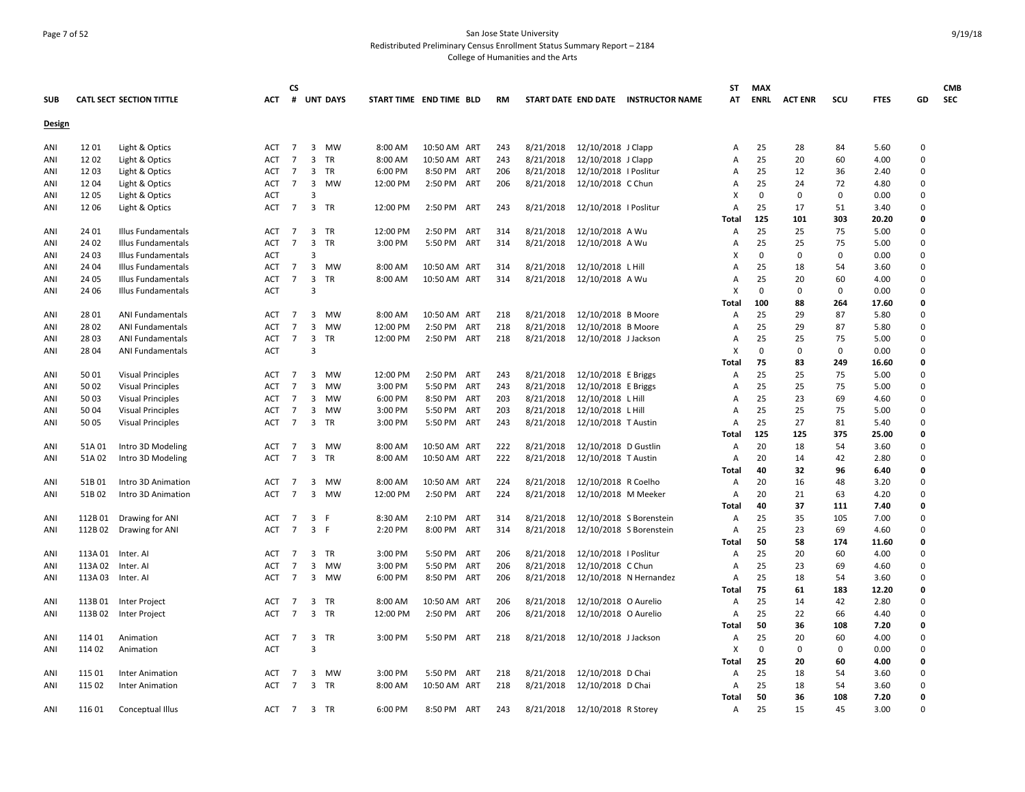## Page 7 of 52 San Jose State University Redistributed Preliminary Census Enrollment Status Summary Report – 2184 College of Humanities and the Arts

|            |         |                                 |                   | <b>CS</b>                        |                                  |                 |                         |                        |     |            |           |                       |                                     | ST           | <b>MAX</b>  |                |             |               |             | <b>CMB</b> |
|------------|---------|---------------------------------|-------------------|----------------------------------|----------------------------------|-----------------|-------------------------|------------------------|-----|------------|-----------|-----------------------|-------------------------------------|--------------|-------------|----------------|-------------|---------------|-------------|------------|
| <b>SUB</b> |         | <b>CATL SECT SECTION TITTLE</b> | <b>ACT</b>        | #                                |                                  | <b>UNT DAYS</b> | START TIME END TIME BLD |                        |     | RM         |           |                       | START DATE END DATE INSTRUCTOR NAME | AT           | <b>ENRL</b> | <b>ACT ENR</b> | scu         | <b>FTES</b>   | GD          | <b>SEC</b> |
|            |         |                                 |                   |                                  |                                  |                 |                         |                        |     |            |           |                       |                                     |              |             |                |             |               |             |            |
| Design     |         |                                 |                   |                                  |                                  |                 |                         |                        |     |            |           |                       |                                     |              |             |                |             |               |             |            |
| ANI        | 1201    | Light & Optics                  | ACT               | 7                                | $\overline{3}$                   | MW              | 8:00 AM                 | 10:50 AM ART           |     | 243        | 8/21/2018 | 12/10/2018 J Clapp    |                                     | A            | 25          | 28             | 84          | 5.60          | 0           |            |
| ANI        | 1202    | Light & Optics                  | <b>ACT</b>        | $\overline{7}$                   | $\overline{3}$                   | TR              | 8:00 AM                 | 10:50 AM ART           |     | 243        | 8/21/2018 | 12/10/2018 J Clapp    |                                     | A            | 25          | 20             | 60          | 4.00          | 0           |            |
| ANI        | 1203    | Light & Optics                  | <b>ACT</b>        | 7                                | 3                                | TR              | 6:00 PM                 | 8:50 PM                | ART | 206        | 8/21/2018 | 12/10/2018   Poslitur |                                     | A            | 25          | 12             | 36          | 2.40          | 0           |            |
| ANI        | 12 04   | Light & Optics                  | ACT               | $\overline{7}$                   | $\mathbf{3}$                     | MW              | 12:00 PM                | 2:50 PM ART            |     | 206        | 8/21/2018 | 12/10/2018 C Chun     |                                     | A            | 25          | 24             | 72          | 4.80          | 0           |            |
| ANI        | 12 05   | Light & Optics                  | <b>ACT</b>        |                                  | $\overline{3}$                   |                 |                         |                        |     |            |           |                       |                                     | x            | 0           | 0              | 0           | 0.00          | 0           |            |
| ANI        | 12 06   | Light & Optics                  | <b>ACT</b>        | $\overline{7}$                   | 3 TR                             |                 | 12:00 PM                | 2:50 PM ART            |     | 243        | 8/21/2018 | 12/10/2018   Poslitur |                                     | Α            | 25          | 17             | 51          | 3.40          | 0           |            |
|            |         |                                 |                   |                                  |                                  |                 |                         |                        |     |            |           |                       |                                     | <b>Total</b> | 125         | 101            | 303         | 20.20         | 0           |            |
| ANI        | 24 01   | Illus Fundamentals              | <b>ACT</b>        | 7                                | 3                                | TR              | 12:00 PM                | 2:50 PM                | ART | 314        | 8/21/2018 | 12/10/2018 A Wu       |                                     | A            | 25          | 25             | 75          | 5.00          | 0           |            |
| ANI        | 24 02   | Illus Fundamentals              | <b>ACT</b>        | $\overline{7}$                   | 3                                | TR              | 3:00 PM                 | 5:50 PM ART            |     | 314        | 8/21/2018 | 12/10/2018 A Wu       |                                     | A            | 25          | 25             | 75          | 5.00          | 0           |            |
| ANI        | 24 03   | Illus Fundamentals              | <b>ACT</b>        |                                  | $\overline{3}$                   |                 |                         |                        |     |            |           |                       |                                     | x            | 0           | 0              | 0           | 0.00          | 0           |            |
| ANI        | 24 04   | Illus Fundamentals              | <b>ACT</b>        | 7                                | 3                                | MW              | 8:00 AM                 | 10:50 AM ART           |     | 314        | 8/21/2018 | 12/10/2018 L Hill     |                                     | A            | 25          | 18             | 54          | 3.60          | 0           |            |
| ANI        | 24 05   | Illus Fundamentals              | ACT               | $\overline{7}$                   | $\mathbf{3}$                     | <b>TR</b>       | 8:00 AM                 | 10:50 AM ART           |     | 314        | 8/21/2018 | 12/10/2018 A Wu       |                                     | A            | 25          | 20             | 60          | 4.00          | 0           |            |
| ANI        | 24 06   | Illus Fundamentals              | <b>ACT</b>        |                                  | $\overline{3}$                   |                 |                         |                        |     |            |           |                       |                                     | x            | 0           | $\mathbf 0$    | $\mathbf 0$ | 0.00          | 0           |            |
|            |         |                                 |                   |                                  |                                  |                 |                         |                        |     |            |           |                       |                                     | Total        | 100         | 88             | 264         | 17.60         | 0           |            |
| ANI        | 28 01   | <b>ANI Fundamentals</b>         | <b>ACT</b>        | 7                                |                                  | 3 MW            | 8:00 AM                 | 10:50 AM ART           |     | 218        | 8/21/2018 | 12/10/2018 B Moore    |                                     | A            | 25          | 29             | 87          | 5.80          | 0           |            |
| ANI        | 28 02   | <b>ANI Fundamentals</b>         | <b>ACT</b>        | 7                                | 3                                | <b>MW</b>       | 12:00 PM                | 2:50 PM                | ART | 218        | 8/21/2018 | 12/10/2018 B Moore    |                                     | A            | 25          | 29             | 87          | 5.80          | $\mathbf 0$ |            |
| ANI        | 28 03   | <b>ANI Fundamentals</b>         | ACT               | $\overline{7}$                   | $\mathbf{3}$                     | TR              | 12:00 PM                | 2:50 PM ART            |     | 218        | 8/21/2018 | 12/10/2018 J Jackson  |                                     | Α            | 25          | 25             | 75          | 5.00          | 0           |            |
| ANI        | 28 04   | <b>ANI Fundamentals</b>         | ACT               |                                  | $\overline{3}$                   |                 |                         |                        |     |            |           |                       |                                     | x            | 0           | 0              | 0           | 0.00          | 0           |            |
|            |         |                                 |                   |                                  |                                  |                 |                         |                        |     |            |           |                       |                                     | Total        | 75          | 83             | 249         | 16.60         | 0           |            |
| ANI        | 50 01   | <b>Visual Principles</b>        | <b>ACT</b>        | 7                                |                                  | 3 MW            | 12:00 PM                | 2:50 PM                | ART | 243        | 8/21/2018 | 12/10/2018 E Briggs   |                                     | A            | 25          | 25             | 75          | 5.00          | 0           |            |
| ANI        | 50 02   | <b>Visual Principles</b>        | <b>ACT</b>        | $\overline{7}$                   | 3                                | MW              | 3:00 PM                 | 5:50 PM                | ART | 243        | 8/21/2018 | 12/10/2018 E Briggs   |                                     | Α            | 25          | 25             | 75          | 5.00          | 0           |            |
| ANI        | 50 03   | <b>Visual Principles</b>        | ACT               | $\overline{7}$                   | $\overline{3}$                   | MW              | 6:00 PM                 | 8:50 PM ART            |     | 203        | 8/21/2018 | 12/10/2018 L Hill     |                                     | A            | 25          | 23             | 69          | 4.60          | 0           |            |
| ANI        | 50 04   | <b>Visual Principles</b>        | ACT               | $\overline{7}$                   | 3                                | MW              | 3:00 PM                 | 5:50 PM                | ART | 203        | 8/21/2018 | 12/10/2018 L Hill     |                                     | A            | 25          | 25             | 75          | 5.00          | 0           |            |
| ANI        | 50 05   | <b>Visual Principles</b>        | ACT               | $\overline{7}$                   | 3 TR                             |                 | 3:00 PM                 | 5:50 PM ART            |     | 243        | 8/21/2018 | 12/10/2018 T Austin   |                                     | Α            | 25          | 27             | 81          | 5.40          | 0           |            |
|            |         |                                 |                   |                                  |                                  |                 |                         |                        |     |            |           |                       |                                     | <b>Total</b> | 125         | 125            | 375         | 25.00         | 0           |            |
| ANI        | 51A 01  | Intro 3D Modeling               | <b>ACT</b>        | $\overline{7}$                   | 3                                | MW              | 8:00 AM                 | 10:50 AM ART           |     | 222        | 8/21/2018 | 12/10/2018 D Gustlin  |                                     | A            | 20          | 18             | 54          | 3.60          | 0           |            |
| ANI        | 51A02   | Intro 3D Modeling               | ACT               | $\overline{7}$                   |                                  | 3 TR            | 8:00 AM                 | 10:50 AM ART           |     | 222        | 8/21/2018 | 12/10/2018 T Austin   |                                     | Α            | 20          | 14             | 42          | 2.80          | 0           |            |
|            |         |                                 |                   |                                  |                                  |                 |                         |                        |     |            |           |                       |                                     | Total        | 40          | 32             | 96          | 6.40          | 0           |            |
| ANI        | 51B01   | Intro 3D Animation              | ACT               | $\overline{7}$                   | 3                                | MW              | 8:00 AM                 | 10:50 AM ART           |     | 224        | 8/21/2018 | 12/10/2018 R Coelho   |                                     | A            | 20          | 16             | 48          | 3.20          | 0           |            |
| ANI        | 51B02   | Intro 3D Animation              | <b>ACT</b>        | $\overline{7}$                   | $\overline{3}$                   | MW              | 12:00 PM                | 2:50 PM                | ART | 224        | 8/21/2018 | 12/10/2018 M Meeker   |                                     | Α            | 20<br>40    | 21<br>37       | 63          | 4.20          | 0           |            |
|            |         |                                 |                   |                                  |                                  |                 |                         |                        |     |            |           |                       |                                     | Total        |             |                | 111         | 7.40          | 0<br>0      |            |
| ANI        | 112B01  | Drawing for ANI                 | ACT<br><b>ACT</b> | $\overline{7}$<br>$\overline{7}$ | $\overline{3}$<br>$\overline{3}$ | - F<br>-F       | 8:30 AM                 | 2:10 PM ART<br>8:00 PM | ART | 314<br>314 | 8/21/2018 |                       | 12/10/2018 S Borenstein             | Α            | 25<br>25    | 35             | 105<br>69   | 7.00          | 0           |            |
| ANI        | 112B02  | Drawing for ANI                 |                   |                                  |                                  |                 | 2:20 PM                 |                        |     |            | 8/21/2018 |                       | 12/10/2018 S Borenstein             | Α<br>Total   | 50          | 23<br>58       | 174         | 4.60<br>11.60 | 0           |            |
| ANI        | 113A 01 | Inter. Al                       | <b>ACT</b>        | 7                                | 3                                | TR              | 3:00 PM                 | 5:50 PM                | ART | 206        | 8/21/2018 | 12/10/2018   Poslitur |                                     | Α            | 25          | 20             | 60          | 4.00          | 0           |            |
| ANI        | 113A 02 | Inter. Al                       | <b>ACT</b>        | $\overline{7}$                   | 3                                | MW              | 3:00 PM                 | 5:50 PM                | ART | 206        | 8/21/2018 | 12/10/2018 C Chun     |                                     | Α            | 25          | 23             | 69          | 4.60          | 0           |            |
| ANI        |         | 113A 03 Inter. AI               | ACT               | $\overline{7}$                   |                                  | 3 MW            | 6:00 PM                 | 8:50 PM ART            |     | 206        | 8/21/2018 |                       | 12/10/2018 N Hernandez              | A            | 25          | 18             | 54          | 3.60          | 0           |            |
|            |         |                                 |                   |                                  |                                  |                 |                         |                        |     |            |           |                       |                                     | <b>Total</b> | 75          | 61             | 183         | 12.20         | 0           |            |
| ANI        | 113B01  | Inter Project                   | ACT               | $\overline{7}$                   | 3 TR                             |                 | 8:00 AM                 | 10:50 AM ART           |     | 206        | 8/21/2018 | 12/10/2018 O Aurelio  |                                     | A            | 25          | 14             | 42          | 2.80          | 0           |            |
| ANI        | 113B 02 | Inter Project                   | <b>ACT</b>        | $\overline{7}$                   | 3 TR                             |                 | 12:00 PM                | 2:50 PM                | ART | 206        | 8/21/2018 | 12/10/2018 O Aurelio  |                                     | Α            | 25          | 22             | 66          | 4.40          | 0           |            |
|            |         |                                 |                   |                                  |                                  |                 |                         |                        |     |            |           |                       |                                     | Total        | 50          | 36             | 108         | 7.20          | 0           |            |
| ANI        | 114 01  | Animation                       | ACT               | $\overline{7}$                   | 3 TR                             |                 | 3:00 PM                 | 5:50 PM ART            |     | 218        | 8/21/2018 | 12/10/2018 J Jackson  |                                     | Α            | 25          | 20             | 60          | 4.00          | 0           |            |
| ANI        | 114 02  | Animation                       | <b>ACT</b>        |                                  | $\overline{3}$                   |                 |                         |                        |     |            |           |                       |                                     | x            | 0           | 0              | $\Omega$    | 0.00          | 0           |            |
|            |         |                                 |                   |                                  |                                  |                 |                         |                        |     |            |           |                       |                                     | Total        | 25          | 20             | 60          | 4.00          | 0           |            |
| ANI        | 115 01  | <b>Inter Animation</b>          | ACT               | 7                                | 3                                | MW              | 3:00 PM                 | 5:50 PM ART            |     | 218        | 8/21/2018 | 12/10/2018 D Chai     |                                     | Α            | 25          | 18             | 54          | 3.60          | 0           |            |
| ANI        | 115 02  | <b>Inter Animation</b>          | <b>ACT</b>        | 7                                | $\mathbf{3}$                     | <b>TR</b>       | 8:00 AM                 | 10:50 AM ART           |     | 218        | 8/21/2018 | 12/10/2018 D Chai     |                                     | Α            | 25          | 18             | 54          | 3.60          | 0           |            |
|            |         |                                 |                   |                                  |                                  |                 |                         |                        |     |            |           |                       |                                     | Total        | 50          | 36             | 108         | 7.20          | 0           |            |
| ANI        | 116 01  | Conceptual Illus                | ACT               | $\overline{7}$                   | 3 TR                             |                 | 6:00 PM                 | 8:50 PM                | ART | 243        | 8/21/2018 | 12/10/2018 R Storey   |                                     | Α            | 25          | 15             | 45          | 3.00          | $\Omega$    |            |
|            |         |                                 |                   |                                  |                                  |                 |                         |                        |     |            |           |                       |                                     |              |             |                |             |               |             |            |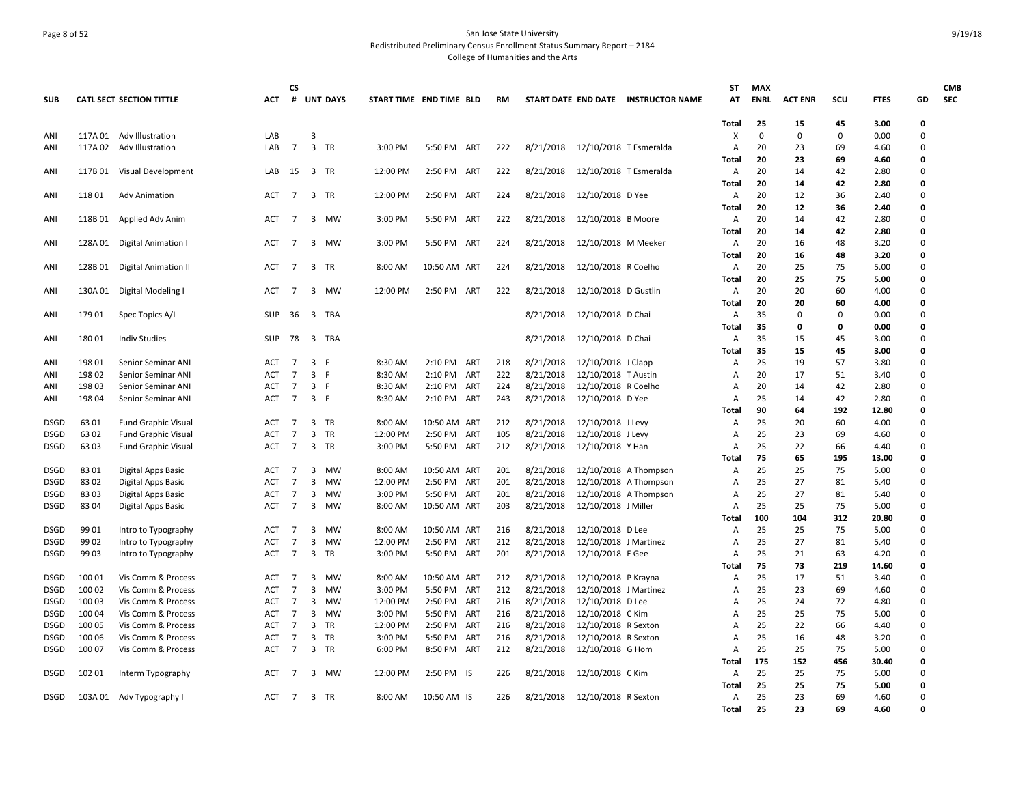## Page 8 of 52 San Jose State University Redistributed Preliminary Census Enrollment Status Summary Report – 2184 College of Humanities and the Arts

|             |         |                                 |            | <b>CS</b>      |                |                 |                         |              |     |           |           |                               |                                     | ST             | <b>MAX</b>  |                |             |              |              | <b>CMB</b> |
|-------------|---------|---------------------------------|------------|----------------|----------------|-----------------|-------------------------|--------------|-----|-----------|-----------|-------------------------------|-------------------------------------|----------------|-------------|----------------|-------------|--------------|--------------|------------|
| <b>SUB</b>  |         | <b>CATL SECT SECTION TITTLE</b> | <b>ACT</b> | #              |                | <b>UNT DAYS</b> | START TIME END TIME BLD |              |     | <b>RM</b> |           |                               | START DATE END DATE INSTRUCTOR NAME | AT             | <b>ENRL</b> | <b>ACT ENR</b> | scu         | <b>FTES</b>  | GD           | <b>SEC</b> |
|             |         |                                 |            |                |                |                 |                         |              |     |           |           |                               |                                     | Total          | 25          | 15             | 45          | 3.00         | $\mathbf{0}$ |            |
| ANI         | 117A 01 | Adv Illustration                | LAB        |                | $\overline{3}$ |                 |                         |              |     |           |           |                               |                                     | X              | $\mathbf 0$ | 0              | 0           | 0.00         | 0            |            |
| ANI         |         | 117A 02 Adv Illustration        | LAB        | $\overline{7}$ | 3 TR           |                 | 3:00 PM                 | 5:50 PM ART  |     | 222       | 8/21/2018 | 12/10/2018 T Esmeralda        |                                     | A              | 20          | 23             | 69          | 4.60         | 0            |            |
|             |         |                                 |            |                |                |                 |                         |              |     |           |           |                               |                                     | Total          | 20          | 23             | 69          | 4.60         | 0            |            |
| ANI         |         | 117B 01 Visual Development      | LAB        | 15             | 3 TR           |                 | 12:00 PM                | 2:50 PM ART  |     | 222       | 8/21/2018 | 12/10/2018 T Esmeralda        |                                     | Α              | 20          | 14             | 42          | 2.80         | 0            |            |
|             |         |                                 |            |                |                |                 |                         |              |     |           |           |                               |                                     | Total          | 20          | 14             | 42          | 2.80         | o            |            |
| ANI         | 118 01  | <b>Adv Animation</b>            | ACT        | 7              | 3 TR           |                 | 12:00 PM                | 2:50 PM      | ART | 224       | 8/21/2018 | 12/10/2018 D Yee              |                                     | Α              | 20          | 12             | 36          | 2.40         | 0            |            |
|             |         |                                 |            |                |                |                 |                         |              |     |           |           |                               |                                     | <b>Total</b>   | 20          | 12             | 36          | 2.40         | 0            |            |
| ANI         | 118B 01 | Applied Adv Anim                | <b>ACT</b> | 7              |                | 3 MW            | 3:00 PM                 | 5:50 PM      | ART | 222       | 8/21/2018 | 12/10/2018 B Moore            |                                     | Α              | 20          | 14             | 42          | 2.80         | 0            |            |
|             |         |                                 |            |                |                |                 |                         |              |     |           |           |                               |                                     | Total          | 20          | 14             | 42          | 2.80         | 0            |            |
| ANI         |         | 128A 01 Digital Animation I     | ACT        | $\overline{7}$ |                | 3 MW            | 3:00 PM                 | 5:50 PM ART  |     | 224       | 8/21/2018 | 12/10/2018 M Meeker           |                                     | Α              | 20          | 16             | 48          | 3.20         | 0            |            |
|             |         |                                 |            |                |                |                 |                         |              |     |           |           |                               |                                     | Total          | 20          | 16             | 48          | 3.20         | 0            |            |
| ANI         | 128B 01 | <b>Digital Animation II</b>     | ACT        | $\overline{7}$ | 3 TR           |                 | 8:00 AM                 | 10:50 AM ART |     | 224       | 8/21/2018 | 12/10/2018 R Coelho           |                                     | Α              | 20          | 25             | 75          | 5.00         | 0            |            |
|             |         |                                 |            |                |                |                 |                         |              |     |           |           |                               |                                     | <b>Total</b>   | 20          | 25             | 75          | 5.00         | 0<br>0       |            |
| ANI         |         | 130A 01 Digital Modeling I      | <b>ACT</b> | 7              | 3              | MW              | 12:00 PM                | 2:50 PM ART  |     | 222       | 8/21/2018 | 12/10/2018 D Gustlin          |                                     | Α              | 20<br>20    | 20<br>20       | 60<br>60    | 4.00         | 0            |            |
|             |         |                                 | <b>SUP</b> |                |                | 3 TBA           |                         |              |     |           | 8/21/2018 | 12/10/2018 D Chai             |                                     | Total          | 35          | $\mathbf 0$    | $\mathbf 0$ | 4.00<br>0.00 | 0            |            |
| ANI         | 179 01  | Spec Topics A/I                 |            | -36            |                |                 |                         |              |     |           |           |                               |                                     | Α              | 35          | 0              | 0           | 0.00         | 0            |            |
| ANI         | 18001   | <b>Indiv Studies</b>            | <b>SUP</b> | 78             |                | 3 TBA           |                         |              |     |           | 8/21/2018 | 12/10/2018 D Chai             |                                     | Total<br>A     | 35          | 15             | 45          | 3.00         | 0            |            |
|             |         |                                 |            |                |                |                 |                         |              |     |           |           |                               |                                     | Total          | 35          | 15             | 45          | 3.00         | 0            |            |
| ANI         | 198 01  | Senior Seminar ANI              | ACT        | $\overline{7}$ | 3 F            |                 | 8:30 AM                 | 2:10 PM ART  |     | 218       | 8/21/2018 | 12/10/2018 J Clapp            |                                     | Α              | 25          | 19             | 57          | 3.80         | $\Omega$     |            |
| ANI         | 198 02  | Senior Seminar ANI              | ACT        | 7              | 3              | - F             | 8:30 AM                 | 2:10 PM      | ART | 222       | 8/21/2018 | 12/10/2018 T Austin           |                                     | A              | 20          | 17             | 51          | 3.40         | 0            |            |
| ANI         | 198 03  | Senior Seminar ANI              | <b>ACT</b> | $\overline{7}$ | 3 F            |                 | 8:30 AM                 | 2:10 PM ART  |     | 224       | 8/21/2018 | 12/10/2018 R Coelho           |                                     | A              | 20          | 14             | 42          | 2.80         | 0            |            |
| ANI         | 198 04  | Senior Seminar ANI              | <b>ACT</b> | 7              | 3 F            |                 | 8:30 AM                 | 2:10 PM      | ART | 243       | 8/21/2018 | 12/10/2018 D Yee              |                                     | A              | 25          | 14             | 42          | 2.80         | 0            |            |
|             |         |                                 |            |                |                |                 |                         |              |     |           |           |                               |                                     | Total          | 90          | 64             | 192         | 12.80        | 0            |            |
| <b>DSGD</b> | 63 01   | <b>Fund Graphic Visual</b>      | ACT        | 7              | 3 TR           |                 | 8:00 AM                 | 10:50 AM ART |     | 212       | 8/21/2018 | 12/10/2018 J Levy             |                                     | A              | 25          | 20             | 60          | 4.00         | $\mathbf 0$  |            |
| <b>DSGD</b> | 63 02   | <b>Fund Graphic Visual</b>      | <b>ACT</b> | 7              | 3              | TR              | 12:00 PM                | 2:50 PM      | ART | 105       | 8/21/2018 | 12/10/2018 J Levy             |                                     | A              | 25          | 23             | 69          | 4.60         | 0            |            |
| DSGD        | 63 03   | <b>Fund Graphic Visual</b>      | ACT        | $\overline{7}$ | 3 TR           |                 | 3:00 PM                 | 5:50 PM ART  |     | 212       | 8/21/2018 | 12/10/2018 Y Han              |                                     | A              | 25          | 22             | 66          | 4.40         | 0            |            |
|             |         |                                 |            |                |                |                 |                         |              |     |           |           |                               |                                     | Total          | 75          | 65             | 195         | 13.00        | 0            |            |
| <b>DSGD</b> | 8301    | Digital Apps Basic              | ACT        | 7              | 3              | MW              | 8:00 AM                 | 10:50 AM ART |     | 201       | 8/21/2018 |                               | 12/10/2018 A Thompson               | A              | 25          | 25             | 75          | 5.00         | 0            |            |
| <b>DSGD</b> | 83 02   | <b>Digital Apps Basic</b>       | <b>ACT</b> | $\overline{7}$ | 3              | MW              | 12:00 PM                | 2:50 PM ART  |     | 201       | 8/21/2018 |                               | 12/10/2018 A Thompson               | $\overline{A}$ | 25          | 27             | 81          | 5.40         | 0            |            |
| <b>DSGD</b> | 8303    | <b>Digital Apps Basic</b>       | <b>ACT</b> | $\overline{7}$ | 3              | MW              | 3:00 PM                 | 5:50 PM ART  |     | 201       | 8/21/2018 |                               | 12/10/2018 A Thompson               | A              | 25          | 27             | 81          | 5.40         | O            |            |
| DSGD        | 8304    | Digital Apps Basic              | ACT        | $\overline{7}$ | 3              | MW              | 8:00 AM                 | 10:50 AM ART |     | 203       | 8/21/2018 | 12/10/2018 J Miller           |                                     | Α              | 25          | 25             | 75          | 5.00         | 0            |            |
|             |         |                                 |            |                |                |                 |                         |              |     |           |           |                               |                                     | Total          | 100         | 104            | 312         | 20.80        | 0            |            |
| <b>DSGD</b> | 99 01   | Intro to Typography             | <b>ACT</b> | $\overline{7}$ | 3              | MW              | 8:00 AM                 | 10:50 AM ART |     | 216       | 8/21/2018 | 12/10/2018 D Lee              |                                     | A              | 25          | 25             | 75          | 5.00         | 0            |            |
| DSGD        | 99 02   | Intro to Typography             | <b>ACT</b> | 7              | 3              | MW              | 12:00 PM                | 2:50 PM ART  |     | 212       | 8/21/2018 | 12/10/2018 J Martinez         |                                     | $\overline{A}$ | 25          | 27             | 81          | 5.40         | 0            |            |
| <b>DSGD</b> | 99 03   | Intro to Typography             | ACT        | $\overline{7}$ | $\mathbf{3}$   | TR              | 3:00 PM                 | 5:50 PM ART  |     | 201       | 8/21/2018 | 12/10/2018 E Gee              |                                     | Α              | 25          | 21             | 63          | 4.20         | $\Omega$     |            |
|             |         |                                 |            |                |                |                 |                         |              |     |           |           |                               |                                     | Total          | 75          | 73             | 219         | 14.60        | 0            |            |
| <b>DSGD</b> | 100 01  | Vis Comm & Process              | <b>ACT</b> | $\overline{7}$ | 3              | MW              | 8:00 AM                 | 10:50 AM ART |     | 212       | 8/21/2018 | 12/10/2018 P Krayna           |                                     | A              | 25          | 17             | 51          | 3.40         | 0            |            |
| <b>DSGD</b> | 100 02  | Vis Comm & Process              | <b>ACT</b> | 7              | 3              | MW              | 3:00 PM                 | 5:50 PM      | ART | 212       | 8/21/2018 | 12/10/2018 J Martinez         |                                     | A              | 25          | 23             | 69          | 4.60         | 0            |            |
| DSGD        | 100 03  | Vis Comm & Process              | <b>ACT</b> | 7              | 3              | MW              | 12:00 PM                | 2:50 PM ART  |     | 216       | 8/21/2018 | 12/10/2018 D Lee              |                                     | A              | 25          | 24             | 72          | 4.80         | 0            |            |
| <b>DSGD</b> | 100 04  | Vis Comm & Process              | <b>ACT</b> | 7              | 3              | <b>MW</b>       | 3:00 PM                 | 5:50 PM      | ART | 216       | 8/21/2018 | 12/10/2018 C Kim              |                                     | A              | 25          | 25             | 75          | 5.00         | 0            |            |
| <b>DSGD</b> | 100 05  | Vis Comm & Process              | ACT        | $\overline{7}$ | 3              | TR              | 12:00 PM                | 2:50 PM      | ART | 216       | 8/21/2018 | 12/10/2018 R Sexton           |                                     | A              | 25          | 22             | 66          | 4.40         | 0            |            |
| DSGD        | 100 06  | Vis Comm & Process              | ACT        | $\overline{7}$ | 3              | TR              | 3:00 PM                 | 5:50 PM      | ART | 216       | 8/21/2018 | 12/10/2018 R Sexton           |                                     | A              | 25          | 16             | 48          | 3.20         | 0            |            |
| <b>DSGD</b> | 100 07  | Vis Comm & Process              | <b>ACT</b> | $\overline{7}$ | 3 TR           |                 | 6:00 PM                 | 8:50 PM ART  |     | 212       | 8/21/2018 | 12/10/2018 G Hom              |                                     | A              | 25          | 25             | 75          | 5.00         | 0            |            |
|             |         |                                 |            |                |                |                 |                         |              |     |           |           |                               |                                     | Total          | 175         | 152            | 456         | 30.40        | 0            |            |
| <b>DSGD</b> | 102 01  | Interm Typography               | <b>ACT</b> | $\overline{7}$ | 3              | MW              | 12:00 PM                | 2:50 PM IS   |     | 226       | 8/21/2018 | 12/10/2018 C Kim              |                                     | A              | 25          | 25             | 75          | 5.00         | 0            |            |
|             |         |                                 |            |                |                |                 |                         |              |     |           |           |                               |                                     | Total          | 25          | 25             | 75          | 5.00         | 0            |            |
| <b>DSGD</b> |         | 103A 01 Adv Typography I        | ACT        | $\overline{7}$ | 3 TR           |                 | 8:00 AM                 | 10:50 AM IS  |     | 226       |           | 8/21/2018 12/10/2018 R Sexton |                                     | A              | 25          | 23             | 69          | 4.60         | 0            |            |
|             |         |                                 |            |                |                |                 |                         |              |     |           |           |                               |                                     | <b>Total</b>   | 25          | 23             | 69          | 4.60         | O            |            |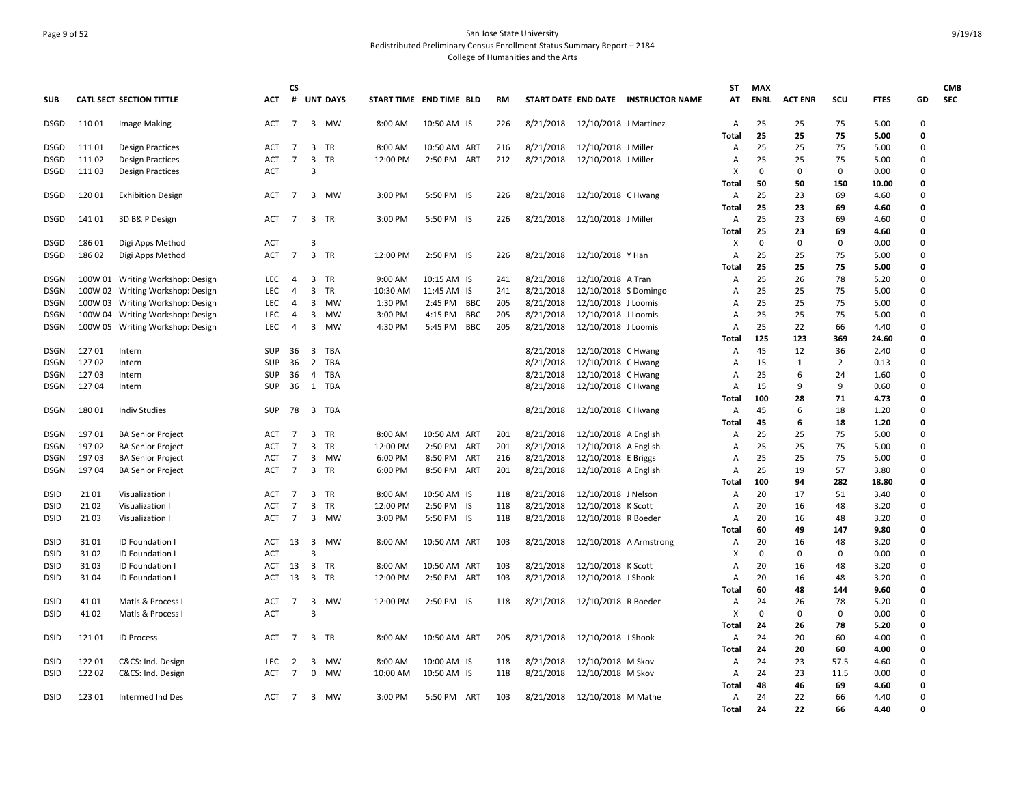## Page 9 of 52 San Jose State University Redistributed Preliminary Census Enrollment Status Summary Report – 2184 College of Humanities and the Arts

|                            |               |                                    |                          | CS             |                      |                 |                         |              |            |     |           |                                 |                                     | ST             | <b>MAX</b>        |                   |                |               |          | <b>CMB</b> |
|----------------------------|---------------|------------------------------------|--------------------------|----------------|----------------------|-----------------|-------------------------|--------------|------------|-----|-----------|---------------------------------|-------------------------------------|----------------|-------------------|-------------------|----------------|---------------|----------|------------|
| <b>SUB</b>                 |               | <b>CATL SECT SECTION TITTLE</b>    | ACT                      | #              |                      | <b>UNT DAYS</b> | START TIME END TIME BLD |              |            | RM  |           |                                 | START DATE END DATE INSTRUCTOR NAME | АT             | <b>ENRL</b>       | <b>ACT ENR</b>    | scu            | <b>FTES</b>   | GD       | <b>SEC</b> |
| DSGD                       | 110 01        | Image Making                       | ACT                      | $\overline{7}$ | 3 MW                 |                 | 8:00 AM                 | 10:50 AM IS  |            | 226 |           | 8/21/2018 12/10/2018 J Martinez |                                     | Α              | 25                | 25                | 75             | 5.00          | 0        |            |
|                            |               |                                    |                          |                |                      |                 |                         |              |            |     |           |                                 |                                     | Total          | 25                | 25                | 75             | 5.00          | 0        |            |
| <b>DSGD</b>                | 111 01        | <b>Design Practices</b>            | <b>ACT</b>               | 7              | 3                    | TR              | 8:00 AM                 | 10:50 AM ART |            | 216 | 8/21/2018 | 12/10/2018 J Miller             |                                     | A              | 25                | 25                | 75             | 5.00          | 0        |            |
| <b>DSGD</b>                | 111 02        | <b>Design Practices</b>            | <b>ACT</b><br><b>ACT</b> | $\overline{7}$ | 3<br>$\overline{3}$  | <b>TR</b>       | 12:00 PM                | 2:50 PM ART  |            | 212 | 8/21/2018 | 12/10/2018 J Miller             |                                     | A<br>X         | 25<br>$\mathbf 0$ | 25<br>$\mathbf 0$ | 75<br>0        | 5.00          | 0<br>0   |            |
| DSGD                       | 11103         | <b>Design Practices</b>            |                          |                |                      |                 |                         |              |            |     |           |                                 |                                     | Total          | 50                | 50                | 150            | 0.00<br>10.00 | 0        |            |
| <b>DSGD</b>                | 120 01        | <b>Exhibition Design</b>           | <b>ACT</b>               | $\overline{7}$ | 3 MW                 |                 | 3:00 PM                 | 5:50 PM IS   |            | 226 | 8/21/2018 | 12/10/2018 C Hwang              |                                     | A              | 25                | 23                | 69             | 4.60          | 0        |            |
|                            |               |                                    |                          |                |                      |                 |                         |              |            |     |           |                                 |                                     | Total          | 25                | 23                | 69             | 4.60          | 0        |            |
| <b>DSGD</b>                | 141 01        | 3D B& P Design                     | ACT                      | $\overline{7}$ | 3 TR                 |                 | 3:00 PM                 | 5:50 PM IS   |            | 226 | 8/21/2018 | 12/10/2018 J Miller             |                                     | Α              | 25                | 23                | 69             | 4.60          | 0        |            |
|                            |               |                                    |                          |                |                      |                 |                         |              |            |     |           |                                 |                                     | Total          | 25                | 23                | 69             | 4.60          | O        |            |
| <b>DSGD</b>                | 186 01        | Digi Apps Method                   | ACT                      |                | 3                    |                 |                         |              |            |     |           |                                 |                                     | X              | $\mathbf 0$       | 0                 | 0              | 0.00          | 0        |            |
| <b>DSGD</b>                | 186 02        | Digi Apps Method                   | <b>ACT</b>               | $\overline{7}$ | $\overline{3}$       | TR              | 12:00 PM                | 2:50 PM IS   |            | 226 | 8/21/2018 | 12/10/2018 Y Han                |                                     | A              | 25                | 25                | 75             | 5.00          | 0        |            |
|                            |               |                                    |                          |                |                      |                 |                         |              |            |     |           |                                 |                                     | Total          | 25                | 25                | 75             | 5.00          | 0        |            |
| DSGN                       |               | 100W 01 Writing Workshop: Design   | LEC                      | 4              | 3 TR                 |                 | 9:00 AM                 | 10:15 AM IS  |            | 241 | 8/21/2018 | 12/10/2018 A Tran               |                                     | Α              | 25                | 26                | 78             | 5.20          | 0        |            |
| <b>DSGN</b>                |               | 100W 02 Writing Workshop: Design   | <b>LEC</b>               | 4              | 3                    | TR              | 10:30 AM                | 11:45 AM IS  |            | 241 | 8/21/2018 | 12/10/2018 S Domingo            |                                     | A              | 25                | 25                | 75             | 5.00          | 0        |            |
| <b>DSGN</b>                |               | 100W 03 Writing Workshop: Design   | <b>LEC</b>               | 4              | 3                    | MW              | 1:30 PM                 | 2:45 PM      | BBC        | 205 | 8/21/2018 | 12/10/2018 J Loomis             |                                     | A              | 25                | 25                | 75             | 5.00          | 0        |            |
| <b>DSGN</b>                |               | 100W 04 Writing Workshop: Design   | <b>LEC</b>               | 4              | 3                    | MW              | 3:00 PM                 | 4:15 PM      | <b>BBC</b> | 205 | 8/21/2018 | 12/10/2018 J Loomis             |                                     | A              | 25                | 25                | 75             | 5.00          | 0        |            |
| <b>DSGN</b>                |               | 100W 05 Writing Workshop: Design   | <b>LEC</b>               | $\overline{4}$ | 3 MW                 |                 | 4:30 PM                 | 5:45 PM      | <b>BBC</b> | 205 | 8/21/2018 | 12/10/2018 J Loomis             |                                     | A              | 25<br>125         | 22                | 66             | 4.40          | 0<br>0   |            |
| DSGN                       | 12701         | Intern                             | <b>SUP</b>               | 36             | 3                    | TBA             |                         |              |            |     | 8/21/2018 | 12/10/2018 C Hwang              |                                     | Total<br>A     | 45                | 123<br>12         | 369<br>36      | 24.60<br>2.40 | 0        |            |
| <b>DSGN</b>                | 127 02        | Intern                             | <b>SUP</b>               | 36             | $\overline{2}$       | TBA             |                         |              |            |     | 8/21/2018 | 12/10/2018 C Hwang              |                                     | A              | 15                | $\mathbf{1}$      | $\overline{2}$ | 0.13          | 0        |            |
| DSGN                       | 12703         | Intern                             | <b>SUP</b>               | 36             | $\overline{4}$       | TBA             |                         |              |            |     | 8/21/2018 | 12/10/2018 C Hwang              |                                     | A              | 25                | 6                 | 24             | 1.60          | 0        |            |
| DSGN                       | 12704         | Intern                             | <b>SUP</b>               | 36             | 1 TBA                |                 |                         |              |            |     | 8/21/2018 | 12/10/2018 C Hwang              |                                     | $\overline{A}$ | 15                | 9                 | 9              | 0.60          | 0        |            |
|                            |               |                                    |                          |                |                      |                 |                         |              |            |     |           |                                 |                                     | <b>Total</b>   | 100               | 28                | 71             | 4.73          | 0        |            |
| DSGN                       | 180 01        | <b>Indiv Studies</b>               | <b>SUP</b>               | 78             | 3 TBA                |                 |                         |              |            |     | 8/21/2018 | 12/10/2018 C Hwang              |                                     | A              | 45                | 6                 | 18             | 1.20          | 0        |            |
|                            |               |                                    |                          |                |                      |                 |                         |              |            |     |           |                                 |                                     | Total          | 45                | 6                 | 18             | 1.20          | $\Omega$ |            |
| DSGN                       | 197 01        | <b>BA Senior Project</b>           | ACT                      | 7              | 3                    | TR              | 8:00 AM                 | 10:50 AM ART |            | 201 | 8/21/2018 | 12/10/2018 A English            |                                     | A              | 25                | 25                | 75             | 5.00          | 0        |            |
| <b>DSGN</b>                | 197 02        | <b>BA Senior Project</b>           | <b>ACT</b>               | 7              | 3                    | TR              | 12:00 PM                | 2:50 PM ART  |            | 201 | 8/21/2018 | 12/10/2018 A English            |                                     | A              | 25                | 25                | 75             | 5.00          | 0        |            |
| <b>DSGN</b>                | 19703         | <b>BA Senior Project</b>           | <b>ACT</b>               | 7              | 3 MW                 |                 | 6:00 PM                 | 8:50 PM      | ART        | 216 | 8/21/2018 | 12/10/2018 E Briggs             |                                     | A              | 25                | 25                | 75             | 5.00          | 0        |            |
| DSGN                       | 19704         | <b>BA Senior Project</b>           | ACT                      | 7              | 3 TR                 |                 | 6:00 PM                 | 8:50 PM ART  |            | 201 | 8/21/2018 | 12/10/2018 A English            |                                     | Α              | 25                | 19                | 57             | 3.80          | 0        |            |
|                            |               |                                    |                          |                |                      |                 |                         |              |            |     |           |                                 |                                     | Total          | 100               | 94                | 282            | 18.80         | 0        |            |
| <b>DSID</b>                | 21 01         | Visualization                      | <b>ACT</b>               | 7              | 3                    | TR              | 8:00 AM                 | 10:50 AM IS  |            | 118 | 8/21/2018 | 12/10/2018 J Nelson             |                                     | A              | 20                | 17                | 51             | 3.40          | 0        |            |
| <b>DSID</b>                | 21 02         | Visualization I                    | ACT                      | 7              | 3                    | TR              | 12:00 PM                | 2:50 PM IS   |            | 118 | 8/21/2018 | 12/10/2018 K Scott              |                                     | A              | 20                | 16                | 48             | 3.20          | 0        |            |
| <b>DSID</b>                | 21 03         | Visualization I                    | <b>ACT</b>               | 7              | $\overline{3}$       | MW              | 3:00 PM                 | 5:50 PM IS   |            | 118 | 8/21/2018 | 12/10/2018 R Boeder             |                                     | A              | 20                | 16                | 48             | 3.20          | 0        |            |
|                            |               |                                    |                          |                |                      |                 |                         |              |            |     |           |                                 |                                     | <b>Total</b>   | 60                | 49                | 147            | 9.80          | 0<br>0   |            |
| <b>DSID</b>                | 31 01<br>3102 | ID Foundation I<br>ID Foundation I | <b>ACT</b><br><b>ACT</b> | 13             | 3 MW<br>$\mathbf{a}$ |                 | 8:00 AM                 | 10:50 AM ART |            | 103 | 8/21/2018 |                                 | 12/10/2018 A Armstrong              | Α<br>X         | 20<br>$\Omega$    | 16<br>$\mathbf 0$ | 48<br>$\Omega$ | 3.20<br>0.00  | 0        |            |
| <b>DSID</b><br><b>DSID</b> | 3103          | <b>ID Foundation I</b>             | ACT                      | 13             | $\overline{3}$       | TR              | 8:00 AM                 | 10:50 AM ART |            | 103 | 8/21/2018 | 12/10/2018 K Scott              |                                     | A              | 20                | 16                | 48             | 3.20          | 0        |            |
| <b>DSID</b>                | 31 04         | ID Foundation I                    | <b>ACT</b>               | 13             | $\overline{3}$       | <b>TR</b>       | 12:00 PM                | 2:50 PM      | ART        | 103 | 8/21/2018 | 12/10/2018 J Shook              |                                     | A              | 20                | 16                | 48             | 3.20          | 0        |            |
|                            |               |                                    |                          |                |                      |                 |                         |              |            |     |           |                                 |                                     | Total          | 60                | 48                | 144            | 9.60          | 0        |            |
| DSID                       | 41 01         | Matls & Process                    | ACT                      | 7              | 3                    | MW              | 12:00 PM                | 2:50 PM IS   |            | 118 | 8/21/2018 | 12/10/2018 R Boeder             |                                     | Α              | 24                | 26                | 78             | 5.20          | 0        |            |
| <b>DSID</b>                | 41 02         | Matls & Process I                  | <b>ACT</b>               |                | $\overline{3}$       |                 |                         |              |            |     |           |                                 |                                     | X              | 0                 | 0                 | 0              | 0.00          | 0        |            |
|                            |               |                                    |                          |                |                      |                 |                         |              |            |     |           |                                 |                                     | Total          | 24                | 26                | 78             | 5.20          | 0        |            |
| DSID                       | 121 01        | <b>ID Process</b>                  | ACT                      | 7              | 3                    | TR              | 8:00 AM                 | 10:50 AM ART |            | 205 | 8/21/2018 | 12/10/2018 J Shook              |                                     | Α              | 24                | 20                | 60             | 4.00          | 0        |            |
|                            |               |                                    |                          |                |                      |                 |                         |              |            |     |           |                                 |                                     | Total          | 24                | 20                | 60             | 4.00          | 0        |            |
| <b>DSID</b>                | 122 01        | C&CS: Ind. Design                  | LEC                      | $\overline{2}$ | 3                    | MW              | 8:00 AM                 | 10:00 AM IS  |            | 118 | 8/21/2018 | 12/10/2018 M Skov               |                                     | A              | 24                | 23                | 57.5           | 4.60          | 0        |            |
| <b>DSID</b>                | 122 02        | C&CS: Ind. Design                  | <b>ACT</b>               | 7              | 0                    | MW              | 10:00 AM                | 10:50 AM IS  |            | 118 | 8/21/2018 | 12/10/2018 M Skov               |                                     | Α              | 24                | 23                | 11.5           | 0.00          | 0        |            |
|                            |               |                                    |                          |                |                      |                 |                         |              |            |     |           |                                 |                                     | Total          | 48                | 46                | 69             | 4.60          | 0        |            |
| <b>DSID</b>                | 123 01        | Intermed Ind Des                   | ACT                      | $\overline{7}$ | 3 MW                 |                 | 3:00 PM                 | 5:50 PM ART  |            | 103 | 8/21/2018 | 12/10/2018 M Mathe              |                                     | A              | 24                | 22                | 66             | 4.40          | 0        |            |
|                            |               |                                    |                          |                |                      |                 |                         |              |            |     |           |                                 |                                     | Total          | 24                | 22                | 66             | 4.40          | <b>n</b> |            |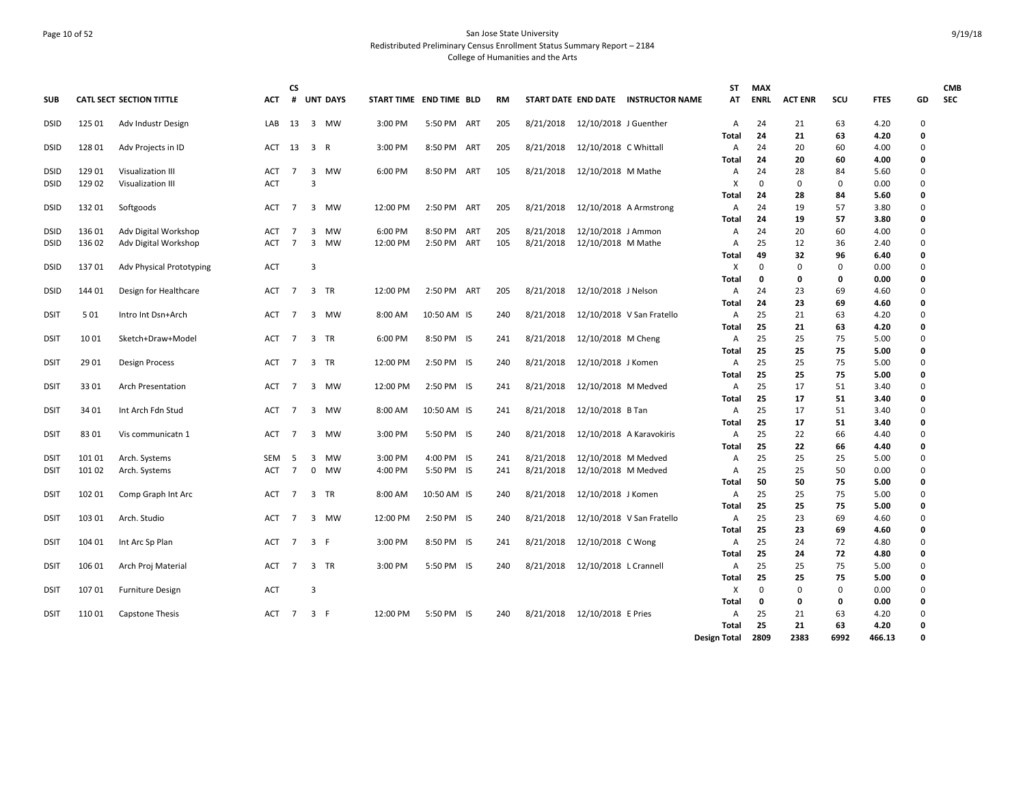## Page 10 of 52 San Jose State University Redistributed Preliminary Census Enrollment Status Summary Report – 2184 College of Humanities and the Arts

| <b>SUB</b>  |        | <b>CATL SECT SECTION TITTLE</b> | <b>ACT</b> | CS<br>#        |                         | <b>UNT DAYS</b> | START TIME END TIME BLD |             |     | <b>RM</b> |           |                       | START DATE END DATE INSTRUCTOR NAME | ST<br>AT     | <b>MAX</b><br><b>ENRL</b> | <b>ACT ENR</b> | SCU      | <b>FTES</b>  | GD     | <b>CMB</b><br><b>SEC</b> |
|-------------|--------|---------------------------------|------------|----------------|-------------------------|-----------------|-------------------------|-------------|-----|-----------|-----------|-----------------------|-------------------------------------|--------------|---------------------------|----------------|----------|--------------|--------|--------------------------|
| <b>DSID</b> | 125 01 | Adv Industr Design              | LAB        | 13             | $\overline{\mathbf{3}}$ | MW              | 3:00 PM                 | 5:50 PM ART |     | 205       | 8/21/2018 | 12/10/2018 J Guenther |                                     | Α            | 24                        | 21             | 63       | 4.20         | 0      |                          |
| <b>DSID</b> | 12801  | Adv Projects in ID              | ACT        | 13             | 3 R                     |                 | 3:00 PM                 | 8:50 PM ART |     | 205       | 8/21/2018 | 12/10/2018 C Whittall |                                     | Total<br>Α   | 24<br>24                  | 21<br>20       | 63<br>60 | 4.20<br>4.00 | 0<br>0 |                          |
| <b>DSID</b> | 129 01 | Visualization III               | ACT        | 7              | 3                       | MW              | 6:00 PM                 | 8:50 PM ART |     | 105       | 8/21/2018 | 12/10/2018 M Mathe    |                                     | Total<br>Α   | 24<br>24                  | 20<br>28       | 60<br>84 | 4.00<br>5.60 | 0<br>0 |                          |
| <b>DSID</b> | 129 02 | Visualization III               | <b>ACT</b> |                | 3                       |                 |                         |             |     |           |           |                       |                                     | X            | 0                         | 0              | 0        | 0.00         | 0      |                          |
| <b>DSID</b> | 132 01 | Softgoods                       | ACT        | 7              | 3                       | MW              | 12:00 PM                | 2:50 PM ART |     | 205       | 8/21/2018 |                       | 12/10/2018 A Armstrong              | Total<br>Α   | 24<br>24                  | 28<br>19       | 84<br>57 | 5.60<br>3.80 | 0<br>0 |                          |
|             |        |                                 |            |                |                         |                 |                         |             |     |           |           |                       |                                     | Total        | 24                        | 19             | 57       | 3.80         | 0      |                          |
| <b>DSID</b> | 136 01 | Adv Digital Workshop            | ACT        | 7              | 3                       | MW              | 6:00 PM                 | 8:50 PM     | ART | 205       | 8/21/2018 | 12/10/2018 J Ammon    |                                     | Α            | 24                        | 20             | 60       | 4.00         | 0      |                          |
| <b>DSID</b> | 136 02 | Adv Digital Workshop            | ACT        | $\overline{7}$ | 3                       | MW              | 12:00 PM                | 2:50 PM     | ART | 105       | 8/21/2018 | 12/10/2018 M Mathe    |                                     | Α            | 25                        | 12             | 36       | 2.40         | 0      |                          |
|             |        |                                 |            |                |                         |                 |                         |             |     |           |           |                       |                                     | Total        | 49                        | 32             | 96       | 6.40         | 0      |                          |
| <b>DSID</b> | 13701  | Adv Physical Prototyping        | <b>ACT</b> |                | 3                       |                 |                         |             |     |           |           |                       |                                     | Χ            | $\Omega$                  | $\mathbf 0$    | 0        | 0.00         | 0      |                          |
|             |        |                                 |            |                |                         |                 |                         |             |     |           |           |                       |                                     | Total        | 0                         | 0              | 0        | 0.00         | 0      |                          |
| <b>DSID</b> | 144 01 | Design for Healthcare           | ACT        | 7              |                         | 3 TR            | 12:00 PM                | 2:50 PM ART |     | 205       | 8/21/2018 | 12/10/2018 J Nelson   |                                     | Α            | 24                        | 23             | 69       | 4.60         | 0      |                          |
|             |        |                                 |            |                |                         |                 |                         |             |     |           |           |                       |                                     | Total        | 24                        | 23             | 69       | 4.60         | 0      |                          |
| <b>DSIT</b> | 501    | Intro Int Dsn+Arch              | ACT        | $\overline{7}$ |                         | 3 MW            | 8:00 AM                 | 10:50 AM IS |     | 240       | 8/21/2018 |                       | 12/10/2018 V San Fratello           | Α            | 25                        | 21             | 63       | 4.20         | 0      |                          |
|             |        |                                 |            |                |                         |                 |                         |             |     |           |           |                       |                                     | Total        | 25                        | 21             | 63       | 4.20         | 0      |                          |
| <b>DSIT</b> | 10 01  | Sketch+Draw+Model               | ACT        | $\overline{7}$ |                         | 3 TR            | 6:00 PM                 | 8:50 PM IS  |     | 241       | 8/21/2018 | 12/10/2018 M Cheng    |                                     | Α            | 25                        | 25             | 75       | 5.00         | 0      |                          |
|             |        |                                 |            |                |                         |                 |                         |             |     |           |           |                       |                                     | Total        | 25                        | 25             | 75       | 5.00         | 0      |                          |
| <b>DSIT</b> | 29 01  | Design Process                  | ACT        | 7              |                         | 3 TR            | 12:00 PM                | 2:50 PM IS  |     | 240       | 8/21/2018 | 12/10/2018 J Komen    |                                     | Α            | 25                        | 25             | 75       | 5.00         | 0      |                          |
|             |        |                                 |            |                |                         |                 |                         |             |     |           |           |                       |                                     | Total        | 25                        | 25             | 75       | 5.00         | 0      |                          |
|             |        |                                 |            |                |                         |                 |                         |             |     |           |           |                       |                                     |              | 25                        |                |          |              | 0      |                          |
| <b>DSIT</b> | 33 01  | Arch Presentation               | ACT        | $\overline{7}$ |                         | 3 MW            | 12:00 PM                | 2:50 PM IS  |     | 241       | 8/21/2018 | 12/10/2018 M Medved   |                                     | Α            |                           | 17             | 51       | 3.40         |        |                          |
|             |        |                                 |            |                |                         |                 |                         |             |     |           |           |                       |                                     | Total        | 25                        | 17             | 51       | 3.40         | 0      |                          |
| <b>DSIT</b> | 34 01  | Int Arch Fdn Stud               | ACT        | 7              | 3                       | MW              | 8:00 AM                 | 10:50 AM IS |     | 241       | 8/21/2018 | 12/10/2018 B Tan      |                                     | Α            | 25                        | 17             | 51       | 3.40         | 0      |                          |
|             |        |                                 |            |                |                         |                 |                         |             |     |           |           |                       |                                     | Total        | 25                        | 17             | 51       | 3.40         | 0      |                          |
| <b>DSIT</b> | 83 01  | Vis communicatn 1               | ACT        | 7              | 3                       | <b>MW</b>       | 3:00 PM                 | 5:50 PM IS  |     | 240       | 8/21/2018 |                       | 12/10/2018 A Karavokiris            | Α            | 25                        | 22             | 66       | 4.40         | 0      |                          |
|             |        |                                 |            |                |                         |                 |                         |             |     |           |           |                       |                                     | Total        | 25                        | 22             | 66       | 4.40         | 0      |                          |
| <b>DSIT</b> | 101 01 | Arch. Systems                   | SEM        | - 5            | 3                       | MW              | 3:00 PM                 | 4:00 PM IS  |     | 241       | 8/21/2018 | 12/10/2018 M Medved   |                                     | Α            | 25                        | 25             | 25       | 5.00         | 0      |                          |
| <b>DSIT</b> | 101 02 | Arch. Systems                   | ACT        | 7              | 0                       | MW              | 4:00 PM                 | 5:50 PM IS  |     | 241       | 8/21/2018 | 12/10/2018 M Medved   |                                     | Α            | 25                        | 25             | 50       | 0.00         | 0      |                          |
|             |        |                                 |            |                |                         |                 |                         |             |     |           |           |                       |                                     | Total        | 50                        | 50             | 75       | 5.00         | 0      |                          |
| <b>DSIT</b> | 102 01 | Comp Graph Int Arc              | ACT        | $\overline{7}$ |                         | 3 TR            | 8:00 AM                 | 10:50 AM IS |     | 240       | 8/21/2018 | 12/10/2018 J Komen    |                                     | Α            | 25                        | 25             | 75       | 5.00         | 0      |                          |
|             |        |                                 |            |                |                         |                 |                         |             |     |           |           |                       |                                     | Total        | 25                        | 25             | 75       | 5.00         | 0      |                          |
| <b>DSIT</b> | 103 01 | Arch. Studio                    | ACT        | 7              | 3                       | <b>MW</b>       | 12:00 PM                | 2:50 PM IS  |     | 240       | 8/21/2018 |                       | 12/10/2018 V San Fratello           | Α            | 25                        | 23             | 69       | 4.60         | 0      |                          |
|             |        |                                 |            |                |                         |                 |                         |             |     |           |           |                       |                                     | Total        | 25                        | 23             | 69       | 4.60         | 0      |                          |
| <b>DSIT</b> | 104 01 | Int Arc Sp Plan                 | ACT        | $\overline{7}$ | 3 F                     |                 | 3:00 PM                 | 8:50 PM IS  |     | 241       | 8/21/2018 | 12/10/2018 C Wong     |                                     | Α            | 25                        | 24             | 72       | 4.80         | 0      |                          |
|             |        |                                 |            |                |                         |                 |                         |             |     |           |           |                       |                                     | Total        | 25                        | 24             | 72       | 4.80         | 0      |                          |
| <b>DSIT</b> | 106 01 | Arch Proj Material              | ACT        | $\overline{7}$ |                         | 3 TR            | 3:00 PM                 | 5:50 PM IS  |     | 240       | 8/21/2018 | 12/10/2018 L Crannell |                                     | Α            | 25                        | 25             | 75       | 5.00         | 0      |                          |
|             |        |                                 |            |                |                         |                 |                         |             |     |           |           |                       |                                     | Total        | 25                        | 25             | 75       | 5.00         | 0      |                          |
|             |        |                                 |            |                | 3                       |                 |                         |             |     |           |           |                       |                                     |              | $\mathbf 0$               | 0              | 0        |              | 0      |                          |
| <b>DSIT</b> | 107 01 | <b>Furniture Design</b>         | ACT        |                |                         |                 |                         |             |     |           |           |                       |                                     | х            |                           |                |          | 0.00         |        |                          |
|             |        |                                 |            |                |                         |                 |                         |             |     |           |           |                       |                                     | Total        | 0                         | 0              | 0        | 0.00         | 0      |                          |
| <b>DSIT</b> | 110 01 | Capstone Thesis                 | ACT        | 7              | 3 F                     |                 | 12:00 PM                | 5:50 PM IS  |     | 240       | 8/21/2018 | 12/10/2018 E Pries    |                                     | Α            | 25                        | 21             | 63       | 4.20         | 0      |                          |
|             |        |                                 |            |                |                         |                 |                         |             |     |           |           |                       |                                     | Total        | 25                        | 21             | 63       | 4.20         | 0      |                          |
|             |        |                                 |            |                |                         |                 |                         |             |     |           |           |                       |                                     | Design Total | 2809                      | 2383           | 6992     | 466.13       | 0      |                          |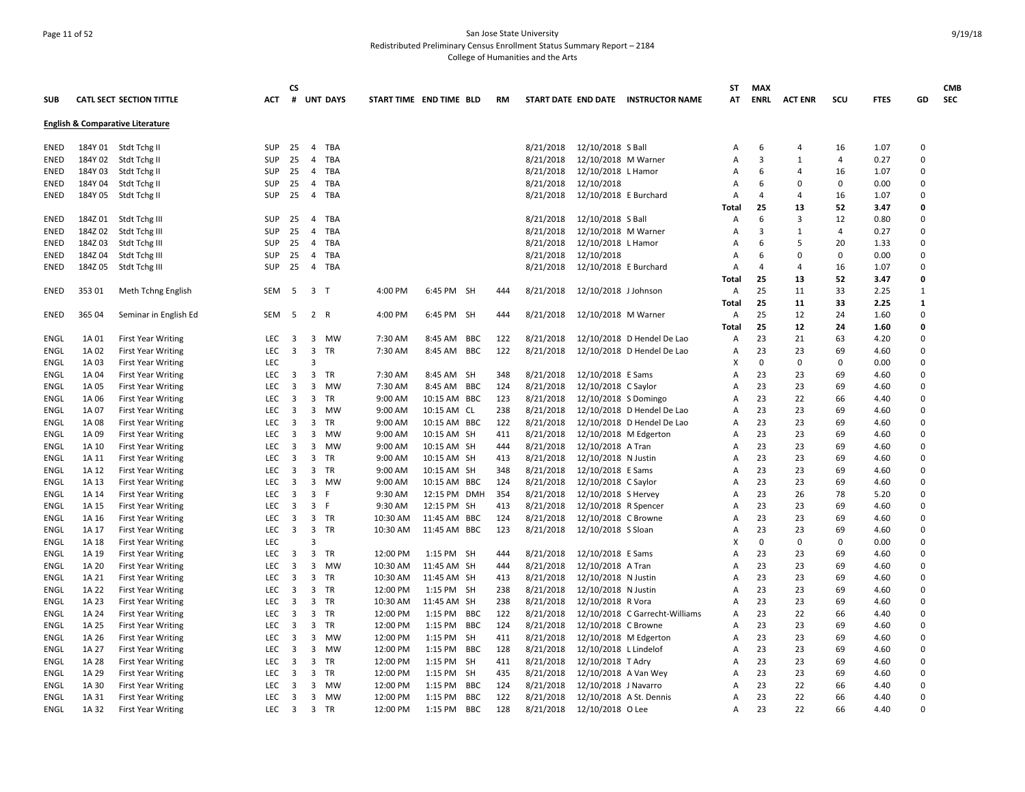## Page 11 of 52 San Jose State University Redistributed Preliminary Census Enrollment Status Summary Report – 2184 College of Humanities and the Arts

|             |         |                                             |            | <b>CS</b>               |                         |           |                         |              |            |     |           |                         |                                     | ST             | <b>MAX</b>     |                |                |             |              | <b>CMB</b> |
|-------------|---------|---------------------------------------------|------------|-------------------------|-------------------------|-----------|-------------------------|--------------|------------|-----|-----------|-------------------------|-------------------------------------|----------------|----------------|----------------|----------------|-------------|--------------|------------|
| <b>SUB</b>  |         | CATL SECT SECTION TITTLE                    | ACT        |                         | # UNT DAYS              |           | START TIME END TIME BLD |              |            | RM  |           |                         | START DATE END DATE INSTRUCTOR NAME | AT             | <b>ENRL</b>    | <b>ACT ENR</b> | scu            | <b>FTES</b> | GD           | <b>SEC</b> |
|             |         |                                             |            |                         |                         |           |                         |              |            |     |           |                         |                                     |                |                |                |                |             |              |            |
|             |         | <b>English &amp; Comparative Literature</b> |            |                         |                         |           |                         |              |            |     |           |                         |                                     |                |                |                |                |             |              |            |
| ENED        |         | 184Y 01 Stdt Tchg II                        | <b>SUP</b> | 25                      | 4 TBA                   |           |                         |              |            |     | 8/21/2018 | 12/10/2018 S Ball       |                                     | А              | 6              | 4              | 16             | 1.07        | $\Omega$     |            |
| <b>ENED</b> | 184Y 02 | Stdt Tchg II                                | <b>SUP</b> | 25                      | $\overline{4}$          | TBA       |                         |              |            |     | 8/21/2018 | 12/10/2018 M Warner     |                                     | A              | 3              | $\mathbf{1}$   | $\overline{4}$ | 0.27        | $\Omega$     |            |
| ENED        | 184Y 03 | Stdt Tchg II                                | <b>SUP</b> | 25                      | 4 TBA                   |           |                         |              |            |     | 8/21/2018 | 12/10/2018 L Hamor      |                                     | A              | 6              | 4              | 16             | 1.07        | $\Omega$     |            |
| <b>ENED</b> | 184Y 04 | Stdt Tchg II                                | <b>SUP</b> | 25                      | 4 TBA                   |           |                         |              |            |     | 8/21/2018 | 12/10/2018              |                                     | A              | 6              | $\Omega$       | 0              | 0.00        | $\Omega$     |            |
| <b>ENED</b> | 184Y 05 | Stdt Tchg II                                | <b>SUP</b> | 25                      | $\overline{4}$          | TBA       |                         |              |            |     | 8/21/2018 | 12/10/2018 E Burchard   |                                     | А              | $\overline{a}$ | $\overline{a}$ | 16             | 1.07        | $\Omega$     |            |
|             |         |                                             |            |                         |                         |           |                         |              |            |     |           |                         |                                     | Total          | 25             | 13             | 52             | 3.47        | O            |            |
| ENED        | 184Z 01 | Stdt Tchg III                               | <b>SUP</b> | 25                      | $\overline{4}$          | TBA       |                         |              |            |     | 8/21/2018 | 12/10/2018 S Ball       |                                     | A              | 6              | 3              | 12             | 0.80        | $\Omega$     |            |
| ENED        | 184Z02  | Stdt Tchg III                               | <b>SUP</b> | 25                      | 4                       | TBA       |                         |              |            |     | 8/21/2018 | 12/10/2018 M Warner     |                                     | A              | 3              | $\mathbf{1}$   | $\overline{4}$ | 0.27        | $\Omega$     |            |
| ENED        | 184Z03  | Stdt Tchg III                               | <b>SUP</b> | 25                      | $\overline{4}$          | TBA       |                         |              |            |     | 8/21/2018 | 12/10/2018 L Hamor      |                                     | A              | 6              | .5             | 20             | 1.33        | $\mathbf 0$  |            |
| <b>ENED</b> | 184Z 04 | Stdt Tchg III                               | <b>SUP</b> | 25                      | $\overline{4}$          | TBA       |                         |              |            |     | 8/21/2018 | 12/10/2018              |                                     | A              | 6              | $\Omega$       | 0              | 0.00        | $\Omega$     |            |
| ENED        | 184Z05  | Stdt Tchg III                               | <b>SUP</b> | 25                      | $\overline{4}$          | TBA       |                         |              |            |     | 8/21/2018 | 12/10/2018 E Burchard   |                                     | A              | 4              | $\overline{4}$ | 16             | 1.07        | $\Omega$     |            |
|             |         |                                             |            |                         |                         |           |                         |              |            |     |           |                         |                                     | Total          | 25             | 13             | 52             | 3.47        | $\Omega$     |            |
| <b>ENED</b> | 35301   | Meth Tchng English                          | <b>SEM</b> | - 5                     | 3 <sub>1</sub>          |           | 4:00 PM                 | 6:45 PM SH   |            | 444 | 8/21/2018 | 12/10/2018 J Johnson    |                                     | $\overline{A}$ | 25             | 11             | 33             | 2.25        | $\mathbf{1}$ |            |
|             |         |                                             |            |                         |                         |           |                         |              |            |     |           |                         |                                     | <b>Total</b>   | 25             | 11             | 33             | 2.25        | $\mathbf{1}$ |            |
| <b>ENED</b> | 365 04  | Seminar in English Ed                       | SEM        | -5                      | 2 R                     |           | 4:00 PM                 | 6:45 PM SH   |            | 444 | 8/21/2018 | 12/10/2018 M Warner     |                                     | Α              | 25             | 12             | 24             | 1.60        | $\Omega$     |            |
|             |         |                                             |            |                         |                         |           |                         |              |            |     |           |                         |                                     | Total          | 25             | 12             | 24             | 1.60        | 0            |            |
| <b>ENGL</b> | 1A 01   | <b>First Year Writing</b>                   | LEC        | 3                       | 3 MW                    |           | 7:30 AM                 | 8:45 AM BBC  |            | 122 | 8/21/2018 |                         | 12/10/2018 D Hendel De Lao          | A              | 23             | 21             | 63             | 4.20        | $\Omega$     |            |
| ENGL        | 1A 02   | <b>First Year Writing</b>                   | <b>LEC</b> | 3                       | 3                       | TR        | 7:30 AM                 | 8:45 AM BBC  |            | 122 | 8/21/2018 |                         | 12/10/2018 D Hendel De Lao          | A              | 23             | 23             | 69             | 4.60        | $\Omega$     |            |
| ENGL        | 1A 03   | <b>First Year Writing</b>                   | <b>LEC</b> |                         | $\overline{3}$          |           |                         |              |            |     |           |                         |                                     | x              | 0              | $\mathbf 0$    | 0              | 0.00        | $\Omega$     |            |
| ENGL        | 1A 04   | <b>First Year Writing</b>                   | <b>LEC</b> | 3                       | 3                       | TR        | 7:30 AM                 | 8:45 AM SH   |            | 348 | 8/21/2018 | 12/10/2018 E Sams       |                                     | Α              | 23             | 23             | 69             | 4.60        | $\Omega$     |            |
| ENGL        | 1A 05   | <b>First Year Writing</b>                   | <b>LEC</b> | 3                       | 3                       | MW        | 7:30 AM                 | 8:45 AM      | <b>BBC</b> | 124 | 8/21/2018 | 12/10/2018 C Saylor     |                                     | A              | 23             | 23             | 69             | 4.60        | $\Omega$     |            |
| ENGL        | 1A 06   | <b>First Year Writing</b>                   | LEC        | 3                       | 3 TR                    |           | 9:00 AM                 | 10:15 AM BBC |            | 123 | 8/21/2018 | 12/10/2018 S Domingo    |                                     | A              | 23             | 22             | 66             | 4.40        | $\Omega$     |            |
| ENGL        | 1A 07   | <b>First Year Writing</b>                   | <b>LEC</b> | 3                       | 3                       | MW        | 9:00 AM                 | 10:15 AM CL  |            | 238 | 8/21/2018 |                         | 12/10/2018 D Hendel De Lao          | A              | 23             | 23             | 69             | 4.60        | $\Omega$     |            |
| <b>ENGL</b> | 1A 08   |                                             | LEC        | $\overline{3}$          | 3                       | TR        | 9:00 AM                 |              |            | 122 | 8/21/2018 |                         | 12/10/2018 D Hendel De Lao          | Α              | 23             | 23             | 69             | 4.60        | $\Omega$     |            |
|             |         | <b>First Year Writing</b>                   | LEC        |                         | 3                       | MW        | 9:00 AM                 | 10:15 AM BBC |            | 411 | 8/21/2018 |                         |                                     | Α              | 23             | 23             |                |             | $\mathbf 0$  |            |
| ENGL        | 1A 09   | <b>First Year Writing</b>                   |            | 3                       |                         |           |                         | 10:15 AM SH  |            |     |           | 12/10/2018 M Edgerton   |                                     |                |                |                | 69             | 4.60        | $\Omega$     |            |
| ENGL        | 1A 10   | <b>First Year Writing</b>                   | <b>LEC</b> | 3                       | 3                       | MW        | 9:00 AM                 | 10:15 AM SH  |            | 444 | 8/21/2018 | 12/10/2018 A Tran       |                                     | A              | 23             | 23             | 69             | 4.60        |              |            |
| ENGL        | 1A 11   | <b>First Year Writing</b>                   | <b>LEC</b> | 3                       | 3                       | TR        | 9:00 AM                 | 10:15 AM SH  |            | 413 | 8/21/2018 | 12/10/2018 N Justin     |                                     | A              | 23             | 23             | 69             | 4.60        | $\Omega$     |            |
| ENGL        | 1A 12   | <b>First Year Writing</b>                   | <b>LEC</b> | 3                       | 3                       | TR        | 9:00 AM                 | 10:15 AM SH  |            | 348 | 8/21/2018 | 12/10/2018 E Sams       |                                     | A              | 23             | 23             | 69             | 4.60        | $\Omega$     |            |
| ENGL        | 1A 13   | <b>First Year Writing</b>                   | <b>LEC</b> | 3                       | 3 MW                    |           | 9:00 AM                 | 10:15 AM BBC |            | 124 | 8/21/2018 | 12/10/2018 C Saylor     |                                     | A              | 23             | 23             | 69             | 4.60        | $\Omega$     |            |
| ENGL        | 1A 14   | <b>First Year Writing</b>                   | <b>LEC</b> | 3                       | 3<br>-F                 |           | 9:30 AM                 | 12:15 PM     | <b>DMH</b> | 354 | 8/21/2018 | 12/10/2018 S Hervey     |                                     | A              | 23             | 26             | 78             | 5.20        | $\Omega$     |            |
| ENGL        | 1A 15   | <b>First Year Writing</b>                   | <b>LEC</b> | 3                       | 3<br>- F                |           | 9:30 AM                 | 12:15 PM SH  |            | 413 | 8/21/2018 | 12/10/2018 R Spencer    |                                     | A              | 23             | 23             | 69             | 4.60        | $\Omega$     |            |
| ENGL        | 1A 16   | <b>First Year Writing</b>                   | <b>LEC</b> | 3                       | 3 TR                    |           | 10:30 AM                | 11:45 AM     | <b>BBC</b> | 124 | 8/21/2018 | 12/10/2018 C Browne     |                                     | A              | 23             | 23             | 69             | 4.60        | $\Omega$     |            |
| ENGL        | 1A 17   | <b>First Year Writing</b>                   | <b>LEC</b> | $\overline{3}$          | 3 TR                    |           | 10:30 AM                | 11:45 AM BBC |            | 123 | 8/21/2018 | 12/10/2018 S Sloan      |                                     | A              | 23             | 23             | 69             | 4.60        | $\Omega$     |            |
| <b>ENGL</b> | 1A 18   | <b>First Year Writing</b>                   | LEC        |                         | $\overline{\mathbf{3}}$ |           |                         |              |            |     |           |                         |                                     | X              | $\Omega$       | $\Omega$       | 0              | 0.00        | $\Omega$     |            |
| ENGL        | 1A 19   | <b>First Year Writing</b>                   | <b>LEC</b> | 3                       | 3                       | TR        | 12:00 PM                | 1:15 PM      | SH         | 444 | 8/21/2018 | 12/10/2018 E Sams       |                                     | A              | 23             | 23             | 69             | 4.60        | $\mathbf 0$  |            |
| ENGL        | 1A 20   | <b>First Year Writing</b>                   | <b>LEC</b> | 3                       | 3                       | MW        | 10:30 AM                | 11:45 AM SH  |            | 444 | 8/21/2018 | 12/10/2018 A Tran       |                                     | Α              | 23             | 23             | 69             | 4.60        | $\mathbf 0$  |            |
| ENGL        | 1A 21   | <b>First Year Writing</b>                   | <b>LEC</b> | 3                       | 3 TR                    |           | 10:30 AM                | 11:45 AM SH  |            | 413 | 8/21/2018 | 12/10/2018 N Justin     |                                     | A              | 23             | 23             | 69             | 4.60        | $\Omega$     |            |
| ENGL        | 1A 22   | <b>First Year Writing</b>                   | <b>LEC</b> | 3                       | 3                       | TR        | 12:00 PM                | 1:15 PM SH   |            | 238 | 8/21/2018 | 12/10/2018 N Justin     |                                     | A              | 23             | 23             | 69             | 4.60        | $\Omega$     |            |
| ENGL        | 1A 23   | <b>First Year Writing</b>                   | <b>LEC</b> | 3                       | 3 TR                    |           | 10:30 AM                | 11:45 AM SH  |            | 238 | 8/21/2018 | 12/10/2018 R Vora       |                                     | A              | 23             | 23             | 69             | 4.60        | $\Omega$     |            |
| ENGL        | 1A 24   | <b>First Year Writing</b>                   | <b>LEC</b> | 3                       | 3                       | TR        | 12:00 PM                | 1:15 PM      | <b>BBC</b> | 122 | 8/21/2018 |                         | 12/10/2018 C Garrecht-Williams      | A              | 23             | 22             | 66             | 4.40        | $\Omega$     |            |
| ENGL        | 1A 25   | <b>First Year Writing</b>                   | LEC        | 3                       | 3                       | <b>TR</b> | 12:00 PM                | 1:15 PM      | <b>BBC</b> | 124 | 8/21/2018 | 12/10/2018 C Browne     |                                     | A              | 23             | 23             | 69             | 4.60        | $\Omega$     |            |
| ENGL        | 1A 26   | <b>First Year Writing</b>                   | <b>LEC</b> | 3                       | $\mathbf{3}$            | MW        | 12:00 PM                | 1:15 PM      | SH         | 411 | 8/21/2018 | 12/10/2018 M Edgerton   |                                     | Α              | 23             | 23             | 69             | 4.60        | $\Omega$     |            |
| <b>ENGL</b> | 1A 27   | <b>First Year Writing</b>                   | <b>LEC</b> | $\overline{\mathbf{3}}$ | 3                       | MW        | 12:00 PM                | $1:15$ PM    | <b>BBC</b> | 128 | 8/21/2018 | 12/10/2018 L Lindelof   |                                     | A              | 23             | 23             | 69             | 4.60        | $\Omega$     |            |
| ENGL        | 1A 28   | <b>First Year Writing</b>                   | LEC        | 3                       | 3 TR                    |           | 12:00 PM                | 1:15 PM      | <b>SH</b>  | 411 | 8/21/2018 | 12/10/2018 T Adry       |                                     | A              | 23             | 23             | 69             | 4.60        | $\mathbf 0$  |            |
| ENGL        | 1A 29   | <b>First Year Writing</b>                   | LEC        | 3                       | 3                       | TR        | 12:00 PM                | 1:15 PM      | <b>SH</b>  | 435 | 8/21/2018 | 12/10/2018 A Van Wey    |                                     | A              | 23             | 23             | 69             | 4.60        | $\Omega$     |            |
| ENGL        | 1A 30   | <b>First Year Writing</b>                   | <b>LEC</b> | 3                       | 3                       | MW        | 12:00 PM                | 1:15 PM      | BBC        | 124 | 8/21/2018 | 12/10/2018 J Navarro    |                                     | A              | 23             | 22             | 66             | 4.40        | $\Omega$     |            |
| ENGL        | 1A 31   | <b>First Year Writing</b>                   | <b>LEC</b> | 3                       | 3 MW                    |           | 12:00 PM                | 1:15 PM      | <b>BBC</b> | 122 | 8/21/2018 | 12/10/2018 A St. Dennis |                                     | Α              | 23             | 22             | 66             | 4.40        | $\Omega$     |            |
| <b>ENGL</b> | 1A 32   | <b>First Year Writing</b>                   | <b>LEC</b> | $\overline{\mathbf{3}}$ | 3 TR                    |           | 12:00 PM                | $1:15$ PM    | <b>BBC</b> | 128 | 8/21/2018 | 12/10/2018 O Lee        |                                     | A              | 23             | 22             | 66             | 4.40        | $\Omega$     |            |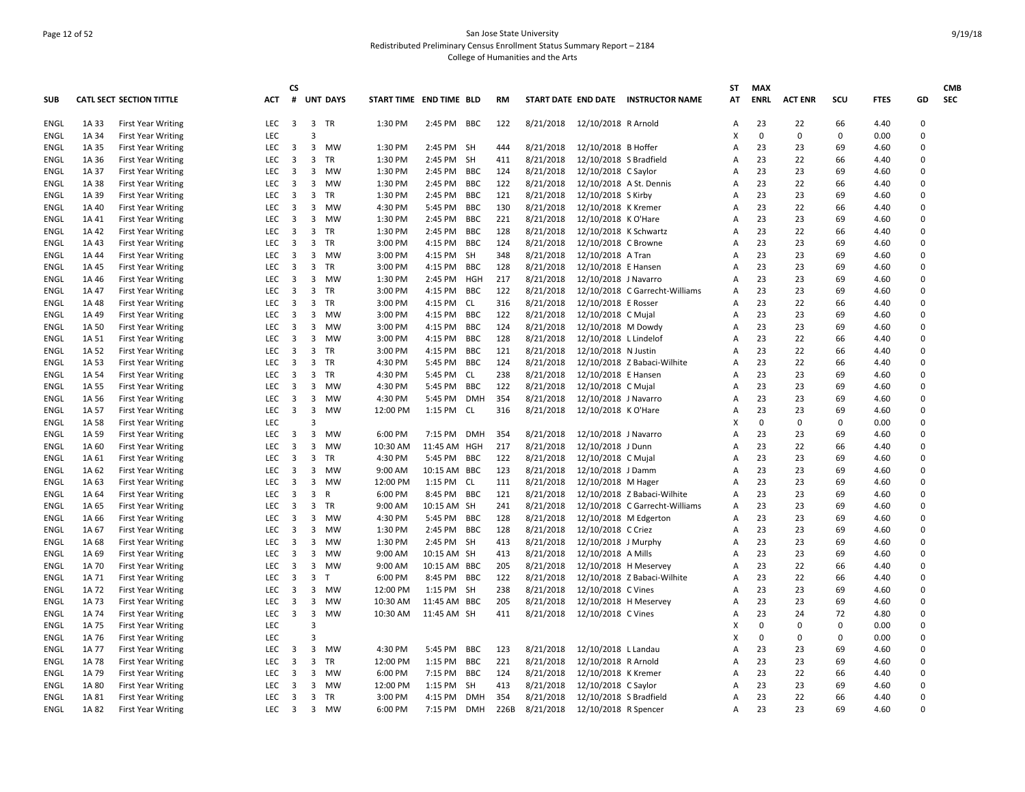## Page 12 of 52 San Jose State University Redistributed Preliminary Census Enrollment Status Summary Report – 2184 College of Humanities and the Arts

| <b>SUB</b>  |       | <b>CATL SECT SECTION TITTLE</b> | <b>ACT</b> | <b>CS</b><br>#          |                         | <b>UNT DAYS</b> | START TIME END TIME BLD |              |            | <b>RM</b> |                               |                         | START DATE END DATE INSTRUCTOR NAME | ST<br>AT | <b>MAX</b><br><b>ENRL</b> | <b>ACT ENR</b> | SCU         | <b>FTES</b> | GD                   | <b>CMB</b><br><b>SEC</b> |
|-------------|-------|---------------------------------|------------|-------------------------|-------------------------|-----------------|-------------------------|--------------|------------|-----------|-------------------------------|-------------------------|-------------------------------------|----------|---------------------------|----------------|-------------|-------------|----------------------|--------------------------|
|             |       |                                 |            |                         |                         |                 |                         |              |            |           |                               |                         |                                     |          |                           |                |             |             |                      |                          |
| <b>ENGL</b> | 1A 33 | <b>First Year Writing</b>       | <b>LEC</b> | $\overline{\mathbf{3}}$ | 3 TR                    |                 | 1:30 PM                 | 2:45 PM BBC  |            | 122       | 8/21/2018 12/10/2018 R Arnold |                         |                                     | A        | 23                        | 22             | 66          | 4.40        | $\mathbf 0$          |                          |
| ENGL        | 1A 34 | <b>First Year Writing</b>       | LEC        |                         | $\overline{3}$          |                 |                         |              |            |           |                               |                         |                                     | X        | $\mathbf 0$               | $\mathbf 0$    | 0           | 0.00        | $\Omega$             |                          |
| <b>ENGL</b> | 1A 35 | <b>First Year Writing</b>       | <b>LEC</b> | 3                       | 3                       | MW              | 1:30 PM                 | 2:45 PM SH   |            | 444       | 8/21/2018                     | 12/10/2018 B Hoffer     |                                     | Α        | 23                        | 23             | 69          | 4.60        | $\mathbf 0$          |                          |
| ENGL        | 1A 36 | <b>First Year Writing</b>       | <b>LEC</b> | 3                       | 3                       | TR              | 1:30 PM                 | 2:45 PM SH   |            | 411       | 8/21/2018                     | 12/10/2018 S Bradfield  |                                     | A        | 23                        | 22             | 66          | 4.40        | $\Omega$             |                          |
| ENGL        | 1A 37 | <b>First Year Writing</b>       | <b>LEC</b> | 3                       | 3                       | MW              | 1:30 PM                 | 2:45 PM      | <b>BBC</b> | 124       | 8/21/2018                     | 12/10/2018 C Saylor     |                                     | A        | 23                        | 23             | 69          | 4.60        | $\Omega$             |                          |
| <b>ENGL</b> | 1A 38 | <b>First Year Writing</b>       | LEC        | 3                       | 3                       | MW              | 1:30 PM                 | 2:45 PM      | <b>BBC</b> | 122       | 8/21/2018                     | 12/10/2018 A St. Dennis |                                     | A        | 23                        | 22             | 66          | 4.40        | $\Omega$             |                          |
| ENGL        | 1A 39 | <b>First Year Writing</b>       | <b>LEC</b> | 3                       | 3                       | TR              | 1:30 PM                 | 2:45 PM      | <b>BBC</b> | 121       | 8/21/2018                     | 12/10/2018 S Kirby      |                                     | A        | 23                        | 23             | 69          | 4.60        | $\Omega$             |                          |
| ENGL        | 1A 40 | <b>First Year Writing</b>       | <b>LEC</b> | 3                       | 3                       | MW              | 4:30 PM                 | 5:45 PM      | BBC        | 130       | 8/21/2018                     | 12/10/2018 K Kremer     |                                     | A        | 23                        | 22             | 66          | 4.40        | $\Omega$             |                          |
| ENGL        | 1A 41 | <b>First Year Writing</b>       | LEC        | $\overline{3}$          |                         | 3 MW            | 1:30 PM                 | 2:45 PM      | <b>BBC</b> | 221       | 8/21/2018                     | 12/10/2018 K O'Hare     |                                     | A        | 23                        | 23             | 69          | 4.60        | $\Omega$             |                          |
| ENGL        | 1A 42 | <b>First Year Writing</b>       | LEC        | $\overline{3}$          | 3                       | <b>TR</b>       | 1:30 PM                 | 2:45 PM      | <b>BBC</b> | 128       | 8/21/2018                     | 12/10/2018 K Schwartz   |                                     | A        | 23                        | 22             | 66          | 4.40        | $\Omega$             |                          |
| ENGL        | 1A 43 | <b>First Year Writing</b>       | <b>LEC</b> | $\overline{\mathbf{3}}$ | 3                       | TR              | 3:00 PM                 | 4:15 PM      | <b>BBC</b> | 124       | 8/21/2018                     | 12/10/2018 C Browne     |                                     | A        | 23                        | 23             | 69          | 4.60        | $\mathbf 0$          |                          |
| ENGL        | 1A 44 | <b>First Year Writing</b>       | <b>LEC</b> | 3                       |                         | 3 MW            | 3:00 PM                 | 4:15 PM      | <b>SH</b>  | 348       | 8/21/2018                     | 12/10/2018 A Tran       |                                     | A        | 23                        | 23             | 69          | 4.60        | $\Omega$<br>$\Omega$ |                          |
| ENGL        | 1A 45 | <b>First Year Writing</b>       | LEC        | 3                       | 3                       | TR              | 3:00 PM                 | 4:15 PM      | <b>BBC</b> | 128       | 8/21/2018                     | 12/10/2018 E Hansen     |                                     | A        | 23                        | 23             | 69          | 4.60        |                      |                          |
| ENGL        | 1A 46 | <b>First Year Writing</b>       | LEC        | 3                       |                         | 3 MW            | 1:30 PM                 | 2:45 PM      | HGH        | 217       | 8/21/2018                     | 12/10/2018 J Navarro    |                                     | A        | 23                        | 23             | 69          | 4.60        | $\Omega$             |                          |
| ENGL        | 1A 47 | <b>First Year Writing</b>       | <b>LEC</b> | 3                       | 3                       | TR              | 3:00 PM                 | 4:15 PM      | <b>BBC</b> | 122       | 8/21/2018                     |                         | 12/10/2018 C Garrecht-Williams      | A        | 23                        | 23             | 69          | 4.60        | $\Omega$             |                          |
| <b>ENGL</b> | 1A 48 | <b>First Year Writing</b>       | LEC        | 3                       | 3                       | <b>TR</b>       | 3:00 PM                 | 4:15 PM      | CL         | 316       | 8/21/2018                     | 12/10/2018 E Rosser     |                                     | A        | 23                        | 22             | 66          | 4.40        | $\Omega$             |                          |
| <b>ENGL</b> | 1A 49 | <b>First Year Writing</b>       | LEC        | $\overline{\mathbf{3}}$ | 3                       | MW              | 3:00 PM                 | 4:15 PM      | <b>BBC</b> | 122       | 8/21/2018                     | 12/10/2018 C Mujal      |                                     | Α        | 23                        | 23             | 69          | 4.60        | $\mathbf 0$          |                          |
| ENGL        | 1A 50 | <b>First Year Writing</b>       | <b>LEC</b> | 3                       | 3                       | MW              | 3:00 PM                 | 4:15 PM      | <b>BBC</b> | 124       | 8/21/2018                     | 12/10/2018 M Dowdy      |                                     | A        | 23                        | 23             | 69          | 4.60        | $\mathbf 0$          |                          |
| ENGL        | 1A 51 | <b>First Year Writing</b>       | <b>LEC</b> | 3                       | 3                       | MW              | 3:00 PM                 | 4:15 PM      | <b>BBC</b> | 128       | 8/21/2018                     | 12/10/2018 L Lindelof   |                                     | A        | 23                        | 22             | 66          | 4.40        | $\Omega$             |                          |
| <b>ENGL</b> | 1A 52 | <b>First Year Writing</b>       | <b>LEC</b> | 3                       | 3                       | TR              | 3:00 PM                 | 4:15 PM      | <b>BBC</b> | 121       | 8/21/2018                     | 12/10/2018 N Justin     |                                     | Α        | 23                        | 22             | 66          | 4.40        | $\Omega$             |                          |
| ENGL        | 1A 53 | <b>First Year Writing</b>       | <b>LEC</b> | 3                       | 3                       | TR              | 4:30 PM                 | 5:45 PM      | <b>BBC</b> | 124       | 8/21/2018                     |                         | 12/10/2018 Z Babaci-Wilhite         | A        | 23                        | 22             | 66          | 4.40        | $\mathbf 0$          |                          |
| ENGL        | 1A 54 | <b>First Year Writing</b>       | <b>LEC</b> | 3                       | 3                       | TR              | 4:30 PM                 | 5:45 PM      | CL         | 238       | 8/21/2018                     | 12/10/2018 E Hansen     |                                     | A        | 23                        | 23             | 69          | 4.60        | $\Omega$             |                          |
| ENGL        | 1A 55 | <b>First Year Writing</b>       | <b>LEC</b> | 3                       | 3                       | MW              | 4:30 PM                 | 5:45 PM      | <b>BBC</b> | 122       | 8/21/2018                     | 12/10/2018 C Mujal      |                                     | A        | 23                        | 23             | 69          | 4.60        | $\Omega$             |                          |
| <b>ENGL</b> | 1A 56 | <b>First Year Writing</b>       | LEC        | $\overline{\mathbf{3}}$ | 3                       | MW              | 4:30 PM                 | 5:45 PM      | <b>DMH</b> | 354       | 8/21/2018                     | 12/10/2018 J Navarro    |                                     | A        | 23                        | 23             | 69          | 4.60        | $\Omega$             |                          |
| ENGL        | 1A 57 | <b>First Year Writing</b>       | <b>LEC</b> | 3                       | 3                       | MW              | 12:00 PM                | 1:15 PM      | <b>CL</b>  | 316       | 8/21/2018                     | 12/10/2018 K O'Hare     |                                     | A        | 23                        | 23             | 69          | 4.60        | $\Omega$             |                          |
| <b>ENGL</b> | 1A 58 | <b>First Year Writing</b>       | LEC        |                         | $\overline{3}$          |                 |                         |              |            |           |                               |                         |                                     | X        | $\mathbf 0$               | $\mathbf 0$    | $\mathbf 0$ | 0.00        | $\mathbf 0$          |                          |
| <b>ENGL</b> | 1A 59 | <b>First Year Writing</b>       | <b>LEC</b> | 3                       | 3                       | MW              | 6:00 PM                 | 7:15 PM      | <b>DMH</b> | 354       | 8/21/2018                     | 12/10/2018 J Navarro    |                                     | A        | 23                        | 23             | 69          | 4.60        | $\Omega$             |                          |
| ENGL        | 1A 60 | <b>First Year Writing</b>       | <b>LEC</b> | 3                       | 3                       | MW              | 10:30 AM                | 11:45 AM     | HGH        | 217       | 8/21/2018                     | 12/10/2018 J Dunn       |                                     | A        | 23                        | 22             | 66          | 4.40        | $\mathbf 0$          |                          |
| ENGL        | 1A 61 | <b>First Year Writing</b>       | <b>LEC</b> | 3                       | 3                       | TR              | 4:30 PM                 | 5:45 PM      | <b>BBC</b> | 122       | 8/21/2018                     | 12/10/2018 C Mujal      |                                     | A        | 23                        | 23             | 69          | 4.60        | $\Omega$             |                          |
| ENGL        | 1A 62 | <b>First Year Writing</b>       | <b>LEC</b> | 3                       | 3                       | MW              | 9:00 AM                 | 10:15 AM     | <b>BBC</b> | 123       | 8/21/2018                     | 12/10/2018 J Damm       |                                     | A        | 23                        | 23             | 69          | 4.60        | $\Omega$             |                          |
| ENGL        | 1A 63 | <b>First Year Writing</b>       | LEC        | $\overline{\mathbf{3}}$ | 3                       | MW              | 12:00 PM                | 1:15 PM      | CL.        | 111       | 8/21/2018                     | 12/10/2018 M Hager      |                                     | Α        | 23                        | 23             | 69          | 4.60        | $\mathbf 0$          |                          |
| ENGL        | 1A 64 | <b>First Year Writing</b>       | <b>LEC</b> | 3                       | 3                       | R               | 6:00 PM                 | 8:45 PM      | <b>BBC</b> | 121       | 8/21/2018                     |                         | 12/10/2018 Z Babaci-Wilhite         | A        | 23                        | 23             | 69          | 4.60        | $\Omega$<br>$\Omega$ |                          |
| ENGL        | 1A 65 | <b>First Year Writing</b>       | LEC        | 3                       | 3                       | TR              | 9:00 AM                 | 10:15 AM SH  |            | 241       | 8/21/2018                     |                         | 12/10/2018 C Garrecht-Williams      | A        | 23                        | 23             | 69          | 4.60        | $\Omega$             |                          |
| <b>ENGL</b> | 1A 66 | <b>First Year Writing</b>       | LEC        | $\overline{\mathbf{3}}$ | 3                       | MW              | 4:30 PM                 | 5:45 PM      | BBC        | 128       | 8/21/2018                     | 12/10/2018 M Edgerton   |                                     | A        | 23                        | 23             | 69          | 4.60        |                      |                          |
| ENGL        | 1A 67 | <b>First Year Writing</b>       | <b>LEC</b> | 3                       | 3                       | MW              | 1:30 PM                 | 2:45 PM      | <b>BBC</b> | 128       | 8/21/2018                     | 12/10/2018 C Criez      |                                     | A        | 23                        | 23             | 69          | 4.60        | $\Omega$             |                          |
| ENGL        | 1A 68 | <b>First Year Writing</b>       | <b>LEC</b> | 3                       | 3                       | MW              | 1:30 PM                 | 2:45 PM SH   |            | 413       | 8/21/2018                     | 12/10/2018 J Murphy     |                                     | A        | 23                        | 23             | 69          | 4.60        | $\Omega$             |                          |
| ENGL        | 1A 69 | <b>First Year Writing</b>       | <b>LEC</b> | 3                       |                         | 3 MW            | 9:00 AM                 | 10:15 AM SH  |            | 413       | 8/21/2018                     | 12/10/2018 A Mills      |                                     | A        | 23                        | 23             | 69          | 4.60        | $\Omega$             |                          |
| ENGL        | 1A 70 | <b>First Year Writing</b>       | LEC        | $\overline{3}$          | 3                       | <b>MW</b>       | 9:00 AM                 | 10:15 AM BBC |            | 205       | 8/21/2018                     | 12/10/2018 H Meservey   |                                     | A        | 23                        | 22             | 66          | 4.40        | $\mathbf 0$          |                          |
| ENGL        | 1A 71 | <b>First Year Writing</b>       | <b>LEC</b> | 3                       | 3                       | $\top$          | 6:00 PM                 | 8:45 PM      | <b>BBC</b> | 122       | 8/21/2018                     |                         | 12/10/2018 Z Babaci-Wilhite         | A        | 23                        | 22             | 66          | 4.40        | $\Omega$             |                          |
| ENGL        | 1A 72 | <b>First Year Writing</b>       | <b>LEC</b> | 3                       | 3                       | MW              | 12:00 PM                | 1:15 PM      | <b>SH</b>  | 238       | 8/21/2018                     | 12/10/2018 C Vines      |                                     | A        | 23                        | 23             | 69          | 4.60        | $\Omega$             |                          |
| <b>ENGL</b> | 1A 73 | <b>First Year Writing</b>       | LEC        | $\overline{3}$          | $\overline{\mathbf{3}}$ | MW              | 10:30 AM                | 11:45 AM BBC |            | 205       | 8/21/2018                     | 12/10/2018 H Meservey   |                                     | A        | 23                        | 23             | 69          | 4.60        | $\mathbf 0$          |                          |
| ENGL        | 1A 74 | <b>First Year Writing</b>       | <b>LEC</b> | 3                       | 3                       | MW              | 10:30 AM                | 11:45 AM SH  |            | 411       | 8/21/2018                     | 12/10/2018 C Vines      |                                     | A        | 23                        | 24             | 72          | 4.80        | $\Omega$             |                          |
| ENGL        | 1A 75 | <b>First Year Writing</b>       | LEC        |                         | $\overline{3}$          |                 |                         |              |            |           |                               |                         |                                     | X        | 0                         | $\Omega$       | $\mathbf 0$ | 0.00        | $\Omega$             |                          |
| <b>ENGL</b> | 1A 76 | <b>First Year Writing</b>       | LEC        |                         | $\overline{3}$          |                 |                         |              |            |           |                               |                         |                                     | x        | $\Omega$                  | $\Omega$       | $\mathbf 0$ | 0.00        | $\Omega$             |                          |
| ENGL        | 1A 77 | <b>First Year Writing</b>       | <b>LEC</b> | 3                       | 3                       | MW              | 4:30 PM                 | 5:45 PM      | BBC        | 123       | 8/21/2018                     | 12/10/2018 L Landau     |                                     | A        | 23                        | 23             | 69          | 4.60        | $\mathbf 0$          |                          |
| ENGL        | 1A 78 | <b>First Year Writing</b>       | <b>LEC</b> | 3                       | 3                       | TR              | 12:00 PM                | 1:15 PM      | <b>BBC</b> | 221       | 8/21/2018                     | 12/10/2018 R Arnold     |                                     | A        | 23                        | 23             | 69          | 4.60        | $\mathbf 0$          |                          |
| ENGL        | 1A 79 | <b>First Year Writing</b>       | <b>LEC</b> | 3                       | 3                       | MW              | 6:00 PM                 | 7:15 PM      | <b>BBC</b> | 124       | 8/21/2018                     | 12/10/2018 K Kremer     |                                     | A        | 23                        | 22             | 66          | 4.40        | $\Omega$             |                          |
| ENGL        | 1A 80 | <b>First Year Writing</b>       | LEC        | 3                       | 3                       | <b>MW</b>       | 12:00 PM                | 1:15 PM      | <b>SH</b>  | 413       | 8/21/2018                     | 12/10/2018 C Saylor     |                                     | А        | 23                        | 23             | 69          | 4.60        | $\mathbf 0$          |                          |
| ENGL        | 1A 81 | <b>First Year Writing</b>       | <b>LEC</b> | 3                       | 3                       | TR              | 3:00 PM                 | 4:15 PM      | DMH        | 354       | 8/21/2018                     | 12/10/2018 S Bradfield  |                                     | A        | 23                        | 22             | 66          | 4.40        | $\mathbf 0$          |                          |
| <b>ENGL</b> | 1A 82 | <b>First Year Writing</b>       | LEC        | $\overline{\mathbf{3}}$ |                         | 3 MW            | 6:00 PM                 | 7:15 PM      | <b>DMH</b> | 226B      | 8/21/2018                     | 12/10/2018 R Spencer    |                                     | A        | 23                        | 23             | 69          | 4.60        | $\Omega$             |                          |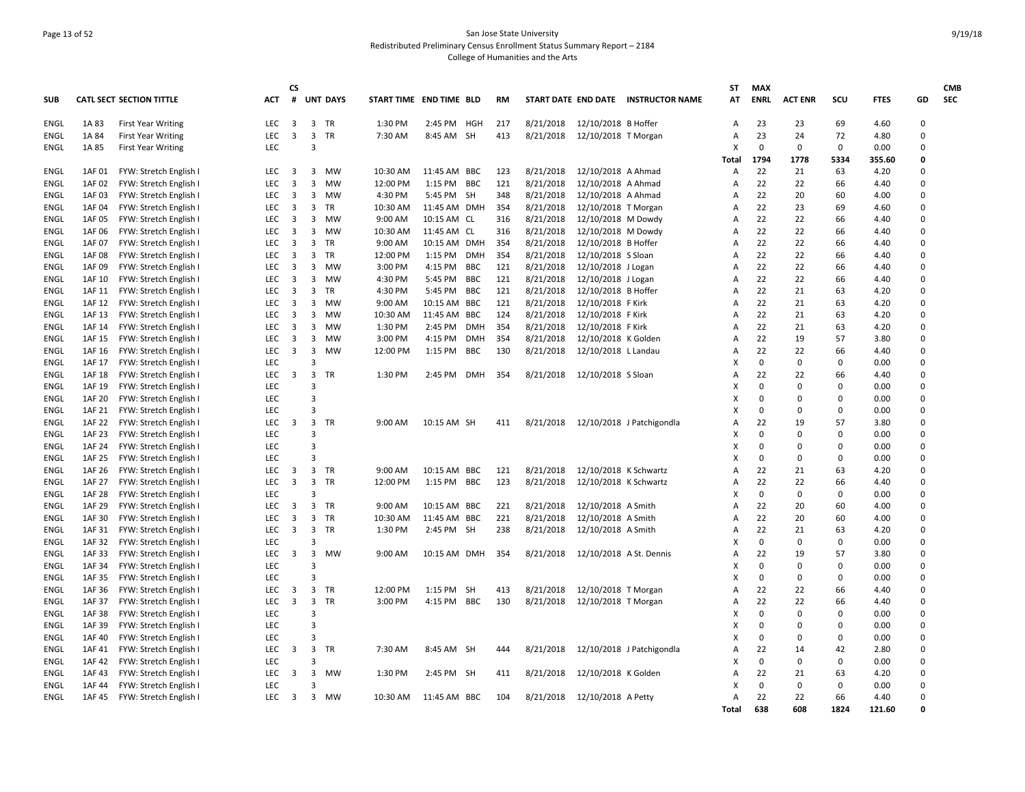## Page 13 of 52 San Jose State University Redistributed Preliminary Census Enrollment Status Summary Report – 2184 College of Humanities and the Arts

|                            |                  |                                              |                          | <b>CS</b>               |                         |                 |                         |              |            |     |           |                         |                                     | ST                  | <b>MAX</b>     |                   |                   |              |        | <b>CMB</b> |
|----------------------------|------------------|----------------------------------------------|--------------------------|-------------------------|-------------------------|-----------------|-------------------------|--------------|------------|-----|-----------|-------------------------|-------------------------------------|---------------------|----------------|-------------------|-------------------|--------------|--------|------------|
| <b>SUB</b>                 |                  | <b>CATL SECT SECTION TITTLE</b>              | <b>ACT</b>               | #                       |                         | <b>UNT DAYS</b> | START TIME END TIME BLD |              |            | RM  |           |                         | START DATE END DATE INSTRUCTOR NAME | AT                  | <b>ENRL</b>    | <b>ACT ENR</b>    | scu               | <b>FTES</b>  | GD     | <b>SEC</b> |
| <b>ENGL</b>                | 1A 83            | <b>First Year Writing</b>                    | LEC                      | 3                       | 3                       | <b>TR</b>       | 1:30 PM                 | 2:45 PM HGH  |            | 217 | 8/21/2018 | 12/10/2018 B Hoffer     |                                     | Α                   | 23             | 23                | 69                | 4.60         | 0      |            |
| <b>ENGL</b>                | 1A 84            | <b>First Year Writing</b>                    | <b>LEC</b>               | 3                       | 3                       | <b>TR</b>       | 7:30 AM                 | 8:45 AM SH   |            | 413 | 8/21/2018 | 12/10/2018 T Morgan     |                                     | Α                   | 23             | 24                | 72                | 4.80         | 0      |            |
| ENGL                       | 1A 85            | <b>First Year Writing</b>                    | LEC                      |                         | $\overline{3}$          |                 |                         |              |            |     |           |                         |                                     | x                   | $\mathbf 0$    | 0                 | 0                 | 0.00         | 0      |            |
|                            |                  |                                              |                          |                         |                         |                 |                         |              |            |     |           |                         |                                     | Total               | 1794           | 1778              | 5334              | 355.60       | 0      |            |
| ENGL                       | 1AF 01           | FYW: Stretch English I                       | <b>LEC</b>               | 3                       | 3                       | <b>MW</b>       | 10:30 AM                | 11:45 AM     | <b>BBC</b> | 123 | 8/21/2018 | 12/10/2018 A Ahmad      |                                     | A                   | 22             | 21                | 63                | 4.20         | 0      |            |
| <b>ENGL</b>                | 1AF 02           | FYW: Stretch English I                       | LEC                      | 3                       | 3                       | <b>MW</b>       | 12:00 PM                | 1:15 PM      | <b>BBC</b> | 121 | 8/21/2018 | 12/10/2018 A Ahmad      |                                     | A                   | 22             | 22                | 66                | 4.40         | 0      |            |
| <b>ENGL</b>                | 1AF 03           | FYW: Stretch English I                       | <b>LEC</b>               | 3                       | 3                       | <b>MW</b>       | 4:30 PM                 | 5:45 PM      | <b>SH</b>  | 348 | 8/21/2018 | 12/10/2018 A Ahmad      |                                     | $\overline{A}$      | 22             | 20                | 60                | 4.00         | 0      |            |
| <b>ENGL</b>                | 1AF 04           | FYW: Stretch English                         | <b>LEC</b>               | 3                       | 3                       | <b>TR</b>       | 10:30 AM                | 11:45 AM DMH |            | 354 | 8/21/2018 | 12/10/2018 T Morgan     |                                     | A                   | 22             | 23                | 69                | 4.60         | 0      |            |
| <b>ENGL</b>                | 1AF 05           | FYW: Stretch English                         | LEC                      | 3                       | 3                       | MW              | 9:00 AM                 | 10:15 AM CL  |            | 316 | 8/21/2018 | 12/10/2018 M Dowdy      |                                     | А                   | 22             | 22                | 66                | 4.40         | 0      |            |
| ENGL                       | 1AF 06           | FYW: Stretch English I                       | LEC                      | 3                       | 3                       | <b>MW</b>       | 10:30 AM                | 11:45 AM CL  |            | 316 | 8/21/2018 | 12/10/2018 M Dowdy      |                                     | Α                   | 22             | 22                | 66                | 4.40         | 0      |            |
| ENGL                       | 1AF 07           | FYW: Stretch English I                       | LEC                      | 3                       | 3                       | TR              | 9:00 AM                 | 10:15 AM     | DMH        | 354 | 8/21/2018 | 12/10/2018 B Hoffer     |                                     | A                   | 22             | 22                | 66                | 4.40         | 0      |            |
| ENGL                       | 1AF 08           | FYW: Stretch English                         | <b>LEC</b>               | 3                       | 3                       | TR              | 12:00 PM                | 1:15 PM      | <b>DMH</b> | 354 | 8/21/2018 | 12/10/2018 S Sloan      |                                     | Α                   | 22             | 22                | 66                | 4.40         | 0      |            |
| ENGL                       | 1AF 09           | FYW: Stretch English                         | <b>LEC</b>               | 3                       | 3                       | MW              | 3:00 PM                 | 4:15 PM      | BBC        | 121 | 8/21/2018 | 12/10/2018 J Logan      |                                     | A                   | 22             | 22                | 66                | 4.40         | 0      |            |
| ENGL                       | 1AF 10           | FYW: Stretch English I                       | <b>LEC</b>               | 3                       | 3                       | MW              | 4:30 PM                 | 5:45 PM      | BBC        | 121 | 8/21/2018 | 12/10/2018 J Logan      |                                     | A                   | 22             | 22                | 66                | 4.40         | 0      |            |
| ENGL                       | 1AF 11           | FYW: Stretch English I                       | LEC                      | 3                       | 3                       | TR              | 4:30 PM                 | 5:45 PM      | <b>BBC</b> | 121 | 8/21/2018 | 12/10/2018 B Hoffer     |                                     | A                   | 22             | 21                | 63                | 4.20         | 0      |            |
| <b>ENGL</b>                | 1AF 12           | FYW: Stretch English                         | <b>LEC</b>               | 3                       | 3                       | MW              | 9:00 AM                 | 10:15 AM     | <b>BBC</b> | 121 | 8/21/2018 | 12/10/2018 F Kirk       |                                     | A                   | 22             | 21                | 63                | 4.20         | 0      |            |
| ENGL                       | 1AF 13           | FYW: Stretch English I                       | LEC                      | 3                       | 3                       | <b>MW</b>       | 10:30 AM                | 11:45 AM     | <b>BBC</b> | 124 | 8/21/2018 | 12/10/2018 F Kirk       |                                     | A                   | 22             | 21                | 63                | 4.20         | 0      |            |
| <b>ENGL</b>                | 1AF 14           | FYW: Stretch English                         | LEC                      | 3                       | 3                       | MW              | 1:30 PM                 | 2:45 PM      | <b>DMH</b> | 354 | 8/21/2018 | 12/10/2018 F Kirk       |                                     | A                   | 22             | 21                | 63                | 4.20         | 0      |            |
| ENGL                       | 1AF 15           | FYW: Stretch English                         | <b>LEC</b>               | 3                       | 3                       | MW              | 3:00 PM                 | 4:15 PM      | <b>DMH</b> | 354 | 8/21/2018 | 12/10/2018 K Golden     |                                     | A                   | 22             | 19                | 57                | 3.80         | 0      |            |
| ENGL                       | 1AF 16           | FYW: Stretch English I                       | <b>LEC</b>               | 3                       | 3                       | MW              | 12:00 PM                | 1:15 PM      | BBC        | 130 | 8/21/2018 | 12/10/2018 L Landau     |                                     | A                   | 22             | 22                | 66                | 4.40         | 0      |            |
| <b>ENGL</b>                | 1AF 17           | FYW: Stretch English I                       | LEC                      |                         | $\overline{\mathbf{3}}$ |                 |                         |              |            |     |           |                         |                                     | x                   | $\Omega$       | $\mathbf 0$       | 0                 | 0.00         | 0      |            |
| <b>ENGL</b>                | 1AF 18           | FYW: Stretch English I                       | <b>LEC</b>               | 3                       | 3                       | <b>TR</b>       | 1:30 PM                 | 2:45 PM      | <b>DMH</b> | 354 | 8/21/2018 | 12/10/2018 S Sloan      |                                     | A                   | 22             | 22                | 66                | 4.40         | 0      |            |
| <b>ENGL</b>                | 1AF 19           | FYW: Stretch English I                       | LEC                      |                         | $\overline{3}$          |                 |                         |              |            |     |           |                         |                                     | x                   | $\mathbf 0$    | $\mathbf 0$       | $\Omega$          | 0.00         | 0      |            |
| <b>ENGL</b>                | 1AF 20           | FYW: Stretch English I                       | LEC                      |                         | $\overline{3}$          |                 |                         |              |            |     |           |                         |                                     | X                   | $\Omega$       | $\Omega$          | $\Omega$          | 0.00         | 0      |            |
| ENGL                       | 1AF 21           | FYW: Stretch English I                       | LEC                      |                         | $\overline{3}$          |                 |                         |              |            |     |           |                         |                                     | x                   | 0              | $\mathbf 0$       | $\mathbf 0$       | 0.00         | 0      |            |
| ENGL                       | 1AF 22           | FYW: Stretch English                         | <b>LEC</b>               | 3                       |                         | 3 TR            | 9:00 AM                 | 10:15 AM SH  |            | 411 | 8/21/2018 |                         | 12/10/2018 J Patchigondla           | A                   | 22             | 19                | 57                | 3.80         | 0      |            |
| ENGL                       | 1AF 23           | FYW: Stretch English I                       | LEC                      |                         | $\overline{3}$          |                 |                         |              |            |     |           |                         |                                     | x                   | $\Omega$       | 0                 | $\Omega$          | 0.00         | 0      |            |
| ENGL                       | 1AF 24           | FYW: Stretch English I                       | LEC                      |                         | $\overline{3}$          |                 |                         |              |            |     |           |                         |                                     | x                   | $\Omega$       | $\mathbf 0$       | 0                 | 0.00         | 0      |            |
| <b>ENGL</b>                | 1AF 25           | FYW: Stretch English                         | LEC                      |                         | $\overline{3}$          |                 |                         |              |            |     |           |                         |                                     | x                   | $\Omega$       | 0                 | 0                 | 0.00         | 0      |            |
| ENGL                       | 1AF 26           | FYW: Stretch English                         | <b>LEC</b>               | 3                       | 3                       | TR              | 9:00 AM                 | 10:15 AM     | <b>BBC</b> | 121 | 8/21/2018 | 12/10/2018 K Schwartz   |                                     | A                   | 22             | 21                | 63                | 4.20         | 0      |            |
| ENGL                       | 1AF 27           | FYW: Stretch English I                       | <b>LEC</b>               | 3                       | $\overline{3}$          | <b>TR</b>       | 12:00 PM                | 1:15 PM      | <b>BBC</b> | 123 | 8/21/2018 | 12/10/2018 K Schwartz   |                                     | A                   | 22             | 22                | 66                | 4.40         | 0      |            |
| ENGL                       | 1AF 28           | FYW: Stretch English                         | LEC                      |                         | $\overline{3}$          |                 |                         |              |            |     |           |                         |                                     | x                   | $\mathbf 0$    | 0                 | 0                 | 0.00         | 0<br>0 |            |
| ENGL                       | 1AF 29           | FYW: Stretch English                         | <b>LEC</b>               | 3                       | 3                       | TR              | 9:00 AM                 | 10:15 AM     | <b>BBC</b> | 221 | 8/21/2018 | 12/10/2018 A Smith      |                                     | A                   | 22             | 20                | 60                | 4.00         | 0      |            |
| ENGL                       | 1AF 30           | FYW: Stretch English I                       | <b>LEC</b>               | 3                       | 3                       | <b>TR</b>       | 10:30 AM                | 11:45 AM     | <b>BBC</b> | 221 | 8/21/2018 | 12/10/2018 A Smith      |                                     | A                   | 22             | 20                | 60                | 4.00         |        |            |
| <b>ENGL</b><br><b>ENGL</b> | 1AF 31           | FYW: Stretch English I                       | <b>LEC</b><br>LEC        | 3                       | 3<br>$\overline{3}$     | <b>TR</b>       | 1:30 PM                 | 2:45 PM SH   |            | 238 | 8/21/2018 | 12/10/2018 A Smith      |                                     | $\overline{A}$<br>X | 22<br>$\Omega$ | 21<br>$\mathbf 0$ | 63<br>$\Omega$    | 4.20<br>0.00 | 0<br>0 |            |
| <b>ENGL</b>                | 1AF 32<br>1AF 33 | FYW: Stretch English I                       | <b>LEC</b>               | 3                       | $\overline{3}$          | <b>MW</b>       | 9:00 AM                 |              |            | 354 |           |                         |                                     | A                   | 22             | 19                | 57                | 3.80         | 0      |            |
| <b>ENGL</b>                | 1AF 34           | FYW: Stretch English                         | LEC                      |                         | $\overline{\mathbf{3}}$ |                 |                         | 10:15 AM DMH |            |     | 8/21/2018 | 12/10/2018 A St. Dennis |                                     | x                   | $\Omega$       | $\Omega$          | $\Omega$          | 0.00         | 0      |            |
| <b>ENGL</b>                | 1AF 35           | FYW: Stretch English I                       | LEC                      |                         | $\overline{\mathbf{3}}$ |                 |                         |              |            |     |           |                         |                                     | X                   | $\Omega$       | 0                 | $\Omega$          | 0.00         | 0      |            |
|                            |                  | FYW: Stretch English I                       |                          |                         | 3                       |                 |                         |              |            |     |           |                         |                                     |                     | 22             | 22                |                   |              | 0      |            |
| ENGL                       | 1AF 36           | FYW: Stretch English                         | <b>LEC</b><br><b>LEC</b> | 3<br>3                  | 3                       | TR<br>TR        | 12:00 PM                | 1:15 PM      | SH         | 413 | 8/21/2018 | 12/10/2018 T Morgan     |                                     | A                   | 22             | 22                | 66<br>66          | 4.40         | 0      |            |
| ENGL                       | 1AF 37           | FYW: Stretch English I                       | LEC                      |                         | $\overline{3}$          |                 | 3:00 PM                 | 4:15 PM      | BBC        | 130 | 8/21/2018 | 12/10/2018 T Morgan     |                                     | Α<br>x              | 0              | 0                 | $\Omega$          | 4.40         | 0      |            |
| ENGL                       | 1AF 38           | FYW: Stretch English I                       | LEC                      |                         | $\overline{3}$          |                 |                         |              |            |     |           |                         |                                     | X                   | $\Omega$       | 0                 | $\Omega$          | 0.00         | 0      |            |
| ENGL<br>ENGL               | 1AF 39<br>1AF 40 | FYW: Stretch English                         | <b>LEC</b>               |                         | $\overline{3}$          |                 |                         |              |            |     |           |                         |                                     | x                   | $\Omega$       | 0                 | $\Omega$          | 0.00<br>0.00 | 0      |            |
|                            |                  | FYW: Stretch English I                       |                          |                         |                         |                 |                         |              |            |     |           |                         |                                     |                     |                |                   |                   |              | 0      |            |
| ENGL                       | 1AF 41           | FYW: Stretch English I                       | <b>LEC</b><br>LEC        | 3                       | 3<br>$\overline{3}$     | TR              | 7:30 AM                 | 8:45 AM SH   |            | 444 | 8/21/2018 |                         | 12/10/2018 J Patchigondla           | A<br>x              | 22<br>0        | 14<br>0           | 42<br>$\mathbf 0$ | 2.80         | 0      |            |
| ENGL<br>ENGL               | 1AF 42<br>1AF 43 | FYW: Stretch English<br>FYW: Stretch English | <b>LEC</b>               | 3                       | 3                       | MW              | 1:30 PM                 | 2:45 PM SH   |            | 411 | 8/21/2018 | 12/10/2018 K Golden     |                                     | A                   | 22             | 21                | 63                | 0.00<br>4.20 | 0      |            |
| ENGL                       | 1AF 44           | FYW: Stretch English                         | LEC                      |                         | $\overline{3}$          |                 |                         |              |            |     |           |                         |                                     |                     | $\mathbf 0$    | $\mathbf 0$       | $\Omega$          | 0.00         | 0      |            |
| <b>ENGL</b>                | 1AF 45           | FYW: Stretch English I                       | <b>LEC</b>               | $\overline{\mathbf{3}}$ | $\overline{3}$          | MW              | 10:30 AM                | 11:45 AM BBC |            | 104 | 8/21/2018 | 12/10/2018 A Petty      |                                     | Α                   | 22             | 22                | 66                | 4.40         | 0      |            |
|                            |                  |                                              |                          |                         |                         |                 |                         |              |            |     |           |                         |                                     | Total               | 638            | 608               | 1824              | 121.60       | n      |            |
|                            |                  |                                              |                          |                         |                         |                 |                         |              |            |     |           |                         |                                     |                     |                |                   |                   |              |        |            |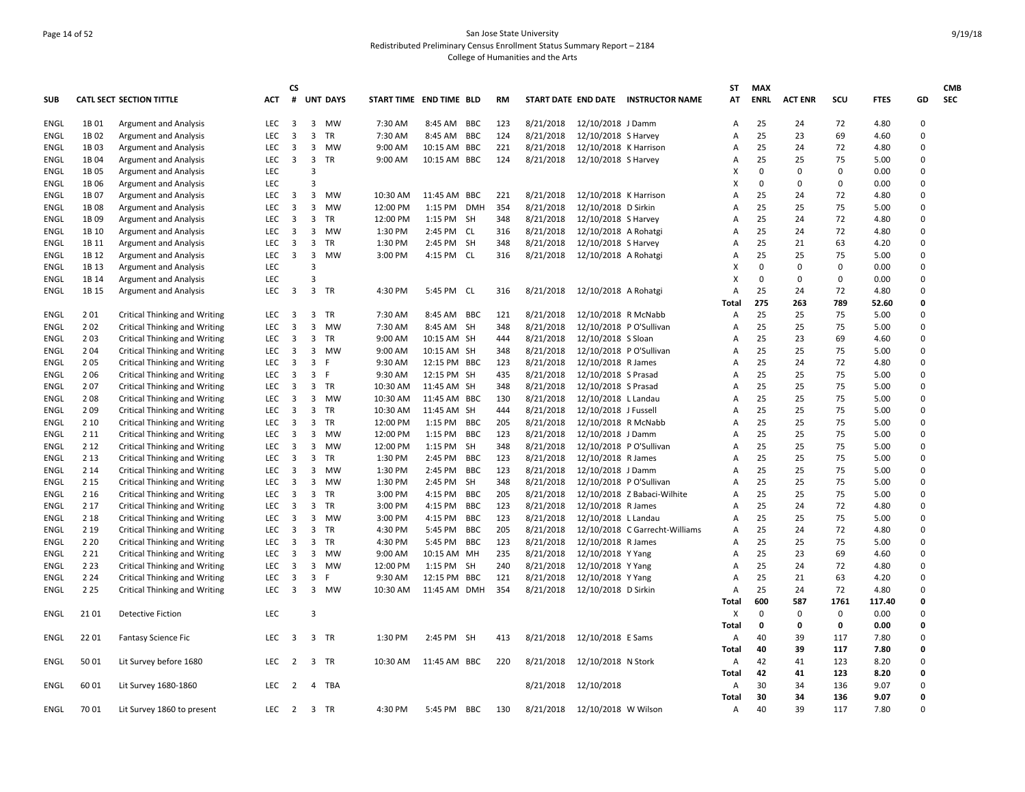## Page 14 of 52 San Jose State University Redistributed Preliminary Census Enrollment Status Summary Report – 2184 College of Humanities and the Arts

| <b>CATL SECT SECTION TITTLE</b><br>START TIME END TIME BLD<br>START DATE END DATE INSTRUCTOR NAME<br>25<br>3<br>MW<br>8:45 AM<br><b>BBC</b><br>123<br>8/21/2018<br>12/10/2018 J Damm<br>72<br>0<br><b>ENGL</b><br>1B01<br><b>Argument and Analysis</b><br><b>LEC</b><br>3<br>7:30 AM<br>24<br>4.80<br>A<br><b>Argument and Analysis</b><br><b>LEC</b><br>3<br>3<br>TR<br>7:30 AM<br>8:45 AM<br>124<br>8/21/2018<br>12/10/2018 S Harvey<br>25<br>23<br>69<br>0<br>ENGL<br>1B 02<br>BBC<br>A<br>4.60<br>25<br>LEC<br>3<br>3<br>221<br>8/21/2018<br>12/10/2018 K Harrison<br>24<br>72<br>4.80<br>0<br>ENGL<br>1B03<br><b>Argument and Analysis</b><br>MW<br>9:00 AM<br>10:15 AM<br>BBC<br>A<br>LEC<br>3<br>3<br>124<br>8/21/2018<br>12/10/2018 S Harvey<br>25<br>25<br>75<br>5.00<br>0<br>1B 04<br><b>Argument and Analysis</b><br>TR<br>9:00 AM<br>10:15 AM BBC<br>ENGL<br>A<br>$\overline{3}$<br>1B 05<br><b>Argument and Analysis</b><br><b>LEC</b><br>0<br>0<br>$\Omega$<br>0.00<br>0<br>ENGL<br>x<br>$\overline{3}$<br>0<br>LEC<br>0<br>0<br>0<br>0.00<br><b>ENGL</b><br>1B06<br><b>Argument and Analysis</b><br>3<br>1B 07<br><b>Argument and Analysis</b><br><b>LEC</b><br>3<br>MW<br>10:30 AM<br>11:45 AM<br>221<br>8/21/2018<br>12/10/2018 K Harrison<br>25<br>24<br>72<br>4.80<br>0<br>ENGL<br>BBC<br>A<br>354<br>25<br>75<br>LEC<br>3<br>3<br>MW<br>8/21/2018<br>25<br>5.00<br>0<br>ENGL<br>1B08<br><b>Argument and Analysis</b><br>12:00 PM<br>1:15 PM<br><b>DMF</b><br>12/10/2018 D Sirkin<br>Α<br>LEC<br>3<br>25<br>24<br>72<br>0<br>1B <sub>09</sub><br><b>Argument and Analysis</b><br>3<br>TR<br>12:00 PM<br>1:15 PM SH<br>348<br>8/21/2018<br>12/10/2018 S Harvey<br>4.80<br>ENGL<br>A<br>LEC<br>3<br>1:30 PM<br>8/21/2018<br>12/10/2018 A Rohatgi<br>25<br>24<br>72<br>0<br><b>ENGL</b><br>1B 10<br><b>Argument and Analysis</b><br>3<br><b>MW</b><br>2:45 PM CL<br>316<br>4.80<br>A<br>25<br>LEC<br>3<br>3<br>TR<br>1:30 PM<br>2:45 PM SH<br>8/21/2018<br>12/10/2018 S Harvey<br>21<br>63<br>4.20<br>0<br><b>ENGL</b><br>1B 11<br><b>Argument and Analysis</b><br>348<br>A<br>3<br>25<br>1B 12<br><b>Argument and Analysis</b><br><b>LEC</b><br>3<br>MW<br>3:00 PM<br>4:15 PM CL<br>316<br>8/21/2018<br>12/10/2018 A Rohatgi<br>25<br>75<br>5.00<br>0<br>ENGL<br>A<br>$\overline{3}$<br>$\mathbf 0$<br>0<br>LEC<br>0<br>0<br>0.00<br>ENGL<br>1B 13<br><b>Argument and Analysis</b><br>x<br>LEC<br>$\overline{3}$<br>$\Omega$<br>$\mathbf 0$<br>0<br>0<br>1B 14<br><b>Argument and Analysis</b><br>0.00<br>ENGL<br>LEC<br>$\overline{\mathbf{3}}$<br>3<br>12/10/2018 A Rohatgi<br>25<br>72<br><b>ENGL</b><br>1B 15<br><b>Argument and Analysis</b><br>TR<br>4:30 PM<br>5:45 PM CL<br>316<br>8/21/2018<br>$\overline{A}$<br>24<br>4.80<br>0<br>0<br>275<br>263<br>789<br>52.60<br>Total<br>25<br><b>ENGL</b><br>201<br>Critical Thinking and Writing<br><b>LEC</b><br>3<br>TR<br>7:30 AM<br>8:45 AM<br>BBC<br>121<br>8/21/2018<br>12/10/2018 R McNabb<br>25<br>75<br>5.00<br>0<br>3<br>A<br>3<br>25<br>25<br>75<br>202<br>Critical Thinking and Writing<br><b>LEC</b><br>3<br><b>MW</b><br>7:30 AM<br>8:45 AM SH<br>348<br>8/21/2018<br>12/10/2018 P O'Sullivan<br>5.00<br>0<br>ENGL<br>A<br>203<br>3<br>8/21/2018<br>25<br>23<br>69<br>0<br>Critical Thinking and Writing<br><b>LEC</b><br>3<br>TR<br>9:00 AM<br>10:15 AM SH<br>444<br>12/10/2018 S Sloan<br>4.60<br>ENGL<br>A<br>2 0 4<br><b>Critical Thinking and Writing</b><br>LEC<br>3<br>9:00 AM<br>10:15 AM SH<br>8/21/2018<br>12/10/2018 P O'Sullivan<br>25<br>25<br>75<br>5.00<br>0<br><b>ENGL</b><br>3<br><b>MW</b><br>348<br>A<br>25<br>0<br>205<br><b>LEC</b><br>3<br>3<br>9:30 AM<br>123<br>8/21/2018<br>12/10/2018 R James<br>24<br>72<br>ENGL<br>Critical Thinking and Writing<br>-F<br>12:15 PM BBC<br>4.80<br>A<br>25<br>206<br>Critical Thinking and Writing<br>LEC<br>3<br>3<br>-F<br>9:30 AM<br>12:15 PM SH<br>435<br>8/21/2018<br>12/10/2018 S Prasad<br>25<br>75<br>5.00<br>0<br>ENGL<br>A<br>25<br>207<br>Critical Thinking and Writing<br><b>LEC</b><br>3<br>3<br>TR<br>10:30 AM<br>11:45 AM SH<br>348<br>8/21/2018<br>12/10/2018 S Prasad<br>25<br>75<br>5.00<br>0<br>ENGL<br>A<br>LEC<br>$\mathbf{3}$<br>10:30 AM<br>8/21/2018<br>25<br>25<br>75<br>0<br>208<br>Critical Thinking and Writing<br>3<br>MW<br>11:45 AM BBC<br>130<br>12/10/2018 L Landau<br>5.00<br>ENGL<br>A<br>209<br>LEC<br>3<br><b>TR</b><br>10:30 AM<br>8/21/2018<br>25<br>25<br>75<br>0<br><b>ENGL</b><br><b>Critical Thinking and Writing</b><br>3<br>11:45 AM<br>SH<br>444<br>12/10/2018 J Fussell<br>5.00<br>A<br>25<br>25<br>75<br>0<br>2 10<br><b>Critical Thinking and Writing</b><br><b>LEC</b><br>3<br>3<br>TR<br>12:00 PM<br>205<br>8/21/2018<br>12/10/2018 R McNabb<br>5.00<br>ENGL<br>1:15 PM<br>BBC<br>A<br>25<br>2 1 1<br><b>Critical Thinking and Writing</b><br><b>LEC</b><br>3<br>3<br>MW<br>12:00 PM<br>1:15 PM<br>BBC<br>123<br>8/21/2018<br>12/10/2018 J Damm<br>25<br>75<br>5.00<br>0<br>ENGL<br>A<br>25<br>25<br>2 1 2<br>Critical Thinking and Writing<br><b>LEC</b><br>3<br>3<br>MW<br>12:00 PM<br>1:15 PM SH<br>348<br>8/21/2018<br>12/10/2018 P O'Sullivan<br>75<br>5.00<br>0<br>ENGL<br>A<br>25<br>3<br><b>TR</b><br>8/21/2018<br>25<br>75<br>0<br>2 1 3<br>Critical Thinking and Writing<br><b>LEC</b><br>3<br>1:30 PM<br>2:45 PM<br><b>BBC</b><br>123<br>12/10/2018 R James<br>5.00<br>ENGL<br>A<br>2 1 4<br>LEC<br>3<br>1:30 PM<br>123<br>8/21/2018<br>25<br>25<br>75<br>0<br><b>ENGL</b><br><b>Critical Thinking and Writing</b><br>3<br>MW<br>2:45 PM<br><b>BBC</b><br>12/10/2018 J Damm<br>5.00<br>A<br>25<br>25<br>0<br>2 1 5<br><b>LEC</b><br>3<br>3<br>1:30 PM<br>8/21/2018<br>12/10/2018 P O'Sullivan<br>75<br>ENGL<br>Critical Thinking and Writing<br>MW<br>2:45 PM<br>SH<br>348<br>5.00<br>A<br>2 1 6<br>3<br>3:00 PM<br>205<br>8/21/2018<br>25<br>25<br>75<br>0<br>Critical Thinking and Writing<br><b>LEC</b><br>3<br>TR<br>4:15 PM<br><b>BBC</b><br>12/10/2018 Z Babaci-Wilhite<br>5.00<br>ENGL<br>Α<br>3<br>25<br>72<br>2 1 7<br>Critical Thinking and Writing<br><b>LEC</b><br>3<br>TR<br>3:00 PM<br>4:15 PM<br><b>BBC</b><br>123<br>8/21/2018<br>12/10/2018 R James<br>24<br>4.80<br>0<br>ENGL<br>A<br>25<br>2 1 8<br><b>LEC</b><br>3<br>3<br>123<br>8/21/2018<br>25<br>75<br>5.00<br>0<br><b>Critical Thinking and Writing</b><br>MW<br>3:00 PM<br>4:15 PM<br><b>BBC</b><br>12/10/2018 L Landau<br>ENGL<br>A<br>2 1 9<br><b>Critical Thinking and Writing</b><br>LEC<br>3<br>3<br>TR<br>4:30 PM<br>205<br>8/21/2018<br>25<br>24<br>72<br>4.80<br>0<br>5:45 PM<br><b>BBC</b><br>12/10/2018 C Garrecht-Williams<br>ENGL<br>A<br>25<br>75<br>0<br>2 2 0<br><b>LEC</b><br>3<br>3<br>TR<br>4:30 PM<br>123<br>8/21/2018<br>25<br>ENGL<br>Critical Thinking and Writing<br>5:45 PM<br>BBC<br>12/10/2018 R James<br>5.00<br>A<br>8/21/2018<br>25<br>23<br>0<br>2 2 1<br>Critical Thinking and Writing<br>LEC<br>3<br>MW<br>9:00 AM<br>MH<br>235<br>12/10/2018 Y Yang<br>69<br>ENGL<br>3<br>10:15 AM<br>A<br>4.60<br>2 2 3<br>Critical Thinking and Writing<br>LEC<br>3<br>3<br>MW<br>12:00 PM<br>1:15 PM SH<br>240<br>8/21/2018<br>12/10/2018 Y Yang<br>25<br>24<br>72<br>4.80<br>0<br>ENGL<br>A<br>25<br>2 2 4<br>3<br>121<br>8/21/2018<br>21<br>63<br>0<br><b>Critical Thinking and Writing</b><br><b>LEC</b><br>3<br>-F<br>9:30 AM<br>12:15 PM BBC<br>12/10/2018 Y Yang<br>4.20<br>ENGL<br>A<br>25<br>2 2 5<br><b>Critical Thinking and Writing</b><br>LEC<br>3<br>3<br>MW<br>10:30 AM<br>11:45 AM DMH<br>354<br>8/21/2018<br>12/10/2018 D Sirkin<br>24<br>72<br>4.80<br>$\Omega$<br>ENGL<br>A<br>600<br>587<br>1761<br>117.40<br>0<br>Total<br>LEC<br>$\overline{3}$<br>$\mathbf 0$<br>0<br>21 01<br>X<br>0<br>0<br>0.00<br>ENGL<br><b>Detective Fiction</b><br>Total<br>0<br>0<br>0<br>0.00<br>0<br>3 TR<br>8/21/2018<br>12/10/2018 E Sams<br>39<br>0<br>22 01<br><b>Fantasy Science Fic</b><br><b>LEC</b><br>3<br>1:30 PM<br>2:45 PM SH<br>413<br>40<br>117<br>7.80<br>ENGL<br>Α<br>40<br>39<br>117<br>7.80<br>0<br>Total<br>50 01<br>Lit Survey before 1680<br><b>LEC</b><br>$\overline{2}$<br>3 TR<br>10:30 AM<br>11:45 AM BBC<br>220<br>8/21/2018<br>12/10/2018 N Stork<br>42<br>41<br>123<br>8.20<br>0<br>ENGL<br>A<br>42<br>41<br>123<br>8.20<br>0<br>Total<br>30<br>ENGL<br>60 01<br>Lit Survey 1680-1860<br><b>LEC</b><br>2<br>4<br>TBA<br>8/21/2018<br>12/10/2018<br>34<br>136<br>9.07<br>0<br>A<br>0<br>30<br>136<br>9.07<br>34<br>Total<br>ENGL<br>70 01<br>LEC<br>$\overline{2}$<br>4:30 PM<br>5:45 PM<br>BBC<br>130<br>8/21/2018<br>12/10/2018 W Wilson<br>40<br>39<br>117<br>7.80<br>0<br>Lit Survey 1860 to present<br>3 TR<br>Α |            |  | <b>ACT</b> | <b>CS</b> | <b>UNT DAYS</b> |  | <b>RM</b> |  | ST<br>AT | <b>MAX</b><br><b>ENRL</b> | <b>ACT ENR</b> |     | <b>FTES</b> |    | <b>CMB</b><br><b>SEC</b> |
|----------------------------------------------------------------------------------------------------------------------------------------------------------------------------------------------------------------------------------------------------------------------------------------------------------------------------------------------------------------------------------------------------------------------------------------------------------------------------------------------------------------------------------------------------------------------------------------------------------------------------------------------------------------------------------------------------------------------------------------------------------------------------------------------------------------------------------------------------------------------------------------------------------------------------------------------------------------------------------------------------------------------------------------------------------------------------------------------------------------------------------------------------------------------------------------------------------------------------------------------------------------------------------------------------------------------------------------------------------------------------------------------------------------------------------------------------------------------------------------------------------------------------------------------------------------------------------------------------------------------------------------------------------------------------------------------------------------------------------------------------------------------------------------------------------------------------------------------------------------------------------------------------------------------------------------------------------------------------------------------------------------------------------------------------------------------------------------------------------------------------------------------------------------------------------------------------------------------------------------------------------------------------------------------------------------------------------------------------------------------------------------------------------------------------------------------------------------------------------------------------------------------------------------------------------------------------------------------------------------------------------------------------------------------------------------------------------------------------------------------------------------------------------------------------------------------------------------------------------------------------------------------------------------------------------------------------------------------------------------------------------------------------------------------------------------------------------------------------------------------------------------------------------------------------------------------------------------------------------------------------------------------------------------------------------------------------------------------------------------------------------------------------------------------------------------------------------------------------------------------------------------------------------------------------------------------------------------------------------------------------------------------------------------------------------------------------------------------------------------------------------------------------------------------------------------------------------------------------------------------------------------------------------------------------------------------------------------------------------------------------------------------------------------------------------------------------------------------------------------------------------------------------------------------------------------------------------------------------------------------------------------------------------------------------------------------------------------------------------------------------------------------------------------------------------------------------------------------------------------------------------------------------------------------------------------------------------------------------------------------------------------------------------------------------------------------------------------------------------------------------------------------------------------------------------------------------------------------------------------------------------------------------------------------------------------------------------------------------------------------------------------------------------------------------------------------------------------------------------------------------------------------------------------------------------------------------------------------------------------------------------------------------------------------------------------------------------------------------------------------------------------------------------------------------------------------------------------------------------------------------------------------------------------------------------------------------------------------------------------------------------------------------------------------------------------------------------------------------------------------------------------------------------------------------------------------------------------------------------------------------------------------------------------------------------------------------------------------------------------------------------------------------------------------------------------------------------------------------------------------------------------------------------------------------------------------------------------------------------------------------------------------------------------------------------------------------------------------------------------------------------------------------------------------------------------------------------------------------------------------------------------------------------------------------------------------------------------------------------------------------------------------------------------------------------------------------------------------------------------------------------------------------------------------------------------------------------------------------------------------------------------------------------------------------------------------------------------------------------------------------------------------------------------------------------------------------------------------------------------------------------------------------------------------------------------------------------------------------------------------------------------------------------------------------------------------------------------------------------------------------------------------------------------------------------------------------------------------------------------------------------------------------------------------------------------------------------------------------------------------------------------------------------------------------------------------------------------------------------------------------------------------------------------------------------------------------------------------------------------------------------------------------------------------------------------------------------------------------------------------------------------------------------------------------------------------------------------------------------------------------------------------------------------------------------------------------------------------------------------------------------------------------------------------------------------------------------------------------------------------------------------------------------------------------------------------------------------------------------------------------------------------------------------------------------------------------------------------------------------------------------------------------------|------------|--|------------|-----------|-----------------|--|-----------|--|----------|---------------------------|----------------|-----|-------------|----|--------------------------|
|                                                                                                                                                                                                                                                                                                                                                                                                                                                                                                                                                                                                                                                                                                                                                                                                                                                                                                                                                                                                                                                                                                                                                                                                                                                                                                                                                                                                                                                                                                                                                                                                                                                                                                                                                                                                                                                                                                                                                                                                                                                                                                                                                                                                                                                                                                                                                                                                                                                                                                                                                                                                                                                                                                                                                                                                                                                                                                                                                                                                                                                                                                                                                                                                                                                                                                                                                                                                                                                                                                                                                                                                                                                                                                                                                                                                                                                                                                                                                                                                                                                                                                                                                                                                                                                                                                                                                                                                                                                                                                                                                                                                                                                                                                                                                                                                                                                                                                                                                                                                                                                                                                                                                                                                                                                                                                                                                                                                                                                                                                                                                                                                                                                                                                                                                                                                                                                                                                                                                                                                                                                                                                                                                                                                                                                                                                                                                                                                                                                                                                                                                                                                                                                                                                                                                                                                                                                                                                                                                                                                                                                                                                                                                                                                                                                                                                                                                                                                                                                                                                                                                                                                                                                                                                                                                                                                                                                                                                                                                                                                                                                                                                                                                                                                                                                                                                                                                                                                                                                                                                                                                                                                                                                          | <b>SUB</b> |  |            | #         |                 |  |           |  |          |                           |                | scu |             | GD |                          |
|                                                                                                                                                                                                                                                                                                                                                                                                                                                                                                                                                                                                                                                                                                                                                                                                                                                                                                                                                                                                                                                                                                                                                                                                                                                                                                                                                                                                                                                                                                                                                                                                                                                                                                                                                                                                                                                                                                                                                                                                                                                                                                                                                                                                                                                                                                                                                                                                                                                                                                                                                                                                                                                                                                                                                                                                                                                                                                                                                                                                                                                                                                                                                                                                                                                                                                                                                                                                                                                                                                                                                                                                                                                                                                                                                                                                                                                                                                                                                                                                                                                                                                                                                                                                                                                                                                                                                                                                                                                                                                                                                                                                                                                                                                                                                                                                                                                                                                                                                                                                                                                                                                                                                                                                                                                                                                                                                                                                                                                                                                                                                                                                                                                                                                                                                                                                                                                                                                                                                                                                                                                                                                                                                                                                                                                                                                                                                                                                                                                                                                                                                                                                                                                                                                                                                                                                                                                                                                                                                                                                                                                                                                                                                                                                                                                                                                                                                                                                                                                                                                                                                                                                                                                                                                                                                                                                                                                                                                                                                                                                                                                                                                                                                                                                                                                                                                                                                                                                                                                                                                                                                                                                                                                          |            |  |            |           |                 |  |           |  |          |                           |                |     |             |    |                          |
|                                                                                                                                                                                                                                                                                                                                                                                                                                                                                                                                                                                                                                                                                                                                                                                                                                                                                                                                                                                                                                                                                                                                                                                                                                                                                                                                                                                                                                                                                                                                                                                                                                                                                                                                                                                                                                                                                                                                                                                                                                                                                                                                                                                                                                                                                                                                                                                                                                                                                                                                                                                                                                                                                                                                                                                                                                                                                                                                                                                                                                                                                                                                                                                                                                                                                                                                                                                                                                                                                                                                                                                                                                                                                                                                                                                                                                                                                                                                                                                                                                                                                                                                                                                                                                                                                                                                                                                                                                                                                                                                                                                                                                                                                                                                                                                                                                                                                                                                                                                                                                                                                                                                                                                                                                                                                                                                                                                                                                                                                                                                                                                                                                                                                                                                                                                                                                                                                                                                                                                                                                                                                                                                                                                                                                                                                                                                                                                                                                                                                                                                                                                                                                                                                                                                                                                                                                                                                                                                                                                                                                                                                                                                                                                                                                                                                                                                                                                                                                                                                                                                                                                                                                                                                                                                                                                                                                                                                                                                                                                                                                                                                                                                                                                                                                                                                                                                                                                                                                                                                                                                                                                                                                                          |            |  |            |           |                 |  |           |  |          |                           |                |     |             |    |                          |
|                                                                                                                                                                                                                                                                                                                                                                                                                                                                                                                                                                                                                                                                                                                                                                                                                                                                                                                                                                                                                                                                                                                                                                                                                                                                                                                                                                                                                                                                                                                                                                                                                                                                                                                                                                                                                                                                                                                                                                                                                                                                                                                                                                                                                                                                                                                                                                                                                                                                                                                                                                                                                                                                                                                                                                                                                                                                                                                                                                                                                                                                                                                                                                                                                                                                                                                                                                                                                                                                                                                                                                                                                                                                                                                                                                                                                                                                                                                                                                                                                                                                                                                                                                                                                                                                                                                                                                                                                                                                                                                                                                                                                                                                                                                                                                                                                                                                                                                                                                                                                                                                                                                                                                                                                                                                                                                                                                                                                                                                                                                                                                                                                                                                                                                                                                                                                                                                                                                                                                                                                                                                                                                                                                                                                                                                                                                                                                                                                                                                                                                                                                                                                                                                                                                                                                                                                                                                                                                                                                                                                                                                                                                                                                                                                                                                                                                                                                                                                                                                                                                                                                                                                                                                                                                                                                                                                                                                                                                                                                                                                                                                                                                                                                                                                                                                                                                                                                                                                                                                                                                                                                                                                                                          |            |  |            |           |                 |  |           |  |          |                           |                |     |             |    |                          |
|                                                                                                                                                                                                                                                                                                                                                                                                                                                                                                                                                                                                                                                                                                                                                                                                                                                                                                                                                                                                                                                                                                                                                                                                                                                                                                                                                                                                                                                                                                                                                                                                                                                                                                                                                                                                                                                                                                                                                                                                                                                                                                                                                                                                                                                                                                                                                                                                                                                                                                                                                                                                                                                                                                                                                                                                                                                                                                                                                                                                                                                                                                                                                                                                                                                                                                                                                                                                                                                                                                                                                                                                                                                                                                                                                                                                                                                                                                                                                                                                                                                                                                                                                                                                                                                                                                                                                                                                                                                                                                                                                                                                                                                                                                                                                                                                                                                                                                                                                                                                                                                                                                                                                                                                                                                                                                                                                                                                                                                                                                                                                                                                                                                                                                                                                                                                                                                                                                                                                                                                                                                                                                                                                                                                                                                                                                                                                                                                                                                                                                                                                                                                                                                                                                                                                                                                                                                                                                                                                                                                                                                                                                                                                                                                                                                                                                                                                                                                                                                                                                                                                                                                                                                                                                                                                                                                                                                                                                                                                                                                                                                                                                                                                                                                                                                                                                                                                                                                                                                                                                                                                                                                                                                          |            |  |            |           |                 |  |           |  |          |                           |                |     |             |    |                          |
|                                                                                                                                                                                                                                                                                                                                                                                                                                                                                                                                                                                                                                                                                                                                                                                                                                                                                                                                                                                                                                                                                                                                                                                                                                                                                                                                                                                                                                                                                                                                                                                                                                                                                                                                                                                                                                                                                                                                                                                                                                                                                                                                                                                                                                                                                                                                                                                                                                                                                                                                                                                                                                                                                                                                                                                                                                                                                                                                                                                                                                                                                                                                                                                                                                                                                                                                                                                                                                                                                                                                                                                                                                                                                                                                                                                                                                                                                                                                                                                                                                                                                                                                                                                                                                                                                                                                                                                                                                                                                                                                                                                                                                                                                                                                                                                                                                                                                                                                                                                                                                                                                                                                                                                                                                                                                                                                                                                                                                                                                                                                                                                                                                                                                                                                                                                                                                                                                                                                                                                                                                                                                                                                                                                                                                                                                                                                                                                                                                                                                                                                                                                                                                                                                                                                                                                                                                                                                                                                                                                                                                                                                                                                                                                                                                                                                                                                                                                                                                                                                                                                                                                                                                                                                                                                                                                                                                                                                                                                                                                                                                                                                                                                                                                                                                                                                                                                                                                                                                                                                                                                                                                                                                                          |            |  |            |           |                 |  |           |  |          |                           |                |     |             |    |                          |
|                                                                                                                                                                                                                                                                                                                                                                                                                                                                                                                                                                                                                                                                                                                                                                                                                                                                                                                                                                                                                                                                                                                                                                                                                                                                                                                                                                                                                                                                                                                                                                                                                                                                                                                                                                                                                                                                                                                                                                                                                                                                                                                                                                                                                                                                                                                                                                                                                                                                                                                                                                                                                                                                                                                                                                                                                                                                                                                                                                                                                                                                                                                                                                                                                                                                                                                                                                                                                                                                                                                                                                                                                                                                                                                                                                                                                                                                                                                                                                                                                                                                                                                                                                                                                                                                                                                                                                                                                                                                                                                                                                                                                                                                                                                                                                                                                                                                                                                                                                                                                                                                                                                                                                                                                                                                                                                                                                                                                                                                                                                                                                                                                                                                                                                                                                                                                                                                                                                                                                                                                                                                                                                                                                                                                                                                                                                                                                                                                                                                                                                                                                                                                                                                                                                                                                                                                                                                                                                                                                                                                                                                                                                                                                                                                                                                                                                                                                                                                                                                                                                                                                                                                                                                                                                                                                                                                                                                                                                                                                                                                                                                                                                                                                                                                                                                                                                                                                                                                                                                                                                                                                                                                                                          |            |  |            |           |                 |  |           |  |          |                           |                |     |             |    |                          |
|                                                                                                                                                                                                                                                                                                                                                                                                                                                                                                                                                                                                                                                                                                                                                                                                                                                                                                                                                                                                                                                                                                                                                                                                                                                                                                                                                                                                                                                                                                                                                                                                                                                                                                                                                                                                                                                                                                                                                                                                                                                                                                                                                                                                                                                                                                                                                                                                                                                                                                                                                                                                                                                                                                                                                                                                                                                                                                                                                                                                                                                                                                                                                                                                                                                                                                                                                                                                                                                                                                                                                                                                                                                                                                                                                                                                                                                                                                                                                                                                                                                                                                                                                                                                                                                                                                                                                                                                                                                                                                                                                                                                                                                                                                                                                                                                                                                                                                                                                                                                                                                                                                                                                                                                                                                                                                                                                                                                                                                                                                                                                                                                                                                                                                                                                                                                                                                                                                                                                                                                                                                                                                                                                                                                                                                                                                                                                                                                                                                                                                                                                                                                                                                                                                                                                                                                                                                                                                                                                                                                                                                                                                                                                                                                                                                                                                                                                                                                                                                                                                                                                                                                                                                                                                                                                                                                                                                                                                                                                                                                                                                                                                                                                                                                                                                                                                                                                                                                                                                                                                                                                                                                                                                          |            |  |            |           |                 |  |           |  |          |                           |                |     |             |    |                          |
|                                                                                                                                                                                                                                                                                                                                                                                                                                                                                                                                                                                                                                                                                                                                                                                                                                                                                                                                                                                                                                                                                                                                                                                                                                                                                                                                                                                                                                                                                                                                                                                                                                                                                                                                                                                                                                                                                                                                                                                                                                                                                                                                                                                                                                                                                                                                                                                                                                                                                                                                                                                                                                                                                                                                                                                                                                                                                                                                                                                                                                                                                                                                                                                                                                                                                                                                                                                                                                                                                                                                                                                                                                                                                                                                                                                                                                                                                                                                                                                                                                                                                                                                                                                                                                                                                                                                                                                                                                                                                                                                                                                                                                                                                                                                                                                                                                                                                                                                                                                                                                                                                                                                                                                                                                                                                                                                                                                                                                                                                                                                                                                                                                                                                                                                                                                                                                                                                                                                                                                                                                                                                                                                                                                                                                                                                                                                                                                                                                                                                                                                                                                                                                                                                                                                                                                                                                                                                                                                                                                                                                                                                                                                                                                                                                                                                                                                                                                                                                                                                                                                                                                                                                                                                                                                                                                                                                                                                                                                                                                                                                                                                                                                                                                                                                                                                                                                                                                                                                                                                                                                                                                                                                                          |            |  |            |           |                 |  |           |  |          |                           |                |     |             |    |                          |
|                                                                                                                                                                                                                                                                                                                                                                                                                                                                                                                                                                                                                                                                                                                                                                                                                                                                                                                                                                                                                                                                                                                                                                                                                                                                                                                                                                                                                                                                                                                                                                                                                                                                                                                                                                                                                                                                                                                                                                                                                                                                                                                                                                                                                                                                                                                                                                                                                                                                                                                                                                                                                                                                                                                                                                                                                                                                                                                                                                                                                                                                                                                                                                                                                                                                                                                                                                                                                                                                                                                                                                                                                                                                                                                                                                                                                                                                                                                                                                                                                                                                                                                                                                                                                                                                                                                                                                                                                                                                                                                                                                                                                                                                                                                                                                                                                                                                                                                                                                                                                                                                                                                                                                                                                                                                                                                                                                                                                                                                                                                                                                                                                                                                                                                                                                                                                                                                                                                                                                                                                                                                                                                                                                                                                                                                                                                                                                                                                                                                                                                                                                                                                                                                                                                                                                                                                                                                                                                                                                                                                                                                                                                                                                                                                                                                                                                                                                                                                                                                                                                                                                                                                                                                                                                                                                                                                                                                                                                                                                                                                                                                                                                                                                                                                                                                                                                                                                                                                                                                                                                                                                                                                                                          |            |  |            |           |                 |  |           |  |          |                           |                |     |             |    |                          |
|                                                                                                                                                                                                                                                                                                                                                                                                                                                                                                                                                                                                                                                                                                                                                                                                                                                                                                                                                                                                                                                                                                                                                                                                                                                                                                                                                                                                                                                                                                                                                                                                                                                                                                                                                                                                                                                                                                                                                                                                                                                                                                                                                                                                                                                                                                                                                                                                                                                                                                                                                                                                                                                                                                                                                                                                                                                                                                                                                                                                                                                                                                                                                                                                                                                                                                                                                                                                                                                                                                                                                                                                                                                                                                                                                                                                                                                                                                                                                                                                                                                                                                                                                                                                                                                                                                                                                                                                                                                                                                                                                                                                                                                                                                                                                                                                                                                                                                                                                                                                                                                                                                                                                                                                                                                                                                                                                                                                                                                                                                                                                                                                                                                                                                                                                                                                                                                                                                                                                                                                                                                                                                                                                                                                                                                                                                                                                                                                                                                                                                                                                                                                                                                                                                                                                                                                                                                                                                                                                                                                                                                                                                                                                                                                                                                                                                                                                                                                                                                                                                                                                                                                                                                                                                                                                                                                                                                                                                                                                                                                                                                                                                                                                                                                                                                                                                                                                                                                                                                                                                                                                                                                                                                          |            |  |            |           |                 |  |           |  |          |                           |                |     |             |    |                          |
|                                                                                                                                                                                                                                                                                                                                                                                                                                                                                                                                                                                                                                                                                                                                                                                                                                                                                                                                                                                                                                                                                                                                                                                                                                                                                                                                                                                                                                                                                                                                                                                                                                                                                                                                                                                                                                                                                                                                                                                                                                                                                                                                                                                                                                                                                                                                                                                                                                                                                                                                                                                                                                                                                                                                                                                                                                                                                                                                                                                                                                                                                                                                                                                                                                                                                                                                                                                                                                                                                                                                                                                                                                                                                                                                                                                                                                                                                                                                                                                                                                                                                                                                                                                                                                                                                                                                                                                                                                                                                                                                                                                                                                                                                                                                                                                                                                                                                                                                                                                                                                                                                                                                                                                                                                                                                                                                                                                                                                                                                                                                                                                                                                                                                                                                                                                                                                                                                                                                                                                                                                                                                                                                                                                                                                                                                                                                                                                                                                                                                                                                                                                                                                                                                                                                                                                                                                                                                                                                                                                                                                                                                                                                                                                                                                                                                                                                                                                                                                                                                                                                                                                                                                                                                                                                                                                                                                                                                                                                                                                                                                                                                                                                                                                                                                                                                                                                                                                                                                                                                                                                                                                                                                                          |            |  |            |           |                 |  |           |  |          |                           |                |     |             |    |                          |
|                                                                                                                                                                                                                                                                                                                                                                                                                                                                                                                                                                                                                                                                                                                                                                                                                                                                                                                                                                                                                                                                                                                                                                                                                                                                                                                                                                                                                                                                                                                                                                                                                                                                                                                                                                                                                                                                                                                                                                                                                                                                                                                                                                                                                                                                                                                                                                                                                                                                                                                                                                                                                                                                                                                                                                                                                                                                                                                                                                                                                                                                                                                                                                                                                                                                                                                                                                                                                                                                                                                                                                                                                                                                                                                                                                                                                                                                                                                                                                                                                                                                                                                                                                                                                                                                                                                                                                                                                                                                                                                                                                                                                                                                                                                                                                                                                                                                                                                                                                                                                                                                                                                                                                                                                                                                                                                                                                                                                                                                                                                                                                                                                                                                                                                                                                                                                                                                                                                                                                                                                                                                                                                                                                                                                                                                                                                                                                                                                                                                                                                                                                                                                                                                                                                                                                                                                                                                                                                                                                                                                                                                                                                                                                                                                                                                                                                                                                                                                                                                                                                                                                                                                                                                                                                                                                                                                                                                                                                                                                                                                                                                                                                                                                                                                                                                                                                                                                                                                                                                                                                                                                                                                                                          |            |  |            |           |                 |  |           |  |          |                           |                |     |             |    |                          |
|                                                                                                                                                                                                                                                                                                                                                                                                                                                                                                                                                                                                                                                                                                                                                                                                                                                                                                                                                                                                                                                                                                                                                                                                                                                                                                                                                                                                                                                                                                                                                                                                                                                                                                                                                                                                                                                                                                                                                                                                                                                                                                                                                                                                                                                                                                                                                                                                                                                                                                                                                                                                                                                                                                                                                                                                                                                                                                                                                                                                                                                                                                                                                                                                                                                                                                                                                                                                                                                                                                                                                                                                                                                                                                                                                                                                                                                                                                                                                                                                                                                                                                                                                                                                                                                                                                                                                                                                                                                                                                                                                                                                                                                                                                                                                                                                                                                                                                                                                                                                                                                                                                                                                                                                                                                                                                                                                                                                                                                                                                                                                                                                                                                                                                                                                                                                                                                                                                                                                                                                                                                                                                                                                                                                                                                                                                                                                                                                                                                                                                                                                                                                                                                                                                                                                                                                                                                                                                                                                                                                                                                                                                                                                                                                                                                                                                                                                                                                                                                                                                                                                                                                                                                                                                                                                                                                                                                                                                                                                                                                                                                                                                                                                                                                                                                                                                                                                                                                                                                                                                                                                                                                                                                          |            |  |            |           |                 |  |           |  |          |                           |                |     |             |    |                          |
|                                                                                                                                                                                                                                                                                                                                                                                                                                                                                                                                                                                                                                                                                                                                                                                                                                                                                                                                                                                                                                                                                                                                                                                                                                                                                                                                                                                                                                                                                                                                                                                                                                                                                                                                                                                                                                                                                                                                                                                                                                                                                                                                                                                                                                                                                                                                                                                                                                                                                                                                                                                                                                                                                                                                                                                                                                                                                                                                                                                                                                                                                                                                                                                                                                                                                                                                                                                                                                                                                                                                                                                                                                                                                                                                                                                                                                                                                                                                                                                                                                                                                                                                                                                                                                                                                                                                                                                                                                                                                                                                                                                                                                                                                                                                                                                                                                                                                                                                                                                                                                                                                                                                                                                                                                                                                                                                                                                                                                                                                                                                                                                                                                                                                                                                                                                                                                                                                                                                                                                                                                                                                                                                                                                                                                                                                                                                                                                                                                                                                                                                                                                                                                                                                                                                                                                                                                                                                                                                                                                                                                                                                                                                                                                                                                                                                                                                                                                                                                                                                                                                                                                                                                                                                                                                                                                                                                                                                                                                                                                                                                                                                                                                                                                                                                                                                                                                                                                                                                                                                                                                                                                                                                                          |            |  |            |           |                 |  |           |  |          |                           |                |     |             |    |                          |
|                                                                                                                                                                                                                                                                                                                                                                                                                                                                                                                                                                                                                                                                                                                                                                                                                                                                                                                                                                                                                                                                                                                                                                                                                                                                                                                                                                                                                                                                                                                                                                                                                                                                                                                                                                                                                                                                                                                                                                                                                                                                                                                                                                                                                                                                                                                                                                                                                                                                                                                                                                                                                                                                                                                                                                                                                                                                                                                                                                                                                                                                                                                                                                                                                                                                                                                                                                                                                                                                                                                                                                                                                                                                                                                                                                                                                                                                                                                                                                                                                                                                                                                                                                                                                                                                                                                                                                                                                                                                                                                                                                                                                                                                                                                                                                                                                                                                                                                                                                                                                                                                                                                                                                                                                                                                                                                                                                                                                                                                                                                                                                                                                                                                                                                                                                                                                                                                                                                                                                                                                                                                                                                                                                                                                                                                                                                                                                                                                                                                                                                                                                                                                                                                                                                                                                                                                                                                                                                                                                                                                                                                                                                                                                                                                                                                                                                                                                                                                                                                                                                                                                                                                                                                                                                                                                                                                                                                                                                                                                                                                                                                                                                                                                                                                                                                                                                                                                                                                                                                                                                                                                                                                                                          |            |  |            |           |                 |  |           |  |          |                           |                |     |             |    |                          |
|                                                                                                                                                                                                                                                                                                                                                                                                                                                                                                                                                                                                                                                                                                                                                                                                                                                                                                                                                                                                                                                                                                                                                                                                                                                                                                                                                                                                                                                                                                                                                                                                                                                                                                                                                                                                                                                                                                                                                                                                                                                                                                                                                                                                                                                                                                                                                                                                                                                                                                                                                                                                                                                                                                                                                                                                                                                                                                                                                                                                                                                                                                                                                                                                                                                                                                                                                                                                                                                                                                                                                                                                                                                                                                                                                                                                                                                                                                                                                                                                                                                                                                                                                                                                                                                                                                                                                                                                                                                                                                                                                                                                                                                                                                                                                                                                                                                                                                                                                                                                                                                                                                                                                                                                                                                                                                                                                                                                                                                                                                                                                                                                                                                                                                                                                                                                                                                                                                                                                                                                                                                                                                                                                                                                                                                                                                                                                                                                                                                                                                                                                                                                                                                                                                                                                                                                                                                                                                                                                                                                                                                                                                                                                                                                                                                                                                                                                                                                                                                                                                                                                                                                                                                                                                                                                                                                                                                                                                                                                                                                                                                                                                                                                                                                                                                                                                                                                                                                                                                                                                                                                                                                                                                          |            |  |            |           |                 |  |           |  |          |                           |                |     |             |    |                          |
|                                                                                                                                                                                                                                                                                                                                                                                                                                                                                                                                                                                                                                                                                                                                                                                                                                                                                                                                                                                                                                                                                                                                                                                                                                                                                                                                                                                                                                                                                                                                                                                                                                                                                                                                                                                                                                                                                                                                                                                                                                                                                                                                                                                                                                                                                                                                                                                                                                                                                                                                                                                                                                                                                                                                                                                                                                                                                                                                                                                                                                                                                                                                                                                                                                                                                                                                                                                                                                                                                                                                                                                                                                                                                                                                                                                                                                                                                                                                                                                                                                                                                                                                                                                                                                                                                                                                                                                                                                                                                                                                                                                                                                                                                                                                                                                                                                                                                                                                                                                                                                                                                                                                                                                                                                                                                                                                                                                                                                                                                                                                                                                                                                                                                                                                                                                                                                                                                                                                                                                                                                                                                                                                                                                                                                                                                                                                                                                                                                                                                                                                                                                                                                                                                                                                                                                                                                                                                                                                                                                                                                                                                                                                                                                                                                                                                                                                                                                                                                                                                                                                                                                                                                                                                                                                                                                                                                                                                                                                                                                                                                                                                                                                                                                                                                                                                                                                                                                                                                                                                                                                                                                                                                                          |            |  |            |           |                 |  |           |  |          |                           |                |     |             |    |                          |
|                                                                                                                                                                                                                                                                                                                                                                                                                                                                                                                                                                                                                                                                                                                                                                                                                                                                                                                                                                                                                                                                                                                                                                                                                                                                                                                                                                                                                                                                                                                                                                                                                                                                                                                                                                                                                                                                                                                                                                                                                                                                                                                                                                                                                                                                                                                                                                                                                                                                                                                                                                                                                                                                                                                                                                                                                                                                                                                                                                                                                                                                                                                                                                                                                                                                                                                                                                                                                                                                                                                                                                                                                                                                                                                                                                                                                                                                                                                                                                                                                                                                                                                                                                                                                                                                                                                                                                                                                                                                                                                                                                                                                                                                                                                                                                                                                                                                                                                                                                                                                                                                                                                                                                                                                                                                                                                                                                                                                                                                                                                                                                                                                                                                                                                                                                                                                                                                                                                                                                                                                                                                                                                                                                                                                                                                                                                                                                                                                                                                                                                                                                                                                                                                                                                                                                                                                                                                                                                                                                                                                                                                                                                                                                                                                                                                                                                                                                                                                                                                                                                                                                                                                                                                                                                                                                                                                                                                                                                                                                                                                                                                                                                                                                                                                                                                                                                                                                                                                                                                                                                                                                                                                                                          |            |  |            |           |                 |  |           |  |          |                           |                |     |             |    |                          |
|                                                                                                                                                                                                                                                                                                                                                                                                                                                                                                                                                                                                                                                                                                                                                                                                                                                                                                                                                                                                                                                                                                                                                                                                                                                                                                                                                                                                                                                                                                                                                                                                                                                                                                                                                                                                                                                                                                                                                                                                                                                                                                                                                                                                                                                                                                                                                                                                                                                                                                                                                                                                                                                                                                                                                                                                                                                                                                                                                                                                                                                                                                                                                                                                                                                                                                                                                                                                                                                                                                                                                                                                                                                                                                                                                                                                                                                                                                                                                                                                                                                                                                                                                                                                                                                                                                                                                                                                                                                                                                                                                                                                                                                                                                                                                                                                                                                                                                                                                                                                                                                                                                                                                                                                                                                                                                                                                                                                                                                                                                                                                                                                                                                                                                                                                                                                                                                                                                                                                                                                                                                                                                                                                                                                                                                                                                                                                                                                                                                                                                                                                                                                                                                                                                                                                                                                                                                                                                                                                                                                                                                                                                                                                                                                                                                                                                                                                                                                                                                                                                                                                                                                                                                                                                                                                                                                                                                                                                                                                                                                                                                                                                                                                                                                                                                                                                                                                                                                                                                                                                                                                                                                                                                          |            |  |            |           |                 |  |           |  |          |                           |                |     |             |    |                          |
|                                                                                                                                                                                                                                                                                                                                                                                                                                                                                                                                                                                                                                                                                                                                                                                                                                                                                                                                                                                                                                                                                                                                                                                                                                                                                                                                                                                                                                                                                                                                                                                                                                                                                                                                                                                                                                                                                                                                                                                                                                                                                                                                                                                                                                                                                                                                                                                                                                                                                                                                                                                                                                                                                                                                                                                                                                                                                                                                                                                                                                                                                                                                                                                                                                                                                                                                                                                                                                                                                                                                                                                                                                                                                                                                                                                                                                                                                                                                                                                                                                                                                                                                                                                                                                                                                                                                                                                                                                                                                                                                                                                                                                                                                                                                                                                                                                                                                                                                                                                                                                                                                                                                                                                                                                                                                                                                                                                                                                                                                                                                                                                                                                                                                                                                                                                                                                                                                                                                                                                                                                                                                                                                                                                                                                                                                                                                                                                                                                                                                                                                                                                                                                                                                                                                                                                                                                                                                                                                                                                                                                                                                                                                                                                                                                                                                                                                                                                                                                                                                                                                                                                                                                                                                                                                                                                                                                                                                                                                                                                                                                                                                                                                                                                                                                                                                                                                                                                                                                                                                                                                                                                                                                                          |            |  |            |           |                 |  |           |  |          |                           |                |     |             |    |                          |
|                                                                                                                                                                                                                                                                                                                                                                                                                                                                                                                                                                                                                                                                                                                                                                                                                                                                                                                                                                                                                                                                                                                                                                                                                                                                                                                                                                                                                                                                                                                                                                                                                                                                                                                                                                                                                                                                                                                                                                                                                                                                                                                                                                                                                                                                                                                                                                                                                                                                                                                                                                                                                                                                                                                                                                                                                                                                                                                                                                                                                                                                                                                                                                                                                                                                                                                                                                                                                                                                                                                                                                                                                                                                                                                                                                                                                                                                                                                                                                                                                                                                                                                                                                                                                                                                                                                                                                                                                                                                                                                                                                                                                                                                                                                                                                                                                                                                                                                                                                                                                                                                                                                                                                                                                                                                                                                                                                                                                                                                                                                                                                                                                                                                                                                                                                                                                                                                                                                                                                                                                                                                                                                                                                                                                                                                                                                                                                                                                                                                                                                                                                                                                                                                                                                                                                                                                                                                                                                                                                                                                                                                                                                                                                                                                                                                                                                                                                                                                                                                                                                                                                                                                                                                                                                                                                                                                                                                                                                                                                                                                                                                                                                                                                                                                                                                                                                                                                                                                                                                                                                                                                                                                                                          |            |  |            |           |                 |  |           |  |          |                           |                |     |             |    |                          |
|                                                                                                                                                                                                                                                                                                                                                                                                                                                                                                                                                                                                                                                                                                                                                                                                                                                                                                                                                                                                                                                                                                                                                                                                                                                                                                                                                                                                                                                                                                                                                                                                                                                                                                                                                                                                                                                                                                                                                                                                                                                                                                                                                                                                                                                                                                                                                                                                                                                                                                                                                                                                                                                                                                                                                                                                                                                                                                                                                                                                                                                                                                                                                                                                                                                                                                                                                                                                                                                                                                                                                                                                                                                                                                                                                                                                                                                                                                                                                                                                                                                                                                                                                                                                                                                                                                                                                                                                                                                                                                                                                                                                                                                                                                                                                                                                                                                                                                                                                                                                                                                                                                                                                                                                                                                                                                                                                                                                                                                                                                                                                                                                                                                                                                                                                                                                                                                                                                                                                                                                                                                                                                                                                                                                                                                                                                                                                                                                                                                                                                                                                                                                                                                                                                                                                                                                                                                                                                                                                                                                                                                                                                                                                                                                                                                                                                                                                                                                                                                                                                                                                                                                                                                                                                                                                                                                                                                                                                                                                                                                                                                                                                                                                                                                                                                                                                                                                                                                                                                                                                                                                                                                                                                          |            |  |            |           |                 |  |           |  |          |                           |                |     |             |    |                          |
|                                                                                                                                                                                                                                                                                                                                                                                                                                                                                                                                                                                                                                                                                                                                                                                                                                                                                                                                                                                                                                                                                                                                                                                                                                                                                                                                                                                                                                                                                                                                                                                                                                                                                                                                                                                                                                                                                                                                                                                                                                                                                                                                                                                                                                                                                                                                                                                                                                                                                                                                                                                                                                                                                                                                                                                                                                                                                                                                                                                                                                                                                                                                                                                                                                                                                                                                                                                                                                                                                                                                                                                                                                                                                                                                                                                                                                                                                                                                                                                                                                                                                                                                                                                                                                                                                                                                                                                                                                                                                                                                                                                                                                                                                                                                                                                                                                                                                                                                                                                                                                                                                                                                                                                                                                                                                                                                                                                                                                                                                                                                                                                                                                                                                                                                                                                                                                                                                                                                                                                                                                                                                                                                                                                                                                                                                                                                                                                                                                                                                                                                                                                                                                                                                                                                                                                                                                                                                                                                                                                                                                                                                                                                                                                                                                                                                                                                                                                                                                                                                                                                                                                                                                                                                                                                                                                                                                                                                                                                                                                                                                                                                                                                                                                                                                                                                                                                                                                                                                                                                                                                                                                                                                                          |            |  |            |           |                 |  |           |  |          |                           |                |     |             |    |                          |
|                                                                                                                                                                                                                                                                                                                                                                                                                                                                                                                                                                                                                                                                                                                                                                                                                                                                                                                                                                                                                                                                                                                                                                                                                                                                                                                                                                                                                                                                                                                                                                                                                                                                                                                                                                                                                                                                                                                                                                                                                                                                                                                                                                                                                                                                                                                                                                                                                                                                                                                                                                                                                                                                                                                                                                                                                                                                                                                                                                                                                                                                                                                                                                                                                                                                                                                                                                                                                                                                                                                                                                                                                                                                                                                                                                                                                                                                                                                                                                                                                                                                                                                                                                                                                                                                                                                                                                                                                                                                                                                                                                                                                                                                                                                                                                                                                                                                                                                                                                                                                                                                                                                                                                                                                                                                                                                                                                                                                                                                                                                                                                                                                                                                                                                                                                                                                                                                                                                                                                                                                                                                                                                                                                                                                                                                                                                                                                                                                                                                                                                                                                                                                                                                                                                                                                                                                                                                                                                                                                                                                                                                                                                                                                                                                                                                                                                                                                                                                                                                                                                                                                                                                                                                                                                                                                                                                                                                                                                                                                                                                                                                                                                                                                                                                                                                                                                                                                                                                                                                                                                                                                                                                                                          |            |  |            |           |                 |  |           |  |          |                           |                |     |             |    |                          |
|                                                                                                                                                                                                                                                                                                                                                                                                                                                                                                                                                                                                                                                                                                                                                                                                                                                                                                                                                                                                                                                                                                                                                                                                                                                                                                                                                                                                                                                                                                                                                                                                                                                                                                                                                                                                                                                                                                                                                                                                                                                                                                                                                                                                                                                                                                                                                                                                                                                                                                                                                                                                                                                                                                                                                                                                                                                                                                                                                                                                                                                                                                                                                                                                                                                                                                                                                                                                                                                                                                                                                                                                                                                                                                                                                                                                                                                                                                                                                                                                                                                                                                                                                                                                                                                                                                                                                                                                                                                                                                                                                                                                                                                                                                                                                                                                                                                                                                                                                                                                                                                                                                                                                                                                                                                                                                                                                                                                                                                                                                                                                                                                                                                                                                                                                                                                                                                                                                                                                                                                                                                                                                                                                                                                                                                                                                                                                                                                                                                                                                                                                                                                                                                                                                                                                                                                                                                                                                                                                                                                                                                                                                                                                                                                                                                                                                                                                                                                                                                                                                                                                                                                                                                                                                                                                                                                                                                                                                                                                                                                                                                                                                                                                                                                                                                                                                                                                                                                                                                                                                                                                                                                                                                          |            |  |            |           |                 |  |           |  |          |                           |                |     |             |    |                          |
|                                                                                                                                                                                                                                                                                                                                                                                                                                                                                                                                                                                                                                                                                                                                                                                                                                                                                                                                                                                                                                                                                                                                                                                                                                                                                                                                                                                                                                                                                                                                                                                                                                                                                                                                                                                                                                                                                                                                                                                                                                                                                                                                                                                                                                                                                                                                                                                                                                                                                                                                                                                                                                                                                                                                                                                                                                                                                                                                                                                                                                                                                                                                                                                                                                                                                                                                                                                                                                                                                                                                                                                                                                                                                                                                                                                                                                                                                                                                                                                                                                                                                                                                                                                                                                                                                                                                                                                                                                                                                                                                                                                                                                                                                                                                                                                                                                                                                                                                                                                                                                                                                                                                                                                                                                                                                                                                                                                                                                                                                                                                                                                                                                                                                                                                                                                                                                                                                                                                                                                                                                                                                                                                                                                                                                                                                                                                                                                                                                                                                                                                                                                                                                                                                                                                                                                                                                                                                                                                                                                                                                                                                                                                                                                                                                                                                                                                                                                                                                                                                                                                                                                                                                                                                                                                                                                                                                                                                                                                                                                                                                                                                                                                                                                                                                                                                                                                                                                                                                                                                                                                                                                                                                                          |            |  |            |           |                 |  |           |  |          |                           |                |     |             |    |                          |
|                                                                                                                                                                                                                                                                                                                                                                                                                                                                                                                                                                                                                                                                                                                                                                                                                                                                                                                                                                                                                                                                                                                                                                                                                                                                                                                                                                                                                                                                                                                                                                                                                                                                                                                                                                                                                                                                                                                                                                                                                                                                                                                                                                                                                                                                                                                                                                                                                                                                                                                                                                                                                                                                                                                                                                                                                                                                                                                                                                                                                                                                                                                                                                                                                                                                                                                                                                                                                                                                                                                                                                                                                                                                                                                                                                                                                                                                                                                                                                                                                                                                                                                                                                                                                                                                                                                                                                                                                                                                                                                                                                                                                                                                                                                                                                                                                                                                                                                                                                                                                                                                                                                                                                                                                                                                                                                                                                                                                                                                                                                                                                                                                                                                                                                                                                                                                                                                                                                                                                                                                                                                                                                                                                                                                                                                                                                                                                                                                                                                                                                                                                                                                                                                                                                                                                                                                                                                                                                                                                                                                                                                                                                                                                                                                                                                                                                                                                                                                                                                                                                                                                                                                                                                                                                                                                                                                                                                                                                                                                                                                                                                                                                                                                                                                                                                                                                                                                                                                                                                                                                                                                                                                                                          |            |  |            |           |                 |  |           |  |          |                           |                |     |             |    |                          |
|                                                                                                                                                                                                                                                                                                                                                                                                                                                                                                                                                                                                                                                                                                                                                                                                                                                                                                                                                                                                                                                                                                                                                                                                                                                                                                                                                                                                                                                                                                                                                                                                                                                                                                                                                                                                                                                                                                                                                                                                                                                                                                                                                                                                                                                                                                                                                                                                                                                                                                                                                                                                                                                                                                                                                                                                                                                                                                                                                                                                                                                                                                                                                                                                                                                                                                                                                                                                                                                                                                                                                                                                                                                                                                                                                                                                                                                                                                                                                                                                                                                                                                                                                                                                                                                                                                                                                                                                                                                                                                                                                                                                                                                                                                                                                                                                                                                                                                                                                                                                                                                                                                                                                                                                                                                                                                                                                                                                                                                                                                                                                                                                                                                                                                                                                                                                                                                                                                                                                                                                                                                                                                                                                                                                                                                                                                                                                                                                                                                                                                                                                                                                                                                                                                                                                                                                                                                                                                                                                                                                                                                                                                                                                                                                                                                                                                                                                                                                                                                                                                                                                                                                                                                                                                                                                                                                                                                                                                                                                                                                                                                                                                                                                                                                                                                                                                                                                                                                                                                                                                                                                                                                                                                          |            |  |            |           |                 |  |           |  |          |                           |                |     |             |    |                          |
|                                                                                                                                                                                                                                                                                                                                                                                                                                                                                                                                                                                                                                                                                                                                                                                                                                                                                                                                                                                                                                                                                                                                                                                                                                                                                                                                                                                                                                                                                                                                                                                                                                                                                                                                                                                                                                                                                                                                                                                                                                                                                                                                                                                                                                                                                                                                                                                                                                                                                                                                                                                                                                                                                                                                                                                                                                                                                                                                                                                                                                                                                                                                                                                                                                                                                                                                                                                                                                                                                                                                                                                                                                                                                                                                                                                                                                                                                                                                                                                                                                                                                                                                                                                                                                                                                                                                                                                                                                                                                                                                                                                                                                                                                                                                                                                                                                                                                                                                                                                                                                                                                                                                                                                                                                                                                                                                                                                                                                                                                                                                                                                                                                                                                                                                                                                                                                                                                                                                                                                                                                                                                                                                                                                                                                                                                                                                                                                                                                                                                                                                                                                                                                                                                                                                                                                                                                                                                                                                                                                                                                                                                                                                                                                                                                                                                                                                                                                                                                                                                                                                                                                                                                                                                                                                                                                                                                                                                                                                                                                                                                                                                                                                                                                                                                                                                                                                                                                                                                                                                                                                                                                                                                                          |            |  |            |           |                 |  |           |  |          |                           |                |     |             |    |                          |
|                                                                                                                                                                                                                                                                                                                                                                                                                                                                                                                                                                                                                                                                                                                                                                                                                                                                                                                                                                                                                                                                                                                                                                                                                                                                                                                                                                                                                                                                                                                                                                                                                                                                                                                                                                                                                                                                                                                                                                                                                                                                                                                                                                                                                                                                                                                                                                                                                                                                                                                                                                                                                                                                                                                                                                                                                                                                                                                                                                                                                                                                                                                                                                                                                                                                                                                                                                                                                                                                                                                                                                                                                                                                                                                                                                                                                                                                                                                                                                                                                                                                                                                                                                                                                                                                                                                                                                                                                                                                                                                                                                                                                                                                                                                                                                                                                                                                                                                                                                                                                                                                                                                                                                                                                                                                                                                                                                                                                                                                                                                                                                                                                                                                                                                                                                                                                                                                                                                                                                                                                                                                                                                                                                                                                                                                                                                                                                                                                                                                                                                                                                                                                                                                                                                                                                                                                                                                                                                                                                                                                                                                                                                                                                                                                                                                                                                                                                                                                                                                                                                                                                                                                                                                                                                                                                                                                                                                                                                                                                                                                                                                                                                                                                                                                                                                                                                                                                                                                                                                                                                                                                                                                                                          |            |  |            |           |                 |  |           |  |          |                           |                |     |             |    |                          |
|                                                                                                                                                                                                                                                                                                                                                                                                                                                                                                                                                                                                                                                                                                                                                                                                                                                                                                                                                                                                                                                                                                                                                                                                                                                                                                                                                                                                                                                                                                                                                                                                                                                                                                                                                                                                                                                                                                                                                                                                                                                                                                                                                                                                                                                                                                                                                                                                                                                                                                                                                                                                                                                                                                                                                                                                                                                                                                                                                                                                                                                                                                                                                                                                                                                                                                                                                                                                                                                                                                                                                                                                                                                                                                                                                                                                                                                                                                                                                                                                                                                                                                                                                                                                                                                                                                                                                                                                                                                                                                                                                                                                                                                                                                                                                                                                                                                                                                                                                                                                                                                                                                                                                                                                                                                                                                                                                                                                                                                                                                                                                                                                                                                                                                                                                                                                                                                                                                                                                                                                                                                                                                                                                                                                                                                                                                                                                                                                                                                                                                                                                                                                                                                                                                                                                                                                                                                                                                                                                                                                                                                                                                                                                                                                                                                                                                                                                                                                                                                                                                                                                                                                                                                                                                                                                                                                                                                                                                                                                                                                                                                                                                                                                                                                                                                                                                                                                                                                                                                                                                                                                                                                                                                          |            |  |            |           |                 |  |           |  |          |                           |                |     |             |    |                          |
|                                                                                                                                                                                                                                                                                                                                                                                                                                                                                                                                                                                                                                                                                                                                                                                                                                                                                                                                                                                                                                                                                                                                                                                                                                                                                                                                                                                                                                                                                                                                                                                                                                                                                                                                                                                                                                                                                                                                                                                                                                                                                                                                                                                                                                                                                                                                                                                                                                                                                                                                                                                                                                                                                                                                                                                                                                                                                                                                                                                                                                                                                                                                                                                                                                                                                                                                                                                                                                                                                                                                                                                                                                                                                                                                                                                                                                                                                                                                                                                                                                                                                                                                                                                                                                                                                                                                                                                                                                                                                                                                                                                                                                                                                                                                                                                                                                                                                                                                                                                                                                                                                                                                                                                                                                                                                                                                                                                                                                                                                                                                                                                                                                                                                                                                                                                                                                                                                                                                                                                                                                                                                                                                                                                                                                                                                                                                                                                                                                                                                                                                                                                                                                                                                                                                                                                                                                                                                                                                                                                                                                                                                                                                                                                                                                                                                                                                                                                                                                                                                                                                                                                                                                                                                                                                                                                                                                                                                                                                                                                                                                                                                                                                                                                                                                                                                                                                                                                                                                                                                                                                                                                                                                                          |            |  |            |           |                 |  |           |  |          |                           |                |     |             |    |                          |
|                                                                                                                                                                                                                                                                                                                                                                                                                                                                                                                                                                                                                                                                                                                                                                                                                                                                                                                                                                                                                                                                                                                                                                                                                                                                                                                                                                                                                                                                                                                                                                                                                                                                                                                                                                                                                                                                                                                                                                                                                                                                                                                                                                                                                                                                                                                                                                                                                                                                                                                                                                                                                                                                                                                                                                                                                                                                                                                                                                                                                                                                                                                                                                                                                                                                                                                                                                                                                                                                                                                                                                                                                                                                                                                                                                                                                                                                                                                                                                                                                                                                                                                                                                                                                                                                                                                                                                                                                                                                                                                                                                                                                                                                                                                                                                                                                                                                                                                                                                                                                                                                                                                                                                                                                                                                                                                                                                                                                                                                                                                                                                                                                                                                                                                                                                                                                                                                                                                                                                                                                                                                                                                                                                                                                                                                                                                                                                                                                                                                                                                                                                                                                                                                                                                                                                                                                                                                                                                                                                                                                                                                                                                                                                                                                                                                                                                                                                                                                                                                                                                                                                                                                                                                                                                                                                                                                                                                                                                                                                                                                                                                                                                                                                                                                                                                                                                                                                                                                                                                                                                                                                                                                                                          |            |  |            |           |                 |  |           |  |          |                           |                |     |             |    |                          |
|                                                                                                                                                                                                                                                                                                                                                                                                                                                                                                                                                                                                                                                                                                                                                                                                                                                                                                                                                                                                                                                                                                                                                                                                                                                                                                                                                                                                                                                                                                                                                                                                                                                                                                                                                                                                                                                                                                                                                                                                                                                                                                                                                                                                                                                                                                                                                                                                                                                                                                                                                                                                                                                                                                                                                                                                                                                                                                                                                                                                                                                                                                                                                                                                                                                                                                                                                                                                                                                                                                                                                                                                                                                                                                                                                                                                                                                                                                                                                                                                                                                                                                                                                                                                                                                                                                                                                                                                                                                                                                                                                                                                                                                                                                                                                                                                                                                                                                                                                                                                                                                                                                                                                                                                                                                                                                                                                                                                                                                                                                                                                                                                                                                                                                                                                                                                                                                                                                                                                                                                                                                                                                                                                                                                                                                                                                                                                                                                                                                                                                                                                                                                                                                                                                                                                                                                                                                                                                                                                                                                                                                                                                                                                                                                                                                                                                                                                                                                                                                                                                                                                                                                                                                                                                                                                                                                                                                                                                                                                                                                                                                                                                                                                                                                                                                                                                                                                                                                                                                                                                                                                                                                                                                          |            |  |            |           |                 |  |           |  |          |                           |                |     |             |    |                          |
|                                                                                                                                                                                                                                                                                                                                                                                                                                                                                                                                                                                                                                                                                                                                                                                                                                                                                                                                                                                                                                                                                                                                                                                                                                                                                                                                                                                                                                                                                                                                                                                                                                                                                                                                                                                                                                                                                                                                                                                                                                                                                                                                                                                                                                                                                                                                                                                                                                                                                                                                                                                                                                                                                                                                                                                                                                                                                                                                                                                                                                                                                                                                                                                                                                                                                                                                                                                                                                                                                                                                                                                                                                                                                                                                                                                                                                                                                                                                                                                                                                                                                                                                                                                                                                                                                                                                                                                                                                                                                                                                                                                                                                                                                                                                                                                                                                                                                                                                                                                                                                                                                                                                                                                                                                                                                                                                                                                                                                                                                                                                                                                                                                                                                                                                                                                                                                                                                                                                                                                                                                                                                                                                                                                                                                                                                                                                                                                                                                                                                                                                                                                                                                                                                                                                                                                                                                                                                                                                                                                                                                                                                                                                                                                                                                                                                                                                                                                                                                                                                                                                                                                                                                                                                                                                                                                                                                                                                                                                                                                                                                                                                                                                                                                                                                                                                                                                                                                                                                                                                                                                                                                                                                                          |            |  |            |           |                 |  |           |  |          |                           |                |     |             |    |                          |
|                                                                                                                                                                                                                                                                                                                                                                                                                                                                                                                                                                                                                                                                                                                                                                                                                                                                                                                                                                                                                                                                                                                                                                                                                                                                                                                                                                                                                                                                                                                                                                                                                                                                                                                                                                                                                                                                                                                                                                                                                                                                                                                                                                                                                                                                                                                                                                                                                                                                                                                                                                                                                                                                                                                                                                                                                                                                                                                                                                                                                                                                                                                                                                                                                                                                                                                                                                                                                                                                                                                                                                                                                                                                                                                                                                                                                                                                                                                                                                                                                                                                                                                                                                                                                                                                                                                                                                                                                                                                                                                                                                                                                                                                                                                                                                                                                                                                                                                                                                                                                                                                                                                                                                                                                                                                                                                                                                                                                                                                                                                                                                                                                                                                                                                                                                                                                                                                                                                                                                                                                                                                                                                                                                                                                                                                                                                                                                                                                                                                                                                                                                                                                                                                                                                                                                                                                                                                                                                                                                                                                                                                                                                                                                                                                                                                                                                                                                                                                                                                                                                                                                                                                                                                                                                                                                                                                                                                                                                                                                                                                                                                                                                                                                                                                                                                                                                                                                                                                                                                                                                                                                                                                                                          |            |  |            |           |                 |  |           |  |          |                           |                |     |             |    |                          |
|                                                                                                                                                                                                                                                                                                                                                                                                                                                                                                                                                                                                                                                                                                                                                                                                                                                                                                                                                                                                                                                                                                                                                                                                                                                                                                                                                                                                                                                                                                                                                                                                                                                                                                                                                                                                                                                                                                                                                                                                                                                                                                                                                                                                                                                                                                                                                                                                                                                                                                                                                                                                                                                                                                                                                                                                                                                                                                                                                                                                                                                                                                                                                                                                                                                                                                                                                                                                                                                                                                                                                                                                                                                                                                                                                                                                                                                                                                                                                                                                                                                                                                                                                                                                                                                                                                                                                                                                                                                                                                                                                                                                                                                                                                                                                                                                                                                                                                                                                                                                                                                                                                                                                                                                                                                                                                                                                                                                                                                                                                                                                                                                                                                                                                                                                                                                                                                                                                                                                                                                                                                                                                                                                                                                                                                                                                                                                                                                                                                                                                                                                                                                                                                                                                                                                                                                                                                                                                                                                                                                                                                                                                                                                                                                                                                                                                                                                                                                                                                                                                                                                                                                                                                                                                                                                                                                                                                                                                                                                                                                                                                                                                                                                                                                                                                                                                                                                                                                                                                                                                                                                                                                                                                          |            |  |            |           |                 |  |           |  |          |                           |                |     |             |    |                          |
|                                                                                                                                                                                                                                                                                                                                                                                                                                                                                                                                                                                                                                                                                                                                                                                                                                                                                                                                                                                                                                                                                                                                                                                                                                                                                                                                                                                                                                                                                                                                                                                                                                                                                                                                                                                                                                                                                                                                                                                                                                                                                                                                                                                                                                                                                                                                                                                                                                                                                                                                                                                                                                                                                                                                                                                                                                                                                                                                                                                                                                                                                                                                                                                                                                                                                                                                                                                                                                                                                                                                                                                                                                                                                                                                                                                                                                                                                                                                                                                                                                                                                                                                                                                                                                                                                                                                                                                                                                                                                                                                                                                                                                                                                                                                                                                                                                                                                                                                                                                                                                                                                                                                                                                                                                                                                                                                                                                                                                                                                                                                                                                                                                                                                                                                                                                                                                                                                                                                                                                                                                                                                                                                                                                                                                                                                                                                                                                                                                                                                                                                                                                                                                                                                                                                                                                                                                                                                                                                                                                                                                                                                                                                                                                                                                                                                                                                                                                                                                                                                                                                                                                                                                                                                                                                                                                                                                                                                                                                                                                                                                                                                                                                                                                                                                                                                                                                                                                                                                                                                                                                                                                                                                                          |            |  |            |           |                 |  |           |  |          |                           |                |     |             |    |                          |
|                                                                                                                                                                                                                                                                                                                                                                                                                                                                                                                                                                                                                                                                                                                                                                                                                                                                                                                                                                                                                                                                                                                                                                                                                                                                                                                                                                                                                                                                                                                                                                                                                                                                                                                                                                                                                                                                                                                                                                                                                                                                                                                                                                                                                                                                                                                                                                                                                                                                                                                                                                                                                                                                                                                                                                                                                                                                                                                                                                                                                                                                                                                                                                                                                                                                                                                                                                                                                                                                                                                                                                                                                                                                                                                                                                                                                                                                                                                                                                                                                                                                                                                                                                                                                                                                                                                                                                                                                                                                                                                                                                                                                                                                                                                                                                                                                                                                                                                                                                                                                                                                                                                                                                                                                                                                                                                                                                                                                                                                                                                                                                                                                                                                                                                                                                                                                                                                                                                                                                                                                                                                                                                                                                                                                                                                                                                                                                                                                                                                                                                                                                                                                                                                                                                                                                                                                                                                                                                                                                                                                                                                                                                                                                                                                                                                                                                                                                                                                                                                                                                                                                                                                                                                                                                                                                                                                                                                                                                                                                                                                                                                                                                                                                                                                                                                                                                                                                                                                                                                                                                                                                                                                                                          |            |  |            |           |                 |  |           |  |          |                           |                |     |             |    |                          |
|                                                                                                                                                                                                                                                                                                                                                                                                                                                                                                                                                                                                                                                                                                                                                                                                                                                                                                                                                                                                                                                                                                                                                                                                                                                                                                                                                                                                                                                                                                                                                                                                                                                                                                                                                                                                                                                                                                                                                                                                                                                                                                                                                                                                                                                                                                                                                                                                                                                                                                                                                                                                                                                                                                                                                                                                                                                                                                                                                                                                                                                                                                                                                                                                                                                                                                                                                                                                                                                                                                                                                                                                                                                                                                                                                                                                                                                                                                                                                                                                                                                                                                                                                                                                                                                                                                                                                                                                                                                                                                                                                                                                                                                                                                                                                                                                                                                                                                                                                                                                                                                                                                                                                                                                                                                                                                                                                                                                                                                                                                                                                                                                                                                                                                                                                                                                                                                                                                                                                                                                                                                                                                                                                                                                                                                                                                                                                                                                                                                                                                                                                                                                                                                                                                                                                                                                                                                                                                                                                                                                                                                                                                                                                                                                                                                                                                                                                                                                                                                                                                                                                                                                                                                                                                                                                                                                                                                                                                                                                                                                                                                                                                                                                                                                                                                                                                                                                                                                                                                                                                                                                                                                                                                          |            |  |            |           |                 |  |           |  |          |                           |                |     |             |    |                          |
|                                                                                                                                                                                                                                                                                                                                                                                                                                                                                                                                                                                                                                                                                                                                                                                                                                                                                                                                                                                                                                                                                                                                                                                                                                                                                                                                                                                                                                                                                                                                                                                                                                                                                                                                                                                                                                                                                                                                                                                                                                                                                                                                                                                                                                                                                                                                                                                                                                                                                                                                                                                                                                                                                                                                                                                                                                                                                                                                                                                                                                                                                                                                                                                                                                                                                                                                                                                                                                                                                                                                                                                                                                                                                                                                                                                                                                                                                                                                                                                                                                                                                                                                                                                                                                                                                                                                                                                                                                                                                                                                                                                                                                                                                                                                                                                                                                                                                                                                                                                                                                                                                                                                                                                                                                                                                                                                                                                                                                                                                                                                                                                                                                                                                                                                                                                                                                                                                                                                                                                                                                                                                                                                                                                                                                                                                                                                                                                                                                                                                                                                                                                                                                                                                                                                                                                                                                                                                                                                                                                                                                                                                                                                                                                                                                                                                                                                                                                                                                                                                                                                                                                                                                                                                                                                                                                                                                                                                                                                                                                                                                                                                                                                                                                                                                                                                                                                                                                                                                                                                                                                                                                                                                                          |            |  |            |           |                 |  |           |  |          |                           |                |     |             |    |                          |
|                                                                                                                                                                                                                                                                                                                                                                                                                                                                                                                                                                                                                                                                                                                                                                                                                                                                                                                                                                                                                                                                                                                                                                                                                                                                                                                                                                                                                                                                                                                                                                                                                                                                                                                                                                                                                                                                                                                                                                                                                                                                                                                                                                                                                                                                                                                                                                                                                                                                                                                                                                                                                                                                                                                                                                                                                                                                                                                                                                                                                                                                                                                                                                                                                                                                                                                                                                                                                                                                                                                                                                                                                                                                                                                                                                                                                                                                                                                                                                                                                                                                                                                                                                                                                                                                                                                                                                                                                                                                                                                                                                                                                                                                                                                                                                                                                                                                                                                                                                                                                                                                                                                                                                                                                                                                                                                                                                                                                                                                                                                                                                                                                                                                                                                                                                                                                                                                                                                                                                                                                                                                                                                                                                                                                                                                                                                                                                                                                                                                                                                                                                                                                                                                                                                                                                                                                                                                                                                                                                                                                                                                                                                                                                                                                                                                                                                                                                                                                                                                                                                                                                                                                                                                                                                                                                                                                                                                                                                                                                                                                                                                                                                                                                                                                                                                                                                                                                                                                                                                                                                                                                                                                                                          |            |  |            |           |                 |  |           |  |          |                           |                |     |             |    |                          |
|                                                                                                                                                                                                                                                                                                                                                                                                                                                                                                                                                                                                                                                                                                                                                                                                                                                                                                                                                                                                                                                                                                                                                                                                                                                                                                                                                                                                                                                                                                                                                                                                                                                                                                                                                                                                                                                                                                                                                                                                                                                                                                                                                                                                                                                                                                                                                                                                                                                                                                                                                                                                                                                                                                                                                                                                                                                                                                                                                                                                                                                                                                                                                                                                                                                                                                                                                                                                                                                                                                                                                                                                                                                                                                                                                                                                                                                                                                                                                                                                                                                                                                                                                                                                                                                                                                                                                                                                                                                                                                                                                                                                                                                                                                                                                                                                                                                                                                                                                                                                                                                                                                                                                                                                                                                                                                                                                                                                                                                                                                                                                                                                                                                                                                                                                                                                                                                                                                                                                                                                                                                                                                                                                                                                                                                                                                                                                                                                                                                                                                                                                                                                                                                                                                                                                                                                                                                                                                                                                                                                                                                                                                                                                                                                                                                                                                                                                                                                                                                                                                                                                                                                                                                                                                                                                                                                                                                                                                                                                                                                                                                                                                                                                                                                                                                                                                                                                                                                                                                                                                                                                                                                                                                          |            |  |            |           |                 |  |           |  |          |                           |                |     |             |    |                          |
|                                                                                                                                                                                                                                                                                                                                                                                                                                                                                                                                                                                                                                                                                                                                                                                                                                                                                                                                                                                                                                                                                                                                                                                                                                                                                                                                                                                                                                                                                                                                                                                                                                                                                                                                                                                                                                                                                                                                                                                                                                                                                                                                                                                                                                                                                                                                                                                                                                                                                                                                                                                                                                                                                                                                                                                                                                                                                                                                                                                                                                                                                                                                                                                                                                                                                                                                                                                                                                                                                                                                                                                                                                                                                                                                                                                                                                                                                                                                                                                                                                                                                                                                                                                                                                                                                                                                                                                                                                                                                                                                                                                                                                                                                                                                                                                                                                                                                                                                                                                                                                                                                                                                                                                                                                                                                                                                                                                                                                                                                                                                                                                                                                                                                                                                                                                                                                                                                                                                                                                                                                                                                                                                                                                                                                                                                                                                                                                                                                                                                                                                                                                                                                                                                                                                                                                                                                                                                                                                                                                                                                                                                                                                                                                                                                                                                                                                                                                                                                                                                                                                                                                                                                                                                                                                                                                                                                                                                                                                                                                                                                                                                                                                                                                                                                                                                                                                                                                                                                                                                                                                                                                                                                                          |            |  |            |           |                 |  |           |  |          |                           |                |     |             |    |                          |
|                                                                                                                                                                                                                                                                                                                                                                                                                                                                                                                                                                                                                                                                                                                                                                                                                                                                                                                                                                                                                                                                                                                                                                                                                                                                                                                                                                                                                                                                                                                                                                                                                                                                                                                                                                                                                                                                                                                                                                                                                                                                                                                                                                                                                                                                                                                                                                                                                                                                                                                                                                                                                                                                                                                                                                                                                                                                                                                                                                                                                                                                                                                                                                                                                                                                                                                                                                                                                                                                                                                                                                                                                                                                                                                                                                                                                                                                                                                                                                                                                                                                                                                                                                                                                                                                                                                                                                                                                                                                                                                                                                                                                                                                                                                                                                                                                                                                                                                                                                                                                                                                                                                                                                                                                                                                                                                                                                                                                                                                                                                                                                                                                                                                                                                                                                                                                                                                                                                                                                                                                                                                                                                                                                                                                                                                                                                                                                                                                                                                                                                                                                                                                                                                                                                                                                                                                                                                                                                                                                                                                                                                                                                                                                                                                                                                                                                                                                                                                                                                                                                                                                                                                                                                                                                                                                                                                                                                                                                                                                                                                                                                                                                                                                                                                                                                                                                                                                                                                                                                                                                                                                                                                                                          |            |  |            |           |                 |  |           |  |          |                           |                |     |             |    |                          |
|                                                                                                                                                                                                                                                                                                                                                                                                                                                                                                                                                                                                                                                                                                                                                                                                                                                                                                                                                                                                                                                                                                                                                                                                                                                                                                                                                                                                                                                                                                                                                                                                                                                                                                                                                                                                                                                                                                                                                                                                                                                                                                                                                                                                                                                                                                                                                                                                                                                                                                                                                                                                                                                                                                                                                                                                                                                                                                                                                                                                                                                                                                                                                                                                                                                                                                                                                                                                                                                                                                                                                                                                                                                                                                                                                                                                                                                                                                                                                                                                                                                                                                                                                                                                                                                                                                                                                                                                                                                                                                                                                                                                                                                                                                                                                                                                                                                                                                                                                                                                                                                                                                                                                                                                                                                                                                                                                                                                                                                                                                                                                                                                                                                                                                                                                                                                                                                                                                                                                                                                                                                                                                                                                                                                                                                                                                                                                                                                                                                                                                                                                                                                                                                                                                                                                                                                                                                                                                                                                                                                                                                                                                                                                                                                                                                                                                                                                                                                                                                                                                                                                                                                                                                                                                                                                                                                                                                                                                                                                                                                                                                                                                                                                                                                                                                                                                                                                                                                                                                                                                                                                                                                                                                          |            |  |            |           |                 |  |           |  |          |                           |                |     |             |    |                          |
|                                                                                                                                                                                                                                                                                                                                                                                                                                                                                                                                                                                                                                                                                                                                                                                                                                                                                                                                                                                                                                                                                                                                                                                                                                                                                                                                                                                                                                                                                                                                                                                                                                                                                                                                                                                                                                                                                                                                                                                                                                                                                                                                                                                                                                                                                                                                                                                                                                                                                                                                                                                                                                                                                                                                                                                                                                                                                                                                                                                                                                                                                                                                                                                                                                                                                                                                                                                                                                                                                                                                                                                                                                                                                                                                                                                                                                                                                                                                                                                                                                                                                                                                                                                                                                                                                                                                                                                                                                                                                                                                                                                                                                                                                                                                                                                                                                                                                                                                                                                                                                                                                                                                                                                                                                                                                                                                                                                                                                                                                                                                                                                                                                                                                                                                                                                                                                                                                                                                                                                                                                                                                                                                                                                                                                                                                                                                                                                                                                                                                                                                                                                                                                                                                                                                                                                                                                                                                                                                                                                                                                                                                                                                                                                                                                                                                                                                                                                                                                                                                                                                                                                                                                                                                                                                                                                                                                                                                                                                                                                                                                                                                                                                                                                                                                                                                                                                                                                                                                                                                                                                                                                                                                                          |            |  |            |           |                 |  |           |  |          |                           |                |     |             |    |                          |
|                                                                                                                                                                                                                                                                                                                                                                                                                                                                                                                                                                                                                                                                                                                                                                                                                                                                                                                                                                                                                                                                                                                                                                                                                                                                                                                                                                                                                                                                                                                                                                                                                                                                                                                                                                                                                                                                                                                                                                                                                                                                                                                                                                                                                                                                                                                                                                                                                                                                                                                                                                                                                                                                                                                                                                                                                                                                                                                                                                                                                                                                                                                                                                                                                                                                                                                                                                                                                                                                                                                                                                                                                                                                                                                                                                                                                                                                                                                                                                                                                                                                                                                                                                                                                                                                                                                                                                                                                                                                                                                                                                                                                                                                                                                                                                                                                                                                                                                                                                                                                                                                                                                                                                                                                                                                                                                                                                                                                                                                                                                                                                                                                                                                                                                                                                                                                                                                                                                                                                                                                                                                                                                                                                                                                                                                                                                                                                                                                                                                                                                                                                                                                                                                                                                                                                                                                                                                                                                                                                                                                                                                                                                                                                                                                                                                                                                                                                                                                                                                                                                                                                                                                                                                                                                                                                                                                                                                                                                                                                                                                                                                                                                                                                                                                                                                                                                                                                                                                                                                                                                                                                                                                                                          |            |  |            |           |                 |  |           |  |          |                           |                |     |             |    |                          |
|                                                                                                                                                                                                                                                                                                                                                                                                                                                                                                                                                                                                                                                                                                                                                                                                                                                                                                                                                                                                                                                                                                                                                                                                                                                                                                                                                                                                                                                                                                                                                                                                                                                                                                                                                                                                                                                                                                                                                                                                                                                                                                                                                                                                                                                                                                                                                                                                                                                                                                                                                                                                                                                                                                                                                                                                                                                                                                                                                                                                                                                                                                                                                                                                                                                                                                                                                                                                                                                                                                                                                                                                                                                                                                                                                                                                                                                                                                                                                                                                                                                                                                                                                                                                                                                                                                                                                                                                                                                                                                                                                                                                                                                                                                                                                                                                                                                                                                                                                                                                                                                                                                                                                                                                                                                                                                                                                                                                                                                                                                                                                                                                                                                                                                                                                                                                                                                                                                                                                                                                                                                                                                                                                                                                                                                                                                                                                                                                                                                                                                                                                                                                                                                                                                                                                                                                                                                                                                                                                                                                                                                                                                                                                                                                                                                                                                                                                                                                                                                                                                                                                                                                                                                                                                                                                                                                                                                                                                                                                                                                                                                                                                                                                                                                                                                                                                                                                                                                                                                                                                                                                                                                                                                          |            |  |            |           |                 |  |           |  |          |                           |                |     |             |    |                          |
|                                                                                                                                                                                                                                                                                                                                                                                                                                                                                                                                                                                                                                                                                                                                                                                                                                                                                                                                                                                                                                                                                                                                                                                                                                                                                                                                                                                                                                                                                                                                                                                                                                                                                                                                                                                                                                                                                                                                                                                                                                                                                                                                                                                                                                                                                                                                                                                                                                                                                                                                                                                                                                                                                                                                                                                                                                                                                                                                                                                                                                                                                                                                                                                                                                                                                                                                                                                                                                                                                                                                                                                                                                                                                                                                                                                                                                                                                                                                                                                                                                                                                                                                                                                                                                                                                                                                                                                                                                                                                                                                                                                                                                                                                                                                                                                                                                                                                                                                                                                                                                                                                                                                                                                                                                                                                                                                                                                                                                                                                                                                                                                                                                                                                                                                                                                                                                                                                                                                                                                                                                                                                                                                                                                                                                                                                                                                                                                                                                                                                                                                                                                                                                                                                                                                                                                                                                                                                                                                                                                                                                                                                                                                                                                                                                                                                                                                                                                                                                                                                                                                                                                                                                                                                                                                                                                                                                                                                                                                                                                                                                                                                                                                                                                                                                                                                                                                                                                                                                                                                                                                                                                                                                                          |            |  |            |           |                 |  |           |  |          |                           |                |     |             |    |                          |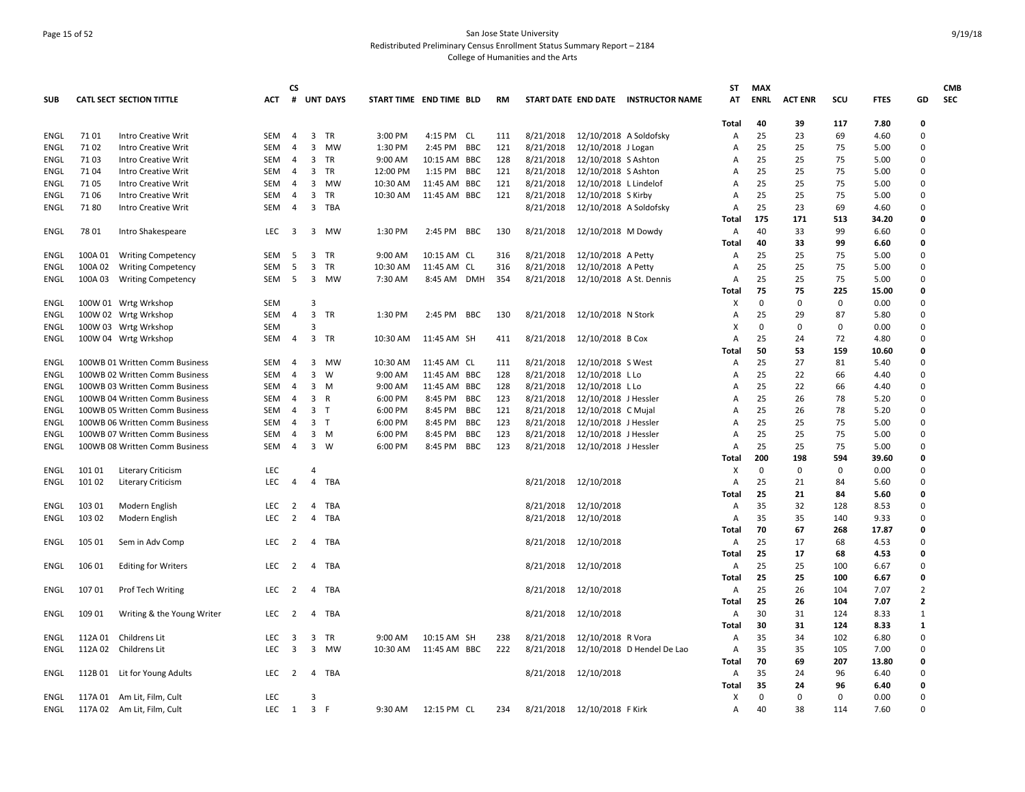## Page 15 of 52 San Jose State University Redistributed Preliminary Census Enrollment Status Summary Report – 2184 College of Humanities and the Arts

|             |         |                                 |                   | <b>CS</b>           |                |                 |                         |              |                          |           |           |                         |                                     | ST             | <b>MAX</b>  |                |          |               |                | <b>CMB</b> |
|-------------|---------|---------------------------------|-------------------|---------------------|----------------|-----------------|-------------------------|--------------|--------------------------|-----------|-----------|-------------------------|-------------------------------------|----------------|-------------|----------------|----------|---------------|----------------|------------|
| <b>SUB</b>  |         | <b>CATL SECT SECTION TITTLE</b> | <b>ACT</b>        | #                   |                | <b>UNT DAYS</b> | START TIME END TIME BLD |              |                          | <b>RM</b> |           |                         | START DATE END DATE INSTRUCTOR NAME | AT             | <b>ENRL</b> | <b>ACT ENR</b> | scu      | <b>FTES</b>   | GD             | <b>SEC</b> |
|             |         |                                 |                   |                     |                |                 |                         |              |                          |           |           |                         |                                     | Total          | 40          | 39             | 117      | 7.80          | 0              |            |
| ENGL        | 71 01   | <b>Intro Creative Writ</b>      | <b>SEM</b>        | 4                   | 3              | TR              | 3:00 PM                 | 4:15 PM CL   |                          | 111       | 8/21/2018 | 12/10/2018 A Soldofsky  |                                     | Α              | 25          | 23             | 69       | 4.60          | 0              |            |
| ENGL        | 71 02   | <b>Intro Creative Writ</b>      | <b>SEM</b>        | 4                   | 3              | MW              | 1:30 PM                 | 2:45 PM      | <b>BBC</b>               | 121       | 8/21/2018 | 12/10/2018 J Logan      |                                     | A              | 25          | 25             | 75       | 5.00          | 0              |            |
| ENGL        | 71 03   | <b>Intro Creative Writ</b>      | SEM               | $\overline{4}$      | $\mathbf{3}$   | <b>TR</b>       | 9:00 AM                 | 10:15 AM BBC |                          | 128       | 8/21/2018 | 12/10/2018 S Ashton     |                                     | A              | 25          | 25             | 75       | 5.00          | 0              |            |
| ENGL        | 7104    | <b>Intro Creative Writ</b>      | <b>SEM</b>        | $\overline{4}$      | 3              | TR              | 12:00 PM                | 1:15 PM      | <b>BBC</b>               | 121       | 8/21/2018 | 12/10/2018 S Ashton     |                                     | A              | 25          | 25             | 75       | 5.00          | 0              |            |
| <b>ENGL</b> | 71 05   | <b>Intro Creative Writ</b>      | SEM               | 4                   | $\overline{3}$ | MW              | 10:30 AM                | 11:45 AM     | BBC                      | 121       | 8/21/2018 | 12/10/2018 L Lindelof   |                                     | A              | 25          | 25             | 75       | 5.00          | 0              |            |
| ENGL        | 71 06   | Intro Creative Writ             | SEM               | 4                   | 3              | TR              | 10:30 AM                | 11:45 AM BBC |                          | 121       | 8/21/2018 | 12/10/2018 S Kirby      |                                     | A              | 25          | 25             | 75       | 5.00          | 0              |            |
| ENGL        | 7180    | <b>Intro Creative Writ</b>      | <b>SEM</b>        | $\overline{4}$      | $\overline{3}$ | TBA             |                         |              |                          |           | 8/21/2018 | 12/10/2018 A Soldofsky  |                                     | Α              | 25          | 23             | 69       | 4.60          | 0              |            |
|             |         |                                 |                   |                     |                |                 |                         |              |                          |           |           |                         |                                     | Total          | 175         | 171            | 513      | 34.20         | 0              |            |
| ENGL        | 78 01   | Intro Shakespeare               | <b>LEC</b>        | 3                   | 3              | MW              | 1:30 PM                 | 2:45 PM BBC  |                          | 130       | 8/21/2018 | 12/10/2018 M Dowdy      |                                     | $\overline{A}$ | 40          | 33             | 99       | 6.60          | 0              |            |
|             |         |                                 |                   |                     |                |                 |                         |              |                          |           |           |                         |                                     | Total          | 40          | 33             | 99       | 6.60          | 0              |            |
| ENGL        | 100A01  | <b>Writing Competency</b>       | SEM               | 5                   | 3              | TR              | 9:00 AM                 | 10:15 AM CL  |                          | 316       | 8/21/2018 | 12/10/2018 A Petty      |                                     | A              | 25          | 25             | 75       | 5.00          | 0              |            |
| ENGL        | 100A02  | <b>Writing Competency</b>       | <b>SEM</b>        | 5                   | 3              | TR              | 10:30 AM                | 11:45 AM CL  |                          | 316       | 8/21/2018 | 12/10/2018 A Petty      |                                     | A              | 25          | 25             | 75       | 5.00          | 0              |            |
| ENGL        | 100A03  | <b>Writing Competency</b>       | SEM               | 5                   |                | 3 MW            | 7:30 AM                 | 8:45 AM DMH  |                          | 354       | 8/21/2018 | 12/10/2018 A St. Dennis |                                     | A              | 25          | 25             | 75       | 5.00          | 0              |            |
|             |         |                                 |                   |                     |                |                 |                         |              |                          |           |           |                         |                                     | Total          | 75          | 75             | 225      | 15.00         | O              |            |
| ENGL        |         | 100W 01 Wrtg Wrkshop            | SEM               |                     | $\overline{3}$ |                 |                         |              |                          |           |           |                         |                                     | X              | $\mathsf 0$ | 0              | 0        | 0.00          | 0              |            |
| ENGL        |         | 100W 02 Wrtg Wrkshop            | SEM               | $\overline{4}$      | $\overline{3}$ | TR              | 1:30 PM                 | 2:45 PM BBC  |                          | 130       | 8/21/2018 | 12/10/2018 N Stork      |                                     | A              | 25          | 29             | 87       | 5.80          | 0              |            |
| ENGL        |         | 100W 03 Wrtg Wrkshop            | <b>SEM</b>        |                     | 3              |                 |                         |              |                          |           |           |                         |                                     | X              | 0           | 0              | 0        | 0.00          | 0              |            |
| ENGL        |         | 100W 04 Wrtg Wrkshop            | SEM               | $\overline{4}$      |                | 3 TR            | 10:30 AM                | 11:45 AM SH  |                          | 411       | 8/21/2018 | 12/10/2018 B Cox        |                                     | A              | 25          | 24             | 72       | 4.80          | 0              |            |
|             |         |                                 |                   |                     |                |                 |                         |              |                          |           |           |                         |                                     | Total          | 50          | 53             | 159      | 10.60         | O              |            |
| ENGL        |         | 100WB 01 Written Comm Business  | SEM               | 4                   |                | 3 MW            | 10:30 AM                | 11:45 AM CL  |                          | 111       | 8/21/2018 | 12/10/2018 S West       |                                     | Α              | 25          | 27             | 81       | 5.40          | 0              |            |
| ENGL        |         | 100WB 02 Written Comm Business  | <b>SEM</b>        | 4                   | 3              | W               | 9:00 AM                 | 11:45 AM BBC |                          | 128       | 8/21/2018 | 12/10/2018 L Lo         |                                     | A              | 25          | 22             | 66       | 4.40          | 0              |            |
| ENGL        |         | 100WB 03 Written Comm Business  | <b>SEM</b>        | $\overline{4}$      | 3              | M               | 9:00 AM                 | 11:45 AM BBC |                          | 128       | 8/21/2018 | 12/10/2018 L Lo         |                                     | A              | 25          | 22             | 66       | 4.40          | 0              |            |
| ENGL        |         | 100WB 04 Written Comm Business  | <b>SEM</b>        | 4                   |                | 3 R             | 6:00 PM                 | 8:45 PM BBC  |                          | 123       | 8/21/2018 | 12/10/2018 J Hessler    |                                     | $\overline{A}$ | 25          | 26             | 78       | 5.20          | 0              |            |
| <b>ENGL</b> |         | 100WB 05 Written Comm Business  | SEM               | $\overline{4}$      | 3              | T               | 6:00 PM                 | 8:45 PM      | BBC                      | 121       | 8/21/2018 | 12/10/2018 C Mujal      |                                     | $\Delta$       | 25          | 26             | 78       | 5.20          | 0              |            |
| ENGL        |         | 100WB 06 Written Comm Business  | SEM               | 4                   | $\overline{3}$ | T               | 6:00 PM                 | 8:45 PM      | BBC                      | 123       | 8/21/2018 | 12/10/2018 J Hessler    |                                     | A              | 25<br>25    | 25             | 75       | 5.00          | 0              |            |
| ENGL        |         | 100WB 07 Written Comm Business  | SEM<br><b>SEM</b> | 4<br>$\overline{4}$ | $\overline{3}$ | $3 \, M$<br>W   | 6:00 PM                 | 8:45 PM      | <b>BBC</b><br><b>BBC</b> | 123       | 8/21/2018 | 12/10/2018 J Hessler    |                                     | A              | 25          | 25<br>25       | 75<br>75 | 5.00          | 0<br>0         |            |
| ENGL        |         | 100WB 08 Written Comm Business  |                   |                     |                |                 | 6:00 PM                 | 8:45 PM      |                          | 123       | 8/21/2018 | 12/10/2018 J Hessler    |                                     | Α              | 200         | 198            | 594      | 5.00<br>39.60 | 0              |            |
| ENGL        | 101 01  |                                 | LEC               |                     | $\overline{a}$ |                 |                         |              |                          |           |           |                         |                                     | Total<br>X     | $\Omega$    | $\Omega$       | $\Omega$ | 0.00          | O              |            |
| ENGL        | 101 02  | <b>Literary Criticism</b>       | <b>LEC</b>        | 4                   | $\overline{4}$ | TBA             |                         |              |                          |           | 8/21/2018 | 12/10/2018              |                                     | A              | 25          | 21             | 84       | 5.60          | 0              |            |
|             |         | <b>Literary Criticism</b>       |                   |                     |                |                 |                         |              |                          |           |           |                         |                                     | Total          | 25          | 21             | 84       | 5.60          | 0              |            |
| ENGL        | 103 01  | Modern English                  | <b>LEC</b>        | 2                   | $\overline{4}$ | TBA             |                         |              |                          |           | 8/21/2018 | 12/10/2018              |                                     | Α              | 35          | 32             | 128      | 8.53          | 0              |            |
| ENGL        | 103 02  | Modern English                  | <b>LEC</b>        | 2                   | $\overline{4}$ | TBA             |                         |              |                          |           | 8/21/2018 | 12/10/2018              |                                     | A              | 35          | 35             | 140      | 9.33          | 0              |            |
|             |         |                                 |                   |                     |                |                 |                         |              |                          |           |           |                         |                                     | Total          | 70          | 67             | 268      | 17.87         | O              |            |
| ENGL        | 105 01  | Sem in Adv Comp                 | <b>LEC</b>        | 2                   |                | 4 TBA           |                         |              |                          |           | 8/21/2018 | 12/10/2018              |                                     | A              | 25          | 17             | 68       | 4.53          | 0              |            |
|             |         |                                 |                   |                     |                |                 |                         |              |                          |           |           |                         |                                     | Total          | 25          | 17             | 68       | 4.53          | 0              |            |
| ENGL        | 106 01  | <b>Editing for Writers</b>      | <b>LEC</b>        | $\overline{2}$      |                | 4 TBA           |                         |              |                          |           | 8/21/2018 | 12/10/2018              |                                     | Α              | 25          | 25             | 100      | 6.67          | 0              |            |
|             |         |                                 |                   |                     |                |                 |                         |              |                          |           |           |                         |                                     | Total          | 25          | 25             | 100      | 6.67          | 0              |            |
| ENGL        | 107 01  | <b>Prof Tech Writing</b>        | LEC               | $\overline{2}$      | 4              | TBA             |                         |              |                          |           | 8/21/2018 | 12/10/2018              |                                     | A              | 25          | 26             | 104      | 7.07          | $\overline{2}$ |            |
|             |         |                                 |                   |                     |                |                 |                         |              |                          |           |           |                         |                                     | Total          | 25          | 26             | 104      | 7.07          | $\overline{2}$ |            |
| ENGL        | 109 01  | Writing & the Young Writer      | LEC               | 2                   | 4              | TBA             |                         |              |                          |           | 8/21/2018 | 12/10/2018              |                                     | Α              | 30          | 31             | 124      | 8.33          | $\mathbf{1}$   |            |
|             |         |                                 |                   |                     |                |                 |                         |              |                          |           |           |                         |                                     | Total          | 30          | 31             | 124      | 8.33          | $\mathbf{1}$   |            |
| ENGL        | 112A 01 | Childrens Lit                   | <b>LEC</b>        | 3                   | 3              | TR              | 9:00 AM                 | 10:15 AM SH  |                          | 238       | 8/21/2018 | 12/10/2018 R Vora       |                                     | Α              | 35          | 34             | 102      | 6.80          | 0              |            |
| ENGL        | 112A 02 | Childrens Lit                   | LEC               | 3                   | 3              | MW              | 10:30 AM                | 11:45 AM BBC |                          | 222       | 8/21/2018 |                         | 12/10/2018 D Hendel De Lao          | Α              | 35          | 35             | 105      | 7.00          | 0              |            |
|             |         |                                 |                   |                     |                |                 |                         |              |                          |           |           |                         |                                     | Total          | 70          | 69             | 207      | 13.80         | 0              |            |
| ENGL        | 112B 01 | Lit for Young Adults            | LEC               | 2                   | $\overline{4}$ | TBA             |                         |              |                          |           | 8/21/2018 | 12/10/2018              |                                     | A              | 35          | 24             | 96       | 6.40          | 0              |            |
|             |         |                                 |                   |                     |                |                 |                         |              |                          |           |           |                         |                                     | Total          | 35          | 24             | 96       | 6.40          | 0              |            |
| ENGL        | 117A 01 | Am Lit, Film, Cult              | <b>LEC</b>        |                     | $\overline{3}$ |                 |                         |              |                          |           |           |                         |                                     | x              | $\mathbf 0$ | $\mathbf 0$    | 0        | 0.00          | 0              |            |
| ENGL        | 117A 02 | Am Lit, Film, Cult              | LEC               | $1 \quad 3 \quad F$ |                |                 | 9:30 AM                 | 12:15 PM CL  |                          | 234       | 8/21/2018 | 12/10/2018 F Kirk       |                                     | Α              | 40          | 38             | 114      | 7.60          | 0              |            |
|             |         |                                 |                   |                     |                |                 |                         |              |                          |           |           |                         |                                     |                |             |                |          |               |                |            |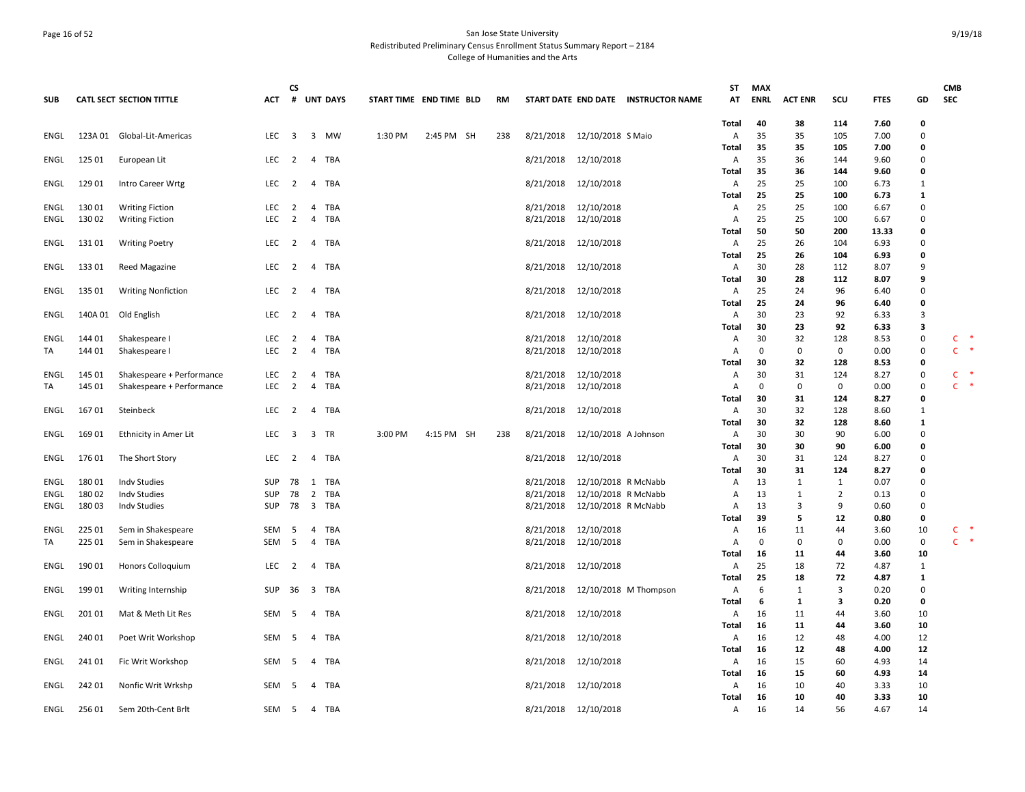## Page 16 of 52 San Jose State University Redistributed Preliminary Census Enrollment Status Summary Report – 2184 College of Humanities and the Arts

|             |         |                                 |            | <b>CS</b>      |                                  |                 |                         |            |           |           |                      |                                     | SΤ           | <b>MAX</b>  |                |                   |              |                | <b>CMB</b>     |   |
|-------------|---------|---------------------------------|------------|----------------|----------------------------------|-----------------|-------------------------|------------|-----------|-----------|----------------------|-------------------------------------|--------------|-------------|----------------|-------------------|--------------|----------------|----------------|---|
| <b>SUB</b>  |         | <b>CATL SECT SECTION TITTLE</b> | <b>ACT</b> | #              |                                  | <b>UNT DAYS</b> | START TIME END TIME BLD |            | <b>RM</b> |           |                      | START DATE END DATE INSTRUCTOR NAME | AT           | <b>ENRL</b> | <b>ACT ENR</b> | SCU               | <b>FTES</b>  | GD             | <b>SEC</b>     |   |
|             |         |                                 |            |                |                                  |                 |                         |            |           |           |                      |                                     | Total        | 40          | 38             | 114               | 7.60         | 0              |                |   |
| ENGL        | 123A 01 | Global-Lit-Americas             | LEC        | 3              | 3                                | MW              | 1:30 PM                 | 2:45 PM SH | 238       | 8/21/2018 | 12/10/2018 S Maio    |                                     | Α            | 35          | 35             | 105               | 7.00         | $\mathbf 0$    |                |   |
|             |         |                                 |            |                |                                  |                 |                         |            |           |           |                      |                                     | Total        | 35          | 35             | 105               | 7.00         | 0              |                |   |
| ENGL        | 125 01  | European Lit                    | <b>LEC</b> | 2              | 4                                | <b>TBA</b>      |                         |            |           | 8/21/2018 | 12/10/2018           |                                     | A            | 35          | 36             | 144               | 9.60         | $\mathbf 0$    |                |   |
|             |         |                                 |            |                |                                  |                 |                         |            |           |           |                      |                                     | Total        | 35          | 36             | 144               | 9.60         | 0              |                |   |
| ENGL        | 129 01  | Intro Career Wrtg               | LEC        | 2              | $\overline{4}$                   | TBA             |                         |            |           | 8/21/2018 | 12/10/2018           |                                     | Α            | 25          | 25             | 100               | 6.73         | 1              |                |   |
|             |         |                                 |            |                |                                  |                 |                         |            |           |           |                      |                                     | Total        | 25          | 25             | 100               | 6.73         | $\mathbf{1}$   |                |   |
| ENGL        | 130 01  | <b>Writing Fiction</b>          | LEC        | $\overline{2}$ | $\overline{4}$                   | <b>TBA</b>      |                         |            |           | 8/21/2018 | 12/10/2018           |                                     | Α            | 25          | 25             | 100               | 6.67         | $\mathbf 0$    |                |   |
| ENGL        | 130 02  | <b>Writing Fiction</b>          | <b>LEC</b> | 2              | $\overline{4}$                   | <b>TBA</b>      |                         |            |           | 8/21/2018 | 12/10/2018           |                                     | Α            | 25          | 25             | 100               | 6.67         | $\mathbf 0$    |                |   |
|             |         |                                 |            |                |                                  |                 |                         |            |           |           |                      |                                     | Total        | 50          | 50             | 200               | 13.33        | 0              |                |   |
| ENGL        | 131 01  | <b>Writing Poetry</b>           | <b>LEC</b> | 2              | $\overline{4}$                   | TBA             |                         |            |           | 8/21/2018 | 12/10/2018           |                                     | $\mathsf{A}$ | 25          | 26             | 104               | 6.93         | $\Omega$       |                |   |
|             |         |                                 |            |                |                                  |                 |                         |            |           |           |                      |                                     | Total        | 25          | 26             | 104               | 6.93         | 0              |                |   |
| ENGL        | 133 01  | Reed Magazine                   | LEC        | 2              | $\overline{a}$                   | TBA             |                         |            |           | 8/21/2018 | 12/10/2018           |                                     | Α            | 30<br>30    | 28<br>28       | 112<br>112        | 8.07<br>8.07 | 9<br>9         |                |   |
| ENGL        | 135 01  |                                 | LEC        | 2              | $\overline{4}$                   | <b>TBA</b>      |                         |            |           |           |                      |                                     | Total<br>Α   | 25          | 24             | 96                | 6.40         | $\mathbf 0$    |                |   |
|             |         | <b>Writing Nonfiction</b>       |            |                |                                  |                 |                         |            |           | 8/21/2018 | 12/10/2018           |                                     | Total        | 25          | 24             | 96                | 6.40         | 0              |                |   |
| ENGL        | 140A01  | Old English                     | LEC        | 2              | 4                                | TBA             |                         |            |           | 8/21/2018 | 12/10/2018           |                                     | Α            | 30          | 23             | 92                | 6.33         | $\overline{3}$ |                |   |
|             |         |                                 |            |                |                                  |                 |                         |            |           |           |                      |                                     | Total        | 30          | 23             | 92                | 6.33         | 3              |                |   |
| ENGL        | 144 01  | Shakespeare I                   | <b>LEC</b> | 2              | 4                                | TBA             |                         |            |           | 8/21/2018 | 12/10/2018           |                                     | Α            | 30          | 32             | 128               | 8.53         | 0              | C              |   |
| TA          | 144 01  | Shakespeare I                   | LEC        | $\overline{2}$ | $\overline{4}$                   | <b>TBA</b>      |                         |            |           | 8/21/2018 | 12/10/2018           |                                     | Α            | 0           | $\mathbf 0$    | $\mathbf 0$       | 0.00         | 0              | $\mathsf{C}$   | Ą |
|             |         |                                 |            |                |                                  |                 |                         |            |           |           |                      |                                     | Total        | 30          | 32             | 128               | 8.53         | 0              |                |   |
| ENGL        | 145 01  | Shakespeare + Performance       | <b>LEC</b> | 2              | 4                                | TBA             |                         |            |           | 8/21/2018 | 12/10/2018           |                                     | Α            | 30          | 31             | 124               | 8.27         | 0              | C              |   |
| TA          | 145 01  | Shakespeare + Performance       | <b>LEC</b> | 2              | $\overline{4}$                   | TBA             |                         |            |           | 8/21/2018 | 12/10/2018           |                                     | Α            | 0           | 0              | 0                 | 0.00         | 0              | $\mathsf{C}$   |   |
|             |         |                                 |            |                |                                  |                 |                         |            |           |           |                      |                                     | Total        | 30          | 31             | 124               | 8.27         | 0              |                |   |
| ENGL        | 16701   | Steinbeck                       | LEC        | $\overline{2}$ | $\overline{4}$                   | <b>TBA</b>      |                         |            |           | 8/21/2018 | 12/10/2018           |                                     | Α            | 30          | 32             | 128               | 8.60         | 1              |                |   |
|             |         |                                 |            |                |                                  |                 |                         |            |           |           |                      |                                     | Total        | 30          | 32             | 128               | 8.60         | $\mathbf{1}$   |                |   |
| <b>ENGL</b> | 169 01  | Ethnicity in Amer Lit           | LEC        | 3              | 3                                | TR              | 3:00 PM                 | 4:15 PM SH | 238       | 8/21/2018 | 12/10/2018 A Johnson |                                     | Α            | 30          | 30             | 90                | 6.00         | $\mathbf 0$    |                |   |
|             |         |                                 |            |                |                                  |                 |                         |            |           |           |                      |                                     | Total        | 30          | 30             | 90                | 6.00         | 0              |                |   |
| ENGL        | 176 01  | The Short Story                 | LEC        | 2              | 4                                | TBA             |                         |            |           | 8/21/2018 | 12/10/2018           |                                     | A            | 30          | 31             | 124               | 8.27         | 0              |                |   |
|             |         |                                 |            |                |                                  |                 |                         |            |           |           |                      |                                     | Total        | 30          | 31             | 124               | 8.27         | 0              |                |   |
| ENGL        | 180 01  | <b>Indv Studies</b>             | <b>SUP</b> | 78             | 1                                | TBA             |                         |            |           | 8/21/2018 | 12/10/2018 R McNabb  |                                     | Α            | 13          | 1              | 1                 | 0.07         | $\mathbf 0$    |                |   |
| ENGL        | 180 02  | <b>Indv Studies</b>             | <b>SUP</b> | 78             | $\overline{2}$                   | TBA             |                         |            |           | 8/21/2018 | 12/10/2018 R McNabb  |                                     | Α            | 13          | 1              | $\overline{2}$    | 0.13         | $\mathbf 0$    |                |   |
| ENGL        | 180 03  | <b>Indv Studies</b>             | <b>SUP</b> | 78             | $\overline{\mathbf{3}}$          | <b>TBA</b>      |                         |            |           | 8/21/2018 | 12/10/2018 R McNabb  |                                     | Α            | 13          | 3              | 9                 | 0.60         | $\mathbf 0$    |                |   |
|             |         |                                 |            |                |                                  |                 |                         |            |           |           |                      |                                     | Total        | 39          | 5              | 12                | 0.80         | 0              |                |   |
| ENGL        | 225 01  | Sem in Shakespeare              | SEM<br>SEM | - 5<br>- 5     | $\overline{4}$<br>$\overline{4}$ | TBA             |                         |            |           | 8/21/2018 | 12/10/2018           |                                     | Α            | 16<br>0     | 11<br>0        | 44<br>$\mathbf 0$ | 3.60         | 10             | $C$ *<br>$C$ * |   |
| TA          | 225 01  | Sem in Shakespeare              |            |                |                                  | TBA             |                         |            |           | 8/21/2018 | 12/10/2018           |                                     | A            | 16          | 11             | 44                | 0.00<br>3.60 | 0<br>10        |                |   |
| ENGL        | 190 01  | Honors Colloquium               | <b>LEC</b> | 2              | 4                                | TBA             |                         |            |           | 8/21/2018 | 12/10/2018           |                                     | Total<br>Α   | 25          | 18             | 72                | 4.87         | $\mathbf{1}$   |                |   |
|             |         |                                 |            |                |                                  |                 |                         |            |           |           |                      |                                     | Total        | 25          | 18             | 72                | 4.87         | $\mathbf{1}$   |                |   |
| ENGL        | 199 01  | Writing Internship              | <b>SUP</b> | 36             | $\overline{\mathbf{3}}$          | TBA             |                         |            |           | 8/21/2018 |                      | 12/10/2018 M Thompson               | Α            | 6           | 1              | 3                 | 0.20         | 0              |                |   |
|             |         |                                 |            |                |                                  |                 |                         |            |           |           |                      |                                     | Total        | 6           | 1              | 3                 | 0.20         | 0              |                |   |
| ENGL        | 201 01  | Mat & Meth Lit Res              | SEM        | -5             | 4                                | TBA             |                         |            |           | 8/21/2018 | 12/10/2018           |                                     | Α            | 16          | 11             | 44                | 3.60         | 10             |                |   |
|             |         |                                 |            |                |                                  |                 |                         |            |           |           |                      |                                     | Total        | 16          | 11             | 44                | 3.60         | 10             |                |   |
| ENGL        | 240 01  | Poet Writ Workshop              | SEM        | -5             | 4                                | TBA             |                         |            |           | 8/21/2018 | 12/10/2018           |                                     | Α            | 16          | 12             | 48                | 4.00         | 12             |                |   |
|             |         |                                 |            |                |                                  |                 |                         |            |           |           |                      |                                     | Total        | 16          | 12             | 48                | 4.00         | 12             |                |   |
| ENGL        | 241 01  | Fic Writ Workshop               | SEM        | - 5            | 4                                | TBA             |                         |            |           | 8/21/2018 | 12/10/2018           |                                     | Α            | 16          | 15             | 60                | 4.93         | 14             |                |   |
|             |         |                                 |            |                |                                  |                 |                         |            |           |           |                      |                                     | Total        | 16          | 15             | 60                | 4.93         | 14             |                |   |
| ENGL        | 242 01  | Nonfic Writ Wrkshp              | SEM        | -5             | $\overline{4}$                   | TBA             |                         |            |           | 8/21/2018 | 12/10/2018           |                                     | Α            | 16          | 10             | 40                | 3.33         | 10             |                |   |
|             |         |                                 |            |                |                                  |                 |                         |            |           |           |                      |                                     | Total        | 16          | 10             | 40                | 3.33         | 10             |                |   |
| ENGL        | 256 01  | Sem 20th-Cent Brlt              | SEM        | 5              | $\overline{4}$                   | <b>TBA</b>      |                         |            |           |           | 8/21/2018 12/10/2018 |                                     | Α            | 16          | 14             | 56                | 4.67         | 14             |                |   |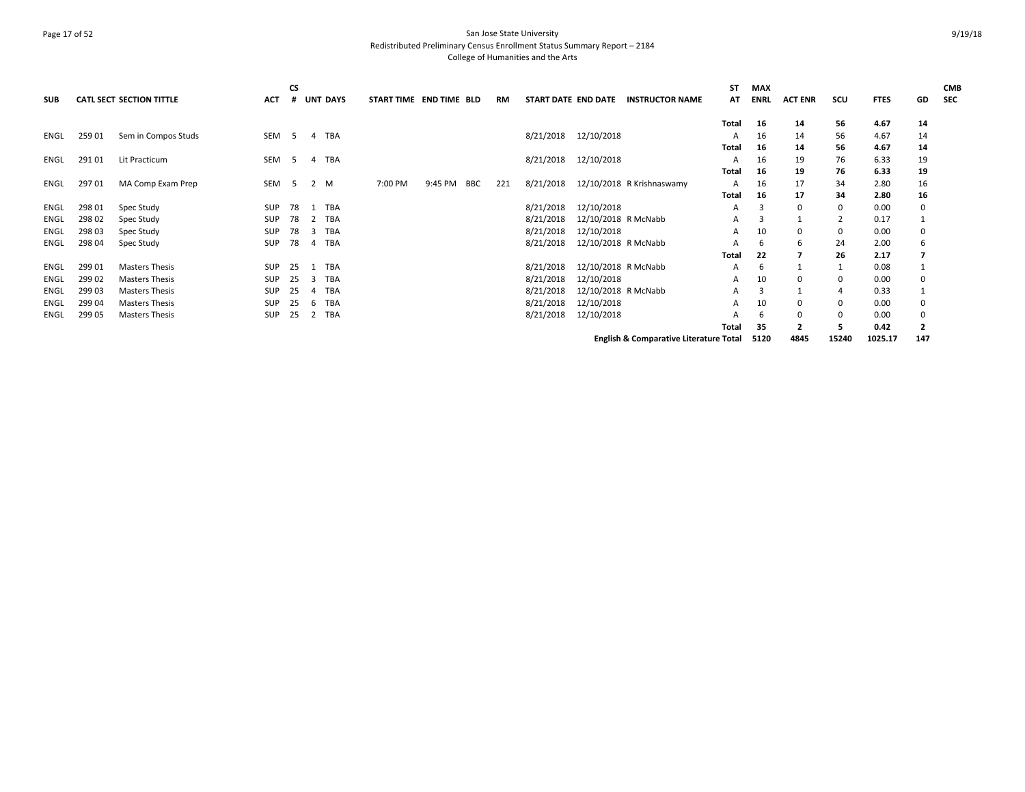## Page 17 of 52 San Jose State University Redistributed Preliminary Census Enrollment Status Summary Report – 2184 College of Humanities and the Arts

| <b>SUB</b> |        | <b>CATL SECT SECTION TITTLE</b> | <b>ACT</b> | CS             | <b>UNT DAYS</b> | START TIME END TIME BLD |         |            | RM  |           | START DATE END DATE | <b>INSTRUCTOR NAME</b>                            | ST<br>AT     | <b>MAX</b><br><b>ENRL</b> | <b>ACT ENR</b> | scu      | <b>FTES</b> | GD             | <b>CMB</b><br><b>SEC</b> |
|------------|--------|---------------------------------|------------|----------------|-----------------|-------------------------|---------|------------|-----|-----------|---------------------|---------------------------------------------------|--------------|---------------------------|----------------|----------|-------------|----------------|--------------------------|
|            |        |                                 |            |                |                 |                         |         |            |     |           |                     |                                                   | <b>Total</b> | 16                        | 14             | 56       | 4.67        | 14             |                          |
| ENGL       | 259 01 | Sem in Compos Studs             | SEM        | $\overline{5}$ | TBA<br>4        |                         |         |            |     | 8/21/2018 | 12/10/2018          |                                                   | A            | 16                        | 14             | 56       | 4.67        | 14             |                          |
|            |        |                                 |            |                |                 |                         |         |            |     |           |                     |                                                   | <b>Total</b> | 16                        | 14             | 56       | 4.67        | 14             |                          |
| ENGL       | 291 01 | Lit Practicum                   | <b>SEM</b> | -5             | TBA<br>4        |                         |         |            |     | 8/21/2018 | 12/10/2018          |                                                   |              | 16                        | 19             | 76       | 6.33        | 19             |                          |
|            |        |                                 |            |                |                 |                         |         |            |     |           |                     |                                                   | <b>Total</b> | 16                        | 19             | 76       | 6.33        | 19             |                          |
| ENGL       | 297 01 | MA Comp Exam Prep               | SEM        | 5 <sup>5</sup> | 2 M             | 7:00 PM                 | 9:45 PM | <b>BBC</b> | 221 | 8/21/2018 |                     | 12/10/2018 R Krishnaswamy                         | А            | 16                        | 17             | 34       | 2.80        | 16             |                          |
|            |        |                                 |            |                |                 |                         |         |            |     |           |                     |                                                   | <b>Total</b> | 16                        | 17             | 34       | 2.80        | 16             |                          |
| ENGL       | 298 01 | Spec Study                      | <b>SUP</b> | 78             | TBA<br>1        |                         |         |            |     | 8/21/2018 | 12/10/2018          |                                                   | А            |                           | 0              | 0        | 0.00        | 0              |                          |
| ENGL       | 298 02 | Spec Study                      | <b>SUP</b> | 78             | TBA<br>2        |                         |         |            |     | 8/21/2018 | 12/10/2018 R McNabb |                                                   | A            |                           |                |          | 0.17        |                |                          |
| ENGL       | 298 03 | Spec Study                      | SUP        | 78             | 3<br>TBA        |                         |         |            |     | 8/21/2018 | 12/10/2018          |                                                   | Α            | 10                        | 0              | $\Omega$ | 0.00        | 0              |                          |
| ENGL       | 298 04 | Spec Study                      | <b>SUP</b> | 78             | 4 TBA           |                         |         |            |     | 8/21/2018 | 12/10/2018 R McNabb |                                                   | А            | 6                         | 6              | 24       | 2.00        | 6              |                          |
|            |        |                                 |            |                |                 |                         |         |            |     |           |                     |                                                   | Total        | 22                        |                | 26       | 2.17        | 7              |                          |
| ENGL       | 299 01 | <b>Masters Thesis</b>           | SUP        | 25             | TBA<br>1        |                         |         |            |     | 8/21/2018 | 12/10/2018 R McNabb |                                                   | A            | 6                         |                |          | 0.08        |                |                          |
| ENGL       | 299 02 | <b>Masters Thesis</b>           | <b>SUP</b> | 25             | <b>TBA</b><br>3 |                         |         |            |     | 8/21/2018 | 12/10/2018          |                                                   | Α            | 10                        | 0              | 0        | 0.00        | 0              |                          |
| ENGL       | 299 03 | <b>Masters Thesis</b>           | <b>SUP</b> | 25             | TBA<br>4        |                         |         |            |     | 8/21/2018 | 12/10/2018 R McNabb |                                                   | A            | 3                         |                | 4        | 0.33        |                |                          |
| ENGL       | 299 04 | <b>Masters Thesis</b>           | <b>SUP</b> | 25             | TBA<br>6        |                         |         |            |     | 8/21/2018 | 12/10/2018          |                                                   | A            | 10                        | 0              | 0        | 0.00        |                |                          |
| ENGL       | 299 05 | <b>Masters Thesis</b>           | <b>SUP</b> | 25             | <b>TBA</b><br>2 |                         |         |            |     | 8/21/2018 | 12/10/2018          |                                                   |              | 6                         | 0              | 0        | 0.00        | 0              |                          |
|            |        |                                 |            |                |                 |                         |         |            |     |           |                     |                                                   | <b>Total</b> | 35                        | $\overline{2}$ | 5        | 0.42        | $\overline{2}$ |                          |
|            |        |                                 |            |                |                 |                         |         |            |     |           |                     | <b>English &amp; Comparative Literature Total</b> |              | 5120                      | 4845           | 15240    | 1025.17     | 147            |                          |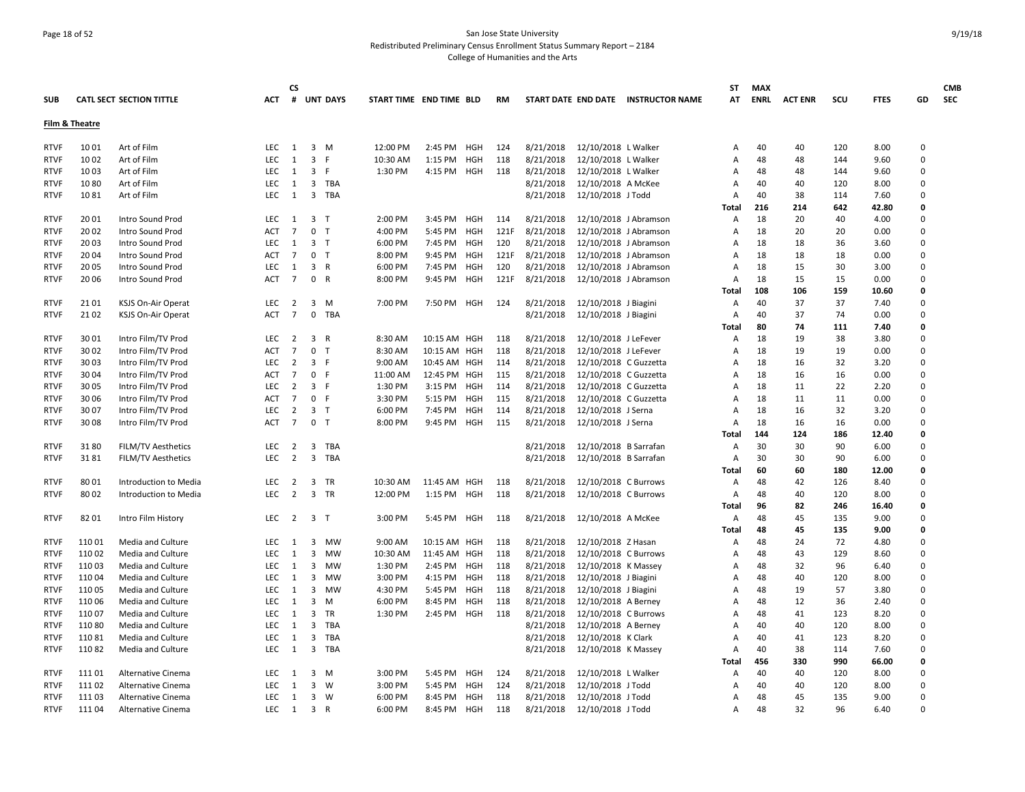## Page 18 of 52 San Jose State University Redistributed Preliminary Census Enrollment Status Summary Report – 2184 College of Humanities and the Arts

|             |                |                                 |            | <b>CS</b>      |                                  |                         |              |            |           |           |                       |                                     | ST             | <b>MAX</b>  |                |     |             |          | <b>CMB</b> |
|-------------|----------------|---------------------------------|------------|----------------|----------------------------------|-------------------------|--------------|------------|-----------|-----------|-----------------------|-------------------------------------|----------------|-------------|----------------|-----|-------------|----------|------------|
| <b>SUB</b>  |                | <b>CATL SECT SECTION TITTLE</b> | ACT        | #              | <b>UNT DAYS</b>                  | START TIME END TIME BLD |              |            | <b>RM</b> |           |                       | START DATE END DATE INSTRUCTOR NAME | AT             | <b>ENRL</b> | <b>ACT ENR</b> | scu | <b>FTES</b> | GD       | <b>SEC</b> |
|             | Film & Theatre |                                 |            |                |                                  |                         |              |            |           |           |                       |                                     |                |             |                |     |             |          |            |
|             |                |                                 |            |                |                                  |                         |              |            |           |           |                       |                                     |                |             |                |     |             |          |            |
| <b>RTVF</b> | 10 01          | Art of Film                     | <b>LEC</b> | 1              | 3 M                              | 12:00 PM                | 2:45 PM      | HGH        | 124       | 8/21/2018 | 12/10/2018 L Walker   |                                     | Α              | 40          | 40             | 120 | 8.00        | 0        |            |
| <b>RTVF</b> | 10 02          | Art of Film                     | <b>LEC</b> | 1              | $\overline{\mathbf{3}}$<br>F.    | 10:30 AM                | 1:15 PM      | HGH        | 118       | 8/21/2018 | 12/10/2018 L Walker   |                                     | A              | 48          | 48             | 144 | 9.60        | 0        |            |
| <b>RTVF</b> | 10 03          | Art of Film                     | <b>LEC</b> | 1              | 3<br>- F                         | 1:30 PM                 | 4:15 PM      | HGH        | 118       | 8/21/2018 | 12/10/2018 L Walker   |                                     | A              | 48          | 48             | 144 | 9.60        | 0        |            |
| <b>RTVF</b> | 1080           | Art of Film                     | LEC        | <sup>1</sup>   | 3 TBA                            |                         |              |            |           | 8/21/2018 | 12/10/2018 A McKee    |                                     | A              | 40          | 40             | 120 | 8.00        | 0        |            |
| <b>RTVF</b> | 1081           | Art of Film                     | <b>LEC</b> | 1              | $\overline{\mathbf{3}}$<br>TBA   |                         |              |            |           | 8/21/2018 | 12/10/2018 J Todd     |                                     | A              | 40          | 38             | 114 | 7.60        | 0        |            |
|             |                |                                 |            |                |                                  |                         |              |            |           |           |                       |                                     | Total          | 216         | 214            | 642 | 42.80       | 0        |            |
| <b>RTVF</b> | 20 01          | Intro Sound Prod                | LEC        | <sup>1</sup>   | 3 <sub>T</sub>                   | 2:00 PM                 | 3:45 PM      | HGH        | 114       | 8/21/2018 | 12/10/2018 J Abramson |                                     | A              | 18          | 20             | 40  | 4.00        | 0        |            |
| <b>RTVF</b> | 20 02          | Intro Sound Prod                | <b>ACT</b> | $\overline{7}$ | $\mathbf 0$<br>$\top$            | 4:00 PM                 | 5:45 PM      | <b>HGH</b> | 121F      | 8/21/2018 | 12/10/2018 J Abramson |                                     | A              | 18          | 20             | 20  | 0.00        | 0        |            |
| <b>RTVF</b> | 20 03          | Intro Sound Prod                | LEC        | 1              | 3 <sub>T</sub>                   | 6:00 PM                 | 7:45 PM      | <b>HGH</b> | 120       | 8/21/2018 | 12/10/2018 J Abramson |                                     | A              | 18          | 18             | 36  | 3.60        | 0        |            |
| <b>RTVF</b> | 20 04          | Intro Sound Prod                | ACT        | $\overline{7}$ | 0<br>$\top$                      | 8:00 PM                 | 9:45 PM      | <b>HGH</b> | 121F      | 8/21/2018 | 12/10/2018 J Abramson |                                     | A              | 18          | 18             | 18  | 0.00        | 0        |            |
| <b>RTVF</b> | 20 05          | Intro Sound Prod                | <b>LEC</b> | 1              | 3<br>$\overline{R}$              | 6:00 PM                 | 7:45 PM      | HGH        | 120       | 8/21/2018 | 12/10/2018 J Abramson |                                     | A              | 18          | 15             | 30  | 3.00        | 0        |            |
| <b>RTVF</b> | 20 06          | Intro Sound Prod                | <b>ACT</b> | $\overline{7}$ | 0 R                              | 8:00 PM                 | 9:45 PM      | HGH        | 121F      | 8/21/2018 | 12/10/2018 J Abramson |                                     | A              | 18          | 15             | 15  | 0.00        | 0        |            |
|             |                |                                 |            |                |                                  |                         |              |            |           |           |                       |                                     | Total          | 108         | 106            | 159 | 10.60       | 0        |            |
| <b>RTVF</b> | 21 01          | KSJS On-Air Operat              | LEC        | $\overline{2}$ | 3<br>M                           | 7:00 PM                 | 7:50 PM HGH  |            | 124       | 8/21/2018 | 12/10/2018 J Biagini  |                                     | $\overline{A}$ | 40          | 37             | 37  | 7.40        | 0        |            |
| <b>RTVF</b> | 21 02          | <b>KSJS On-Air Operat</b>       | <b>ACT</b> | $\overline{7}$ | $\mathsf 0$<br>TBA               |                         |              |            |           | 8/21/2018 | 12/10/2018 J Biagini  |                                     | A              | 40          | 37             | 74  | 0.00        | 0        |            |
|             |                |                                 |            |                |                                  |                         |              |            |           |           |                       |                                     | Total          | 80          | 74             | 111 | 7.40        | 0        |            |
| <b>RTVF</b> | 30 01          | Intro Film/TV Prod              | LEC        | $\overline{2}$ | $\overline{3}$<br>$\overline{R}$ | 8:30 AM                 | 10:15 AM HGH |            | 118       | 8/21/2018 | 12/10/2018 J LeFever  |                                     | A              | 18          | 19             | 38  | 3.80        | 0        |            |
| <b>RTVF</b> | 30 02          | Intro Film/TV Prod              | <b>ACT</b> | $\overline{7}$ | $\mathbf 0$<br>$\mathsf{T}$      | 8:30 AM                 | 10:15 AM     | HGH        | 118       | 8/21/2018 | 12/10/2018 J LeFever  |                                     | A              | 18          | 19             | 19  | 0.00        | 0        |            |
| <b>RTVF</b> | 30 03          | Intro Film/TV Prod              | LEC        | $\overline{2}$ | 3 F                              | 9:00 AM                 | 10:45 AM HGH |            | 114       | 8/21/2018 | 12/10/2018 C Guzzetta |                                     | A              | 18          | 16             | 32  | 3.20        | 0        |            |
| <b>RTVF</b> | 30 04          | Intro Film/TV Prod              | <b>ACT</b> | 7              | $\mathsf{O}$<br>- F              | 11:00 AM                | 12:45 PM     | HGH        | 115       | 8/21/2018 | 12/10/2018 C Guzzetta |                                     | A              | 18          | 16             | 16  | 0.00        | 0        |            |
| <b>RTVF</b> | 30 05          | Intro Film/TV Prod              | <b>LEC</b> | 2              | $\overline{3}$<br>-F             | 1:30 PM                 | 3:15 PM      | <b>HGH</b> | 114       | 8/21/2018 | 12/10/2018 C Guzzetta |                                     | A              | 18          | 11             | 22  | 2.20        | 0        |            |
| <b>RTVF</b> | 30 06          | Intro Film/TV Prod              | <b>ACT</b> | $\overline{7}$ | 0 F                              | 3:30 PM                 | 5:15 PM      | HGH        | 115       | 8/21/2018 | 12/10/2018 C Guzzetta |                                     | A              | 18          | 11             | 11  | 0.00        | 0        |            |
| <b>RTVF</b> | 30 07          | Intro Film/TV Prod              | <b>LEC</b> | 2              | $\overline{3}$<br>$\top$         | 6:00 PM                 | 7:45 PM      | <b>HGH</b> | 114       | 8/21/2018 | 12/10/2018 J Serna    |                                     | A              | 18          | 16             | 32  | 3.20        | 0        |            |
| <b>RTVF</b> | 30 08          | Intro Film/TV Prod              | <b>ACT</b> | $\overline{7}$ | 0 <sub>T</sub>                   | 8:00 PM                 | 9:45 PM      | <b>HGH</b> | 115       | 8/21/2018 | 12/10/2018 J Serna    |                                     | Α              | 18          | 16             | 16  | 0.00        | 0        |            |
|             |                |                                 |            |                |                                  |                         |              |            |           |           |                       |                                     | Total          | 144         | 124            | 186 | 12.40       | 0        |            |
| <b>RTVF</b> | 3180           | <b>FILM/TV Aesthetics</b>       | <b>LEC</b> | 2              | 3<br>TBA                         |                         |              |            |           | 8/21/2018 | 12/10/2018 B Sarrafan |                                     | A              | 30          | 30             | 90  | 6.00        | 0        |            |
| <b>RTVF</b> | 3181           | <b>FILM/TV Aesthetics</b>       | LEC.       | $\overline{2}$ | $\overline{\mathbf{3}}$<br>TBA   |                         |              |            |           | 8/21/2018 | 12/10/2018 B Sarrafan |                                     | A              | 30          | 30             | 90  | 6.00        | 0        |            |
|             |                |                                 |            |                |                                  |                         |              |            |           |           |                       |                                     | <b>Total</b>   | 60          | 60             | 180 | 12.00       | 0        |            |
| <b>RTVF</b> | 80 01          | Introduction to Media           | LEC        | $\overline{2}$ | 3<br>TR                          | 10:30 AM                | 11:45 AM HGH |            | 118       | 8/21/2018 | 12/10/2018 C Burrows  |                                     | Α              | 48          | 42             | 126 | 8.40        | 0        |            |
| <b>RTVF</b> | 80 02          | Introduction to Media           | <b>LEC</b> | 2              | 3<br><b>TR</b>                   | 12:00 PM                | 1:15 PM      | HGH        | 118       | 8/21/2018 | 12/10/2018 C Burrows  |                                     | Α              | 48          | 40             | 120 | 8.00        | 0        |            |
|             |                |                                 |            |                |                                  |                         |              |            |           |           |                       |                                     | Total          | 96          | 82             | 246 | 16.40       | 0        |            |
| <b>RTVF</b> | 82 01          | Intro Film History              | LEC        | $\overline{2}$ | 3 <sub>T</sub>                   | 3:00 PM                 | 5:45 PM HGH  |            | 118       | 8/21/2018 | 12/10/2018 A McKee    |                                     | Α              | 48          | 45             | 135 | 9.00        | 0        |            |
|             |                |                                 |            |                |                                  |                         |              |            |           |           |                       |                                     | <b>Total</b>   | 48          | 45             | 135 | 9.00        | O        |            |
| <b>RTVF</b> | 110 01         | Media and Culture               | LEC        | 1              | 3<br>MW                          | 9:00 AM                 | 10:15 AM HGH |            | 118       | 8/21/2018 | 12/10/2018 Z Hasan    |                                     | A              | 48          | 24             | 72  | 4.80        | 0        |            |
| <b>RTVF</b> | 110 02         | Media and Culture               | <b>LEC</b> | 1              | 3<br>MW                          | 10:30 AM                | 11:45 AM HGH |            | 118       | 8/21/2018 | 12/10/2018 C Burrows  |                                     | A              | 48          | 43             | 129 | 8.60        | 0        |            |
| <b>RTVF</b> | 110 03         | Media and Culture               | <b>LEC</b> | 1              | 3<br><b>MW</b>                   | 1:30 PM                 | 2:45 PM      | HGH        | 118       | 8/21/2018 | 12/10/2018 K Massey   |                                     | A              | 48          | 32             | 96  | 6.40        | 0        |            |
| <b>RTVF</b> | 110 04         | Media and Culture               | <b>LEC</b> | 1              | $\overline{\mathbf{3}}$<br>MW    | 3:00 PM                 | 4:15 PM      | HGH        | 118       | 8/21/2018 | 12/10/2018 J Biagini  |                                     | A              | 48          | 40             | 120 | 8.00        | 0        |            |
| <b>RTVF</b> | 110 05         | Media and Culture               | LEC.       | 1              | 3<br><b>MW</b>                   | 4:30 PM                 | 5:45 PM      | <b>HGH</b> | 118       | 8/21/2018 | 12/10/2018 J Biagini  |                                     | А              | 48          | 19             | 57  | 3.80        | O        |            |
| <b>RTVF</b> | 110 06         | Media and Culture               | LEC        | 1              | $\overline{3}$<br>M              | 6:00 PM                 | 8:45 PM      | <b>HGH</b> | 118       | 8/21/2018 | 12/10/2018 A Berney   |                                     | Α              | 48          | 12             | 36  | 2.40        | 0        |            |
| <b>RTVF</b> | 110 07         | Media and Culture               | <b>LEC</b> | 1              | 3<br>TR                          | 1:30 PM                 | 2:45 PM      | HGH        | 118       | 8/21/2018 | 12/10/2018 C Burrows  |                                     | A              | 48          | 41             | 123 | 8.20        | 0        |            |
| <b>RTVF</b> | 11080          | <b>Media and Culture</b>        | <b>LEC</b> | 1              | 3<br><b>TBA</b>                  |                         |              |            |           | 8/21/2018 | 12/10/2018 A Berney   |                                     | A              | 40          | 40             | 120 | 8.00        | 0        |            |
| <b>RTVF</b> | 11081          | Media and Culture               | <b>LEC</b> | 1              | 3<br>TBA                         |                         |              |            |           | 8/21/2018 | 12/10/2018 K Clark    |                                     | A              | 40          | 41             | 123 | 8.20        | 0        |            |
| <b>RTVF</b> | 11082          | Media and Culture               | <b>LEC</b> | 1              | $\overline{\mathbf{3}}$<br>TBA   |                         |              |            |           | 8/21/2018 | 12/10/2018 K Massey   |                                     | Α              | 40          | 38             | 114 | 7.60        | 0        |            |
|             |                |                                 |            |                |                                  |                         |              |            |           |           |                       |                                     | Total          | 456         | 330            | 990 | 66.00       | 0        |            |
| <b>RTVF</b> | 111 01         | Alternative Cinema              | <b>LEC</b> | 1              | 3<br>M                           | 3:00 PM                 | 5:45 PM      | HGH        | 124       | 8/21/2018 | 12/10/2018 L Walker   |                                     | A              | 40          | 40             | 120 | 8.00        | 0        |            |
| <b>RTVF</b> | 111 02         | Alternative Cinema              | <b>LEC</b> | 1              | 3<br>W                           | 3:00 PM                 | 5:45 PM      | <b>HGH</b> | 124       | 8/21/2018 | 12/10/2018 J Todd     |                                     | A              | 40          | 40             | 120 | 8.00        | 0        |            |
| <b>RTVF</b> | 111 03         | Alternative Cinema              | <b>LEC</b> | 1              | $\overline{3}$<br><b>W</b>       | 6:00 PM                 | 8:45 PM      | <b>HGH</b> | 118       | 8/21/2018 | 12/10/2018 J Todd     |                                     | А              | 48          | 45             | 135 | 9.00        | 0        |            |
| <b>RTVF</b> | 11104          | Alternative Cinema              | LEC        | $\mathbf{1}$   | 3 R                              | 6:00 PM                 | 8:45 PM      | HGH        | 118       | 8/21/2018 | 12/10/2018 J Todd     |                                     | A              | 48          | 32             | 96  | 6.40        | $\Omega$ |            |
|             |                |                                 |            |                |                                  |                         |              |            |           |           |                       |                                     |                |             |                |     |             |          |            |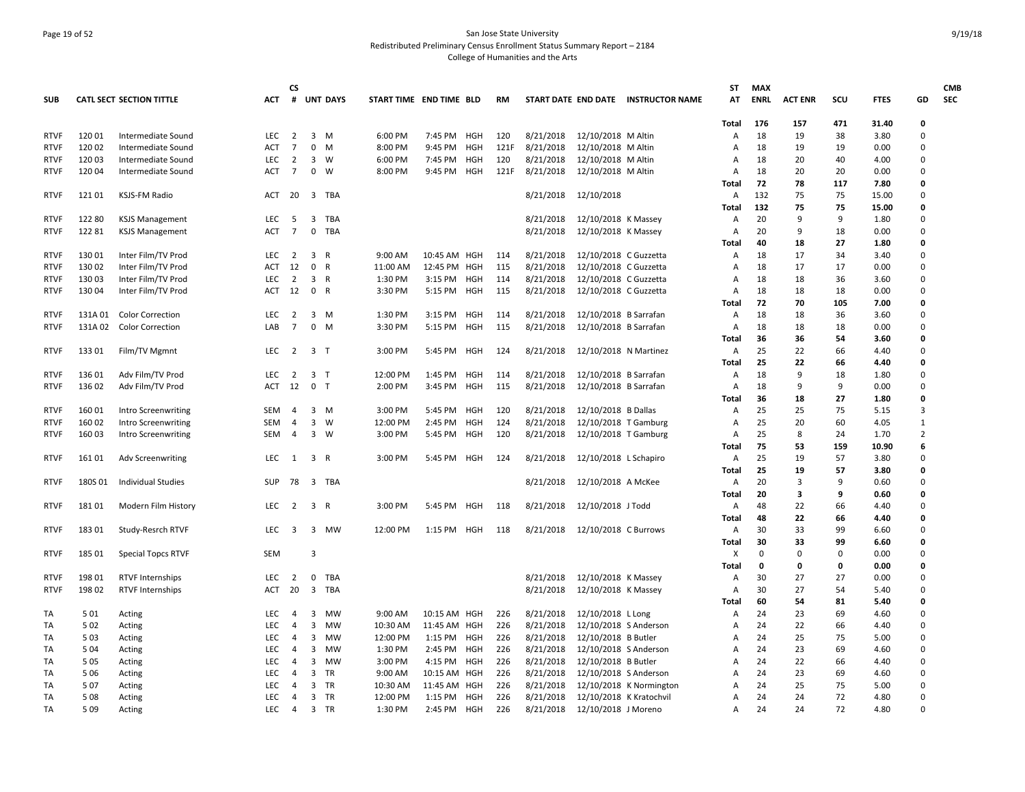## Page 19 of 52 San Jose State University Redistributed Preliminary Census Enrollment Status Summary Report – 2184 College of Humanities and the Arts

| <b>SUB</b>  |         | <b>CATL SECT SECTION TITTLE</b> | <b>ACT</b> | <b>CS</b>      |                | # UNT DAYS   | START TIME END TIME BLD |              |            | <b>RM</b> |           |                         | START DATE END DATE INSTRUCTOR NAME | <b>ST</b><br>AT | <b>MAX</b><br><b>ENRL</b> | <b>ACT ENR</b> | scu      | <b>FTES</b>  | GD               | <b>CMB</b><br><b>SEC</b> |
|-------------|---------|---------------------------------|------------|----------------|----------------|--------------|-------------------------|--------------|------------|-----------|-----------|-------------------------|-------------------------------------|-----------------|---------------------------|----------------|----------|--------------|------------------|--------------------------|
|             |         |                                 |            |                |                |              |                         |              |            |           |           |                         |                                     | Total           | 176                       | 157            | 471      | 31.40        | 0                |                          |
| <b>RTVF</b> | 120 01  | Intermediate Sound              | LEC        | $\overline{2}$ | 3 M            |              | 6:00 PM                 | 7:45 PM      | HGH        | 120       | 8/21/2018 | 12/10/2018 M Altin      |                                     | Α               | 18                        | 19             | 38       | 3.80         | 0                |                          |
| <b>RTVF</b> | 120 02  | Intermediate Sound              | <b>ACT</b> | 7              | 0              | M            | 8:00 PM                 | 9:45 PM      | HGH        | 121F      | 8/21/2018 | 12/10/2018 M Altin      |                                     | Α               | 18                        | 19             | 19       | 0.00         | 0                |                          |
| <b>RTVF</b> | 120 03  | Intermediate Sound              | <b>LEC</b> | $\overline{2}$ | $\mathbf{3}$   | W            | 6:00 PM                 | 7:45 PM      | HGH        | 120       | 8/21/2018 | 12/10/2018 M Altin      |                                     | A               | 18                        | 20             | 40       | 4.00         | 0                |                          |
| <b>RTVF</b> | 120 04  | Intermediate Sound              | <b>ACT</b> | 7              | $\mathbf 0$    | W            | 8:00 PM                 | 9:45 PM      | HGH        | 121F      | 8/21/2018 | 12/10/2018 M Altin      |                                     | A               | 18                        | 20             | 20       | 0.00         | 0                |                          |
|             |         |                                 |            |                |                |              |                         |              |            |           |           |                         |                                     | Total           | 72                        | 78             | 117      | 7.80         | 0                |                          |
| <b>RTVF</b> | 12101   | <b>KSJS-FM Radio</b>            | ACT        | 20             |                | 3 TBA        |                         |              |            |           | 8/21/2018 | 12/10/2018              |                                     | A               | 132                       | 75             | 75       | 15.00        | 0                |                          |
|             |         |                                 |            |                |                |              |                         |              |            |           |           |                         |                                     | Total           | 132                       | 75             | 75       | 15.00        | 0                |                          |
| <b>RTVF</b> | 122 80  | <b>KSJS Management</b>          | LEC        | - 5            | $\mathbf{3}$   | TBA          |                         |              |            |           | 8/21/2018 | 12/10/2018 K Massey     |                                     | $\overline{A}$  | 20                        | 9              | 9        | 1.80         | 0                |                          |
| <b>RTVF</b> | 122 81  | <b>KSJS Management</b>          | <b>ACT</b> | $\overline{7}$ | 0              | TBA          |                         |              |            |           | 8/21/2018 | 12/10/2018 K Massey     |                                     | A               | 20                        | 9              | 18       | 0.00         | 0                |                          |
|             |         |                                 |            |                |                |              |                         |              |            |           |           |                         |                                     | Total           | 40                        | 18             | 27       | 1.80         | 0                |                          |
| <b>RTVF</b> | 130 01  | Inter Film/TV Prod              | <b>LEC</b> | $\overline{2}$ | $\overline{3}$ | $\mathsf{R}$ | 9:00 AM                 | 10:45 AM HGH |            | 114       | 8/21/2018 | 12/10/2018 C Guzzetta   |                                     | Α               | 18                        | 17             | 34       | 3.40         | 0                |                          |
| <b>RTVF</b> | 130 02  | Inter Film/TV Prod              | ACT        | 12             | $\mathbf 0$    | R            | 11:00 AM                | 12:45 PM HGH |            | 115       | 8/21/2018 | 12/10/2018 C Guzzetta   |                                     | Α               | 18                        | 17             | 17       | 0.00         | 0                |                          |
| <b>RTVF</b> | 130 03  | Inter Film/TV Prod              | <b>LEC</b> | 2              | $\overline{3}$ | $\mathsf{R}$ | 1:30 PM                 | 3:15 PM      | HGH        | 114       | 8/21/2018 | 12/10/2018 C Guzzetta   |                                     | A               | 18                        | 18             | 36       | 3.60         | 0                |                          |
| <b>RTVF</b> | 130 04  | Inter Film/TV Prod              | ACT        | 12             | $\mathbf 0$    | R            | 3:30 PM                 | 5:15 PM      | HGH        | 115       | 8/21/2018 | 12/10/2018 C Guzzetta   |                                     | Α               | 18                        | 18             | 18       | 0.00         | 0                |                          |
|             |         |                                 |            |                |                |              |                         |              |            |           |           |                         |                                     | Total           | -72                       | 70             | 105      | 7.00         | 0                |                          |
| <b>RTVF</b> | 131A 01 | <b>Color Correction</b>         | <b>LEC</b> | 2              | 3 M            |              | 1:30 PM                 | 3:15 PM      | <b>HGH</b> | 114       | 8/21/2018 | 12/10/2018 B Sarrafan   |                                     | A               | 18                        | 18             | 36       | 3.60         | 0                |                          |
| <b>RTVF</b> | 131A02  | <b>Color Correction</b>         | LAB        | $\overline{7}$ | $\mathbf 0$    | M            | 3:30 PM                 | 5:15 PM      | HGH        | 115       | 8/21/2018 | 12/10/2018 B Sarrafan   |                                     | Α               | 18<br>36                  | 18             | 18       | 0.00         | $\mathbf 0$<br>0 |                          |
|             |         |                                 |            |                |                |              |                         |              |            |           |           |                         |                                     | Total           |                           | 36             | 54       | 3.60         |                  |                          |
| <b>RTVF</b> | 133 01  | Film/TV Mgmnt                   | LEC        | 2              | 3 <sub>T</sub> |              | 3:00 PM                 | 5:45 PM      | HGH        | 124       | 8/21/2018 | 12/10/2018 N Martinez   |                                     | Α               | 25<br>25                  | 22<br>22       | 66       | 4.40         | 0<br>0           |                          |
| <b>RTVF</b> | 136 01  | Adv Film/TV Prod                | <b>LEC</b> | 2              | 3 <sub>T</sub> |              | 12:00 PM                | 1:45 PM      | <b>HGH</b> | 114       | 8/21/2018 | 12/10/2018 B Sarrafan   |                                     | Total<br>Α      | 18                        | 9              | 66<br>18 | 4.40<br>1.80 | 0                |                          |
| <b>RTVF</b> | 136 02  | Adv Film/TV Prod                | ACT        | 12             | 0 <sub>T</sub> |              | 2:00 PM                 | 3:45 PM      | HGH        | 115       | 8/21/2018 | 12/10/2018 B Sarrafan   |                                     | Α               | 18                        | 9              | 9        | 0.00         | 0                |                          |
|             |         |                                 |            |                |                |              |                         |              |            |           |           |                         |                                     | Total           | 36                        | 18             | 27       | 1.80         | $\Omega$         |                          |
| <b>RTVF</b> | 160 01  | Intro Screenwriting             | <b>SEM</b> | 4              | 3              | M            | 3:00 PM                 | 5:45 PM      | HGH        | 120       | 8/21/2018 | 12/10/2018 B Dallas     |                                     | A               | 25                        | 25             | 75       | 5.15         | 3                |                          |
| <b>RTVF</b> | 160 02  | Intro Screenwriting             | <b>SEM</b> | $\overline{4}$ | 3              | W            | 12:00 PM                | 2:45 PM      | HGH        | 124       | 8/21/2018 | 12/10/2018 T Gamburg    |                                     | A               | 25                        | 20             | 60       | 4.05         | $\mathbf{1}$     |                          |
| <b>RTVF</b> | 160 03  | Intro Screenwriting             | <b>SEM</b> | $\overline{4}$ | $3 \quad W$    |              | 3:00 PM                 | 5:45 PM      | HGH        | 120       | 8/21/2018 | 12/10/2018 T Gamburg    |                                     | A               | 25                        | 8              | 24       | 1.70         | $\overline{2}$   |                          |
|             |         |                                 |            |                |                |              |                         |              |            |           |           |                         |                                     | Total           | 75                        | 53             | 159      | 10.90        | 6                |                          |
| <b>RTVF</b> | 161 01  | Adv Screenwriting               | <b>LEC</b> | $\overline{1}$ | 3 R            |              | 3:00 PM                 | 5:45 PM HGH  |            | 124       | 8/21/2018 | 12/10/2018 L Schapiro   |                                     | A               | 25                        | 19             | 57       | 3.80         | 0                |                          |
|             |         |                                 |            |                |                |              |                         |              |            |           |           |                         |                                     | Total           | 25                        | 19             | 57       | 3.80         | 0                |                          |
| <b>RTVF</b> | 180S 01 | <b>Individual Studies</b>       | <b>SUP</b> | 78             | 3 TBA          |              |                         |              |            |           | 8/21/2018 | 12/10/2018 A McKee      |                                     | Α               | 20                        | 3              | 9        | 0.60         | 0                |                          |
|             |         |                                 |            |                |                |              |                         |              |            |           |           |                         |                                     | Total           | 20                        | 3              | 9        | 0.60         | 0                |                          |
| <b>RTVF</b> | 18101   | Modern Film History             | LEC        | $\overline{2}$ | $\mathbf{3}$   | R            | 3:00 PM                 | 5:45 PM      | HGH        | 118       | 8/21/2018 | 12/10/2018 J Todd       |                                     | Α               | 48                        | 22             | 66       | 4.40         | 0                |                          |
|             |         |                                 |            |                |                |              |                         |              |            |           |           |                         |                                     | Total           | 48                        | 22             | 66       | 4.40         | 0                |                          |
| <b>RTVF</b> | 18301   | Study-Resrch RTVF               | <b>LEC</b> | 3              | 3              | MW           | 12:00 PM                | 1:15 PM HGH  |            | 118       | 8/21/2018 | 12/10/2018 C Burrows    |                                     | A               | 30                        | 33             | 99       | 6.60         | 0                |                          |
|             |         |                                 |            |                |                |              |                         |              |            |           |           |                         |                                     | Total           | 30                        | 33             | 99       | 6.60         | 0                |                          |
| <b>RTVF</b> | 185 01  | <b>Special Topcs RTVF</b>       | <b>SEM</b> |                | $\overline{3}$ |              |                         |              |            |           |           |                         |                                     | X               | $\Omega$                  | $\mathbf 0$    | $\Omega$ | 0.00         | 0                |                          |
|             |         |                                 |            |                |                |              |                         |              |            |           |           |                         |                                     | Total           | 0                         | 0              | 0        | 0.00         | 0                |                          |
| <b>RTVF</b> | 198 01  | <b>RTVF Internships</b>         | LEC        | $\overline{2}$ | $\mathbf 0$    | TBA          |                         |              |            |           | 8/21/2018 | 12/10/2018 K Massey     |                                     | Α               | 30                        | 27             | 27       | 0.00         | 0                |                          |
| <b>RTVF</b> | 198 02  | <b>RTVF Internships</b>         | ACT        | 20             | $\overline{3}$ | TBA          |                         |              |            |           | 8/21/2018 | 12/10/2018 K Massey     |                                     | A               | 30                        | 27             | 54       | 5.40         | 0                |                          |
|             |         |                                 |            |                |                |              |                         |              |            |           |           |                         |                                     | Total           | 60                        | 54             | 81       | 5.40         | 0                |                          |
| TA          | 501     | Acting                          | LEC        | 4              | 3              | MW           | 9:00 AM                 | 10:15 AM HGH |            | 226       | 8/21/2018 | 12/10/2018 L Long       |                                     | Α               | 24                        | 23             | 69       | 4.60         | 0                |                          |
| TA          | 502     | Acting                          | <b>LEC</b> | 4              | 3              | MW           | 10:30 AM                | 11:45 AM HGH |            | 226       | 8/21/2018 | 12/10/2018 S Anderson   |                                     | A               | 24                        | 22             | 66       | 4.40         | 0                |                          |
| TA          | 503     | Acting                          | <b>LEC</b> | $\overline{4}$ | 3              | MW           | 12:00 PM                | 1:15 PM HGH  |            | 226       | 8/21/2018 | 12/10/2018 B Butler     |                                     | A               | 24                        | 25             | 75       | 5.00         | 0                |                          |
| TA          | 5 0 4   | Acting                          | <b>LEC</b> | $\overline{4}$ | 3              | MW           | 1:30 PM                 | 2:45 PM      | <b>HGH</b> | 226       | 8/21/2018 | 12/10/2018 S Anderson   |                                     | A               | 24                        | 23             | 69       | 4.60         | 0                |                          |
| TA          | 505     | Acting                          | LEC        | $\overline{4}$ | 3              | MW           | 3:00 PM                 | 4:15 PM      | <b>HGH</b> | 226       | 8/21/2018 | 12/10/2018 B Butler     |                                     | A               | 24                        | 22             | 66       | 4.40         | 0                |                          |
| TA          | 5 0 6   | Acting                          | <b>LEC</b> | 4              | 3              | TR           | 9:00 AM                 | 10:15 AM     | HGH        | 226       | 8/21/2018 | 12/10/2018 S Anderson   |                                     | A               | 24                        | 23             | 69       | 4.60         | 0                |                          |
| TA          | 507     | Acting                          | <b>LEC</b> | 4              | 3<br>3 TR      | TR           | 10:30 AM                | 11:45 AM     | HGH        | 226       | 8/21/2018 |                         | 12/10/2018 K Normington             | A               | 24                        | 25             | 75       | 5.00         | 0<br>0           |                          |
| TA          | 508     | Acting                          | <b>LEC</b> | $\overline{4}$ |                |              | 12:00 PM                | 1:15 PM      | HGH        | 226       | 8/21/2018 | 12/10/2018 K Kratochvil |                                     | A               | 24                        | 24             | 72       | 4.80         | $\Omega$         |                          |
| TA          | 509     | Acting                          | <b>LEC</b> | $\overline{4}$ | 3 TR           |              | 1:30 PM                 | 2:45 PM      | HGH        | 226       | 8/21/2018 | 12/10/2018 J Moreno     |                                     | Α               | 24                        | 24             | 72       | 4.80         |                  |                          |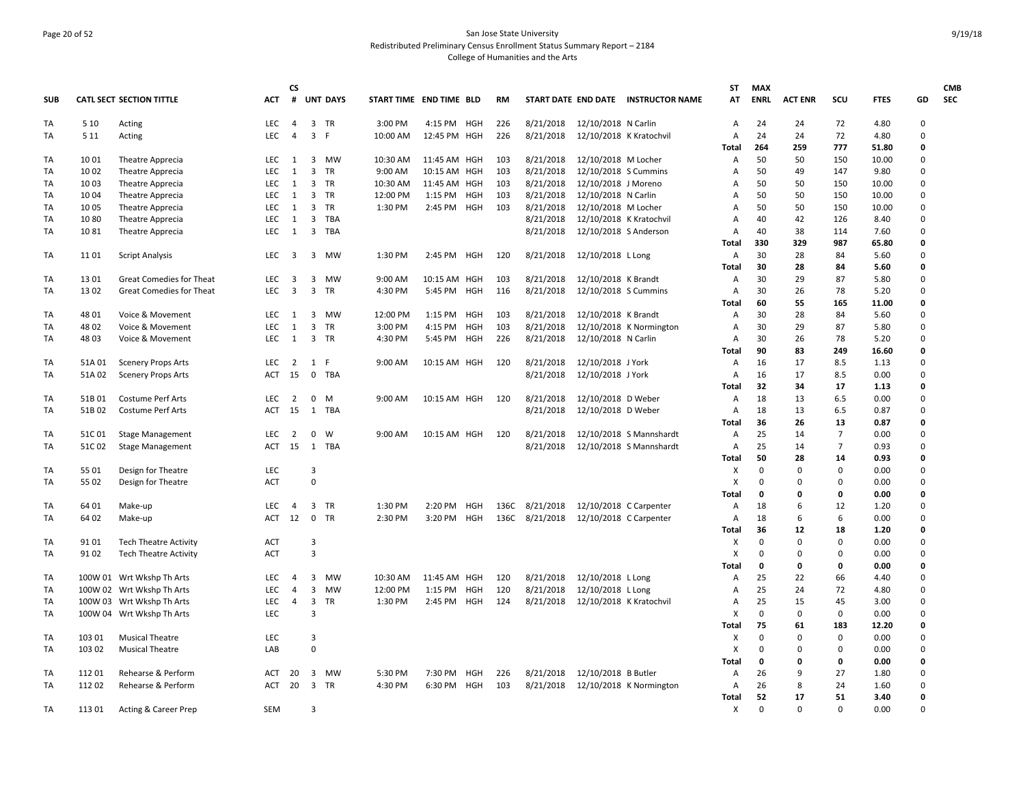## Page 20 of 52 San Jose State University Redistributed Preliminary Census Enrollment Status Summary Report – 2184 College of Humanities and the Arts

|            |        |                                 |            | <b>CS</b>               |                             |          |                         |     |           |           |                         |                                     | ST           | <b>MAX</b>  |                |                |             |                | <b>CMB</b> |
|------------|--------|---------------------------------|------------|-------------------------|-----------------------------|----------|-------------------------|-----|-----------|-----------|-------------------------|-------------------------------------|--------------|-------------|----------------|----------------|-------------|----------------|------------|
| <b>SUB</b> |        | <b>CATL SECT SECTION TITTLE</b> | <b>ACT</b> | #                       | <b>UNT DAYS</b>             |          | START TIME END TIME BLD |     | <b>RM</b> |           |                         | START DATE END DATE INSTRUCTOR NAME | AT           | <b>ENRL</b> | <b>ACT ENR</b> | SCU            | <b>FTES</b> | GD             | <b>SEC</b> |
| TA         | 5 10   | Acting                          | LEC        | 4                       | 3 TR                        | 3:00 PM  | 4:15 PM HGH             |     | 226       | 8/21/2018 | 12/10/2018 N Carlin     |                                     | Α            | 24          | 24             | 72             | 4.80        | $\mathsf 0$    |            |
| TA         | 5 1 1  | Acting                          | <b>LEC</b> | $\overline{4}$          | 3<br>- F                    | 10:00 AM | 12:45 PM HGH            |     | 226       | 8/21/2018 | 12/10/2018 K Kratochvil |                                     | A            | 24          | 24             | 72             | 4.80        | 0              |            |
|            |        |                                 |            |                         |                             |          |                         |     |           |           |                         |                                     | Total        | 264         | 259            | 777            | 51.80       | 0              |            |
| TA         | 10 01  | Theatre Apprecia                | LEC        | $\mathbf{1}$            | 3 MW                        | 10:30 AM | 11:45 AM HGH            |     | 103       | 8/21/2018 | 12/10/2018 M Locher     |                                     | Α            | 50          | 50             | 150            | 10.00       | $\Omega$       |            |
| TA         | 10 02  | Theatre Apprecia                | LEC        | 1                       | 3<br>TR                     | 9:00 AM  | 10:15 AM HGH            |     | 103       | 8/21/2018 | 12/10/2018 S Cummins    |                                     | Α            | 50          | 49             | 147            | 9.80        | 0              |            |
| TA         | 10 03  | Theatre Apprecia                | LEC        | 1                       | 3 TR                        | 10:30 AM | 11:45 AM HGH            |     | 103       | 8/21/2018 | 12/10/2018 J Moreno     |                                     | A            | 50          | 50             | 150            | 10.00       | 0              |            |
| TA         | 10 04  | Theatre Apprecia                | <b>LEC</b> | 1                       | 3 TR                        | 12:00 PM | 1:15 PM                 | HGH | 103       | 8/21/2018 | 12/10/2018 N Carlin     |                                     | A            | 50          | 50             | 150            | 10.00       | 0              |            |
| TA         | 10 05  | Theatre Apprecia                | LEC        | 1                       | $\overline{3}$<br><b>TR</b> | 1:30 PM  | 2:45 PM                 | HGH | 103       | 8/21/2018 | 12/10/2018 M Locher     |                                     | Α            | 50          | 50             | 150            | 10.00       | 0              |            |
| TA         | 1080   | Theatre Apprecia                | LEC        | 1                       | 3 TBA                       |          |                         |     |           | 8/21/2018 | 12/10/2018 K Kratochvil |                                     | Α            | 40          | 42             | 126            | 8.40        | $\Omega$       |            |
| TA         | 1081   | Theatre Apprecia                | <b>LEC</b> | $\overline{1}$          | $\mathbf{3}$<br>TBA         |          |                         |     |           | 8/21/2018 | 12/10/2018 S Anderson   |                                     | Α            | 40          | 38             | 114            | 7.60        | 0              |            |
|            |        |                                 |            |                         |                             |          |                         |     |           |           |                         |                                     | Total        | 330         | 329            | 987            | 65.80       | 0              |            |
| TA         | 11 01  | <b>Script Analysis</b>          | <b>LEC</b> | $\overline{\mathbf{3}}$ | 3 MW                        | 1:30 PM  | 2:45 PM                 | HGH | 120       | 8/21/2018 | 12/10/2018 L Long       |                                     | Α            | 30          | 28             | 84             | 5.60        | $\Omega$       |            |
|            |        |                                 |            |                         |                             |          |                         |     |           |           |                         |                                     | <b>Total</b> | 30          | 28             | 84             | 5.60        | 0              |            |
| TA         | 13 01  | Great Comedies for Theat        | LEC        | $\overline{\mathbf{3}}$ | 3<br>MW                     | 9:00 AM  | 10:15 AM HGH            |     | 103       | 8/21/2018 | 12/10/2018 K Brandt     |                                     | Α            | 30          | 29             | 87             | 5.80        | 0              |            |
| TA         | 1302   | <b>Great Comedies for Theat</b> | <b>LEC</b> | 3                       | 3<br><b>TR</b>              | 4:30 PM  | 5:45 PM                 | HGH | 116       | 8/21/2018 | 12/10/2018 S Cummins    |                                     | Α            | 30          | 26             | 78             | 5.20        | 0              |            |
|            |        |                                 |            |                         |                             |          |                         |     |           |           |                         |                                     | Total        | 60          | 55             | 165            | 11.00       | 0              |            |
| TA         | 48 01  | Voice & Movement                | <b>LEC</b> | $\mathbf{1}$            | 3<br><b>MW</b>              | 12:00 PM | 1:15 PM                 | HGH | 103       | 8/21/2018 | 12/10/2018 K Brandt     |                                     | Α            | 30          | 28             | 84             | 5.60        | 0              |            |
| TA         | 48 02  | Voice & Movement                | LEC        | 1                       | 3<br>TR                     | 3:00 PM  | 4:15 PM                 | HGH | 103       | 8/21/2018 |                         | 12/10/2018 K Normington             | Α            | 30          | 29             | 87             | 5.80        | 0              |            |
| TA         | 48 03  | Voice & Movement                | LEC        | 1                       | 3 TR                        | 4:30 PM  | 5:45 PM HGH             |     | 226       | 8/21/2018 | 12/10/2018 N Carlin     |                                     | A            | 30          | 26             | 78             | 5.20        | 0              |            |
|            |        |                                 |            |                         |                             |          |                         |     |           |           |                         |                                     | Total        | 90          | 83             | 249            | 16.60       | 0              |            |
| TA         | 51A01  | <b>Scenery Props Arts</b>       | LEC        | $\overline{2}$          | 1 F                         | 9:00 AM  | 10:15 AM HGH            |     | 120       | 8/21/2018 | 12/10/2018 J York       |                                     | Α            | 16          | 17             | 8.5            | 1.13        | $\overline{0}$ |            |
| TA         | 51A 02 | <b>Scenery Props Arts</b>       | <b>ACT</b> | 15                      | $\mathbf 0$<br>TBA          |          |                         |     |           | 8/21/2018 | 12/10/2018 J York       |                                     | Α            | 16          | 17             | 8.5            | 0.00        | 0              |            |
|            |        |                                 |            |                         |                             |          |                         |     |           |           |                         |                                     | Total        | 32          | 34             | 17             | 1.13        | 0              |            |
| TA         | 51B01  | <b>Costume Perf Arts</b>        | LEC        | $\overline{2}$          | 0<br>M                      | 9:00 AM  | 10:15 AM HGH            |     | 120       | 8/21/2018 | 12/10/2018 D Weber      |                                     | Α            | 18          | 13             | 6.5            | 0.00        | $\Omega$       |            |
| TA         | 51B02  | <b>Costume Perf Arts</b>        | ACT        | 15                      | 1<br>TBA                    |          |                         |     |           | 8/21/2018 | 12/10/2018 D Weber      |                                     | Α            | 18          | 13             | 6.5            | 0.87        | $\Omega$       |            |
|            |        |                                 |            |                         |                             |          |                         |     |           |           |                         |                                     | Total        | 36          | 26             | 13             | 0.87        | 0              |            |
| TA         | 51C01  | <b>Stage Management</b>         | <b>LEC</b> | $\overline{2}$          | 0<br>W                      | 9:00 AM  | 10:15 AM HGH            |     | 120       | 8/21/2018 |                         | 12/10/2018 S Mannshardt             | Α            | 25          | 14             | $\overline{7}$ | 0.00        | 0              |            |
| TA         | 51C02  | <b>Stage Management</b>         | ACT        | 15                      | 1<br>TBA                    |          |                         |     |           | 8/21/2018 |                         | 12/10/2018 S Mannshardt             | Α            | 25          | 14             | $\overline{7}$ | 0.93        | 0              |            |
|            |        |                                 |            |                         |                             |          |                         |     |           |           |                         |                                     | Total        | 50          | 28             | 14             | 0.93        | $\Omega$       |            |
| TA         | 55 01  | Design for Theatre              | LEC        |                         | $\overline{3}$              |          |                         |     |           |           |                         |                                     | X            | $\mathbf 0$ | 0              | 0              | 0.00        | 0              |            |
| TA         | 55 02  | Design for Theatre              | <b>ACT</b> |                         | $\mathbf 0$                 |          |                         |     |           |           |                         |                                     | X            | 0           | 0              | 0              | 0.00        | 0              |            |
|            |        |                                 |            |                         |                             |          |                         |     |           |           |                         |                                     | <b>Total</b> | 0           | O              | 0              | 0.00        | 0              |            |
| TA         | 64 01  | Make-up                         | LEC        | $\overline{4}$          | 3<br><b>TR</b>              | 1:30 PM  | 2:20 PM                 | HGH | 136C      | 8/21/2018 | 12/10/2018 C Carpenter  |                                     | Α            | 18          | 6              | 12             | 1.20        | $\Omega$       |            |
| TA         | 64 02  | Make-up                         | ACT        | 12                      | 0 TR                        | 2:30 PM  | 3:20 PM HGH             |     | 136C      | 8/21/2018 | 12/10/2018 C Carpenter  |                                     | Α            | 18          | 6              | 6              | 0.00        | $\Omega$       |            |
|            |        |                                 |            |                         |                             |          |                         |     |           |           |                         |                                     | Total        | 36          | 12             | 18             | 1.20        | 0              |            |
| TA         | 91 01  | <b>Tech Theatre Activity</b>    | <b>ACT</b> |                         | 3                           |          |                         |     |           |           |                         |                                     | х            | $\mathbf 0$ | 0              | 0              | 0.00        | 0              |            |
| TA         | 91 02  | <b>Tech Theatre Activity</b>    | ACT        |                         | $\overline{3}$              |          |                         |     |           |           |                         |                                     | х            | $\Omega$    | <sup>0</sup>   | 0              | 0.00        | $\Omega$       |            |
|            |        |                                 |            |                         |                             |          |                         |     |           |           |                         |                                     | Total        | $\mathbf 0$ | 0              | 0              | 0.00        | 0              |            |
| TA         |        | 100W 01 Wrt Wkshp Th Arts       | <b>LEC</b> | $\overline{4}$          | 3<br>MW                     | 10:30 AM | 11:45 AM HGH            |     | 120       | 8/21/2018 | 12/10/2018 L Long       |                                     | Α            | 25          | 22             | 66             | 4.40        | 0              |            |
| TA         |        | 100W 02 Wrt Wkshp Th Arts       | <b>LEC</b> | $\overline{4}$          | 3<br>MW                     | 12:00 PM | $1:15$ PM               | HGH | 120       | 8/21/2018 | 12/10/2018 L Long       |                                     | A            | 25          | 24             | 72             | 4.80        | $\Omega$       |            |
| TA         |        | 100W 03 Wrt Wkshp Th Arts       | LEC        | $\overline{4}$          | 3<br>TR                     | 1:30 PM  | 2:45 PM HGH             |     | 124       | 8/21/2018 | 12/10/2018 K Kratochvil |                                     | Α            | 25          | 15             | 45             | 3.00        | 0              |            |
| TA         |        | 100W 04 Wrt Wkshp Th Arts       | LEC        |                         | $\overline{\mathbf{3}}$     |          |                         |     |           |           |                         |                                     | х            | $\mathbf 0$ | $\mathbf 0$    | 0              | 0.00        | 0              |            |
|            |        |                                 |            |                         |                             |          |                         |     |           |           |                         |                                     | Total        | 75          | 61             | 183            | 12.20       | 0              |            |
| TA         | 103 01 | <b>Musical Theatre</b>          | <b>LEC</b> |                         | 3                           |          |                         |     |           |           |                         |                                     | х            | 0           | 0              | 0              | 0.00        | 0              |            |
| TA         | 103 02 | <b>Musical Theatre</b>          | LAB        |                         | $\Omega$                    |          |                         |     |           |           |                         |                                     | X            | $\Omega$    | $\Omega$       | 0              | 0.00        | $\Omega$       |            |
|            |        |                                 |            |                         |                             |          |                         |     |           |           |                         |                                     | Total        | 0           | 0              | 0              | 0.00        | 0              |            |
| TA         | 112 01 | Rehearse & Perform              | <b>ACT</b> | 20                      | 3<br>MW                     | 5:30 PM  | 7:30 PM HGH             |     | 226       | 8/21/2018 | 12/10/2018 B Butler     |                                     | Α            | 26          | 9              | 27             | 1.80        | 0              |            |
| TA         | 112 02 | Rehearse & Perform              | ACT        | 20                      | 3 TR                        | 4:30 PM  | 6:30 PM HGH             |     | 103       | 8/21/2018 |                         | 12/10/2018 K Normington             | Α            | 26          | 8              | 24             | 1.60        | 0              |            |
|            |        |                                 |            |                         |                             |          |                         |     |           |           |                         |                                     | Total        | 52          | 17             | 51             | 3.40        | 0              |            |
| TA         | 113 01 | Acting & Career Prep            | <b>SEM</b> |                         | $\overline{3}$              |          |                         |     |           |           |                         |                                     | Χ            | $\Omega$    | $\Omega$       | $\Omega$       | 0.00        | $\Omega$       |            |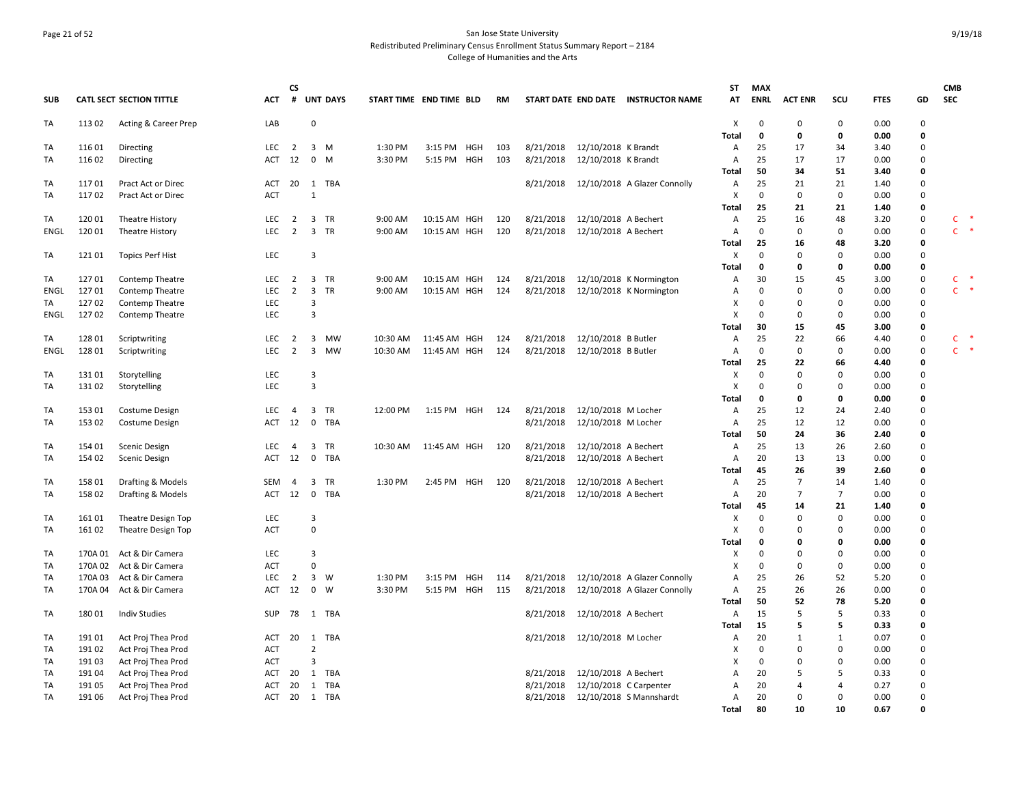## Page 21 of 52 San Jose State University Redistributed Preliminary Census Enrollment Status Summary Report – 2184 College of Humanities and the Arts

|             |         |                                 |            | <b>CS</b>      |                         |                 |                         |              |     |     |           |                      |                                     | ST             | <b>MAX</b>   |                |                            |             |        | <b>CMB</b>   |        |
|-------------|---------|---------------------------------|------------|----------------|-------------------------|-----------------|-------------------------|--------------|-----|-----|-----------|----------------------|-------------------------------------|----------------|--------------|----------------|----------------------------|-------------|--------|--------------|--------|
| <b>SUB</b>  |         | <b>CATL SECT SECTION TITTLE</b> | ACT        | #              |                         | <b>UNT DAYS</b> | START TIME END TIME BLD |              |     | RM  |           |                      | START DATE END DATE INSTRUCTOR NAME | AT             | <b>ENRL</b>  | <b>ACT ENR</b> | scu                        | <b>FTES</b> | GD     | SEC          |        |
| TA          | 113 02  | Acting & Career Prep            | LAB        |                | $\Omega$                |                 |                         |              |     |     |           |                      |                                     | X              | $\Omega$     | $\mathbf 0$    | 0                          | 0.00        | 0      |              |        |
|             |         |                                 |            |                |                         |                 |                         |              |     |     |           |                      |                                     | Total          | $\mathbf{0}$ | $\mathbf 0$    | 0                          | 0.00        | 0      |              |        |
| TA          | 116 01  | Directing                       | LEC        | $\overline{2}$ | $\overline{\mathbf{3}}$ | M               | 1:30 PM                 | 3:15 PM HGH  |     | 103 | 8/21/2018 | 12/10/2018 K Brandt  |                                     | Α              | 25           | 17             | 34                         | 3.40        | 0      |              |        |
| TA          | 116 02  | Directing                       | ACT        | 12             | $\mathbf 0$             | M               | 3:30 PM                 | 5:15 PM HGH  |     | 103 | 8/21/2018 | 12/10/2018 K Brandt  |                                     | Α              | 25           | 17             | 17                         | 0.00        | 0      |              |        |
|             |         |                                 |            |                |                         |                 |                         |              |     |     |           |                      |                                     | Total          | 50           | 34             | 51                         | 3.40        | 0      |              |        |
| TA          | 11701   | Pract Act or Direc              | ACT        | 20             | 1                       | TBA             |                         |              |     |     | 8/21/2018 |                      | 12/10/2018 A Glazer Connolly        | Α              | 25           | 21             | 21                         | 1.40        | 0      |              |        |
| TA          | 11702   | Pract Act or Direc              | <b>ACT</b> |                | $\mathbf{1}$            |                 |                         |              |     |     |           |                      |                                     | X              | $\mathbf 0$  | $\mathbf 0$    | $\mathbf 0$                | 0.00        | 0      |              |        |
|             |         |                                 |            |                |                         |                 |                         |              |     |     |           |                      |                                     | Total          | 25           | 21             | 21                         | 1.40        | 0      |              |        |
| TA          | 120 01  | <b>Theatre History</b>          | LEC        | $\overline{2}$ | $\overline{3}$          | <b>TR</b>       | 9:00 AM                 | 10:15 AM HGH |     | 120 | 8/21/2018 | 12/10/2018 A Bechert |                                     | Α              | 25           | 16             | 48                         | 3.20        | 0      | C            |        |
| <b>ENGL</b> | 120 01  | Theatre History                 | LEC        | $\overline{2}$ | $\overline{\mathbf{3}}$ | TR              | 9:00 AM                 | 10:15 AM HGH |     | 120 | 8/21/2018 | 12/10/2018 A Bechert |                                     | A              | $\Omega$     | $\mathbf 0$    | 0                          | 0.00        | 0      |              | $C$ *  |
|             |         |                                 |            |                |                         |                 |                         |              |     |     |           |                      |                                     | Total          | 25           | 16             | 48                         | 3.20        | 0      |              |        |
| TA          | 121 01  | <b>Topics Perf Hist</b>         | LEC        |                | 3                       |                 |                         |              |     |     |           |                      |                                     | X              | $\Omega$     | $\mathbf 0$    | $\mathbf 0$                | 0.00        | 0      |              |        |
|             |         |                                 |            |                |                         |                 |                         |              |     |     |           |                      |                                     | Total          | 0            | $\mathbf 0$    | 0                          | 0.00        | 0      |              |        |
| TA          | 127 01  | Contemp Theatre                 | LEC        | $\overline{2}$ | $\overline{3}$          | TR              | 9:00 AM                 | 10:15 AM HGH |     | 124 | 8/21/2018 |                      | 12/10/2018 K Normington             | Α              | 30           | 15             | 45                         | 3.00        | 0      | $\mathsf{C}$ | $\ast$ |
| ENGL        | 12701   | Contemp Theatre                 | <b>LEC</b> | $\overline{2}$ | 3                       | <b>TR</b>       | 9:00 AM                 | 10:15 AM HGH |     | 124 | 8/21/2018 |                      | 12/10/2018 K Normington             | Α              | 0            | $\mathbf 0$    | 0                          | 0.00        | 0      | $\mathsf{C}$ | $\ast$ |
| TA          | 127 02  | Contemp Theatre                 | LEC        |                | 3                       |                 |                         |              |     |     |           |                      |                                     | X              | $\Omega$     | $\mathbf 0$    | $\mathbf 0$                | 0.00        | 0      |              |        |
| ENGL        | 12702   | Contemp Theatre                 | <b>LEC</b> |                | 3                       |                 |                         |              |     |     |           |                      |                                     | X              | $\Omega$     | $\mathbf 0$    | $\mathbf 0$                | 0.00        | 0      |              |        |
|             |         |                                 |            |                |                         |                 |                         |              |     |     |           |                      |                                     | Total          | 30           | 15             | 45                         | 3.00        | 0      |              |        |
| TA          | 128 01  | Scriptwriting                   | LEC        | $\overline{2}$ | 3                       | MW              | 10:30 AM                | 11:45 AM HGH |     | 124 | 8/21/2018 | 12/10/2018 B Butler  |                                     | A              | 25           | 22             | 66                         | 4.40        | 0      | C            |        |
| <b>ENGL</b> | 128 01  | Scriptwriting                   | LEC        | 2              | 3                       | <b>MW</b>       | 10:30 AM                | 11:45 AM HGH |     | 124 | 8/21/2018 | 12/10/2018 B Butler  |                                     | Α              | $\mathbf 0$  | $\mathbf 0$    | 0                          | 0.00        | 0      |              | $C$ *  |
|             |         |                                 |            |                |                         |                 |                         |              |     |     |           |                      |                                     | <b>Total</b>   | 25           | 22             | 66                         | 4.40        | 0      |              |        |
| TA          | 131 01  | Storytelling                    | LEC        |                | 3                       |                 |                         |              |     |     |           |                      |                                     | X              | $\Omega$     | $\mathsf 0$    | $\mathbf 0$                | 0.00        | 0      |              |        |
| TA          | 131 02  | Storytelling                    | LEC        |                | 3                       |                 |                         |              |     |     |           |                      |                                     | X              | $\Omega$     | $\mathbf 0$    | $\mathbf 0$                | 0.00        | 0      |              |        |
|             |         |                                 |            |                |                         |                 |                         |              |     |     |           |                      |                                     | Total          | $\mathbf{0}$ | $\mathbf 0$    | 0                          | 0.00        | 0      |              |        |
| TA          | 153 01  | Costume Design                  | LEC        | 4              | $\overline{3}$          | TR              | 12:00 PM                | 1:15 PM HGH  |     | 124 | 8/21/2018 | 12/10/2018 M Locher  |                                     | Α              | 25           | 12             | 24                         | 2.40        | 0      |              |        |
| <b>TA</b>   | 153 02  | Costume Design                  | ACT        | 12             | $\mathbf 0$             | TBA             |                         |              |     |     | 8/21/2018 | 12/10/2018 M Locher  |                                     | A              | 25           | 12             | 12                         | 0.00        | 0      |              |        |
|             |         |                                 |            |                |                         |                 |                         |              |     |     |           |                      |                                     | Total          | 50           | 24             | 36                         | 2.40        | 0      |              |        |
| TA          | 154 01  | Scenic Design                   | LEC        | $\overline{4}$ | 3                       | <b>TR</b>       | 10:30 AM                | 11:45 AM HGH |     | 120 | 8/21/2018 | 12/10/2018 A Bechert |                                     | Α              | 25           | 13             | 26                         | 2.60        | 0      |              |        |
| TA          | 154 02  | <b>Scenic Design</b>            | ACT        | 12             | 0                       | TBA             |                         |              |     |     | 8/21/2018 | 12/10/2018 A Bechert |                                     | Α              | 20           | 13             | 13                         | 0.00        | 0      |              |        |
|             |         |                                 |            |                |                         |                 |                         |              |     |     |           |                      |                                     | Total          | 45           | 26             | 39                         | 2.60        | 0      |              |        |
| TA          | 158 01  | Drafting & Models               | SEM        | 4              | 3                       | TR              | 1:30 PM                 | 2:45 PM HGH  |     | 120 | 8/21/2018 | 12/10/2018 A Bechert |                                     | Α              | 25           | $\overline{7}$ | 14                         | 1.40        | 0      |              |        |
| TA          | 158 02  | Drafting & Models               | ACT        | 12             | $\overline{\mathbf{0}}$ | TBA             |                         |              |     |     | 8/21/2018 | 12/10/2018 A Bechert |                                     | Α              | 20           | $\overline{7}$ | $\overline{7}$             | 0.00        | 0      |              |        |
|             |         |                                 |            |                |                         |                 |                         |              |     |     |           |                      |                                     | Total          | 45           | 14             | 21                         | 1.40        | 0      |              |        |
| TA          | 161 01  | Theatre Design Top              | LEC        |                | 3                       |                 |                         |              |     |     |           |                      |                                     | X              | $\Omega$     | $\mathbf 0$    | $\mathbf 0$                | 0.00        | 0      |              |        |
| TA          | 161 02  | Theatre Design Top              | <b>ACT</b> |                | $\Omega$                |                 |                         |              |     |     |           |                      |                                     | X              | $\Omega$     | $\mathbf 0$    | $\mathbf 0$                | 0.00        | 0      |              |        |
|             |         |                                 |            |                |                         |                 |                         |              |     |     |           |                      |                                     | Total          | $\mathbf{0}$ | $\mathbf 0$    | $\mathbf 0$                | 0.00        | 0      |              |        |
| <b>TA</b>   | 170A01  | Act & Dir Camera                | LEC        |                | 3                       |                 |                         |              |     |     |           |                      |                                     | X              | $\Omega$     | $\mathbf 0$    | $\mathbf 0$                | 0.00        | 0      |              |        |
| TA          | 170A 02 | Act & Dir Camera                | <b>ACT</b> |                | $\Omega$                |                 |                         |              |     |     |           |                      |                                     | X              | $\Omega$     | $\mathbf 0$    | $\mathbf 0$                | 0.00        | 0      |              |        |
| TA          | 170A03  | Act & Dir Camera                | LEC        | $\overline{2}$ | $\overline{3}$          | W               | 1:30 PM                 | 3:15 PM      | HGH | 114 | 8/21/2018 |                      | 12/10/2018 A Glazer Connolly        | A              | 25           | 26             | 52                         | 5.20        | 0      |              |        |
| TA          | 170A 04 | Act & Dir Camera                | ACT        | 12             | $\overline{0}$          | W               | 3:30 PM                 | 5:15 PM HGH  |     | 115 | 8/21/2018 |                      | 12/10/2018 A Glazer Connolly        | A              | 25           | 26             | 26                         | 0.00        | 0      |              |        |
|             |         |                                 |            |                |                         |                 |                         |              |     |     |           |                      |                                     | Total          | 50           | 52             | 78                         | 5.20        | 0      |              |        |
| TA          | 180 01  | <b>Indiv Studies</b>            | SUP        | 78             | $\mathbf{1}$            | TBA             |                         |              |     |     | 8/21/2018 | 12/10/2018 A Bechert |                                     | Α              | 15           | 5              | 5                          | 0.33        | 0      |              |        |
|             |         |                                 |            |                |                         |                 |                         |              |     |     |           |                      |                                     | Total          | 15           | 5              | 5                          | 0.33        | 0      |              |        |
| TA          | 191 01  | Act Proj Thea Prod              | <b>ACT</b> | 20             | 1                       | TBA             |                         |              |     |     | 8/21/2018 | 12/10/2018 M Locher  |                                     | Α              | 20           | 1              | 1                          | 0.07        | 0      |              |        |
|             |         |                                 |            |                | $\overline{2}$          |                 |                         |              |     |     |           |                      |                                     | X              | $\mathbf 0$  | $\mathbf 0$    | $\mathbf 0$                | 0.00        | 0      |              |        |
| TA          | 191 02  | Act Proj Thea Prod              | <b>ACT</b> |                | 3                       |                 |                         |              |     |     |           |                      |                                     | X              | 0            | $\mathbf 0$    |                            |             |        |              |        |
| TA          | 191 03  | Act Proj Thea Prod              | <b>ACT</b> |                |                         |                 |                         |              |     |     |           |                      |                                     | A              | 20           | 5              | 0<br>5                     | 0.00        | 0<br>0 |              |        |
| TA          | 191 04  | Act Proj Thea Prod              | ACT        | 20             | 1                       | TBA             |                         |              |     |     | 8/21/2018 | 12/10/2018 A Bechert |                                     |                |              |                |                            | 0.33        |        |              |        |
| TA          | 191 05  | Act Proj Thea Prod              | <b>ACT</b> | 20             | 1                       | <b>TBA</b>      |                         |              |     |     | 8/21/2018 |                      | 12/10/2018 C Carpenter              | A              | 20           | $\overline{4}$ | $\overline{4}$<br>$\Omega$ | 0.27        | 0<br>0 |              |        |
| TA          | 191 06  | Act Proj Thea Prod              | ACT 20     |                |                         | 1 TBA           |                         |              |     |     | 8/21/2018 |                      | 12/10/2018 S Mannshardt             | $\overline{A}$ | 20           | $\mathbf 0$    |                            | 0.00        |        |              |        |
|             |         |                                 |            |                |                         |                 |                         |              |     |     |           |                      |                                     | Total          | 80           | 10             | 10                         | 0.67        | 0      |              |        |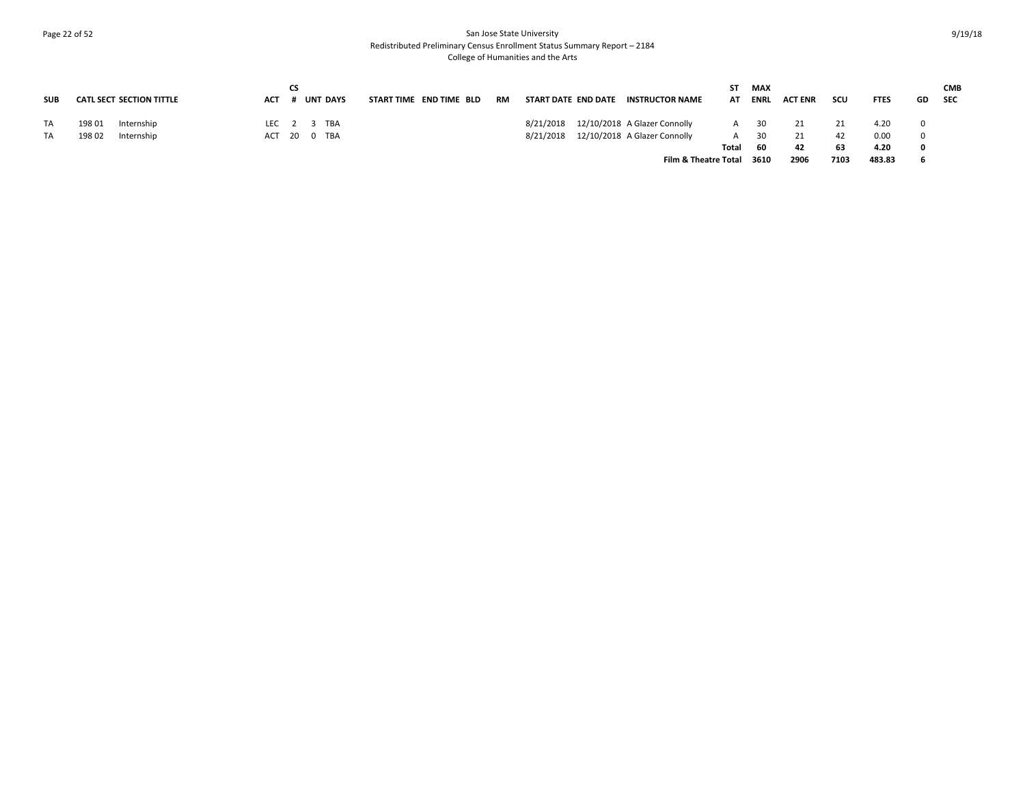## Page 22 of 52 San Jose State University Redistributed Preliminary Census Enrollment Status Summary Report – 2184 College of Humanities and the Arts

| <b>SUB</b> | <b>CATL SECT SECTION TITTLE</b> | <b>ACT</b> | СS | <b>UNT DAYS</b> | START TIME END TIME BLD |  | RM | START DATE END DATE | <b>INSTRUCTOR NAME</b>                 | ST.<br>AT | <b>MAX</b><br><b>ENRL</b> | <b>ACT ENR</b> | scu  | <b>FTES</b> | GD | <b>CMB</b><br><b>SEC</b> |
|------------|---------------------------------|------------|----|-----------------|-------------------------|--|----|---------------------|----------------------------------------|-----------|---------------------------|----------------|------|-------------|----|--------------------------|
| TA         | 198 01<br>Internship            |            |    | LEC 2 3 TBA     |                         |  |    | 8/21/2018           | 12/10/2018 A Glazer Connolly           | A         | 30                        |                |      | 4.20        |    |                          |
| TA         | 198 02<br>Internship            |            |    | ACT 20 0 TBA    |                         |  |    |                     | 8/21/2018 12/10/2018 A Glazer Connolly |           | 30                        |                | 42   | 0.00        |    |                          |
|            |                                 |            |    |                 |                         |  |    |                     |                                        | Total     | -60                       | 42             | 63   | 4.20        | 0  |                          |
|            |                                 |            |    |                 |                         |  |    |                     | Film & Theatre Total                   |           | 3610                      | 2906           | 7103 | 483.83      |    |                          |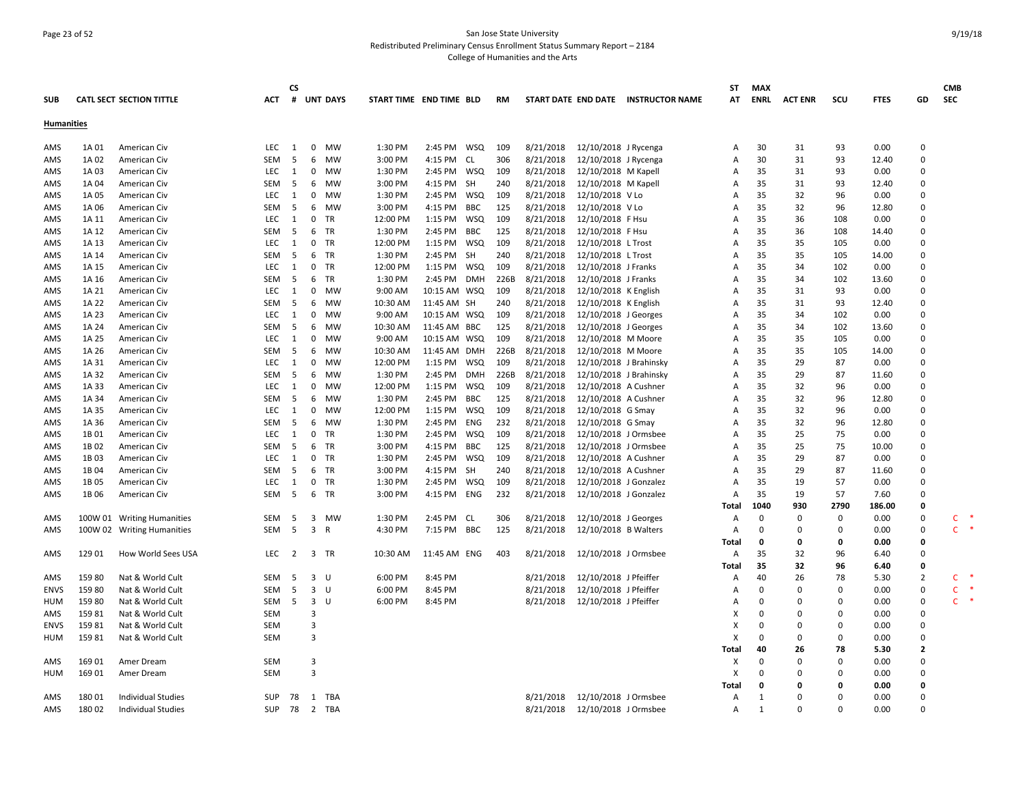## Page 23 of 52 San Jose State University Redistributed Preliminary Census Enrollment Status Summary Report – 2184 College of Humanities and the Arts

|                   |        |                                 |            | CS.            |                         |              |                         |              |            |           |           |                        |                                     | SΤ           | <b>MAX</b>   |                |             |             |                | <b>CMB</b>   |               |
|-------------------|--------|---------------------------------|------------|----------------|-------------------------|--------------|-------------------------|--------------|------------|-----------|-----------|------------------------|-------------------------------------|--------------|--------------|----------------|-------------|-------------|----------------|--------------|---------------|
| <b>SUB</b>        |        | <b>CATL SECT SECTION TITTLE</b> | <b>ACT</b> |                |                         | # UNT DAYS   | START TIME END TIME BLD |              |            | <b>RM</b> |           |                        | START DATE END DATE INSTRUCTOR NAME | АT           | ENRL         | <b>ACT ENR</b> | scu         | <b>FTES</b> | GD             | <b>SEC</b>   |               |
| <b>Humanities</b> |        |                                 |            |                |                         |              |                         |              |            |           |           |                        |                                     |              |              |                |             |             |                |              |               |
|                   |        |                                 |            |                |                         |              |                         |              |            |           |           |                        |                                     |              |              |                |             |             |                |              |               |
| AMS               | 1A 01  | American Civ                    | LEC        | 1              | $\mathbf 0$             | MW           | 1:30 PM                 | 2:45 PM WSQ  |            | 109       | 8/21/2018 | 12/10/2018 J Rycenga   |                                     | A            | 30           | 31             | 93          | 0.00        | 0              |              |               |
| AMS               | 1A 02  | American Civ                    | SEM        | 5              | 6                       | MW           | 3:00 PM                 | 4:15 PM CL   |            | 306       | 8/21/2018 | 12/10/2018 J Rycenga   |                                     | Α            | 30           | 31             | 93          | 12.40       | 0              |              |               |
| AMS               | 1A 03  | American Civ                    | LEC        | <sup>1</sup>   | $\mathbf 0$             | MW           | 1:30 PM                 | 2:45 PM WSQ  |            | 109       | 8/21/2018 | 12/10/2018 M Kapell    |                                     | A            | 35           | 31             | 93          | 0.00        | $\Omega$       |              |               |
| AMS               | 1A 04  | American Civ                    | SEM        | - 5            | 6                       | MW           | 3:00 PM                 | 4:15 PM SH   |            | 240       | 8/21/2018 | 12/10/2018 M Kapell    |                                     | Α            | 35           | 31             | 93          | 12.40       | $\mathbf 0$    |              |               |
| AMS               | 1A 05  | American Civ                    | <b>LEC</b> | 1              | $\mathbf 0$             | <b>MW</b>    | 1:30 PM                 | 2:45 PM WSQ  |            | 109       | 8/21/2018 | 12/10/2018 V Lo        |                                     | Α            | 35           | 32             | 96          | 0.00        | $\Omega$       |              |               |
| AMS               | 1A 06  | American Civ                    | <b>SEM</b> | 5              | 6                       | MW           | 3:00 PM                 | 4:15 PM BBC  |            | 125       | 8/21/2018 | 12/10/2018 V Lo        |                                     | A            | 35           | 32             | 96          | 12.80       | $\Omega$       |              |               |
| AMS               | 1A 11  | American Civ                    | LEC        | 1              | $\mathbf 0$             | TR           | 12:00 PM                | 1:15 PM WSQ  |            | 109       | 8/21/2018 | 12/10/2018 F Hsu       |                                     | A            | 35           | 36             | 108         | 0.00        | $\mathbf 0$    |              |               |
| AMS               | 1A 12  | American Civ                    | SEM        | -5             | 6                       | TR           | 1:30 PM                 | 2:45 PM BBC  |            | 125       | 8/21/2018 | 12/10/2018 F Hsu       |                                     | Α            | 35           | 36             | 108         | 14.40       | $\Omega$       |              |               |
| AMS               | 1A 13  | American Civ                    | LEC        | 1              | $\mathbf 0$             | TR           | 12:00 PM                | 1:15 PM WSQ  |            | 109       | 8/21/2018 | 12/10/2018 L Trost     |                                     | Α            | 35           | 35             | 105         | 0.00        | $\Omega$       |              |               |
| AMS               | 1A 14  | American Civ                    | SEM        | -5             | 6                       | TR           | 1:30 PM                 | 2:45 PM      | - SH       | 240       | 8/21/2018 | 12/10/2018 L Trost     |                                     | A            | 35           | 35             | 105         | 14.00       | $\mathbf 0$    |              |               |
| AMS               | 1A 15  | American Civ                    | <b>LEC</b> | 1              | 0                       | TR           | 12:00 PM                | 1:15 PM WSQ  |            | 109       | 8/21/2018 | 12/10/2018 J Franks    |                                     | A            | 35           | 34             | 102         | 0.00        | $\Omega$       |              |               |
| AMS               | 1A 16  | American Civ                    | <b>SEM</b> | 5              | 6                       | TR           | 1:30 PM                 | 2:45 PM      | DMH        | 226B      | 8/21/2018 | 12/10/2018 J Franks    |                                     | A            | 35           | 34             | 102         | 13.60       | $\Omega$       |              |               |
| AMS               | 1A 21  | American Civ                    | LEC        | 1              | $\mathbf 0$             | <b>MW</b>    | 9:00 AM                 | 10:15 AM WSQ |            | 109       | 8/21/2018 | 12/10/2018 K English   |                                     | A            | 35           | 31             | 93          | 0.00        | $\mathbf 0$    |              |               |
| AMS               | 1A 22  | American Civ                    | SEM        | -5             | 6                       | MW           | 10:30 AM                | 11:45 AM SH  |            | 240       | 8/21/2018 | 12/10/2018 K English   |                                     | Α            | 35           | 31             | 93          | 12.40       | 0              |              |               |
| AMS               | 1A 23  | American Civ                    | LEC        | 1              | $\mathbf 0$             | MW           | 9:00 AM                 | 10:15 AM WSQ |            | 109       | 8/21/2018 | 12/10/2018 J Georges   |                                     | A            | 35           | 34             | 102         | 0.00        | $\mathbf 0$    |              |               |
| AMS               | 1A 24  | American Civ                    | SEM        | - 5            | 6                       | MW           | 10:30 AM                | 11:45 AM BBC |            | 125       | 8/21/2018 | 12/10/2018 J Georges   |                                     | A            | 35           | 34             | 102         | 13.60       | $\mathbf 0$    |              |               |
| AMS               | 1A 25  | American Civ                    | LEC.       | 1              | $\mathbf 0$             | MW           | 9:00 AM                 | 10:15 AM WSQ |            | 109       | 8/21/2018 | 12/10/2018 M Moore     |                                     | A            | 35           | 35             | 105         | 0.00        | $\Omega$       |              |               |
| AMS               | 1A 26  | American Civ                    | SEM        | 5              | 6                       | <b>MW</b>    | 10:30 AM                | 11:45 AM DMH |            | 226B      | 8/21/2018 | 12/10/2018 M Moore     |                                     | Α            | 35           | 35             | 105         | 14.00       | $\Omega$       |              |               |
| AMS               | 1A 31  | American Civ                    | LEC        | $\overline{1}$ | $\mathbf 0$             | MW           | 12:00 PM                | 1:15 PM WSQ  |            | 109       | 8/21/2018 | 12/10/2018 J Brahinsky |                                     | Α            | 35           | 29             | 87          | 0.00        | $\Omega$       |              |               |
| AMS               | 1A 32  | American Civ                    | SEM        | -5             | 6                       | MW           | 1:30 PM                 | 2:45 PM      | <b>DMH</b> | 226B      | 8/21/2018 | 12/10/2018 J Brahinsky |                                     | A            | 35           | 29             | 87          | 11.60       | $\mathbf 0$    |              |               |
| AMS               | 1A 33  | American Civ                    | LEC        | $\overline{1}$ | 0                       | MW           | 12:00 PM                | 1:15 PM WSQ  |            | 109       | 8/21/2018 | 12/10/2018 A Cushner   |                                     | Α            | 35           | 32             | 96          | 0.00        | $\mathbf 0$    |              |               |
| AMS               | 1A 34  | American Civ                    | SEM        | -5             | 6                       | MW           | 1:30 PM                 | 2:45 PM      | BBC        | 125       | 8/21/2018 | 12/10/2018 A Cushner   |                                     | A            | 35           | 32             | 96          | 12.80       | $\Omega$       |              |               |
| AMS               | 1A 35  | American Civ                    | LEC        | 1              | $\mathbf 0$             | <b>MW</b>    | 12:00 PM                | 1:15 PM WSQ  |            | 109       | 8/21/2018 | 12/10/2018 G Smay      |                                     | Α            | 35           | 32             | 96          | 0.00        | $\mathbf 0$    |              |               |
| AMS               | 1A 36  | American Civ                    | SEM        | 5              | 6                       | MW           | 1:30 PM                 | 2:45 PM ENG  |            | 232       | 8/21/2018 | 12/10/2018 G Smay      |                                     | A            | 35           | 32             | 96          | 12.80       | $\Omega$       |              |               |
| AMS               | 1B 01  | American Civ                    | <b>LEC</b> | 1              | $\mathbf 0$             | <b>TR</b>    | 1:30 PM                 | 2:45 PM      | WSQ        | 109       | 8/21/2018 | 12/10/2018 J Ormsbee   |                                     | A            | 35           | 25             | 75          | 0.00        | $\Omega$       |              |               |
| AMS               | 1B02   | American Civ                    | SEM        | -5             | 6                       | TR           | 3:00 PM                 | 4:15 PM BBC  |            | 125       | 8/21/2018 | 12/10/2018 J Ormsbee   |                                     | Α            | 35           | 25             | 75          | 10.00       | $\Omega$       |              |               |
| AMS               | 1B03   | American Civ                    | LEC.       | 1              | 0                       | TR           | 1:30 PM                 | 2:45 PM WSQ  |            | 109       | 8/21/2018 | 12/10/2018 A Cushner   |                                     | Α            | 35           | 29             | 87          | 0.00        | $\Omega$       |              |               |
| AMS               | 1B 04  | American Civ                    | SEM        | -5             | 6                       | TR           | 3:00 PM                 | 4:15 PM SH   |            | 240       | 8/21/2018 | 12/10/2018 A Cushner   |                                     | A            | 35           | 29             | 87          | 11.60       | $\mathbf 0$    |              |               |
| AMS               | 1B 05  | American Civ                    | LEC        | 1              | $\mathbf 0$             | TR           | 1:30 PM                 | 2:45 PM WSQ  |            | 109       | 8/21/2018 | 12/10/2018 J Gonzalez  |                                     | Α            | 35           | 19             | 57          | 0.00        | $\Omega$       |              |               |
| AMS               | 1B 06  | American Civ                    | SEM        | -5             | 6                       | TR           | 3:00 PM                 | 4:15 PM ENG  |            | 232       | 8/21/2018 | 12/10/2018 J Gonzalez  |                                     | A            | 35           | 19             | 57          | 7.60        | $\Omega$       |              |               |
|                   |        |                                 |            |                |                         |              |                         |              |            |           |           |                        |                                     | Total        | 1040         | 930            | 2790        | 186.00      | 0              |              |               |
| AMS               |        | 100W 01 Writing Humanities      | SEM        | -5             | 3                       | MW           | 1:30 PM                 | 2:45 PM CL   |            | 306       | 8/21/2018 | 12/10/2018 J Georges   |                                     | Α            | $\Omega$     | 0              | $\mathbf 0$ | 0.00        | $\mathbf 0$    | C            | 一味            |
| AMS               |        | 100W 02 Writing Humanities      | SEM        | 5              | $\overline{\mathbf{3}}$ | $\mathsf{R}$ | 4:30 PM                 | 7:15 PM BBC  |            | 125       | 8/21/2018 | 12/10/2018 B Walters   |                                     | Α            | 0            | 0              | $\mathbf 0$ | 0.00        | 0              | $\mathsf{C}$ | $\rightarrow$ |
|                   |        |                                 |            |                |                         |              |                         |              |            |           |           |                        |                                     | Total        | 0            | 0              | 0           | 0.00        | 0              |              |               |
| AMS               | 129 01 | How World Sees USA              | <b>LEC</b> | 2              | 3                       | TR           | 10:30 AM                | 11:45 AM ENG |            | 403       | 8/21/2018 | 12/10/2018 J Ormsbee   |                                     | A            | 35           | 32             | 96          | 6.40        | $\Omega$       |              |               |
|                   |        |                                 |            |                |                         |              |                         |              |            |           |           |                        |                                     | Total        | 35           | 32             | 96          | 6.40        | 0              |              |               |
| AMS               | 159 80 | Nat & World Cult                | SEM        | -5             | $\overline{\mathbf{3}}$ | - U          | 6:00 PM                 | 8:45 PM      |            |           | 8/21/2018 | 12/10/2018 J Pfeiffer  |                                     | Α            | 40           | 26             | 78          | 5.30        | $\overline{2}$ | C            |               |
| <b>ENVS</b>       | 159 80 | Nat & World Cult                | <b>SEM</b> | -5             | 3                       | U            | 6:00 PM                 | 8:45 PM      |            |           | 8/21/2018 | 12/10/2018 J Pfeiffer  |                                     | A            | $\Omega$     | $\Omega$       | $\mathbf 0$ | 0.00        | 0              | $\mathsf{C}$ |               |
| HUM               | 159 80 | Nat & World Cult                | SEM        | -5             | $\overline{\mathbf{3}}$ | U            | 6:00 PM                 | 8:45 PM      |            |           | 8/21/2018 | 12/10/2018 J Pfeiffer  |                                     | Α            | $\Omega$     | $\Omega$       | $\Omega$    | 0.00        | $\mathbf 0$    | $\mathsf{C}$ | ×,            |
| AMS               | 15981  | Nat & World Cult                | SEM        |                | 3                       |              |                         |              |            |           |           |                        |                                     | х            | $\Omega$     | $\Omega$       | 0           | 0.00        | $\Omega$       |              |               |
| <b>ENVS</b>       | 15981  | Nat & World Cult                | SEM        |                | 3                       |              |                         |              |            |           |           |                        |                                     | X            | $\Omega$     | $\Omega$       | $\mathbf 0$ | 0.00        | $\mathbf 0$    |              |               |
| HUM               | 15981  | Nat & World Cult                | SEM        |                | 3                       |              |                         |              |            |           |           |                        |                                     | X            | $\Omega$     | 0              | $\mathbf 0$ | 0.00        | $\mathbf 0$    |              |               |
|                   |        |                                 |            |                |                         |              |                         |              |            |           |           |                        |                                     | Total        | 40           | 26             | 78          | 5.30        | $\mathbf{2}$   |              |               |
| AMS               | 169 01 | Amer Dream                      | SEM        |                | $\overline{3}$          |              |                         |              |            |           |           |                        |                                     | Χ            | $\Omega$     | $\mathbf 0$    | $\mathbf 0$ | 0.00        | $\Omega$       |              |               |
| HUM               | 169 01 | Amer Dream                      | SEM        |                | $\overline{3}$          |              |                         |              |            |           |           |                        |                                     | Х            | $\Omega$     | $\Omega$       | 0           | 0.00        | $\Omega$       |              |               |
|                   |        |                                 |            |                |                         |              |                         |              |            |           |           |                        |                                     | Total        | 0            | 0              | 0           | 0.00        | 0              |              |               |
| AMS               | 180 01 | <b>Individual Studies</b>       | SUP        | 78             |                         | 1 TBA        |                         |              |            |           | 8/21/2018 | 12/10/2018 J Ormsbee   |                                     | Α            | -1           | $\Omega$       | $\Omega$    | 0.00        | $\Omega$       |              |               |
| AMS               | 18002  | <b>Individual Studies</b>       | SUP        | - 78           | $\overline{2}$          | TBA          |                         |              |            |           | 8/21/2018 | 12/10/2018 J Ormsbee   |                                     | $\mathsf{A}$ | $\mathbf{1}$ | $\Omega$       | $\Omega$    | 0.00        | O              |              |               |
|                   |        |                                 |            |                |                         |              |                         |              |            |           |           |                        |                                     |              |              |                |             |             |                |              |               |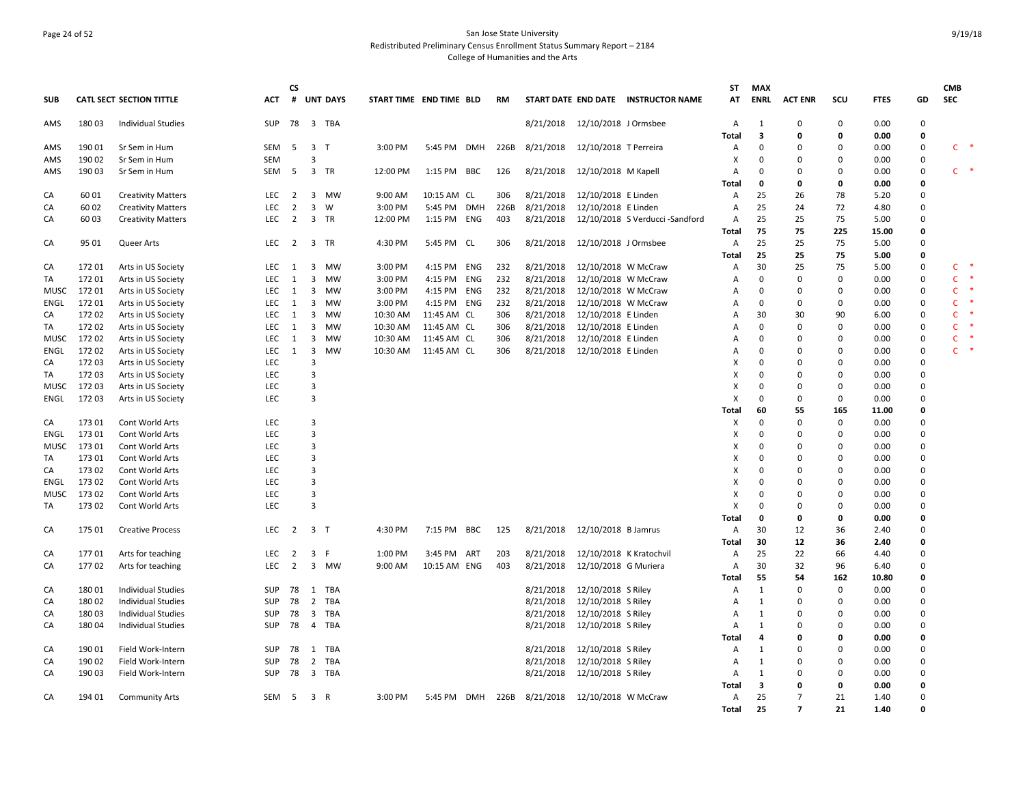## Page 24 of 52 San Jose State University Redistributed Preliminary Census Enrollment Status Summary Report – 2184 College of Humanities and the Arts

|             |        |                                 |            | CS             |                         |                 |                         |              |      |           |                         |                                     | ST           | MAX          |                |             |             |             | <b>CMB</b>   |               |
|-------------|--------|---------------------------------|------------|----------------|-------------------------|-----------------|-------------------------|--------------|------|-----------|-------------------------|-------------------------------------|--------------|--------------|----------------|-------------|-------------|-------------|--------------|---------------|
| <b>SUB</b>  |        | <b>CATL SECT SECTION TITTLE</b> | ACT        | #              |                         | <b>UNT DAYS</b> | START TIME END TIME BLD |              | RM   |           |                         | START DATE END DATE INSTRUCTOR NAME | AT           | <b>ENRL</b>  | <b>ACT ENR</b> | scu         | <b>FTES</b> | GD          | <b>SEC</b>   |               |
| AMS         | 180 03 | <b>Individual Studies</b>       | <b>SUP</b> | 78             |                         | 3 TBA           |                         |              |      | 8/21/2018 | 12/10/2018 J Ormsbee    |                                     | Α            | 1            | $\mathbf 0$    | $\mathbf 0$ | 0.00        | $\mathbf 0$ |              |               |
|             |        |                                 |            |                |                         |                 |                         |              |      |           |                         |                                     | Total        | 3            | 0              | 0           | 0.00        | 0           |              | $\rightarrow$ |
| AMS         | 190 01 | Sr Sem in Hum                   | SEM        | 5              | $\overline{\mathbf{3}}$ | $\top$          | 3:00 PM                 | 5:45 PM DMH  | 226B | 8/21/2018 | 12/10/2018 T Perreira   |                                     | Α            | 0            | 0              | $\mathbf 0$ | 0.00        | 0           | $\mathsf{C}$ |               |
| AMS         | 190 02 | Sr Sem in Hum                   | <b>SEM</b> |                | 3                       |                 |                         |              |      |           |                         |                                     | х            | $\Omega$     | 0              | 0           | 0.00        | 0           |              |               |
| AMS         | 190 03 | Sr Sem in Hum                   | <b>SEM</b> | - 5            | $\overline{\mathbf{3}}$ | TR              | 12:00 PM                | 1:15 PM BBC  | 126  | 8/21/2018 | 12/10/2018 M Kapell     |                                     | Α            | $\Omega$     | 0              | 0           | 0.00        | 0           | C.           |               |
|             |        |                                 |            |                |                         |                 |                         |              |      |           |                         |                                     | Total        | 0            | $\mathbf 0$    | $\mathbf 0$ | 0.00        | 0           |              |               |
| CA          | 60 01  | <b>Creativity Matters</b>       | LEC        | 2              | $\overline{\mathbf{3}}$ | <b>MW</b>       | 9:00 AM                 | 10:15 AM CL  | 306  | 8/21/2018 | 12/10/2018 E Linden     |                                     | Α            | 25           | 26             | 78          | 5.20        | 0           |              |               |
| CA          | 60 02  | <b>Creativity Matters</b>       | LEC        | $\overline{2}$ | $\overline{3}$          | W               | 3:00 PM                 | 5:45 PM DMH  | 226B | 8/21/2018 | 12/10/2018 E Linden     |                                     | Α            | 25           | 24             | 72          | 4.80        | 0           |              |               |
| CA          | 60 03  | <b>Creativity Matters</b>       | LEC        | $\overline{2}$ |                         | 3 TR            | 12:00 PM                | 1:15 PM ENG  | 403  | 8/21/2018 |                         | 12/10/2018 S Verducci -Sandford     | Α            | 25           | 25             | 75          | 5.00        | 0           |              |               |
|             |        |                                 |            |                |                         |                 |                         |              |      |           |                         |                                     | Total        | 75           | 75             | 225         | 15.00       | 0           |              |               |
| CA          | 95 01  | Queer Arts                      | LEC        | $\overline{2}$ |                         | 3 TR            | 4:30 PM                 | 5:45 PM CL   | 306  | 8/21/2018 | 12/10/2018 J Ormsbee    |                                     | Α            | 25           | 25             | 75          | 5.00        | 0           |              |               |
|             |        |                                 |            |                |                         |                 |                         |              |      |           |                         |                                     | Total        | 25           | 25             | 75          | 5.00        | 0           |              |               |
| CA          | 172 01 | Arts in US Society              | LEC        | 1              | 3                       | <b>MW</b>       | 3:00 PM                 | 4:15 PM ENG  | 232  | 8/21/2018 | 12/10/2018 W McCraw     |                                     | Α            | 30           | 25             | 75          | 5.00        | 0           | C            |               |
| TA          | 172 01 | Arts in US Society              | <b>LEC</b> | 1              | $\overline{\mathbf{3}}$ | <b>MW</b>       | 3:00 PM                 | 4:15 PM ENG  | 232  | 8/21/2018 | 12/10/2018 W McCraw     |                                     | Α            | $\Omega$     | $\mathbf 0$    | $\mathbf 0$ | 0.00        | $\mathbf 0$ | $\mathsf{C}$ |               |
| <b>MUSC</b> | 172 01 | Arts in US Society              | LEC        | 1              | 3                       | MW              | 3:00 PM                 | 4:15 PM ENG  | 232  | 8/21/2018 | 12/10/2018 W McCraw     |                                     | Α            | $\mathbf 0$  | $\mathbf 0$    | $\mathbf 0$ | 0.00        | 0           | C            |               |
| ENGL        | 172 01 | Arts in US Society              | LEC        | 1              | $\overline{3}$          | MW              | 3:00 PM                 | 4:15 PM ENG  | 232  | 8/21/2018 | 12/10/2018 W McCraw     |                                     | Α            | $\mathbf 0$  | $\mathbf 0$    | $\mathbf 0$ | 0.00        | 0           | $\mathsf{C}$ |               |
| CA          | 172 02 | Arts in US Society              | LEC        | 1              | 3                       | MW              | 10:30 AM                | 11:45 AM CL  | 306  | 8/21/2018 | 12/10/2018 E Linden     |                                     | Α            | 30           | 30             | 90          | 6.00        | 0           | C            |               |
| TA          | 172 02 | Arts in US Society              | LEC        | $\mathbf{1}$   | 3                       | MW              | 10:30 AM                | 11:45 AM CL  | 306  | 8/21/2018 | 12/10/2018 E Linden     |                                     | Α            | 0            | 0              | 0           | 0.00        | 0           | C            |               |
| MUSC        | 17202  | Arts in US Society              | LEC        | 1              | 3                       | MW              | 10:30 AM                | 11:45 AM CL  | 306  | 8/21/2018 | 12/10/2018 E Linden     |                                     | Α            | $\Omega$     | $\Omega$       | $\mathbf 0$ | 0.00        | 0           | $\mathsf{C}$ |               |
| ENGL        | 172 02 | Arts in US Society              | <b>LEC</b> | 1              | 3                       | <b>MW</b>       | 10:30 AM                | 11:45 AM CL  | 306  | 8/21/2018 | 12/10/2018 E Linden     |                                     | Α            | $\Omega$     | $\mathbf 0$    | $\mathbf 0$ | 0.00        | 0           | $\mathsf{C}$ |               |
| CA          | 172 03 | Arts in US Society              | LEC        |                | 3                       |                 |                         |              |      |           |                         |                                     | X            | $\Omega$     | $\mathbf 0$    | $\mathbf 0$ | 0.00        | 0           |              |               |
| TA          | 172 03 | Arts in US Society              | LEC        |                | 3                       |                 |                         |              |      |           |                         |                                     | X            | $\mathbf 0$  | $\overline{0}$ | $\mathbf 0$ | 0.00        | 0           |              |               |
| MUSC        | 172 03 | Arts in US Society              | LEC        |                | 3                       |                 |                         |              |      |           |                         |                                     | х            | 0            | 0              | 0           | 0.00        | 0           |              |               |
| ENGL        | 17203  | Arts in US Society              | LEC        |                | 3                       |                 |                         |              |      |           |                         |                                     | X            | $\Omega$     | $\mathbf 0$    | 0           | 0.00        | 0           |              |               |
|             |        |                                 |            |                |                         |                 |                         |              |      |           |                         |                                     | Total        | 60           | 55             | 165         | 11.00       | 0           |              |               |
| CA          | 173 01 | Cont World Arts                 | LEC        |                | 3                       |                 |                         |              |      |           |                         |                                     | х            | $\mathbf 0$  | $\mathbf 0$    | $\mathbf 0$ | 0.00        | $\Omega$    |              |               |
| ENGL        | 173 01 | Cont World Arts                 | <b>LEC</b> |                | 3                       |                 |                         |              |      |           |                         |                                     | X            | $\Omega$     | $\Omega$       | $\mathbf 0$ | 0.00        | $\Omega$    |              |               |
| <b>MUSC</b> | 173 01 | Cont World Arts                 | LEC        |                | 3                       |                 |                         |              |      |           |                         |                                     | x            | $\Omega$     | $\Omega$       | $\mathbf 0$ | 0.00        | 0           |              |               |
| TA          | 173 01 | Cont World Arts                 | LEC        |                | 3                       |                 |                         |              |      |           |                         |                                     | х            | $\Omega$     | $\mathbf 0$    | 0           | 0.00        | $\mathbf 0$ |              |               |
| CA          | 173 02 | Cont World Arts                 | LEC        |                | 3                       |                 |                         |              |      |           |                         |                                     | Х            | $\Omega$     | $\mathbf 0$    | $\mathbf 0$ | 0.00        | 0           |              |               |
| ENGL        | 17302  | Cont World Arts                 | LEC        |                | 3                       |                 |                         |              |      |           |                         |                                     | х            | $\Omega$     | 0              | 0           | 0.00        | $\mathbf 0$ |              |               |
| <b>MUSC</b> | 17302  | Cont World Arts                 | <b>LEC</b> |                | 3                       |                 |                         |              |      |           |                         |                                     | X            | $\Omega$     | $\mathbf 0$    | $\mathbf 0$ | 0.00        | $\Omega$    |              |               |
| TA          | 173 02 | Cont World Arts                 | LEC        |                | 3                       |                 |                         |              |      |           |                         |                                     | X            | $\Omega$     | $\mathbf 0$    | $\mathbf 0$ | 0.00        | 0           |              |               |
|             |        |                                 |            |                |                         |                 |                         |              |      |           |                         |                                     | Total        | 0            | 0              | 0           | 0.00        | 0           |              |               |
| CA          | 175 01 | <b>Creative Process</b>         | LEC        | $\overline{2}$ | 3 <sub>1</sub>          |                 | 4:30 PM                 | 7:15 PM BBC  | 125  | 8/21/2018 | 12/10/2018 B Jamrus     |                                     | Α            | 30           | 12             | 36          | 2.40        | 0           |              |               |
|             |        |                                 |            |                |                         |                 |                         |              |      |           |                         |                                     | <b>Total</b> | 30           | 12             | 36          | 2.40        | 0           |              |               |
| CA          | 17701  | Arts for teaching               | LEC        | 2              | $\overline{\mathbf{3}}$ | F               | 1:00 PM                 | 3:45 PM ART  | 203  | 8/21/2018 | 12/10/2018 K Kratochvil |                                     | Α            | 25           | 22             | 66          | 4.40        | $\Omega$    |              |               |
| CA          | 17702  | Arts for teaching               | LEC        | $\overline{2}$ |                         | 3 MW            | 9:00 AM                 | 10:15 AM ENG | 403  | 8/21/2018 | 12/10/2018 G Muriera    |                                     | Α            | 30           | 32             | 96          | 6.40        | 0           |              |               |
|             |        |                                 |            |                |                         |                 |                         |              |      |           |                         |                                     | Total        | 55           | 54             | 162         | 10.80       | 0           |              |               |
| CA          | 18001  | <b>Individual Studies</b>       | <b>SUP</b> | 78             | 1                       | TBA             |                         |              |      | 8/21/2018 | 12/10/2018 S Riley      |                                     | Α            | 1            | $\mathbf 0$    | $\mathbf 0$ | 0.00        | $\Omega$    |              |               |
| CA          | 180 02 | <b>Individual Studies</b>       | SUP        | 78             | $\overline{2}$          | <b>TBA</b>      |                         |              |      | 8/21/2018 | 12/10/2018 S Riley      |                                     | Α            | 1            | $\mathbf 0$    | $\mathbf 0$ | 0.00        | $\Omega$    |              |               |
| CA          | 180 03 | Individual Studies              | <b>SUP</b> | 78             | $\overline{\mathbf{3}}$ | TBA             |                         |              |      | 8/21/2018 | 12/10/2018 S Riley      |                                     | Α            | 1            | 0              | 0           | 0.00        | $\mathbf 0$ |              |               |
| CA          | 180 04 | Individual Studies              | <b>SUP</b> | 78             | $\overline{4}$          | TBA             |                         |              |      | 8/21/2018 | 12/10/2018 S Riley      |                                     | Α            | $\mathbf{1}$ | $\mathbf 0$    | $\mathbf 0$ | 0.00        | 0           |              |               |
|             |        |                                 |            |                |                         |                 |                         |              |      |           |                         |                                     | Total        | 4            | $\mathbf 0$    | 0           | 0.00        | 0           |              |               |
| CA          | 190 01 | Field Work-Intern               | <b>SUP</b> | 78             | 1                       | TBA             |                         |              |      | 8/21/2018 | 12/10/2018 S Riley      |                                     | Α            | 1            | $\Omega$       | 0           | 0.00        | $\mathbf 0$ |              |               |
| CA          | 190 02 | Field Work-Intern               | <b>SUP</b> | 78             | 2                       | <b>TBA</b>      |                         |              |      | 8/21/2018 | 12/10/2018 S Riley      |                                     | Α            | 1            | $\Omega$       | $\mathbf 0$ | 0.00        | $\Omega$    |              |               |
| CA          | 190 03 | Field Work-Intern               | <b>SUP</b> | 78             | $\overline{\mathbf{3}}$ | <b>TBA</b>      |                         |              |      | 8/21/2018 | 12/10/2018 S Riley      |                                     | Α            | 1            | 0              | $\mathbf 0$ | 0.00        | $\Omega$    |              |               |
|             |        |                                 |            |                |                         |                 |                         |              |      |           |                         |                                     | Total        | 3            | 0              | 0           | 0.00        | 0           |              |               |
| CA          | 194 01 | <b>Community Arts</b>           | SEM        | 5              | 3 R                     |                 | 3:00 PM                 | 5:45 PM DMH  | 226B | 8/21/2018 | 12/10/2018 W McCraw     |                                     | Α            | 25           | 7              | 21          | 1.40        | 0           |              |               |
|             |        |                                 |            |                |                         |                 |                         |              |      |           |                         |                                     | Total        | 25           | $\overline{7}$ | 21          | 1.40        | $\Omega$    |              |               |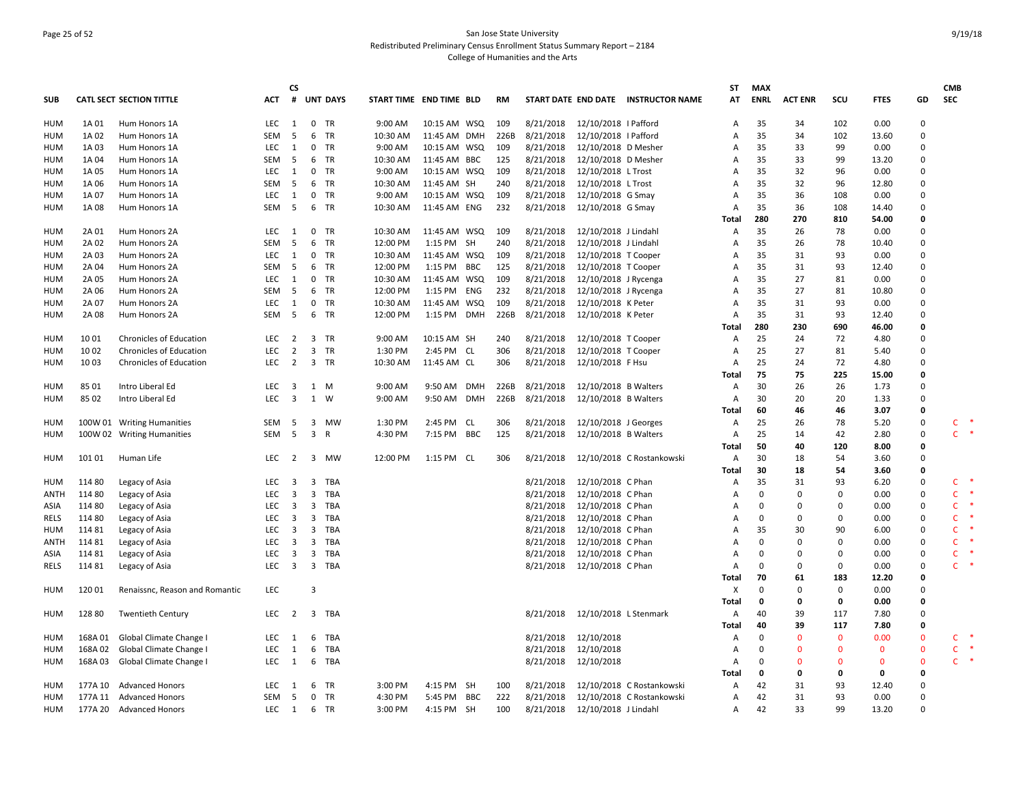## Page 25 of 52 San Jose State University Redistributed Preliminary Census Enrollment Status Summary Report – 2184 College of Humanities and the Arts

|            |         |                                 |            | <b>CS</b>               |                         |                 |                         |              |      |      |           |                       |                                     | ST             | <b>MAX</b>  |                |              |             |              | <b>CMB</b>   |        |
|------------|---------|---------------------------------|------------|-------------------------|-------------------------|-----------------|-------------------------|--------------|------|------|-----------|-----------------------|-------------------------------------|----------------|-------------|----------------|--------------|-------------|--------------|--------------|--------|
| <b>SUB</b> |         | <b>CATL SECT SECTION TITTLE</b> | ACT        | #                       |                         | <b>UNT DAYS</b> | START TIME END TIME BLD |              |      | RM   |           |                       | START DATE END DATE INSTRUCTOR NAME | АΤ             | <b>ENRL</b> | <b>ACT ENR</b> | scu          | <b>FTES</b> | GD           | <b>SEC</b>   |        |
| <b>HUM</b> | 1A 01   | Hum Honors 1A                   | LEC        | 1                       | $\mathbf 0$             | TR              | 9:00 AM                 | 10:15 AM WSQ |      | 109  | 8/21/2018 | 12/10/2018   Pafford  |                                     | Α              | 35          | 34             | 102          | 0.00        | 0            |              |        |
| HUM        | 1A 02   | Hum Honors 1A                   | SEM        | -5                      | 6                       | TR              | 10:30 AM                | 11:45 AM DMH |      | 226B | 8/21/2018 | 12/10/2018   Pafford  |                                     | A              | 35          | 34             | 102          | 13.60       | $\Omega$     |              |        |
| HUM        | 1A 03   | Hum Honors 1A                   | LEC        | 1                       | $\mathbf 0$             | TR              | 9:00 AM                 | 10:15 AM WSQ |      | 109  | 8/21/2018 | 12/10/2018 D Mesher   |                                     | Α              | 35          | 33             | 99           | 0.00        | $\Omega$     |              |        |
| HUM        | 1A 04   | Hum Honors 1A                   | SEM        | -5                      | 6                       | TR              | 10:30 AM                | 11:45 AM BBC |      | 125  | 8/21/2018 | 12/10/2018 D Mesher   |                                     | A              | 35          | 33             | 99           | 13.20       | $\Omega$     |              |        |
| HUM        | 1A 05   | Hum Honors 1A                   | <b>LEC</b> | 1                       | $\mathbf 0$             | TR              | 9:00 AM                 | 10:15 AM WSQ |      | 109  | 8/21/2018 | 12/10/2018 L Trost    |                                     | A              | 35          | 32             | 96           | 0.00        | $\Omega$     |              |        |
| HUM        | 1A 06   | Hum Honors 1A                   | SEM        | -5                      | 6                       | TR              | 10:30 AM                | 11:45 AM SH  |      | 240  | 8/21/2018 | 12/10/2018 L Trost    |                                     | Α              | 35          | 32             | 96           | 12.80       | $\Omega$     |              |        |
| HUM        | 1A 07   | Hum Honors 1A                   | LEC.       | 1                       | 0                       | TR              | 9:00 AM                 | 10:15 AM WSQ |      | 109  | 8/21/2018 | 12/10/2018 G Smay     |                                     | Α              | 35          | 36             | 108          | 0.00        | $\Omega$     |              |        |
| HUM        | 1A 08   | Hum Honors 1A                   | SEM        | -5                      | 6                       | TR              | 10:30 AM                | 11:45 AM ENG |      | 232  | 8/21/2018 | 12/10/2018 G Smay     |                                     | Α              | 35          | 36             | 108          | 14.40       | 0            |              |        |
|            |         |                                 |            |                         |                         |                 |                         |              |      |      |           |                       |                                     | Total          | 280         | 270            | 810          | 54.00       | $\mathbf{0}$ |              |        |
| <b>HUM</b> | 2A 01   | Hum Honors 2A                   | <b>LEC</b> | 1                       | $\mathbf 0$             | TR              | 10:30 AM                | 11:45 AM WSQ |      | 109  | 8/21/2018 | 12/10/2018 J Lindahl  |                                     | A              | 35          | 26             | 78           | 0.00        | 0            |              |        |
| <b>HUM</b> | 2A 02   | Hum Honors 2A                   | SEM        | 5                       | 6                       | TR              | 12:00 PM                | 1:15 PM SH   |      | 240  | 8/21/2018 | 12/10/2018 J Lindahl  |                                     | Α              | 35          | 26             | 78           | 10.40       | 0            |              |        |
| HUM        | 2A 03   | Hum Honors 2A                   | LEC.       | 1                       | $\mathbf 0$             | TR              | 10:30 AM                | 11:45 AM WSQ |      | 109  | 8/21/2018 | 12/10/2018 T Cooper   |                                     | Α              | 35          | 31             | 93           | 0.00        | $\Omega$     |              |        |
| HUM        | 2A 04   | Hum Honors 2A                   | SEM        | -5                      | 6                       | TR              | 12:00 PM                | 1:15 PM BBC  |      | 125  | 8/21/2018 | 12/10/2018 T Cooper   |                                     | Α              | 35          | 31             | 93           | 12.40       | $\Omega$     |              |        |
| HUM        | 2A 05   | Hum Honors 2A                   | LEC        | 1                       | $\mathbf 0$             | TR              | 10:30 AM                | 11:45 AM WSQ |      | 109  | 8/21/2018 | 12/10/2018 J Rycenga  |                                     | A              | 35          | 27             | 81           | 0.00        | $\Omega$     |              |        |
| HUM        | 2A 06   | Hum Honors 2A                   | <b>SEM</b> | -5                      | 6                       | TR              | 12:00 PM                | 1:15 PM ENG  |      | 232  | 8/21/2018 | 12/10/2018 J Rycenga  |                                     | A              | 35          | 27             | 81           | 10.80       | $\Omega$     |              |        |
| HUM        | 2A 07   | Hum Honors 2A                   | LEC        | $\mathbf{1}$            | $\mathbf 0$             | TR              | 10:30 AM                | 11:45 AM WSQ |      | 109  | 8/21/2018 | 12/10/2018 K Peter    |                                     | Α              | 35          | 31             | 93           | 0.00        | $\Omega$     |              |        |
| HUM        | 2A 08   | Hum Honors 2A                   | SEM        | -5                      | 6                       | <b>TR</b>       | 12:00 PM                | 1:15 PM      | DMH  | 226B | 8/21/2018 | 12/10/2018 K Peter    |                                     | Α              | 35          | 31             | 93           | 12.40       | 0            |              |        |
|            |         |                                 |            |                         |                         |                 |                         |              |      |      |           |                       |                                     | Total          | 280         | 230            | 690          | 46.00       | 0            |              |        |
| HUM        | 10 01   | <b>Chronicles of Education</b>  | LEC        | $\overline{2}$          | $\overline{3}$          | <b>TR</b>       | 9:00 AM                 | 10:15 AM SH  |      | 240  | 8/21/2018 | 12/10/2018 T Cooper   |                                     | A              | 25          | 24             | 72           | 4.80        | $\Omega$     |              |        |
| HUM        | 10 02   | Chronicles of Education         | LEC.       | $\overline{2}$          | $\overline{3}$          | TR              | 1:30 PM                 | 2:45 PM CL   |      | 306  | 8/21/2018 | 12/10/2018 T Cooper   |                                     | A              | 25          | 27             | 81           | 5.40        | 0            |              |        |
| HUM        | 10 03   | Chronicles of Education         | LEC        | $\overline{2}$          |                         | 3 TR            | 10:30 AM                | 11:45 AM CL  |      | 306  | 8/21/2018 | 12/10/2018 F Hsu      |                                     | Α              | 25          | 24             | 72           | 4.80        | $\mathbf 0$  |              |        |
|            |         |                                 |            |                         |                         |                 |                         |              |      |      |           |                       |                                     | Total          | 75          | 75             | 225          | 15.00       | 0            |              |        |
| HUM        | 8501    | Intro Liberal Ed                | <b>LEC</b> | 3                       | 1                       | M               | 9:00 AM                 | 9:50 AM DMH  |      | 226B | 8/21/2018 | 12/10/2018 B Walters  |                                     | Α              | 30          | 26             | 26           | 1.73        | $\Omega$     |              |        |
| HUM        | 85 02   | Intro Liberal Ed                | <b>LEC</b> | $\overline{\mathbf{3}}$ |                         | 1 W             | 9:00 AM                 | 9:50 AM DMH  |      | 226B | 8/21/2018 | 12/10/2018 B Walters  |                                     | $\overline{A}$ | 30          | 20             | 20           | 1.33        | 0            |              |        |
|            |         |                                 |            |                         |                         |                 |                         |              |      |      |           |                       |                                     | <b>Total</b>   | 60          | 46             | 46           | 3.07        | 0            |              |        |
| HUM        |         | 100W 01 Writing Humanities      | SEM        | -5                      | $\overline{\mathbf{3}}$ | MW              | 1:30 PM                 | 2:45 PM      | - CL | 306  | 8/21/2018 | 12/10/2018 J Georges  |                                     | Α              | 25          | 26             | 78           | 5.20        | 0            | C            |        |
| HUM        |         | 100W 02 Writing Humanities      | SEM        | -5                      | $\overline{3}$          | R               | 4:30 PM                 | 7:15 PM BBC  |      | 125  | 8/21/2018 | 12/10/2018 B Walters  |                                     | A              | 25          | 14             | 42           | 2.80        | $\Omega$     | $\mathsf{C}$ | $\ast$ |
|            |         |                                 |            |                         |                         |                 |                         |              |      |      |           |                       |                                     | Total          | 50          | 40             | 120          | 8.00        | 0            |              |        |
| <b>HUM</b> | 101 01  | Human Life                      | LEC        | $\overline{2}$          |                         | 3 MW            | 12:00 PM                | 1:15 PM CL   |      | 306  | 8/21/2018 |                       | 12/10/2018 C Rostankowski           | Α              | 30          | 18             | 54           | 3.60        | 0            |              |        |
|            |         |                                 |            |                         |                         |                 |                         |              |      |      |           |                       |                                     | <b>Total</b>   | 30          | 18             | 54           | 3.60        | 0            |              | -*     |
| HUM        | 114 80  | Legacy of Asia                  | LEC        | $\overline{\mathbf{3}}$ | $\overline{3}$          | TBA             |                         |              |      |      | 8/21/2018 | 12/10/2018 C Phan     |                                     | Α              | 35          | 31             | 93           | 6.20        | 0            | $\mathsf{C}$ |        |
| ANTH       | 114 80  | Legacy of Asia                  | <b>LEC</b> | 3                       | 3                       | TBA             |                         |              |      |      | 8/21/2018 | 12/10/2018 C Phan     |                                     | Α              | 0           | 0              | 0            | 0.00        | 0            | C            |        |
| ASIA       | 114 80  | Legacy of Asia                  | LEC        | 3                       | 3                       | TBA             |                         |              |      |      | 8/21/2018 | 12/10/2018 C Phan     |                                     | A              | $\Omega$    | $\Omega$       | $\mathbf 0$  | 0.00        | 0            | C.           |        |
| RELS       | 114 80  | Legacy of Asia                  | LEC        | $\overline{\mathbf{3}}$ | $\overline{\mathbf{3}}$ | TBA             |                         |              |      |      | 8/21/2018 | 12/10/2018 C Phan     |                                     | A              | $\Omega$    | $\Omega$       | $\Omega$     | 0.00        | 0            | C.           |        |
| HUM        | 11481   | Legacy of Asia                  | LEC        | $\overline{\mathbf{3}}$ | $\overline{3}$          | TBA             |                         |              |      |      | 8/21/2018 | 12/10/2018 C Phan     |                                     | A              | 35          | 30             | 90           | 6.00        | 0            | C            |        |
| ANTH       | 114 81  | Legacy of Asia                  | LEC        | - 3                     | $\overline{3}$          | TBA             |                         |              |      |      | 8/21/2018 | 12/10/2018 C Phan     |                                     | A              | 0           | $\mathbf 0$    | $\mathsf 0$  | 0.00        | 0            | $\mathsf{C}$ |        |
| ASIA       | 11481   | Legacy of Asia                  | LEC        | 3                       | $\overline{\mathbf{3}}$ | TBA             |                         |              |      |      | 8/21/2018 | 12/10/2018 C Phan     |                                     | Α              | $\Omega$    | $\Omega$       | $\Omega$     | 0.00        | 0            | C            |        |
| RELS       | 11481   | Legacy of Asia                  | LEC        | $\overline{\mathbf{3}}$ | $\overline{3}$          | TBA             |                         |              |      |      | 8/21/2018 | 12/10/2018 C Phan     |                                     | A              | 0           | $\Omega$       | $\mathbf 0$  | 0.00        | 0            | C.           |        |
|            |         |                                 |            |                         |                         |                 |                         |              |      |      |           |                       |                                     | Total          | 70          | 61             | 183          | 12.20       | 0            |              |        |
| HUM        | 120 01  | Renaissnc, Reason and Romantic  | LEC        |                         | 3                       |                 |                         |              |      |      |           |                       |                                     | Χ              | $\Omega$    | $\Omega$       | $\mathbf 0$  | 0.00        | $\Omega$     |              |        |
|            |         |                                 |            |                         |                         |                 |                         |              |      |      |           |                       |                                     | Total          | 0           | 0              | $\pmb{0}$    | 0.00        | 0            |              |        |
| HUM        | 128 80  | Twentieth Century               | LEC        | 2                       | $\overline{\mathbf{3}}$ | TBA             |                         |              |      |      | 8/21/2018 | 12/10/2018 L Stenmark |                                     | A              | 40          | 39             | 117          | 7.80        | $\Omega$     |              |        |
|            |         |                                 |            |                         |                         |                 |                         |              |      |      |           |                       |                                     | Total          | 40          | 39             | 117          | 7.80        | 0            |              |        |
| HUM        | 168A01  | Global Climate Change I         | LEC        | $\overline{1}$          | 6                       | TBA             |                         |              |      |      | 8/21/2018 | 12/10/2018            |                                     | Α              | $\Omega$    | $\Omega$       | $\mathbf{0}$ | 0.00        | $\mathbf{0}$ | C.           | $\ast$ |
| HUM        | 168A02  | Global Climate Change I         | LEC        | $\overline{1}$          | 6                       | TBA             |                         |              |      |      | 8/21/2018 | 12/10/2018            |                                     | A              | $\Omega$    | $\mathbf{0}$   | $\mathbf{0}$ | $\Omega$    | $\mathbf 0$  | $\mathsf{C}$ |        |
| HUM        | 168A03  | Global Climate Change I         | LEC        | $\overline{1}$          | 6                       | TBA             |                         |              |      |      | 8/21/2018 | 12/10/2018            |                                     | Α              | $\Omega$    | $\Omega$       | $\Omega$     | $\Omega$    | $\mathbf 0$  | C.           | $\ast$ |
|            |         |                                 |            |                         |                         |                 |                         |              |      |      |           |                       |                                     | Total          | 0           | 0              | 0            | 0           | 0            |              |        |
| HUM        | 177A 10 | <b>Advanced Honors</b>          | LEC.       | 1                       | 6                       | TR              | 3:00 PM                 | 4:15 PM SH   |      | 100  | 8/21/2018 |                       | 12/10/2018 C Rostankowski           | A              | 42          | 31             | 93           | 12.40       | 0            |              |        |
| HUM        | 177A 11 | <b>Advanced Honors</b>          | SEM        | -5                      | $\mathbf 0$             | <b>TR</b>       | 4:30 PM                 | 5:45 PM BBC  |      | 222  | 8/21/2018 |                       | 12/10/2018 C Rostankowski           | Α              | 42          | 31             | 93           | 0.00        | $\Omega$     |              |        |
| <b>HUM</b> | 177A 20 | <b>Advanced Honors</b>          | LEC 1      |                         | 6                       | <b>TR</b>       | 3:00 PM                 | 4:15 PM SH   |      | 100  | 8/21/2018 | 12/10/2018 J Lindahl  |                                     | A              | 42          | 33             | 99           | 13.20       | $\Omega$     |              |        |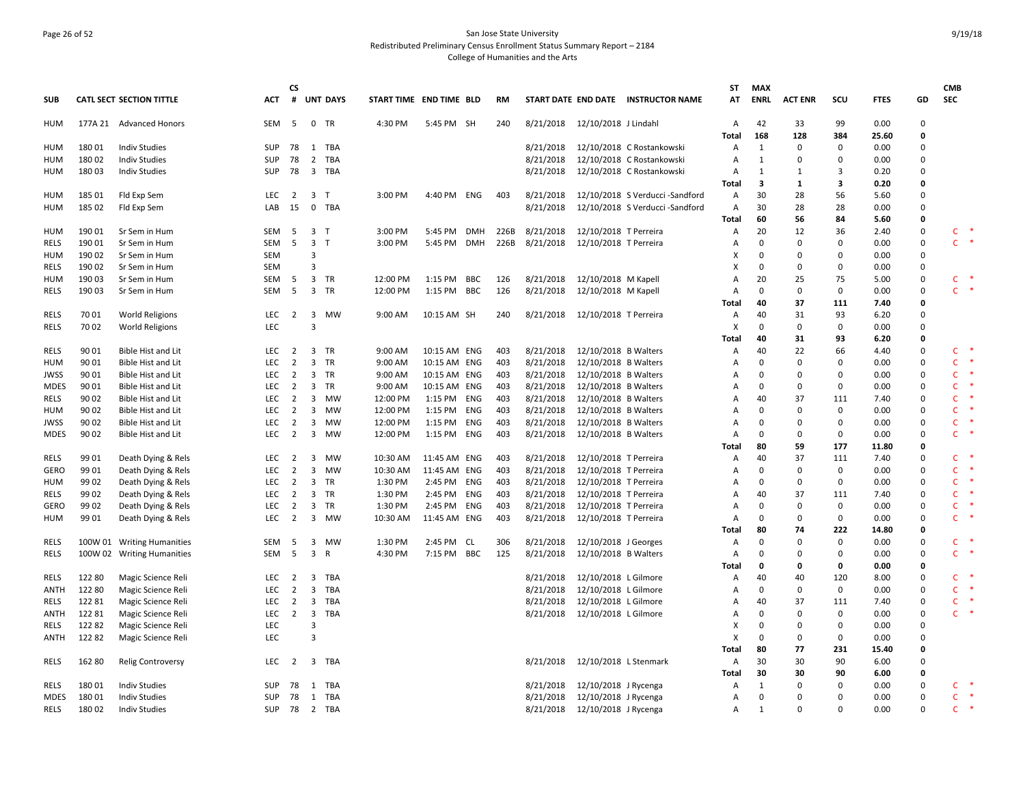## Page 26 of 52 San Jose State University Redistributed Preliminary Census Enrollment Status Summary Report – 2184 College of Humanities and the Arts

|             |         |                                 |            | <b>CS</b>      |                         |                 |                         |              |            |           |           |                       |                                     | ST           | <b>MAX</b>     |                |             |             |             | <b>CMB</b>   |                  |
|-------------|---------|---------------------------------|------------|----------------|-------------------------|-----------------|-------------------------|--------------|------------|-----------|-----------|-----------------------|-------------------------------------|--------------|----------------|----------------|-------------|-------------|-------------|--------------|------------------|
| <b>SUB</b>  |         | <b>CATL SECT SECTION TITTLE</b> | <b>ACT</b> | #              |                         | <b>UNT DAYS</b> | START TIME END TIME BLD |              |            | <b>RM</b> |           |                       | START DATE END DATE INSTRUCTOR NAME | AT           | <b>ENRL</b>    | <b>ACT ENR</b> | scu         | <b>FTES</b> | GD          | <b>SEC</b>   |                  |
| HUM         |         | 177A 21 Advanced Honors         | SEM        | 5              |                         | 0 TR            | 4:30 PM                 | 5:45 PM SH   |            | 240       | 8/21/2018 | 12/10/2018 J Lindahl  |                                     | Α            | 42             | 33             | 99          | 0.00        | 0           |              |                  |
|             |         |                                 |            |                |                         |                 |                         |              |            |           |           |                       |                                     | Total        | 168            | 128            | 384         | 25.60       | 0           |              |                  |
| HUM         | 180 01  | <b>Indiv Studies</b>            | <b>SUP</b> | 78             | 1                       | TBA             |                         |              |            |           | 8/21/2018 |                       | 12/10/2018 C Rostankowski           | Α            | 1              | 0              | $\mathbf 0$ | 0.00        | 0           |              |                  |
| HUM         | 180 02  | <b>Indiv Studies</b>            | <b>SUP</b> | 78             | $\overline{2}$          | <b>TBA</b>      |                         |              |            |           | 8/21/2018 |                       | 12/10/2018 C Rostankowski           | Α            | 1              | $\mathbf 0$    | $\Omega$    | 0.00        | 0           |              |                  |
| HUM         | 180 03  | <b>Indiv Studies</b>            | <b>SUP</b> | 78             | $\overline{\mathbf{3}}$ | <b>TBA</b>      |                         |              |            |           | 8/21/2018 |                       | 12/10/2018 C Rostankowski           | Α            | 1              | 1              | 3           | 0.20        | 0           |              |                  |
|             |         |                                 |            |                |                         |                 |                         |              |            |           |           |                       |                                     | Total        | 3              | $\mathbf{1}$   | 3           | 0.20        | 0           |              |                  |
| HUM         | 185 01  | Fld Exp Sem                     | LEC        | $\overline{2}$ | $\overline{\mathbf{3}}$ | $\mathsf{T}$    | 3:00 PM                 | 4:40 PM ENG  |            | 403       | 8/21/2018 |                       | 12/10/2018 S Verducci -Sandford     | Α            | 30             | 28             | 56          | 5.60        | 0           |              |                  |
| HUM         | 185 02  | Fld Exp Sem                     | LAB        | 15             | $\mathbf 0$             | TBA             |                         |              |            |           | 8/21/2018 |                       | 12/10/2018 S Verducci -Sandford     | Α            | 30             | 28             | 28          | 0.00        | 0           |              |                  |
|             |         |                                 |            |                |                         |                 |                         |              |            |           |           |                       |                                     | Total        | 60             | 56             | 84          | 5.60        | 0           |              |                  |
| HUM         | 190 01  | Sr Sem in Hum                   | SEM        | - 5            | $\overline{\mathbf{3}}$ | т               | 3:00 PM                 | 5:45 PM DMH  |            | 226B      | 8/21/2018 | 12/10/2018 T Perreira |                                     | Α            | 20<br>$\Omega$ | 12             | 36          | 2.40        | 0           | C            | $\ast$           |
| RELS        | 190 01  | Sr Sem in Hum                   | SEM        | 5              | $\overline{\mathbf{3}}$ | $\mathsf{T}$    | 3:00 PM                 | 5:45 PM      | <b>DMH</b> | 226B      | 8/21/2018 | 12/10/2018 T Perreira |                                     | A            |                | $\mathbf 0$    | $\mathbf 0$ | 0.00        | 0           | $\mathsf{C}$ |                  |
| HUM         | 190 02  | Sr Sem in Hum                   | <b>SEM</b> |                | 3                       |                 |                         |              |            |           |           |                       |                                     | X            | $\Omega$       | 0              | $\mathbf 0$ | 0.00        | 0           |              |                  |
| RELS        | 190 02  | Sr Sem in Hum                   | <b>SEM</b> |                | 3                       |                 |                         |              |            |           |           |                       |                                     | X            | $\Omega$       | $\mathbf 0$    | 0           | 0.00        | 0           |              |                  |
| HUM         | 190 03  | Sr Sem in Hum                   | SEM        | - 5            | $\overline{3}$          | <b>TR</b>       | 12:00 PM                | 1:15 PM BBC  |            | 126       | 8/21/2018 | 12/10/2018 M Kapell   |                                     | A            | 20<br>$\Omega$ | 25             | 75          | 5.00        | 0           | C            |                  |
| RELS        | 190 03  | Sr Sem in Hum                   | SEM        | 5              | $\overline{\mathbf{3}}$ | TR              | 12:00 PM                | 1:15 PM BBC  |            | 126       | 8/21/2018 | 12/10/2018 M Kapell   |                                     | Α            |                | $\Omega$       | $\mathbf 0$ | 0.00        | 0           | $\mathsf{C}$ |                  |
|             |         |                                 |            |                |                         |                 |                         |              |            |           |           |                       |                                     | Total        | 40             | 37             | 111         | 7.40        | 0           |              |                  |
| RELS        | 70 01   | <b>World Religions</b>          | LEC        | 2              | $\overline{\mathbf{3}}$ | <b>MW</b>       | 9:00 AM                 | 10:15 AM SH  |            | 240       | 8/21/2018 | 12/10/2018 T Perreira |                                     | Α            | 40             | 31             | 93          | 6.20        | 0           |              |                  |
| RELS        | 70 02   | <b>World Religions</b>          | <b>LEC</b> |                | 3                       |                 |                         |              |            |           |           |                       |                                     | X            | $\Omega$       | $\mathbf 0$    | 0           | 0.00        | 0           |              |                  |
|             |         |                                 |            |                |                         |                 |                         |              |            |           |           |                       |                                     | Total        | 40             | 31             | 93          | 6.20        | 0           |              |                  |
| <b>RELS</b> | 90 01   | Bible Hist and Lit              | LEC        | 2              | $\overline{\mathbf{3}}$ | <b>TR</b>       | 9:00 AM                 | 10:15 AM ENG |            | 403       | 8/21/2018 | 12/10/2018 B Walters  |                                     | Α            | 40             | 22             | 66          | 4.40        | 0           | C            |                  |
| HUM         | 90 01   | <b>Bible Hist and Lit</b>       | LEC        | $\overline{2}$ | $\overline{3}$          | TR              | 9:00 AM                 | 10:15 AM ENG |            | 403       | 8/21/2018 | 12/10/2018 B Walters  |                                     | A            | $\Omega$       | $\mathbf 0$    | $\mathbf 0$ | 0.00        | 0           | $\mathsf{C}$ |                  |
| JWSS        | 90 01   | Bible Hist and Lit              | LEC        | $\overline{2}$ | $\overline{\mathbf{3}}$ | TR              | 9:00 AM                 | 10:15 AM ENG |            | 403       | 8/21/2018 | 12/10/2018 B Walters  |                                     | Α            | $\Omega$       | 0              | $\mathbf 0$ | 0.00        | 0           | $\mathsf{C}$ |                  |
| <b>MDES</b> | 90 01   | <b>Bible Hist and Lit</b>       | <b>LEC</b> | $\overline{2}$ | $\overline{3}$          | <b>TR</b>       | 9:00 AM                 | 10:15 AM ENG |            | 403       | 8/21/2018 | 12/10/2018 B Walters  |                                     | Α            | $\Omega$       | $\mathbf 0$    | $\mathbf 0$ | 0.00        | 0           | $\mathsf{C}$ |                  |
| RELS        | 90 02   | <b>Bible Hist and Lit</b>       | <b>LEC</b> | $\overline{2}$ | $\overline{3}$          | <b>MW</b>       | 12:00 PM                | 1:15 PM ENG  |            | 403       | 8/21/2018 | 12/10/2018 B Walters  |                                     | A            | 40             | 37             | 111         | 7.40        | $\mathbf 0$ | $\mathsf{C}$ |                  |
| HUM         | 90 02   | Bible Hist and Lit              | LEC        | $\overline{2}$ | $\overline{3}$          | MW              | 12:00 PM                | 1:15 PM ENG  |            | 403       | 8/21/2018 | 12/10/2018 B Walters  |                                     | Α            | $\Omega$       | $\mathbf 0$    | 0           | 0.00        | 0           | $\mathsf{C}$ |                  |
| JWSS        | 90 02   | <b>Bible Hist and Lit</b>       | LEC        | $\overline{2}$ | $\overline{\mathbf{3}}$ | MW              | 12:00 PM                | 1:15 PM ENG  |            | 403       | 8/21/2018 | 12/10/2018 B Walters  |                                     | A            | $\Omega$       | $\mathbf 0$    | $\mathbf 0$ | 0.00        | 0           | $\mathsf{C}$ |                  |
| <b>MDES</b> | 90 02   | Bible Hist and Lit              | <b>LEC</b> | $\overline{2}$ | 3                       | <b>MW</b>       | 12:00 PM                | 1:15 PM ENG  |            | 403       | 8/21/2018 | 12/10/2018 B Walters  |                                     | Α            | $\Omega$       | 0              | 0           | 0.00        | 0           | $\mathsf{C}$ |                  |
|             |         |                                 |            |                |                         |                 |                         |              |            |           |           |                       |                                     | Total        | 80             | 59             | 177         | 11.80       | 0           |              |                  |
| <b>RELS</b> | 99 01   | Death Dying & Rels              | <b>LEC</b> | $\overline{2}$ | 3                       | <b>MW</b>       | 10:30 AM                | 11:45 AM ENG |            | 403       | 8/21/2018 | 12/10/2018 T Perreira |                                     | Α            | 40             | 37             | 111         | 7.40        | $\mathbf 0$ | C            |                  |
| <b>GERO</b> | 99 01   | Death Dying & Rels              | LEC        | $\overline{2}$ | $\overline{3}$          | <b>MW</b>       | 10:30 AM                | 11:45 AM ENG |            | 403       | 8/21/2018 | 12/10/2018 T Perreira |                                     | Α            | $\Omega$       | $\mathbf 0$    | 0           | 0.00        | 0           | $\mathsf{C}$ |                  |
| HUM         | 99 02   | Death Dying & Rels              | LEC        | $\overline{2}$ | $\overline{\mathbf{3}}$ | TR              | 1:30 PM                 | 2:45 PM ENG  |            | 403       | 8/21/2018 | 12/10/2018 T Perreira |                                     | A            | $\Omega$       | 0              | $\pmb{0}$   | 0.00        | 0           | $\mathsf{C}$ |                  |
| RELS        | 99 02   | Death Dying & Rels              | LEC        | $\overline{2}$ | $\overline{\mathbf{3}}$ | TR              | 1:30 PM                 | 2:45 PM ENG  |            | 403       | 8/21/2018 | 12/10/2018 T Perreira |                                     | A            | 40             | 37             | 111         | 7.40        | 0           | $\mathsf{C}$ |                  |
| GERO        | 99 02   | Death Dying & Rels              | LEC        | $\overline{2}$ | $\overline{\mathbf{3}}$ | TR              | 1:30 PM                 | 2:45 PM ENG  |            | 403       | 8/21/2018 | 12/10/2018 T Perreira |                                     | A            | $\Omega$       | $\mathbf 0$    | $\mathbf 0$ | 0.00        | 0           | $\mathsf{C}$ |                  |
| HUM         | 99 01   | Death Dying & Rels              | <b>LEC</b> | 2              | $\overline{3}$          | <b>MW</b>       | 10:30 AM                | 11:45 AM ENG |            | 403       | 8/21/2018 | 12/10/2018 T Perreira |                                     | A            | $\Omega$       | $\mathbf 0$    | $\mathbf 0$ | 0.00        | 0           | $\mathsf{C}$ |                  |
|             |         |                                 |            |                |                         |                 |                         |              |            |           |           |                       |                                     | Total        | 80             | 74             | 222         | 14.80       | 0           |              |                  |
| RELS        |         | 100W 01 Writing Humanities      | SEM        | - 5            | 3                       | МW              | 1:30 PM                 | 2:45 PM CL   |            | 306       | 8/21/2018 | 12/10/2018 J Georges  |                                     | Α            | $\Omega$       | $\mathbf 0$    | $\mathbf 0$ | 0.00        | 0           | $\mathsf{C}$ |                  |
| <b>RELS</b> | 100W 02 | <b>Writing Humanities</b>       | SEM        | 5              | $\overline{3}$          | R               | 4:30 PM                 | 7:15 PM      | BBC        | 125       | 8/21/2018 | 12/10/2018 B Walters  |                                     | Α            | $\Omega$       | $\mathbf 0$    | $\mathbf 0$ | 0.00        | 0           | $\mathsf{C}$ |                  |
|             |         |                                 |            |                |                         |                 |                         |              |            |           |           |                       |                                     | Total        | 0              | 0              | 0           | 0.00        | 0           |              |                  |
| RELS        | 122 80  | Magic Science Reli              | LEC        | $\overline{2}$ | $\overline{\mathbf{3}}$ | <b>TBA</b>      |                         |              |            |           | 8/21/2018 | 12/10/2018 L Gilmore  |                                     | Α            | 40             | 40             | 120         | 8.00        | $\mathbf 0$ | C.           |                  |
| ANTH        | 122 80  | Magic Science Reli              | LEC        | $\overline{2}$ | 3                       | <b>TBA</b>      |                         |              |            |           | 8/21/2018 | 12/10/2018 L Gilmore  |                                     | Α            | $\Omega$       | $\mathbf 0$    | $\mathbf 0$ | 0.00        | 0           | $\mathsf{C}$ |                  |
| RELS        | 122 81  | Magic Science Reli              | LEC        | $\overline{2}$ | $\overline{\mathbf{3}}$ | TBA             |                         |              |            |           | 8/21/2018 | 12/10/2018 L Gilmore  |                                     | Α            | 40             | 37             | 111         | 7.40        | 0           | $\mathsf{C}$ |                  |
| ANTH        | 122 81  | Magic Science Reli              | LEC        | $\overline{2}$ | $\overline{\mathbf{3}}$ | TBA             |                         |              |            |           | 8/21/2018 | 12/10/2018 L Gilmore  |                                     | A            | $\Omega$       | $\mathbf 0$    | $\mathbf 0$ | 0.00        | 0           | $\mathsf{C}$ |                  |
| RELS        | 12282   | Magic Science Reli              | <b>LEC</b> |                | 3                       |                 |                         |              |            |           |           |                       |                                     | х            | $\Omega$       | $\mathbf 0$    | $\mathbf 0$ | 0.00        | 0           |              |                  |
| <b>ANTH</b> | 12282   | Magic Science Reli              | LEC        |                | 3                       |                 |                         |              |            |           |           |                       |                                     | X            | $\Omega$       | $\mathbf 0$    | $\mathbf 0$ | 0.00        | 0           |              |                  |
|             |         |                                 |            |                |                         |                 |                         |              |            |           |           |                       |                                     | Total        | 80             | 77             | 231         | 15.40       | 0           |              |                  |
| RELS        | 162 80  | <b>Relig Controversy</b>        | LEC        | $\overline{2}$ |                         | 3 TBA           |                         |              |            |           | 8/21/2018 | 12/10/2018 L Stenmark |                                     | Α            | 30             | 30             | 90          | 6.00        | 0           |              |                  |
|             |         |                                 |            |                |                         |                 |                         |              |            |           |           |                       |                                     | <b>Total</b> | 30             | 30             | 90          | 6.00        | 0           |              |                  |
| <b>RELS</b> | 180 01  | <b>Indiv Studies</b>            | <b>SUP</b> | - 78           | 1                       | TBA             |                         |              |            |           | 8/21/2018 | 12/10/2018 J Rycenga  |                                     | Α            | $\mathbf{1}$   | 0              | $\Omega$    | 0.00        | 0           | $\mathsf{C}$ | $\ast$<br>$\ast$ |
| <b>MDES</b> | 18001   | <b>Indiv Studies</b>            | <b>SUP</b> | 78             | 1                       | <b>TBA</b>      |                         |              |            |           | 8/21/2018 | 12/10/2018 J Rycenga  |                                     | Α            | $\Omega$       | $\mathbf 0$    | $\Omega$    | 0.00        | 0           | $\mathsf{C}$ |                  |
| RELS        | 180 02  | <b>Indiv Studies</b>            | SUP 78 2   |                |                         | TBA             |                         |              |            |           | 8/21/2018 | 12/10/2018 J Rycenga  |                                     | Α            | $\mathbf{1}$   | $\mathbf 0$    | $\Omega$    | 0.00        | 0           | $\mathsf{C}$ |                  |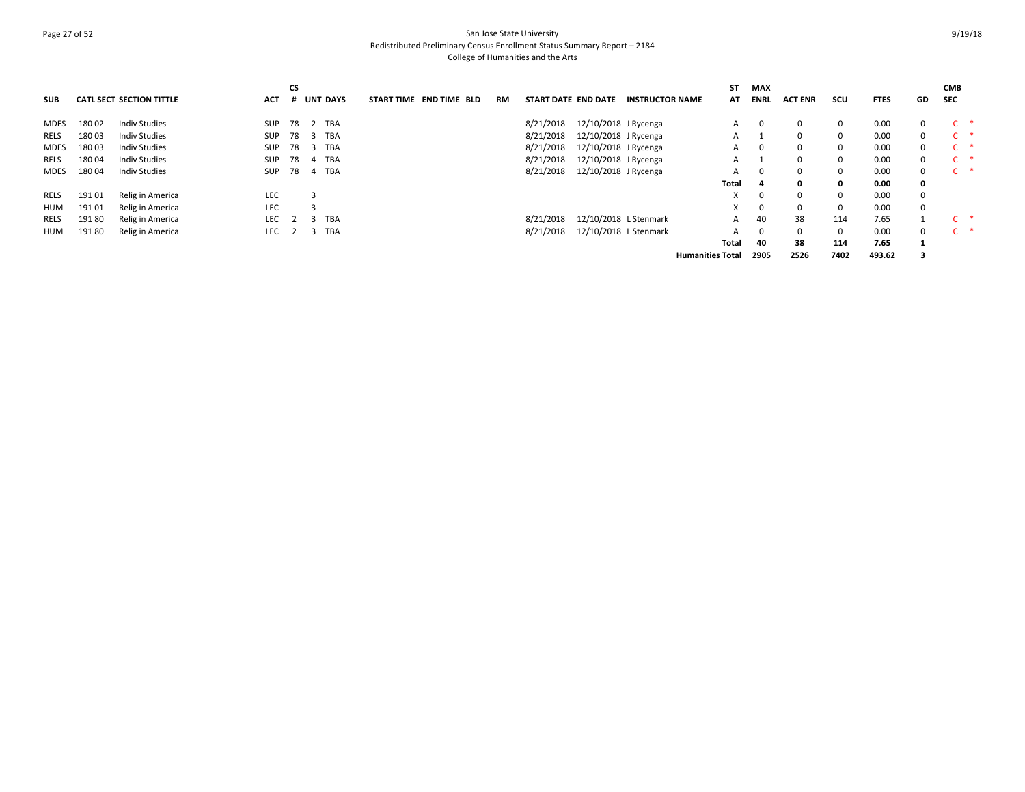## Page 27 of 52 San Jose State University Redistributed Preliminary Census Enrollment Status Summary Report – 2184 College of Humanities and the Arts

| <b>SUB</b>  |        | <b>CATL SECT SECTION TITTLE</b> | <b>ACT</b> | CS<br># | <b>UNT DAYS</b> |            | <b>END TIME BLD</b><br><b>START TIME</b> | RM | START DATE END DATE |                       | <b>INSTRUCTOR NAME</b> | <b>ST</b><br>AT         | MAX<br><b>ENRL</b> | <b>ACT ENR</b> | scu  | <b>FTES</b> | GD          | <b>CMB</b><br><b>SEC</b> |  |
|-------------|--------|---------------------------------|------------|---------|-----------------|------------|------------------------------------------|----|---------------------|-----------------------|------------------------|-------------------------|--------------------|----------------|------|-------------|-------------|--------------------------|--|
| <b>MDES</b> | 180 02 | <b>Indiv Studies</b>            | <b>SUP</b> | 78      | 2               | <b>TBA</b> |                                          |    | 8/21/2018           | 12/10/2018 J Rycenga  |                        | A                       | - 0                | 0              |      | 0.00        | 0           |                          |  |
| <b>RELS</b> | 180 03 | Indiv Studies                   | <b>SUP</b> | 78      | -3              | <b>TBA</b> |                                          |    | 8/21/2018           | 12/10/2018 J Rycenga  |                        | A                       |                    | 0              |      | 0.00        | $\mathbf 0$ |                          |  |
| <b>MDES</b> | 18003  | <b>Indiv Studies</b>            | <b>SUP</b> | 78      | -3              | <b>TBA</b> |                                          |    | 8/21/2018           | 12/10/2018 J Rycenga  |                        | A                       | $\Omega$           | 0              |      | 0.00        | $\mathbf 0$ |                          |  |
| <b>RELS</b> | 180 04 | <b>Indiv Studies</b>            | <b>SUP</b> | 78      | -4              | TBA        |                                          |    | 8/21/2018           | 12/10/2018 J Rycenga  |                        | A                       |                    | 0              |      | 0.00        | $\mathbf 0$ |                          |  |
| <b>MDES</b> | 18004  | <b>Indiv Studies</b>            | <b>SUP</b> | 78      | 4               | <b>TBA</b> |                                          |    | 8/21/2018           | 12/10/2018 J Rycenga  |                        | A                       | 0                  | 0              |      | 0.00        | 0           |                          |  |
|             |        |                                 |            |         |                 |            |                                          |    |                     |                       |                        | Total                   | 4                  | 0              | 0    | 0.00        | 0           |                          |  |
| RELS        | 191 01 | Relig in America                | LEC        |         |                 |            |                                          |    |                     |                       |                        |                         | $\Omega$           | $\Omega$       |      | 0.00        | 0           |                          |  |
| HUM         | 191 01 | Relig in America                | LEC        |         |                 |            |                                          |    |                     |                       |                        | X                       | $\Omega$           | $\Omega$       |      | 0.00        | 0           |                          |  |
| RELS        | 191 80 | Relig in America                | <b>LEC</b> |         |                 | <b>TBA</b> |                                          |    | 8/21/2018           | 12/10/2018 L Stenmark |                        | A                       | 40                 | 38             | 114  | 7.65        |             | $\mathsf{C}$             |  |
| HUM         | 191 80 | Relig in America                | <b>LEC</b> |         | 3               | TBA        |                                          |    | 8/21/2018           | 12/10/2018 L Stenmark |                        |                         | $\Omega$           | 0              |      | 0.00        | $\mathbf 0$ | $\mathsf{C}$             |  |
|             |        |                                 |            |         |                 |            |                                          |    |                     |                       |                        | Total                   | 40                 | 38             | 114  | 7.65        |             |                          |  |
|             |        |                                 |            |         |                 |            |                                          |    |                     |                       |                        | <b>Humanities Total</b> | 2905               | 2526           | 7402 | 493.62      |             |                          |  |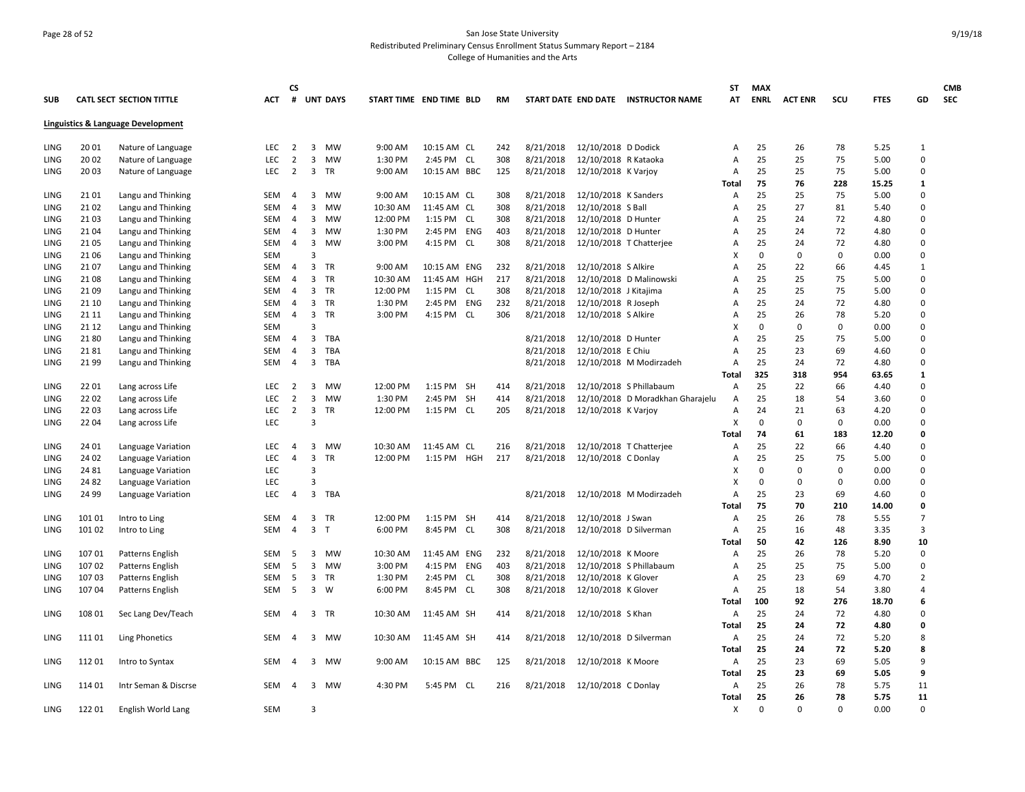## Page 28 of 52 San Jose State University Redistributed Preliminary Census Enrollment Status Summary Report – 2184 College of Humanities and the Arts

|            |        |                                    |            | <b>CS</b>      |                           |          |                         |     |     |           |                        |                                     | <b>ST</b>      | <b>MAX</b>  |                |          |             |                | <b>CMB</b> |
|------------|--------|------------------------------------|------------|----------------|---------------------------|----------|-------------------------|-----|-----|-----------|------------------------|-------------------------------------|----------------|-------------|----------------|----------|-------------|----------------|------------|
| <b>SUB</b> |        | <b>CATL SECT SECTION TITTLE</b>    | <b>ACT</b> | #              | <b>UNT DAYS</b>           |          | START TIME END TIME BLD |     | RM  |           |                        | START DATE END DATE INSTRUCTOR NAME | AT             | <b>ENRL</b> | <b>ACT ENR</b> | scu      | <b>FTES</b> | GD             | <b>SEC</b> |
|            |        | Linguistics & Language Development |            |                |                           |          |                         |     |     |           |                        |                                     |                |             |                |          |             |                |            |
| LING       | 20 01  | Nature of Language                 | <b>LEC</b> | 2              | 3<br>MW                   | 9:00 AM  | 10:15 AM CL             |     | 242 | 8/21/2018 | 12/10/2018 D Dodick    |                                     | A              | 25          | 26             | 78       | 5.25        | 1              |            |
| LING       | 20 02  | Nature of Language                 | <b>LEC</b> | $\overline{2}$ | 3<br>MW                   | 1:30 PM  | 2:45 PM CL              |     | 308 | 8/21/2018 | 12/10/2018 R Kataoka   |                                     | A              | 25          | 25             | 75       | 5.00        | $\Omega$       |            |
| LING       | 20 03  | Nature of Language                 | <b>LEC</b> | $\overline{2}$ | $\mathbf{3}$<br><b>TR</b> | 9:00 AM  | 10:15 AM BBC            |     | 125 | 8/21/2018 | 12/10/2018 K Varjoy    |                                     | A              | 25          | 25             | 75       | 5.00        | $\Omega$       |            |
|            |        |                                    |            |                |                           |          |                         |     |     |           |                        |                                     | Total          | 75          | 76             | 228      | 15.25       | 1              |            |
| LING       | 21 01  | Langu and Thinking                 | SEM        | 4              | 3<br>MW                   | 9:00 AM  | 10:15 AM CL             |     | 308 | 8/21/2018 | 12/10/2018 K Sanders   |                                     | A              | 25          | 25             | 75       | 5.00        | $\Omega$       |            |
| LING       | 21 02  | Langu and Thinking                 | <b>SEM</b> | 4              | 3<br>MW                   | 10:30 AM | 11:45 AM CL             |     | 308 | 8/21/2018 | 12/10/2018 S Ball      |                                     | А              | 25          | 27             | 81       | 5.40        | $\mathbf 0$    |            |
| LING       | 21 03  | Langu and Thinking                 | SEM        | 4              | 3<br>MW                   | 12:00 PM | 1:15 PM CL              |     | 308 | 8/21/2018 | 12/10/2018 D Hunter    |                                     | A              | 25          | 24             | 72       | 4.80        | $\mathbf 0$    |            |
| LING       | 21 04  | Langu and Thinking                 | <b>SEM</b> | $\overline{4}$ | 3<br>MW                   | 1:30 PM  | 2:45 PM ENG             |     | 403 | 8/21/2018 | 12/10/2018 D Hunter    |                                     | A              | 25          | 24             | 72       | 4.80        | $\Omega$       |            |
| LING       | 21 05  | Langu and Thinking                 | <b>SEM</b> | $\overline{4}$ | 3<br>MW                   | 3:00 PM  | 4:15 PM CL              |     | 308 | 8/21/2018 |                        | 12/10/2018 T Chatterjee             | A              | 25          | 24             | 72       | 4.80        | $\Omega$       |            |
| LING       | 21 06  | Langu and Thinking                 | <b>SEM</b> |                | $\overline{3}$            |          |                         |     |     |           |                        |                                     |                | $\Omega$    | $\mathbf 0$    | 0        | 0.00        | $\Omega$       |            |
| LING       | 2107   | Langu and Thinking                 | <b>SEM</b> | 4              | 3<br>TR                   | 9:00 AM  | 10:15 AM                | ENG | 232 | 8/21/2018 | 12/10/2018 S Alkire    |                                     | А              | 25          | 22             | 66       | 4.45        | $\mathbf{1}$   |            |
| LING       | 21 08  | Langu and Thinking                 | SEM        | 4              | 3<br>TR                   | 10:30 AM | 11:45 AM HGH            |     | 217 | 8/21/2018 |                        | 12/10/2018 D Malinowski             | A              | 25          | 25             | 75       | 5.00        | $\mathbf 0$    |            |
| LING       | 21 09  | Langu and Thinking                 | <b>SEM</b> | 4              | 3<br>TR                   | 12:00 PM | 1:15 PM                 | CL  | 308 | 8/21/2018 | 12/10/2018 J Kitajima  |                                     | A              | 25          | 25             | 75       | 5.00        | $\Omega$       |            |
| LING       | 21 10  | Langu and Thinking                 | <b>SEM</b> | 4              | 3<br>TR                   | 1:30 PM  | 2:45 PM                 | ENG | 232 | 8/21/2018 | 12/10/2018 R Joseph    |                                     | А              | 25          | 24             | 72       | 4.80        | $\mathbf 0$    |            |
| LING       | 21 11  | Langu and Thinking                 | SEM        | $\overline{4}$ | $\mathbf{3}$<br>TR        | 3:00 PM  | 4:15 PM CL              |     | 306 | 8/21/2018 | 12/10/2018 S Alkire    |                                     | A              | 25          | 26             | 78       | 5.20        | $\Omega$       |            |
| LING       | 21 12  | Langu and Thinking                 | <b>SEM</b> |                | $\overline{3}$            |          |                         |     |     |           |                        |                                     | x              | $\Omega$    | $\Omega$       | 0        | 0.00        | $\Omega$       |            |
| LING       | 2180   | Langu and Thinking                 | SEM        | 4              | 3<br>TBA                  |          |                         |     |     | 8/21/2018 | 12/10/2018 D Hunter    |                                     | A              | 25          | 25             | 75       | 5.00        | $\mathbf 0$    |            |
| LING       | 2181   | Langu and Thinking                 | <b>SEM</b> | $\overline{4}$ | 3<br>TBA                  |          |                         |     |     | 8/21/2018 | 12/10/2018 E Chiu      |                                     | A              | 25          | 23             | 69       | 4.60        | $\Omega$       |            |
| LING       | 2199   | Langu and Thinking                 | <b>SEM</b> | $\overline{4}$ | 3<br>TBA                  |          |                         |     |     | 8/21/2018 |                        | 12/10/2018 M Modirzadeh             | Α              | 25          | 24             | 72       | 4.80        | $\mathbf 0$    |            |
|            |        |                                    |            |                |                           |          |                         |     |     |           |                        |                                     | Total          | 325         | 318            | 954      | 63.65       | 1              |            |
| LING       | 22 01  | Lang across Life                   | <b>LEC</b> | 2              | 3<br><b>MW</b>            | 12:00 PM | 1:15 PM SH              |     | 414 | 8/21/2018 |                        | 12/10/2018 S Phillabaum             | A              | 25          | 22             | 66       | 4.40        | $\Omega$       |            |
| LING       | 22 02  | Lang across Life                   | LEC        | $\overline{2}$ | 3<br>MW                   | 1:30 PM  | 2:45 PM SH              |     | 414 | 8/21/2018 |                        | 12/10/2018 D Moradkhan Gharajelu    | A              | 25          | 18             | 54       | 3.60        | $\mathbf 0$    |            |
| LING       | 22 03  | Lang across Life                   | <b>LEC</b> | 2              | 3<br>TR                   | 12:00 PM | 1:15 PM CL              |     | 205 | 8/21/2018 | 12/10/2018 K Varjoy    |                                     | Α              | 24          | 21             | 63       | 4.20        | $\Omega$       |            |
| LING       | 22 04  | Lang across Life                   | <b>LEC</b> |                | $\overline{3}$            |          |                         |     |     |           |                        |                                     | X              | 0           | $\Omega$       | 0        | 0.00        | $\Omega$       |            |
|            |        |                                    |            |                |                           |          |                         |     |     |           |                        |                                     | <b>Total</b>   | 74          | 61             | 183      | 12.20       | $\mathbf 0$    |            |
| LING       | 24 01  | Language Variation                 | LEC        | 4              | 3<br>MW                   | 10:30 AM | 11:45 AM CL             |     | 216 | 8/21/2018 |                        | 12/10/2018 T Chatterjee             | $\overline{A}$ | 25          | 22             | 66       | 4.40        | $\Omega$       |            |
| LING       | 24 02  | Language Variation                 | LEC        | $\overline{4}$ | 3<br><b>TR</b>            | 12:00 PM | 1:15 PM HGH             |     | 217 | 8/21/2018 | 12/10/2018 C Donlay    |                                     | A              | 25          | 25             | 75       | 5.00        | $\mathbf 0$    |            |
| LING       | 24 81  | Language Variation                 | <b>LEC</b> |                | 3                         |          |                         |     |     |           |                        |                                     | Χ              | 0           | $\Omega$       | 0        | 0.00        | $\mathbf 0$    |            |
| LING       | 24 82  | Language Variation                 | <b>LEC</b> |                | 3                         |          |                         |     |     |           |                        |                                     | x              | $\Omega$    | $\Omega$       | 0        | 0.00        | $\mathbf 0$    |            |
| LING       | 24 99  | Language Variation                 | LEC        | 4              | 3<br>TBA                  |          |                         |     |     | 8/21/2018 |                        | 12/10/2018 M Modirzadeh             | A              | 25          | 23             | 69       | 4.60        | $\Omega$       |            |
|            |        |                                    |            |                |                           |          |                         |     |     |           |                        |                                     | Total          | 75          | 70             | 210      | 14.00       | 0              |            |
| LING       | 101 01 | Intro to Ling                      | <b>SEM</b> | $\overline{4}$ | 3<br>TR                   | 12:00 PM | 1:15 PM SH              |     | 414 | 8/21/2018 | 12/10/2018 J Swan      |                                     | A              | 25          | 26             | 78       | 5.55        | $\overline{7}$ |            |
| LING       | 101 02 | Intro to Ling                      | <b>SEM</b> | 4              | $\overline{3}$<br>T       | 6:00 PM  | 8:45 PM                 | CL  | 308 | 8/21/2018 |                        | 12/10/2018 D Silverman              | A              | 25          | 16             | 48       | 3.35        | $\overline{3}$ |            |
|            |        |                                    |            |                |                           |          |                         |     |     |           |                        |                                     | <b>Total</b>   | 50          | 42             | 126      | 8.90        | 10             |            |
| LING       | 107 01 | Patterns English                   | SEM        | 5              | 3<br>MW                   | 10:30 AM | 11:45 AM ENG            |     | 232 | 8/21/2018 | 12/10/2018 K Moore     |                                     | Α              | 25          | 26             | 78       | 5.20        | $\Omega$       |            |
| LING       | 10702  | Patterns English                   | <b>SEM</b> | -5             | 3<br>MW                   | 3:00 PM  | 4:15 PM ENG             |     | 403 | 8/21/2018 |                        | 12/10/2018 S Phillabaum             | A              | 25          | 25             | 75       | 5.00        | $\mathbf 0$    |            |
| LING       | 10703  | Patterns English                   | SEM        | -5             | 3<br>TR                   | 1:30 PM  | 2:45 PM CL              |     | 308 | 8/21/2018 | 12/10/2018 K Glover    |                                     | A              | 25          | 23             | 69       | 4.70        | $\overline{2}$ |            |
| LING       | 10704  | Patterns English                   | <b>SEM</b> | 5              | 3<br>W                    | 6:00 PM  | 8:45 PM CL              |     | 308 | 8/21/2018 | 12/10/2018 K Glover    |                                     | A              | 25          | 18             | 54       | 3.80        | $\overline{4}$ |            |
|            |        |                                    |            |                |                           |          |                         |     |     |           |                        |                                     | <b>Total</b>   | 100         | 92             | 276      | 18.70       | 6              |            |
| LING       | 108 01 | Sec Lang Dev/Teach                 | <b>SEM</b> | $\overline{4}$ | 3 TR                      | 10:30 AM | 11:45 AM SH             |     | 414 | 8/21/2018 | 12/10/2018 S Khan      |                                     | A              | 25          | 24             | 72       | 4.80        | $\Omega$       |            |
|            |        |                                    |            |                |                           |          |                         |     |     |           |                        |                                     | Total          | 25          | 24             | 72       | 4.80        | 0              |            |
| LING       | 111 01 | <b>Ling Phonetics</b>              | <b>SEM</b> | 4              | 3 MW                      | 10:30 AM | 11:45 AM SH             |     | 414 | 8/21/2018 | 12/10/2018 D Silverman |                                     | Α              | 25          | 24             | 72       | 5.20        | 8              |            |
|            |        |                                    |            |                |                           |          |                         |     |     |           |                        |                                     | Total          | 25          | 24             | 72       | 5.20        | 8              |            |
| LING       | 11201  | Intro to Syntax                    | <b>SEM</b> | 4              | 3<br>MW                   | 9:00 AM  | 10:15 AM BBC            |     | 125 | 8/21/2018 | 12/10/2018 K Moore     |                                     | Α              | 25          | 23             | 69       | 5.05        | 9              |            |
|            |        |                                    |            |                |                           |          |                         |     |     |           |                        |                                     | <b>Total</b>   | 25          | 23             | 69       | 5.05        | 9              |            |
| LING       | 114 01 | Intr Seman & Discrse               | <b>SEM</b> | $\overline{a}$ | 3<br>MW                   | 4:30 PM  | 5:45 PM CL              |     | 216 | 8/21/2018 | 12/10/2018 C Donlay    |                                     | Α              | 25          | 26             | 78       | 5.75        | 11             |            |
|            |        |                                    |            |                |                           |          |                         |     |     |           |                        |                                     | <b>Total</b>   | 25          | 26             | 78       | 5.75        | 11             |            |
| LING       | 122 01 | English World Lang                 | <b>SEM</b> |                | $\overline{3}$            |          |                         |     |     |           |                        |                                     | Χ              | $\Omega$    | $\Omega$       | $\Omega$ | 0.00        | $\Omega$       |            |
|            |        |                                    |            |                |                           |          |                         |     |     |           |                        |                                     |                |             |                |          |             |                |            |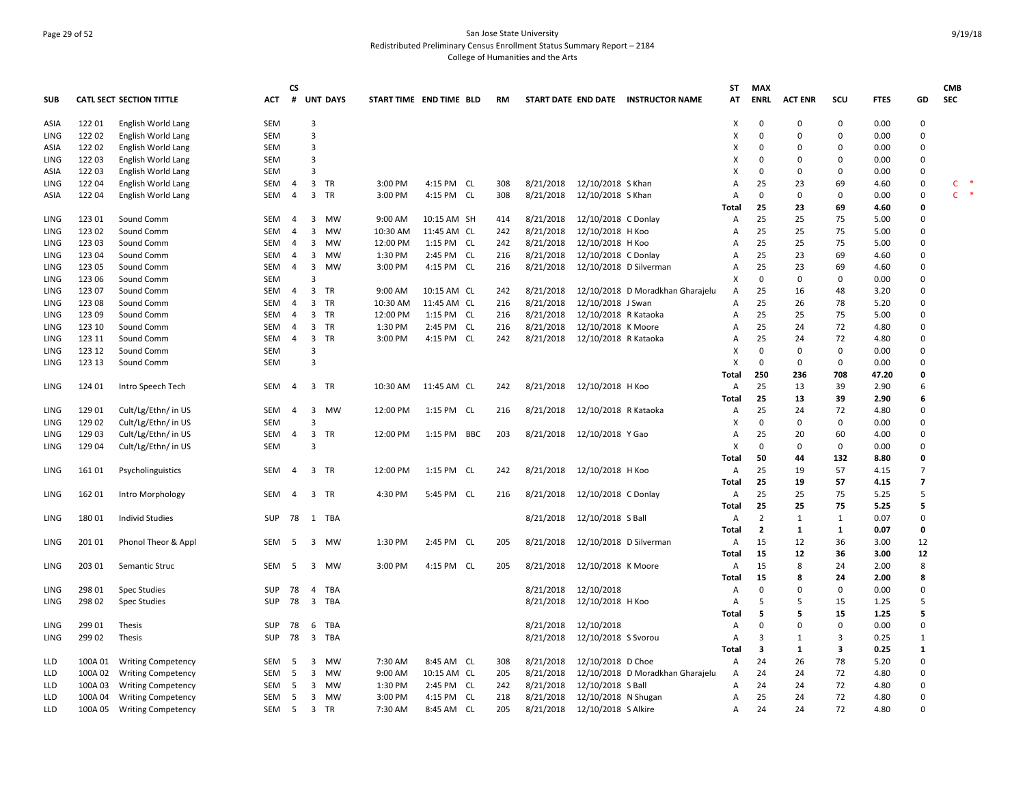## Page 29 of 52 San Jose State University Redistributed Preliminary Census Enrollment Status Summary Report – 2184 College of Humanities and the Arts

| <b>SUB</b> |         | <b>CATL SECT SECTION TITTLE</b> | <b>ACT</b> | СS<br>#        |                         | <b>UNT DAYS</b> | START TIME END TIME BLD |             | <b>RM</b> |           |                        | START DATE END DATE INSTRUCTOR NAME | ST<br>AT     | <b>MAX</b><br><b>ENRL</b> | <b>ACT ENR</b> | scu         | <b>FTES</b> | GD             | <b>CMB</b><br><b>SEC</b> |
|------------|---------|---------------------------------|------------|----------------|-------------------------|-----------------|-------------------------|-------------|-----------|-----------|------------------------|-------------------------------------|--------------|---------------------------|----------------|-------------|-------------|----------------|--------------------------|
| ASIA       | 122 01  | English World Lang              | SEM        |                | $\overline{3}$          |                 |                         |             |           |           |                        |                                     | X            | $\mathbf 0$               | $\mathbf 0$    | $\mathbf 0$ | 0.00        | 0              |                          |
| LING       | 122 02  | English World Lang              | <b>SEM</b> |                | 3                       |                 |                         |             |           |           |                        |                                     | Х            | 0                         | $\Omega$       | $\mathbf 0$ | 0.00        | 0              |                          |
| ASIA       | 122 02  | English World Lang              | <b>SEM</b> |                | 3                       |                 |                         |             |           |           |                        |                                     | x            | 0                         | $\Omega$       | $\Omega$    | 0.00        | 0              |                          |
| LING       | 122 03  | English World Lang              | <b>SEM</b> |                | 3                       |                 |                         |             |           |           |                        |                                     | X            | $\Omega$                  | $\mathbf 0$    | $\mathbf 0$ | 0.00        | $\mathbf 0$    |                          |
| ASIA       | 12203   | English World Lang              | <b>SEM</b> |                | 3                       |                 |                         |             |           |           |                        |                                     | x            | 0                         | $\Omega$       | 0           | 0.00        | 0              |                          |
| LING       | 122 04  | English World Lang              | SEM        | 4              | $\overline{\mathbf{3}}$ | TR              | 3:00 PM                 | 4:15 PM CL  | 308       | 8/21/2018 | 12/10/2018 S Khan      |                                     | А            | 25                        | 23             | 69          | 4.60        | 0              | C                        |
|            | 122 04  |                                 | SEM        | $\overline{4}$ | $\overline{\mathbf{3}}$ | <b>TR</b>       | 3:00 PM                 | 4:15 PM CL  | 308       | 8/21/2018 | 12/10/2018 S Khan      |                                     | Α            | $\mathbf 0$               | $\mathbf 0$    | $\Omega$    | 0.00        | $\mathbf 0$    | $\mathsf{C}$<br>$\ast$   |
| ASIA       |         | English World Lang              |            |                |                         |                 |                         |             |           |           |                        |                                     | Total        | 25                        | 23             | 69          | 4.60        | $\mathbf{0}$   |                          |
|            | 123 01  |                                 | SEM        |                | 3                       | MW              | 9:00 AM                 | 10:15 AM SH |           | 8/21/2018 |                        |                                     |              | 25                        | 25             | 75          |             | 0              |                          |
| LING       |         | Sound Comm                      |            | 4              |                         | <b>MW</b>       |                         |             | 414       |           | 12/10/2018 C Donlay    |                                     | Α            |                           |                |             | 5.00        | $\Omega$       |                          |
| LING       | 123 02  | Sound Comm                      | SEM        | $\overline{4}$ | $\overline{3}$          |                 | 10:30 AM                | 11:45 AM CL | 242       | 8/21/2018 | 12/10/2018 H Koo       |                                     | Α            | 25                        | 25<br>25       | 75<br>75    | 5.00        | 0              |                          |
| LING       | 123 03  | Sound Comm                      | SEM        | $\overline{4}$ | $\overline{3}$          | <b>MW</b>       | 12:00 PM                | 1:15 PM CL  | 242       | 8/21/2018 | 12/10/2018 H Koo       |                                     | Α            | 25                        |                |             | 5.00        |                |                          |
| LING       | 123 04  | Sound Comm                      | SEM        | $\overline{4}$ | $\overline{3}$          | <b>MW</b>       | 1:30 PM                 | 2:45 PM CL  | 216       | 8/21/2018 | 12/10/2018 C Donlay    |                                     | Α            | 25                        | 23             | 69          | 4.60        | 0              |                          |
| LING       | 123 05  | Sound Comm                      | SEM        | $\overline{4}$ | $\overline{3}$          | <b>MW</b>       | 3:00 PM                 | 4:15 PM CL  | 216       | 8/21/2018 | 12/10/2018 D Silverman |                                     | Α            | 25                        | 23             | 69          | 4.60        | 0              |                          |
| LING       | 123 06  | Sound Comm                      | <b>SEM</b> |                | 3                       |                 |                         |             |           |           |                        |                                     | X            | $\mathbf 0$               | $\mathbf 0$    | 0           | 0.00        | $\mathbf 0$    |                          |
| LING       | 123 07  | Sound Comm                      | SEM        | $\overline{4}$ | $\overline{\mathbf{3}}$ | TR              | 9:00 AM                 | 10:15 AM CL | 242       | 8/21/2018 |                        | 12/10/2018 D Moradkhan Gharajelu    | Α            | 25                        | 16             | 48          | 3.20        | 0              |                          |
| LING       | 123 08  | Sound Comm                      | SEM        | $\overline{4}$ | $\mathbf{3}$            | <b>TR</b>       | 10:30 AM                | 11:45 AM CL | 216       | 8/21/2018 | 12/10/2018 J Swan      |                                     | A            | 25                        | 26             | 78          | 5.20        | $\mathbf 0$    |                          |
| LING       | 123 09  | Sound Comm                      | <b>SEM</b> | 4              | $\overline{3}$          | TR              | 12:00 PM                | 1:15 PM CL  | 216       | 8/21/2018 | 12/10/2018 R Kataoka   |                                     | Α            | 25                        | 25             | 75          | 5.00        | $\mathbf 0$    |                          |
| LING       | 123 10  | Sound Comm                      | <b>SEM</b> | $\overline{4}$ | $\overline{3}$          | TR              | 1:30 PM                 | 2:45 PM CL  | 216       | 8/21/2018 | 12/10/2018 K Moore     |                                     | Α            | 25                        | 24             | 72          | 4.80        | 0              |                          |
| LING       | 123 11  | Sound Comm                      | <b>SEM</b> | $\overline{4}$ | $\overline{\mathbf{3}}$ | <b>TR</b>       | 3:00 PM                 | 4:15 PM CL  | 242       | 8/21/2018 | 12/10/2018 R Kataoka   |                                     | Α            | 25                        | 24             | 72          | 4.80        | 0              |                          |
| LING       | 123 12  | Sound Comm                      | <b>SEM</b> |                | 3                       |                 |                         |             |           |           |                        |                                     | X            | $\Omega$                  | $\Omega$       | $\Omega$    | 0.00        | $\Omega$       |                          |
| LING       | 123 13  | Sound Comm                      | SEM        |                | 3                       |                 |                         |             |           |           |                        |                                     | X            | $\mathbf 0$               | $\mathbf 0$    | $\mathbf 0$ | 0.00        | 0              |                          |
|            |         |                                 |            |                |                         |                 |                         |             |           |           |                        |                                     | <b>Total</b> | 250                       | 236            | 708         | 47.20       | 0              |                          |
| LING       | 124 01  | Intro Speech Tech               | <b>SEM</b> | $\overline{4}$ | 3                       | TR              | 10:30 AM                | 11:45 AM CL | 242       | 8/21/2018 | 12/10/2018 H Koo       |                                     | Α            | 25                        | 13             | 39          | 2.90        | 6              |                          |
|            |         |                                 |            |                |                         |                 |                         |             |           |           |                        |                                     | Total        | 25                        | 13             | 39          | 2.90        | 6              |                          |
| LING       | 129 01  | Cult/Lg/Ethn/ in US             | SEM        | $\overline{4}$ | $\overline{3}$          | <b>MW</b>       | 12:00 PM                | 1:15 PM CL  | 216       | 8/21/2018 | 12/10/2018 R Kataoka   |                                     | Α            | 25                        | 24             | 72          | 4.80        | $\mathbf 0$    |                          |
| LING       | 129 02  | Cult/Lg/Ethn/ in US             | <b>SEM</b> |                | 3                       |                 |                         |             |           |           |                        |                                     | X            | 0                         | $\mathbf 0$    | 0           | 0.00        | 0              |                          |
| LING       | 129 03  | Cult/Lg/Ethn/ in US             | <b>SEM</b> | $\overline{4}$ | $\overline{\mathbf{3}}$ | TR              | 12:00 PM                | 1:15 PM BBC | 203       | 8/21/2018 | 12/10/2018 Y Gao       |                                     | Α            | 25                        | 20             | 60          | 4.00        | 0              |                          |
| LING       | 129 04  | Cult/Lg/Ethn/ in US             | <b>SEM</b> |                | 3                       |                 |                         |             |           |           |                        |                                     | X            | 0                         | $\Omega$       | 0           | 0.00        | 0              |                          |
|            |         |                                 |            |                |                         |                 |                         |             |           |           |                        |                                     | Total        | 50                        | 44             | 132         | 8.80        | 0              |                          |
| LING       | 161 01  | Psycholinguistics               | SEM        | $\overline{4}$ | $\overline{\mathbf{3}}$ | TR              | 12:00 PM                | 1:15 PM CL  | 242       | 8/21/2018 | 12/10/2018 H Koo       |                                     | Α            | 25                        | 19             | 57          | 4.15        | 7              |                          |
|            |         |                                 |            |                |                         |                 |                         |             |           |           |                        |                                     | Total        | 25                        | 19             | 57          | 4.15        | $\overline{7}$ |                          |
| LING       | 162 01  | Intro Morphology                | SEM        | $\overline{4}$ | $\overline{\mathbf{3}}$ | TR              | 4:30 PM                 | 5:45 PM CL  | 216       | 8/21/2018 | 12/10/2018 C Donlay    |                                     | Α            | 25                        | 25             | 75          | 5.25        | 5              |                          |
|            |         |                                 |            |                |                         |                 |                         |             |           |           |                        |                                     | Total        | 25                        | 25             | 75          | 5.25        | 5              |                          |
| LING       | 18001   | Individ Studies                 | <b>SUP</b> | 78             |                         | 1 TBA           |                         |             |           | 8/21/2018 | 12/10/2018 S Ball      |                                     | Α            | $\overline{2}$            | 1              | 1           | 0.07        | $\mathbf 0$    |                          |
|            |         |                                 |            |                |                         |                 |                         |             |           |           |                        |                                     | Total        | $\overline{2}$            | 1              | 1           | 0.07        | 0              |                          |
| LING       | 201 01  | Phonol Theor & Appl             | SEM        | - 5            | $\overline{\mathbf{3}}$ | MW              | 1:30 PM                 | 2:45 PM CL  | 205       | 8/21/2018 | 12/10/2018 D Silverman |                                     | Α            | 15                        | 12             | 36          | 3.00        | 12             |                          |
|            |         |                                 |            |                |                         |                 |                         |             |           |           |                        |                                     | Total        | 15                        | 12             | 36          | 3.00        | 12             |                          |
| LING       | 203 01  | Semantic Struc                  | SEM        | -5             | 3                       | МW              | 3:00 PM                 | 4:15 PM CL  | 205       | 8/21/2018 | 12/10/2018 K Moore     |                                     | Α            | 15                        | 8              | 24          | 2.00        | 8              |                          |
|            |         |                                 |            |                |                         |                 |                         |             |           |           |                        |                                     | Total        | 15                        | 8              | 24          | 2.00        | 8              |                          |
| LING       | 298 01  | <b>Spec Studies</b>             | <b>SUP</b> | 78             | $\overline{4}$          | <b>TBA</b>      |                         |             |           | 8/21/2018 | 12/10/2018             |                                     | A            | $\Omega$                  | $\Omega$       | $\Omega$    | 0.00        | 0              |                          |
| LING       | 298 02  | <b>Spec Studies</b>             | <b>SUP</b> | 78             | $\overline{\mathbf{3}}$ | TBA             |                         |             |           | 8/21/2018 | 12/10/2018 H Koo       |                                     | Α            | 5                         | 5              | 15          | 1.25        | 5              |                          |
|            |         |                                 |            |                |                         |                 |                         |             |           |           |                        |                                     | Total        | 5                         | 5              | 15          | 1.25        | 5              |                          |
| LING       | 299 01  | Thesis                          | SUP        | 78             | 6                       | TBA             |                         |             |           | 8/21/2018 | 12/10/2018             |                                     | Α            | $\Omega$                  | $\Omega$       | $\Omega$    | 0.00        | 0              |                          |
| LING       | 299 02  | Thesis                          | <b>SUP</b> | 78             | $\overline{\mathbf{3}}$ | <b>TBA</b>      |                         |             |           | 8/21/2018 | 12/10/2018 S Svorou    |                                     | Α            | 3                         | 1              | 3           | 0.25        | $\mathbf{1}$   |                          |
|            |         |                                 |            |                |                         |                 |                         |             |           |           |                        |                                     | Total        | 3                         | 1              | 3           | 0.25        | 1              |                          |
| LLD        | 100A 01 | <b>Writing Competency</b>       | SEM        | -5             | 3                       | MW              | 7:30 AM                 | 8:45 AM CL  | 308       | 8/21/2018 | 12/10/2018 D Choe      |                                     | Α            | 24                        | 26             | 78          | 5.20        | $\mathsf 0$    |                          |
| LLD        | 100A 02 | <b>Writing Competency</b>       | SEM        | 5              | 3                       | MW              | 9:00 AM                 | 10:15 AM CL | 205       | 8/21/2018 |                        | 12/10/2018 D Moradkhan Gharajelu    | A            | 24                        | 24             | 72          | 4.80        | 0              |                          |
| LLD        | 100A 03 | <b>Writing Competency</b>       | <b>SEM</b> | -5             | 3                       | MW              | 1:30 PM                 | 2:45 PM CL  | 242       | 8/21/2018 | 12/10/2018 S Ball      |                                     | A            | 24                        | 24             | 72          | 4.80        | 0              |                          |
| <b>LLD</b> | 100A04  | <b>Writing Competency</b>       | <b>SEM</b> | -5             | 3                       | <b>MW</b>       | 3:00 PM                 | 4:15 PM CL  | 218       | 8/21/2018 | 12/10/2018 N Shugan    |                                     | Α            | 25                        | 24             | 72          | 4.80        | $\Omega$       |                          |
| LLD        | 100A 05 | <b>Writing Competency</b>       | SEM        | 5              | $\overline{\mathbf{3}}$ | TR              | 7:30 AM                 | 8:45 AM CL  | 205       | 8/21/2018 | 12/10/2018 S Alkire    |                                     | Α            | 24                        | 24             | 72          | 4.80        | $\Omega$       |                          |
|            |         |                                 |            |                |                         |                 |                         |             |           |           |                        |                                     |              |                           |                |             |             |                |                          |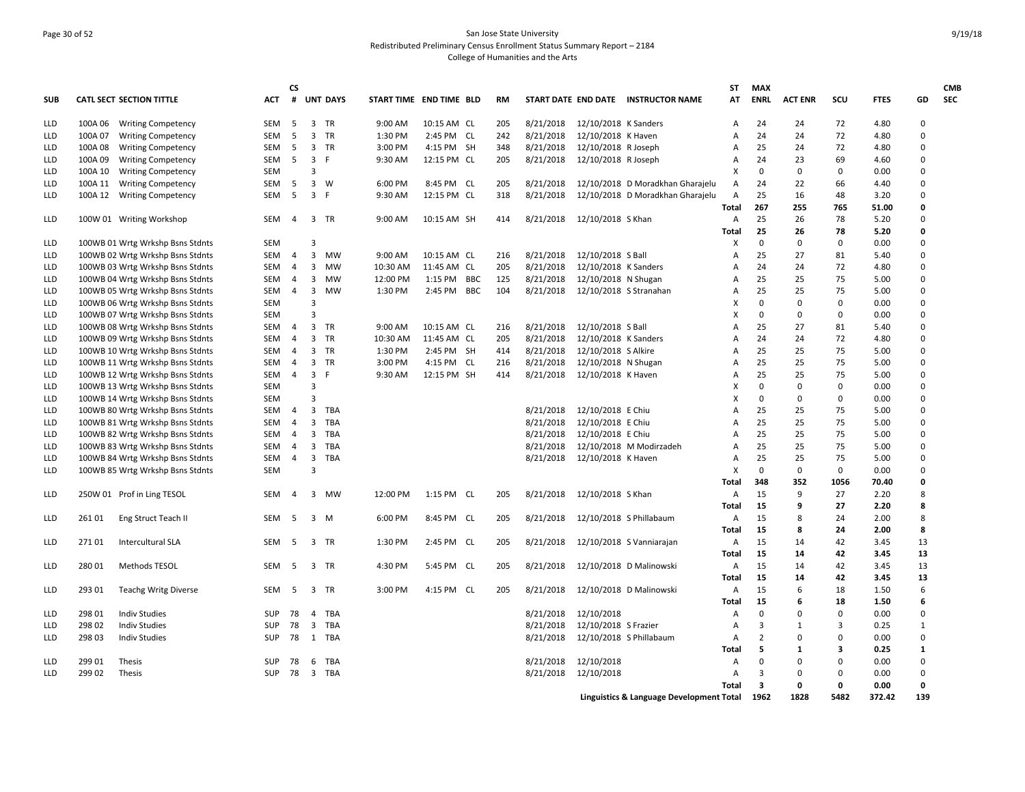## Page 30 of 52 San Jose State University Redistributed Preliminary Census Enrollment Status Summary Report – 2184 College of Humanities and the Arts

| <b>SUB</b> |         | <b>CATL SECT SECTION TITTLE</b>  | <b>ACT</b> | CS<br>#        |                         | <b>UNT DAYS</b> | START TIME END TIME BLD |                            | <b>RM</b> |           |                        | START DATE END DATE INSTRUCTOR NAME      | ST<br>АT     | <b>MAX</b><br><b>ENRL</b> | <b>ACT ENR</b> | SCU      | <b>FTES</b> | GD           | <b>CMB</b><br><b>SEC</b> |
|------------|---------|----------------------------------|------------|----------------|-------------------------|-----------------|-------------------------|----------------------------|-----------|-----------|------------------------|------------------------------------------|--------------|---------------------------|----------------|----------|-------------|--------------|--------------------------|
| <b>LLD</b> |         | 100A 06 Writing Competency       | SEM        | 5              | 3 TR                    |                 | 9:00 AM                 | 10:15 AM CL                | 205       | 8/21/2018 | 12/10/2018 K Sanders   |                                          | Α            | 24                        | 24             | 72       | 4.80        | 0            |                          |
| <b>LLD</b> | 100A 07 | <b>Writing Competency</b>        | <b>SEM</b> | -5             | 3                       | <b>TR</b>       | 1:30 PM                 | 2:45 PM CL                 | 242       | 8/21/2018 | 12/10/2018 K Haven     |                                          | А            | 24                        | 24             | 72       | 4.80        | 0            |                          |
| <b>LLD</b> | 100A08  | <b>Writing Competency</b>        | SEM        | 5              | 3                       | <b>TR</b>       | 3:00 PM                 | 4:15 PM SH                 | 348       | 8/21/2018 | 12/10/2018 R Joseph    |                                          | A            | 25                        | 24             | 72       | 4.80        | 0            |                          |
| LLD        | 100A 09 | <b>Writing Competency</b>        | SEM        | 5              | $\overline{3}$          | -F              | 9:30 AM                 | 12:15 PM CL                | 205       | 8/21/2018 | 12/10/2018 R Joseph    |                                          | A            | 24                        | 23             | 69       | 4.60        | 0            |                          |
| LLD        | 100A 10 | <b>Writing Competency</b>        | <b>SEM</b> |                | 3                       |                 |                         |                            |           |           |                        |                                          | X            | 0                         | 0              | 0        | 0.00        | 0            |                          |
| <b>LLD</b> | 100A 11 | <b>Writing Competency</b>        | <b>SEM</b> | 5              | $\overline{3}$          | W               | 6:00 PM                 | 8:45 PM CL                 | 205       | 8/21/2018 |                        | 12/10/2018 D Moradkhan Gharajelu         | Α            | 24                        | 22             | 66       | 4.40        | 0            |                          |
| <b>LLD</b> | 100A 12 | <b>Writing Competency</b>        | <b>SEM</b> | 5              | $\overline{3}$          | $\mathsf{F}$    | 9:30 AM                 | 12:15 PM CL                | 318       | 8/21/2018 |                        | 12/10/2018 D Moradkhan Gharajelu         | Α            | 25                        | 16             | 48       | 3.20        | 0            |                          |
|            |         |                                  |            |                |                         |                 |                         |                            |           |           |                        |                                          | <b>Total</b> | 267                       | 255            | 765      | 51.00       | 0            |                          |
| LLD        |         | 100W 01 Writing Workshop         | SEM        | $\overline{4}$ | 3                       | TR              | 9:00 AM                 | 10:15 AM SH                | 414       | 8/21/2018 | 12/10/2018 S Khan      |                                          | Α            | 25                        | 26             | 78       | 5.20        | 0            |                          |
|            |         |                                  |            |                |                         |                 |                         |                            |           |           |                        |                                          | Total        | 25                        | 26             | 78       | 5.20        | 0            |                          |
| LLD        |         | 100WB 01 Wrtg Wrkshp Bsns Stdnts | <b>SEM</b> |                | 3                       |                 |                         |                            |           |           |                        |                                          | X            | $\mathbf 0$               | 0              | 0        | 0.00        | 0            |                          |
| LLD        |         |                                  | SEM        | $\overline{4}$ | 3                       | MW              | 9:00 AM                 |                            | 216       | 8/21/2018 | 12/10/2018 S Ball      |                                          | A            | 25                        | 27             | 81       | 5.40        | 0            |                          |
|            |         | 100WB 02 Wrtg Wrkshp Bsns Stdnts | <b>SEM</b> | $\overline{4}$ | 3                       | <b>MW</b>       | 10:30 AM                | 10:15 AM CL<br>11:45 AM CL | 205       | 8/21/2018 |                        |                                          | A            | 24                        | 24             | 72       | 4.80        | 0            |                          |
| <b>LLD</b> |         | 100WB 03 Wrtg Wrkshp Bsns Stdnts |            |                |                         |                 |                         |                            |           |           | 12/10/2018 K Sanders   |                                          |              |                           |                |          |             | 0            |                          |
| <b>LLD</b> |         | 100WB 04 Wrtg Wrkshp Bsns Stdnts | <b>SEM</b> | $\overline{4}$ | 3                       | <b>MW</b>       | 12:00 PM                | 1:15 PM BBC                | 125       | 8/21/2018 | 12/10/2018 N Shugan    |                                          | A            | 25                        | 25             | 75       | 5.00        |              |                          |
| <b>LLD</b> |         | 100WB 05 Wrtg Wrkshp Bsns Stdnts | SEM        | $\overline{4}$ | 3                       | <b>MW</b>       | 1:30 PM                 | 2:45 PM BBC                | 104       | 8/21/2018 | 12/10/2018 S Stranahan |                                          | A            | 25                        | 25             | 75       | 5.00        | 0            |                          |
| <b>LLD</b> |         | 100WB 06 Wrtg Wrkshp Bsns Stdnts | <b>SEM</b> |                | 3                       |                 |                         |                            |           |           |                        |                                          | x            | $\Omega$                  | 0              | 0        | 0.00        | 0            |                          |
| <b>LLD</b> |         | 100WB 07 Wrtg Wrkshp Bsns Stdnts | <b>SEM</b> |                | 3                       |                 |                         |                            |           |           |                        |                                          | x            | $\Omega$                  | 0              | 0        | 0.00        | 0            |                          |
| <b>LLD</b> |         | 100WB 08 Wrtg Wrkshp Bsns Stdnts | <b>SEM</b> | $\overline{4}$ | 3                       | TR              | 9:00 AM                 | 10:15 AM CL                | 216       | 8/21/2018 | 12/10/2018 S Ball      |                                          | A            | 25                        | 27             | 81       | 5.40        | 0            |                          |
| LLD        |         | 100WB 09 Wrtg Wrkshp Bsns Stdnts | SEM        | $\overline{4}$ | 3                       | TR              | 10:30 AM                | 11:45 AM CL                | 205       | 8/21/2018 | 12/10/2018 K Sanders   |                                          | A            | 24                        | 24             | 72       | 4.80        | 0            |                          |
| LLD        |         | 100WB 10 Wrtg Wrkshp Bsns Stdnts | <b>SEM</b> | 4              | 3                       | <b>TR</b>       | 1:30 PM                 | 2:45 PM SH                 | 414       | 8/21/2018 | 12/10/2018 S Alkire    |                                          | A            | 25                        | 25             | 75       | 5.00        | 0            |                          |
| <b>LLD</b> |         | 100WB 11 Wrtg Wrkshp Bsns Stdnts | <b>SEM</b> | $\overline{4}$ | 3                       | <b>TR</b>       | 3:00 PM                 | 4:15 PM CL                 | 216       | 8/21/2018 | 12/10/2018 N Shugan    |                                          | A            | 25                        | 25             | 75       | 5.00        | 0            |                          |
| <b>LLD</b> |         | 100WB 12 Wrtg Wrkshp Bsns Stdnts | SEM        | 4              | $\overline{3}$          | -F              | 9:30 AM                 | 12:15 PM SH                | 414       | 8/21/2018 | 12/10/2018 K Haven     |                                          | A            | 25                        | 25             | 75       | 5.00        | 0            |                          |
| <b>LLD</b> |         | 100WB 13 Wrtg Wrkshp Bsns Stdnts | SEM        |                | 3                       |                 |                         |                            |           |           |                        |                                          | x            | 0                         | 0              | 0        | 0.00        | 0            |                          |
| <b>LLD</b> |         | 100WB 14 Wrtg Wrkshp Bsns Stdnts | <b>SEM</b> |                | 3                       |                 |                         |                            |           |           |                        |                                          | x            | $\Omega$                  | 0              | 0        | 0.00        | 0            |                          |
| LLD        |         | 100WB 80 Wrtg Wrkshp Bsns Stdnts | <b>SEM</b> | $\overline{4}$ | 3                       | TBA             |                         |                            |           | 8/21/2018 | 12/10/2018 E Chiu      |                                          | A            | 25                        | 25             | 75       | 5.00        | 0            |                          |
| LLD        |         | 100WB 81 Wrtg Wrkshp Bsns Stdnts | SEM        | $\overline{4}$ | 3                       | TBA             |                         |                            |           | 8/21/2018 | 12/10/2018 E Chiu      |                                          | A            | 25                        | 25             | 75       | 5.00        | 0            |                          |
| LLD        |         | 100WB 82 Wrtg Wrkshp Bsns Stdnts | SEM        | 4              | 3                       | <b>TBA</b>      |                         |                            |           | 8/21/2018 | 12/10/2018 E Chiu      |                                          | A            | 25                        | 25             | 75       | 5.00        | 0            |                          |
| LLD        |         | 100WB 83 Wrtg Wrkshp Bsns Stdnts | <b>SEM</b> | $\overline{4}$ | 3                       | <b>TBA</b>      |                         |                            |           | 8/21/2018 |                        | 12/10/2018 M Modirzadeh                  | A            | 25                        | 25             | 75       | 5.00        | 0            |                          |
| <b>LLD</b> |         | 100WB 84 Wrtg Wrkshp Bsns Stdnts | <b>SEM</b> | 4              | 3                       | TBA             |                         |                            |           | 8/21/2018 | 12/10/2018 K Haven     |                                          | A            | 25                        | 25             | 75       | 5.00        | 0            |                          |
| LLD        |         | 100WB 85 Wrtg Wrkshp Bsns Stdnts | <b>SEM</b> |                | 3                       |                 |                         |                            |           |           |                        |                                          | X            | 0                         | 0              | 0        | 0.00        | 0            |                          |
|            |         |                                  |            |                |                         |                 |                         |                            |           |           |                        |                                          | Total        | 348                       | 352            | 1056     | 70.40       | 0            |                          |
| LLD        |         | 250W 01 Prof in Ling TESOL       | <b>SEM</b> | $\overline{a}$ | 3                       | <b>MW</b>       | 12:00 PM                | 1:15 PM CL                 | 205       | 8/21/2018 | 12/10/2018 S Khan      |                                          | A            | 15                        | 9              | 27       | 2.20        | 8            |                          |
|            |         |                                  |            |                |                         |                 |                         |                            |           |           |                        |                                          | Total        | 15                        | 9              | 27       | 2.20        | 8            |                          |
| <b>LLD</b> | 261 01  | Eng Struct Teach II              | <b>SEM</b> | - 5            | $\overline{3}$          | M               | 6:00 PM                 | 8:45 PM CL                 | 205       | 8/21/2018 |                        | 12/10/2018 S Phillabaum                  | A            | 15                        | 8              | 24       | 2.00        | 8            |                          |
|            |         |                                  |            |                |                         |                 |                         |                            |           |           |                        |                                          | <b>Total</b> | 15                        | 8              | 24       | 2.00        | 8            |                          |
| <b>LLD</b> | 27101   | Intercultural SLA                | <b>SEM</b> | - 5            | 3                       | TR              | 1:30 PM                 | 2:45 PM CL                 | 205       | 8/21/2018 |                        | 12/10/2018 S Vanniarajan                 | Α            | 15                        | 14             | 42       | 3.45        | 13           |                          |
|            |         |                                  |            |                |                         |                 |                         |                            |           |           |                        |                                          | Total        | 15                        | 14             | 42       | 3.45        | 13           |                          |
| LLD        | 280 01  | Methods TESOL                    | SEM        | - 5            | 3 TR                    |                 | 4:30 PM                 | 5:45 PM CL                 | 205       | 8/21/2018 |                        | 12/10/2018 D Malinowski                  | Α            | 15                        | 14             | 42       | 3.45        | 13           |                          |
|            |         |                                  |            |                |                         |                 |                         |                            |           |           |                        |                                          | Total        | 15                        | 14             | 42       | 3.45        | 13           |                          |
| LLD        | 293 01  | <b>Teachg Writg Diverse</b>      | SEM        | - 5            | 3 TR                    |                 | 3:00 PM                 | 4:15 PM CL                 | 205       | 8/21/2018 |                        | 12/10/2018 D Malinowski                  | A            | 15                        | 6              | 18       | 1.50        | 6            |                          |
|            |         |                                  |            |                |                         |                 |                         |                            |           |           |                        |                                          | Total        | 15                        | 6              | 18       | 1.50        | 6            |                          |
| LLD        | 298 01  | <b>Indiv Studies</b>             | <b>SUP</b> | 78             | $\overline{4}$          | <b>TBA</b>      |                         |                            |           | 8/21/2018 | 12/10/2018             |                                          | A            | $\mathbf 0$               | 0              | 0        | 0.00        | 0            |                          |
|            |         |                                  |            |                |                         |                 |                         |                            |           |           |                        |                                          |              |                           |                | 3        |             | $\mathbf{1}$ |                          |
| <b>LLD</b> | 298 02  | <b>Indiv Studies</b>             | <b>SUP</b> | 78             | $\overline{3}$          | TBA             |                         |                            |           | 8/21/2018 | 12/10/2018 S Frazier   |                                          | A            | 3                         | $\mathbf{1}$   |          | 0.25        |              |                          |
| <b>LLD</b> | 298 03  | <b>Indiv Studies</b>             | <b>SUP</b> | 78             |                         | 1 TBA           |                         |                            |           | 8/21/2018 |                        | 12/10/2018 S Phillabaum                  | Α            | 2                         | 0              | 0        | 0.00        | 0            |                          |
|            |         |                                  |            |                |                         |                 |                         |                            |           |           |                        |                                          | Total        | 5                         | $\mathbf{1}$   | 3        | 0.25        | $\mathbf{1}$ |                          |
| <b>LLD</b> | 299 01  | Thesis                           | <b>SUP</b> | 78             | 6                       | <b>TBA</b>      |                         |                            |           | 8/21/2018 | 12/10/2018             |                                          | A            | $\mathbf 0$               | 0              | 0        | 0.00        | 0            |                          |
| <b>LLD</b> | 299 02  | Thesis                           | <b>SUP</b> | 78             | $\overline{\mathbf{3}}$ | <b>TBA</b>      |                         |                            |           | 8/21/2018 | 12/10/2018             |                                          | A            | 3                         | 0              | $\Omega$ | 0.00        | 0            |                          |
|            |         |                                  |            |                |                         |                 |                         |                            |           |           |                        |                                          | Total        | 3                         | 0              | 0        | 0.00        | 0            |                          |
|            |         |                                  |            |                |                         |                 |                         |                            |           |           |                        | Linguistics & Language Development Total |              | 1962                      | 1828           | 5482     | 372.42      | 139          |                          |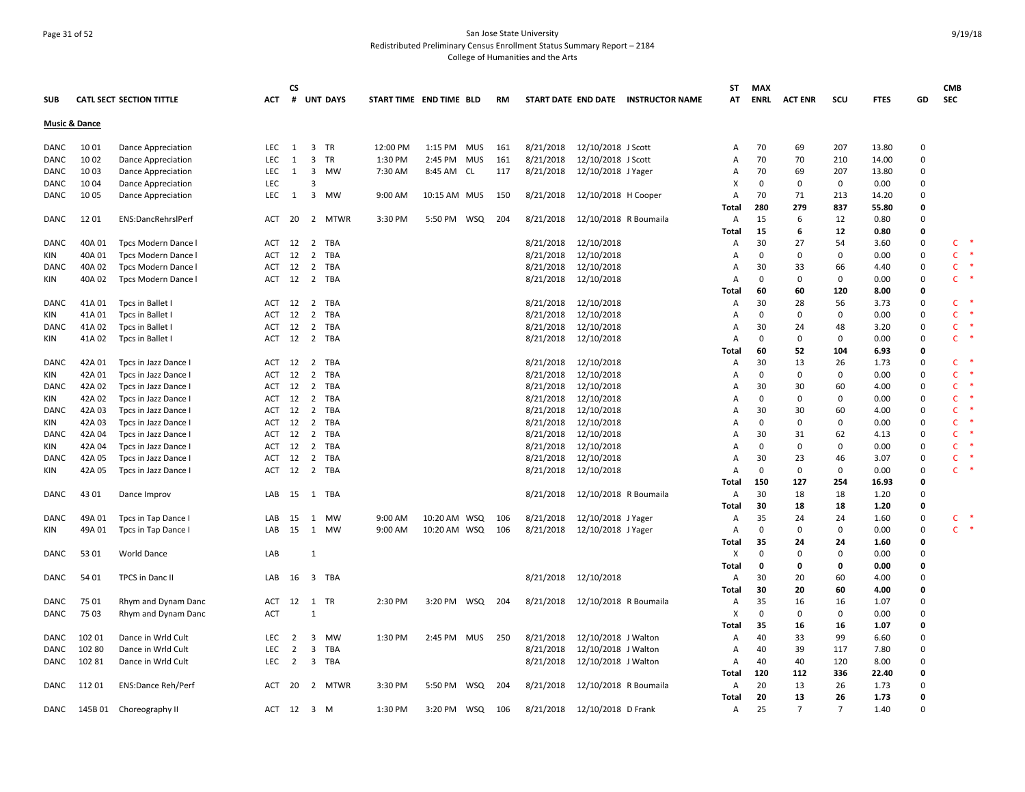## Page 31 of 52 San Jose State University Redistributed Preliminary Census Enrollment Status Summary Report – 2184 College of Humanities and the Arts

|             |                          |                                                 |            | CS             |                         |            |                         |              |            |           |           |                       |                                     | ST                        | <b>MAX</b>  |                |                |             |             | <b>CMB</b>   |        |
|-------------|--------------------------|-------------------------------------------------|------------|----------------|-------------------------|------------|-------------------------|--------------|------------|-----------|-----------|-----------------------|-------------------------------------|---------------------------|-------------|----------------|----------------|-------------|-------------|--------------|--------|
| <b>SUB</b>  |                          | <b>CATL SECT SECTION TITTLE</b>                 | <b>ACT</b> |                |                         | # UNT DAYS | START TIME END TIME BLD |              |            | <b>RM</b> |           |                       | START DATE END DATE INSTRUCTOR NAME | AT                        | ENRL        | <b>ACT ENR</b> | scu            | <b>FTES</b> | GD          | <b>SEC</b>   |        |
|             | <b>Music &amp; Dance</b> |                                                 |            |                |                         |            |                         |              |            |           |           |                       |                                     |                           |             |                |                |             |             |              |        |
| DANC        | 10 01                    | Dance Appreciation                              | LEC        | 1              | $\overline{\mathbf{3}}$ | TR         | 12:00 PM                | 1:15 PM      | MUS        | 161       | 8/21/2018 | 12/10/2018 J Scott    |                                     | A                         | 70          | 69             | 207            | 13.80       | 0           |              |        |
| DANC        | 10 02                    |                                                 | LEC        | 1              | $\overline{\mathbf{3}}$ | TR         | 1:30 PM                 | 2:45 PM      | <b>MUS</b> | 161       | 8/21/2018 | 12/10/2018 J Scott    |                                     | $\overline{A}$            | 70          | 70             | 210            | 14.00       | $\mathbf 0$ |              |        |
| DANC        | 10 03                    | Dance Appreciation<br><b>Dance Appreciation</b> | <b>LEC</b> | 1              | $\overline{\mathbf{3}}$ | MW         | 7:30 AM                 | 8:45 AM CL   |            | 117       | 8/21/2018 | 12/10/2018 J Yager    |                                     | A                         | 70          | 69             | 207            | 13.80       | $\Omega$    |              |        |
|             | 10 04                    |                                                 | LEC        |                | $\overline{3}$          |            |                         |              |            |           |           |                       |                                     | X                         | $\mathbf 0$ | $\mathbf 0$    | $\mathbf 0$    | 0.00        | $\mathbf 0$ |              |        |
| DANC        |                          | <b>Dance Appreciation</b>                       | LEC        |                | $\overline{3}$          | <b>MW</b>  |                         |              |            |           |           |                       |                                     |                           | 70          |                |                |             | $\Omega$    |              |        |
| DANC        | 10 05                    | <b>Dance Appreciation</b>                       |            | $\mathbf{1}$   |                         |            | 9:00 AM                 | 10:15 AM MUS |            | 150       | 8/21/2018 | 12/10/2018 H Cooper   |                                     | A                         |             | 71<br>279      | 213            | 14.20       |             |              |        |
|             |                          |                                                 |            |                |                         |            |                         |              |            |           |           |                       |                                     | Total                     | 280         |                | 837            | 55.80       | 0           |              |        |
| DANC        | 1201                     | ENS:DancRehrslPerf                              | ACT        | 20             |                         | 2 MTWR     | 3:30 PM                 | 5:50 PM WSQ  |            | 204       | 8/21/2018 | 12/10/2018 R Boumaila |                                     | A                         | 15          | 6              | 12             | 0.80        | $\mathbf 0$ |              |        |
|             |                          |                                                 |            |                |                         |            |                         |              |            |           |           |                       |                                     | Total                     | 15          | 6              | 12             | 0.80        | 0           |              | $\ast$ |
| DANC        | 40A01                    | Tpcs Modern Dance I                             | ACT        | 12             | $\overline{2}$          | TBA        |                         |              |            |           | 8/21/2018 | 12/10/2018            |                                     | A                         | 30          | 27             | 54             | 3.60        | $\mathbf 0$ | $\mathsf{C}$ |        |
| KIN         | 40A 01                   | Tpcs Modern Dance I                             | ACT        | 12             | $\overline{2}$          | <b>TBA</b> |                         |              |            |           | 8/21/2018 | 12/10/2018            |                                     | $\overline{A}$            | $\mathbf 0$ | $\mathbf 0$    | 0              | 0.00        | $\mathbf 0$ | $\mathsf{C}$ | ∗      |
| <b>DANC</b> | 40A 02                   | Tpcs Modern Dance I                             | <b>ACT</b> | 12             | 2                       | TBA        |                         |              |            |           | 8/21/2018 | 12/10/2018            |                                     | $\overline{A}$            | 30          | 33             | 66             | 4.40        | 0           | $\mathsf{C}$ | $\ast$ |
| KIN         | 40A 02                   | Tpcs Modern Dance I                             | ACT        |                |                         | 12 2 TBA   |                         |              |            |           | 8/21/2018 | 12/10/2018            |                                     | A                         | $\mathbf 0$ | $\mathbf 0$    | 0              | 0.00        | $\mathbf 0$ | $\mathsf{C}$ |        |
|             |                          |                                                 |            |                |                         |            |                         |              |            |           |           |                       |                                     | Total                     | 60          | 60             | 120            | 8.00        | 0           |              |        |
| DANC        | 41A 01                   | Tpcs in Ballet I                                | ACT        | 12             | $\overline{2}$          | TBA        |                         |              |            |           | 8/21/2018 | 12/10/2018            |                                     | Α                         | 30          | 28             | 56             | 3.73        | 0           | C.           |        |
| KIN         | 41A01                    | Tpcs in Ballet I                                | ACT        | 12             | $\overline{2}$          | <b>TBA</b> |                         |              |            |           | 8/21/2018 | 12/10/2018            |                                     | $\overline{A}$            | $\mathbf 0$ | $\mathbf 0$    | 0              | 0.00        | $\mathbf 0$ | $\mathsf{C}$ |        |
| <b>DANC</b> | 41A 02                   | Tpcs in Ballet I                                | ACT 12     |                | $\overline{2}$          | TBA        |                         |              |            |           | 8/21/2018 | 12/10/2018            |                                     | $\overline{A}$            | 30          | 24             | 48             | 3.20        | 0           | $\mathsf{C}$ |        |
| KIN         | 41A 02                   | Tpcs in Ballet I                                | ACT        |                |                         | 12 2 TBA   |                         |              |            |           | 8/21/2018 | 12/10/2018            |                                     | $\overline{A}$            | $\mathbf 0$ | $\mathbf 0$    | 0              | 0.00        | $\Omega$    | $\mathsf{C}$ | $\ast$ |
|             |                          |                                                 |            |                |                         |            |                         |              |            |           |           |                       |                                     | Total                     | 60          | 52             | 104            | 6.93        | 0           |              |        |
| DANC        | 42A 01                   | Tpcs in Jazz Dance I                            | ACT 12 2   |                |                         | TBA        |                         |              |            |           | 8/21/2018 | 12/10/2018            |                                     | Α                         | 30          | 13             | 26             | 1.73        | 0           | C            | ∗      |
| KIN         | 42A 01                   | Tpcs in Jazz Dance I                            | ACT        | 12             | $\overline{2}$          | <b>TBA</b> |                         |              |            |           | 8/21/2018 | 12/10/2018            |                                     | Α                         | $\mathbf 0$ | $\mathbf 0$    | 0              | 0.00        | $\mathbf 0$ | $\mathsf{C}$ |        |
| DANC        | 42A 02                   | Tpcs in Jazz Dance I                            | ACT 12     |                | 2                       | <b>TBA</b> |                         |              |            |           | 8/21/2018 | 12/10/2018            |                                     | $\overline{A}$            | 30          | 30             | 60             | 4.00        | 0           | $\mathsf{C}$ |        |
| KIN         | 42A 02                   | Tpcs in Jazz Dance                              | ACT        | 12             | 2                       | <b>TBA</b> |                         |              |            |           | 8/21/2018 | 12/10/2018            |                                     | A                         | $\mathbf 0$ | $\mathbf 0$    | 0              | 0.00        | $\Omega$    | $\mathsf{C}$ |        |
| DANC        | 42A 03                   | Tpcs in Jazz Dance I                            | ACT        | 12             | 2                       | <b>TBA</b> |                         |              |            |           | 8/21/2018 | 12/10/2018            |                                     | A                         | 30          | 30             | 60             | 4.00        | $\Omega$    | $\mathsf{C}$ |        |
| KIN         | 42A 03                   | Tpcs in Jazz Dance I                            | ACT        | 12             | $\overline{2}$          | TBA        |                         |              |            |           | 8/21/2018 | 12/10/2018            |                                     | A                         | 0           | 0              | 0              | 0.00        | 0           | c            |        |
| DANC        | 42A 04                   | Tpcs in Jazz Dance I                            | ACT        | 12             | 2                       | TBA        |                         |              |            |           | 8/21/2018 | 12/10/2018            |                                     | A                         | 30          | 31             | 62             | 4.13        | 0           | $\mathsf{C}$ |        |
| KIN         | 42A 04                   | Tpcs in Jazz Dance I                            | ACT 12     |                | 2                       | <b>TBA</b> |                         |              |            |           | 8/21/2018 | 12/10/2018            |                                     | $\overline{A}$            | 0           | 0              | 0              | 0.00        | 0           | $\mathsf{C}$ |        |
| <b>DANC</b> | 42A 05                   | Tpcs in Jazz Dance I                            | <b>ACT</b> | 12             | $\overline{2}$          | TBA        |                         |              |            |           | 8/21/2018 | 12/10/2018            |                                     | $\overline{A}$            | 30          | 23             | 46             | 3.07        | $\Omega$    | $\mathsf{C}$ |        |
| KIN         | 42A 05                   | Tpcs in Jazz Dance I                            | ACT        | 12             | $\overline{2}$          | TBA        |                         |              |            |           | 8/21/2018 | 12/10/2018            |                                     | $\overline{A}$            | $\mathbf 0$ | $\mathbf 0$    | 0              | 0.00        | $\Omega$    | $\mathsf{C}$ | ∗      |
|             |                          |                                                 |            |                |                         |            |                         |              |            |           |           |                       |                                     | Total                     | 150         | 127            | 254            | 16.93       | $\mathbf 0$ |              |        |
| DANC        | 43 01                    | Dance Improv                                    | LAB        | 15             | 1                       | TBA        |                         |              |            |           | 8/21/2018 | 12/10/2018 R Boumaila |                                     | Α                         | 30          | 18             | 18             | 1.20        | $\mathbf 0$ |              |        |
|             |                          |                                                 |            |                |                         |            |                         |              |            |           |           |                       |                                     | Total                     | 30          | 18             | 18             | 1.20        | 0           |              |        |
| <b>DANC</b> | 49A01                    | Tpcs in Tap Dance I                             | LAB        | - 15           | 1                       | <b>MW</b>  | 9:00 AM                 | 10:20 AM WSQ |            | 106       | 8/21/2018 | 12/10/2018 J Yager    |                                     | Α                         | 35          | 24             | 24             | 1.60        | $\mathbf 0$ | C            | $\ast$ |
| KIN         | 49A 01                   | Tpcs in Tap Dance I                             | LAB        | 15             | 1                       | <b>MW</b>  | 9:00 AM                 | 10:20 AM WSQ |            | 106       | 8/21/2018 | 12/10/2018 J Yager    |                                     | $\overline{A}$            | $\mathbf 0$ | $\mathbf 0$    | 0              | 0.00        | $\Omega$    | $\mathsf{C}$ | $\ast$ |
|             |                          |                                                 |            |                |                         |            |                         |              |            |           |           |                       |                                     | Total                     | 35          | 24             | 24             | 1.60        | 0           |              |        |
| DANC        | 53 01                    | <b>World Dance</b>                              | LAB        |                | 1                       |            |                         |              |            |           |           |                       |                                     | X                         | $\mathbf 0$ | $\mathbf 0$    | 0              | 0.00        | $\mathbf 0$ |              |        |
|             |                          |                                                 |            |                |                         |            |                         |              |            |           |           |                       |                                     | Total                     | 0           | 0              | 0              | 0.00        | 0           |              |        |
| DANC        | 54 01                    | TPCS in Danc II                                 | LAB        | 16             | $\overline{\mathbf{3}}$ | TBA        |                         |              |            |           | 8/21/2018 | 12/10/2018            |                                     | Α                         | 30          | 20             | 60             | 4.00        | $\Omega$    |              |        |
|             |                          |                                                 |            |                |                         |            |                         |              |            |           |           |                       |                                     | Total                     | 30          | 20             | 60             | 4.00        | 0           |              |        |
| <b>DANC</b> | 75 01                    | Rhym and Dynam Danc                             | ACT        | 12 1           |                         | <b>TR</b>  | 2:30 PM                 | 3:20 PM WSQ  |            | 204       | 8/21/2018 | 12/10/2018 R Boumaila |                                     | Α                         | 35          | 16             | 16             | 1.07        | $\Omega$    |              |        |
| DANC        | 75 03                    | Rhym and Dynam Danc                             | <b>ACT</b> |                | $\overline{1}$          |            |                         |              |            |           |           |                       |                                     | $\boldsymbol{\mathsf{x}}$ | $\mathbf 0$ | $\mathbf 0$    | 0              | 0.00        | $\Omega$    |              |        |
|             |                          |                                                 |            |                |                         |            |                         |              |            |           |           |                       |                                     | Total                     | 35          | 16             | 16             | 1.07        | $\mathbf 0$ |              |        |
| DANC        | 102 01                   | Dance in Wrld Cult                              | <b>LEC</b> | 2              | $\overline{\mathbf{3}}$ | <b>MW</b>  | 1:30 PM                 | 2:45 PM MUS  |            | 250       | 8/21/2018 | 12/10/2018 J Walton   |                                     | Α                         | 40          | 33             | 99             | 6.60        | $\Omega$    |              |        |
| DANC        | 102 80                   | Dance in Wrld Cult                              | LEC        | $\overline{2}$ | $\overline{\mathbf{3}}$ | TBA        |                         |              |            |           | 8/21/2018 | 12/10/2018 J Walton   |                                     | A                         | 40          | 39             | 117            | 7.80        | 0           |              |        |
| DANC        | 102 81                   | Dance in Wrld Cult                              | LEC        | 2              |                         | 3 TBA      |                         |              |            |           | 8/21/2018 | 12/10/2018 J Walton   |                                     | $\overline{A}$            | 40          | 40             | 120            | 8.00        | $\Omega$    |              |        |
|             |                          |                                                 |            |                |                         |            |                         |              |            |           |           |                       |                                     | Total                     | 120         | 112            | 336            | 22.40       | 0           |              |        |
| DANC        | 11201                    | <b>ENS:Dance Reh/Perf</b>                       | ACT        | 20             |                         | 2 MTWR     | 3:30 PM                 | 5:50 PM      | WSQ        | 204       | 8/21/2018 | 12/10/2018 R Boumaila |                                     | A                         | 20          | 13             | 26             | 1.73        | $\Omega$    |              |        |
|             |                          |                                                 |            |                |                         |            |                         |              |            |           |           |                       |                                     | Total                     | 20          | 13             | 26             | 1.73        | $\mathbf 0$ |              |        |
| DANC        |                          | 145B 01 Choreography II                         | ACT        | 12 3 M         |                         |            | 1:30 PM                 | 3:20 PM      | WSQ        | 106       | 8/21/2018 | 12/10/2018 D Frank    |                                     | Α                         | 25          | $\overline{7}$ | $\overline{7}$ | 1.40        | $\Omega$    |              |        |
|             |                          |                                                 |            |                |                         |            |                         |              |            |           |           |                       |                                     |                           |             |                |                |             |             |              |        |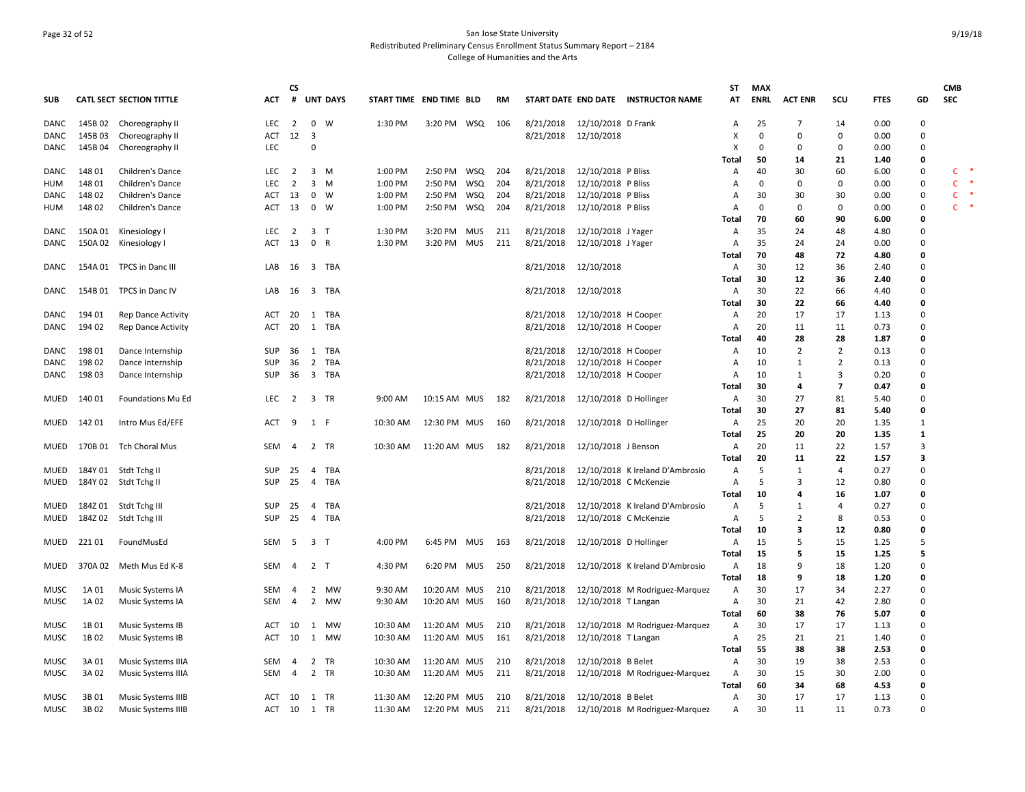## Page 32 of 52 San Jose State University Redistributed Preliminary Census Enrollment Status Summary Report – 2184 College of Humanities and the Arts

|             |         |                                 |                          | <b>CS</b>      |                                |                 |                         |              |            |            |           |                        |                                     | SΤ         | <b>MAX</b>  |                         |                |              |                         | <b>CMB</b>   |
|-------------|---------|---------------------------------|--------------------------|----------------|--------------------------------|-----------------|-------------------------|--------------|------------|------------|-----------|------------------------|-------------------------------------|------------|-------------|-------------------------|----------------|--------------|-------------------------|--------------|
| <b>SUB</b>  |         | <b>CATL SECT SECTION TITTLE</b> | ACT                      | #              |                                | <b>UNT DAYS</b> | START TIME END TIME BLD |              |            | <b>RM</b>  |           |                        | START DATE END DATE INSTRUCTOR NAME | AT         | <b>ENRL</b> | <b>ACT ENR</b>          | scu            | <b>FTES</b>  | GD                      | <b>SEC</b>   |
| DANC        |         | 145B 02 Choreography II         | LEC                      | $\overline{2}$ | $\mathbf 0$                    | W               | 1:30 PM                 | 3:20 PM WSQ  |            | 106        | 8/21/2018 | 12/10/2018 D Frank     |                                     | Α          | 25          | 7                       | 14             | 0.00         | 0                       |              |
| DANC        | 145B03  | Choreography II                 | ACT                      | 12             | - 3                            |                 |                         |              |            |            | 8/21/2018 | 12/10/2018             |                                     | X          | $\Omega$    | 0                       | $\Omega$       | 0.00         | $\Omega$                |              |
| DANC        | 145B 04 | Choreography II                 | LEC                      |                | $\Omega$                       |                 |                         |              |            |            |           |                        |                                     | X          | $\Omega$    | $\mathbf 0$             | $\Omega$       | 0.00         | 0                       |              |
|             |         |                                 |                          |                |                                |                 |                         |              |            |            |           |                        |                                     | Tota       | 50          | 14                      | 21             | 1.40         | 0                       |              |
| <b>DANC</b> | 148 01  | Children's Dance                | LEC                      | $\overline{2}$ | $\overline{\mathbf{3}}$        | M               | 1:00 PM                 | 2:50 PM      | WSQ        | 204        | 8/21/2018 | 12/10/2018 P Bliss     |                                     | Α          | 40          | 30                      | 60             | 6.00         | 0                       | C            |
| HUM         | 148 01  | Children's Dance                | LEC                      | 2              | $\overline{3}$                 | M               | 1:00 PM                 | 2:50 PM      | WSQ        | 204        | 8/21/2018 | 12/10/2018 P Bliss     |                                     | A          | $\Omega$    | 0                       | 0              | 0.00         | 0                       | $\mathsf{C}$ |
| DANC        | 148 02  | Children's Dance                | ACT                      | -13            | $\mathbf 0$                    | W               | 1:00 PM                 | 2:50 PM WSQ  |            | 204        | 8/21/2018 | 12/10/2018 P Bliss     |                                     | A          | 30          | 30                      | 30             | 0.00         | 0                       | $\mathsf{C}$ |
| HUM         | 148 02  | Children's Dance                | ACT                      | -13            | $\mathbf 0$                    | W               | 1:00 PM                 | 2:50 PM      | WSQ        | 204        | 8/21/2018 | 12/10/2018 P Bliss     |                                     | A          | $\Omega$    | 0                       | 0              | 0.00         | 0                       | $\mathsf{C}$ |
|             |         |                                 |                          |                |                                |                 |                         |              |            |            |           |                        |                                     | Total      | 70          | 60                      | 90             | 6.00         | 0                       |              |
| DANC        | 150A 01 | Kinesiology I                   | <b>LEC</b><br><b>ACT</b> | $\overline{2}$ | 3 <sub>1</sub><br>$\mathbf{0}$ | $\mathsf{R}$    | 1:30 PM                 | 3:20 PM MUS  |            | 211<br>211 | 8/21/2018 | 12/10/2018 J Yager     |                                     | Α          | 35<br>35    | 24<br>24                | 48<br>24       | 4.80<br>0.00 | 0<br>0                  |              |
| DANC        |         | 150A 02 Kinesiology I           |                          | 13             |                                |                 | 1:30 PM                 | 3:20 PM      | <b>MUS</b> |            | 8/21/2018 | 12/10/2018 J Yager     |                                     | Α          | 70          | 48                      | 72             | 4.80         | 0                       |              |
|             |         | 154A 01 TPCS in Danc III        | LAB                      | 16             | 3                              | TBA             |                         |              |            |            | 8/21/2018 | 12/10/2018             |                                     | Total      | 30          | 12                      | 36             | 2.40         | 0                       |              |
| DANC        |         |                                 |                          |                |                                |                 |                         |              |            |            |           |                        |                                     | Α          | 30          | 12                      | 36             | 2.40         | 0                       |              |
| DANC        |         | 154B 01 TPCS in Danc IV         | LAB                      | 16             | $\overline{\mathbf{3}}$        | TBA             |                         |              |            |            | 8/21/2018 | 12/10/2018             |                                     | Total      | 30          | 22                      | 66             | 4.40         | 0                       |              |
|             |         |                                 |                          |                |                                |                 |                         |              |            |            |           |                        |                                     | Α<br>Total | 30          | 22                      | 66             | 4.40         | 0                       |              |
| DANC        | 194 01  | Rep Dance Activity              | ACT                      | 20             | 1 TBA                          |                 |                         |              |            |            | 8/21/2018 | 12/10/2018 H Cooper    |                                     | Α          | 20          | 17                      | 17             | 1.13         | 0                       |              |
| DANC        | 194 02  | Rep Dance Activity              | ACT                      | 20             | 1                              | <b>TBA</b>      |                         |              |            |            | 8/21/2018 | 12/10/2018 H Cooper    |                                     | Α          | 20          | 11                      | 11             | 0.73         | 0                       |              |
|             |         |                                 |                          |                |                                |                 |                         |              |            |            |           |                        |                                     | Total      | 40          | 28                      | 28             | 1.87         | 0                       |              |
| DANC        | 198 01  | Dance Internship                | <b>SUP</b>               | 36             | 1                              | TBA             |                         |              |            |            | 8/21/2018 | 12/10/2018 H Cooper    |                                     | Α          | 10          | $\overline{2}$          | $\overline{2}$ | 0.13         | 0                       |              |
| DANC        | 198 02  | Dance Internship                | <b>SUP</b>               | 36             | $\overline{2}$                 | TBA             |                         |              |            |            | 8/21/2018 | 12/10/2018 H Cooper    |                                     | Α          | 10          | 1                       | 2              | 0.13         | 0                       |              |
| DANC        | 198 03  | Dance Internship                | <b>SUP</b>               | 36             | 3 TBA                          |                 |                         |              |            |            | 8/21/2018 | 12/10/2018 H Cooper    |                                     | Α          | 10          | 1                       | 3              | 0.20         | 0                       |              |
|             |         |                                 |                          |                |                                |                 |                         |              |            |            |           |                        |                                     | Total      | 30          | $\overline{\mathbf{4}}$ | $\overline{7}$ | 0.47         | 0                       |              |
| MUED        | 140 01  | Foundations Mu Ed               | <b>LEC</b>               | 2              | 3 TR                           |                 | 9:00 AM                 | 10:15 AM MUS |            | 182        | 8/21/2018 | 12/10/2018 D Hollinger |                                     | Α          | 30          | 27                      | 81             | 5.40         | 0                       |              |
|             |         |                                 |                          |                |                                |                 |                         |              |            |            |           |                        |                                     | Total      | 30          | 27                      | 81             | 5.40         | 0                       |              |
| MUED        | 142 01  | Intro Mus Ed/EFE                | ACT                      | 9              | 1 F                            |                 | 10:30 AM                | 12:30 PM MUS |            | 160        | 8/21/2018 | 12/10/2018 D Hollinger |                                     | Α          | 25          | 20                      | 20             | 1.35         | $\mathbf{1}$            |              |
|             |         |                                 |                          |                |                                |                 |                         |              |            |            |           |                        |                                     | Total      | 25          | 20                      | 20             | 1.35         | $\mathbf{1}$            |              |
| MUED        |         | 170B 01 Tch Choral Mus          | <b>SEM</b>               | 4              | 2                              | TR              | 10:30 AM                | 11:20 AM MUS |            | 182        | 8/21/2018 | 12/10/2018 J Benson    |                                     | Α          | 20          | 11                      | 22             | 1.57         | 3                       |              |
|             |         |                                 |                          |                |                                |                 |                         |              |            |            |           |                        |                                     | Total      | 20          | 11                      | 22             | 1.57         | $\overline{\mathbf{3}}$ |              |
| MUED        |         | 184Y 01 Stdt Tchg II            | <b>SUP</b>               | 25             | 4                              | TBA             |                         |              |            |            | 8/21/2018 |                        | 12/10/2018 K Ireland D'Ambrosio     | Α          | 5           | 1                       | 4              | 0.27         | 0                       |              |
| MUED        |         | 184Y 02 Stdt Tchg II            | <b>SUP</b>               | 25             | $\overline{4}$                 | <b>TBA</b>      |                         |              |            |            | 8/21/2018 | 12/10/2018 C McKenzie  |                                     | Α          | 5           | $\overline{3}$          | 12             | 0.80         | 0                       |              |
|             |         |                                 |                          |                |                                |                 |                         |              |            |            |           |                        |                                     | Total      | 10          | $\overline{a}$          | 16             | 1.07         | 0                       |              |
| MUED        |         | 184Z 01 Stdt Tchg III           | <b>SUP</b>               | 25             | 4                              | TBA             |                         |              |            |            | 8/21/2018 |                        | 12/10/2018 K Ireland D'Ambrosio     | Α          | .5          | 1                       | 4              | 0.27         | 0                       |              |
| MUED        |         | 184Z 02 Stdt Tchg III           | <b>SUP</b>               | 25             | $\overline{4}$                 | TBA             |                         |              |            |            | 8/21/2018 | 12/10/2018 C McKenzie  |                                     | A          | .5          | $\overline{2}$          | 8              | 0.53         | $\Omega$                |              |
|             |         |                                 |                          |                |                                |                 |                         |              |            |            |           |                        |                                     | Total      | 10          | 3                       | 12             | 0.80         | 0                       |              |
| MUED        | 22101   | FoundMusEd                      | SEM                      | - 5            | 3 T                            |                 | 4:00 PM                 | 6:45 PM MUS  |            | 163        | 8/21/2018 | 12/10/2018 D Hollinger |                                     | Α          | 15          | -5                      | 15             | 1.25         | 5                       |              |
|             |         |                                 |                          |                |                                |                 |                         |              |            |            |           |                        |                                     | Total      | 15          | 5                       | 15             | 1.25         | 5                       |              |
| MUED        | 370A 02 | Meth Mus Ed K-8                 | SEM                      | 4              | 2 <sub>T</sub>                 |                 | 4:30 PM                 | 6:20 PM MUS  |            | 250        | 8/21/2018 |                        | 12/10/2018 K Ireland D'Ambrosio     | Α          | 18          | 9                       | 18             | 1.20         | 0                       |              |
|             |         |                                 |                          |                |                                |                 |                         |              |            |            |           |                        |                                     | Total      | 18          | 9                       | 18             | 1.20         | 0                       |              |
| MUSC        | 1A 01   | Music Systems IA                | <b>SEM</b>               | 4              | 2                              | MW              | 9:30 AM                 | 10:20 AM MUS |            | 210        | 8/21/2018 |                        | 12/10/2018 M Rodriguez-Marquez      | Α          | 30          | 17                      | 34             | 2.27         | 0                       |              |
| MUSC        | 1A 02   | Music Systems IA                | SEM                      | 4              | $\overline{2}$                 | <b>MW</b>       | 9:30 AM                 | 10:20 AM MUS |            | 160        | 8/21/2018 | 12/10/2018 T Langan    |                                     | Α          | 30          | 21                      | 42             | 2.80         | 0                       |              |
|             |         |                                 |                          |                |                                |                 |                         |              |            |            |           |                        |                                     | Total      | 60          | 38                      | 76             | 5.07         | 0                       |              |
| MUSC        | 1B01    | Music Systems IB                | ACT                      | 10             | 1                              | <b>MW</b>       | 10:30 AM                | 11:20 AM MUS |            | 210        | 8/21/2018 |                        | 12/10/2018 M Rodriguez-Marquez      | Α          | 30          | 17                      | 17             | 1.13         | $\mathbf 0$             |              |
| <b>MUSC</b> | 1B02    | Music Systems IB                | ACT                      | 10             | 1                              | MW              | 10:30 AM                | 11:20 AM MUS |            | 161        | 8/21/2018 | 12/10/2018 T Langan    |                                     | Α          | 25          | 21                      | 21             | 1.40         | 0                       |              |
|             |         |                                 |                          |                |                                |                 |                         |              |            |            |           |                        |                                     | Total      | 55          | 38                      | 38             | 2.53         | 0                       |              |
| <b>MUSC</b> | 3A 01   | Music Systems IIIA              | <b>SEM</b>               | 4              | $\overline{2}$                 | TR              | 10:30 AM                | 11:20 AM MUS |            | 210        | 8/21/2018 | 12/10/2018 B Belet     |                                     | Α          | 30          | 19                      | 38             | 2.53         | 0                       |              |
| MUSC        | 3A 02   | Music Systems IIIA              | <b>SEM</b>               | 4              | $\overline{2}$                 | TR              | 10:30 AM                | 11:20 AM MUS |            | 211        | 8/21/2018 |                        | 12/10/2018 M Rodriguez-Marquez      | Α          | 30          | 15                      | 30             | 2.00         | 0                       |              |
|             |         |                                 |                          |                |                                |                 |                         |              |            |            |           |                        |                                     | Total      | 60          | 34                      | 68             | 4.53         | 0                       |              |
| <b>MUSC</b> | 3B01    | Music Systems IIIB              | <b>ACT</b>               | 10             | 1 TR                           |                 | 11:30 AM                | 12:20 PM MUS |            | 210        | 8/21/2018 | 12/10/2018 B Belet     |                                     | A          | 30          | 17                      | 17             | 1.13         | 0                       |              |
| MUSC        | 3B02    | Music Systems IIIB              | ACT                      | 10             | $\mathbf{1}$                   | TR              | 11:30 AM                | 12:20 PM MUS |            | 211        | 8/21/2018 |                        | 12/10/2018 M Rodriguez-Marquez      | Α          | 30          | 11                      | 11             | 0.73         | 0                       |              |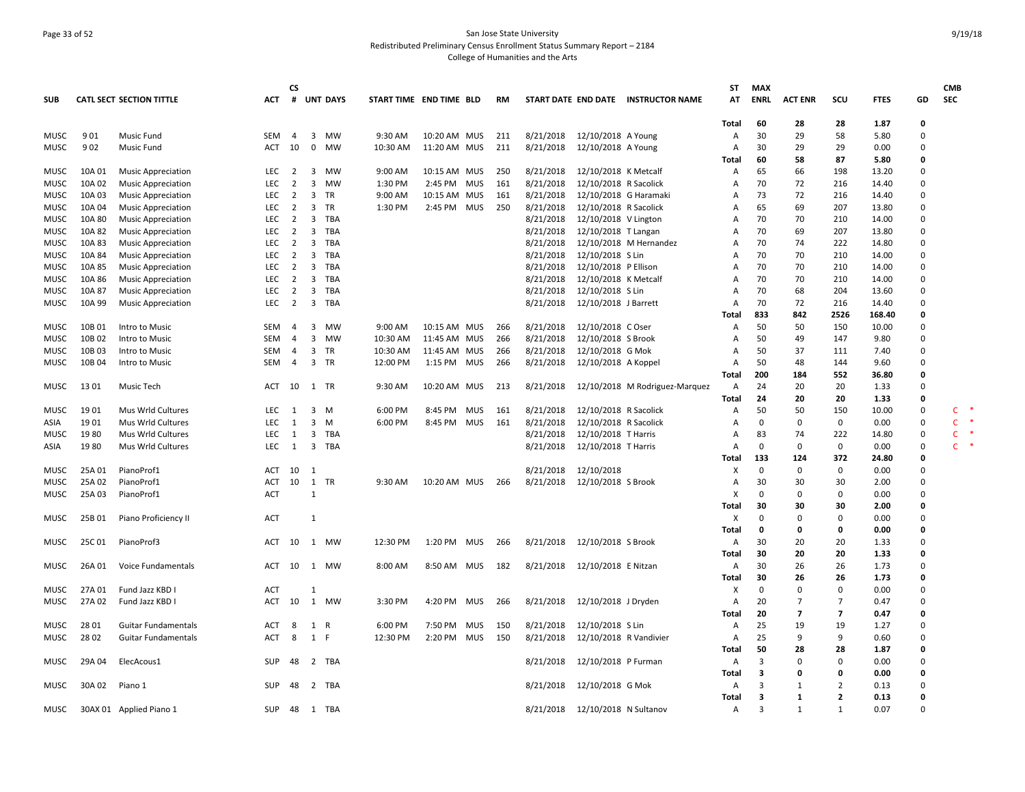## Page 33 of 52 San Jose State University Redistributed Preliminary Census Enrollment Status Summary Report – 2184 College of Humanities and the Arts

|              |              |                                        |            | <b>CS</b>      |                         |                 |                         |              |     |            |                        |                                              |                                     | SΤ           | <b>MAX</b>  |                |                |               |             | <b>CMB</b>        |
|--------------|--------------|----------------------------------------|------------|----------------|-------------------------|-----------------|-------------------------|--------------|-----|------------|------------------------|----------------------------------------------|-------------------------------------|--------------|-------------|----------------|----------------|---------------|-------------|-------------------|
| <b>SUB</b>   |              | <b>CATL SECT SECTION TITTLE</b>        | ACT        | #              |                         | <b>UNT DAYS</b> | START TIME END TIME BLD |              |     | RM         |                        |                                              | START DATE END DATE INSTRUCTOR NAME | AT           | ENRL        | <b>ACT ENR</b> | SCU            | <b>FTES</b>   | GD          | <b>SEC</b>        |
|              |              |                                        |            |                |                         |                 |                         |              |     |            |                        |                                              |                                     | Total        | 60          | 28             | 28             | 1.87          | 0           |                   |
| <b>MUSC</b>  | 901          | <b>Music Fund</b>                      | <b>SEM</b> | $\overline{4}$ | 3                       | <b>MW</b>       | 9:30 AM                 | 10:20 AM MUS |     | 211        | 8/21/2018              | 12/10/2018 A Young                           |                                     | A            | 30          | 29             | 58             | 5.80          | $\Omega$    |                   |
| MUSC         | 902          | Music Fund                             | ACT        | 10             | $\mathbf 0$             | MW              | 10:30 AM                | 11:20 AM MUS |     | 211        | 8/21/2018              | 12/10/2018 A Young                           |                                     | A            | 30          | 29             | 29             | 0.00          | $\mathbf 0$ |                   |
|              |              |                                        |            |                |                         |                 |                         |              |     |            |                        |                                              |                                     | Total        | 60          | 58             | 87             | 5.80          | 0           |                   |
| MUSC         | 10A 01       | <b>Music Appreciation</b>              | <b>LEC</b> | 2              | 3                       | MW              | 9:00 AM                 | 10:15 AM MUS |     | 250        | 8/21/2018              | 12/10/2018 K Metcalf                         |                                     | Α            | 65          | 66             | 198            | 13.20         | 0           |                   |
| MUSC         | 10A 02       | <b>Music Appreciation</b>              | <b>LEC</b> | $\overline{2}$ | 3                       | <b>MW</b>       | 1:30 PM                 | 2:45 PM MUS  |     | 161        | 8/21/2018              | 12/10/2018 R Sacolick                        |                                     | A            | 70          | 72             | 216            | 14.40         | $\mathbf 0$ |                   |
| MUSC         | 10A 03       | <b>Music Appreciation</b>              | <b>LEC</b> | $\overline{2}$ | 3                       | TR              | 9:00 AM                 | 10:15 AM MUS |     | 161        | 8/21/2018              | 12/10/2018 G Haramaki                        |                                     | Α            | 73          | 72             | 216            | 14.40         | $\Omega$    |                   |
| MUSC         | 10A 04       | <b>Music Appreciation</b>              | <b>LEC</b> | $\overline{2}$ | 3                       | TR              | 1:30 PM                 | 2:45 PM      | MUS | 250        | 8/21/2018              | 12/10/2018 R Sacolick                        |                                     | A            | 65          | 69             | 207            | 13.80         | $\Omega$    |                   |
| MUSC         | 10A 80       | <b>Music Appreciation</b>              | <b>LEC</b> | $\overline{2}$ | $\overline{3}$          | TBA             |                         |              |     |            | 8/21/2018              | 12/10/2018 V Lington                         |                                     | A            | 70          | 70             | 210            | 14.00         | $\Omega$    |                   |
| MUSC         | 10A 82       | <b>Music Appreciation</b>              | <b>LEC</b> | $\overline{2}$ | 3                       | <b>TBA</b>      |                         |              |     |            | 8/21/2018              | 12/10/2018 T Langan                          |                                     | A            | 70          | 69             | 207            | 13.80         | $\Omega$    |                   |
| MUSC         | 10A 83       | <b>Music Appreciation</b>              | <b>LEC</b> | 2              | 3                       | TBA             |                         |              |     |            | 8/21/2018              |                                              | 12/10/2018 M Hernandez              | A            | 70          | 74             | 222            | 14.80         | $\mathbf 0$ |                   |
| MUSC         | 10A 84       | <b>Music Appreciation</b>              | <b>LEC</b> | $\overline{2}$ | 3                       | TBA             |                         |              |     |            | 8/21/2018              | 12/10/2018 S Lin                             |                                     | A            | 70          | 70             | 210            | 14.00         | $\Omega$    |                   |
| MUSC         | 10A 85       | <b>Music Appreciation</b>              | <b>LEC</b> | 2              | 3                       | <b>TBA</b>      |                         |              |     |            | 8/21/2018              | 12/10/2018 P Ellison                         |                                     | A            | 70          | 70             | 210            | 14.00         | $\Omega$    |                   |
| <b>MUSC</b>  | 10A 86       | <b>Music Appreciation</b>              | <b>LEC</b> | 2              | $\overline{3}$          | TBA             |                         |              |     |            | 8/21/2018              | 12/10/2018 K Metcalf                         |                                     | A            | 70          | 70             | 210            | 14.00         | $\Omega$    |                   |
| MUSC         | 10A 87       | <b>Music Appreciation</b>              | LEC        | $\overline{2}$ | $\overline{\mathbf{3}}$ | <b>TBA</b>      |                         |              |     |            | 8/21/2018              | 12/10/2018 S Lin                             |                                     | Α            | 70          | 68             | 204            | 13.60         | $\Omega$    |                   |
| <b>MUSC</b>  | 10A 99       | <b>Music Appreciation</b>              | LEC        | $\overline{2}$ | $\overline{\mathbf{3}}$ | TBA             |                         |              |     |            | 8/21/2018              | 12/10/2018 J Barrett                         |                                     | A            | 70          | 72             | 216            | 14.40         | $\mathbf 0$ |                   |
|              |              |                                        |            |                |                         |                 |                         |              |     |            |                        |                                              |                                     | Total        | 833         | 842            | 2526           | 168.40        | 0           |                   |
| MUSC         | 10B01        | Intro to Music                         | SEM        | 4              | 3                       | MW              | 9:00 AM                 | 10:15 AM MUS |     | 266        | 8/21/2018              | 12/10/2018 C Oser                            |                                     | A            | 50          | 50             | 150            | 10.00         | $\Omega$    |                   |
| MUSC         | 10B02        | Intro to Music                         | SEM        | $\overline{4}$ | $\overline{3}$          | MW              | 10:30 AM                | 11:45 AM MUS |     | 266        | 8/21/2018              | 12/10/2018 S Brook                           |                                     | Α            | 50          | 49             | 147            | 9.80          | $\Omega$    |                   |
| MUSC         | 10B03        | Intro to Music                         | <b>SEM</b> | $\overline{4}$ | 3                       | TR              | 10:30 AM                | 11:45 AM MUS |     | 266        | 8/21/2018              | 12/10/2018 G Mok                             |                                     | A            | 50          | 37             | 111            | 7.40          | $\Omega$    |                   |
| <b>MUSC</b>  | 10B04        | Intro to Music                         | SEM        | $\overline{4}$ | $\overline{3}$          | TR              | 12:00 PM                | 1:15 PM MUS  |     | 266        | 8/21/2018              | 12/10/2018 A Koppel                          |                                     | A            | 50          | 48             | 144            | 9.60          | $\Omega$    |                   |
|              |              |                                        |            |                |                         |                 |                         |              |     |            |                        |                                              |                                     | Total        | 200         | 184            | 552            | 36.80         | 0           |                   |
| MUSC         | 13 01        | Music Tech                             | ACT        | 10             |                         | 1 TR            | 9:30 AM                 | 10:20 AM MUS |     | 213        | 8/21/2018              |                                              | 12/10/2018 M Rodriguez-Marquez      | A            | 24          | 20             | 20             | 1.33          | 0           |                   |
|              |              |                                        | <b>LEC</b> |                |                         | M               | 6:00 PM                 |              |     |            |                        |                                              |                                     | Total        | 24<br>50    | 20<br>50       | 20<br>150      | 1.33          | 0<br>0      |                   |
| <b>MUSC</b>  | 1901         | Mus Wrld Cultures                      | <b>LEC</b> | 1<br>1         | 3<br>3                  | M               | 6:00 PM                 | 8:45 PM MUS  |     | 161<br>161 | 8/21/2018              | 12/10/2018 R Sacolick                        |                                     | Α            | $\Omega$    | 0              | $\mathbf 0$    | 10.00<br>0.00 | $\Omega$    | C<br>$\mathsf{C}$ |
| ASIA<br>MUSC | 1901<br>1980 | Mus Wrld Cultures<br>Mus Wrld Cultures | <b>LEC</b> | 1              | 3                       | TBA             |                         | 8:45 PM MUS  |     |            | 8/21/2018<br>8/21/2018 | 12/10/2018 R Sacolick<br>12/10/2018 T Harris |                                     | A<br>Α       | 83          | 74             | 222            | 14.80         | $\mathbf 0$ | $\mathsf{C}$      |
|              | 1980         | Mus Wrld Cultures                      | <b>LEC</b> | 1              | $\overline{\mathbf{3}}$ | TBA             |                         |              |     |            | 8/21/2018              |                                              |                                     | A            | $\mathbf 0$ | 0              | $\mathbf 0$    | 0.00          | 0           | C.                |
| ASIA         |              |                                        |            |                |                         |                 |                         |              |     |            |                        | 12/10/2018 T Harris                          |                                     | Total        | 133         | 124            | 372            | 24.80         | 0           |                   |
| MUSC         | 25A 01       | PianoProf1                             | ACT        | 10             | $\overline{1}$          |                 |                         |              |     |            | 8/21/2018              | 12/10/2018                                   |                                     | х            | $\Omega$    | 0              | 0              | 0.00          | $\Omega$    |                   |
| MUSC         | 25A 02       | PianoProf1                             | <b>ACT</b> | 10             | 1                       | TR              | 9:30 AM                 | 10:20 AM MUS |     | 266        | 8/21/2018              | 12/10/2018 S Brook                           |                                     | $\mathsf{A}$ | 30          | 30             | 30             | 2.00          | $\Omega$    |                   |
| MUSC         | 25A 03       | PianoProf1                             | <b>ACT</b> |                | $\mathbf{1}$            |                 |                         |              |     |            |                        |                                              |                                     | X            | $\Omega$    | 0              | $\mathbf 0$    | 0.00          | $\Omega$    |                   |
|              |              |                                        |            |                |                         |                 |                         |              |     |            |                        |                                              |                                     | <b>Total</b> | 30          | 30             | 30             | 2.00          | 0           |                   |
| <b>MUSC</b>  | 25B01        | Piano Proficiency II                   | <b>ACT</b> |                | 1                       |                 |                         |              |     |            |                        |                                              |                                     | X            | $\Omega$    | $\Omega$       | $\mathbf 0$    | 0.00          | $\Omega$    |                   |
|              |              |                                        |            |                |                         |                 |                         |              |     |            |                        |                                              |                                     | Total        | 0           | 0              | $\mathbf 0$    | 0.00          | 0           |                   |
| MUSC         | 25C 01       | PianoProf3                             | ACT 10     |                |                         | 1 MW            | 12:30 PM                | 1:20 PM MUS  |     | 266        | 8/21/2018              | 12/10/2018 S Brook                           |                                     | A            | 30          | 20             | 20             | 1.33          | $\Omega$    |                   |
|              |              |                                        |            |                |                         |                 |                         |              |     |            |                        |                                              |                                     | Total        | 30          | 20             | 20             | 1.33          | 0           |                   |
| MUSC         | 26A 01       | Voice Fundamentals                     | ACT        | 10             |                         | 1 MW            | 8:00 AM                 | 8:50 AM MUS  |     | 182        | 8/21/2018              | 12/10/2018 E Nitzan                          |                                     | Α            | 30          | 26             | 26             | 1.73          | $\Omega$    |                   |
|              |              |                                        |            |                |                         |                 |                         |              |     |            |                        |                                              |                                     | Total        | 30          | 26             | 26             | 1.73          | 0           |                   |
| MUSC         | 27A 01       | Fund Jazz KBD I                        | <b>ACT</b> |                | $\mathbf{1}$            |                 |                         |              |     |            |                        |                                              |                                     | X            | $\Omega$    | $\mathbf 0$    | $\mathbf 0$    | 0.00          | $\Omega$    |                   |
| <b>MUSC</b>  | 27A 02       | Fund Jazz KBD I                        | ACT 10     |                |                         | 1 MW            | 3:30 PM                 | 4:20 PM MUS  |     | 266        | 8/21/2018              | 12/10/2018 J Dryden                          |                                     | A            | 20          | $\overline{7}$ | $\overline{7}$ | 0.47          | $\Omega$    |                   |
|              |              |                                        |            |                |                         |                 |                         |              |     |            |                        |                                              |                                     | Total        | 20          | $\overline{7}$ | $\overline{7}$ | 0.47          | O           |                   |
| MUSC         | 28 01        | <b>Guitar Fundamentals</b>             | ACT        | 8              | 1                       | R               | 6:00 PM                 | 7:50 PM      | MUS | 150        | 8/21/2018              | 12/10/2018 S Lin                             |                                     | Α            | 25          | 19             | 19             | 1.27          | $\mathbf 0$ |                   |
| MUSC         | 28 02        | <b>Guitar Fundamentals</b>             | <b>ACT</b> | 8              | 1 F                     |                 | 12:30 PM                | 2:20 PM      | MUS | 150        | 8/21/2018              | 12/10/2018 R Vandivier                       |                                     | $\mathsf{A}$ | 25          | 9              | 9              | 0.60          | $\Omega$    |                   |
|              |              |                                        |            |                |                         |                 |                         |              |     |            |                        |                                              |                                     | Total        | 50          | 28             | 28             | 1.87          | 0           |                   |
| <b>MUSC</b>  | 29A 04       | ElecAcous1                             | SUP        | 48             |                         | 2 TBA           |                         |              |     |            | 8/21/2018              | 12/10/2018 P Furman                          |                                     | Α            | 3           | $\Omega$       | $\mathbf 0$    | 0.00          | $\Omega$    |                   |
|              |              |                                        |            |                |                         |                 |                         |              |     |            |                        |                                              |                                     | <b>Total</b> | 3           | $\Omega$       | $\mathbf 0$    | 0.00          | 0           |                   |
| <b>MUSC</b>  | 30A02        | Piano 1                                | <b>SUP</b> | 48             |                         | 2 TBA           |                         |              |     |            | 8/21/2018              | 12/10/2018 G Mok                             |                                     | A            | 3           | -1             | $\overline{2}$ | 0.13          | $\mathbf 0$ |                   |
|              |              |                                        |            |                |                         |                 |                         |              |     |            |                        |                                              |                                     | Total        | 3           | 1              | $\overline{2}$ | 0.13          | 0           |                   |
| MUSC         |              | 30AX 01 Applied Piano 1                | <b>SUP</b> | 48             | $\mathbf{1}$            | TBA             |                         |              |     |            | 8/21/2018              | 12/10/2018 N Sultanov                        |                                     | $\mathsf{A}$ | 3           | 1              | 1              | 0.07          | $\Omega$    |                   |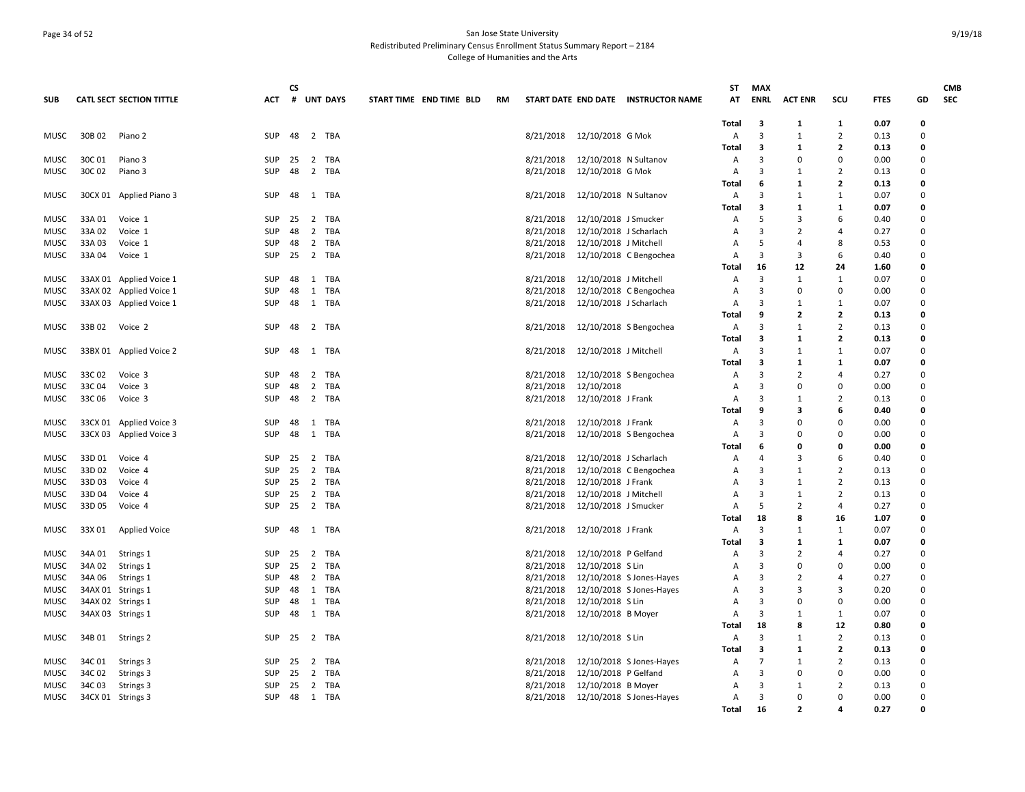## Page 34 of 52 San Jose State University Redistributed Preliminary Census Enrollment Status Summary Report – 2184 College of Humanities and the Arts

|                            |                 |                                 |            | CS   |                     |                         |    |                        |                                           |                                     | ST             | <b>MAX</b>     |                          |                          |              |              | <b>CMB</b> |
|----------------------------|-----------------|---------------------------------|------------|------|---------------------|-------------------------|----|------------------------|-------------------------------------------|-------------------------------------|----------------|----------------|--------------------------|--------------------------|--------------|--------------|------------|
| <b>SUB</b>                 |                 | <b>CATL SECT SECTION TITTLE</b> | ACT        | #    | <b>UNT DAYS</b>     | START TIME END TIME BLD | RM |                        |                                           | START DATE END DATE INSTRUCTOR NAME | AT             | <b>ENRL</b>    | <b>ACT ENR</b>           | scu                      | <b>FTES</b>  | GD           | <b>SEC</b> |
|                            |                 |                                 |            |      |                     |                         |    |                        |                                           |                                     |                |                |                          |                          |              |              |            |
|                            |                 |                                 |            |      |                     |                         |    |                        |                                           |                                     | Total          | 3              | 1                        | 1                        | 0.07         | 0            |            |
| MUSC                       | 30B 02          | Piano 2                         | SUP        | 48   | 2 TBA               |                         |    | 8/21/2018              | 12/10/2018 G Mok                          |                                     | Α              | 3              | $\mathbf{1}$             | $\overline{2}$           | 0.13         | 0            |            |
|                            |                 |                                 |            |      |                     |                         |    |                        |                                           |                                     | Total          | 3<br>3         | 1<br>$\Omega$            | $\mathbf{2}$<br>$\Omega$ | 0.13         | 0            |            |
| <b>MUSC</b><br><b>MUSC</b> | 30C 01<br>30C02 | Piano 3<br>Piano 3              | SUP<br>SUP | 48   | 25  2  TBA<br>2 TBA |                         |    | 8/21/2018<br>8/21/2018 | 12/10/2018 N Sultanov<br>12/10/2018 G Mok |                                     | Α<br>Α         | 3              | $\mathbf{1}$             | 2                        | 0.00<br>0.13 | 0<br>0       |            |
|                            |                 |                                 |            |      |                     |                         |    |                        |                                           |                                     | Total          | 6              | $\mathbf{1}$             | 2                        | 0.13         | 0            |            |
| <b>MUSC</b>                |                 | 30CX 01 Applied Piano 3         | SUP        | 48   | 1 TBA               |                         |    | 8/21/2018              | 12/10/2018 N Sultanov                     |                                     | Α              | 3              | $\mathbf{1}$             | $\mathbf{1}$             | 0.07         | 0            |            |
|                            |                 |                                 |            |      |                     |                         |    |                        |                                           |                                     | Total          | 3              | 1                        | 1                        | 0.07         | 0            |            |
| MUSC                       | 33A 01          | Voice 1                         | SUP        | 25   | 2 TBA               |                         |    | 8/21/2018              | 12/10/2018 J Smucker                      |                                     | $\overline{A}$ | 5              | 3                        | 6                        | 0.40         | 0            |            |
| <b>MUSC</b>                | 33A02           | Voice 1                         | SUP        | 48   | 2 TBA               |                         |    | 8/21/2018              | 12/10/2018 J Scharlach                    |                                     | $\overline{A}$ | $\mathbf{a}$   | $\overline{2}$           | $\overline{a}$           | 0.27         | 0            |            |
| <b>MUSC</b>                | 33A03           | Voice 1                         | SUP        | 48   | 2 TBA               |                         |    | 8/21/2018              | 12/10/2018 J Mitchell                     |                                     | А              | 5              | 4                        | 8                        | 0.53         | 0            |            |
| MUSC                       | 33A 04          | Voice 1                         | SUP        | 25   | 2 TBA               |                         |    | 8/21/2018              |                                           | 12/10/2018 C Bengochea              | Α              | $\overline{3}$ | 3                        | 6                        | 0.40         | 0            |            |
|                            |                 |                                 |            |      |                     |                         |    |                        |                                           |                                     | Total          | 16             | 12                       | 24                       | 1.60         | 0            |            |
| MUSC                       |                 | 33AX 01 Applied Voice 1         | SUP        | 48   | 1 TBA               |                         |    | 8/21/2018              | 12/10/2018 J Mitchell                     |                                     | Α              | 3              | 1                        | 1                        | 0.07         | 0            |            |
| MUSC                       |                 | 33AX 02 Applied Voice 1         | SUP        | 48   | 1 TBA               |                         |    | 8/21/2018              |                                           | 12/10/2018 C Bengochea              | A              | 3              | $\Omega$                 | 0                        | 0.00         | 0            |            |
| MUSC                       |                 | 33AX 03 Applied Voice 1         | SUP        | -48  | 1 TBA               |                         |    | 8/21/2018              | 12/10/2018 J Scharlach                    |                                     | Α              | 3              | $\mathbf{1}$             | 1                        | 0.07         | 0            |            |
|                            |                 |                                 |            |      |                     |                         |    |                        |                                           |                                     | Total          | 9              | $\mathbf{z}$             | 2                        | 0.13         | 0            |            |
| <b>MUSC</b>                | 33B 02          | Voice 2                         | SUP        | 48   | 2 TBA               |                         |    | 8/21/2018              |                                           | 12/10/2018 S Bengochea              | Α              | 3              | 1                        | 2                        | 0.13         | 0            |            |
|                            |                 |                                 |            |      |                     |                         |    |                        |                                           |                                     | Total          | 3              | 1                        | 2                        | 0.13         | 0            |            |
| <b>MUSC</b>                |                 | 33BX 01 Applied Voice 2         | SUP        | 48   | 1 TBA               |                         |    | 8/21/2018              | 12/10/2018 J Mitchell                     |                                     | Α              | 3              | $\mathbf{1}$             | $\mathbf{1}$             | 0.07         | 0            |            |
|                            |                 |                                 |            |      |                     |                         |    |                        |                                           |                                     | <b>Total</b>   | 3              | 1                        | 1                        | 0.07         | $\mathbf{0}$ |            |
| <b>MUSC</b>                | 33C 02          | Voice 3                         | SUP        | 48   | 2 TBA               |                         |    | 8/21/2018              |                                           | 12/10/2018 S Bengochea              | A              | 3              | $\overline{2}$           | $\overline{4}$           | 0.27         | 0            |            |
| <b>MUSC</b>                | 33C04           | Voice 3                         | <b>SUP</b> | 48   | 2 TBA               |                         |    | 8/21/2018              | 12/10/2018                                |                                     | $\overline{A}$ | 3              | $\mathbf 0$              | $\mathbf 0$              | 0.00         | 0            |            |
| <b>MUSC</b>                | 33C 06          | Voice 3                         | <b>SUP</b> | 48   | 2 TBA               |                         |    | 8/21/2018              | 12/10/2018 J Frank                        |                                     | $\overline{A}$ | 3              | $\mathbf{1}$             | $\overline{2}$           | 0.13         | 0            |            |
|                            |                 |                                 |            |      |                     |                         |    |                        |                                           |                                     | Total          | 9              | 3                        | 6                        | 0.40         | 0            |            |
| <b>MUSC</b>                |                 | 33CX 01 Applied Voice 3         | SUP        | 48   | 1 TBA               |                         |    | 8/21/2018              | 12/10/2018 J Frank                        |                                     | Α              | 3              | $\Omega$                 | $\mathbf 0$              | 0.00         | 0            |            |
| MUSC                       |                 | 33CX 03 Applied Voice 3         | SUP        | 48   | 1 TBA               |                         |    | 8/21/2018              |                                           | 12/10/2018 S Bengochea              | Α              | 3              | $\Omega$                 | $\Omega$                 | 0.00         | 0            |            |
|                            |                 |                                 |            |      |                     |                         |    |                        |                                           |                                     | Total          | 6              | 0                        | 0                        | 0.00         | 0            |            |
| <b>MUSC</b>                | 33D 01          | Voice 4                         | SUP        | 25   | 2 TBA               |                         |    | 8/21/2018              | 12/10/2018 J Scharlach                    |                                     | Α              | 4              | 3                        | 6                        | 0.40         | 0            |            |
| MUSC                       | 33D 02          | Voice 4                         | <b>SUP</b> | 25   | 2 TBA               |                         |    | 8/21/2018              |                                           | 12/10/2018 C Bengochea              | Α              | 3              | 1                        | 2                        | 0.13         | 0            |            |
| MUSC                       | 33D 03          | Voice 4                         | SUP        | 25   | 2 TBA               |                         |    | 8/21/2018              | 12/10/2018 J Frank                        |                                     | A              | 3              | 1                        | 2                        | 0.13         | 0            |            |
| <b>MUSC</b>                | 33D 04          | Voice 4                         | SUP        | - 25 | 2 TBA               |                         |    | 8/21/2018              | 12/10/2018 J Mitchell                     |                                     | A              | $\overline{3}$ | $\mathbf{1}$             | $\overline{2}$           | 0.13         | 0            |            |
| MUSC                       | 33D 05          | Voice 4                         | <b>SUP</b> | 25   | 2 TBA               |                         |    | 8/21/2018              | 12/10/2018 J Smucker                      |                                     | Α              | 5              | $\overline{2}$           | 4                        | 0.27         | 0            |            |
|                            |                 |                                 |            |      |                     |                         |    |                        |                                           |                                     | Total          | 18             | 8                        | 16                       | 1.07         | 0            |            |
| <b>MUSC</b>                | 33X 01          | <b>Applied Voice</b>            | SUP        | 48   | 1 TBA               |                         |    | 8/21/2018              | 12/10/2018 J Frank                        |                                     | Α              | 3              | $\mathbf{1}$             | 1                        | 0.07         | 0            |            |
|                            |                 |                                 |            |      |                     |                         |    |                        |                                           |                                     | Total          | 3              | 1                        | 1                        | 0.07         | 0            |            |
| <b>MUSC</b>                | 34A 01          | Strings 1                       | SUP        | 25   | 2 TBA               |                         |    | 8/21/2018              | 12/10/2018 P Gelfand                      |                                     | A              | 3              | $\overline{2}$           | $\overline{a}$           | 0.27         | 0            |            |
| <b>MUSC</b>                | 34A 02          | Strings 1                       | SUP        | 25   | 2 TBA               |                         |    | 8/21/2018              | 12/10/2018 S Lin                          |                                     | $\overline{A}$ | 3              | $\Omega$                 | $\Omega$                 | 0.00         | 0            |            |
| <b>MUSC</b>                | 34A 06          | Strings 1                       | <b>SUP</b> | 48   | 2 TBA               |                         |    | 8/21/2018              |                                           | 12/10/2018 S Jones-Hayes            | A              | 3              | $\overline{2}$           | 4                        | 0.27         | 0            |            |
| MUSC                       |                 | 34AX 01 Strings 1               | SUP        | 48   | 1 TBA               |                         |    | 8/21/2018              |                                           | 12/10/2018 S Jones-Hayes            | Α              | 3              | 3                        | 3                        | 0.20         | 0            |            |
| MUSC                       |                 | 34AX 02 Strings 1               | SUP        | 48   | 1 TBA               |                         |    | 8/21/2018              | 12/10/2018 S Lin                          |                                     | Α              | $\overline{3}$ | $\Omega$                 | 0                        | 0.00         | 0            |            |
| MUSC                       |                 | 34AX 03 Strings 1               | SUP        | 48   | 1 TBA               |                         |    | 8/21/2018              | 12/10/2018 B Moyer                        |                                     | Α              | 3              | 1                        | 1                        | 0.07         | 0            |            |
|                            |                 |                                 |            |      |                     |                         |    |                        |                                           |                                     | Total          | 18             | 8                        | 12                       | 0.80         | 0            |            |
| MUSC                       | 34B 01          | Strings 2                       | SUP        | 25   | 2 TBA               |                         |    | 8/21/2018              | 12/10/2018 S Lin                          |                                     | A              | 3              | 1                        | $\overline{2}$           | 0.13         | 0            |            |
|                            |                 |                                 |            |      |                     |                         |    |                        |                                           |                                     | Total          | 3              | 1                        | 2                        | 0.13         | 0            |            |
| <b>MUSC</b>                | 34C 01          | Strings 3                       | SUP        | - 25 | 2 TBA               |                         |    | 8/21/2018              |                                           | 12/10/2018 S Jones-Hayes            | Α              | $\overline{7}$ | $\mathbf{1}$             | $\overline{2}$           | 0.13         | 0            |            |
| <b>MUSC</b>                | 34C 02          | Strings 3                       | <b>SUP</b> | - 25 | 2 TBA               |                         |    | 8/21/2018              | 12/10/2018 P Gelfand                      |                                     | A              | 3              | $\mathbf 0$              | 0                        | 0.00         | 0            |            |
| <b>MUSC</b>                | 34C03           | Strings 3                       | SUP        | 25   | 2 TBA               |                         |    | 8/21/2018              | 12/10/2018 B Moyer                        |                                     | A              | 3              | $\mathbf{1}$             | 2                        | 0.13         | 0            |            |
| MUSC                       |                 | 34CX 01 Strings 3               | SUP        |      | 48 1 TBA            |                         |    |                        |                                           | 8/21/2018 12/10/2018 S Jones-Hayes  | $\mathsf{A}$   | 3              | $\Omega$                 | $\Omega$                 | 0.00         | 0            |            |
|                            |                 |                                 |            |      |                     |                         |    |                        |                                           |                                     | <b>Total</b>   | 16             | $\overline{\phantom{a}}$ | $\Delta$                 | 0.27         | <b>n</b>     |            |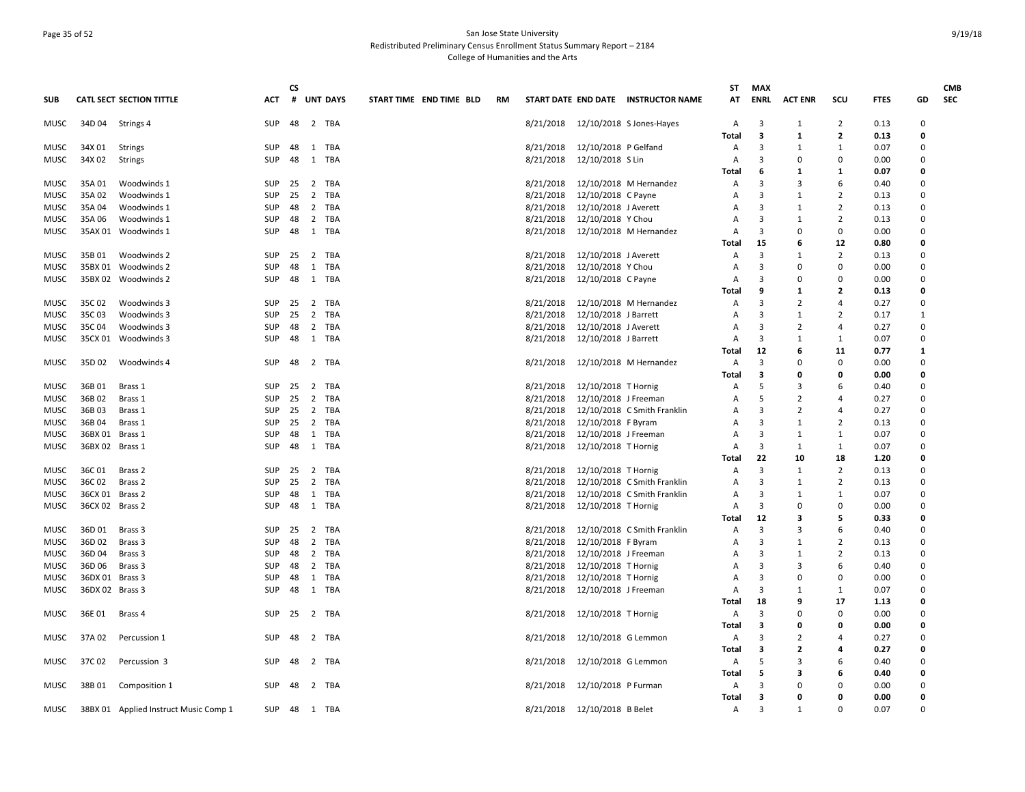## Page 35 of 52 San Jose State University Redistributed Preliminary Census Enrollment Status Summary Report – 2184 College of Humanities and the Arts

| <b>SUB</b>   |                 | <b>CATL SECT SECTION TITTLE</b>       | ACT                      | <b>CS</b><br># | <b>UNT DAYS</b> |            | START TIME END TIME BLD | <b>RM</b> |                        |                                            | START DATE END DATE INSTRUCTOR NAME | ST<br>AT     | <b>MAX</b><br>ENRL | <b>ACT ENR</b> | scu            | <b>FTES</b>  | GD            | <b>CMB</b><br><b>SEC</b> |
|--------------|-----------------|---------------------------------------|--------------------------|----------------|-----------------|------------|-------------------------|-----------|------------------------|--------------------------------------------|-------------------------------------|--------------|--------------------|----------------|----------------|--------------|---------------|--------------------------|
|              |                 |                                       |                          |                |                 |            |                         |           |                        |                                            |                                     |              |                    |                |                |              |               |                          |
| <b>MUSC</b>  | 34D04           | Strings 4                             | SUP                      | 48             | 2 TBA           |            |                         |           |                        |                                            | 8/21/2018 12/10/2018 S Jones-Hayes  | Α            | 3                  | 1              | $\overline{2}$ | 0.13         | $\mathbf 0$   |                          |
|              |                 |                                       |                          |                |                 |            |                         |           |                        |                                            |                                     | Total        | 3                  | 1              | 2              | 0.13         | 0             |                          |
| MUSC         | 34X 01          | <b>Strings</b>                        | <b>SUP</b>               | 48             | 1 TBA           |            |                         |           | 8/21/2018              | 12/10/2018 P Gelfand                       |                                     | Α            | 3                  | 1              | $\mathbf{1}$   | 0.07         | 0             |                          |
| MUSC         | 34X 02          | <b>Strings</b>                        | SUP                      | 48             | 1 TBA           |            |                         |           | 8/21/2018              | 12/10/2018 S Lin                           |                                     | Α            | 3                  | <sup>0</sup>   | $\mathbf 0$    | 0.00         | $\Omega$<br>O |                          |
|              |                 |                                       |                          | 25             |                 |            |                         |           |                        |                                            |                                     | Total        | 6<br>3             | 1<br>3         | 1<br>6         | 0.07<br>0.40 | 0             |                          |
| <b>MUSC</b>  | 35A01           | Woodwinds 1                           | SUP                      |                | 2 TBA           |            |                         |           | 8/21/2018              |                                            | 12/10/2018 M Hernandez              | Α            | 3                  |                |                |              | 0             |                          |
| MUSC<br>MUSC | 35A02<br>35A 04 | Woodwinds 1<br>Woodwinds 1            | <b>SUP</b><br><b>SUP</b> | 25<br>48       | 2 TBA<br>2 TBA  |            |                         |           | 8/21/2018<br>8/21/2018 | 12/10/2018 C Payne<br>12/10/2018 J Averett |                                     | A<br>A       | 3                  | 1<br>1         | 2<br>2         | 0.13<br>0.13 | 0             |                          |
| MUSC         | 35A06           | Woodwinds 1                           | SUP                      | 48             | 2 TBA           |            |                         |           | 8/21/2018              | 12/10/2018 Y Chou                          |                                     | Α            | 3                  | 1              | $\overline{2}$ | 0.13         | $\Omega$      |                          |
| MUSC         |                 | 35AX 01 Woodwinds 1                   | SUP                      | 48             | 1 TBA           |            |                         |           | 8/21/2018              |                                            | 12/10/2018 M Hernandez              | A            | 3                  | $\Omega$       | 0              | 0.00         | $\Omega$      |                          |
|              |                 |                                       |                          |                |                 |            |                         |           |                        |                                            |                                     | Total        | 15                 | 6              | 12             | 0.80         | 0             |                          |
| <b>MUSC</b>  | 35B01           | Woodwinds 2                           | <b>SUP</b>               | 25             | 2 TBA           |            |                         |           | 8/21/2018              | 12/10/2018 J Averett                       |                                     | Α            | 3                  | 1              | 2              | 0.13         | 0             |                          |
| MUSC         |                 | 35BX 01 Woodwinds 2                   | SUP                      | 48             | 1 TBA           |            |                         |           | 8/21/2018              | 12/10/2018 Y Chou                          |                                     | A            | 3                  | 0              | 0              | 0.00         | 0             |                          |
| <b>MUSC</b>  |                 | 35BX 02 Woodwinds 2                   | SUP                      | 48             | 1 TBA           |            |                         |           | 8/21/2018              | 12/10/2018 C Payne                         |                                     | A            | 3                  | 0              | 0              | 0.00         | $\Omega$      |                          |
|              |                 |                                       |                          |                |                 |            |                         |           |                        |                                            |                                     | Total        | q                  | 1              | $\mathbf{2}$   | 0.13         | O             |                          |
| MUSC         | 35C 02          | Woodwinds 3                           | SUP                      | 25             | 2 TBA           |            |                         |           | 8/21/2018              |                                            | 12/10/2018 M Hernandez              | Α            | 3                  | $\overline{2}$ | 4              | 0.27         | 0             |                          |
| MUSC         | 35C03           | Woodwinds 3                           | <b>SUP</b>               | 25             | 2 TBA           |            |                         |           | 8/21/2018              | 12/10/2018 J Barrett                       |                                     | Α            | 3                  | 1              | $\overline{2}$ | 0.17         | 1             |                          |
| MUSC         | 35C04           | Woodwinds 3                           | <b>SUP</b>               | 48             | 2 TBA           |            |                         |           | 8/21/2018              | 12/10/2018 J Averett                       |                                     | A            | 3                  | $\overline{2}$ | $\overline{4}$ | 0.27         | 0             |                          |
| MUSC         |                 | 35CX 01 Woodwinds 3                   | SUP                      | 48             | 1 TBA           |            |                         |           | 8/21/2018              | 12/10/2018 J Barrett                       |                                     | A            | 3                  | 1              | $\mathbf{1}$   | 0.07         | $\Omega$      |                          |
|              |                 |                                       |                          |                |                 |            |                         |           |                        |                                            |                                     | Total        | 12                 | 6              | 11             | 0.77         | $\mathbf{1}$  |                          |
| MUSC         | 35D 02          | Woodwinds 4                           | <b>SUP</b>               | 48             | 2 TBA           |            |                         |           | 8/21/2018              |                                            | 12/10/2018 M Hernandez              | Α            | 3                  | 0              | 0              | 0.00         | 0             |                          |
|              |                 |                                       |                          |                |                 |            |                         |           |                        |                                            |                                     | Total        | 3                  | 0              | 0              | 0.00         | 0             |                          |
| MUSC         | 36B01           | Brass 1                               | <b>SUP</b>               | -25            | 2 TBA           |            |                         |           | 8/21/2018              | 12/10/2018 T Hornig                        |                                     | Α            | -5                 | 3              | 6              | 0.40         | 0             |                          |
| <b>MUSC</b>  | 36B02           | Brass 1                               | SUP                      | 25             | 2 TBA           |            |                         |           | 8/21/2018              | 12/10/2018 J Freeman                       |                                     | A            | -5                 | $\overline{2}$ | $\overline{a}$ | 0.27         | $\Omega$      |                          |
| MUSC         | 36B03           | Brass 1                               | SUP                      | 25             | 2 TBA           |            |                         |           | 8/21/2018              |                                            | 12/10/2018 C Smith Franklin         | A            | $\mathbf{a}$       | 2              | $\overline{a}$ | 0.27         | $\Omega$      |                          |
| MUSC         | 36B04           | Brass 1                               | <b>SUP</b>               | 25             | 2 TBA           |            |                         |           | 8/21/2018              | 12/10/2018 F Byram                         |                                     | Α            | 3                  | 1              | 2              | 0.13         | 0             |                          |
| MUSC         | 36BX 01 Brass 1 |                                       | <b>SUP</b>               | 48             | 1               | TBA        |                         |           | 8/21/2018              | 12/10/2018 J Freeman                       |                                     | Α            | 3                  | 1              | 1              | 0.07         | 0             |                          |
| MUSC         | 36BX 02 Brass 1 |                                       | <b>SUP</b>               | 48             | 1 TBA           |            |                         |           | 8/21/2018              | 12/10/2018 T Hornig                        |                                     | A            | 3                  | 1              | 1              | 0.07         | 0             |                          |
|              |                 |                                       |                          |                |                 |            |                         |           |                        |                                            |                                     | Total        | 22                 | 10             | 18             | 1.20         | O             |                          |
| <b>MUSC</b>  | 36C 01          | Brass 2                               | <b>SUP</b>               | 25             | $\overline{2}$  | <b>TBA</b> |                         |           | 8/21/2018              | 12/10/2018 T Hornig                        |                                     | A            | 3                  | 1              | $\overline{2}$ | 0.13         | $\Omega$      |                          |
| MUSC         | 36C 02          | Brass 2                               | <b>SUP</b>               | 25             | 2 TBA           |            |                         |           | 8/21/2018              |                                            | 12/10/2018 C Smith Franklin         | Α            | 3                  | 1              | 2              | 0.13         | 0             |                          |
| MUSC         | 36CX 01 Brass 2 |                                       | SUP                      | 48             | 1               | TBA        |                         |           | 8/21/2018              |                                            | 12/10/2018 C Smith Franklin         | Α            | 3                  | 1              | $\mathbf{1}$   | 0.07         | 0             |                          |
| MUSC         | 36CX 02 Brass 2 |                                       | <b>SUP</b>               | 48             | 1 TBA           |            |                         |           | 8/21/2018              | 12/10/2018 T Hornig                        |                                     | A            | 3                  | 0              | $\Omega$       | 0.00         | 0             |                          |
|              |                 |                                       |                          |                |                 |            |                         |           |                        |                                            |                                     | Total        | 12                 | 3              | 5              | 0.33         | O             |                          |
| <b>MUSC</b>  | 36D01           | Brass 3                               | SUP                      | 25             | 2 TBA           |            |                         |           | 8/21/2018              |                                            | 12/10/2018 C Smith Franklin         | Α            | 3                  | 3              | 6              | 0.40         | $\Omega$      |                          |
| MUSC         | 36D 02          | Brass 3                               | <b>SUP</b>               | 48             | $\overline{2}$  | TBA        |                         |           | 8/21/2018              | 12/10/2018 F Byram                         |                                     | Α            | 3                  | 1              | 2              | 0.13         | 0             |                          |
| MUSC         | 36D 04          | Brass 3                               | SUP                      | 48             | 2 TBA           |            |                         |           | 8/21/2018              | 12/10/2018 J Freeman                       |                                     | Α            | 3                  | 1              | $\overline{2}$ | 0.13         | 0             |                          |
| MUSC         | 36D 06          | Brass 3                               | <b>SUP</b>               | 48             | 2 TBA           |            |                         |           | 8/21/2018              | 12/10/2018 T Hornig                        |                                     | A            | 3                  | 3              | 6              | 0.40         | 0             |                          |
| MUSC         | 36DX 01 Brass 3 |                                       | SUP                      | 48             | 1 TBA           |            |                         |           | 8/21/2018              | 12/10/2018 T Hornig                        |                                     | A            | 3                  | 0              | 0              | 0.00         | $\Omega$      |                          |
| MUSC         | 36DX 02 Brass 3 |                                       | SUP                      | 48             | 1 TBA           |            |                         |           | 8/21/2018              | 12/10/2018 J Freeman                       |                                     | Α            | 3                  | -1             | $\mathbf{1}$   | 0.07         | $\Omega$      |                          |
|              |                 |                                       |                          |                |                 |            |                         |           |                        |                                            |                                     | Total        | 18                 | 9              | 17             | 1.13         | 0             |                          |
| MUSC         | 36E 01          | Brass 4                               | SUP                      | - 25           | 2 TBA           |            |                         |           | 8/21/2018              | 12/10/2018 T Hornig                        |                                     | Α            | 3                  | $\Omega$       | 0              | 0.00         | 0             |                          |
|              |                 |                                       |                          |                |                 |            |                         |           |                        |                                            |                                     | <b>Total</b> | 3                  | O              | 0              | 0.00         | 0             |                          |
| <b>MUSC</b>  | 37A 02          | Percussion 1                          | <b>SUP</b>               | 48             | 2 TBA           |            |                         |           | 8/21/2018              | 12/10/2018 G Lemmon                        |                                     | Α            | 3                  | $\overline{2}$ | $\overline{a}$ | 0.27         | $\Omega$      |                          |
|              |                 |                                       |                          |                |                 |            |                         |           |                        |                                            |                                     | Total        | 3                  | 2              | 4              | 0.27         | 0             |                          |
| MUSC         | 37C 02          | Percussion 3                          | <b>SUP</b>               | 48             | 2 TBA           |            |                         |           | 8/21/2018              | 12/10/2018 G Lemmon                        |                                     | Α            | -5<br>5            | 3<br>3         | 6<br>6         | 0.40<br>0.40 | 0<br>0        |                          |
|              | 38B01           |                                       | <b>SUP</b>               | 48             | 2 TBA           |            |                         |           | 8/21/2018              |                                            |                                     | Total        | 3                  | $\Omega$       | $\Omega$       | 0.00         | 0             |                          |
| MUSC         |                 | Composition 1                         |                          |                |                 |            |                         |           |                        | 12/10/2018 P Furman                        |                                     | Α<br>Total   | 3                  | O              | $\Omega$       | 0.00         | $\Omega$      |                          |
| MUSC         |                 | 38BX 01 Applied Instruct Music Comp 1 | SUP 48                   |                | 1 TBA           |            |                         |           | 8/21/2018              | 12/10/2018 B Belet                         |                                     | Α            | 3                  | 1              | $\Omega$       | 0.07         | $\Omega$      |                          |
|              |                 |                                       |                          |                |                 |            |                         |           |                        |                                            |                                     |              |                    |                |                |              |               |                          |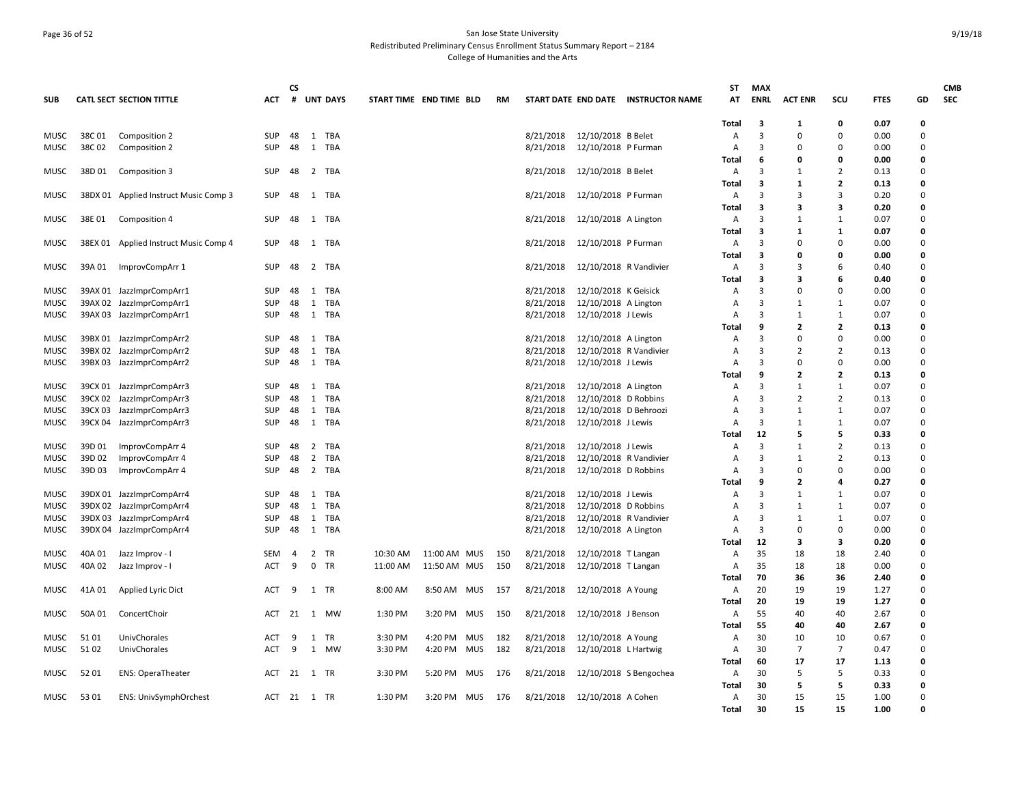## Page 36 of 52 San Jose State University Redistributed Preliminary Census Enrollment Status Summary Report – 2184 College of Humanities and the Arts

| <b>SUB</b>  |        | <b>CATL SECT SECTION TITTLE</b>       | ACT        | <b>CS</b><br># |                | <b>UNT DAYS</b> | START TIME END TIME BLD |              |            | <b>RM</b> |           |                        | START DATE END DATE INSTRUCTOR NAME | ST<br>АT       | <b>MAX</b><br><b>ENRL</b> | <b>ACT ENR</b> | scu            | <b>FTES</b>  | GD           | <b>CMB</b><br><b>SEC</b> |
|-------------|--------|---------------------------------------|------------|----------------|----------------|-----------------|-------------------------|--------------|------------|-----------|-----------|------------------------|-------------------------------------|----------------|---------------------------|----------------|----------------|--------------|--------------|--------------------------|
|             |        |                                       |            |                |                |                 |                         |              |            |           |           |                        |                                     | Total          | 3                         | 1              | 0              | 0.07         | 0            |                          |
| MUSC        | 38C01  | Composition 2                         | <b>SUP</b> | 48             |                | 1 TBA           |                         |              |            |           | 8/21/2018 | 12/10/2018 B Belet     |                                     | A              | $\overline{3}$            | $\Omega$       | $\Omega$       | 0.00         | 0            |                          |
| MUSC        | 38C02  | Composition 2                         | <b>SUP</b> | 48             |                | 1 TBA           |                         |              |            |           | 8/21/2018 | 12/10/2018 P Furman    |                                     | Α              | 3                         | $\Omega$       | 0              | 0.00         | 0            |                          |
|             |        |                                       |            |                |                |                 |                         |              |            |           |           |                        |                                     | Total          | 6                         | 0              | 0              | 0.00         | 0            |                          |
| MUSC        | 38D 01 | Composition 3                         | <b>SUP</b> | 48             | 2              | TBA             |                         |              |            |           | 8/21/2018 | 12/10/2018 B Belet     |                                     | A              | 3                         | 1              | $\overline{2}$ | 0.13         | 0            |                          |
|             |        |                                       |            |                |                |                 |                         |              |            |           |           |                        |                                     | Total          | 3                         | 1              | $\mathbf{2}$   | 0.13         | 0            |                          |
| <b>MUSC</b> |        | 38DX 01 Applied Instruct Music Comp 3 | <b>SUP</b> | 48             |                | 1 TBA           |                         |              |            |           | 8/21/2018 | 12/10/2018 P Furman    |                                     | $\overline{A}$ | 3                         | 3              | $\overline{3}$ | 0.20         | 0            |                          |
|             |        |                                       |            |                |                |                 |                         |              |            |           |           |                        |                                     | <b>Total</b>   | 3                         | 3              | 3              | 0.20         | 0            |                          |
| <b>MUSC</b> | 38E01  | Composition 4                         | SUP        | 48             |                | 1 TBA           |                         |              |            |           | 8/21/2018 | 12/10/2018 A Lington   |                                     | Α              | $\overline{3}$            | $\mathbf{1}$   | $\mathbf{1}$   | 0.07         | 0            |                          |
|             |        |                                       |            |                |                |                 |                         |              |            |           |           |                        |                                     | Total          | 3                         | 1              | 1              | 0.07         | $\Omega$     |                          |
| MUSC        |        | 38EX 01 Applied Instruct Music Comp 4 | SUP        | 48             |                | 1 TBA           |                         |              |            |           | 8/21/2018 | 12/10/2018 P Furman    |                                     | Α              | $\overline{3}$            | $\mathbf 0$    | $\mathbf 0$    | 0.00         | 0            |                          |
|             |        |                                       |            |                |                |                 |                         |              |            |           |           |                        |                                     | Total          | 3                         | 0              | 0              | 0.00         | 0            |                          |
| MUSC        | 39A 01 | ImprovCompArr 1                       | SUP        | 48             |                | 2 TBA           |                         |              |            |           | 8/21/2018 | 12/10/2018 R Vandivier |                                     | Α              | 3                         | 3              | 6              | 0.40         | 0            |                          |
|             |        |                                       |            |                |                |                 |                         |              |            |           |           |                        |                                     | Total          | 3                         | 3              | 6              | 0.40         | 0            |                          |
| <b>MUSC</b> |        | 39AX 01 JazzImprCompArr1              | SUP        | 48             |                | 1 TBA           |                         |              |            |           | 8/21/2018 | 12/10/2018 K Geisick   |                                     | Α              | 3                         | 0              | 0              | 0.00         | 0            |                          |
| MUSC        |        | 39AX 02 JazzImprCompArr1              | <b>SUP</b> | 48             | 1              | TBA             |                         |              |            |           | 8/21/2018 | 12/10/2018 A Lington   |                                     | A              | 3                         | 1              | 1              | 0.07         | 0            |                          |
| MUSC        |        | 39AX 03 JazzImprCompArr1              | <b>SUP</b> | 48             | 1              | TBA             |                         |              |            |           | 8/21/2018 | 12/10/2018 J Lewis     |                                     | A              | 3                         | $\mathbf{1}$   | $\mathbf{1}$   | 0.07         | 0            |                          |
|             |        |                                       |            |                |                |                 |                         |              |            |           |           |                        |                                     | Total          | 9                         | $\mathbf{z}$   | $\mathbf{2}$   | 0.13         | 0            |                          |
| <b>MUSC</b> |        | 39BX 01 JazzImprCompArr2              | <b>SUP</b> | 48             | 1              | TBA             |                         |              |            |           | 8/21/2018 | 12/10/2018 A Lington   |                                     | A              | 3                         | $\Omega$       | $\Omega$       | 0.00         | 0            |                          |
| MUSC        |        | 39BX 02 JazzImprCompArr2              | <b>SUP</b> | 48             | 1              | TBA             |                         |              |            |           | 8/21/2018 | 12/10/2018 R Vandivier |                                     | A              | 3                         | $\overline{2}$ | $\overline{2}$ | 0.13         | 0            |                          |
| <b>MUSC</b> |        | 39BX 03 JazzImprCompArr2              | SUP        | 48             |                | 1 TBA           |                         |              |            |           | 8/21/2018 | 12/10/2018 J Lewis     |                                     | A              | 3                         | $\Omega$       | $\Omega$       | 0.00         | 0            |                          |
|             |        |                                       |            |                |                |                 |                         |              |            |           |           |                        |                                     | <b>Total</b>   | q                         | $\overline{2}$ | $\mathbf{2}$   | 0.13         | 0            |                          |
| <b>MUSC</b> |        | 39CX 01 JazzImprCompArr3              | SUP        | 48             | 1              | TBA             |                         |              |            |           | 8/21/2018 | 12/10/2018 A Lington   |                                     | A              | 3                         | $\mathbf{1}$   | $\mathbf{1}$   | 0.07         | 0            |                          |
| <b>MUSC</b> |        | 39CX 02 JazzImprCompArr3              | SUP        | 48             | 1              | TBA             |                         |              |            |           | 8/21/2018 | 12/10/2018 D Robbins   |                                     | A              | $\overline{\mathbf{3}}$   | $\overline{2}$ | $\overline{2}$ | 0.13         | 0            |                          |
| MUSC        |        | 39CX 03 JazzImprCompArr3              | SUP        | 48             |                | 1 TBA           |                         |              |            |           | 8/21/2018 | 12/10/2018 D Behroozi  |                                     | A              | 3                         | 1              | 1              | 0.07         | 0            |                          |
| MUSC        |        | 39CX 04 JazzImprCompArr3              | <b>SUP</b> | 48             |                | 1 TBA           |                         |              |            |           | 8/21/2018 | 12/10/2018 J Lewis     |                                     | A              | 3                         | 1              | 1              | 0.07         | 0            |                          |
|             |        |                                       |            |                |                |                 |                         |              |            |           |           |                        |                                     | Total          | 12                        | 5              | 5              | 0.33         | 0            |                          |
| MUSC        | 39D 01 | ImprovCompArr 4                       | SUP        | 48             |                | 2 TBA           |                         |              |            |           | 8/21/2018 | 12/10/2018 J Lewis     |                                     | A              | 3                         | 1              | $\overline{2}$ | 0.13         | 0            |                          |
| MUSC        | 39D 02 | ImprovCompArr 4                       | <b>SUP</b> | 48             |                | 2 TBA           |                         |              |            |           | 8/21/2018 | 12/10/2018 R Vandivier |                                     | A              | 3                         | $\mathbf{1}$   | $\overline{2}$ | 0.13         | 0            |                          |
| MUSC        | 39D03  | ImprovCompArr 4                       | <b>SUP</b> | 48             |                | 2 TBA           |                         |              |            |           | 8/21/2018 | 12/10/2018 D Robbins   |                                     | A              | 3                         | $\Omega$       | $\Omega$       | 0.00         | 0            |                          |
|             |        |                                       |            |                |                |                 |                         |              |            |           |           |                        |                                     | Total          | 9                         | $\mathbf{2}$   | 4              | 0.27         | 0            |                          |
| <b>MUSC</b> |        | 39DX 01 JazzImprCompArr4              | <b>SUP</b> | 48             | 1              | TBA             |                         |              |            |           | 8/21/2018 | 12/10/2018 J Lewis     |                                     | A              | 3                         | 1              | 1              | 0.07         | 0            |                          |
| MUSC        |        | 39DX 02 JazzImprCompArr4              | <b>SUP</b> | 48             | 1              | TBA             |                         |              |            |           | 8/21/2018 | 12/10/2018 D Robbins   |                                     | A              | 3                         | $\mathbf{1}$   | $\mathbf{1}$   | 0.07         | 0            |                          |
| MUSC        |        | 39DX 03 JazzImprCompArr4              | <b>SUP</b> | 48             | 1              | TBA             |                         |              |            |           | 8/21/2018 | 12/10/2018 R Vandivier |                                     | A              | $\overline{3}$            | $\mathbf{1}$   | $\mathbf{1}$   | 0.07         | 0            |                          |
| <b>MUSC</b> |        | 39DX 04 JazzImprCompArr4              | SUP        | 48             |                | 1 TBA           |                         |              |            |           | 8/21/2018 | 12/10/2018 A Lington   |                                     | A              | $\overline{3}$            | $\mathbf 0$    | 0              | 0.00         | 0            |                          |
|             |        |                                       |            |                |                |                 |                         |              |            |           |           |                        |                                     | <b>Total</b>   | 12                        | 3              | 3              | 0.20         | 0            |                          |
| MUSC        | 40A 01 | Jazz Improv - I                       | <b>SEM</b> | 4              | $\overline{2}$ | <b>TR</b>       | 10:30 AM                | 11:00 AM MUS |            | 150       | 8/21/2018 | 12/10/2018 T Langan    |                                     | A              | 35                        | 18             | 18             | 2.40         | 0            |                          |
| <b>MUSC</b> | 40A 02 | Jazz Improv - I                       | <b>ACT</b> | 9              | $\mathbf{0}$   | <b>TR</b>       | 11:00 AM                | 11:50 AM MUS |            | 150       | 8/21/2018 | 12/10/2018 T Langan    |                                     | A              | 35                        | 18             | 18             | 0.00         | 0            |                          |
|             |        |                                       |            |                |                |                 |                         |              |            |           |           |                        |                                     | <b>Total</b>   | 70                        | 36             | 36             | 2.40         | 0            |                          |
| MUSC        | 41A 01 | Applied Lyric Dict                    | ACT        | 9              |                | 1 TR            | 8:00 AM                 | 8:50 AM MUS  |            | 157       | 8/21/2018 | 12/10/2018 A Young     |                                     | Α              | 20                        | 19             | 19             | 1.27         | 0            |                          |
|             |        |                                       |            |                |                |                 |                         |              |            |           |           |                        |                                     | Total          | 20                        | 19             | 19             | 1.27         | 0            |                          |
| MUSC        | 50A 01 | ConcertChoir                          | ACT        | 21             |                | 1 MW            | 1:30 PM                 | 3:20 PM      | MUS        | 150       | 8/21/2018 | 12/10/2018 J Benson    |                                     | Α              | 55                        | 40             | 40             | 2.67         | 0            |                          |
|             |        |                                       |            |                |                |                 |                         |              |            |           |           |                        |                                     | Total          | 55                        | 40             | 40             | 2.67         | 0            |                          |
| MUSC        | 51 01  | UnivChorales                          | ACT        | 9              | 1              | TR              | 3:30 PM                 | 4:20 PM      | MUS        | 182       | 8/21/2018 | 12/10/2018 A Young     |                                     | A              | 30                        | 10             | 10             | 0.67         | 0            |                          |
| MUSC        | 51 02  | UnivChorales                          | <b>ACT</b> | 9              |                | 1 MW            | 3:30 PM                 | 4:20 PM      | <b>MUS</b> | 182       | 8/21/2018 | 12/10/2018 L Hartwig   |                                     | Α              | 30                        | $\overline{7}$ | $\overline{7}$ | 0.47         | 0            |                          |
|             | 52 01  |                                       |            | 21             |                | 1 TR            | 3:30 PM                 |              |            | 176       |           |                        |                                     | Total          | 60<br>30                  | 17<br>5        | 17<br>5        | 1.13<br>0.33 | 0<br>0       |                          |
| MUSC        |        | <b>ENS: OperaTheater</b>              | ACT        |                |                |                 |                         | 5:20 PM      | MUS        |           | 8/21/2018 |                        | 12/10/2018 S Bengochea              | Α<br>Total     | 30                        | 5              | 5              | 0.33         | $\mathbf{0}$ |                          |
| MUSC        | 53 01  | ENS: UnivSymphOrchest                 | ACT        | 21 1 TR        |                |                 | 1:30 PM                 | 3:20 PM MUS  |            | 176       | 8/21/2018 | 12/10/2018 A Cohen     |                                     | Α              | 30                        | 15             | 15             | 1.00         | 0            |                          |
|             |        |                                       |            |                |                |                 |                         |              |            |           |           |                        |                                     | <b>Total</b>   | 30                        | 15             | 15             | 1.00         | O            |                          |
|             |        |                                       |            |                |                |                 |                         |              |            |           |           |                        |                                     |                |                           |                |                |              |              |                          |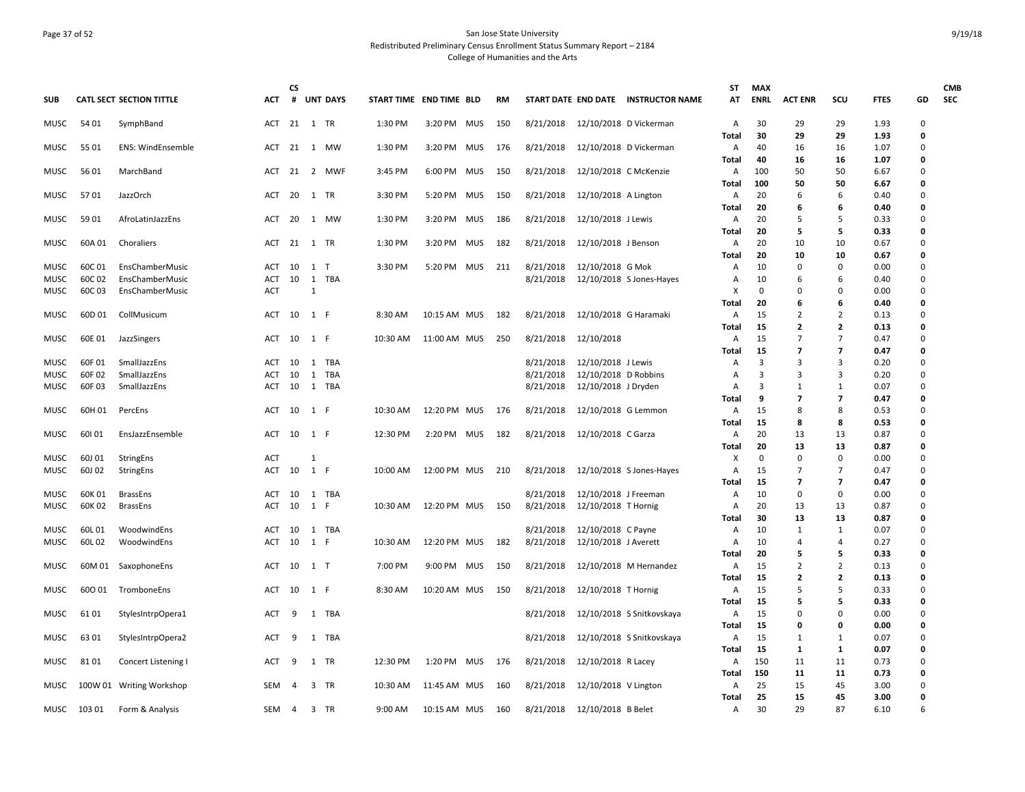## Page 37 of 52 San Jose State University Redistributed Preliminary Census Enrollment Status Summary Report – 2184 College of Humanities and the Arts

| <b>SUB</b>  |        | <b>CATL SECT SECTION TITTLE</b> | ACT        | CS<br>#        |       | <b>UNT DAYS</b> | START TIME END TIME BLD |              |            | RM  |           |                                            | START DATE END DATE INSTRUCTOR NAME | ST<br>AT     | <b>MAX</b><br><b>ENRL</b> | <b>ACT ENR</b> | scu                      | <b>FTES</b>  | GD     | <b>CMB</b><br><b>SEC</b> |
|-------------|--------|---------------------------------|------------|----------------|-------|-----------------|-------------------------|--------------|------------|-----|-----------|--------------------------------------------|-------------------------------------|--------------|---------------------------|----------------|--------------------------|--------------|--------|--------------------------|
|             |        |                                 |            |                |       |                 |                         |              |            |     |           |                                            |                                     |              |                           |                |                          |              |        |                          |
| MUSC        | 54 01  | SymphBand                       | ACT        | 21 1 TR        |       |                 | 1:30 PM                 | 3:20 PM MUS  |            | 150 |           |                                            | 8/21/2018 12/10/2018 D Vickerman    | Α<br>Total   | 30<br>30                  | 29<br>29       | 29<br>29                 | 1.93<br>1.93 | 0<br>0 |                          |
| <b>MUSC</b> | 55 01  | <b>ENS: WindEnsemble</b>        | ACT        | 21             | 1 MW  |                 | 1:30 PM                 | 3:20 PM MUS  |            | 176 | 8/21/2018 |                                            | 12/10/2018 D Vickerman              | Α            | 40                        | 16             | 16                       | 1.07         | 0      |                          |
|             |        |                                 |            |                |       |                 |                         |              |            |     |           |                                            |                                     | Total        | 40                        | 16             | 16                       | 1.07         | 0      |                          |
| MUSC        | 56 01  | MarchBand                       | ACT        | 21             |       | 2 MWF           | 3:45 PM                 | 6:00 PM      | <b>MUS</b> | 150 | 8/21/2018 | 12/10/2018 C McKenzie                      |                                     | Α<br>Total   | 100<br>100                | 50<br>50       | 50<br>50                 | 6.67<br>6.67 | 0<br>0 |                          |
| MUSC        | 5701   | JazzOrch                        | ACT        | 20             | 1 TR  |                 | 3:30 PM                 | 5:20 PM      | MUS        | 150 | 8/21/2018 | 12/10/2018 A Lington                       |                                     | Α            | 20                        | 6              | 6                        | 0.40         | 0      |                          |
| <b>MUSC</b> | 59 01  | AfroLatinJazzEns                | ACT        | 20             | 1 MW  |                 | 1:30 PM                 | 3:20 PM      | MUS        | 186 | 8/21/2018 | 12/10/2018 J Lewis                         |                                     | Total<br>Α   | 20<br>20                  | 6<br>5         | 6<br>.5                  | 0.40<br>0.33 | 0<br>0 |                          |
|             |        |                                 |            |                |       |                 |                         |              |            |     |           |                                            |                                     | Total        | 20                        | 5              | 5                        | 0.33         | 0      |                          |
| MUSC        | 60A 01 | Choraliers                      | ACT        | 21 1 TR        |       |                 | 1:30 PM                 | 3:20 PM MUS  |            | 182 | 8/21/2018 | 12/10/2018 J Benson                        |                                     | Α            | 20                        | 10             | 10                       | 0.67         | 0      |                          |
| <b>MUSC</b> | 60C 01 |                                 | <b>ACT</b> | 10             | 1     | T               | 3:30 PM                 | 5:20 PM MUS  |            | 211 | 8/21/2018 |                                            |                                     | Total<br>A   | 20<br>10                  | 10<br>$\Omega$ | 10<br>$\Omega$           | 0.67         | 0<br>0 |                          |
|             |        | EnsChamberMusic                 |            | 10             | 1     |                 |                         |              |            |     | 8/21/2018 | 12/10/2018 G Mok                           |                                     |              |                           | 6              |                          | 0.00         | 0      |                          |
| MUSC        | 60C 02 | EnsChamberMusic                 | ACT        |                |       | TBA             |                         |              |            |     |           |                                            | 12/10/2018 S Jones-Hayes            | A            | 10<br>0                   | $\Omega$       | 6<br>$\mathbf 0$         | 0.40         | 0      |                          |
| MUSC        | 60C03  | EnsChamberMusic                 | ACT        |                | 1     |                 |                         |              |            |     |           |                                            |                                     | x<br>Total   | 20                        | 6              | 6                        | 0.00<br>0.40 | 0      |                          |
|             | 60D 01 |                                 | <b>ACT</b> | 10             | 1 F   |                 |                         |              |            | 182 |           |                                            |                                     |              | 15                        | $\overline{2}$ | $\overline{2}$           | 0.13         | 0      |                          |
| MUSC        |        | CollMusicum                     |            |                |       |                 | 8:30 AM                 | 10:15 AM MUS |            |     | 8/21/2018 | 12/10/2018 G Haramaki                      |                                     | A            | 15                        | $\mathbf{z}$   | $\mathbf{2}$             |              | 0      |                          |
| MUSC        | 60E 01 |                                 | ACT        | 10             | 1 F   |                 | 10:30 AM                | 11:00 AM MUS |            | 250 | 8/21/2018 | 12/10/2018                                 |                                     | Total        | 15                        | 7              | $\overline{7}$           | 0.13<br>0.47 | 0      |                          |
|             |        | JazzSingers                     |            |                |       |                 |                         |              |            |     |           |                                            |                                     | Α            | 15                        | $\overline{7}$ | $\overline{7}$           | 0.47         | 0      |                          |
| <b>MUSC</b> | 60F 01 | SmallJazzEns                    | ACT        | 10             | 1 TBA |                 |                         |              |            |     | 8/21/2018 |                                            |                                     | Total<br>A   | 3                         | 3              | 3                        | 0.20         | 0      |                          |
| MUSC        | 60F 02 | SmallJazzEns                    | <b>ACT</b> | 10             | 1     | TBA             |                         |              |            |     | 8/21/2018 | 12/10/2018 J Lewis<br>12/10/2018 D Robbins |                                     | Α            | 3                         | 3              | 3                        | 0.20         | 0      |                          |
| MUSC        | 60F03  | SmallJazzEns                    | <b>ACT</b> | 10             | 1 TBA |                 |                         |              |            |     | 8/21/2018 | 12/10/2018 J Dryden                        |                                     | Α            | 3                         | $\mathbf{1}$   | 1                        | 0.07         | 0      |                          |
|             |        |                                 |            |                |       |                 |                         |              |            |     |           |                                            |                                     | Total        | 9                         | $\overline{7}$ | $\overline{\phantom{a}}$ | 0.47         | 0      |                          |
| MUSC        | 60H 01 | PercEns                         | ACT        | 10             | 1 F   |                 | 10:30 AM                | 12:20 PM MUS |            | 176 | 8/21/2018 | 12/10/2018 G Lemmon                        |                                     | A            | 15                        | 8              | 8                        | 0.53         | 0      |                          |
|             |        |                                 |            |                |       |                 |                         |              |            |     |           |                                            |                                     | <b>Total</b> | 15                        | 8              | 8                        | 0.53         | 0      |                          |
| MUSC        | 60101  | EnsJazzEnsemble                 | ACT        | 10             | 1 F   |                 | 12:30 PM                | 2:20 PM MUS  |            | 182 | 8/21/2018 | 12/10/2018 C Garza                         |                                     | Α            | 20                        | 13             | 13                       | 0.87         | 0      |                          |
|             |        |                                 |            |                |       |                 |                         |              |            |     |           |                                            |                                     | Total        | 20                        | 13             | 13                       | 0.87         | 0      |                          |
| <b>MUSC</b> | 60J 01 | StringEns                       | <b>ACT</b> |                | 1     |                 |                         |              |            |     |           |                                            |                                     | x            | 0                         | $\mathbf 0$    | 0                        | 0.00         | 0      |                          |
| <b>MUSC</b> | 60J 02 | StringEns                       | ACT        | 10             | 1 F   |                 | 10:00 AM                | 12:00 PM MUS |            | 210 | 8/21/2018 |                                            | 12/10/2018 S Jones-Hayes            | Α            | 15                        | $\overline{7}$ | $\overline{7}$           | 0.47         | 0      |                          |
|             |        |                                 |            |                |       |                 |                         |              |            |     |           |                                            |                                     | Total        | 15                        | 7              | 7                        | 0.47         | 0      |                          |
| MUSC        | 60K01  | <b>BrassEns</b>                 | ACT        | 10             | 1 TBA |                 |                         |              |            |     | 8/21/2018 | 12/10/2018 J Freeman                       |                                     | Α            | 10                        | 0              | 0                        | 0.00         | 0      |                          |
| <b>MUSC</b> | 60K02  | <b>BrassEns</b>                 | <b>ACT</b> | 10             | 1 F   |                 | 10:30 AM                | 12:20 PM MUS |            | 150 | 8/21/2018 | 12/10/2018 T Hornig                        |                                     | Α            | 20                        | 13             | 13                       | 0.87         | 0      |                          |
|             |        |                                 |            |                |       |                 |                         |              |            |     |           |                                            |                                     | Total        | 30                        | 13             | 13                       | 0.87         | 0      |                          |
| MUSC        | 60L01  | WoodwindEns                     | ACT        | 10             | 1 TBA |                 |                         |              |            |     | 8/21/2018 | 12/10/2018 C Payne                         |                                     | A            | 10                        | 1              | 1                        | 0.07         | 0      |                          |
| MUSC        | 60L02  | WoodwindEns                     | ACT        | 10             | 1 F   |                 | 10:30 AM                | 12:20 PM MUS |            | 182 | 8/21/2018 | 12/10/2018 J Averett                       |                                     | A            | 10                        | 4              | 4                        | 0.27         | 0      |                          |
|             |        |                                 |            |                |       |                 |                         |              |            |     |           |                                            |                                     | Total        | 20                        | 5              | 5                        | 0.33         | 0      |                          |
| <b>MUSC</b> |        | 60M 01 SaxophoneEns             | ACT        | 10             | 1 T   |                 | 7:00 PM                 | 9:00 PM MUS  |            | 150 | 8/21/2018 |                                            | 12/10/2018 M Hernandez              | A            | 15                        | $\overline{2}$ | $\overline{2}$           | 0.13         | 0      |                          |
|             |        |                                 |            |                |       |                 |                         |              |            |     |           |                                            |                                     | Total        | 15                        | $\mathbf{z}$   | $\mathbf{2}$             | 0.13         | 0      |                          |
| MUSC        | 600 01 | TromboneEns                     | ACT        | 10             | 1 F   |                 | 8:30 AM                 | 10:20 AM MUS |            | 150 | 8/21/2018 | 12/10/2018 T Hornig                        |                                     | A            | 15                        | 5              | 5                        | 0.33         | 0      |                          |
|             |        |                                 |            |                |       |                 |                         |              |            |     |           |                                            |                                     | Total        | 15                        | 5              | 5                        | 0.33         | 0      |                          |
| <b>MUSC</b> | 61 01  | StylesIntrpOpera1               | <b>ACT</b> | 9              | 1 TBA |                 |                         |              |            |     | 8/21/2018 |                                            | 12/10/2018 S Snitkovskaya           | A            | 15                        | 0              | $\Omega$                 | 0.00         | 0      |                          |
|             |        |                                 |            |                |       |                 |                         |              |            |     |           |                                            |                                     | Total        | 15                        | 0              | 0                        | 0.00         | 0      |                          |
| MUSC        | 63 01  | StylesIntrpOpera2               | ACT        | 9              | 1 TBA |                 |                         |              |            |     | 8/21/2018 |                                            | 12/10/2018 S Snitkovskaya           | Α            | 15                        | 1              | 1                        | 0.07         | 0      |                          |
|             |        |                                 |            |                |       |                 |                         |              |            |     |           |                                            |                                     | Total        | 15                        | 1              | 1                        | 0.07         | 0      |                          |
| MUSC        | 8101   | Concert Listening I             | ACT        | 9              | 1 TR  |                 | 12:30 PM                | 1:20 PM MUS  |            | 176 | 8/21/2018 | 12/10/2018 R Lacey                         |                                     | Α            | 150                       | 11             | 11                       | 0.73         | 0      |                          |
|             |        |                                 |            |                |       |                 |                         |              |            |     |           |                                            |                                     | Total        | 150                       | 11             | 11                       | 0.73         | 0      |                          |
| MUSC        |        | 100W 01 Writing Workshop        | SEM        | -4             | 3 TR  |                 | 10:30 AM                | 11:45 AM MUS |            | 160 | 8/21/2018 | 12/10/2018 V Lington                       |                                     | Α            | 25                        | 15             | 45                       | 3.00         | 0      |                          |
|             |        |                                 |            |                |       |                 |                         |              |            |     |           |                                            |                                     | Total        | 25                        | 15             | 45                       | 3.00         | 0      |                          |
| MUSC        | 103 01 | Form & Analysis                 | SEM        | $\overline{4}$ | 3 TR  |                 | 9:00 AM                 | 10:15 AM MUS |            | 160 | 8/21/2018 | 12/10/2018 B Belet                         |                                     | Α            | 30                        | 29             | 87                       | 6.10         | 6      |                          |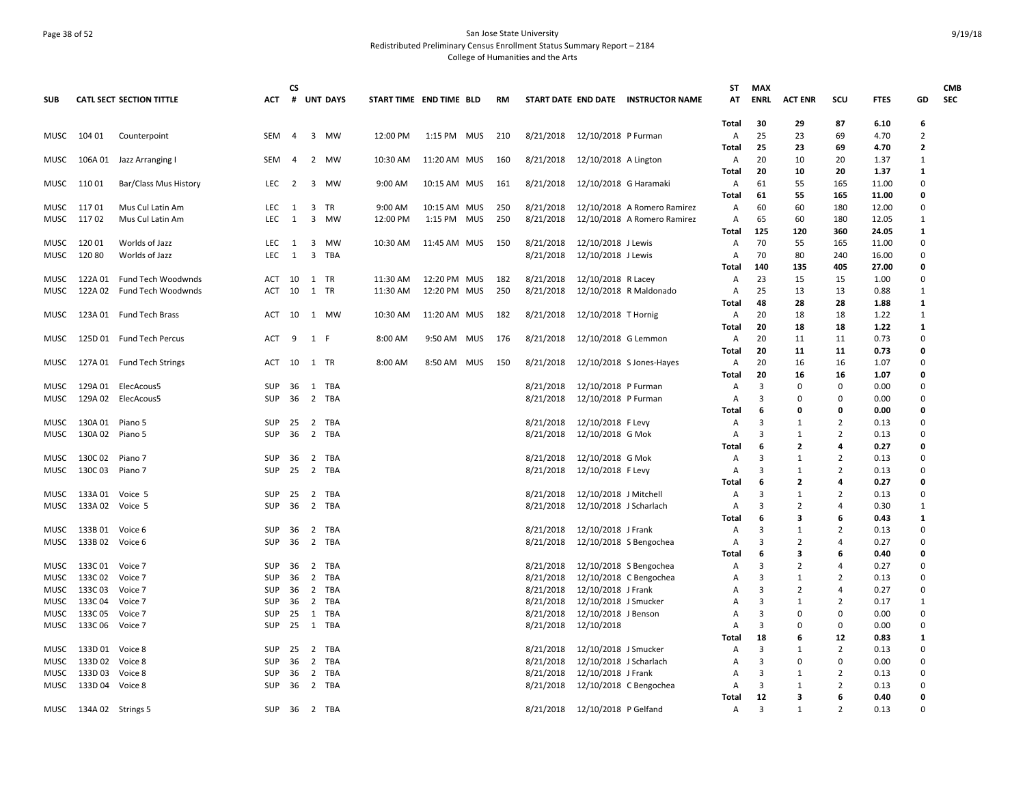## Page 38 of 52 San Jose State University Redistributed Preliminary Census Enrollment Status Summary Report – 2184 College of Humanities and the Arts

| <b>SUB</b>   |                            | <b>CATL SECT SECTION TITTLE</b>  | <b>ACT</b>        | <b>CS</b>         |                | # UNT DAYS   | START TIME END TIME BLD |              | <b>RM</b> |                        |                                                | START DATE END DATE INSTRUCTOR NAME | ST<br>AT            | <b>MAX</b><br><b>ENRL</b> | <b>ACT ENR</b>      | scu                 | <b>FTES</b>    | GD                   | <b>CMB</b><br><b>SEC</b> |
|--------------|----------------------------|----------------------------------|-------------------|-------------------|----------------|--------------|-------------------------|--------------|-----------|------------------------|------------------------------------------------|-------------------------------------|---------------------|---------------------------|---------------------|---------------------|----------------|----------------------|--------------------------|
|              |                            |                                  |                   |                   |                |              |                         |              |           |                        |                                                |                                     |                     |                           |                     |                     |                |                      |                          |
|              | 104 01                     |                                  | <b>SEM</b>        | 4                 |                | 3 MW         | 12:00 PM                | 1:15 PM MUS  | 210       | 8/21/2018              | 12/10/2018 P Furman                            |                                     | Total               | 30<br>25                  | 29<br>23            | 87<br>69            | 6.10<br>4.70   | 6<br>$\overline{2}$  |                          |
| MUSC         |                            | Counterpoint                     |                   |                   |                |              |                         |              |           |                        |                                                |                                     | A<br>Total          | 25                        | 23                  | 69                  | 4.70           | $\overline{2}$       |                          |
| MUSC         |                            | 106A 01 Jazz Arranging I         | SEM               | $\overline{4}$    |                | 2 MW         | 10:30 AM                | 11:20 AM MUS | 160       | 8/21/2018              | 12/10/2018 A Lington                           |                                     | Α                   | 20                        | 10                  | 20                  | 1.37           | 1                    |                          |
|              |                            |                                  |                   |                   |                |              |                         |              |           |                        |                                                |                                     | Total               | 20                        | 10                  | 20                  | 1.37           | 1                    |                          |
| MUSC         | 110 01                     | Bar/Class Mus History            | LEC               | $\overline{2}$    |                | 3 MW         | 9:00 AM                 | 10:15 AM MUS | 161       | 8/21/2018              |                                                | 12/10/2018 G Haramaki               | Α                   | 61                        | 55                  | 165                 | 11.00          | $\Omega$             |                          |
|              |                            |                                  |                   |                   |                |              |                         |              |           |                        |                                                |                                     | Total               | 61                        | 55                  | 165                 | 11.00          | 0                    |                          |
| MUSC         | 117 01                     | Mus Cul Latin Am                 | LEC               | $\mathbf{1}$      |                | 3 TR         | 9:00 AM                 | 10:15 AM MUS | 250       | 8/21/2018              |                                                | 12/10/2018 A Romero Ramirez         | A                   | 60                        | 60                  | 180                 | 12.00          | $\Omega$             |                          |
|              | MUSC 11702                 | Mus Cul Latin Am                 | <b>LEC</b>        | $\overline{1}$    | $\overline{3}$ | MW           | 12:00 PM                | 1:15 PM MUS  | 250       | 8/21/2018              |                                                | 12/10/2018 A Romero Ramirez         | $\mathsf{A}$        | 65                        | 60                  | 180                 | 12.05          | 1                    |                          |
|              |                            |                                  |                   |                   |                |              |                         |              |           |                        |                                                |                                     | <b>Total</b>        | 125                       | 120                 | 360                 | 24.05          | $\mathbf{1}$         |                          |
| MUSC         | 120 01<br>12080            | Worlds of Jazz<br>Worlds of Jazz | LEC<br><b>LEC</b> | $\mathbf{1}$<br>1 | $\overline{3}$ | 3 MW<br>TBA  | 10:30 AM                | 11:45 AM MUS | 150       | 8/21/2018<br>8/21/2018 | 12/10/2018 J Lewis                             |                                     | Α<br>$\overline{A}$ | 70<br>70                  | 55<br>80            | 165<br>240          | 11.00          | $\Omega$<br>$\Omega$ |                          |
| MUSC         |                            |                                  |                   |                   |                |              |                         |              |           |                        | 12/10/2018 J Lewis                             |                                     | Total               | 140                       | 135                 | 405                 | 16.00<br>27.00 | 0                    |                          |
| MUSC         | 122A 01                    | Fund Tech Woodwnds               | ACT 10            |                   |                | 1 TR         | 11:30 AM                | 12:20 PM MUS | 182       | 8/21/2018              | 12/10/2018 R Lacey                             |                                     | A                   | 23                        | 15                  | 15                  | 1.00           | $\Omega$             |                          |
| MUSC         | 122A 02                    | Fund Tech Woodwnds               | ACT               | 10                | 1              | <b>TR</b>    | 11:30 AM                | 12:20 PM MUS | 250       | 8/21/2018              |                                                | 12/10/2018 R Maldonado              | A                   | 25                        | 13                  | 13                  | 0.88           | 1                    |                          |
|              |                            |                                  |                   |                   |                |              |                         |              |           |                        |                                                |                                     | Total               | 48                        | 28                  | 28                  | 1.88           | 1                    |                          |
| MUSC         |                            | 123A 01 Fund Tech Brass          | ACT               | 10                |                | 1 MW         | 10:30 AM                | 11:20 AM MUS | 182       | 8/21/2018              | 12/10/2018 T Hornig                            |                                     | A                   | 20                        | 18                  | 18                  | 1.22           | $\mathbf{1}$         |                          |
|              |                            |                                  |                   |                   |                |              |                         |              |           |                        |                                                |                                     | Total               | 20                        | 18                  | 18                  | 1.22           | 1                    |                          |
| MUSC         |                            | 125D 01 Fund Tech Percus         | ACT               | 9                 | 1 F            |              | 8:00 AM                 | 9:50 AM MUS  | 176       | 8/21/2018              | 12/10/2018 G Lemmon                            |                                     | A                   | 20                        | 11                  | 11                  | 0.73           | $\Omega$             |                          |
|              |                            |                                  |                   |                   |                |              |                         |              |           |                        |                                                |                                     | Total               | 20                        | 11                  | 11                  | 0.73           | $\Omega$             |                          |
| MUSC         |                            | 127A 01 Fund Tech Strings        | ACT               | 10                | 1 TR           |              | 8:00 AM                 | 8:50 AM MUS  | 150       | 8/21/2018              |                                                | 12/10/2018 S Jones-Hayes            | A                   | 20                        | 16                  | 16                  | 1.07           | $\Omega$             |                          |
|              | 129A 01                    | ElecAcous5                       | SUP               | 36                |                | 1 TBA        |                         |              |           | 8/21/2018              | 12/10/2018 P Furman                            |                                     | Total               | 20<br>3                   | 16<br>$\Omega$      | 16<br>$\Omega$      | 1.07<br>0.00   | 0<br>$\Omega$        |                          |
| MUSC<br>MUSC |                            | 129A 02 ElecAcous5               | <b>SUP</b>        | 36                |                | 2 TBA        |                         |              |           | 8/21/2018              | 12/10/2018 P Furman                            |                                     | A<br>A              | 3                         | $\Omega$            | $\mathbf 0$         | 0.00           | $\mathbf 0$          |                          |
|              |                            |                                  |                   |                   |                |              |                         |              |           |                        |                                                |                                     | Total               | 6                         | 0                   | 0                   | 0.00           | 0                    |                          |
| MUSC         | 130A 01                    | Piano 5                          | SUP               | 25                |                | 2 TBA        |                         |              |           | 8/21/2018              | 12/10/2018 F Levy                              |                                     | A                   | 3                         | 1                   | $\overline{2}$      | 0.13           | $\Omega$             |                          |
| MUSC         | 130A 02 Piano 5            |                                  | <b>SUP</b>        | 36                |                | 2 TBA        |                         |              |           | 8/21/2018              | 12/10/2018 G Mok                               |                                     | A                   | 3                         | 1                   | $\overline{2}$      | 0.13           | $\Omega$             |                          |
|              |                            |                                  |                   |                   |                |              |                         |              |           |                        |                                                |                                     | Total               | 6                         | 2                   | 4                   | 0.27           | 0                    |                          |
| MUSC         | 130C 02                    | Piano 7                          | <b>SUP</b>        | 36                |                | 2 TBA        |                         |              |           | 8/21/2018              | 12/10/2018 G Mok                               |                                     | $\overline{A}$      | 3                         | $\mathbf{1}$        | $\overline{2}$      | 0.13           | $\Omega$             |                          |
| MUSC         | 130C03                     | Piano 7                          | <b>SUP</b>        | 25                |                | 2 TBA        |                         |              |           | 8/21/2018              | 12/10/2018 F Levy                              |                                     | Α                   | 3                         | 1                   | $\overline{2}$      | 0.13           | $\Omega$             |                          |
|              |                            |                                  |                   |                   |                |              |                         |              |           |                        |                                                |                                     | <b>Total</b>        | 6                         | $\overline{2}$      | 4                   | 0.27           | 0                    |                          |
| MUSC         | 133A 01 Voice 5            |                                  | SUP               | 25                |                | 2 TBA        |                         |              |           | 8/21/2018              | 12/10/2018 J Mitchell                          |                                     | A                   | 3                         | 1                   | $\overline{2}$      | 0.13           | $\Omega$             |                          |
| MUSC         | 133A 02 Voice 5            |                                  | <b>SUP</b>        | 36                |                | 2 TBA        |                         |              |           | 8/21/2018              | 12/10/2018 J Scharlach                         |                                     | A                   | 3<br>6                    | $\overline{2}$<br>3 | $\overline{a}$<br>6 | 0.30<br>0.43   | 1<br>$\mathbf{1}$    |                          |
| MUSC         | 133B01                     | Voice 6                          | SUP               | 36                |                | 2 TBA        |                         |              |           | 8/21/2018              | 12/10/2018 J Frank                             |                                     | Total<br>Α          | $\overline{3}$            | 1                   | $\overline{2}$      | 0.13           | $\mathbf 0$          |                          |
| MUSC         | 133B 02                    | Voice 6                          | <b>SUP</b>        | 36                |                | 2 TBA        |                         |              |           | 8/21/2018              |                                                | 12/10/2018 S Bengochea              | A                   | 3                         | 2                   | $\overline{4}$      | 0.27           | $\Omega$             |                          |
|              |                            |                                  |                   |                   |                |              |                         |              |           |                        |                                                |                                     | Total               | 6                         | 3                   | 6                   | 0.40           | 0                    |                          |
| MUSC         | 133C 01                    | Voice 7                          | SUP               | 36                | $\overline{2}$ | TBA          |                         |              |           | 8/21/2018              |                                                | 12/10/2018 S Bengochea              | $\overline{A}$      | $\mathbf{a}$              | $\mathcal{P}$       | $\overline{a}$      | 0.27           | $\Omega$             |                          |
| MUSC         | 133C 02                    | Voice 7                          | <b>SUP</b>        | 36                | $\overline{2}$ | TBA          |                         |              |           | 8/21/2018              |                                                | 12/10/2018 C Bengochea              | Α                   | 3                         | $\mathbf{1}$        | $\overline{2}$      | 0.13           | $\Omega$             |                          |
| MUSC         | 133C03                     | Voice 7                          | <b>SUP</b>        | 36                |                | 2 TBA        |                         |              |           | 8/21/2018              | 12/10/2018 J Frank                             |                                     | Α                   | 3                         | $\overline{2}$      | $\overline{4}$      | 0.27           | $\Omega$             |                          |
| MUSC         | 133C04                     | Voice 7                          | <b>SUP</b>        | 36                |                | 2 TBA        |                         |              |           | 8/21/2018              | 12/10/2018 J Smucker                           |                                     | Α                   | 3                         | $\mathbf{1}$        | $\overline{2}$      | 0.17           | $\mathbf{1}$         |                          |
| MUSC         | 133C 05                    | Voice 7                          | SUP               | 25                | 1              | TBA          |                         |              |           | 8/21/2018              | 12/10/2018 J Benson                            |                                     | A                   | 3                         | $\Omega$            | 0                   | 0.00           | $\mathbf 0$          |                          |
| MUSC         | 133C06                     | Voice 7                          | <b>SUP</b>        | 25                | 1              | TBA          |                         |              |           | 8/21/2018              | 12/10/2018                                     |                                     | A                   | 3                         | $\Omega$            | $\Omega$            | 0.00           | $\Omega$             |                          |
|              |                            |                                  |                   |                   |                |              |                         |              |           |                        |                                                |                                     | Total               | 18                        | 6                   | 12                  | 0.83           | 1<br>$\mathbf 0$     |                          |
| MUSC<br>MUSC | 133D 01 Voice 8<br>133D 02 | Voice 8                          | SUP<br><b>SUP</b> | 25<br>36          | $\overline{2}$ | 2 TBA<br>TBA |                         |              |           | 8/21/2018<br>8/21/2018 | 12/10/2018 J Smucker<br>12/10/2018 J Scharlach |                                     | Α<br>$\overline{A}$ | 3<br>3                    | 1<br>$\Omega$       | $\overline{2}$<br>0 | 0.13<br>0.00   | $\Omega$             |                          |
| MUSC         | 133D03                     | Voice 8                          | <b>SUP</b>        | 36                | $\overline{2}$ | TBA          |                         |              |           | 8/21/2018              | 12/10/2018 J Frank                             |                                     | A                   | 3                         | 1                   | $\overline{2}$      | 0.13           | $\Omega$             |                          |
| MUSC         | 133D 04 Voice 8            |                                  | SUP               | 36                |                | 2 TBA        |                         |              |           | 8/21/2018              |                                                | 12/10/2018 C Bengochea              | Α                   | 3                         | $\mathbf{1}$        | $\overline{2}$      | 0.13           | $\mathbf 0$          |                          |
|              |                            |                                  |                   |                   |                |              |                         |              |           |                        |                                                |                                     | Total               | 12                        | 3                   | 6                   | 0.40           | 0                    |                          |
|              | MUSC 134A 02 Strings 5     |                                  | SUP               | - 36              |                | 2 TBA        |                         |              |           | 8/21/2018              | 12/10/2018 P Gelfand                           |                                     | A                   | 3                         | $\mathbf{1}$        | $\overline{2}$      | 0.13           | $\Omega$             |                          |
|              |                            |                                  |                   |                   |                |              |                         |              |           |                        |                                                |                                     |                     |                           |                     |                     |                |                      |                          |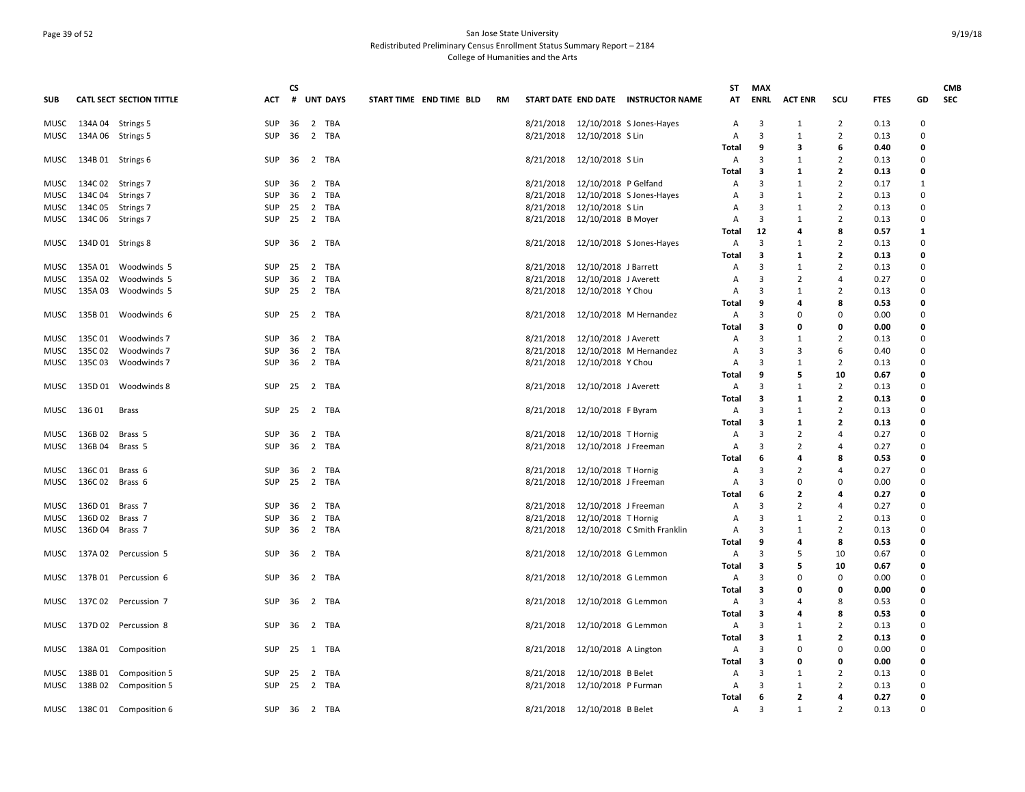## Page 39 of 52 San Jose State University Redistributed Preliminary Census Enrollment Status Summary Report – 2184 College of Humanities and the Arts

|            |                      |                            |                          | <b>CS</b> |                       |                         |           |           |                              |                                     | ST         | <b>MAX</b> |                |                     |              |              | <b>CMB</b> |
|------------|----------------------|----------------------------|--------------------------|-----------|-----------------------|-------------------------|-----------|-----------|------------------------------|-------------------------------------|------------|------------|----------------|---------------------|--------------|--------------|------------|
| <b>SUB</b> |                      | CATL SECT SECTION TITTLE   | ACT                      |           | # UNT DAYS            | START TIME END TIME BLD | <b>RM</b> |           |                              | START DATE END DATE INSTRUCTOR NAME | AT         | ENRL       | <b>ACT ENR</b> | scu                 | <b>FTES</b>  | GD           | <b>SEC</b> |
| MUSC       | 134A 04 Strings 5    |                            | SUP                      | 36        | 2 TBA                 |                         |           |           |                              | 8/21/2018  12/10/2018  SJones-Hayes | Α          | 3          | 1              | $\overline{2}$      | 0.13         | 0            |            |
| MUSC       | 134A 06 Strings 5    |                            | <b>SUP</b>               | 36        | 2 TBA                 |                         |           | 8/21/2018 | 12/10/2018 S Lin             |                                     | A          | 3          | 1              | $\overline{2}$      | 0.13         | 0            |            |
|            |                      |                            |                          |           |                       |                         |           |           |                              |                                     | Total      | 9          | 3              | 6                   | 0.40         | 0            |            |
| MUSC       | 134B 01 Strings 6    |                            | SUP 36                   |           | 2 TBA                 |                         |           |           | 8/21/2018 12/10/2018 S Lin   |                                     | A          | 3          | 1              | $\overline{2}$      | 0.13         | $\Omega$     |            |
|            |                      |                            |                          |           |                       |                         |           |           |                              |                                     | Total      | 3          | 1              | $\mathbf{2}$        | 0.13         | 0            |            |
| MUSC       | 134C 02 Strings 7    |                            | SUP                      | 36        | 2 TBA                 |                         |           | 8/21/2018 | 12/10/2018 P Gelfand         |                                     | Α          | 3          | 1              | $\overline{2}$      | 0.17         | 1            |            |
| MUSC       | 134C 04              | Strings 7                  | <b>SUP</b>               | 36        | 2 TBA                 |                         |           | 8/21/2018 |                              | 12/10/2018 S Jones-Hayes            | Α          | 3          | 1              | 2                   | 0.13         | 0            |            |
| MUSC       | 134C 05 Strings 7    |                            | <b>SUP</b>               | 25        | 2 TBA                 |                         |           | 8/21/2018 | 12/10/2018 S Lin             |                                     | Α          | 3          | 1              | 2                   | 0.13         | 0            |            |
| MUSC       | 134C 06 Strings 7    |                            | SUP                      | 25        | 2 TBA                 |                         |           | 8/21/2018 | 12/10/2018 B Moyer           |                                     | Α          | 3          | 1              | $\overline{2}$      | 0.13         | 0            |            |
|            |                      |                            |                          |           |                       |                         |           |           |                              |                                     | Total      | 12         | 4              | 8                   | 0.57         | $\mathbf{1}$ |            |
| MUSC       | 134D 01 Strings 8    |                            | SUP                      | 36        | 2 TBA                 |                         |           | 8/21/2018 |                              | 12/10/2018 S Jones-Hayes            | Α          | 3          | 1              | $\overline{2}$      | 0.13         | 0            |            |
|            |                      |                            |                          |           |                       |                         |           |           |                              |                                     | Total      | 3          | 1              | 2                   | 0.13         | 0            |            |
| MUSC       | 135A 01              | Woodwinds 5                | <b>SUP</b>               | - 25      | 2 TBA                 |                         |           | 8/21/2018 | 12/10/2018 J Barrett         |                                     | Α          | 3          | 1              | $\overline{2}$      | 0.13         | 0            |            |
| MUSC       | 135A 02              | Woodwinds 5                | SUP                      | 36        | 2 TBA                 |                         |           | 8/21/2018 | 12/10/2018 J Averett         |                                     | Α          | 3          | 2              | 4                   | 0.27         | 0            |            |
|            | MUSC 135A03          | Woodwinds 5                | SUP                      | 25        | 2 TBA                 |                         |           | 8/21/2018 | 12/10/2018 Y Chou            |                                     | Α          | 3          | $\mathbf{1}$   | $\overline{2}$      | 0.13         | $\Omega$     |            |
|            |                      |                            |                          |           |                       |                         |           |           |                              |                                     | Total      | ٩          | 4              | 8                   | 0.53         | 0            |            |
| MUSC       |                      | 135B01 Woodwinds 6         | SUP                      | - 25      | 2 TBA                 |                         |           | 8/21/2018 |                              | 12/10/2018 M Hernandez              | Α          | 3          | $\Omega$       | $\Omega$            | 0.00         | 0            |            |
|            |                      |                            |                          |           |                       |                         |           |           |                              |                                     | Total      | 3          | 0              | 0                   | 0.00         | 0            |            |
| MUSC       | 135C 01              | Woodwinds 7                | SUP                      | - 36      | 2 TBA                 |                         |           | 8/21/2018 | 12/10/2018 J Averett         |                                     | Α          | 3          | 1              | $\overline{2}$      | 0.13         | 0            |            |
|            | MUSC 135C02          | Woodwinds 7                | SUP                      | 36        | 2 TBA                 |                         |           | 8/21/2018 |                              | 12/10/2018 M Hernandez              | A          | 3          | 3              | 6                   | 0.40         | $\Omega$     |            |
|            | MUSC 135C03          | Woodwinds 7                | <b>SUP</b>               | 36        | 2 TBA                 |                         |           | 8/21/2018 | 12/10/2018 Y Chou            |                                     | Α          | 3          | 1              | 2                   | 0.13         | 0            |            |
|            |                      |                            |                          |           |                       |                         |           |           |                              |                                     | Total      | 9          | 5              | 10                  | 0.67         | 0            |            |
| MUSC       |                      | 135D 01 Woodwinds 8        | <b>SUP</b>               | - 25      | 2 TBA                 |                         |           | 8/21/2018 | 12/10/2018 J Averett         |                                     | Α          | 3          | $\mathbf{1}$   | $\overline{2}$      | 0.13         | 0            |            |
|            |                      |                            |                          |           |                       |                         |           |           |                              |                                     | Total      | 3          | 1              | $\overline{2}$      | 0.13         | O            |            |
|            | MUSC 136 01          | <b>Brass</b>               | <b>SUP</b>               | 25        | 2 TBA                 |                         |           | 8/21/2018 | 12/10/2018 F Byram           |                                     | Α          | 3          | 1              | $\overline{2}$      | 0.13         | $\Omega$     |            |
|            |                      |                            |                          |           |                       |                         |           |           |                              |                                     | Total      | -3         | 1              | $\mathbf{z}$        | 0.13         | 0            |            |
| MUSC       | 136B 02              | Brass 5                    | <b>SUP</b>               | 36        | 2 TBA                 |                         |           | 8/21/2018 | 12/10/2018 T Hornig          |                                     | Α          | 3          | 2              | 4                   | 0.27         | 0            |            |
| MUSC       | 136B 04              | Brass 5                    | <b>SUP</b>               | 36        | 2 TBA                 |                         |           | 8/21/2018 | 12/10/2018 J Freeman         |                                     | Α          | 3          | $\overline{2}$ | 4                   | 0.27         | 0            |            |
|            |                      |                            |                          |           |                       |                         |           |           |                              |                                     | Total      | 6          | 4              | 8                   | 0.53         | 0            |            |
|            | MUSC 136C01          | Brass 6                    | SUP                      | 36        | 2 TBA                 |                         |           | 8/21/2018 | 12/10/2018 T Hornig          |                                     | Α          | 3          | $\overline{2}$ | $\overline{a}$      | 0.27         | $\Omega$     |            |
|            | MUSC 136C 02 Brass 6 |                            | <b>SUP</b>               | 25        | 2 TBA                 |                         |           | 8/21/2018 | 12/10/2018 J Freeman         |                                     | Α          | 3          | $\Omega$       | 0                   | 0.00         | 0            |            |
|            |                      |                            |                          |           |                       |                         |           |           |                              |                                     | Total      | 6          | $\mathbf{z}$   | 4<br>$\overline{4}$ | 0.27         | 0<br>0       |            |
| MUSC       | 136D 01              | Brass 7                    | <b>SUP</b><br><b>SUP</b> | 36        | 2 TBA                 |                         |           | 8/21/2018 | 12/10/2018 J Freeman         |                                     | Α          | 3<br>3     | $\overline{2}$ | $\overline{2}$      | 0.27         | $\Omega$     |            |
| MUSC       | 136D 02 Brass 7      |                            | SUP                      | 36        | 2 TBA<br>2 TBA        |                         |           | 8/21/2018 | 12/10/2018 T Hornig          |                                     | A          | 3          | 1<br>1         | $\overline{2}$      | 0.13<br>0.13 | $\Omega$     |            |
|            | MUSC 136D 04 Brass 7 |                            |                          | 36        |                       |                         |           | 8/21/2018 |                              | 12/10/2018 C Smith Franklin         | Α<br>Total | 9          | 4              | 8                   | 0.53         | 0            |            |
| MUSC       |                      | 137A 02 Percussion 5       | SUP                      | - 36      | 2 TBA                 |                         |           | 8/21/2018 | 12/10/2018 G Lemmon          |                                     |            | 3          | 5              | 10                  | 0.67         | 0            |            |
|            |                      |                            |                          |           |                       |                         |           |           |                              |                                     | Α<br>Total | 3          | 5              | 10                  | 0.67         | 0            |            |
| MUSC       |                      | 137B 01 Percussion 6       | SUP 36                   |           | 2 TBA                 |                         |           | 8/21/2018 | 12/10/2018 G Lemmon          |                                     | Α          | 3          | $\mathbf 0$    | 0                   | 0.00         | 0            |            |
|            |                      |                            |                          |           |                       |                         |           |           |                              |                                     | Total      | 3          | ŋ              | 0                   | 0.00         | O            |            |
| MUSC       |                      | 137C 02 Percussion 7       | SUP                      | - 36      | 2 TBA                 |                         |           | 8/21/2018 | 12/10/2018 G Lemmon          |                                     | Α          | 3          | 4              | 8                   | 0.53         | 0            |            |
|            |                      |                            |                          |           |                       |                         |           |           |                              |                                     | Total      | 3          | 4              | 8                   | 0.53         | 0            |            |
| MUSC       |                      | 137D 02 Percussion 8       | <b>SUP</b>               | 36        | 2 TBA                 |                         |           | 8/21/2018 | 12/10/2018 G Lemmon          |                                     | Α          | 3          | 1              | $\overline{2}$      | 0.13         | 0            |            |
|            |                      |                            |                          |           |                       |                         |           |           |                              |                                     | Total      | 3          | 1              | $\mathbf{2}$        | 0.13         | 0            |            |
| MUSC       |                      | 138A 01 Composition        | SUP                      | - 25      | 1 TBA                 |                         |           | 8/21/2018 | 12/10/2018 A Lington         |                                     | Α          | 3          | $\Omega$       | $\mathbf 0$         | 0.00         | 0            |            |
|            |                      |                            |                          |           |                       |                         |           |           |                              |                                     | Total      | 3          | 0              | 0                   | 0.00         | 0            |            |
| MUSC       | 138B 01              | Composition 5              | <b>SUP</b>               | 25        | $\overline{2}$<br>TBA |                         |           | 8/21/2018 | 12/10/2018 B Belet           |                                     | Α          | 3          | 1              | $\overline{2}$      | 0.13         | 0            |            |
| MUSC       |                      | 138B 02 Composition 5      | SUP                      | 25        | 2 TBA                 |                         |           | 8/21/2018 | 12/10/2018 P Furman          |                                     | Α          | 3          | $\mathbf{1}$   | $\overline{2}$      | 0.13         | 0            |            |
|            |                      |                            |                          |           |                       |                         |           |           |                              |                                     | Total      | -6         | $\overline{2}$ | 4                   | 0.27         | 0            |            |
|            |                      | MUSC 138C 01 Composition 6 | SUP 36                   |           | 2 TBA                 |                         |           |           | 8/21/2018 12/10/2018 B Belet |                                     | Α          | 3          | 1              | $\overline{2}$      | 0.13         | O            |            |
|            |                      |                            |                          |           |                       |                         |           |           |                              |                                     |            |            |                |                     |              |              |            |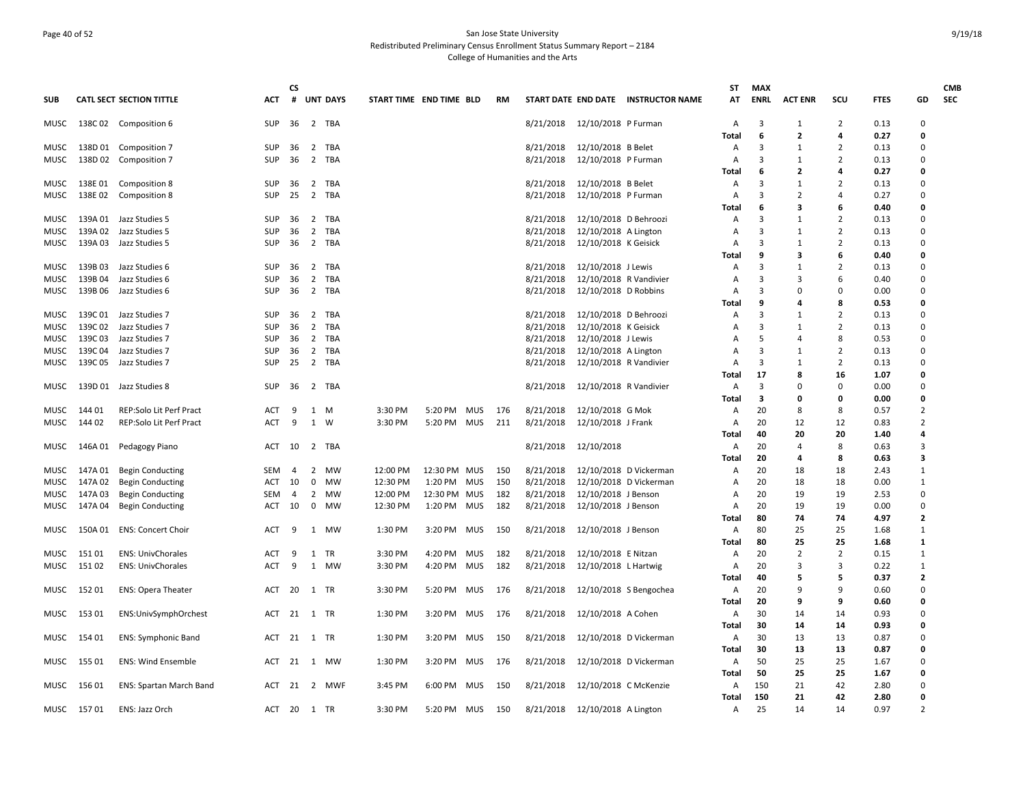## Page 40 of 52 San Jose State University Redistributed Preliminary Census Enrollment Status Summary Report – 2184 College of Humanities and the Arts

|              |            |                                 |            | CS  |                                         |                         |              |            |     |           |                        |                                     | <b>ST</b>      | <b>MAX</b>  |                   |                     |              |                  | <b>CMB</b> |
|--------------|------------|---------------------------------|------------|-----|-----------------------------------------|-------------------------|--------------|------------|-----|-----------|------------------------|-------------------------------------|----------------|-------------|-------------------|---------------------|--------------|------------------|------------|
| <b>SUB</b>   |            | <b>CATL SECT SECTION TITTLE</b> | ACT        | #   | <b>UNT DAYS</b>                         | START TIME END TIME BLD |              |            | RM  |           |                        | START DATE END DATE INSTRUCTOR NAME | AT             | <b>ENRL</b> | <b>ACT ENR</b>    | scu                 | <b>FTES</b>  | GD               | <b>SEC</b> |
| MUSC         |            | 138C 02 Composition 6           | <b>SUP</b> | 36  | 2 TBA                                   |                         |              |            |     | 8/21/2018 | 12/10/2018 P Furman    |                                     | $\overline{A}$ | 3           | $\mathbf{1}$      | 2                   | 0.13         | $\Omega$         |            |
|              |            |                                 |            |     |                                         |                         |              |            |     |           |                        |                                     | <b>Total</b>   | 6           | $\mathbf{2}$      | 4                   | 0.27         | $\Omega$         |            |
| MUSC         |            | 138D 01 Composition 7           | <b>SUP</b> | 36  | $\overline{2}$<br>TBA                   |                         |              |            |     | 8/21/2018 | 12/10/2018 B Belet     |                                     | Α              | 3           | -1                | $\overline{2}$      | 0.13         | $\Omega$         |            |
| MUSC         |            | 138D 02 Composition 7           | <b>SUP</b> | 36  | 2 TBA                                   |                         |              |            |     | 8/21/2018 | 12/10/2018 P Furman    |                                     | Α              | 3           | 1                 | $\overline{2}$      | 0.13         | $\Omega$         |            |
|              |            |                                 |            |     |                                         |                         |              |            |     |           |                        |                                     | Total          | 6           | $\overline{2}$    | 4                   | 0.27         | 0                |            |
| MUSC         | 138E01     | Composition 8                   | <b>SUP</b> | 36  | 2 TBA                                   |                         |              |            |     | 8/21/2018 | 12/10/2018 B Belet     |                                     | $\overline{A}$ | 3           | $\mathbf{1}$      | 2                   | 0.13         | $\Omega$         |            |
| MUSC         |            | 138E 02 Composition 8           | <b>SUP</b> | 25  | 2 TBA                                   |                         |              |            |     | 8/21/2018 | 12/10/2018 P Furman    |                                     | A              | 3           | $\overline{2}$    | $\overline{a}$      | 0.27         | $\Omega$         |            |
|              |            |                                 |            |     |                                         |                         |              |            |     |           |                        |                                     | Total          | 6           | З                 | 6                   | 0.40         | $\Omega$         |            |
| MUSC         | 139A 01    | Jazz Studies 5                  | SUP        | -36 | 2 TBA                                   |                         |              |            |     | 8/21/2018 | 12/10/2018 D Behroozi  |                                     | Α              | 3           | 1                 | $\overline{2}$      | 0.13         | $\mathbf 0$      |            |
| MUSC         | 139A 02    | Jazz Studies 5                  | <b>SUP</b> | 36  | 2 TBA                                   |                         |              |            |     | 8/21/2018 | 12/10/2018 A Lington   |                                     | Α              | 3           | 1                 | $\overline{2}$      | 0.13         | $\Omega$         |            |
| MUSC         | 139A 03    | Jazz Studies 5                  | <b>SUP</b> | 36  | 2 TBA                                   |                         |              |            |     | 8/21/2018 | 12/10/2018 K Geisick   |                                     | A              | 3           | 1                 | 2                   | 0.13         | $\Omega$         |            |
|              |            |                                 |            |     |                                         |                         |              |            |     |           |                        |                                     | Total          | 9           | 3<br>$\mathbf{1}$ | 6                   | 0.40         | 0<br>$\Omega$    |            |
| MUSC         | 139B03     | Jazz Studies 6                  | <b>SUP</b> | 36  | $\overline{2}$<br>TBA<br>$\overline{2}$ |                         |              |            |     | 8/21/2018 | 12/10/2018 J Lewis     |                                     | Α              | 3           | $\overline{3}$    | $\overline{2}$<br>6 | 0.13         | $\mathbf 0$      |            |
| MUSC         | 139B04     | Jazz Studies 6                  | <b>SUP</b> | 36  | TBA                                     |                         |              |            |     | 8/21/2018 | 12/10/2018 R Vandivier |                                     | Α              | 3           | $\Omega$          |                     | 0.40         |                  |            |
| MUSC         | 139B 06    | Jazz Studies 6                  | <b>SUP</b> | 36  | 2 TBA                                   |                         |              |            |     | 8/21/2018 | 12/10/2018 D Robbins   |                                     | Α<br>Total     | 3<br>9      | 4                 | 0<br>8              | 0.00<br>0.53 | $\mathbf 0$<br>0 |            |
|              | 139C 01    | Jazz Studies 7                  | <b>SUP</b> | 36  | 2 TBA                                   |                         |              |            |     | 8/21/2018 | 12/10/2018 D Behroozi  |                                     |                | 3           | 1                 | $\overline{2}$      | 0.13         | $\Omega$         |            |
| MUSC<br>MUSC | 139C02     | Jazz Studies 7                  | SUP        | 36  | 2 TBA                                   |                         |              |            |     | 8/21/2018 | 12/10/2018 K Geisick   |                                     | Α<br>A         | 3           | 1                 | $\overline{2}$      | 0.13         | $\Omega$         |            |
| MUSC         | 139C 03    | Jazz Studies 7                  | <b>SUP</b> | 36  | 2 TBA                                   |                         |              |            |     | 8/21/2018 | 12/10/2018 J Lewis     |                                     | A              | 5           | $\overline{a}$    | 8                   | 0.53         | $\mathbf 0$      |            |
| MUSC         | 139C 04    | Jazz Studies 7                  | <b>SUP</b> | 36  | 2 TBA                                   |                         |              |            |     | 8/21/2018 | 12/10/2018 A Lington   |                                     | Α              | 3           | 1                 | $\overline{2}$      | 0.13         | $\mathbf 0$      |            |
| MUSC         |            | 139C 05 Jazz Studies 7          | <b>SUP</b> | 25  | 2 TBA                                   |                         |              |            |     | 8/21/2018 | 12/10/2018 R Vandivier |                                     | Α              | 3           | 1                 | $\overline{2}$      | 0.13         | $\Omega$         |            |
|              |            |                                 |            |     |                                         |                         |              |            |     |           |                        |                                     | Total          | 17          | 8                 | 16                  | 1.07         | 0                |            |
| MUSC         |            | 139D 01 Jazz Studies 8          | <b>SUP</b> | 36  | 2 TBA                                   |                         |              |            |     | 8/21/2018 | 12/10/2018 R Vandivier |                                     | Α              | 3           | $\Omega$          | $\Omega$            | 0.00         | $\Omega$         |            |
|              |            |                                 |            |     |                                         |                         |              |            |     |           |                        |                                     | Total          | 3           | $\Omega$          | 0                   | 0.00         | $\Omega$         |            |
| MUSC         | 144 01     | REP:Solo Lit Perf Pract         | ACT        | 9   | 1<br>M                                  | 3:30 PM                 | 5:20 PM      | <b>MUS</b> | 176 | 8/21/2018 | 12/10/2018 G Mok       |                                     | A              | 20          | 8                 | 8                   | 0.57         | $\overline{2}$   |            |
| MUSC         | 144 02     | <b>REP:Solo Lit Perf Pract</b>  | ACT        | 9   | 1<br>W                                  | 3:30 PM                 | 5:20 PM MUS  |            | 211 | 8/21/2018 | 12/10/2018 J Frank     |                                     | A              | 20          | 12                | 12                  | 0.83         | $\overline{2}$   |            |
|              |            |                                 |            |     |                                         |                         |              |            |     |           |                        |                                     | Total          | 40          | 20                | 20                  | 1.40         | 4                |            |
| MUSC         |            | 146A 01 Pedagogy Piano          | ACT        | 10  | 2 TBA                                   |                         |              |            |     | 8/21/2018 | 12/10/2018             |                                     | A              | 20          | $\overline{4}$    | 8                   | 0.63         | 3                |            |
|              |            |                                 |            |     |                                         |                         |              |            |     |           |                        |                                     | Total          | 20          | 4                 | 8                   | 0.63         | 3                |            |
| MUSC         | 147A 01    | <b>Begin Conducting</b>         | SEM        | 4   | 2<br>MW                                 | 12:00 PM                | 12:30 PM MUS |            | 150 | 8/21/2018 |                        | 12/10/2018 D Vickerman              | A              | 20          | 18                | 18                  | 2.43         | 1                |            |
| MUSC         | 147A 02    | <b>Begin Conducting</b>         | ACT        | 10  | $\mathbf 0$<br>MW                       | 12:30 PM                | 1:20 PM MUS  |            | 150 | 8/21/2018 |                        | 12/10/2018 D Vickerman              | Α              | 20          | 18                | 18                  | 0.00         | $\mathbf{1}$     |            |
| MUSC         | 147A 03    | <b>Begin Conducting</b>         | <b>SEM</b> | 4   | 2 MW                                    | 12:00 PM                | 12:30 PM MUS |            | 182 | 8/21/2018 | 12/10/2018 J Benson    |                                     | A              | 20          | 19                | 19                  | 2.53         | $\Omega$         |            |
| MUSC         | 147A 04    | <b>Begin Conducting</b>         | ACT        | 10  | $\mathbf 0$<br>MW                       | 12:30 PM                | 1:20 PM      | <b>MUS</b> | 182 | 8/21/2018 | 12/10/2018 J Benson    |                                     | Α              | 20          | 19                | 19                  | 0.00         | $\Omega$         |            |
|              |            |                                 |            |     |                                         |                         |              |            |     |           |                        |                                     | Total          | 80          | 74                | 74                  | 4.97         | $\overline{2}$   |            |
| MUSC         | 150A 01    | <b>ENS: Concert Choir</b>       | ACT        | 9   | 1<br>MW                                 | 1:30 PM                 | 3:20 PM      | MUS        | 150 | 8/21/2018 | 12/10/2018 J Benson    |                                     | A              | 80          | 25                | 25                  | 1.68         | 1                |            |
|              |            |                                 |            |     |                                         |                         |              |            |     |           |                        |                                     | Total          | 80          | 25                | 25                  | 1.68         | $\mathbf{1}$     |            |
| MUSC         | 151 01     | <b>ENS: UnivChorales</b>        | <b>ACT</b> | 9   | 1<br><b>TR</b>                          | 3:30 PM                 | 4:20 PM      | <b>MUS</b> | 182 | 8/21/2018 | 12/10/2018 E Nitzan    |                                     | A              | 20          | 2                 | $\overline{2}$      | 0.15         | $\mathbf{1}$     |            |
| MUSC         | 151 02     | <b>ENS: UnivChorales</b>        | <b>ACT</b> | 9   | 1 MW                                    | 3:30 PM                 | 4:20 PM      | <b>MUS</b> | 182 | 8/21/2018 | 12/10/2018 L Hartwig   |                                     | A              | 20          | 3                 | $\overline{3}$      | 0.22         | 1                |            |
|              |            |                                 |            |     |                                         |                         |              |            |     |           |                        |                                     | Total          | 40          | 5                 | 5                   | 0.37         | $\overline{2}$   |            |
| MUSC         | 152 01     | <b>ENS: Opera Theater</b>       | ACT        | 20  | 1 TR                                    | 3:30 PM                 | 5:20 PM      | MUS        | 176 | 8/21/2018 |                        | 12/10/2018 S Bengochea              | A              | 20          | $\mathbf{q}$      | 9                   | 0.60         | $\Omega$         |            |
|              |            |                                 |            |     |                                         |                         |              |            |     |           |                        |                                     | Total          | 20          | 9                 | 9                   | 0.60         | 0                |            |
| MUSC         | 153 01     | ENS:UnivSymphOrchest            | ACT        | 21  | 1 TR                                    | 1:30 PM                 | 3:20 PM MUS  |            | 176 | 8/21/2018 | 12/10/2018 A Cohen     |                                     | A              | 30          | 14                | 14                  | 0.93         | $\Omega$         |            |
|              |            |                                 |            |     |                                         |                         |              |            |     |           |                        |                                     | Total          | 30          | 14                | 14                  | 0.93         | 0                |            |
| MUSC         | 154 01     | <b>ENS: Symphonic Band</b>      |            |     | ACT 21 1 TR                             | 1:30 PM                 | 3:20 PM MUS  |            | 150 | 8/21/2018 |                        | 12/10/2018 D Vickerman              | A              | 30          | 13                | 13                  | 0.87         | $\Omega$         |            |
|              |            |                                 |            |     |                                         |                         |              |            |     |           |                        |                                     | Total          | 30          | 13                | 13                  | 0.87         | $\Omega$         |            |
| MUSC         | 155 01     | <b>ENS: Wind Ensemble</b>       | ACT        |     | 21 1 MW                                 | 1:30 PM                 | 3:20 PM      | <b>MUS</b> | 176 | 8/21/2018 |                        | 12/10/2018 D Vickerman              | A              | 50          | 25                | 25                  | 1.67         | $\mathbf 0$      |            |
|              |            |                                 |            |     |                                         |                         |              |            |     |           |                        |                                     | Total          | 50          | 25                | 25                  | 1.67         | 0                |            |
| MUSC         | 156 01     | <b>ENS: Spartan March Band</b>  | ACT        | -21 | 2 MWF                                   | 3:45 PM                 | 6:00 PM      | MUS        | 150 | 8/21/2018 | 12/10/2018 C McKenzie  |                                     | A              | 150         | 21                | 42                  | 2.80         | $\Omega$         |            |
|              |            |                                 |            |     |                                         |                         |              |            |     |           |                        |                                     | Total          | 150         | 21                | 42                  | 2.80         | 0                |            |
|              | MUSC 15701 | ENS: Jazz Orch                  |            |     | ACT 20 1 TR                             | 3:30 PM                 | 5:20 PM      | MUS        | 150 | 8/21/2018 | 12/10/2018 A Lington   |                                     | $\mathsf{A}$   | 25          | 14                | 14                  | 0.97         | $\overline{2}$   |            |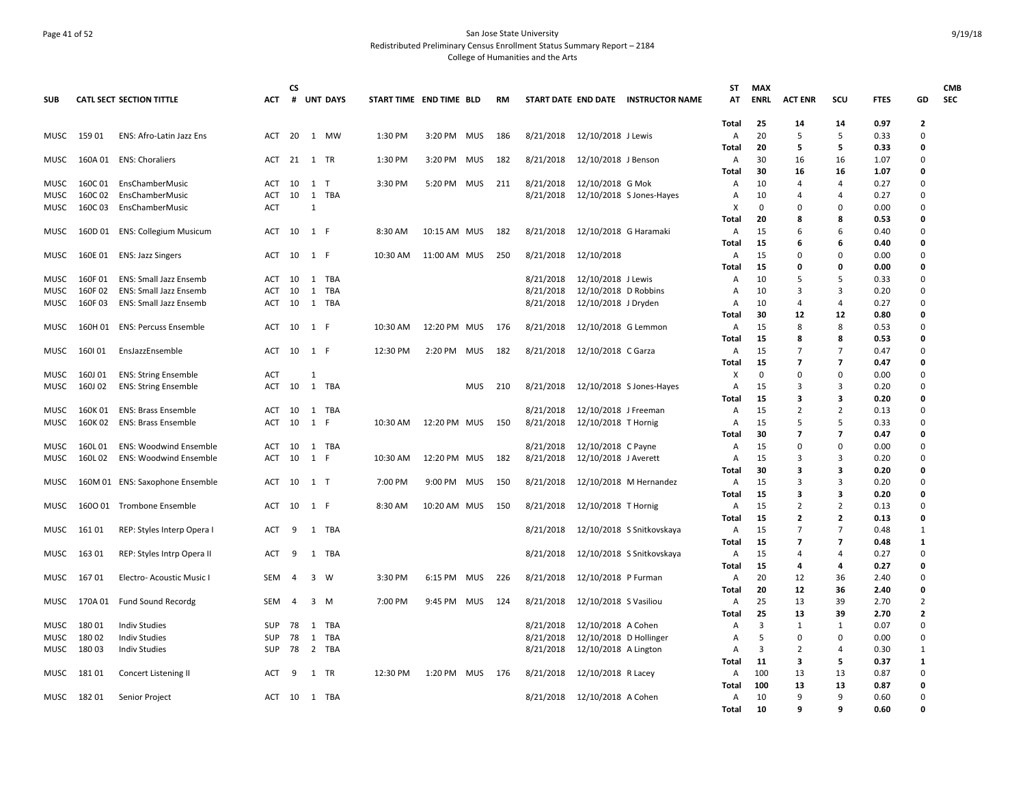## Page 41 of 52 San Jose State University Redistributed Preliminary Census Enrollment Status Summary Report – 2184 College of Humanities and the Arts

| <b>SUB</b>          |                    | <b>CATL SECT SECTION TITTLE</b>                            | <b>ACT</b>               | <b>CS</b><br>#          |                   | <b>UNT DAYS</b> | START TIME END TIME BLD |              |            | RM  |                        |                                              | START DATE END DATE INSTRUCTOR NAME | <b>ST</b><br>AT | <b>MAX</b><br><b>ENRL</b> | <b>ACT ENR</b>              | scu                                  | <b>FTES</b>  | GD                | <b>CMB</b><br><b>SEC</b> |
|---------------------|--------------------|------------------------------------------------------------|--------------------------|-------------------------|-------------------|-----------------|-------------------------|--------------|------------|-----|------------------------|----------------------------------------------|-------------------------------------|-----------------|---------------------------|-----------------------------|--------------------------------------|--------------|-------------------|--------------------------|
|                     |                    |                                                            |                          |                         |                   |                 |                         |              |            |     |                        |                                              |                                     |                 |                           |                             |                                      |              |                   |                          |
|                     |                    |                                                            |                          |                         |                   |                 | 1:30 PM                 |              |            |     | 8/21/2018              |                                              |                                     | Total           | 25<br>20                  | 14<br>5                     | 14<br>5                              | 0.97         | $\mathbf{2}$<br>0 |                          |
| MUSC                | 159 01             | ENS: Afro-Latin Jazz Ens                                   | ACT                      | 20                      |                   | 1 MW            |                         | 3:20 PM MUS  |            | 186 |                        | 12/10/2018 J Lewis                           |                                     | A<br>Total      | 20                        | 5                           | 5                                    | 0.33<br>0.33 | 0                 |                          |
| MUSC                |                    | 160A 01 ENS: Choraliers                                    | ACT 21 1 TR              |                         |                   |                 | 1:30 PM                 | 3:20 PM MUS  |            | 182 | 8/21/2018              | 12/10/2018 J Benson                          |                                     | A               | 30                        | 16                          | 16                                   | 1.07         | 0                 |                          |
|                     |                    |                                                            |                          |                         |                   |                 |                         |              |            |     |                        |                                              |                                     | Total           | 30                        | 16                          | 16                                   | 1.07         | 0                 |                          |
| MUSC                | 160C01             | EnsChamberMusic                                            | ACT                      | 10                      | $\mathbf{1}$      | $\top$          | 3:30 PM                 | 5:20 PM MUS  |            | 211 | 8/21/2018              | 12/10/2018 G Mok                             |                                     | A               | 10                        | 4                           | $\overline{a}$                       | 0.27         | 0                 |                          |
| MUSC                | 160C 02            | EnsChamberMusic                                            | <b>ACT</b>               | 10                      | 1                 | TBA             |                         |              |            |     | 8/21/2018              |                                              | 12/10/2018 S Jones-Hayes            | Α               | 10                        | 4                           | 4                                    | 0.27         | 0                 |                          |
| MUSC                | 160C03             | EnsChamberMusic                                            | <b>ACT</b>               |                         | 1                 |                 |                         |              |            |     |                        |                                              |                                     | x               | 0                         | 0                           | 0                                    | 0.00         | 0                 |                          |
|                     |                    |                                                            |                          |                         |                   |                 |                         |              |            |     |                        |                                              |                                     | Total           | 20                        | 8                           | 8                                    | 0.53         | 0                 |                          |
| <b>MUSC</b>         | 160D01             | <b>ENS: Collegium Musicum</b>                              | ACT                      | 10                      | 1 F               |                 | 8:30 AM                 | 10:15 AM MUS |            | 182 | 8/21/2018              | 12/10/2018 G Haramaki                        |                                     | A               | 15<br>15                  | 6<br>6                      | 6<br>6                               | 0.40<br>0.40 | 0<br>0            |                          |
| MUSC                | 160E 01            | <b>ENS: Jazz Singers</b>                                   | ACT                      | 10                      | 1 F               |                 | 10:30 AM                | 11:00 AM MUS |            | 250 | 8/21/2018              | 12/10/2018                                   |                                     | Total<br>A      | 15                        | 0                           | $\Omega$                             | 0.00         | 0                 |                          |
|                     |                    |                                                            |                          |                         |                   |                 |                         |              |            |     |                        |                                              |                                     | Total           | 15                        | 0                           | 0                                    | 0.00         | 0                 |                          |
| <b>MUSC</b>         | 160F01             | <b>ENS: Small Jazz Ensemb</b>                              | ACT                      | 10                      |                   | 1 TBA           |                         |              |            |     | 8/21/2018              | 12/10/2018 J Lewis                           |                                     | A               | 10                        | 5                           | 5                                    | 0.33         | 0                 |                          |
| <b>MUSC</b>         | 160F02             | <b>ENS: Small Jazz Ensemb</b>                              | <b>ACT</b>               | 10                      | $\mathbf{1}$      | <b>TBA</b>      |                         |              |            |     | 8/21/2018              | 12/10/2018 D Robbins                         |                                     | A               | 10                        | 3                           | 3                                    | 0.20         | 0                 |                          |
| MUSC                | 160F03             | ENS: Small Jazz Ensemb                                     | ACT                      | 10                      |                   | 1 TBA           |                         |              |            |     | 8/21/2018              | 12/10/2018 J Dryden                          |                                     | $\overline{A}$  | 10                        | 4                           | $\overline{4}$                       | 0.27         | 0                 |                          |
|                     |                    |                                                            |                          |                         |                   |                 |                         |              |            |     |                        |                                              |                                     | Total           | 30                        | 12                          | 12                                   | 0.80         | 0                 |                          |
| MUSC                | 160H 01            | ENS: Percuss Ensemble                                      | ACT                      | 10                      | 1 F               |                 | 10:30 AM                | 12:20 PM MUS |            | 176 | 8/21/2018              | 12/10/2018 G Lemmon                          |                                     | Α               | 15                        | 8                           | 8                                    | 0.53         | 0                 |                          |
|                     |                    |                                                            |                          |                         |                   |                 |                         |              |            |     |                        |                                              |                                     | Total           | 15                        | 8                           | 8                                    | 0.53         | 0                 |                          |
| <b>MUSC</b>         | 160101             | EnsJazzEnsemble                                            | <b>ACT</b>               | 10                      | 1 F               |                 | 12:30 PM                | 2:20 PM      | <b>MUS</b> | 182 | 8/21/2018              | 12/10/2018 C Garza                           |                                     | A               | 15                        | 7                           | $\overline{7}$                       | 0.47         | 0                 |                          |
|                     |                    |                                                            |                          |                         | 1                 |                 |                         |              |            |     |                        |                                              |                                     | Total<br>x      | 15<br>0                   | $\overline{7}$<br>0         | $\overline{\phantom{a}}$<br>$\Omega$ | 0.47<br>0.00 | 0<br>0            |                          |
| MUSC<br>MUSC        | 160J 01<br>160J 02 | <b>ENS: String Ensemble</b><br><b>ENS: String Ensemble</b> | ACT<br>ACT               | 10                      | $\mathbf{1}$      | TBA             |                         |              | <b>MUS</b> | 210 | 8/21/2018              |                                              | 12/10/2018 S Jones-Hayes            | Α               | 15                        | 3                           | 3                                    | 0.20         | 0                 |                          |
|                     |                    |                                                            |                          |                         |                   |                 |                         |              |            |     |                        |                                              |                                     | Total           | 15                        | 3                           | 3                                    | 0.20         | 0                 |                          |
| <b>MUSC</b>         | 160K01             | <b>ENS: Brass Ensemble</b>                                 | <b>ACT</b>               | 10                      | 1                 | TBA             |                         |              |            |     | 8/21/2018              | 12/10/2018 J Freeman                         |                                     | A               | 15                        | 2                           | $\overline{2}$                       | 0.13         | 0                 |                          |
| MUSC                | 160K 02            | <b>ENS: Brass Ensemble</b>                                 | ACT                      | 10                      | 1                 | - F             | 10:30 AM                | 12:20 PM MUS |            | 150 | 8/21/2018              | 12/10/2018 T Hornig                          |                                     | A               | 15                        | 5                           | 5                                    | 0.33         | 0                 |                          |
|                     |                    |                                                            |                          |                         |                   |                 |                         |              |            |     |                        |                                              |                                     | Total           | 30                        | $\overline{7}$              | 7                                    | 0.47         | 0                 |                          |
| MUSC                | 160L01             | <b>ENS: Woodwind Ensemble</b>                              | ACT                      | 10                      |                   | 1 TBA           |                         |              |            |     | 8/21/2018              | 12/10/2018 C Payne                           |                                     | A               | 15                        | 0                           | 0                                    | 0.00         | 0                 |                          |
| MUSC                | 160L02             | <b>ENS: Woodwind Ensemble</b>                              | <b>ACT</b>               | 10                      | 1                 | -F              | 10:30 AM                | 12:20 PM MUS |            | 182 | 8/21/2018              | 12/10/2018 J Averett                         |                                     | A               | 15                        | 3                           | 3                                    | 0.20         | $\mathbf 0$       |                          |
|                     |                    |                                                            |                          |                         |                   |                 |                         |              |            |     |                        |                                              |                                     | <b>Total</b>    | 30                        | 3                           | 3                                    | 0.20         | 0                 |                          |
| MUSC                |                    | 160M 01 ENS: Saxophone Ensemble                            | ACT                      | 10                      | 1 T               |                 | 7:00 PM                 | 9:00 PM MUS  |            | 150 | 8/21/2018              |                                              | 12/10/2018 M Hernandez              | A               | 15                        | 3                           | 3                                    | 0.20         | 0                 |                          |
| MUSC                |                    | 1600 01 Trombone Ensemble                                  | ACT                      | 10                      | 1 F               |                 | 8:30 AM                 | 10:20 AM MUS |            | 150 | 8/21/2018              | 12/10/2018 T Hornig                          |                                     | Total<br>Α      | 15<br>15                  | 3<br>$\overline{2}$         | 3<br>2                               | 0.20<br>0.13 | 0<br>0            |                          |
|                     |                    |                                                            |                          |                         |                   |                 |                         |              |            |     |                        |                                              |                                     | Total           | 15                        | $\mathbf{2}$                | $\overline{2}$                       | 0.13         | 0                 |                          |
| MUSC                | 16101              | REP: Styles Interp Opera I                                 | ACT                      | 9                       |                   | 1 TBA           |                         |              |            |     | 8/21/2018              |                                              | 12/10/2018 S Snitkovskaya           | Α               | 15                        | 7                           | $\overline{7}$                       | 0.48         | $\mathbf{1}$      |                          |
|                     |                    |                                                            |                          |                         |                   |                 |                         |              |            |     |                        |                                              |                                     | Total           | 15                        | $\overline{7}$              | $\overline{7}$                       | 0.48         | $\mathbf{1}$      |                          |
| MUSC                | 163 01             | REP: Styles Intrp Opera II                                 | ACT                      | 9                       | 1                 | TBA             |                         |              |            |     | 8/21/2018              |                                              | 12/10/2018 S Snitkovskaya           | A               | 15                        | 4                           | 4                                    | 0.27         | 0                 |                          |
|                     |                    |                                                            |                          |                         |                   |                 |                         |              |            |     |                        |                                              |                                     | Total           | 15                        | 4                           | 4                                    | 0.27         | 0                 |                          |
| MUSC                | 16701              | Electro- Acoustic Music I                                  | <b>SEM</b>               | $\overline{\mathbf{A}}$ | 3 W               |                 | 3:30 PM                 | 6:15 PM MUS  |            | 226 | 8/21/2018              | 12/10/2018 P Furman                          |                                     | Α               | 20                        | 12                          | 36                                   | 2.40         | 0                 |                          |
|                     |                    |                                                            |                          |                         |                   |                 |                         |              |            |     |                        |                                              |                                     | Total           | 20                        | 12                          | 36                                   | 2.40         | $\Omega$          |                          |
| MUSC                |                    | 170A 01 Fund Sound Recordg                                 | SEM                      | 4                       | $3 \, M$          |                 | 7:00 PM                 | 9:45 PM MUS  |            | 124 | 8/21/2018              | 12/10/2018 S Vasiliou                        |                                     | A               | 25                        | 13                          | 39                                   | 2.70         | $\overline{2}$    |                          |
|                     |                    |                                                            |                          |                         |                   |                 |                         |              |            |     |                        |                                              |                                     | Total           | 25                        | 13                          | 39                                   | 2.70         | 2                 |                          |
| <b>MUSC</b><br>MUSC | 18001<br>180 02    | <b>Indiv Studies</b><br><b>Indiv Studies</b>               | <b>SUP</b><br><b>SUP</b> | 78<br>78                | 1<br>$\mathbf{1}$ | TBA<br>TBA      |                         |              |            |     | 8/21/2018<br>8/21/2018 | 12/10/2018 A Cohen<br>12/10/2018 D Hollinger |                                     | A               | 3<br>.5                   | $\mathbf{1}$<br>$\mathbf 0$ | 1<br>0                               | 0.07<br>0.00 | 0<br>$\mathbf 0$  |                          |
| MUSC                | 18003              | <b>Indiv Studies</b>                                       | SUP                      | 78                      |                   | 2 TBA           |                         |              |            |     | 8/21/2018              | 12/10/2018 A Lington                         |                                     | Α<br>A          | $\overline{\mathbf{3}}$   | 2                           | $\overline{a}$                       | 0.30         | $\mathbf{1}$      |                          |
|                     |                    |                                                            |                          |                         |                   |                 |                         |              |            |     |                        |                                              |                                     | Total           | 11                        | 3                           | 5                                    | 0.37         | $\mathbf{1}$      |                          |
| MUSC                | 18101              | Concert Listening II                                       | ACT                      | 9                       | 1                 | TR              | 12:30 PM                | 1:20 PM MUS  |            | 176 | 8/21/2018              | 12/10/2018 R Lacey                           |                                     | A               | 100                       | 13                          | 13                                   | 0.87         | 0                 |                          |
|                     |                    |                                                            |                          |                         |                   |                 |                         |              |            |     |                        |                                              |                                     | Total           | 100                       | 13                          | 13                                   | 0.87         | 0                 |                          |
| MUSC                | 18201              | Senior Project                                             | ACT                      | 10                      |                   | 1 TBA           |                         |              |            |     | 8/21/2018              | 12/10/2018 A Cohen                           |                                     | A               | 10                        | 9                           | 9                                    | 0.60         | 0                 |                          |
|                     |                    |                                                            |                          |                         |                   |                 |                         |              |            |     |                        |                                              |                                     | Total           | 10                        | 9                           | q                                    | 0.60         | $\Omega$          |                          |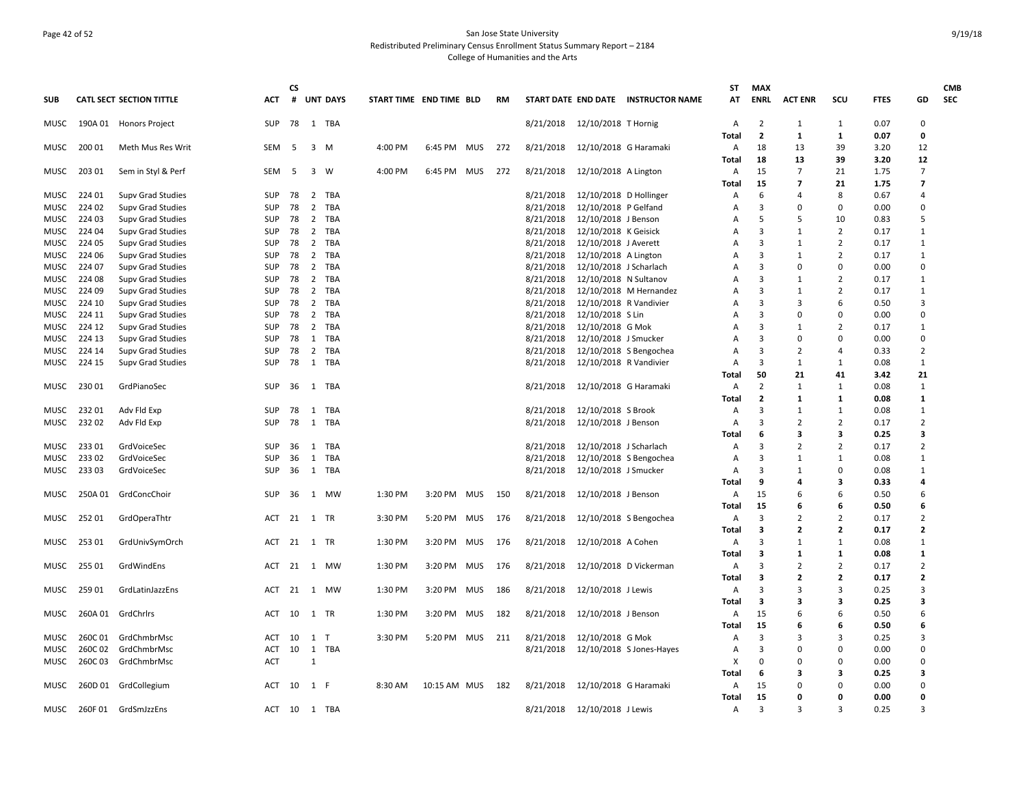## Page 42 of 52 San Jose State University Redistributed Preliminary Census Enrollment Status Summary Report – 2184 College of Humanities and the Arts

|              |                  |                                        |                   | CS |                     |                 |                         |              |            |     |           |                                                |                                     | ST         | <b>MAX</b>     |                      |                |              |                      | <b>CMB</b> |
|--------------|------------------|----------------------------------------|-------------------|----|---------------------|-----------------|-------------------------|--------------|------------|-----|-----------|------------------------------------------------|-------------------------------------|------------|----------------|----------------------|----------------|--------------|----------------------|------------|
| <b>SUB</b>   |                  | <b>CATL SECT SECTION TITTLE</b>        | ACT               | #  |                     | <b>UNT DAYS</b> | START TIME END TIME BLD |              |            | RM  |           |                                                | START DATE END DATE INSTRUCTOR NAME | AT         | <b>ENRL</b>    | <b>ACT ENR</b>       | SCU            | <b>FTES</b>  | GD                   | <b>SEC</b> |
| MUSC         |                  | 190A 01 Honors Project                 | <b>SUP</b>        | 78 |                     | 1 TBA           |                         |              |            |     | 8/21/2018 | 12/10/2018 T Hornig                            |                                     | Α          | $\overline{2}$ | 1                    | $\mathbf{1}$   | 0.07         | $\Omega$             |            |
|              |                  |                                        |                   |    |                     |                 |                         |              |            |     |           |                                                |                                     | Total      | $\mathbf{z}$   | 1                    | $\mathbf{1}$   | 0.07         | 0                    |            |
| MUSC         | 200 01           | Meth Mus Res Writ                      | <b>SEM</b>        | -5 | 3                   | M               | 4:00 PM                 | 6:45 PM MUS  |            | 272 | 8/21/2018 | 12/10/2018 G Haramaki                          |                                     | Α          | 18             | 13                   | 39             | 3.20         | 12                   |            |
| MUSC         | 203 01           |                                        | SEM               | 5  | $\overline{3}$      | W               | 4:00 PM                 | 6:45 PM      | <b>MUS</b> | 272 | 8/21/2018 |                                                |                                     | Total      | 18<br>15       | 13<br>$\overline{7}$ | 39<br>21       | 3.20<br>1.75 | 12<br>$\overline{7}$ |            |
|              |                  | Sem in Styl & Perf                     |                   |    |                     |                 |                         |              |            |     |           | 12/10/2018 A Lington                           |                                     | Α<br>Total | 15             | 7                    | 21             | 1.75         | $\overline{7}$       |            |
|              |                  |                                        |                   | 78 |                     |                 |                         |              |            |     | 8/21/2018 |                                                |                                     |            | 6              | 4                    | 8              |              | 4                    |            |
| MUSC<br>MUSC | 224 01<br>224 02 | Supv Grad Studies<br>Supv Grad Studies | SUP<br><b>SUP</b> | 78 | $\overline{2}$<br>2 | TBA<br>TBA      |                         |              |            |     | 8/21/2018 | 12/10/2018 D Hollinger<br>12/10/2018 P Gelfand |                                     | A<br>Α     | 3              | 0                    | 0              | 0.67<br>0.00 | $\Omega$             |            |
| MUSC         | 224 03           | Supv Grad Studies                      | <b>SUP</b>        | 78 | $\overline{2}$      | TBA             |                         |              |            |     | 8/21/2018 | 12/10/2018 J Benson                            |                                     | A          | .5             | 5                    | 10             | 0.83         | 5                    |            |
| MUSC         | 224 04           | <b>Supv Grad Studies</b>               | <b>SUP</b>        | 78 | $\overline{2}$      | TBA             |                         |              |            |     | 8/21/2018 | 12/10/2018 K Geisick                           |                                     | A          | 3              | $\mathbf{1}$         | $\overline{2}$ | 0.17         | $\mathbf{1}$         |            |
| MUSC         | 224 05           | Supv Grad Studies                      | <b>SUP</b>        | 78 | $\overline{2}$      | TBA             |                         |              |            |     | 8/21/2018 | 12/10/2018 J Averett                           |                                     | A          | $\mathbf{a}$   | $\mathbf{1}$         | $\overline{2}$ | 0.17         | $\mathbf{1}$         |            |
| MUSC         | 224 06           | Supv Grad Studies                      | <b>SUP</b>        | 78 | $\overline{2}$      | TBA             |                         |              |            |     | 8/21/2018 | 12/10/2018 A Lington                           |                                     | Α          | 3              | 1                    | $\overline{2}$ | 0.17         | 1                    |            |
| <b>MUSC</b>  | 224 07           | Supv Grad Studies                      | <b>SUP</b>        | 78 | 2                   | TBA             |                         |              |            |     | 8/21/2018 | 12/10/2018 J Scharlach                         |                                     | А          | 3              | 0                    | 0              | 0.00         | $\Omega$             |            |
| MUSC         | 224 08           | Supv Grad Studies                      | <b>SUP</b>        | 78 | $\overline{2}$      | TBA             |                         |              |            |     | 8/21/2018 | 12/10/2018 N Sultanov                          |                                     | A          | 3              | 1                    | $\overline{2}$ | 0.17         | $\mathbf{1}$         |            |
| MUSC         | 224 09           | <b>Supv Grad Studies</b>               | <b>SUP</b>        | 78 | $\overline{2}$      | TBA             |                         |              |            |     | 8/21/2018 |                                                | 12/10/2018 M Hernandez              | А          | 3              | 1                    | $\overline{2}$ | 0.17         | $\mathbf{1}$         |            |
| MUSC         | 224 10           | Supv Grad Studies                      | <b>SUP</b>        | 78 | $\overline{2}$      | TBA             |                         |              |            |     | 8/21/2018 | 12/10/2018 R Vandivier                         |                                     | A          | $\mathbf{a}$   | 3                    | 6              | 0.50         | $\overline{3}$       |            |
| MUSC         | 224 11           | Supv Grad Studies                      | <b>SUP</b>        | 78 | $\overline{2}$      | TBA             |                         |              |            |     | 8/21/2018 | 12/10/2018 S Lin                               |                                     | А          | 3              | 0                    | 0              | 0.00         | 0                    |            |
| <b>MUSC</b>  | 224 12           | Supy Grad Studies                      | <b>SUP</b>        | 78 | $\overline{2}$      | TBA             |                         |              |            |     | 8/21/2018 | 12/10/2018 G Mok                               |                                     | А          | 3              | 1                    | $\overline{2}$ | 0.17         | 1                    |            |
| MUSC         | 224 13           | Supv Grad Studies                      | <b>SUP</b>        | 78 | 1                   | TBA             |                         |              |            |     | 8/21/2018 | 12/10/2018 J Smucker                           |                                     | A          | 3              | 0                    | 0              | 0.00         | $\Omega$             |            |
| MUSC         | 224 14           | <b>Supv Grad Studies</b>               | <b>SUP</b>        | 78 | 2                   | TBA             |                         |              |            |     | 8/21/2018 |                                                | 12/10/2018 S Bengochea              | A          | 3              | $\overline{2}$       | 4              | 0.33         | $\overline{2}$       |            |
| MUSC         | 224 15           | Supv Grad Studies                      | SUP               | 78 |                     | 1 TBA           |                         |              |            |     | 8/21/2018 | 12/10/2018 R Vandivier                         |                                     | Α          | 3              | 1                    | $\mathbf{1}$   | 0.08         | $\mathbf{1}$         |            |
|              |                  |                                        |                   |    |                     |                 |                         |              |            |     |           |                                                |                                     | Total      | 50             | 21                   | 41             | 3.42         | 21                   |            |
| MUSC         | 230 01           | GrdPianoSec                            | <b>SUP</b>        | 36 |                     | 1 TBA           |                         |              |            |     | 8/21/2018 | 12/10/2018 G Haramaki                          |                                     | Α          | 2              | 1                    | 1              | 0.08         | 1                    |            |
|              |                  |                                        |                   |    |                     |                 |                         |              |            |     |           |                                                |                                     | Total      | $\overline{2}$ | $\mathbf{1}$         | 1              | 0.08         | $\mathbf{1}$         |            |
| <b>MUSC</b>  | 232 01           | Adv Fld Exp                            | <b>SUP</b>        | 78 | 1                   | TBA             |                         |              |            |     | 8/21/2018 | 12/10/2018 S Brook                             |                                     | Α          | 3              | 1                    | $\mathbf{1}$   | 0.08         | $\mathbf{1}$         |            |
| MUSC         | 232 02           | Adv Fld Exp                            | SUP               | 78 |                     | 1 TBA           |                         |              |            |     | 8/21/2018 | 12/10/2018 J Benson                            |                                     | Α          | $\mathbf{a}$   | $\overline{2}$       | $\overline{2}$ | 0.17         | $\overline{2}$       |            |
|              |                  |                                        |                   |    |                     |                 |                         |              |            |     |           |                                                |                                     | Total      | 6              | з                    | 3              | 0.25         | 3                    |            |
| <b>MUSC</b>  | 233 01           | GrdVoiceSec                            | <b>SUP</b>        | 36 | 1                   | TBA             |                         |              |            |     | 8/21/2018 | 12/10/2018 J Scharlach                         |                                     | A          | 3              | 2                    | $\overline{2}$ | 0.17         | $\overline{2}$       |            |
| <b>MUSC</b>  | 233 02           | GrdVoiceSec                            | <b>SUP</b>        | 36 | 1                   | TBA             |                         |              |            |     | 8/21/2018 |                                                | 12/10/2018 S Bengochea              | A          | 3              | 1                    | $\mathbf{1}$   | 0.08         | $\mathbf{1}$         |            |
| MUSC         | 233 03           | GrdVoiceSec                            | SUP               | 36 | 1                   | TBA             |                         |              |            |     | 8/21/2018 | 12/10/2018 J Smucker                           |                                     | Α          | 3              | 1                    | 0              | 0.08         | $\mathbf{1}$         |            |
|              |                  |                                        |                   |    |                     |                 |                         |              |            |     |           |                                                |                                     | Total      | 9              | 4                    | 3              | 0.33         | 4                    |            |
| MUSC         | 250A 01          | GrdConcChoir                           | <b>SUP</b>        | 36 |                     | 1 MW            | 1:30 PM                 | 3:20 PM MUS  |            | 150 | 8/21/2018 | 12/10/2018 J Benson                            |                                     | Α          | 15             | 6                    | 6              | 0.50         | 6                    |            |
|              |                  |                                        |                   |    |                     |                 |                         |              |            |     |           |                                                |                                     | Total      | 15             | 6                    | 6              | 0.50         | 6                    |            |
| MUSC         | 252 01           | GrdOperaThtr                           | ACT 21 1 TR       |    |                     |                 | 3:30 PM                 | 5:20 PM MUS  |            | 176 | 8/21/2018 |                                                | 12/10/2018 S Bengochea              | Α          | 3              | 2                    | 2              | 0.17         | $\overline{2}$       |            |
|              |                  |                                        |                   |    |                     |                 |                         |              |            |     |           |                                                |                                     | Total      | 3              | $\overline{2}$       | $\mathbf{z}$   | 0.17         | $\overline{2}$       |            |
| MUSC         | 253 01           | GrdUnivSymOrch                         | ACT               | 21 |                     | 1 TR            | 1:30 PM                 | 3:20 PM      | <b>MUS</b> | 176 | 8/21/2018 | 12/10/2018 A Cohen                             |                                     | Α          | 3              | 1                    | $\mathbf{1}$   | 0.08         | $\mathbf{1}$         |            |
|              |                  |                                        |                   |    |                     |                 |                         |              |            |     |           |                                                |                                     | Total      | з              | 1                    | 1              | 0.08         | 1                    |            |
| MUSC         | 255 01           | GrdWindEns                             | ACT               | 21 |                     | 1 MW            | 1:30 PM                 | 3:20 PM      | <b>MUS</b> | 176 | 8/21/2018 |                                                | 12/10/2018 D Vickerman              | Α          | 3              | $\overline{2}$       | $\overline{2}$ | 0.17         | $\overline{2}$       |            |
|              |                  |                                        |                   |    |                     |                 |                         |              |            |     |           |                                                |                                     | Total      | з              | $\mathbf{2}$         | $\overline{2}$ | 0.17         | $\overline{2}$       |            |
| MUSC         | 259 01           | GrdLatinJazzEns                        | <b>ACT</b>        | 21 | 1                   | MW              | 1:30 PM                 | 3:20 PM      | <b>MUS</b> | 186 | 8/21/2018 | 12/10/2018 J Lewis                             |                                     | A          | 3              | 3                    | $\overline{3}$ | 0.25         | 3                    |            |
|              |                  |                                        |                   |    |                     |                 |                         |              |            |     |           |                                                |                                     | Total      | 3              | 3                    | 3              | 0.25         | 3                    |            |
| MUSC         | 260A 01          | GrdChrlrs                              | ACT               | 10 |                     | 1 TR            | 1:30 PM                 | 3:20 PM      | MUS        | 182 | 8/21/2018 | 12/10/2018 J Benson                            |                                     | Α          | 15             | 6                    | 6              | 0.50         | 6                    |            |
|              |                  |                                        |                   |    |                     |                 |                         |              |            |     |           |                                                |                                     | Total      | 15             | 6                    | 6              | 0.50         | 6                    |            |
| <b>MUSC</b>  | 260C 01          | GrdChmbrMsc                            | ACT               | 10 | $\mathbf{1}$        | $\top$          | 3:30 PM                 | 5:20 PM MUS  |            | 211 | 8/21/2018 | 12/10/2018 G Mok                               |                                     | A          | 3              | 3                    | 3              | 0.25         | 3                    |            |
| <b>MUSC</b>  | 260C02           | GrdChmbrMsc                            | ACT               | 10 | 1                   | TBA             |                         |              |            |     | 8/21/2018 |                                                | 12/10/2018 S Jones-Hayes            | Α          | 3              | $\Omega$             | $\Omega$       | 0.00         | 0                    |            |
| MUSC         | 260C03           | GrdChmbrMsc                            | <b>ACT</b>        |    | $\mathbf{1}$        |                 |                         |              |            |     |           |                                                |                                     | X          | $\mathbf 0$    | 0                    | 0              | 0.00         | $\mathbf 0$          |            |
|              |                  |                                        |                   |    |                     |                 |                         |              |            |     |           |                                                |                                     | Total      | 6              | з                    | 3              | 0.25         | 3                    |            |
| MUSC         |                  | 260D 01 GrdCollegium                   | ACT               | 10 | 1 F                 |                 | 8:30 AM                 | 10:15 AM MUS |            | 182 | 8/21/2018 | 12/10/2018 G Haramaki                          |                                     | Α          | 15             | 0                    | 0              | 0.00         | 0                    |            |
|              |                  |                                        |                   |    |                     |                 |                         |              |            |     |           |                                                |                                     | Total      | 15             | O                    | $\Omega$       | 0.00         | O                    |            |
| MUSC         | 260F 01          | GrdSmJzzEns                            | ACT 10            |    |                     | 1 TBA           |                         |              |            |     | 8/21/2018 | 12/10/2018 J Lewis                             |                                     | Α          | 3              | 3                    | 3              | 0.25         | з                    |            |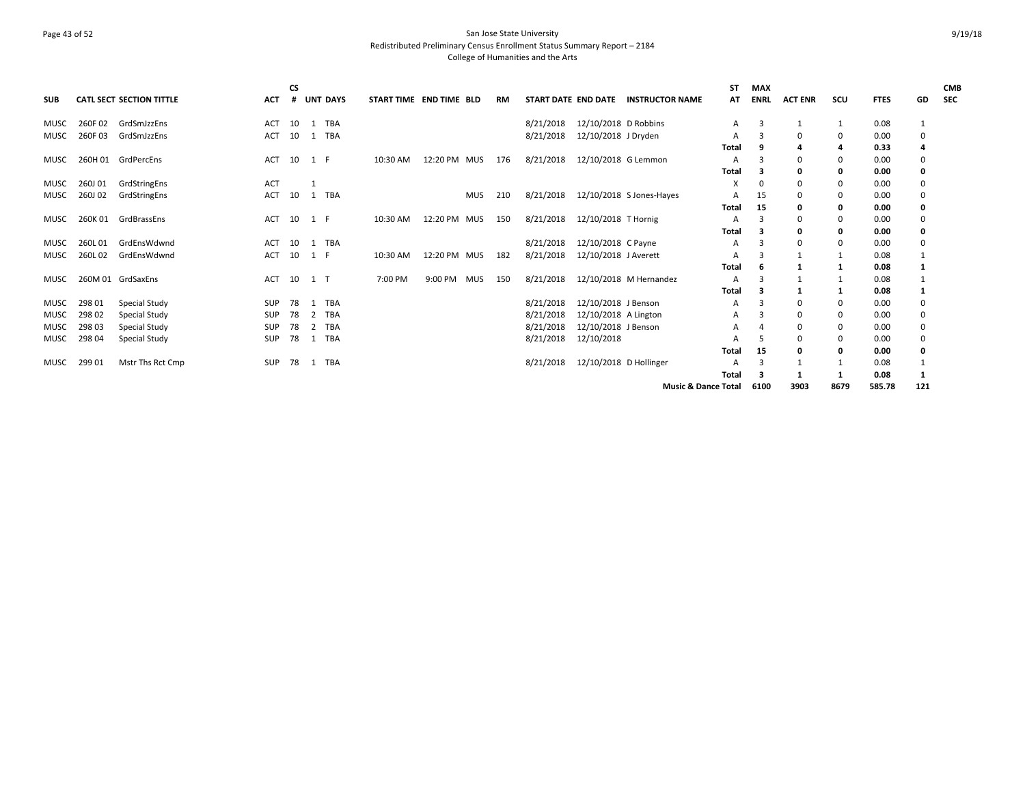## Page 43 of 52 San Jose State University Redistributed Preliminary Census Enrollment Status Summary Report – 2184 College of Humanities and the Arts

| <b>SUB</b>  |         | <b>CATL SECT SECTION TITTLE</b> | <b>ACT</b> | CS<br># |       | <b>UNT DAYS</b> | START TIME END TIME BLD |              |            | RM  | START DATE END DATE |                        | <b>INSTRUCTOR NAME</b>         | ST<br>AT | <b>MAX</b><br><b>ENRL</b> | <b>ACT ENR</b> | SCU          | <b>FTES</b> | GD           | <b>CMB</b><br><b>SEC</b> |
|-------------|---------|---------------------------------|------------|---------|-------|-----------------|-------------------------|--------------|------------|-----|---------------------|------------------------|--------------------------------|----------|---------------------------|----------------|--------------|-------------|--------------|--------------------------|
| <b>MUSC</b> | 260F02  | GrdSmJzzEns                     | <b>ACT</b> | 10      |       | 1 TBA           |                         |              |            |     | 8/21/2018           | 12/10/2018 D Robbins   |                                | A        | 3                         |                | 1            | 0.08        |              |                          |
| <b>MUSC</b> | 260F03  | GrdSmJzzEns                     | <b>ACT</b> | 10      | 1     | TBA             |                         |              |            |     | 8/21/2018           | 12/10/2018 J Dryden    |                                | Α        |                           | $\Omega$       | 0            | 0.00        | 0            |                          |
|             |         |                                 |            |         |       |                 |                         |              |            |     |                     |                        |                                | Total    |                           |                | 4            | 0.33        |              |                          |
| MUSC        |         | 260H 01 GrdPercEns              | <b>ACT</b> | 10      | 1 F   |                 | 10:30 AM                | 12:20 PM MUS |            | 176 | 8/21/2018           | 12/10/2018 G Lemmon    |                                | Α        |                           | 0              | 0            | 0.00        | 0            |                          |
|             |         |                                 |            |         |       |                 |                         |              |            |     |                     |                        |                                | Total    |                           | 0              | 0            | 0.00        | 0            |                          |
| <b>MUSC</b> | 260J01  | GrdStringEns                    | <b>ACT</b> |         |       |                 |                         |              |            |     |                     |                        |                                | X        |                           | 0              | 0            | 0.00        | 0            |                          |
| MUSC        | 260J 02 | GrdStringEns                    | ACT        | 10      |       | 1 TBA           |                         |              | MUS        | 210 | 8/21/2018           |                        | 12/10/2018 S Jones-Hayes       | A        | 15                        | 0              | 0            | 0.00        | 0            |                          |
|             |         |                                 |            |         |       |                 |                         |              |            |     |                     |                        |                                | Total    | 15                        | 0              | 0            | 0.00        | 0            |                          |
| MUSC        | 260K 01 | GrdBrassEns                     | <b>ACT</b> | 10      | 1 F   |                 | 10:30 AM                | 12:20 PM MUS |            | 150 | 8/21/2018           | 12/10/2018 T Hornig    |                                | A        |                           | 0              | 0            | 0.00        | 0            |                          |
|             |         |                                 |            |         |       |                 |                         |              |            |     |                     |                        |                                | Total    |                           |                | 0            | 0.00        | 0            |                          |
| <b>MUSC</b> | 260L01  | GrdEnsWdwnd                     | <b>ACT</b> | 10      |       | 1 TBA           |                         |              |            |     | 8/21/2018           | 12/10/2018 C Payne     |                                | А        |                           |                | 0            | 0.00        | 0            |                          |
| MUSC        | 260L02  | GrdEnsWdwnd                     | <b>ACT</b> | 10      | 1 F   |                 | 10:30 AM                | 12:20 PM MUS |            | 182 | 8/21/2018           | 12/10/2018 J Averett   |                                | Α        |                           |                |              | 0.08        |              |                          |
|             |         |                                 |            |         |       |                 |                         |              |            |     |                     |                        |                                | Total    |                           |                | -1           | 0.08        |              |                          |
| MUSC        |         | 260M 01 GrdSaxEns               | <b>ACT</b> | 10      | $1$ T |                 | 7:00 PM                 | 9:00 PM      | <b>MUS</b> | 150 | 8/21/2018           |                        | 12/10/2018 M Hernandez         | A        |                           |                | 1            | 0.08        |              |                          |
|             |         |                                 |            |         |       |                 |                         |              |            |     |                     |                        |                                | Total    |                           |                | 1            | 0.08        |              |                          |
| MUSC        | 298 01  | <b>Special Study</b>            | <b>SUP</b> | 78      | -1    | TBA             |                         |              |            |     | 8/21/2018           | 12/10/2018 J Benson    |                                | A        |                           | 0              | 0            | 0.00        | 0            |                          |
| <b>MUSC</b> | 298 02  | Special Study                   | SUP        | 78      | 2     | TBA             |                         |              |            |     | 8/21/2018           | 12/10/2018 A Lington   |                                | A        |                           | 0              | 0            | 0.00        | 0            |                          |
| MUSC        | 298 03  | Special Study                   | <b>SUP</b> | 78      | 2     | TBA             |                         |              |            |     | 8/21/2018           | 12/10/2018 J Benson    |                                | A        |                           |                | 0            | 0.00        | 0            |                          |
| MUSC        | 298 04  | Special Study                   | <b>SUP</b> | 78      |       | 1 TBA           |                         |              |            |     | 8/21/2018           | 12/10/2018             |                                | А        |                           | <sup>0</sup>   | 0            | 0.00        | 0            |                          |
|             |         |                                 |            |         |       |                 |                         |              |            |     |                     |                        |                                | Total    | 15                        | O              | 0            | 0.00        | 0            |                          |
| MUSC        | 299 01  | Mstr Ths Rct Cmp                | SUP        | 78      |       | 1 TBA           |                         |              |            |     | 8/21/2018           | 12/10/2018 D Hollinger |                                | A        | 3                         |                | 1            | 0.08        |              |                          |
|             |         |                                 |            |         |       |                 |                         |              |            |     |                     |                        |                                | Total    |                           |                | $\mathbf{1}$ | 0.08        | $\mathbf{1}$ |                          |
|             |         |                                 |            |         |       |                 |                         |              |            |     |                     |                        | <b>Music &amp; Dance Total</b> |          | 6100                      | 3903           | 8679         | 585.78      | 121          |                          |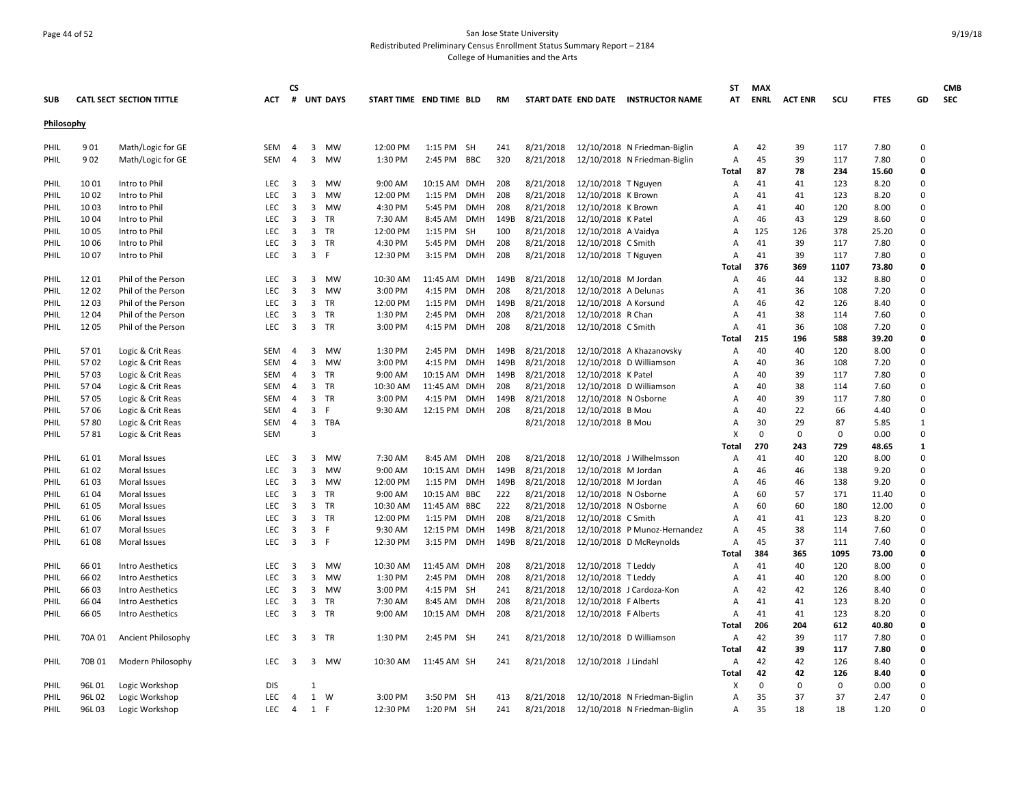## Page 44 of 52 San Jose State University Redistributed Preliminary Census Enrollment Status Summary Report – 2184 College of Humanities and the Arts

|            |        |                          |            | <b>CS</b>               |                         |                 |                         |              |            |      |           |                      |                                     | SΤ    | <b>MAX</b>  |                |             |             |              | <b>CMB</b> |
|------------|--------|--------------------------|------------|-------------------------|-------------------------|-----------------|-------------------------|--------------|------------|------|-----------|----------------------|-------------------------------------|-------|-------------|----------------|-------------|-------------|--------------|------------|
| <b>SUB</b> |        | CATL SECT SECTION TITTLE | ACT        | #                       |                         | <b>UNT DAYS</b> | START TIME END TIME BLD |              |            | RM   |           |                      | START DATE END DATE INSTRUCTOR NAME | АТ    | <b>ENRL</b> | <b>ACT ENR</b> | scu         | <b>FTES</b> | GD           | <b>SEC</b> |
| Philosophy |        |                          |            |                         |                         |                 |                         |              |            |      |           |                      |                                     |       |             |                |             |             |              |            |
|            |        |                          |            |                         |                         |                 |                         |              |            |      |           |                      |                                     |       |             |                |             |             |              |            |
| PHIL       | 901    | Math/Logic for GE        | <b>SEM</b> | $\overline{4}$          | 3                       | MW              | 12:00 PM                | 1:15 PM SH   |            | 241  | 8/21/2018 |                      | 12/10/2018 N Friedman-Biglin        | A     | 42          | 39             | 117         | 7.80        | $\Omega$     |            |
| PHIL       | 902    | Math/Logic for GE        | <b>SEM</b> | $\overline{4}$          | $\overline{3}$          | MW              | 1:30 PM                 | 2:45 PM BBC  |            | 320  | 8/21/2018 |                      | 12/10/2018 N Friedman-Biglin        | Α     | 45          | 39             | 117         | 7.80        | $\Omega$     |            |
|            |        |                          |            |                         |                         |                 |                         |              |            |      |           |                      |                                     | Total | 87          | 78             | 234         | 15.60       | 0            |            |
| PHIL       | 10 01  | Intro to Phil            | <b>LEC</b> | $\overline{\mathbf{3}}$ | 3                       | MW              | 9:00 AM                 | 10:15 AM     | <b>DMH</b> | 208  | 8/21/2018 | 12/10/2018 T Nguyen  |                                     | Α     | 41          | 41             | 123         | 8.20        | $\Omega$     |            |
| PHIL       | 10 02  | Intro to Phil            | LEC        | $\overline{\mathbf{3}}$ | 3                       | MW              | 12:00 PM                | 1:15 PM      | DMH        | 208  | 8/21/2018 | 12/10/2018 K Brown   |                                     | А     | 41          | 41             | 123         | 8.20        | $\Omega$     |            |
| PHIL       | 10 03  | Intro to Phil            | <b>LEC</b> | $\overline{\mathbf{3}}$ | 3                       | MW              | 4:30 PM                 | 5:45 PM      | <b>DMH</b> | 208  | 8/21/2018 | 12/10/2018 K Brown   |                                     | А     | 41          | 40             | 120         | 8.00        | $\Omega$     |            |
| PHIL       | 1004   | Intro to Phil            | LEC        | $\overline{\mathbf{3}}$ | $\overline{3}$          | TR              | 7:30 AM                 | 8:45 AM      | DMH        | 149B | 8/21/2018 | 12/10/2018 K Patel   |                                     | А     | 46          | 43             | 129         | 8.60        | $\Omega$     |            |
| PHIL       | 10 05  | Intro to Phil            | <b>LEC</b> | $\overline{\mathbf{3}}$ | 3                       | TR              | 12:00 PM                | 1:15 PM      | SH         | 100  | 8/21/2018 | 12/10/2018 A Vaidya  |                                     | А     | 125         | 126            | 378         | 25.20       | 0            |            |
| PHIL       | 10 06  | Intro to Phil            | <b>LEC</b> | $\overline{\mathbf{3}}$ | 3                       | <b>TR</b>       | 4:30 PM                 | 5:45 PM      | <b>DMH</b> | 208  | 8/21/2018 | 12/10/2018 C Smith   |                                     | A     | 41          | 39             | 117         | 7.80        | 0            |            |
| PHIL       | 1007   | Intro to Phil            | <b>LEC</b> | $\overline{\mathbf{3}}$ | 3 F                     |                 | 12:30 PM                | 3:15 PM      | <b>DMH</b> | 208  | 8/21/2018 | 12/10/2018 T Nguyen  |                                     | A     | 41          | 39             | 117         | 7.80        | $\Omega$     |            |
|            |        |                          |            |                         |                         |                 |                         |              |            |      |           |                      |                                     | Total | 376         | 369            | 1107        | 73.80       | O            |            |
| PHIL       | 1201   | Phil of the Person       | LEC        | $\overline{\mathbf{3}}$ | $\overline{3}$          | MW              | 10:30 AM                | 11:45 AM     | <b>DMH</b> | 149B | 8/21/2018 | 12/10/2018 M Jordan  |                                     | A     | 46          | 44             | 132         | 8.80        | $\Omega$     |            |
| PHIL       | 12 02  | Phil of the Person       | LEC        | 3                       | 3                       | MW              | 3:00 PM                 | 4:15 PM      | <b>DMH</b> | 208  | 8/21/2018 | 12/10/2018 A Delunas |                                     | Α     | 41          | 36             | 108         | 7.20        | 0            |            |
| PHIL       | 12 03  | Phil of the Person       | <b>LEC</b> | $\overline{\mathbf{3}}$ | 3                       | TR              | 12:00 PM                | 1:15 PM      | <b>DMH</b> | 149B | 8/21/2018 | 12/10/2018 A Korsund |                                     | A     | 46          | 42             | 126         | 8.40        | 0            |            |
| PHIL       | 12 04  | Phil of the Person       | <b>LEC</b> | 3                       | 3                       | TR              | 1:30 PM                 | 2:45 PM      | <b>DMH</b> | 208  | 8/21/2018 | 12/10/2018 R Chan    |                                     | A     | 41          | 38             | 114         | 7.60        | $\Omega$     |            |
| PHIL       | 12 05  | Phil of the Person       | LEC        | $\overline{\mathbf{3}}$ | 3 TR                    |                 | 3:00 PM                 | 4:15 PM      | <b>DMH</b> | 208  | 8/21/2018 | 12/10/2018 C Smith   |                                     | Α     | 41          | 36             | 108         | 7.20        | $\Omega$     |            |
|            |        |                          |            |                         |                         |                 |                         |              |            |      |           |                      |                                     | Total | 215         | 196            | 588         | 39.20       | 0            |            |
| PHIL       | 5701   | Logic & Crit Reas        | <b>SEM</b> | $\overline{4}$          | 3                       | MW              | 1:30 PM                 | 2:45 PM      | <b>DMH</b> | 149B | 8/21/2018 |                      | 12/10/2018 A Khazanovsky            | A     | 40          | 40             | 120         | 8.00        | $\Omega$     |            |
| PHIL       | 5702   | Logic & Crit Reas        | <b>SEM</b> | $\overline{4}$          | 3                       | <b>MW</b>       | 3:00 PM                 | 4:15 PM      | <b>DMH</b> | 149B | 8/21/2018 |                      | 12/10/2018 D Williamson             | Α     | 40          | 36             | 108         | 7.20        | $\Omega$     |            |
| PHIL       | 5703   | Logic & Crit Reas        | <b>SEM</b> | $\overline{4}$          | 3                       | TR              | 9:00 AM                 | 10:15 AM     | <b>DMH</b> | 149B | 8/21/2018 | 12/10/2018 K Patel   |                                     | A     | 40          | 39             | 117         | 7.80        | $\Omega$     |            |
| PHIL       | 5704   | Logic & Crit Reas        | <b>SEM</b> | $\overline{4}$          | 3                       | TR              | 10:30 AM                | 11:45 AM     | <b>DMH</b> | 208  | 8/21/2018 |                      | 12/10/2018 D Williamson             | А     | 40          | 38             | 114         | 7.60        | $\Omega$     |            |
| PHIL       | 5705   | Logic & Crit Reas        | SEM        | $\overline{4}$          | 3                       | <b>TR</b>       | 3:00 PM                 | 4:15 PM      | DMH        | 149B | 8/21/2018 | 12/10/2018 N Osborne |                                     | А     | 40          | 39             | 117         | 7.80        | $\Omega$     |            |
| PHIL       | 5706   | Logic & Crit Reas        | <b>SEM</b> | 4                       | 3                       | -F              | 9:30 AM                 | 12:15 PM DMH |            | 208  | 8/21/2018 | 12/10/2018 B Mou     |                                     | Α     | 40          | 22             | 66          | 4.40        | 0            |            |
| PHIL       | 5780   | Logic & Crit Reas        | SEM        | $\overline{4}$          | $\overline{\mathbf{3}}$ | TBA             |                         |              |            |      | 8/21/2018 | 12/10/2018 B Mou     |                                     | А     | 30          | 29             | 87          | 5.85        | $\mathbf{1}$ |            |
| PHIL       | 5781   | Logic & Crit Reas        | <b>SEM</b> |                         | 3                       |                 |                         |              |            |      |           |                      |                                     | x     | 0           | 0              | 0           | 0.00        | 0            |            |
|            |        |                          |            |                         |                         |                 |                         |              |            |      |           |                      |                                     | Total | 270         | 243            | 729         | 48.65       | $\mathbf{1}$ |            |
| PHIL       | 61 01  | Moral Issues             | LEC        | $\overline{\mathbf{3}}$ | 3                       | <b>MW</b>       | 7:30 AM                 | 8:45 AM      | <b>DMH</b> | 208  | 8/21/2018 |                      | 12/10/2018 J Wilhelmsson            | A     | 41          | 40             | 120         | 8.00        | $\Omega$     |            |
| PHIL       | 61 02  | Moral Issues             | LEC        | $\overline{\mathbf{3}}$ | 3                       | <b>MW</b>       | 9:00 AM                 | 10:15 AM DMH |            | 149B | 8/21/2018 | 12/10/2018 M Jordan  |                                     | A     | 46          | 46             | 138         | 9.20        | 0            |            |
| PHIL       | 61 03  | Moral Issues             | LEC        | $\overline{\mathbf{3}}$ | $\overline{3}$          | MW              | 12:00 PM                | 1:15 PM      | <b>DMH</b> | 149B | 8/21/2018 | 12/10/2018 M Jordan  |                                     | А     | 46          | 46             | 138         | 9.20        | $\Omega$     |            |
| PHIL       | 61 04  | Moral Issues             | LEC        | $\overline{\mathbf{3}}$ | 3                       | TR              | 9:00 AM                 | 10:15 AM     | <b>BBC</b> | 222  | 8/21/2018 | 12/10/2018 N Osborne |                                     | Α     | 60          | 57             | 171         | 11.40       | 0            |            |
| PHIL       | 61 05  | Moral Issues             | <b>LEC</b> | $\overline{\mathbf{3}}$ | 3                       | TR              | 10:30 AM                | 11:45 AM     | BBC        | 222  | 8/21/2018 | 12/10/2018 N Osborne |                                     | A     | 60          | 60             | 180         | 12.00       | 0            |            |
| PHIL       | 61 06  | Moral Issues             | LEC        | $\overline{\mathbf{3}}$ | 3 TR                    |                 | 12:00 PM                | 1:15 PM      | <b>DMH</b> | 208  | 8/21/2018 | 12/10/2018 C Smith   |                                     | А     | 41          | 41             | 123         | 8.20        | $\Omega$     |            |
| PHIL       | 61 07  | Moral Issues             | <b>LEC</b> | $\overline{\mathbf{3}}$ | 3                       | -F              | 9:30 AM                 | 12:15 PM     | <b>DMH</b> | 149B | 8/21/2018 |                      | 12/10/2018 P Munoz-Hernandez        | A     | 45          | 38             | 114         | 7.60        | $\Omega$     |            |
| PHIL       | 6108   | Moral Issues             | LEC        | $\overline{\mathbf{3}}$ | 3 F                     |                 | 12:30 PM                | 3:15 PM      | <b>DMH</b> | 149B | 8/21/2018 |                      | 12/10/2018 D McReynolds             | Α     | 45          | 37             | 111         | 7.40        | $\Omega$     |            |
|            |        |                          |            |                         |                         |                 |                         |              |            |      |           |                      |                                     | Total | 384         | 365            | 1095        | 73.00       | 0            |            |
| PHIL       | 66 01  | <b>Intro Aesthetics</b>  | <b>LEC</b> | $\overline{\mathbf{3}}$ | 3                       | MW              | 10:30 AM                | 11:45 AM DMH |            | 208  | 8/21/2018 | 12/10/2018 T Leddy   |                                     | A     | 41          | 40             | 120         | 8.00        | $\Omega$     |            |
| PHIL       | 66 02  | Intro Aesthetics         | <b>LEC</b> | $\overline{3}$          | 3                       | <b>MW</b>       | 1:30 PM                 | 2:45 PM      | <b>DMH</b> | 208  | 8/21/2018 | 12/10/2018 T Leddy   |                                     | A     | 41          | 40             | 120         | 8.00        | $\Omega$     |            |
| PHIL       | 66 03  | Intro Aesthetics         | LEC        | $\overline{\mathbf{3}}$ | 3                       | MW              | 3:00 PM                 | 4:15 PM SH   |            | 241  | 8/21/2018 |                      | 12/10/2018 J Cardoza-Kon            | Α     | 42          | 42             | 126         | 8.40        | $\Omega$     |            |
| PHIL       | 66 04  | Intro Aesthetics         | LEC        | $\overline{\mathbf{3}}$ | $\overline{\mathbf{3}}$ | TR              | 7:30 AM                 | 8:45 AM      | DMH        | 208  | 8/21/2018 | 12/10/2018 F Alberts |                                     | A     | 41          | 41             | 123         | 8.20        | 0            |            |
| PHIL       | 66 05  | Intro Aesthetics         | LEC        | $\overline{\mathbf{3}}$ | 3                       | TR              | 9:00 AM                 | 10:15 AM     | <b>DMH</b> | 208  | 8/21/2018 | 12/10/2018 F Alberts |                                     | Α     | 41          | 41             | 123         | 8.20        | 0            |            |
|            |        |                          |            |                         |                         |                 |                         |              |            |      |           |                      |                                     | Total | 206         | 204            | 612         | 40.80       | 0            |            |
|            | 70A 01 |                          | <b>LEC</b> | $\overline{\mathbf{3}}$ | 3 TR                    |                 | 1:30 PM                 | 2:45 PM SH   |            |      | 8/21/2018 |                      | 12/10/2018 D Williamson             |       | 42          | 39             | 117         | 7.80        | $\Omega$     |            |
| PHIL       |        | Ancient Philosophy       |            |                         |                         |                 |                         |              |            | 241  |           |                      |                                     | Α     | 42          | 39             | 117         | 7.80        | 0            |            |
|            |        |                          |            |                         |                         |                 |                         |              |            |      |           |                      |                                     | Total |             |                |             |             |              |            |
| PHIL       | 70B 01 | Modern Philosophy        | LEC        | $\overline{\mathbf{3}}$ |                         | 3 MW            | 10:30 AM                | 11:45 AM SH  |            | 241  | 8/21/2018 | 12/10/2018 J Lindahl |                                     | Α     | 42          | 42             | 126         | 8.40        | 0            |            |
|            |        |                          |            |                         |                         |                 |                         |              |            |      |           |                      |                                     | Total | 42          | 42             | 126         | 8.40        | 0            |            |
| PHIL       | 96L01  | Logic Workshop           | <b>DIS</b> |                         | $\mathbf{1}$            |                 |                         |              |            |      |           |                      |                                     | X     | $\mathbf 0$ | 0              | $\mathbf 0$ | 0.00        | 0            |            |
| PHIL       | 96L 02 | Logic Workshop           | LEC        | 4                       | 1 W                     |                 | 3:00 PM                 | 3:50 PM SH   |            | 413  | 8/21/2018 |                      | 12/10/2018 N Friedman-Biglin        | Α     | 35          | 37             | 37          | 2.47        | $\Omega$     |            |
| PHIL       | 96L03  | Logic Workshop           | LEC        | $\overline{4}$          | 1 F                     |                 | 12:30 PM                | 1:20 PM SH   |            | 241  | 8/21/2018 |                      | 12/10/2018 N Friedman-Biglin        | Α     | 35          | 18             | 18          | 1.20        | $\Omega$     |            |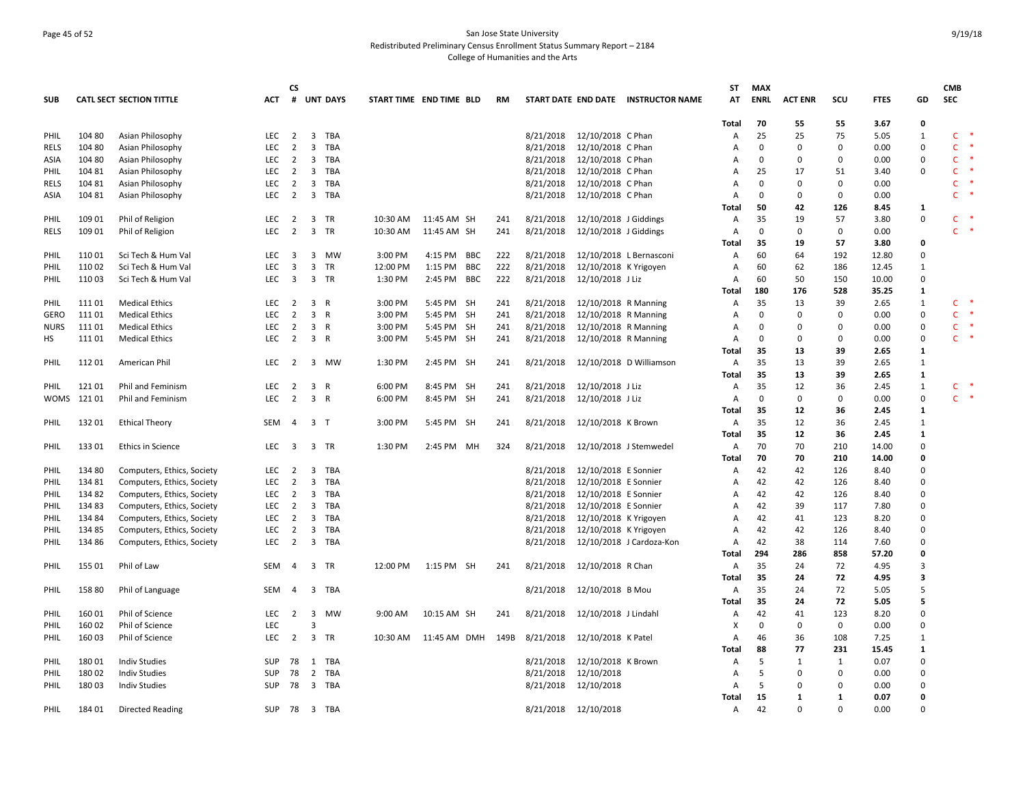## Page 45 of 52 San Jose State University Redistributed Preliminary Census Enrollment Status Summary Report – 2184 College of Humanities and the Arts

|             |        |                                 |            | <b>CS</b>               |                         |            |                         |              |            |           |           |                        |                                     | ST             | <b>MAX</b>  |                |              |             |              | <b>CMB</b>   |        |
|-------------|--------|---------------------------------|------------|-------------------------|-------------------------|------------|-------------------------|--------------|------------|-----------|-----------|------------------------|-------------------------------------|----------------|-------------|----------------|--------------|-------------|--------------|--------------|--------|
| <b>SUB</b>  |        | <b>CATL SECT SECTION TITTLE</b> | <b>ACT</b> |                         |                         | # UNT DAYS | START TIME END TIME BLD |              |            | <b>RM</b> |           |                        | START DATE END DATE INSTRUCTOR NAME | AT             | <b>ENRL</b> | <b>ACT ENR</b> | SCU          | <b>FTES</b> | GD           | <b>SEC</b>   |        |
|             |        |                                 |            |                         |                         |            |                         |              |            |           |           |                        |                                     | Total          | 70          | 55             | 55           | 3.67        | 0            |              |        |
| PHIL        | 104 80 | Asian Philosophy                | <b>LEC</b> | $\overline{2}$          | $\overline{\mathbf{3}}$ | TBA        |                         |              |            |           | 8/21/2018 | 12/10/2018 C Phan      |                                     | Α              | 25          | 25             | 75           | 5.05        | 1            | C            | ∗      |
| <b>RELS</b> | 104 80 | Asian Philosophy                | <b>LEC</b> | $\overline{2}$          | $\overline{\mathbf{3}}$ | <b>TBA</b> |                         |              |            |           | 8/21/2018 | 12/10/2018 C Phan      |                                     | $\overline{A}$ | 0           | 0              | $\Omega$     | 0.00        | 0            | $\mathsf{C}$ | $\ast$ |
| ASIA        | 104 80 | Asian Philosophy                | <b>LEC</b> | $\overline{2}$          | $\overline{\mathbf{3}}$ | <b>TBA</b> |                         |              |            |           | 8/21/2018 | 12/10/2018 C Phan      |                                     | A              | $\mathbf 0$ | 0              | $\mathbf 0$  | 0.00        | 0            | $\mathsf{C}$ | $\ast$ |
| PHIL        | 104 81 | Asian Philosophy                | <b>LEC</b> | 2                       | $\overline{\mathbf{3}}$ | TBA        |                         |              |            |           | 8/21/2018 | 12/10/2018 C Phan      |                                     | A              | 25          | 17             | 51           | 3.40        | 0            | C            | ∗      |
| <b>RELS</b> | 104 81 | Asian Philosophy                | <b>LEC</b> | $\overline{2}$          | $\overline{\mathbf{3}}$ | TBA        |                         |              |            |           | 8/21/2018 | 12/10/2018 C Phan      |                                     | $\overline{A}$ | $\Omega$    | 0              | $\mathbf 0$  | 0.00        |              | $\mathsf{C}$ |        |
| ASIA        | 104 81 | Asian Philosophy                | <b>LEC</b> | $\overline{2}$          | $\overline{\mathbf{3}}$ | <b>TBA</b> |                         |              |            |           | 8/21/2018 | 12/10/2018 C Phan      |                                     | A              | $\Omega$    | $\mathbf 0$    | $\mathbf 0$  | 0.00        |              | $\mathsf{C}$ |        |
|             |        |                                 |            |                         |                         |            |                         |              |            |           |           |                        |                                     | Total          | 50          | 42             | 126          | 8.45        | 1            |              |        |
| PHIL        | 109 01 | Phil of Religion                | <b>LEC</b> | 2                       |                         | 3 TR       | 10:30 AM                | 11:45 AM SH  |            | 241       | 8/21/2018 | 12/10/2018 J Giddings  |                                     | Α              | 35          | 19             | 57           | 3.80        | 0            | C            |        |
| <b>RELS</b> | 109 01 | Phil of Religion                | <b>LEC</b> | $\overline{2}$          | $\overline{3}$          | <b>TR</b>  | 10:30 AM                | 11:45 AM SH  |            | 241       | 8/21/2018 | 12/10/2018 J Giddings  |                                     | Α              | $\mathbf 0$ | $\mathbf 0$    | $\mathbf 0$  | 0.00        |              | $\mathsf{C}$ | $\ast$ |
|             |        |                                 |            |                         |                         |            |                         |              |            |           |           |                        |                                     | Total          | 35          | 19             | 57           | 3.80        | 0            |              |        |
| PHIL        | 110 01 | Sci Tech & Hum Val              | LEC        | $\overline{\mathbf{3}}$ | $\overline{\mathbf{3}}$ | <b>MW</b>  | 3:00 PM                 | 4:15 PM BBC  |            | 222       | 8/21/2018 |                        | 12/10/2018 L Bernasconi             | Α              | 60          | 64             | 192          | 12.80       | 0            |              |        |
| PHIL        | 110 02 | Sci Tech & Hum Val              | <b>LEC</b> | $\overline{3}$          | $\overline{3}$          | TR         | 12:00 PM                | 1:15 PM      | <b>BBC</b> | 222       | 8/21/2018 | 12/10/2018 K Yrigoyen  |                                     | Α              | 60          | 62             | 186          | 12.45       | 1            |              |        |
| PHIL        | 110 03 | Sci Tech & Hum Val              | <b>LEC</b> | $\overline{\mathbf{3}}$ | 3 TR                    |            | 1:30 PM                 | 2:45 PM BBC  |            | 222       | 8/21/2018 | 12/10/2018 J Liz       |                                     | A              | 60          | 50             | 150          | 10.00       | $\mathbf 0$  |              |        |
|             |        |                                 |            |                         |                         |            |                         |              |            |           |           |                        |                                     | Total          | 180         | 176            | 528          | 35.25       | $\mathbf{1}$ |              |        |
| PHIL        | 111 01 | <b>Medical Ethics</b>           | LEC        | $\overline{2}$          | $\overline{3}$          | R          | 3:00 PM                 | 5:45 PM      | - SH       | 241       | 8/21/2018 | 12/10/2018 R Manning   |                                     | A              | 35          | 13             | 39           | 2.65        | $\mathbf{1}$ | $\mathsf{C}$ | $\ast$ |
| GERO        | 111 01 | <b>Medical Ethics</b>           | <b>LEC</b> | 2                       | $\overline{3}$          | R          | 3:00 PM                 | 5:45 PM      | SH         | 241       | 8/21/2018 | 12/10/2018 R Manning   |                                     | A              | $\Omega$    | 0              | 0            | 0.00        | 0            | $\mathsf{C}$ | $\ast$ |
| <b>NURS</b> | 111 01 | <b>Medical Ethics</b>           | <b>LEC</b> | 2                       | 3 R                     |            | 3:00 PM                 | 5:45 PM SH   |            | 241       | 8/21/2018 | 12/10/2018 R Manning   |                                     | A              | $\Omega$    | 0              | $\Omega$     | 0.00        | $\Omega$     | $\mathsf{C}$ | $\ast$ |
| НS          | 11101  | <b>Medical Ethics</b>           | <b>LEC</b> | $\overline{2}$          | 3 R                     |            | 3:00 PM                 | 5:45 PM SH   |            | 241       | 8/21/2018 | 12/10/2018 R Manning   |                                     | Α              | $\Omega$    | 0              | 0            | 0.00        | 0            | $\mathsf{C}$ | $\ast$ |
|             |        |                                 |            |                         |                         |            |                         |              |            |           |           |                        |                                     | Total          | 35          | 13             | 39           | 2.65        | 1            |              |        |
| PHIL        | 112 01 | American Phil                   | <b>LEC</b> | $\overline{2}$          |                         | 3 MW       | 1:30 PM                 | 2:45 PM SH   |            | 241       | 8/21/2018 |                        | 12/10/2018 D Williamson             | Α              | 35          | 13             | 39           | 2.65        | $\mathbf{1}$ |              |        |
|             |        |                                 |            |                         |                         |            |                         |              |            |           |           |                        |                                     | <b>Total</b>   | 35          | 13             | 39           | 2.65        | 1            |              |        |
| PHIL        | 121 01 | Phil and Feminism               | <b>LEC</b> | $\overline{2}$          | $\overline{3}$          | R          | 6:00 PM                 | 8:45 PM SH   |            | 241       | 8/21/2018 | 12/10/2018 J Liz       |                                     | Α              | 35          | 12             | 36           | 2.45        | $\mathbf{1}$ | C            |        |
| WOMS 12101  |        | Phil and Feminism               | <b>LEC</b> | 2                       | 3 R                     |            | 6:00 PM                 | 8:45 PM SH   |            | 241       | 8/21/2018 | 12/10/2018 J Liz       |                                     | Α              | $\mathbf 0$ | $\mathbf 0$    | $\mathbf 0$  | 0.00        | 0            | $\mathsf{C}$ | $\ast$ |
|             |        |                                 |            |                         |                         |            |                         |              |            |           |           |                        |                                     | Total          | 35          | 12             | 36           | 2.45        | 1            |              |        |
| PHIL        | 132 01 | <b>Ethical Theory</b>           | SEM        | 4                       | 3 T                     |            | 3:00 PM                 | 5:45 PM SH   |            | 241       | 8/21/2018 | 12/10/2018 K Brown     |                                     | Α              | 35          | 12             | 36           | 2.45        | 1            |              |        |
|             |        |                                 |            |                         |                         |            |                         |              |            |           |           |                        |                                     | Total          | 35          | 12             | 36           | 2.45        | 1            |              |        |
| PHIL        | 133 01 | <b>Ethics in Science</b>        | <b>LEC</b> | 3                       |                         | 3 TR       | 1:30 PM                 | 2:45 PM MH   |            | 324       | 8/21/2018 | 12/10/2018 J Stemwedel |                                     | Α              | 70          | 70             | 210          | 14.00       | 0            |              |        |
|             |        |                                 |            |                         |                         |            |                         |              |            |           |           |                        |                                     | Total          | 70          | 70             | 210          | 14.00       | 0            |              |        |
| PHIL        | 134 80 | Computers, Ethics, Society      | <b>LEC</b> | $\overline{2}$          | 3                       | <b>TBA</b> |                         |              |            |           | 8/21/2018 | 12/10/2018 E Sonnier   |                                     | A              | 42          | 42             | 126          | 8.40        | $\Omega$     |              |        |
| PHIL        | 134 81 | Computers, Ethics, Society      | LEC        | $\overline{2}$          | $\overline{3}$          | <b>TBA</b> |                         |              |            |           | 8/21/2018 | 12/10/2018 E Sonnier   |                                     | A              | 42          | 42             | 126          | 8.40        | 0            |              |        |
| PHIL        | 134 82 | Computers, Ethics, Society      | <b>LEC</b> | $\overline{2}$          | $\overline{\mathbf{3}}$ | TBA        |                         |              |            |           | 8/21/2018 | 12/10/2018 E Sonnier   |                                     | A              | 42          | 42             | 126          | 8.40        | 0            |              |        |
| PHIL        | 134 83 | Computers, Ethics, Society      | <b>LEC</b> | 2                       | 3                       | TBA        |                         |              |            |           | 8/21/2018 | 12/10/2018 E Sonnier   |                                     | A              | 42          | 39             | 117          | 7.80        | 0            |              |        |
| PHIL        | 134 84 | Computers, Ethics, Society      | <b>LEC</b> | $\overline{2}$          | $\overline{\mathbf{3}}$ | <b>TBA</b> |                         |              |            |           | 8/21/2018 | 12/10/2018 K Yrigoyen  |                                     | A              | 42          | 41             | 123          | 8.20        | $\Omega$     |              |        |
| PHIL        | 134 85 | Computers, Ethics, Society      | LEC        | 2                       | $\overline{3}$          | <b>TBA</b> |                         |              |            |           | 8/21/2018 | 12/10/2018 K Yrigoyen  |                                     | A              | 42          | 42             | 126          | 8.40        | $\Omega$     |              |        |
| PHIL        | 134 86 | Computers, Ethics, Society      | <b>LEC</b> | $\overline{2}$          |                         | 3 TBA      |                         |              |            |           | 8/21/2018 |                        | 12/10/2018 J Cardoza-Kon            | Α              | 42          | 38             | 114          | 7.60        | 0            |              |        |
|             |        |                                 |            |                         |                         |            |                         |              |            |           |           |                        |                                     | Total          | 294         | 286            | 858          | 57.20       | 0            |              |        |
| PHIL        | 155 01 | Phil of Law                     | <b>SEM</b> | -4                      |                         | 3 TR       | 12:00 PM                | 1:15 PM SH   |            | 241       | 8/21/2018 | 12/10/2018 R Chan      |                                     | Α              | 35          | 24             | 72           | 4.95        | 3            |              |        |
|             |        |                                 |            |                         |                         |            |                         |              |            |           |           |                        |                                     | <b>Total</b>   | 35          | 24             | 72           | 4.95        | 3            |              |        |
| PHIL        | 158 80 | Phil of Language                | SEM        | $\overline{4}$          | $\overline{\mathbf{3}}$ | TBA        |                         |              |            |           | 8/21/2018 | 12/10/2018 B Mou       |                                     | A              | 35          | 24             | 72           | 5.05        | 5            |              |        |
|             |        |                                 |            |                         |                         |            |                         |              |            |           |           |                        |                                     | Total          | 35          | 24             | 72           | 5.05        | 5            |              |        |
| PHIL        | 160 01 | Phil of Science                 | <b>LEC</b> | $\overline{2}$          | $\overline{3}$          | MW         | 9:00 AM                 | 10:15 AM SH  |            | 241       | 8/21/2018 | 12/10/2018 J Lindahl   |                                     | A              | 42          | 41             | 123          | 8.20        | 0            |              |        |
| PHIL        | 160 02 | Phil of Science                 | LEC        |                         | 3                       |            |                         |              |            |           |           |                        |                                     | х              | $\mathbf 0$ | $\mathbf 0$    | $\mathsf 0$  | 0.00        | 0            |              |        |
| PHIL        | 160 03 | Phil of Science                 | <b>LEC</b> | $\overline{2}$          |                         | 3 TR       | 10:30 AM                | 11:45 AM DMH |            | 149B      | 8/21/2018 | 12/10/2018 K Patel     |                                     | Α              | 46          | 36             | 108          | 7.25        | 1            |              |        |
|             |        |                                 |            |                         |                         |            |                         |              |            |           |           |                        |                                     | <b>Total</b>   | 88          | 77             | 231          | 15.45       | 1            |              |        |
| PHIL        | 18001  | <b>Indiv Studies</b>            | <b>SUP</b> | 78                      | 1                       | <b>TBA</b> |                         |              |            |           | 8/21/2018 | 12/10/2018 K Brown     |                                     | Α              | 5           | 1              | $\mathbf{1}$ | 0.07        | 0            |              |        |
| PHIL        | 18002  | <b>Indiv Studies</b>            | SUP        | 78                      | $\overline{2}$          | <b>TBA</b> |                         |              |            |           | 8/21/2018 | 12/10/2018             |                                     | A              | -5          | 0              | 0            | 0.00        | 0            |              |        |
| PHIL        | 180 03 | <b>Indiv Studies</b>            | SUP        | - 78                    |                         | 3 TBA      |                         |              |            |           | 8/21/2018 | 12/10/2018             |                                     | Α              | 5           | $\Omega$       | $\Omega$     | 0.00        | 0            |              |        |
|             |        |                                 |            |                         |                         |            |                         |              |            |           |           |                        |                                     | Total          | 15          | 1              | 1            | 0.07        | 0            |              |        |
| PHIL        | 184 01 | <b>Directed Reading</b>         | <b>SUP</b> | 78                      | $\overline{\mathbf{3}}$ | TBA        |                         |              |            |           |           | 8/21/2018 12/10/2018   |                                     | $\overline{A}$ | 42          | $\Omega$       | $\Omega$     | 0.00        | $\Omega$     |              |        |
|             |        |                                 |            |                         |                         |            |                         |              |            |           |           |                        |                                     |                |             |                |              |             |              |              |        |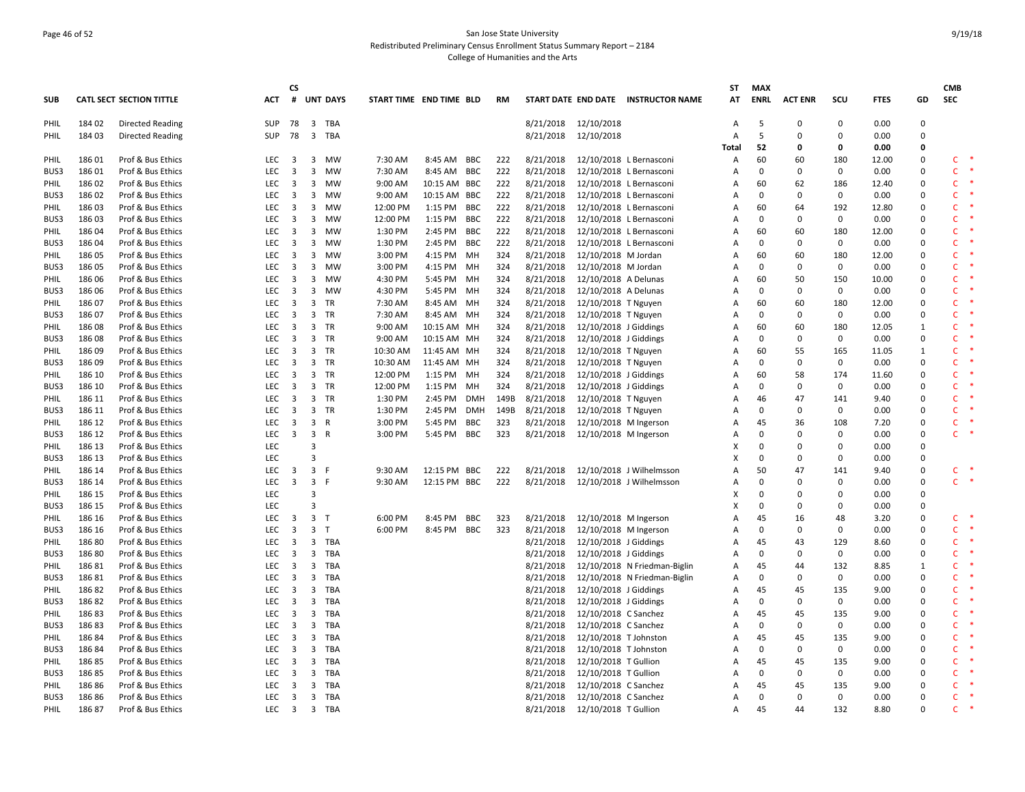# Page 46 of 52 San Jose State University Redistributed Preliminary Census Enrollment Status Summary Report – 2184 College of Humanities and the Arts

|             |                  |                                        |                  | CS                      |                         |                 |                         |              |     |            |                        |                                                |                                     | ST           | <b>MAX</b>  |                |             |              |                  | <b>CMB</b>        |        |
|-------------|------------------|----------------------------------------|------------------|-------------------------|-------------------------|-----------------|-------------------------|--------------|-----|------------|------------------------|------------------------------------------------|-------------------------------------|--------------|-------------|----------------|-------------|--------------|------------------|-------------------|--------|
| <b>SUB</b>  |                  | <b>CATL SECT SECTION TITTLE</b>        | ACT              | #                       |                         | <b>UNT DAYS</b> | START TIME END TIME BLD |              |     | <b>RM</b>  |                        |                                                | START DATE END DATE INSTRUCTOR NAME | АT           | <b>ENRL</b> | <b>ACT ENR</b> | scu         | <b>FTES</b>  | GD               | <b>SEC</b>        |        |
|             |                  |                                        |                  |                         |                         |                 |                         |              |     |            |                        |                                                |                                     |              |             |                |             |              |                  |                   |        |
| PHIL        | 184 02           | <b>Directed Reading</b>                | SUP              |                         |                         | 78 3 TBA        |                         |              |     |            | 8/21/2018              | 12/10/2018                                     |                                     | Α            | 5           | $\mathbf 0$    | $\Omega$    | 0.00         | $\mathbf 0$      |                   |        |
| PHIL        | 184 03           | <b>Directed Reading</b>                | <b>SUP</b>       | 78                      | $\overline{\mathbf{3}}$ | TBA             |                         |              |     |            | 8/21/2018              | 12/10/2018                                     |                                     | Α            | 5           | $\mathbf 0$    | 0           | 0.00         | 0                |                   |        |
|             |                  |                                        |                  |                         |                         |                 |                         |              |     |            |                        |                                                |                                     | <b>Total</b> | 52          | 0              | 0           | 0.00         | 0                |                   |        |
| <b>PHIL</b> | 186 01           | Prof & Bus Ethics                      | LEC              | $\overline{\mathbf{3}}$ | $\overline{\mathbf{3}}$ | <b>MW</b>       | 7:30 AM                 | 8:45 AM BBC  |     | 222        | 8/21/2018              |                                                | 12/10/2018 L Bernasconi             | Α            | 60          | 60             | 180         | 12.00        | $\Omega$         | $\;$ $\;$<br>C    |        |
| BUS3        | 186 01           | Prof & Bus Ethics                      | LEC              | $\overline{\mathbf{3}}$ | 3                       | <b>MW</b>       | 7:30 AM                 | 8:45 AM BBC  |     | 222        | 8/21/2018              |                                                | 12/10/2018 L Bernasconi             | Α            | $\mathbf 0$ | $\Omega$       | $\mathbf 0$ | 0.00         | 0                | $\mathsf{C}$      |        |
| PHIL        | 186 02           | Prof & Bus Ethics                      | LEC              | $\overline{\mathbf{3}}$ | $\overline{\mathbf{3}}$ | MW              | 9:00 AM                 | 10:15 AM BBC |     | 222        | 8/21/2018              |                                                | 12/10/2018 L Bernasconi             | Α            | 60          | 62             | 186         | 12.40        | 0                | $\mathsf{C}$      |        |
| BUS3        | 186 02           | Prof & Bus Ethics                      | LEC              | 3                       | 3                       | MW              | 9:00 AM                 | 10:15 AM BBC |     | 222        | 8/21/2018              |                                                | 12/10/2018 L Bernasconi             | Α            | 0           | $\mathbf 0$    | 0           | 0.00         | 0                | $\mathsf{C}$      |        |
| PHIL        | 186 03           | Prof & Bus Ethics                      | LEC              | $\overline{\mathbf{3}}$ | $\overline{\mathbf{3}}$ | MW              | 12:00 PM                | 1:15 PM BBC  |     | 222        | 8/21/2018              |                                                | 12/10/2018 L Bernasconi             | Α            | 60          | 64             | 192         | 12.80        | 0                | $\mathsf{C}$      |        |
| BUS3        | 186 03           | Prof & Bus Ethics                      | LEC              | $\overline{\mathbf{3}}$ | $\overline{3}$          | <b>MW</b>       | 12:00 PM                | 1:15 PM BBC  |     | 222        | 8/21/2018              |                                                | 12/10/2018 L Bernasconi             | Α            | $\Omega$    | $\Omega$       | 0           | 0.00         | $\mathbf 0$      | Ċ                 |        |
| PHIL        | 186 04           | Prof & Bus Ethics                      | LEC              | $\overline{3}$          | 3                       | <b>MW</b>       | 1:30 PM                 | 2:45 PM BBC  |     | 222        | 8/21/2018              |                                                | 12/10/2018 L Bernasconi             | Α            | 60          | 60             | 180         | 12.00        | 0                | $\mathsf{C}$      |        |
| BUS3        | 186 04           | Prof & Bus Ethics                      | LEC              | $\overline{\mathbf{3}}$ | $\overline{\mathbf{3}}$ | MW              | 1:30 PM                 | 2:45 PM BBC  |     | 222        | 8/21/2018              |                                                | 12/10/2018 L Bernasconi             | Α            | $\mathbf 0$ | $\mathbf 0$    | $\mathbf 0$ | 0.00         | 0                | C.                |        |
| PHIL        | 186 05           | Prof & Bus Ethics                      | LEC              | 3                       | $\overline{\mathbf{3}}$ | MW              | 3:00 PM                 | 4:15 PM      | MН  | 324        | 8/21/2018              | 12/10/2018 M Jordan                            |                                     | Α            | 60          | 60             | 180         | 12.00        | 0                | $\mathsf{C}$      |        |
| BUS3        | 186 05           | Prof & Bus Ethics                      | LEC              | $\overline{\mathbf{3}}$ | $\overline{\mathbf{3}}$ | MW              | 3:00 PM                 | 4:15 PM MH   |     | 324        | 8/21/2018              | 12/10/2018 M Jordan                            |                                     | Α            | 0           | $\mathbf 0$    | 0           | 0.00         | 0                | $\mathsf{C}$      |        |
| PHIL        | 186 06           | Prof & Bus Ethics                      | LEC              | 3                       | $\overline{\mathbf{3}}$ | <b>MW</b>       | 4:30 PM                 | 5:45 PM MH   |     | 324        | 8/21/2018              | 12/10/2018 A Delunas                           |                                     | Α            | 60          | 50             | 150         | 10.00        | 0                | Ċ                 |        |
| BUS3        | 186 06           | Prof & Bus Ethics                      | <b>LEC</b>       | $\overline{\mathbf{3}}$ | $\overline{3}$          | <b>MW</b>       | 4:30 PM                 | 5:45 PM MH   |     | 324        | 8/21/2018              | 12/10/2018 A Delunas                           |                                     | Α            | $\mathbf 0$ | $\Omega$       | $\mathbf 0$ | 0.00         | 0                | $\mathsf{C}$      |        |
| PHIL        | 186 07           | Prof & Bus Ethics                      | LEC              | $\overline{\mathbf{3}}$ | $\overline{\mathbf{3}}$ | TR              | 7:30 AM                 | 8:45 AM MH   |     | 324        | 8/21/2018              | 12/10/2018 T Nguyen                            |                                     | Α            | 60          | 60             | 180         | 12.00        | 0                | C.                |        |
| BUS3        | 186 07           | Prof & Bus Ethics                      | LEC              | 3                       | $\overline{3}$          | TR              | 7:30 AM                 | 8:45 AM MH   |     | 324        | 8/21/2018              | 12/10/2018 T Nguyen                            |                                     | Α            | $\mathbf 0$ | $\mathbf 0$    | 0           | 0.00         | $\mathbf 0$      | $\mathsf{C}$      |        |
| PHIL        | 186 08           | Prof & Bus Ethics                      | LEC              | $\overline{\mathbf{3}}$ | $\overline{\mathbf{3}}$ | TR              | 9:00 AM                 | 10:15 AM MH  |     | 324        | 8/21/2018              | 12/10/2018 J Giddings                          |                                     | Α            | 60          | 60             | 180         | 12.05        | 1                | $\mathsf{C}$      |        |
| BUS3        | 18608            | Prof & Bus Ethics                      | LEC              | $\overline{\mathbf{3}}$ | $\overline{\mathbf{3}}$ | TR              | 9:00 AM                 | 10:15 AM MH  |     | 324        | 8/21/2018              | 12/10/2018 J Giddings                          |                                     | Α            | $\Omega$    | $\Omega$       | 0           | 0.00         | 0                | $\mathsf{C}$      |        |
| PHIL        | 186 09           | Prof & Bus Ethics                      | LEC              | $\overline{\mathbf{3}}$ | $\overline{3}$          | TR              | 10:30 AM                | 11:45 AM MH  |     | 324        | 8/21/2018              | 12/10/2018 T Nguyen                            |                                     | Α            | 60          | 55             | 165         | 11.05        | 1                | $\mathsf{C}$      |        |
| BUS3        | 186 09           | Prof & Bus Ethics                      | LEC              | $\overline{\mathbf{3}}$ |                         | 3 TR            | 10:30 AM                | 11:45 AM MH  |     | 324        | 8/21/2018              | 12/10/2018 T Nguyen                            |                                     | Α            | $\Omega$    | $\Omega$       | $\mathbf 0$ | 0.00         | 0                | $\mathsf{C}$      |        |
| PHIL        | 186 10           | Prof & Bus Ethics                      | LEC              | 3                       | $\overline{3}$          | TR              | 12:00 PM                | 1:15 PM      | MH  | 324        | 8/21/2018              | 12/10/2018 J Giddings                          |                                     | Α            | 60          | 58             | 174         | 11.60        | 0                | $\mathsf{C}$      |        |
| BUS3        | 186 10           | Prof & Bus Ethics                      | LEC              | $\overline{\mathbf{3}}$ | $\overline{\mathbf{3}}$ | TR              | 12:00 PM                | 1:15 PM MH   |     | 324        | 8/21/2018              | 12/10/2018 J Giddings                          |                                     | Α            | 0           | $\mathbf 0$    | 0           | 0.00         | 0                | $\mathsf{C}$      |        |
| PHIL        | 186 11           | Prof & Bus Ethics                      | LEC              | $\overline{\mathbf{3}}$ | $\overline{\mathbf{3}}$ | TR              | 1:30 PM                 | 2:45 PM DMH  |     | 149B       | 8/21/2018              | 12/10/2018 T Nguyen                            |                                     | Α            | 46          | 47             | 141         | 9.40         | 0                | $\mathsf{C}$      |        |
| BUS3        | 186 11           | Prof & Bus Ethics                      | LEC              | $\overline{\mathbf{3}}$ |                         | 3 TR            | 1:30 PM                 | 2:45 PM      | DMH | 149B       | 8/21/2018              | 12/10/2018 T Nguyen                            |                                     | Α            | 0           | $\Omega$       | $\mathbf 0$ | 0.00         | 0                | $\mathsf{C}$      |        |
| PHIL        | 186 12           | Prof & Bus Ethics                      | LEC              | $\overline{3}$          | $\overline{\mathbf{3}}$ | $\mathsf{R}$    | 3:00 PM                 | 5:45 PM BBC  |     | 323        | 8/21/2018              | 12/10/2018 M Ingerson                          |                                     | Α            | 45          | 36             | 108         | 7.20         | $\mathbf 0$      | C                 |        |
| BUS3        | 186 12           | Prof & Bus Ethics                      | LEC              | $\overline{\mathbf{3}}$ | $\overline{\mathbf{3}}$ | R               | 3:00 PM                 | 5:45 PM BBC  |     | 323        | 8/21/2018              | 12/10/2018 M Ingerson                          |                                     | A            | $\mathbf 0$ | $\mathbf 0$    | 0           | 0.00         | 0                | $\mathsf{C}$      |        |
| PHIL        | 186 13           | Prof & Bus Ethics                      | LEC              |                         | 3                       |                 |                         |              |     |            |                        |                                                |                                     | X            | 0           | $\mathbf 0$    | $\mathbf 0$ | 0.00         | 0                |                   |        |
| BUS3        | 186 13           | Prof & Bus Ethics                      | LEC              |                         | 3                       |                 |                         |              |     |            |                        |                                                |                                     | x            | $\Omega$    | $\Omega$       | 0           | 0.00         | 0                |                   |        |
| PHIL        | 186 14           | Prof & Bus Ethics                      | LEC              | $\overline{\mathbf{3}}$ | $\overline{\mathbf{3}}$ |                 | 9:30 AM                 | 12:15 PM BBC |     | 222        | 8/21/2018              |                                                | 12/10/2018 J Wilhelmsson            | Α            | 50          | 47             | 141         | 9.40         | 0                | C.                |        |
| BUS3        | 186 14           | Prof & Bus Ethics                      | LEC              | $\overline{\mathbf{3}}$ | $\overline{3}$          | - F             | 9:30 AM                 | 12:15 PM BBC |     | 222        | 8/21/2018              |                                                | 12/10/2018 J Wilhelmsson            | Α            | $\Omega$    | $\Omega$       | $\mathbf 0$ | 0.00         | $\mathbf 0$      | $\mathsf{C}$      | $\ast$ |
| PHIL        | 186 15           | Prof & Bus Ethics                      | LEC              |                         | 3                       |                 |                         |              |     |            |                        |                                                |                                     | Χ            | $\Omega$    | $\Omega$       | $\Omega$    | 0.00         | 0                |                   |        |
| BUS3        | 186 15           | Prof & Bus Ethics                      | LEC              |                         | $\overline{3}$          |                 |                         |              |     |            |                        |                                                |                                     | X            | $\mathbf 0$ | $\mathbf 0$    | 0           | 0.00         | 0                |                   |        |
|             | 186 16           | Prof & Bus Ethics                      | LEC              | $\overline{\mathbf{3}}$ | $\overline{\mathbf{3}}$ | $\top$          | 6:00 PM                 | 8:45 PM      | BBC |            | 8/21/2018              | 12/10/2018 M Ingerson                          |                                     | Α            | 45          | 16             | 48          | 3.20         | 0                | C                 |        |
| PHIL        |                  |                                        | <b>LEC</b>       | $\overline{\mathbf{3}}$ | $\overline{3}$          | $\mathsf{T}$    |                         |              |     | 323<br>323 |                        |                                                |                                     |              | 0           | $\Omega$       | 0           |              |                  | Ċ                 |        |
| BUS3        | 186 16<br>186 80 | Prof & Bus Ethics<br>Prof & Bus Ethics | LEC              | $\overline{\mathbf{3}}$ | $\overline{\mathbf{3}}$ | <b>TBA</b>      | 6:00 PM                 | 8:45 PM BBC  |     |            | 8/21/2018<br>8/21/2018 | 12/10/2018 M Ingerson<br>12/10/2018 J Giddings |                                     | Α<br>Α       | 45          | 43             | 129         | 0.00<br>8.60 | 0<br>$\mathbf 0$ | $\mathsf{C}$<br>∗ |        |
| PHIL        |                  |                                        |                  |                         |                         |                 |                         |              |     |            |                        |                                                |                                     |              | $\Omega$    | $\Omega$       |             |              |                  | Ċ                 |        |
| BUS3        | 186 80           | Prof & Bus Ethics                      | LEC              | $\overline{\mathbf{3}}$ | $\overline{3}$          | TBA             |                         |              |     |            | 8/21/2018              | 12/10/2018 J Giddings                          |                                     | Α            |             |                | 0           | 0.00         | 0                |                   |        |
| PHIL        | 18681            | Prof & Bus Ethics                      | LEC              | $\overline{\mathbf{3}}$ | $\overline{3}$          | <b>TBA</b>      |                         |              |     |            | 8/21/2018              |                                                | 12/10/2018 N Friedman-Biglin        | Α            | 45          | 44             | 132         | 8.85         | 1                | $\mathsf{C}$      |        |
| BUS3        | 18681            | Prof & Bus Ethics                      | LEC              | $\overline{\mathbf{3}}$ | $\overline{\mathbf{3}}$ | TBA             |                         |              |     |            | 8/21/2018              |                                                | 12/10/2018 N Friedman-Biglin        | Α            | 0           | $\mathbf 0$    | 0           | 0.00         | 0                | C.                |        |
| <b>PHIL</b> | 18682            | Prof & Bus Ethics                      | LEC              | $\overline{\mathbf{3}}$ | $\overline{\mathbf{3}}$ | TBA             |                         |              |     |            | 8/21/2018              | 12/10/2018 J Giddings                          |                                     | Α            | 45          | 45             | 135         | 9.00         | $\mathbf 0$      | Ċ                 |        |
| BUS3        | 18682            | Prof & Bus Ethics                      | LEC              | $\overline{\mathbf{3}}$ | $\overline{\mathbf{3}}$ | <b>TBA</b>      |                         |              |     |            | 8/21/2018              | 12/10/2018 J Giddings                          |                                     | Α            | $\mathbf 0$ | $\mathbf 0$    | 0           | 0.00         | $\mathbf 0$      | $\mathsf{C}$      |        |
| PHIL        | 18683            | Prof & Bus Ethics                      | <b>LEC</b>       | $\overline{\mathbf{3}}$ | $\overline{\mathbf{3}}$ | <b>TBA</b>      |                         |              |     |            | 8/21/2018              | 12/10/2018 C Sanchez                           |                                     | Α            | 45          | 45             | 135         | 9.00         | 0                | Ċ                 |        |
| BUS3        | 18683            | Prof & Bus Ethics                      | LEC              | $\overline{\mathbf{3}}$ | $\overline{\mathbf{3}}$ | TBA             |                         |              |     |            | 8/21/2018              | 12/10/2018 C Sanchez                           |                                     | Α            | 0           | $\mathbf 0$    | 0           | 0.00         | 0                | Ċ                 |        |
| PHIL        | 18684            | Prof & Bus Ethics                      | LEC              | $\overline{\mathbf{3}}$ | 3                       | TBA             |                         |              |     |            | 8/21/2018              | 12/10/2018 T Johnston                          |                                     | Α            | 45          | 45             | 135         | 9.00         | 0                | $\mathsf{C}$      |        |
| BUS3        | 18684            | Prof & Bus Ethics                      | LEC              | $\overline{\mathbf{3}}$ | $\overline{\mathbf{3}}$ | TBA             |                         |              |     |            | 8/21/2018              | 12/10/2018 T Johnston                          |                                     | Α            | 0           | $\Omega$       | 0           | 0.00         | $\mathbf 0$      | C                 |        |
| PHIL        | 18685            | Prof & Bus Ethics                      | LEC              | $\overline{\mathbf{3}}$ | $\overline{3}$          | <b>TBA</b>      |                         |              |     |            | 8/21/2018              | 12/10/2018 T Gullion                           |                                     | Α            | 45          | 45             | 135         | 9.00         | $\mathbf 0$      | Ċ                 |        |
| BUS3        | 18685            | Prof & Bus Ethics                      | <b>LEC</b>       | $\overline{\mathbf{3}}$ | $\overline{3}$          | TBA             |                         |              |     |            | 8/21/2018              | 12/10/2018 T Gullion                           |                                     | Α            | $\mathbf 0$ | 0              | $\mathbf 0$ | 0.00         | 0                | C                 |        |
| PHIL        | 18686            | Prof & Bus Ethics                      | LEC              | $\overline{\mathbf{3}}$ | $\overline{3}$          | TBA             |                         |              |     |            | 8/21/2018              | 12/10/2018 C Sanchez                           |                                     | Α            | 45          | 45             | 135         | 9.00         | 0                | $\mathsf{C}$      |        |
| BUS3        | 18686            | Prof & Bus Ethics                      | LEC              | $\overline{\mathbf{3}}$ | $\overline{\mathbf{3}}$ | TBA             |                         |              |     |            | 8/21/2018              | 12/10/2018 C Sanchez                           |                                     | Α            | 0           | $\Omega$       | 0           | 0.00         | 0                | $\mathsf{C}$      |        |
| PHIL        | 18687            | Prof & Bus Ethics                      | LEC <sub>3</sub> |                         |                         | 3 TBA           |                         |              |     |            | 8/21/2018              | 12/10/2018 T Gullion                           |                                     | A            | 45          | 44             | 132         | 8.80         | O                | $\mathsf{C}$      |        |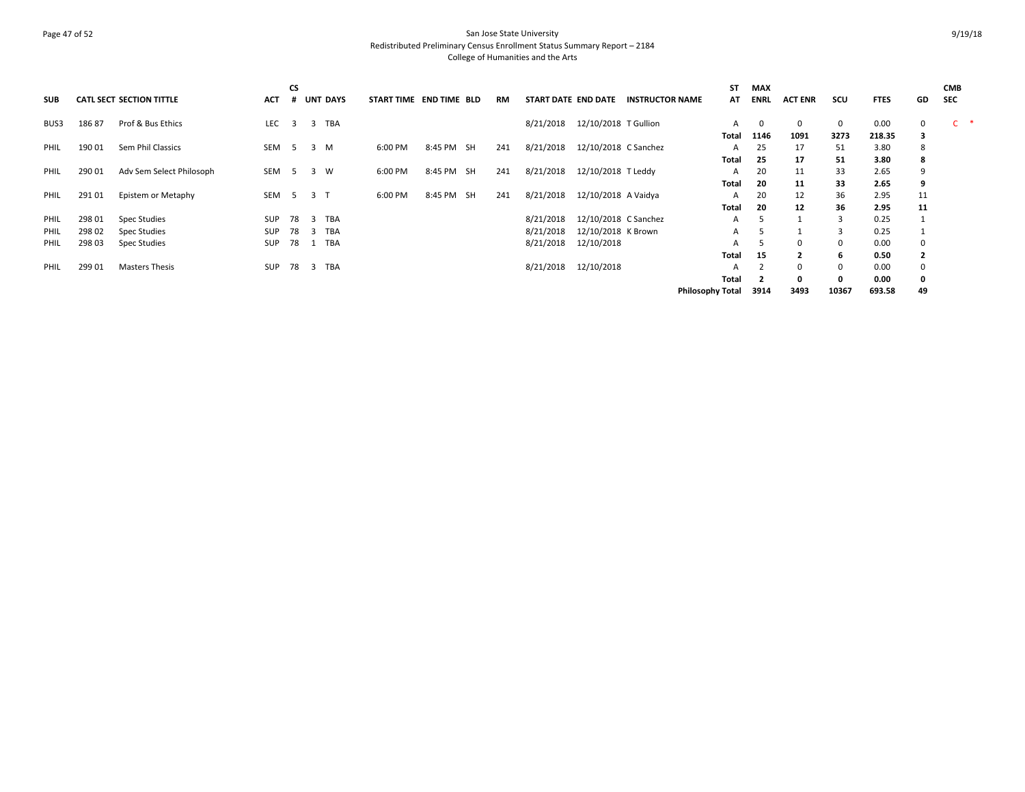## Page 47 of 52 San Jose State University Redistributed Preliminary Census Enrollment Status Summary Report – 2184 College of Humanities and the Arts

| <b>SUB</b>  |        | <b>CATL SECT SECTION TITTLE</b> | <b>ACT</b> | <b>CS</b>      | <b>UNT</b>     | <b>DAYS</b> | START TIME END TIME BLD |            | RM  | START DATE END DATE |                      | <b>INSTRUCTOR NAME</b> | <b>ST</b><br>AT         | <b>MAX</b><br>ENRL | <b>ACT ENR</b> | scu          | <b>FTES</b> | GD                      | <b>CMB</b><br><b>SEC</b> |
|-------------|--------|---------------------------------|------------|----------------|----------------|-------------|-------------------------|------------|-----|---------------------|----------------------|------------------------|-------------------------|--------------------|----------------|--------------|-------------|-------------------------|--------------------------|
| BUS3        | 18687  | Prof & Bus Ethics               | <b>LEC</b> | $\overline{3}$ | 3              | <b>TBA</b>  |                         |            |     | 8/21/2018           | 12/10/2018 T Gullion |                        | А                       | 0                  | 0              | 0            | 0.00        | 0                       | $\mathsf{C}$             |
|             |        |                                 |            |                |                |             |                         |            |     |                     |                      |                        | Total                   | 1146               | 1091           | 3273         | 218.35      | 3                       |                          |
| PHIL        | 190 01 | Sem Phil Classics               | SEM        | 5 <sup>5</sup> | 3 M            |             | 6:00 PM                 | 8:45 PM SH | 241 | 8/21/2018           | 12/10/2018 C Sanchez |                        | A                       | 25                 | 17             | 51           | 3.80        | 8                       |                          |
|             |        |                                 |            |                |                |             |                         |            |     |                     |                      |                        | Total                   | 25                 | 17             | 51           | 3.80        | 8                       |                          |
| <b>PHIL</b> | 290 01 | Adv Sem Select Philosoph        | SEM        | - 5            | 3 W            |             | 6:00 PM                 | 8:45 PM SH | 241 | 8/21/2018           | 12/10/2018 T Leddy   |                        | A                       | 20                 | 11             | 33           | 2.65        | 9                       |                          |
|             |        |                                 |            |                |                |             |                         |            |     |                     |                      |                        | Total                   | 20                 | 11             | 33           | 2.65        | 9                       |                          |
| <b>PHIL</b> | 291 01 | Epistem or Metaphy              | SEM        |                | 5 3 T          |             | 6:00 PM                 | 8:45 PM SH | 241 | 8/21/2018           | 12/10/2018 A Vaidya  |                        | A                       | 20                 | 12             | 36           | 2.95        | 11                      |                          |
|             |        |                                 |            |                |                |             |                         |            |     |                     |                      |                        | Total                   | 20                 | 12             | 36           | 2.95        | 11                      |                          |
| PHIL        | 298 01 | <b>Spec Studies</b>             | SUP        | 78             | $\overline{3}$ | <b>TBA</b>  |                         |            |     | 8/21/2018           | 12/10/2018 C Sanchez |                        | A                       |                    |                | $\mathbf{R}$ | 0.25        |                         |                          |
| PHIL        | 298 02 | Spec Studies                    | SUP        | 78             | -3             | TBA         |                         |            |     | 8/21/2018           | 12/10/2018 K Brown   |                        | A                       |                    |                | 3            | 0.25        |                         |                          |
| PHIL        | 298 03 | <b>Spec Studies</b>             | <b>SUP</b> | 78             |                | TBA         |                         |            |     | 8/21/2018           | 12/10/2018           |                        | А                       |                    | $\Omega$       | $\mathbf{0}$ | 0.00        |                         |                          |
|             |        |                                 |            |                |                |             |                         |            |     |                     |                      |                        | Total                   | 15                 | $\overline{2}$ | 6            | 0.50        | $\overline{\mathbf{2}}$ |                          |
| PHIL        | 299 01 | <b>Masters Thesis</b>           | <b>SUP</b> | 78             | -3             | <b>TBA</b>  |                         |            |     | 8/21/2018           | 12/10/2018           |                        | A                       |                    | $\Omega$       | 0            | 0.00        | $\mathbf 0$             |                          |
|             |        |                                 |            |                |                |             |                         |            |     |                     |                      |                        | Total                   |                    | 0              | 0            | 0.00        | 0                       |                          |
|             |        |                                 |            |                |                |             |                         |            |     |                     |                      |                        | <b>Philosophy Total</b> | 3914               | 3493           | 10367        | 693.58      | 49                      |                          |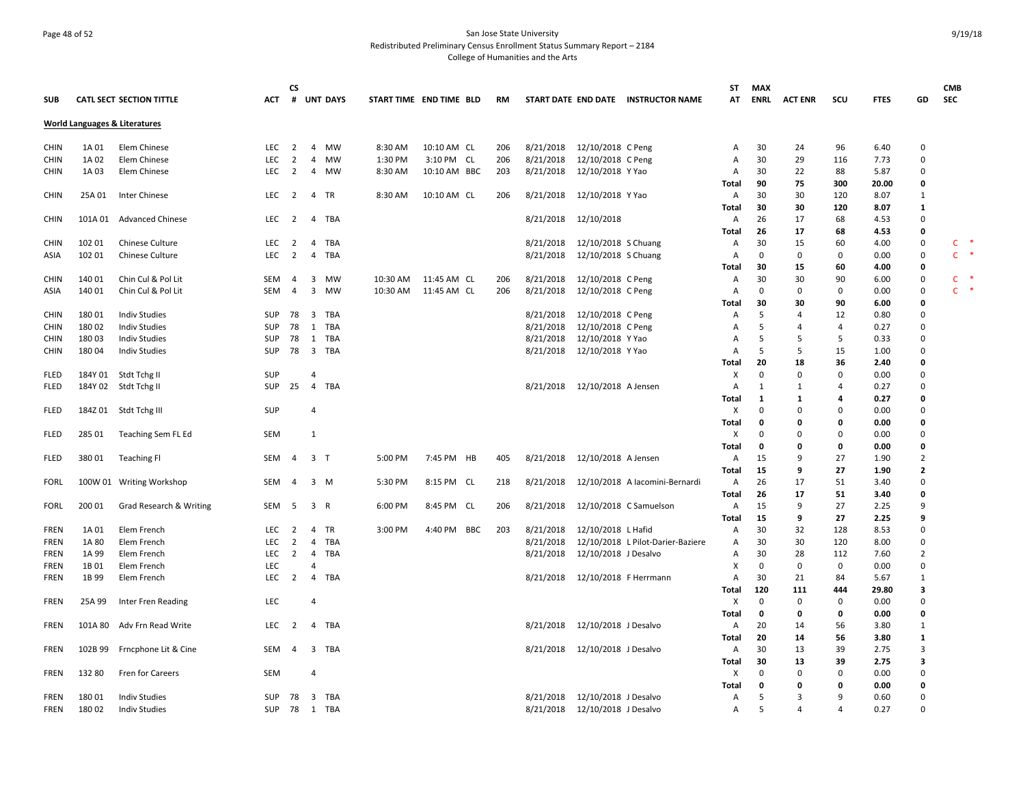## Page 48 of 52 San Jose State University Redistributed Preliminary Census Enrollment Status Summary Report – 2184 College of Humanities and the Arts

|             |         |                                          |            | <b>CS</b>      |                                       |                         |              |     |           |                       |                                     | ST             | <b>MAX</b>   |                |             |             |                | <b>CMB</b>             |
|-------------|---------|------------------------------------------|------------|----------------|---------------------------------------|-------------------------|--------------|-----|-----------|-----------------------|-------------------------------------|----------------|--------------|----------------|-------------|-------------|----------------|------------------------|
| <b>SUB</b>  |         | <b>CATL SECT SECTION TITTLE</b>          | АСТ        |                | # UNT DAYS                            | START TIME END TIME BLD |              | RM  |           |                       | START DATE END DATE INSTRUCTOR NAME | AT             | ENRL         | <b>ACT ENR</b> | scu         | <b>FTES</b> | GD             | SEC                    |
|             |         | <b>World Languages &amp; Literatures</b> |            |                |                                       |                         |              |     |           |                       |                                     |                |              |                |             |             |                |                        |
| <b>CHIN</b> | 1A 01   | Elem Chinese                             | <b>LEC</b> | 2              | $\overline{4}$<br><b>MW</b>           | 8:30 AM                 | 10:10 AM CL  | 206 | 8/21/2018 | 12/10/2018 C Peng     |                                     | A              | 30           | 24             | 96          | 6.40        | 0              |                        |
| <b>CHIN</b> | 1A 02   | Elem Chinese                             | LEC        | $\overline{2}$ | $\overline{4}$<br><b>MW</b>           | 1:30 PM                 | 3:10 PM CL   | 206 | 8/21/2018 | 12/10/2018 C Peng     |                                     | Α              | 30           | 29             | 116         | 7.73        | $\pmb{0}$      |                        |
| <b>CHIN</b> | 1A 03   | Elem Chinese                             | LEC        | $\overline{2}$ | 4<br>MW                               | 8:30 AM                 | 10:10 AM BBC | 203 | 8/21/2018 | 12/10/2018 Y Yao      |                                     | Α              | 30           | 22             | 88          | 5.87        | $\mathbf 0$    |                        |
|             |         |                                          |            |                |                                       |                         |              |     |           |                       |                                     | Total          | 90           | 75             | 300         | 20.00       | $\mathbf 0$    |                        |
| <b>CHIN</b> | 25A 01  | Inter Chinese                            | LEC        | $\overline{2}$ | $\overline{4}$<br>TR                  | 8:30 AM                 | 10:10 AM CL  | 206 | 8/21/2018 | 12/10/2018 Y Yao      |                                     | Α              | 30           | 30             | 120         | 8.07        | 1              |                        |
|             |         |                                          |            |                |                                       |                         |              |     |           |                       |                                     | Total          | 30           | 30             | 120         | 8.07        | 1              |                        |
| <b>CHIN</b> | 101A 01 | <b>Advanced Chinese</b>                  | LEC        | $\overline{2}$ | TBA<br>4                              |                         |              |     | 8/21/2018 | 12/10/2018            |                                     | Α              | 26           | 17             | 68          | 4.53        | $\mathbf 0$    |                        |
|             |         |                                          |            |                |                                       |                         |              |     |           |                       |                                     | Total          | 26           | 17             | 68          | 4.53        | $\mathbf 0$    |                        |
| <b>CHIN</b> | 102 01  | <b>Chinese Culture</b>                   | <b>LEC</b> | $\overline{2}$ | $\overline{4}$<br>TBA                 |                         |              |     | 8/21/2018 | 12/10/2018 S Chuang   |                                     | A              | 30           | 15             | 60          | 4.00        | $\pmb{0}$      | ∗<br>C                 |
| ASIA        | 102 01  | <b>Chinese Culture</b>                   | LEC        | $\overline{2}$ | $\overline{4}$<br>TBA                 |                         |              |     | 8/21/2018 | 12/10/2018 S Chuang   |                                     | A              | $\mathbf 0$  | $\mathbf 0$    | 0           | 0.00        | $\mathbf 0$    | $\ast$<br>$\mathsf{C}$ |
|             |         |                                          |            |                |                                       |                         |              |     |           |                       |                                     | Total          | 30           | 15             | 60          | 4.00        | 0              |                        |
| <b>CHIN</b> | 140 01  | Chin Cul & Pol Lit                       | SEM        | 4              | 3<br>MW                               | 10:30 AM                | 11:45 AM CL  | 206 | 8/21/2018 | 12/10/2018 C Peng     |                                     | Α              | 30           | 30             | 90          | 6.00        | 0              | $\ast$<br>C            |
| ASIA        | 140 01  | Chin Cul & Pol Lit                       | SEM        | 4              | 3<br>MW                               | 10:30 AM                | 11:45 AM CL  | 206 | 8/21/2018 | 12/10/2018 C Peng     |                                     | A              | 0            | 0              | 0           | 0.00        | $\mathbf 0$    | $\ast$<br>$\mathsf{C}$ |
|             |         |                                          |            |                |                                       |                         |              |     |           |                       |                                     | Total          | 30           | 30             | 90          | 6.00        | 0              |                        |
| <b>CHIN</b> | 180 01  | <b>Indiv Studies</b>                     | <b>SUP</b> | 78             | $\overline{\mathbf{3}}$<br>TBA        |                         |              |     | 8/21/2018 | 12/10/2018 C Peng     |                                     | Α              | 5            | 4              | 12          | 0.80        | $\overline{0}$ |                        |
| <b>CHIN</b> | 180 02  | <b>Indiv Studies</b>                     | <b>SUP</b> | 78             | 1<br><b>TBA</b>                       |                         |              |     | 8/21/2018 | 12/10/2018 C Peng     |                                     | A              | 5            | 4              | 4           | 0.27        | 0              |                        |
| <b>CHIN</b> | 18003   | <b>Indiv Studies</b>                     | <b>SUP</b> | 78             | TBA<br>1                              |                         |              |     | 8/21/2018 | 12/10/2018 Y Yao      |                                     | $\overline{A}$ | 5            | .5             | 5           | 0.33        | $\mathbf 0$    |                        |
| <b>CHIN</b> | 18004   | <b>Indiv Studies</b>                     | <b>SUP</b> | 78             | $\overline{\mathbf{3}}$<br><b>TBA</b> |                         |              |     | 8/21/2018 | 12/10/2018 Y Yao      |                                     | A              | 5            | 5              | 15          | 1.00        | 0              |                        |
|             |         |                                          |            |                |                                       |                         |              |     |           |                       |                                     | Total          | 20           | 18             | 36          | 2.40        | 0              |                        |
| FLED        | 184Y 01 | Stdt Tchg II                             | SUP        |                | 4                                     |                         |              |     |           |                       |                                     | х              | $\Omega$     | 0              | 0           | 0.00        | $\mathbf 0$    |                        |
| <b>FLED</b> |         | 184Y 02 Stdt Tchg II                     | <b>SUP</b> | 25             | TBA<br>$\overline{4}$                 |                         |              |     | 8/21/2018 | 12/10/2018 A Jensen   |                                     | A              | 1            | 1              | 4           | 0.27        | $\mathbf 0$    |                        |
|             |         |                                          |            |                |                                       |                         |              |     |           |                       |                                     | Total          | 1            | 1              | 4           | 0.27        | 0              |                        |
| FLED        | 184Z 01 | Stdt Tchg III                            | <b>SUP</b> |                | 4                                     |                         |              |     |           |                       |                                     | х              | $\Omega$     | $\Omega$       | $\mathbf 0$ | 0.00        | $\overline{0}$ |                        |
|             |         |                                          |            |                |                                       |                         |              |     |           |                       |                                     | <b>Total</b>   | 0            | 0              | 0           | 0.00        | $\mathbf 0$    |                        |
| <b>FLED</b> | 285 01  | Teaching Sem FL Ed                       | <b>SEM</b> |                | 1                                     |                         |              |     |           |                       |                                     | х              | $\Omega$     | $\Omega$       | 0           | 0.00        | 0              |                        |
|             |         |                                          |            |                |                                       |                         |              |     |           |                       |                                     | Total          | 0            | 0              | 0           | 0.00        | $\mathbf 0$    |                        |
| <b>FLED</b> | 38001   | <b>Teaching Fl</b>                       | SEM        | $\overline{4}$ | 3 <sub>1</sub>                        | 5:00 PM                 | 7:45 PM HB   | 405 | 8/21/2018 | 12/10/2018 A Jensen   |                                     | A              | 15           | 9              | 27          | 1.90        | $\overline{2}$ |                        |
|             |         |                                          |            |                |                                       |                         |              |     |           |                       |                                     | Total          | 15           | 9              | 27          | 1.90        | $\overline{2}$ |                        |
| <b>FORL</b> |         | 100W 01 Writing Workshop                 | SEM        | $\overline{4}$ | 3 M                                   | 5:30 PM                 | 8:15 PM CL   | 218 | 8/21/2018 |                       | 12/10/2018 A lacomini-Bernardi      | A              | 26           | 17             | 51          | 3.40        | $\mathbf 0$    |                        |
|             |         |                                          |            |                |                                       |                         |              |     |           |                       |                                     | Total          | 26           | 17             | 51          | 3.40        | $\mathbf 0$    |                        |
| <b>FORL</b> | 200 01  | Grad Research & Writing                  | SEM        | - 5            | 3 R                                   | 6:00 PM                 | 8:45 PM CL   | 206 | 8/21/2018 |                       | 12/10/2018 C Samuelson              | A              | 15           | 9              | 27          | 2.25        | 9              |                        |
|             |         |                                          |            |                |                                       |                         |              |     |           |                       |                                     | Total          | 15           | 9              | 27          | 2.25        | 9              |                        |
| FREN        | 1A 01   | Elem French                              | <b>LEC</b> | 2              | $\overline{4}$<br><b>TR</b>           | 3:00 PM                 | 4:40 PM BBC  | 203 | 8/21/2018 | 12/10/2018 L Hafid    |                                     | Α              | 30           | 32             | 128         | 8.53        | $\mathbf 0$    |                        |
| <b>FREN</b> | 1A 80   | Elem French                              | LEC        | 2              | TBA<br>4                              |                         |              |     | 8/21/2018 |                       | 12/10/2018 L Pilot-Darier-Baziere   | A              | 30           | 30             | 120         | 8.00        | $\pmb{0}$      |                        |
| <b>FREN</b> | 1A 99   | Elem French                              | LEC        | $\overline{2}$ | $\overline{4}$<br>TBA                 |                         |              |     | 8/21/2018 | 12/10/2018 J Desalvo  |                                     | Α              | 30           | 28             | 112         | 7.60        | $\overline{2}$ |                        |
| <b>FREN</b> | 1B 01   | Elem French                              | <b>LEC</b> |                | 4                                     |                         |              |     |           |                       |                                     | х              | 0            | 0              | 0           | 0.00        | 0              |                        |
| FREN        | 1B 99   | Elem French                              | LEC        | $\overline{2}$ | $\overline{4}$<br>TBA                 |                         |              |     | 8/21/2018 | 12/10/2018 F Herrmann |                                     | A              | 30           | 21             | 84          | 5.67        | $\mathbf{1}$   |                        |
|             |         |                                          |            |                |                                       |                         |              |     |           |                       |                                     | Total          | 120          | 111            | 444         | 29.80       | 3              |                        |
| <b>FREN</b> | 25A 99  | Inter Fren Reading                       | LEC        |                | 4                                     |                         |              |     |           |                       |                                     | X              | $\mathbf{0}$ | $\mathbf 0$    | 0           | 0.00        | $\mathbf 0$    |                        |
|             |         |                                          |            |                |                                       |                         |              |     |           |                       |                                     | Total          | 0            | 0              | 0           | 0.00        | $\mathbf 0$    |                        |
| FREN        | 101A 80 | Adv Frn Read Write                       | LEC        | 2              | 4<br>TBA                              |                         |              |     | 8/21/2018 | 12/10/2018 J Desalvo  |                                     | Α              | 20           | 14             | 56          | 3.80        | 1              |                        |
|             |         |                                          |            |                |                                       |                         |              |     |           |                       |                                     | Total          | 20           | 14             | 56          | 3.80        | 1              |                        |
| FREN        | 102B 99 | Frncphone Lit & Cine                     | SEM        | $\overline{4}$ | $\overline{\mathbf{3}}$<br>TBA        |                         |              |     | 8/21/2018 | 12/10/2018 J Desalvo  |                                     | A              | 30           | 13             | 39          | 2.75        | 3              |                        |
|             |         |                                          |            |                |                                       |                         |              |     |           |                       |                                     | Total          | 30           | 13             | 39          | 2.75        | 3              |                        |
| <b>FREN</b> | 132 80  | Fren for Careers                         | <b>SEM</b> |                | 4                                     |                         |              |     |           |                       |                                     | X              | $\mathbf 0$  | $\mathbf 0$    | 0           | 0.00        | $\mathbf 0$    |                        |
|             |         |                                          |            |                |                                       |                         |              |     |           |                       |                                     | Total          | 0            | $\mathbf{0}$   | 0           | 0.00        | 0              |                        |
| <b>FREN</b> | 180 01  | <b>Indiv Studies</b>                     | <b>SUP</b> | 78             | 3 TBA                                 |                         |              |     | 8/21/2018 | 12/10/2018 J Desalvo  |                                     | Α              | 5            | $\overline{3}$ | 9           | 0.60        | $\mathbf 0$    |                        |
| <b>FREN</b> | 18002   | <b>Indiv Studies</b>                     | SUP        |                | 78 1 TBA                              |                         |              |     | 8/21/2018 | 12/10/2018 J Desalvo  |                                     | Α              | 5            | 4              | 4           | 0.27        | 0              |                        |
|             |         |                                          |            |                |                                       |                         |              |     |           |                       |                                     |                |              |                |             |             |                |                        |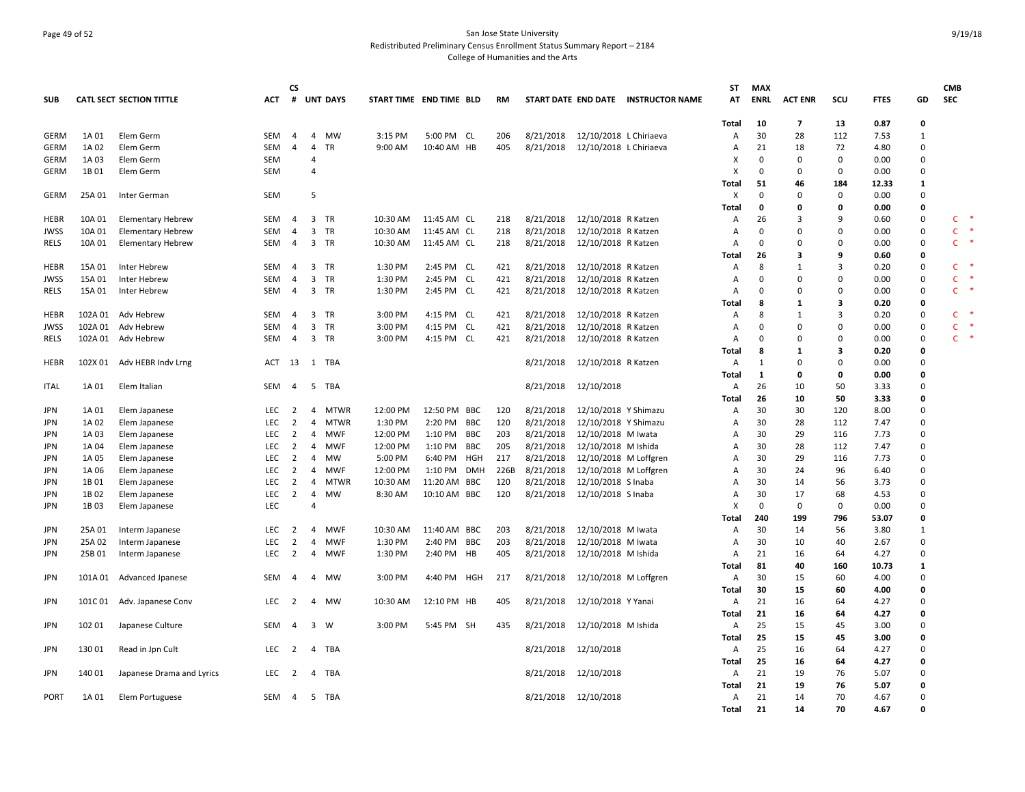## Page 49 of 52 San Jose State University Redistributed Preliminary Census Enrollment Status Summary Report – 2184 College of Humanities and the Arts

|             |         |                                 |              | CS             |                         |             |                         |              |            |           |                      |                        |                                     | ST           | <b>MAX</b>  |                         |              |             |              | <b>CMB</b>             |
|-------------|---------|---------------------------------|--------------|----------------|-------------------------|-------------|-------------------------|--------------|------------|-----------|----------------------|------------------------|-------------------------------------|--------------|-------------|-------------------------|--------------|-------------|--------------|------------------------|
| <b>SUB</b>  |         | <b>CATL SECT SECTION TITTLE</b> | <b>ACT</b>   |                |                         | # UNT DAYS  | START TIME END TIME BLD |              |            | <b>RM</b> |                      |                        | START DATE END DATE INSTRUCTOR NAME | AT           | <b>ENRL</b> | <b>ACT ENR</b>          | scu          | <b>FTES</b> | GD           | <b>SEC</b>             |
|             |         |                                 |              |                |                         |             |                         |              |            |           |                      |                        |                                     | Total        | 10          | $\overline{\mathbf{z}}$ | 13           | 0.87        | 0            |                        |
| <b>GERM</b> | 1A 01   | Elem Germ                       | SEM          | 4              | $\overline{4}$          | MW          | 3:15 PM                 | 5:00 PM CL   |            | 206       | 8/21/2018            | 12/10/2018 L Chiriaeva |                                     | Α            | 30          | 28                      | 112          | 7.53        | $\mathbf{1}$ |                        |
| GERM        | 1A 02   | Elem Germ                       | SEM          | $\overline{4}$ | 4                       | <b>TR</b>   | 9:00 AM                 | 10:40 AM HB  |            | 405       | 8/21/2018            | 12/10/2018 L Chiriaeva |                                     | Α            | 21          | 18                      | 72           | 4.80        | 0            |                        |
| GERM        | 1A 03   | Elem Germ                       | <b>SEM</b>   |                | 4                       |             |                         |              |            |           |                      |                        |                                     | x            | $\Omega$    | $\Omega$                | $\mathbf 0$  | 0.00        | $\mathbf 0$  |                        |
| GERM        | 1B 01   | Elem Germ                       | <b>SEM</b>   |                | $\overline{a}$          |             |                         |              |            |           |                      |                        |                                     | x            | 0           | 0                       | 0            | 0.00        | 0            |                        |
|             |         |                                 |              |                |                         |             |                         |              |            |           |                      |                        |                                     | Total        | -51         | 46                      | 184          | 12.33       | 1            |                        |
| <b>GERM</b> | 25A 01  | Inter German                    | SEM          |                | 5                       |             |                         |              |            |           |                      |                        |                                     | X            | $\mathbf 0$ | $\Omega$                | $\mathbf 0$  | 0.00        | $\mathsf 0$  |                        |
|             |         |                                 |              |                |                         |             |                         |              |            |           |                      |                        |                                     | Total        | 0           | $\mathbf{0}$            | $\mathbf{0}$ | 0.00        | 0            |                        |
| <b>HEBR</b> | 10A 01  | <b>Elementary Hebrew</b>        | SEM          | 4              | $\overline{3}$          | TR          | 10:30 AM                | 11:45 AM CL  |            | 218       | 8/21/2018            | 12/10/2018 R Katzen    |                                     | Α            | 26          | 3                       | 9            | 0.60        | 0            | C                      |
| <b>JWSS</b> | 10A 01  | <b>Elementary Hebrew</b>        | SEM          | 4              | 3                       | TR          | 10:30 AM                | 11:45 AM CL  |            | 218       | 8/21/2018            | 12/10/2018 R Katzen    |                                     | Α            | $\mathbf 0$ | $\mathbf 0$             | $\Omega$     | 0.00        | 0            | $\mathsf{C}$           |
| RELS        | 10A 01  | <b>Elementary Hebrew</b>        | SEM          | $\overline{4}$ | $\overline{\mathbf{3}}$ | TR          | 10:30 AM                | 11:45 AM CL  |            | 218       | 8/21/2018            | 12/10/2018 R Katzen    |                                     | A            | $\Omega$    | 0                       | $\Omega$     | 0.00        | 0            | $\mathsf{C}$           |
|             |         |                                 |              |                |                         |             |                         |              |            |           |                      |                        |                                     | Total        | 26          | 3                       | 9            | 0.60        | $\mathbf 0$  |                        |
| <b>HEBR</b> | 15A 01  | Inter Hebrew                    | SEM          | $\overline{4}$ | $\overline{\mathbf{3}}$ | TR          | 1:30 PM                 | 2:45 PM CL   |            | 421       | 8/21/2018            | 12/10/2018 R Katzen    |                                     | Α            | 8           | 1                       | 3            | 0.20        | 0            | C.                     |
| <b>JWSS</b> | 15A 01  | Inter Hebrew                    | SEM          | 4              | 3                       | <b>TR</b>   | 1:30 PM                 | 2:45 PM CL   |            | 421       | 8/21/2018            | 12/10/2018 R Katzen    |                                     | Α            | $\Omega$    | $\mathbf 0$             | $\Omega$     | 0.00        | 0            | Ċ                      |
| RELS        | 15A 01  | Inter Hebrew                    | SEM          | $\overline{4}$ | $\overline{3}$          | <b>TR</b>   | 1:30 PM                 | 2:45 PM CL   |            | 421       | 8/21/2018            | 12/10/2018 R Katzen    |                                     | Α            | $\Omega$    | $\Omega$                | $\Omega$     | 0.00        | 0            | C.                     |
|             |         |                                 |              |                |                         |             |                         |              |            |           |                      |                        |                                     | Total        | 8           | 1                       | 3            | 0.20        | 0            |                        |
| HEBR        | 102A 01 | Adv Hebrew                      | <b>SEM</b>   | $\overline{4}$ | 3                       | TR          | 3:00 PM                 | 4:15 PM CL   |            | 421       | 8/21/2018            | 12/10/2018 R Katzen    |                                     | Α            | 8           | $\mathbf{1}$            | 3            | 0.20        | $\mathbf 0$  | C                      |
| <b>JWSS</b> | 102A 01 | Adv Hebrew                      | SEM          | $\overline{4}$ | 3                       | TR          | 3:00 PM                 | 4:15 PM      | CL         | 421       | 8/21/2018            | 12/10/2018 R Katzen    |                                     | Α            | $\Omega$    | $\mathbf 0$             | $\mathbf 0$  | 0.00        | $\mathsf 0$  | $\mathsf{C}$           |
| <b>RELS</b> | 102A 01 | Adv Hebrew                      | SEM          | $\overline{4}$ | 3                       | TR          | 3:00 PM                 | 4:15 PM CL   |            | 421       | 8/21/2018            | 12/10/2018 R Katzen    |                                     | Α            | $\mathbf 0$ | $\mathbf 0$             | $\Omega$     | 0.00        | 0            | $\mathsf{C}$<br>$\ast$ |
|             |         |                                 |              |                |                         |             |                         |              |            |           |                      |                        |                                     |              | 8           | 1                       | 3            | 0.20        | 0            |                        |
|             |         |                                 |              |                |                         |             |                         |              |            |           |                      |                        |                                     | Total        |             |                         |              |             |              |                        |
| HEBR        |         | 102X 01 Adv HEBR Indv Lrng      | ACT 13 1 TBA |                |                         |             |                         |              |            |           | 8/21/2018            | 12/10/2018 R Katzen    |                                     | Α            | 1           | 0                       | 0            | 0.00        | 0            |                        |
|             |         |                                 |              |                |                         |             |                         |              |            |           |                      |                        |                                     | Total        | 1           | $\mathbf{0}$            | 0            | 0.00        | 0            |                        |
| <b>ITAL</b> | 1A 01   | Elem Italian                    | SEM          | $\overline{4}$ | 5                       | TBA         |                         |              |            |           | 8/21/2018            | 12/10/2018             |                                     | Α            | 26          | 10                      | 50           | 3.33        | $\mathbf 0$  |                        |
|             |         |                                 |              |                |                         |             |                         |              |            |           |                      |                        |                                     | Total        | 26          | 10                      | 50           | 3.33        | 0            |                        |
| <b>JPN</b>  | 1A 01   | Elem Japanese                   | LEC          | 2              | 4                       | <b>MTWR</b> | 12:00 PM                | 12:50 PM BBC |            | 120       | 8/21/2018            | 12/10/2018 Y Shimazu   |                                     | Α            | 30          | 30                      | 120          | 8.00        | 0            |                        |
| <b>JPN</b>  | 1A 02   | Elem Japanese                   | <b>LEC</b>   | 2              | 4                       | MTWR        | 1:30 PM                 | 2:20 PM BBC  |            | 120       | 8/21/2018            | 12/10/2018 Y Shimazu   |                                     | Α            | 30          | 28                      | 112          | 7.47        | 0            |                        |
| <b>JPN</b>  | 1A 03   | Elem Japanese                   | <b>LEC</b>   | 2              | 4                       | <b>MWF</b>  | 12:00 PM                | 1:10 PM      | BBC        | 203       | 8/21/2018            | 12/10/2018 M Iwata     |                                     | Α            | 30          | 29                      | 116          | 7.73        | 0            |                        |
| <b>JPN</b>  | 1A 04   | Elem Japanese                   | LEC          | $\overline{2}$ | 4                       | <b>MWF</b>  | 12:00 PM                | 1:10 PM      | BBC        | 205       | 8/21/2018            | 12/10/2018 M Ishida    |                                     | Α            | 30          | 28                      | 112          | 7.47        | 0            |                        |
| <b>JPN</b>  | 1A 05   | Elem Japanese                   | <b>LEC</b>   | 2              | $\overline{4}$          | <b>MW</b>   | 5:00 PM                 | 6:40 PM      | HGH        | 217       | 8/21/2018            | 12/10/2018 M Loffgren  |                                     | Α            | 30          | 29                      | 116          | 7.73        | 0            |                        |
| <b>JPN</b>  | 1A 06   | Elem Japanese                   | <b>LEC</b>   | 2              | 4                       | MWF         | 12:00 PM                | 1:10 PM      | <b>DMH</b> | 226B      | 8/21/2018            | 12/10/2018 M Loffgren  |                                     | Α            | 30          | 24                      | 96           | 6.40        | $\mathsf 0$  |                        |
| JPN         | 1B 01   | Elem Japanese                   | LEC          | $\overline{2}$ | $\overline{4}$          | <b>MTWR</b> | 10:30 AM                | 11:20 AM BBC |            | 120       | 8/21/2018            | 12/10/2018 S Inaba     |                                     | Α            | 30          | 14                      | 56           | 3.73        | $\mathbf 0$  |                        |
| JPN         | 1B 02   | Elem Japanese                   | LEC          | 2              | $\overline{4}$          | <b>MW</b>   | 8:30 AM                 | 10:10 AM BBC |            | 120       | 8/21/2018            | 12/10/2018 S Inaba     |                                     | Α            | 30          | 17                      | 68           | 4.53        | 0            |                        |
| <b>JPN</b>  | 1B03    | Elem Japanese                   | LEC          |                | 4                       |             |                         |              |            |           |                      |                        |                                     | x            | $\mathbf 0$ | $\mathbf 0$             | 0            | 0.00        | 0            |                        |
|             |         |                                 |              |                |                         |             |                         |              |            |           |                      |                        |                                     | Total        | 240         | 199                     | 796          | 53.07       | 0            |                        |
| <b>JPN</b>  | 25A 01  | Interm Japanese                 | <b>LEC</b>   | 2              | $\overline{4}$          | <b>MWF</b>  | 10:30 AM                | 11:40 AM BBC |            | 203       | 8/21/2018            | 12/10/2018 M Iwata     |                                     | Α            | 30          | 14                      | 56           | 3.80        | $\mathbf{1}$ |                        |
| <b>JPN</b>  | 25A 02  | Interm Japanese                 | LEC          | $\overline{2}$ | $\overline{4}$          | <b>MWF</b>  | 1:30 PM                 | 2:40 PM BBC  |            | 203       | 8/21/2018            | 12/10/2018 M Iwata     |                                     | Α            | 30          | 10                      | 40           | 2.67        | $\mathbf 0$  |                        |
| JPN         | 25B 01  | Interm Japanese                 | LEC          | 2              | $\overline{4}$          | MWF         | 1:30 PM                 | 2:40 PM HB   |            | 405       | 8/21/2018            | 12/10/2018 M Ishida    |                                     | Α            | 21          | 16                      | 64           | 4.27        | 0            |                        |
|             |         |                                 |              |                |                         |             |                         |              |            |           |                      |                        |                                     | Total        | 81          | 40                      | 160          | 10.73       | 1            |                        |
| <b>JPN</b>  | 101A 01 | <b>Advanced Jpanese</b>         | SEM          | 4              | $\overline{4}$          | <b>MW</b>   | 3:00 PM                 | 4:40 PM HGH  |            | 217       | 8/21/2018            | 12/10/2018 M Loffgren  |                                     | Α            | 30          | 15                      | 60           | 4.00        | 0            |                        |
|             |         |                                 |              |                |                         |             |                         |              |            |           |                      |                        |                                     | Total        | 30          | 15                      | 60           | 4.00        | 0            |                        |
| <b>JPN</b>  |         | 101C 01 Adv. Japanese Conv      | <b>LEC</b>   | $\overline{2}$ | $\overline{4}$          | <b>MW</b>   | 10:30 AM                | 12:10 PM HB  |            | 405       | 8/21/2018            | 12/10/2018 Y Yanai     |                                     | Α            | 21          | 16                      | 64           | 4.27        | $\Omega$     |                        |
|             |         |                                 |              |                |                         |             |                         |              |            |           |                      |                        |                                     | Total        | 21          | 16                      | 64           | 4.27        | 0            |                        |
| JPN         | 102 01  | Japanese Culture                | SEM          | -4             | $\overline{3}$          | W           | 3:00 PM                 | 5:45 PM SH   |            | 435       | 8/21/2018            | 12/10/2018 M Ishida    |                                     | Α            | 25          | 15                      | 45           | 3.00        | 0            |                        |
|             |         |                                 |              |                |                         |             |                         |              |            |           |                      |                        |                                     | Total        | 25          | 15                      | 45           | 3.00        | 0            |                        |
|             |         |                                 |              | 2              | $\overline{4}$          |             |                         |              |            |           |                      |                        |                                     |              | 25          |                         |              |             | 0            |                        |
| <b>JPN</b>  | 130 01  | Read in Jpn Cult                | LEC          |                |                         | TBA         |                         |              |            |           | 8/21/2018            | 12/10/2018             |                                     | Α            |             | 16                      | 64           | 4.27        |              |                        |
|             |         |                                 |              |                |                         |             |                         |              |            |           |                      |                        |                                     | Total        | 25          | 16                      | 64           | 4.27        | $\mathbf{0}$ |                        |
| <b>JPN</b>  | 140 01  | Japanese Drama and Lyrics       | LEC.         | 2              | 4                       | TBA         |                         |              |            |           | 8/21/2018            | 12/10/2018             |                                     | Α            | 21          | 19                      | 76           | 5.07        | $\Omega$     |                        |
|             |         |                                 |              |                |                         |             |                         |              |            |           |                      |                        |                                     | Total        | 21          | 19                      | 76           | 5.07        | 0            |                        |
| <b>PORT</b> | 1A 01   | Elem Portuguese                 | SEM          | $\overline{4}$ | 5                       | TBA         |                         |              |            |           | 8/21/2018 12/10/2018 |                        |                                     | Α            | 21          | 14                      | 70           | 4.67        | 0            |                        |
|             |         |                                 |              |                |                         |             |                         |              |            |           |                      |                        |                                     | <b>Total</b> | 21          | 14                      | 70           | 4.67        | O            |                        |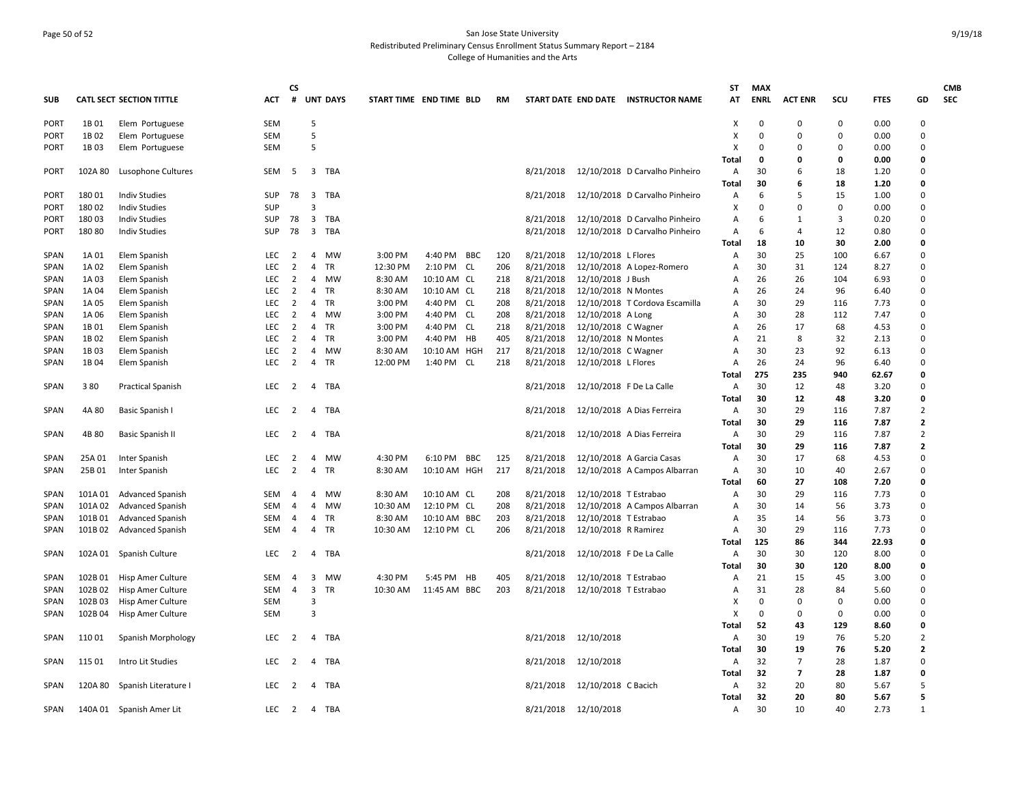## Page 50 of 52 San Jose State University Redistributed Preliminary Census Enrollment Status Summary Report – 2184 College of Humanities and the Arts

|                            |                  |                                              |                   | <b>CS</b>           |                                           |                 |                         |              |            |           |                      |                       |                                     | ST             | <b>MAX</b>    |                |             |              |                                  | <b>CMB</b> |
|----------------------------|------------------|----------------------------------------------|-------------------|---------------------|-------------------------------------------|-----------------|-------------------------|--------------|------------|-----------|----------------------|-----------------------|-------------------------------------|----------------|---------------|----------------|-------------|--------------|----------------------------------|------------|
| <b>SUB</b>                 |                  | CATL SECT SECTION TITTLE                     | <b>ACT</b>        | #                   |                                           | <b>UNT DAYS</b> | START TIME END TIME BLD |              |            | <b>RM</b> |                      |                       | START DATE END DATE INSTRUCTOR NAME | AT             | <b>ENRL</b>   | <b>ACT ENR</b> | SCU         | <b>FTES</b>  | GD                               | <b>SEC</b> |
| <b>PORT</b>                | 1B 01            | Elem Portuguese                              | <b>SEM</b>        |                     | 5                                         |                 |                         |              |            |           |                      |                       |                                     | Χ              | 0             | $\Omega$       | 0           | 0.00         | $\mathbf 0$                      |            |
| <b>PORT</b>                | 1B 02            | Elem Portuguese                              | <b>SEM</b>        |                     | 5                                         |                 |                         |              |            |           |                      |                       |                                     | X              | $\Omega$      | $\Omega$       | 0           | 0.00         | $\mathbf 0$                      |            |
| <b>PORT</b>                | 1B03             | Elem Portuguese                              | <b>SEM</b>        |                     | 5                                         |                 |                         |              |            |           |                      |                       |                                     | $\times$       | $\Omega$      | $\Omega$       | $\Omega$    | 0.00         | $\Omega$                         |            |
|                            |                  |                                              |                   |                     |                                           |                 |                         |              |            |           |                      |                       |                                     | Total          | $\Omega$      | $\Omega$       | 0           | 0.00         | 0                                |            |
| <b>PORT</b>                | 102A 80          | Lusophone Cultures                           | SEM               | -5                  | 3                                         | TBA             |                         |              |            |           | 8/21/2018            |                       | 12/10/2018 D Carvalho Pinheiro      | Α              | 30            | 6              | 18          | 1.20         | $\Omega$                         |            |
|                            |                  |                                              |                   |                     |                                           |                 |                         |              |            |           |                      |                       |                                     | Total          | 30            | 6              | 18          | 1.20         | 0                                |            |
| <b>PORT</b>                | 180 01           | <b>Indiv Studies</b><br><b>Indiv Studies</b> | SUP<br><b>SUP</b> | 78                  | $\overline{\mathbf{3}}$<br>$\overline{3}$ | TBA             |                         |              |            |           | 8/21/2018            |                       | 12/10/2018 D Carvalho Pinheiro      | A<br>х         | 6<br>$\Omega$ | 5<br>$\Omega$  | 15<br>0     | 1.00<br>0.00 | $\Omega$<br>$\Omega$             |            |
| <b>PORT</b><br><b>PORT</b> | 180 02<br>180 03 | <b>Indiv Studies</b>                         | SUP               | 78                  | $\overline{3}$                            | TBA             |                         |              |            |           | 8/21/2018            |                       | 12/10/2018 D Carvalho Pinheiro      | A              | 6             | 1              | 3           | 0.20         | $\mathbf 0$                      |            |
| <b>PORT</b>                | 180 80           | <b>Indiv Studies</b>                         | <b>SUP</b>        | 78                  | $\overline{\mathbf{3}}$                   | TBA             |                         |              |            |           | 8/21/2018            |                       | 12/10/2018 D Carvalho Pinheiro      | A              | 6             | $\overline{4}$ | 12          | 0.80         | $\Omega$                         |            |
|                            |                  |                                              |                   |                     |                                           |                 |                         |              |            |           |                      |                       |                                     | Total          | 18            | 10             | 30          | 2.00         | 0                                |            |
| <b>SPAN</b>                | 1A 01            | Elem Spanish                                 | LEC               | $\overline{2}$      | $\overline{4}$                            | MW              | 3:00 PM                 | 4:40 PM BBC  |            | 120       | 8/21/2018            | 12/10/2018 L Flores   |                                     | A              | 30            | 25             | 100         | 6.67         | $\Omega$                         |            |
| SPAN                       | 1A 02            | Elem Spanish                                 | LEC               | $\overline{2}$      | $\overline{4}$                            | TR              | 12:30 PM                | 2:10 PM CL   |            | 206       | 8/21/2018            |                       | 12/10/2018 A Lopez-Romero           | Α              | 30            | 31             | 124         | 8.27         | $\mathbf 0$                      |            |
| SPAN                       | 1A 03            | Elem Spanish                                 | LEC               | 2                   | 4                                         | MW              | 8:30 AM                 | 10:10 AM CL  |            | 218       | 8/21/2018            | 12/10/2018 J Bush     |                                     | A              | 26            | 26             | 104         | 6.93         | $\mathbf 0$                      |            |
| SPAN                       | 1A 04            | Elem Spanish                                 | <b>LEC</b>        | 2                   | $\overline{4}$                            | TR              | 8:30 AM                 | 10:10 AM CL  |            | 218       | 8/21/2018            | 12/10/2018 N Montes   |                                     | A              | 26            | 24             | 96          | 6.40         | $\Omega$                         |            |
| <b>SPAN</b>                | 1A 05            | Elem Spanish                                 | <b>LEC</b>        | $\overline{2}$      | $\overline{4}$                            | <b>TR</b>       | 3:00 PM                 | 4:40 PM CL   |            | 208       | 8/21/2018            |                       | 12/10/2018 T Cordova Escamilla      | A              | 30            | 29             | 116         | 7.73         | $\Omega$                         |            |
| <b>SPAN</b>                | 1A 06            | Elem Spanish                                 | LEC               | 2                   | $\overline{4}$                            | MW              | 3:00 PM                 | 4:40 PM CL   |            | 208       | 8/21/2018            | 12/10/2018 A Long     |                                     | A              | 30            | 28             | 112         | 7.47         | $\mathbf 0$                      |            |
| <b>SPAN</b>                | 1B 01            | Elem Spanish                                 | <b>LEC</b>        | 2                   | 4                                         | <b>TR</b>       | 3:00 PM                 | 4:40 PM CL   |            | 218       | 8/21/2018            | 12/10/2018 C Wagner   |                                     | $\mathsf{A}$   | 26            | 17             | 68          | 4.53         | $\Omega$                         |            |
| SPAN                       | 1B 02            | Elem Spanish                                 | <b>LEC</b>        | 2                   | $\overline{4}$                            | TR              | 3:00 PM                 | 4:40 PM HB   |            | 405       | 8/21/2018            | 12/10/2018 N Montes   |                                     | A              | 21            | 8              | 32          | 2.13         | $\Omega$                         |            |
| SPAN                       | 1B03             | Elem Spanish                                 | LEC.              | 2                   | $\overline{4}$                            | MW              | 8:30 AM                 | 10:10 AM HGH |            | 217       | 8/21/2018            | 12/10/2018 C Wagner   |                                     | $\Delta$       | 30            | 23             | 92          | 6.13         | $\Omega$                         |            |
| SPAN                       | 1B 04            | Elem Spanish                                 | LEC               | $\overline{2}$      | $\overline{4}$                            | TR              | 12:00 PM                | 1:40 PM CL   |            | 218       | 8/21/2018            | 12/10/2018 L Flores   |                                     | A              | 26            | 24             | 96          | 6.40         | $\mathbf 0$                      |            |
|                            |                  |                                              |                   |                     |                                           |                 |                         |              |            |           |                      |                       |                                     | Total          | 275           | 235            | 940         | 62.67        | 0                                |            |
| SPAN                       | 380              | <b>Practical Spanish</b>                     | <b>LEC</b>        | 2                   | 4                                         | TBA             |                         |              |            |           | 8/21/2018            |                       | 12/10/2018 F De La Calle            | A              | 30            | 12             | 48          | 3.20         | $\Omega$                         |            |
|                            |                  |                                              |                   |                     |                                           |                 |                         |              |            |           |                      |                       |                                     | Total          | 30            | 12             | 48          | 3.20         | $\mathbf 0$                      |            |
| <b>SPAN</b>                | 4A 80            | Basic Spanish I                              | LEC               | 2                   | $\overline{4}$                            | TBA             |                         |              |            |           | 8/21/2018            |                       | 12/10/2018 A Dias Ferreira          | Α              | 30            | 29             | 116         | 7.87         | $\overline{2}$                   |            |
|                            |                  |                                              |                   |                     |                                           |                 |                         |              |            |           |                      |                       |                                     | Total          | 30            | 29             | 116         | 7.87         | $\overline{2}$                   |            |
| <b>SPAN</b>                | 4B 80            | <b>Basic Spanish II</b>                      | <b>LEC</b>        | 2                   | $\overline{4}$                            | TBA             |                         |              |            |           | 8/21/2018            |                       | 12/10/2018 A Dias Ferreira          | Α              | 30            | 29<br>29       | 116         | 7.87         | $\overline{2}$<br>$\overline{2}$ |            |
|                            |                  |                                              | LEC               |                     | 4                                         | MW              | 4:30 PM                 | 6:10 PM      | <b>BBC</b> | 125       | 8/21/2018            |                       | 12/10/2018 A Garcia Casas           | <b>Total</b>   | 30<br>30      | 17             | 116<br>68   | 7.87<br>4.53 | $\mathbf 0$                      |            |
| SPAN<br>SPAN               | 25A 01<br>25B 01 | Inter Spanish<br>Inter Spanish               | LEC               | $\overline{2}$<br>2 | 4                                         | TR              | 8:30 AM                 | 10:10 AM HGH |            | 217       | 8/21/2018            |                       | 12/10/2018 A Campos Albarran        | A<br>A         | 30            | 10             | 40          | 2.67         | $\Omega$                         |            |
|                            |                  |                                              |                   |                     |                                           |                 |                         |              |            |           |                      |                       |                                     | Total          | 60            | 27             | 108         | 7.20         | 0                                |            |
| SPAN                       | 101A01           | <b>Advanced Spanish</b>                      | <b>SEM</b>        | -4                  | $\overline{4}$                            | <b>MW</b>       | 8:30 AM                 | 10:10 AM CL  |            | 208       | 8/21/2018            | 12/10/2018 T Estrabao |                                     | A              | 30            | 29             | 116         | 7.73         | $\Omega$                         |            |
| <b>SPAN</b>                | 101A02           | <b>Advanced Spanish</b>                      | SEM               | $\overline{a}$      | 4                                         | MW              | 10:30 AM                | 12:10 PM CL  |            | 208       | 8/21/2018            |                       | 12/10/2018 A Campos Albarran        | $\overline{A}$ | 30            | 14             | 56          | 3.73         | $\Omega$                         |            |
| SPAN                       | 101B01           | <b>Advanced Spanish</b>                      | <b>SEM</b>        | $\overline{4}$      | 4                                         | TR              | 8:30 AM                 | 10:10 AM BBC |            | 203       | 8/21/2018            | 12/10/2018 T Estrabao |                                     | A              | 35            | 14             | 56          | 3.73         | $\mathbf 0$                      |            |
| SPAN                       | 101B02           | <b>Advanced Spanish</b>                      | <b>SEM</b>        | $\overline{4}$      | $\overline{4}$                            | TR              | 10:30 AM                | 12:10 PM CL  |            | 206       | 8/21/2018            | 12/10/2018 R Ramirez  |                                     | Α              | 30            | 29             | 116         | 7.73         | $\Omega$                         |            |
|                            |                  |                                              |                   |                     |                                           |                 |                         |              |            |           |                      |                       |                                     | Total          | 125           | 86             | 344         | 22.93        | $\mathbf 0$                      |            |
| SPAN                       | 102A 01          | Spanish Culture                              | LEC               | 2                   | 4                                         | TBA             |                         |              |            |           | 8/21/2018            |                       | 12/10/2018 F De La Calle            | A              | 30            | 30             | 120         | 8.00         | $\Omega$                         |            |
|                            |                  |                                              |                   |                     |                                           |                 |                         |              |            |           |                      |                       |                                     | Total          | 30            | 30             | 120         | 8.00         | 0                                |            |
| SPAN                       | 102B01           | Hisp Amer Culture                            | SEM               | $\overline{4}$      | 3                                         | MW              | 4:30 PM                 | 5:45 PM      | HB         | 405       | 8/21/2018            | 12/10/2018 T Estrabao |                                     | A              | 21            | 15             | 45          | 3.00         | $\mathbf 0$                      |            |
| SPAN                       | 102B02           | <b>Hisp Amer Culture</b>                     | <b>SEM</b>        | $\overline{4}$      | 3                                         | <b>TR</b>       | 10:30 AM                | 11:45 AM BBC |            | 203       | 8/21/2018            | 12/10/2018 T Estrabao |                                     | A              | 31            | 28             | 84          | 5.60         | $\Omega$                         |            |
| SPAN                       | 102B03           | Hisp Amer Culture                            | SEM               |                     | $\overline{3}$                            |                 |                         |              |            |           |                      |                       |                                     | X              | 0             | $\Omega$       | $\mathbf 0$ | 0.00         | $\Omega$                         |            |
| SPAN                       | 102B04           | Hisp Amer Culture                            | <b>SEM</b>        |                     | $\overline{3}$                            |                 |                         |              |            |           |                      |                       |                                     | X              | 0             | $\Omega$       | $\mathbf 0$ | 0.00         | $\mathbf 0$                      |            |
|                            |                  |                                              |                   |                     |                                           |                 |                         |              |            |           |                      |                       |                                     | Total          | 52            | 43             | 129         | 8.60         | 0                                |            |
| SPAN                       | 110 01           | Spanish Morphology                           | LEC               | 2                   |                                           | 4 TBA           |                         |              |            |           | 8/21/2018 12/10/2018 |                       |                                     | A              | 30            | 19             | 76          | 5.20         | $\overline{2}$                   |            |
|                            |                  |                                              |                   |                     |                                           |                 |                         |              |            |           |                      |                       |                                     | <b>Total</b>   | 30            | 19             | 76          | 5.20         | $\overline{2}$                   |            |
| SPAN                       | 115 01           | Intro Lit Studies                            | LEC               | 2                   | 4                                         | TBA             |                         |              |            |           | 8/21/2018            | 12/10/2018            |                                     | Α              | 32            | $\overline{7}$ | 28          | 1.87         | $\mathbf 0$                      |            |
|                            |                  |                                              |                   |                     |                                           |                 |                         |              |            |           |                      |                       |                                     | Total          | 32            | $\overline{7}$ | 28          | 1.87         | 0                                |            |
| SPAN                       | 120A 80          | Spanish Literature I                         | <b>LEC</b>        | 2                   | 4                                         | TBA             |                         |              |            |           | 8/21/2018            | 12/10/2018 C Bacich   |                                     | $\mathsf{A}$   | 32            | 20<br>20       | 80          | 5.67         | 5<br>5                           |            |
|                            |                  |                                              | LEC               | $\overline{2}$      |                                           | TBA             |                         |              |            |           |                      |                       |                                     | Total          | 32<br>30      | 10             | 80<br>40    | 5.67<br>2.73 | $\mathbf{1}$                     |            |
| SPAN                       |                  | 140A 01 Spanish Amer Lit                     |                   |                     | $\overline{4}$                            |                 |                         |              |            |           | 8/21/2018 12/10/2018 |                       |                                     | Α              |               |                |             |              |                                  |            |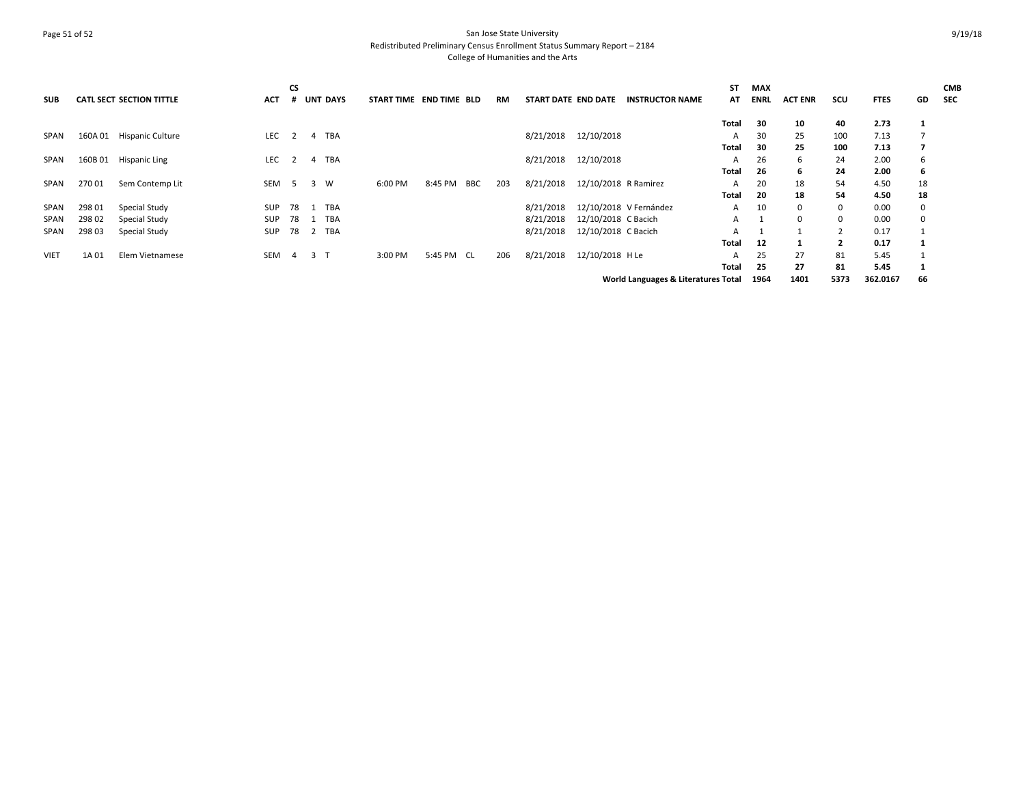## Page 51 of 52 San Jose State University Redistributed Preliminary Census Enrollment Status Summary Report – 2184 College of Humanities and the Arts

| <b>SUB</b>  |         | <b>CATL SECT SECTION TITTLE</b> | ACT        | CS  |                | <b>UNT DAYS</b> | START TIME END TIME BLD |            |            | <b>RM</b> | START DATE END DATE |                     | <b>INSTRUCTOR NAME</b>              | ST<br>AT | <b>MAX</b><br><b>ENRL</b> | <b>ACT ENR</b> | scu          | <b>FTES</b> | GD | <b>CMB</b><br>SEC |
|-------------|---------|---------------------------------|------------|-----|----------------|-----------------|-------------------------|------------|------------|-----------|---------------------|---------------------|-------------------------------------|----------|---------------------------|----------------|--------------|-------------|----|-------------------|
|             |         |                                 |            |     |                |                 |                         |            |            |           |                     |                     |                                     | Total    | -30                       | 10             | 40           | 2.73        | 1  |                   |
| SPAN        | 160A 01 | <b>Hispanic Culture</b>         | <b>LEC</b> |     | 4              | TBA             |                         |            |            |           | 8/21/2018           | 12/10/2018          |                                     | A        | 30                        | 25             | 100          | 7.13        |    |                   |
|             |         |                                 |            |     |                |                 |                         |            |            |           |                     |                     |                                     | Total    | 30                        | 25             | 100          | 7.13        | 7  |                   |
| SPAN        | 160B01  | <b>Hispanic Ling</b>            | <b>LEC</b> |     | 4              | TBA             |                         |            |            |           | 8/21/2018           | 12/10/2018          |                                     | A        | 26                        | 6              | 24           | 2.00        | 6  |                   |
|             |         |                                 |            |     |                |                 |                         |            |            |           |                     |                     |                                     | Total    | -26                       | 6              | 24           | 2.00        | 6  |                   |
| SPAN        | 270 01  | Sem Contemp Lit                 | <b>SEM</b> | - 5 | 3              | W               | 6:00 PM                 | 8:45 PM    | <b>BBC</b> | 203       | 8/21/2018           |                     | 12/10/2018 R Ramirez                | A        | 20                        | 18             | 54           | 4.50        | 18 |                   |
|             |         |                                 |            |     |                |                 |                         |            |            |           |                     |                     |                                     | Total    | 20                        | 18             | 54           | 4.50        | 18 |                   |
| SPAN        | 298 01  | Special Study                   | <b>SUP</b> | 78  |                | 1 TBA           |                         |            |            |           | 8/21/2018           |                     | 12/10/2018 V Fernández              | A        | 10                        | 0              | 0            | 0.00        | 0  |                   |
| SPAN        | 298 02  | Special Study                   | <b>SUP</b> | 78  |                | TBA             |                         |            |            |           | 8/21/2018           | 12/10/2018 C Bacich |                                     | A        |                           | 0              | 0            | 0.00        | 0  |                   |
| <b>SPAN</b> | 298 03  | Special Study                   | <b>SUP</b> | 78  |                | 2 TBA           |                         |            |            |           | 8/21/2018           | 12/10/2018 C Bacich |                                     | A        |                           |                |              | 0.17        |    |                   |
|             |         |                                 |            |     |                |                 |                         |            |            |           |                     |                     |                                     | Total    | 12                        |                | $\mathbf{2}$ | 0.17        |    |                   |
| <b>VIET</b> | 1A01    | Elem Vietnamese                 | <b>SEM</b> | 4   | 3 <sub>1</sub> |                 | 3:00 PM                 | 5:45 PM CL |            | 206       | 8/21/2018           | 12/10/2018 H Le     |                                     | A        | 25                        | 27             | 81           | 5.45        |    |                   |
|             |         |                                 |            |     |                |                 |                         |            |            |           |                     |                     |                                     | Total    | 25                        | 27             | 81           | 5.45        |    |                   |
|             |         |                                 |            |     |                |                 |                         |            |            |           |                     |                     | World Languages & Literatures Total |          | 1964                      | 1401           | 5373         | 362.0167    | 66 |                   |